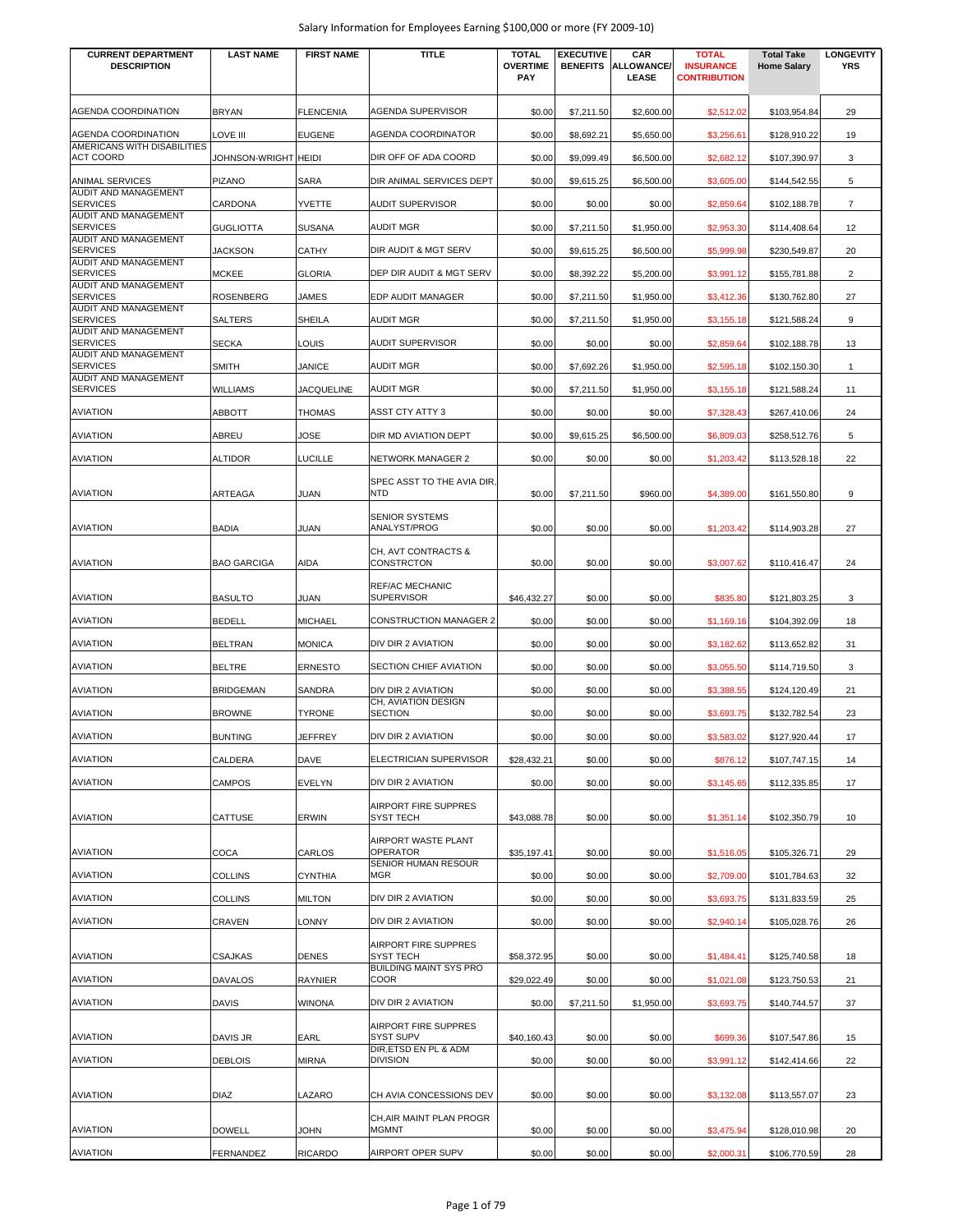| <b>CURRENT DEPARTMENT</b><br><b>DESCRIPTION</b> | <b>LAST NAME</b>     | <b>FIRST NAME</b> | <b>TITLE</b>                              | <b>TOTAL</b><br><b>OVERTIME</b><br><b>PAY</b> | <b>EXECUTIVE</b><br><b>BENEFITS</b> | CAR<br>ALLOWANCE/<br>LEASE | <b>TOTAL</b><br><b>INSURANCE</b><br><b>CONTRIBUTION</b> | <b>Total Take</b><br><b>Home Salary</b> | <b>LONGEVITY</b><br><b>YRS</b> |
|-------------------------------------------------|----------------------|-------------------|-------------------------------------------|-----------------------------------------------|-------------------------------------|----------------------------|---------------------------------------------------------|-----------------------------------------|--------------------------------|
| AGENDA COORDINATION                             | <b>BRYAN</b>         | <b>FLENCENIA</b>  | AGENDA SUPERVISOR                         | \$0.00                                        | \$7,211.50                          | \$2,600.00                 | \$2,512.02                                              | \$103,954.84                            | 29                             |
| AGENDA COORDINATION                             | LOVE III             | <b>EUGENE</b>     | <b>AGENDA COORDINATOR</b>                 | \$0.00                                        | \$8,692.21                          | \$5,650.00                 | \$3,256.61                                              | \$128,910.22                            | 19                             |
| AMERICANS WITH DISABILITIES<br><b>ACT COORD</b> | Johnson-Wright Heidi |                   | DIR OFF OF ADA COORD                      | \$0.00                                        | \$9,099.49                          | \$6,500.00                 | \$2,682.12                                              | \$107,390.97                            | 3                              |
| ANIMAL SERVICES                                 | <b>PIZANO</b>        | SARA              | DIR ANIMAL SERVICES DEPT                  | \$0.00                                        | \$9,615.25                          | \$6,500.00                 | \$3,605.00                                              | \$144,542.55                            | 5                              |
| AUDIT AND MANAGEMENT<br><b>SERVICES</b>         | CARDONA              | YVETTE            | <b>AUDIT SUPERVISOR</b>                   | \$0.00                                        | \$0.00                              | \$0.00                     | \$2,859.64                                              | \$102,188.78                            | $\overline{7}$                 |
| <b>AUDIT AND MANAGEMENT</b><br><b>SERVICES</b>  | <b>GUGLIOTTA</b>     | <b>SUSANA</b>     | <b>AUDIT MGR</b>                          | \$0.00                                        | \$7,211.50                          | \$1,950.00                 | \$2,953.30                                              | \$114,408.64                            | 12                             |
| AUDIT AND MANAGEMENT<br><b>SERVICES</b>         | <b>JACKSON</b>       | <b>CATHY</b>      | DIR AUDIT & MGT SERV                      | \$0.00                                        | \$9,615.25                          | \$6,500.00                 | \$5,999.98                                              | \$230,549.87                            | 20                             |
| AUDIT AND MANAGEMENT<br><b>SERVICES</b>         | <b>MCKEE</b>         | <b>GLORIA</b>     | DEP DIR AUDIT & MGT SERV                  | \$0.00                                        | \$8,392.22                          | \$5,200.00                 | \$3,991.12                                              | \$155,781.88                            | $\overline{2}$                 |
| AUDIT AND MANAGEMENT<br><b>SERVICES</b>         | <b>ROSENBERG</b>     | <b>JAMES</b>      | EDP AUDIT MANAGER                         | \$0.00                                        | \$7,211.50                          | \$1,950.00                 | \$3,412.36                                              | \$130,762.80                            | 27                             |
| AUDIT AND MANAGEMENT<br><b>SERVICES</b>         | SALTERS              | <b>SHEILA</b>     | <b>AUDIT MGR</b>                          | \$0.00                                        | \$7,211.50                          | \$1,950.00                 | \$3,155.18                                              | \$121,588.24                            | 9                              |
| <b>AUDIT AND MANAGEMENT</b><br><b>SERVICES</b>  | <b>SECKA</b>         | LOUIS             | AUDIT SUPERVISOR                          | \$0.00                                        | \$0.00                              | \$0.00                     | \$2,859.64                                              | \$102,188.78                            | 13                             |
| <b>AUDIT AND MANAGEMENT</b><br><b>SERVICES</b>  | <b>SMITH</b>         | <b>JANICE</b>     | AUDIT MGR                                 | \$0.00                                        | \$7,692.26                          | \$1,950.00                 | \$2,595.18                                              | \$102,150.30                            | $\mathbf{1}$                   |
| AUDIT AND MANAGEMENT<br><b>SERVICES</b>         | WILLIAMS             | <b>JACQUELINE</b> | AUDIT MGR                                 | \$0.00                                        | \$7,211.50                          | \$1,950.00                 | \$3,155.18                                              | \$121,588.24                            | 11                             |
| <b>AVIATION</b>                                 | ABBOTT               | <b>THOMAS</b>     | ASST CTY ATTY 3                           |                                               |                                     |                            |                                                         |                                         |                                |
|                                                 |                      |                   |                                           | \$0.00                                        | \$0.00                              | \$0.00                     | \$7,328.43                                              | \$267,410.06                            | 24                             |
| <b>AVIATION</b>                                 | ABREU                | JOSE              | DIR MD AVIATION DEPT                      | \$0.00                                        | \$9,615.25                          | \$6,500.00                 | \$6,809.03                                              | \$258,512.76                            | 5                              |
| <b>AVIATION</b>                                 | ALTIDOR              | <b>LUCILLE</b>    | NETWORK MANAGER 2                         | \$0.00                                        | \$0.00                              | \$0.00                     | \$1,203.42                                              | \$113,528.18                            | 22                             |
| <b>AVIATION</b>                                 | ARTEAGA              | <b>JUAN</b>       | SPEC ASST TO THE AVIA DIR<br><b>NTD</b>   | \$0.00                                        | \$7,211.50                          | \$960.00                   | \$4,389.00                                              | \$161,550.80                            | 9                              |
| <b>AVIATION</b>                                 | BADIA                | JUAN              | <b>SENIOR SYSTEMS</b><br>ANALYST/PROG     | \$0.00                                        | \$0.00                              | \$0.00                     | \$1,203.42                                              | \$114,903.28                            | 27                             |
| <b>AVIATION</b>                                 | <b>BAO GARCIGA</b>   | AIDA              | CH, AVT CONTRACTS &<br>CONSTRCTON         | \$0.00                                        | \$0.00                              | \$0.00                     | \$3,007.62                                              | \$110,416.47                            | 24                             |
| <b>AVIATION</b>                                 | <b>BASULTO</b>       | <b>JUAN</b>       | REF/AC MECHANIC<br><b>SUPERVISOR</b>      | \$46,432.27                                   | \$0.00                              | \$0.00                     | \$835.80                                                | \$121,803.25                            | 3                              |
| <b>AVIATION</b>                                 | <b>BEDELL</b>        | <b>MICHAEL</b>    | <b>CONSTRUCTION MANAGER 2</b>             | \$0.00                                        | \$0.00                              | \$0.00                     | \$1,169.16                                              | \$104,392.09                            | 18                             |
| <b>AVIATION</b>                                 | <b>BELTRAN</b>       | <b>MONICA</b>     | DIV DIR 2 AVIATION                        | \$0.00                                        | \$0.00                              | \$0.00                     | \$3,182.62                                              |                                         | 31                             |
|                                                 |                      |                   |                                           |                                               |                                     |                            |                                                         | \$113,652.82                            |                                |
| <b>AVIATION</b>                                 | <b>BELTRE</b>        | <b>ERNESTO</b>    | SECTION CHIEF AVIATION                    | \$0.00                                        | \$0.00                              | \$0.00                     | \$3,055.50                                              | \$114,719.50                            | 3                              |
| <b>AVIATION</b>                                 | <b>BRIDGEMAN</b>     | SANDRA            | DIV DIR 2 AVIATION<br>CH, AVIATION DESIGN | \$0.00                                        | \$0.00                              | \$0.00                     | \$3,388.55                                              | \$124,120.49                            | 21                             |
| <b>AVIATION</b>                                 | <b>BROWNE</b>        | <b>TYRONE</b>     | <b>SECTION</b>                            | \$0.00                                        | \$0.00                              | \$0.00                     | \$3,693.75                                              | \$132.782.54                            | 23                             |
| <b>AVIATION</b>                                 | <b>BUNTING</b>       | <b>JEFFREY</b>    | DIV DIR 2 AVIATION                        | \$0.00                                        | \$0.00                              | \$0.00                     | \$3,583.02                                              | \$127,920.44                            | 17                             |
| <b>AVIATION</b>                                 | CALDERA              | DAVE              | ELECTRICIAN SUPERVISOR                    | \$28,432.21                                   | \$0.00                              | \$0.00                     | \$876.12                                                | \$107,747.15                            | 14                             |
| <b>AVIATION</b>                                 | CAMPOS               | <b>EVELYN</b>     | DIV DIR 2 AVIATION                        | \$0.00                                        | \$0.00                              | \$0.00                     | \$3,145.65                                              | \$112,335.85                            | 17                             |
| <b>AVIATION</b>                                 | CATTUSE              | ERWIN             | AIRPORT FIRE SUPPRES<br>SYST TECH         | \$43,088.78                                   | \$0.00                              | \$0.00                     | \$1,351.14                                              | \$102,350.79                            | 10                             |
| <b>AVIATION</b>                                 | COCA                 | CARLOS            | AIRPORT WASTE PLANT<br>OPERATOR           | \$35,197.41                                   | \$0.00                              | \$0.00                     | \$1,516.05                                              | \$105,326.71                            | 29                             |
| <b>AVIATION</b>                                 | <b>COLLINS</b>       | <b>CYNTHIA</b>    | SENIOR HUMAN RESOUR<br>MGR                | \$0.00                                        | \$0.00                              | \$0.00                     | \$2,709.00                                              | \$101,784.63                            | 32                             |
| <b>AVIATION</b>                                 | <b>COLLINS</b>       | <b>MILTON</b>     | DIV DIR 2 AVIATION                        | \$0.00                                        | \$0.00                              | \$0.00                     | \$3,693.75                                              | \$131,833.59                            | 25                             |
| <b>AVIATION</b>                                 | CRAVEN               | LONNY             | DIV DIR 2 AVIATION                        | \$0.00                                        | \$0.00                              | \$0.00                     | \$2,940.14                                              | \$105,028.76                            | 26                             |
| <b>AVIATION</b>                                 | <b>CSAJKAS</b>       | DENES             | AIRPORT FIRE SUPPRES<br>SYST TECH         | \$58,372.95                                   | \$0.00                              | \$0.00                     | \$1,484.41                                              | \$125,740.58                            | 18                             |
| <b>AVIATION</b>                                 | DAVALOS              | <b>RAYNIER</b>    | <b>BUILDING MAINT SYS PRO</b><br>COOR     | \$29,022.49                                   | \$0.00                              | \$0.00                     | \$1,021.08                                              | \$123,750.53                            | 21                             |
| <b>AVIATION</b>                                 | DAVIS                | <b>WINONA</b>     | DIV DIR 2 AVIATION                        | \$0.00                                        | \$7,211.50                          | \$1,950.00                 | \$3,693.75                                              | \$140,744.57                            | 37                             |
|                                                 |                      |                   | AIRPORT FIRE SUPPRES                      |                                               |                                     |                            |                                                         |                                         |                                |
| <b>AVIATION</b>                                 | DAVIS JR             | EARL              | SYST SUPV<br>DIR, ETSD EN PL & ADM        | \$40,160.43                                   | \$0.00                              | \$0.00                     | \$699.36                                                | \$107,547.86                            | 15                             |
| <b>AVIATION</b>                                 | <b>DEBLOIS</b>       | <b>MIRNA</b>      | <b>DIVISION</b>                           | \$0.00                                        | \$0.00                              | \$0.00                     | \$3,991.12                                              | \$142,414.66                            | 22                             |
| <b>AVIATION</b>                                 | DIAZ                 | LAZARO            | CH AVIA CONCESSIONS DEV                   | \$0.00                                        | \$0.00                              | \$0.00                     | \$3,132.08                                              | \$113,557.07                            | 23                             |
| <b>AVIATION</b>                                 | <b>DOWELL</b>        | <b>JOHN</b>       | CH, AIR MAINT PLAN PROGR<br><b>MGMNT</b>  | \$0.00                                        | \$0.00                              | \$0.00                     | \$3,475.94                                              | \$128,010.98                            | 20                             |
| <b>AVIATION</b>                                 | FERNANDEZ            | <b>RICARDO</b>    | AIRPORT OPER SUPV                         | \$0.00                                        | \$0.00                              | \$0.00                     | \$2,000.31                                              | \$106,770.59                            | 28                             |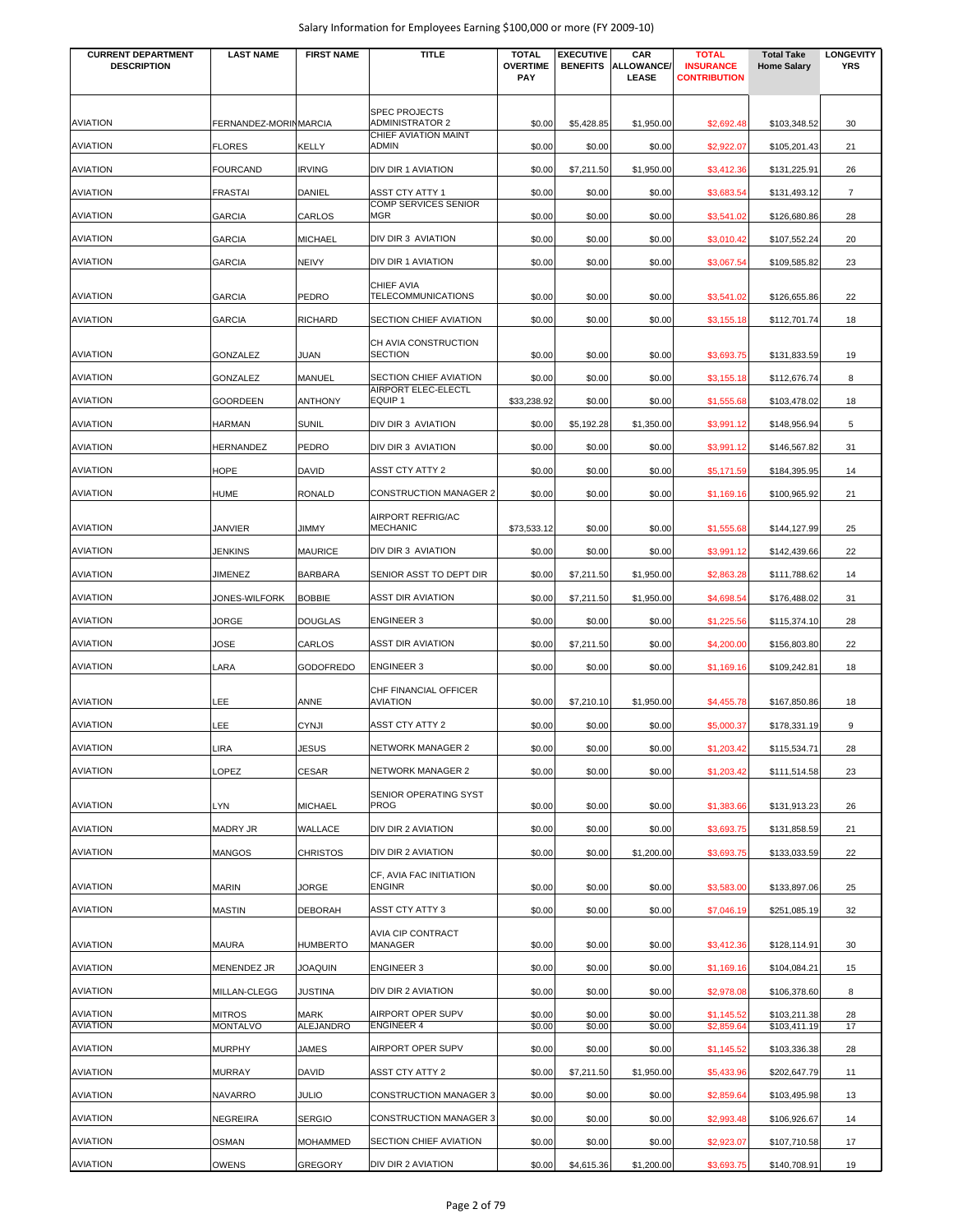| <b>CURRENT DEPARTMENT</b><br><b>DESCRIPTION</b> | <b>LAST NAME</b>      | <b>FIRST NAME</b> | <b>TITLE</b>                                                           | <b>TOTAL</b><br><b>OVERTIME</b><br>PAY | <b>EXECUTIVE</b><br><b>BENEFITS</b> | CAR<br>ALLOWANCE/<br>LEASE | <b>TOTAL</b><br><b>INSURANCE</b><br><b>CONTRIBUTION</b> | <b>Total Take</b><br><b>Home Salary</b> | <b>LONGEVITY</b><br><b>YRS</b> |
|-------------------------------------------------|-----------------------|-------------------|------------------------------------------------------------------------|----------------------------------------|-------------------------------------|----------------------------|---------------------------------------------------------|-----------------------------------------|--------------------------------|
| <b>AVIATION</b>                                 | FERNANDEZ-MORINMARCIA |                   | <b>SPEC PROJECTS</b><br><b>ADMINISTRATOR 2</b><br>CHIEF AVIATION MAINT | \$0.00                                 | \$5.428.85                          | \$1,950.00                 | \$2,692.48                                              | \$103,348.52                            | 30                             |
| <b>AVIATION</b>                                 | <b>FLORES</b>         | KELLY             | ADMIN                                                                  | \$0.00                                 | \$0.00                              | \$0.00                     | \$2,922.07                                              | \$105,201.43                            | 21                             |
| <b>AVIATION</b>                                 | <b>FOURCAND</b>       | <b>IRVING</b>     | DIV DIR 1 AVIATION                                                     | \$0.00                                 | \$7,211.50                          | \$1,950.00                 | \$3,412.36                                              | \$131,225.91                            | 26                             |
| <b>AVIATION</b>                                 | <b>FRASTAI</b>        | DANIEL            | <b>ASST CTY ATTY 1</b>                                                 | \$0.00                                 | \$0.00                              | \$0.00                     | \$3,683.54                                              | \$131,493.12                            | $\overline{7}$                 |
| <b>AVIATION</b>                                 | <b>GARCIA</b>         | CARLOS            | COMP SERVICES SENIOR<br>MGR                                            | \$0.00                                 | \$0.00                              | \$0.00                     | \$3,541.02                                              | \$126,680.86                            | 28                             |
| <b>AVIATION</b>                                 | <b>GARCIA</b>         | MICHAEL           | DIV DIR 3 AVIATION                                                     | \$0.00                                 | \$0.00                              | \$0.00                     | \$3,010.42                                              | \$107,552.24                            | 20                             |
| <b>AVIATION</b>                                 | <b>GARCIA</b>         | <b>NEIVY</b>      | DIV DIR 1 AVIATION                                                     | \$0.00                                 | \$0.00                              | \$0.00                     | \$3,067.54                                              | \$109,585.82                            | 23                             |
| <b>AVIATION</b>                                 | <b>GARCIA</b>         | PEDRO             | CHIEF AVIA<br>TELECOMMUNICATIONS                                       | \$0.00                                 | \$0.00                              | \$0.00                     | \$3,541.02                                              | \$126,655.86                            | 22                             |
| <b>AVIATION</b>                                 | <b>GARCIA</b>         | <b>RICHARD</b>    | SECTION CHIEF AVIATION                                                 | \$0.00                                 | \$0.00                              | \$0.00                     | \$3,155.18                                              | \$112,701.74                            | 18                             |
|                                                 |                       |                   | CH AVIA CONSTRUCTION                                                   |                                        |                                     |                            |                                                         |                                         |                                |
| <b>AVIATION</b>                                 | <b>GONZALEZ</b>       | JUAN              | <b>SECTION</b>                                                         | \$0.00                                 | \$0.00                              | \$0.00                     | \$3,693.75                                              | \$131,833.59                            | 19                             |
| <b>AVIATION</b>                                 | GONZALEZ              | MANUEL            | SECTION CHIEF AVIATION<br>AIRPORT ELEC-ELECTL                          | \$0.00                                 | \$0.00                              | \$0.00                     | \$3,155.18                                              | \$112,676.74                            | 8                              |
| <b>AVIATION</b>                                 | GOORDEEN              | <b>ANTHONY</b>    | EQUIP 1                                                                | \$33,238.92                            | \$0.00                              | \$0.00                     | \$1,555.68                                              | \$103,478.02                            | 18                             |
| <b>AVIATION</b>                                 | <b>HARMAN</b>         | <b>SUNIL</b>      | DIV DIR 3 AVIATION                                                     | \$0.00                                 | \$5,192.28                          | \$1,350.00                 | \$3,991.12                                              | \$148,956.94                            | 5                              |
| <b>AVIATION</b>                                 | <b>HERNANDEZ</b>      | PEDRO             | DIV DIR 3 AVIATION                                                     | \$0.00                                 | \$0.00                              | \$0.00                     | \$3,991.12                                              | \$146,567.82                            | 31                             |
| <b>AVIATION</b>                                 | HOPE                  | <b>DAVID</b>      | ASST CTY ATTY 2                                                        | \$0.00                                 | \$0.00                              | \$0.00                     | \$5,171.59                                              | \$184,395.95                            | 14                             |
| <b>AVIATION</b>                                 | HUME                  | <b>RONALD</b>     | <b>CONSTRUCTION MANAGER 2</b>                                          | \$0.00                                 | \$0.00                              | \$0.00                     | \$1,169.16                                              | \$100,965.92                            | 21                             |
| <b>AVIATION</b>                                 | JANVIER               | JIMMY             | AIRPORT REFRIG/AC<br><b>MECHANIC</b>                                   | \$73,533.12                            | \$0.00                              | \$0.00                     | \$1,555.68                                              | \$144,127.99                            | 25                             |
| <b>AVIATION</b>                                 | <b>JENKINS</b>        | <b>MAURICE</b>    | DIV DIR 3 AVIATION                                                     | \$0.00                                 | \$0.00                              | \$0.00                     | \$3,991.12                                              | \$142,439.66                            | 22                             |
| <b>AVIATION</b>                                 | JIMENEZ               | <b>BARBARA</b>    | SENIOR ASST TO DEPT DIR                                                | \$0.00                                 | \$7,211.50                          | \$1,950.00                 | \$2,863.28                                              | \$111,788.62                            | 14                             |
| <b>AVIATION</b>                                 | JONES-WILFORK         | <b>BOBBIE</b>     | <b>ASST DIR AVIATION</b>                                               | \$0.00                                 | \$7,211.50                          | \$1,950.00                 | \$4,698.54                                              | \$176,488.02                            | 31                             |
| <b>AVIATION</b>                                 | JORGE                 | <b>DOUGLAS</b>    | <b>ENGINEER 3</b>                                                      | \$0.00                                 | \$0.00                              | \$0.00                     | \$1,225.56                                              | \$115,374.10                            | 28                             |
| <b>AVIATION</b>                                 | <b>JOSE</b>           | CARLOS            | <b>ASST DIR AVIATION</b>                                               | \$0.00                                 | \$7,211.50                          | \$0.00                     | \$4,200.00                                              | \$156,803.80                            | 22                             |
| <b>AVIATION</b>                                 | LARA                  | <b>GODOFREDO</b>  | <b>ENGINEER 3</b>                                                      | \$0.00                                 | \$0.00                              | \$0.00                     | \$1,169.16                                              | \$109,242.81                            | 18                             |
| <b>AVIATION</b>                                 | LEE                   | ANNE              | CHF FINANCIAL OFFICER<br><b>AVIATION</b>                               | \$0.00                                 | \$7,210.10                          | \$1,950.00                 | \$4,455.78                                              | \$167,850.86                            | 18                             |
| <b>AVIATION</b>                                 | LEE                   | <b>CYNJI</b>      | ASST CTY ATTY 2                                                        | \$0.00                                 | \$0.00                              | \$0.00                     | \$5,000.37                                              | \$178,331.19                            | 9                              |
| <b>AVIATION</b>                                 | LIRA                  | <b>JESUS</b>      | NETWORK MANAGER 2                                                      | \$0.00                                 | \$0.00                              | \$0.00                     | \$1,203.42                                              | \$115,534.71                            | 28                             |
| <b>AVIATION</b>                                 | OPEZ                  | CESAR             | <b>NETWORK MANAGER 2</b>                                               | \$0.00                                 | \$0.00                              | \$0.00                     | \$1,203.42                                              | \$111,514.58                            | 23                             |
| <b>AVIATION</b>                                 | LYN                   | <b>MICHAEL</b>    | SENIOR OPERATING SYST<br><b>PROG</b>                                   | \$0.00                                 | \$0.00                              | \$0.00                     | \$1,383.66                                              | \$131,913.23                            | 26                             |
| <b>AVIATION</b>                                 | <b>MADRY JR</b>       | WALLACE           | DIV DIR 2 AVIATION                                                     | \$0.00                                 | \$0.00                              | \$0.00                     | \$3,693.75                                              | \$131,858.59                            | 21                             |
| <b>AVIATION</b>                                 | <b>MANGOS</b>         | <b>CHRISTOS</b>   | DIV DIR 2 AVIATION                                                     | \$0.00                                 | \$0.00                              | \$1,200.00                 | \$3,693.75                                              | \$133,033.59                            | 22                             |
| <b>AVIATION</b>                                 | <b>MARIN</b>          | JORGE             | CF, AVIA FAC INITIATION<br><b>ENGINR</b>                               | \$0.00                                 | \$0.00                              | \$0.00                     | \$3,583.00                                              | \$133,897.06                            | 25                             |
| <b>AVIATION</b>                                 | MASTIN                | <b>DEBORAH</b>    | ASST CTY ATTY 3                                                        | \$0.00                                 | \$0.00                              | \$0.00                     | \$7,046.19                                              | \$251,085.19                            | 32                             |
| <b>AVIATION</b>                                 | MAURA                 | <b>HUMBERTO</b>   | AVIA CIP CONTRACT<br>MANAGER                                           | \$0.00                                 | \$0.00                              | \$0.00                     | \$3,412.36                                              | \$128,114.91                            | 30                             |
| <b>AVIATION</b>                                 | MENENDEZ JR           | <b>JOAQUIN</b>    | <b>ENGINEER 3</b>                                                      | \$0.00                                 | \$0.00                              | \$0.00                     | \$1,169.16                                              | \$104,084.21                            | 15                             |
| <b>AVIATION</b>                                 | MILLAN-CLEGG          | <b>JUSTINA</b>    | DIV DIR 2 AVIATION                                                     | \$0.00                                 | \$0.00                              | \$0.00                     | \$2,978.08                                              | \$106,378.60                            | 8                              |
| <b>AVIATION</b>                                 | <b>MITROS</b>         | MARK              | AIRPORT OPER SUPV                                                      | \$0.00                                 | \$0.00                              | \$0.00                     | \$1,145.52                                              | \$103,211.38                            | 28                             |
| <b>AVIATION</b>                                 | <b>MONTALVO</b>       | <b>ALEJANDRO</b>  | <b>ENGINEER 4</b>                                                      | \$0.00                                 | \$0.00                              | \$0.00                     | \$2,859.64                                              | \$103,411.19                            | 17                             |
| <b>AVIATION</b>                                 | <b>MURPHY</b>         | JAMES             | AIRPORT OPER SUPV                                                      | \$0.00                                 | \$0.00                              | \$0.00                     | \$1,145.52                                              | \$103,336.38                            | 28                             |
| <b>AVIATION</b>                                 | MURRAY                | <b>DAVID</b>      | ASST CTY ATTY 2                                                        | \$0.00                                 | \$7,211.50                          | \$1,950.00                 | \$5,433.96                                              | \$202,647.79                            | 11                             |
| <b>AVIATION</b>                                 | NAVARRO               | JULIO             | <b>CONSTRUCTION MANAGER 3</b>                                          | \$0.00                                 | \$0.00                              | \$0.00                     | \$2,859.64                                              | \$103,495.98                            | 13                             |
| <b>AVIATION</b>                                 | NEGREIRA              | <b>SERGIO</b>     | CONSTRUCTION MANAGER 3                                                 | \$0.00                                 | \$0.00                              | \$0.00                     | \$2,993.48                                              | \$106,926.67                            | 14                             |
| <b>AVIATION</b>                                 | OSMAN                 | <b>MOHAMMED</b>   | SECTION CHIEF AVIATION                                                 | \$0.00                                 | \$0.00                              | \$0.00                     | \$2,923.07                                              | \$107,710.58                            | 17                             |
| <b>AVIATION</b>                                 | OWENS                 | GREGORY           | DIV DIR 2 AVIATION                                                     | \$0.00                                 | \$4,615.36                          | \$1,200.00                 | \$3,693.75                                              | \$140,708.91                            | 19                             |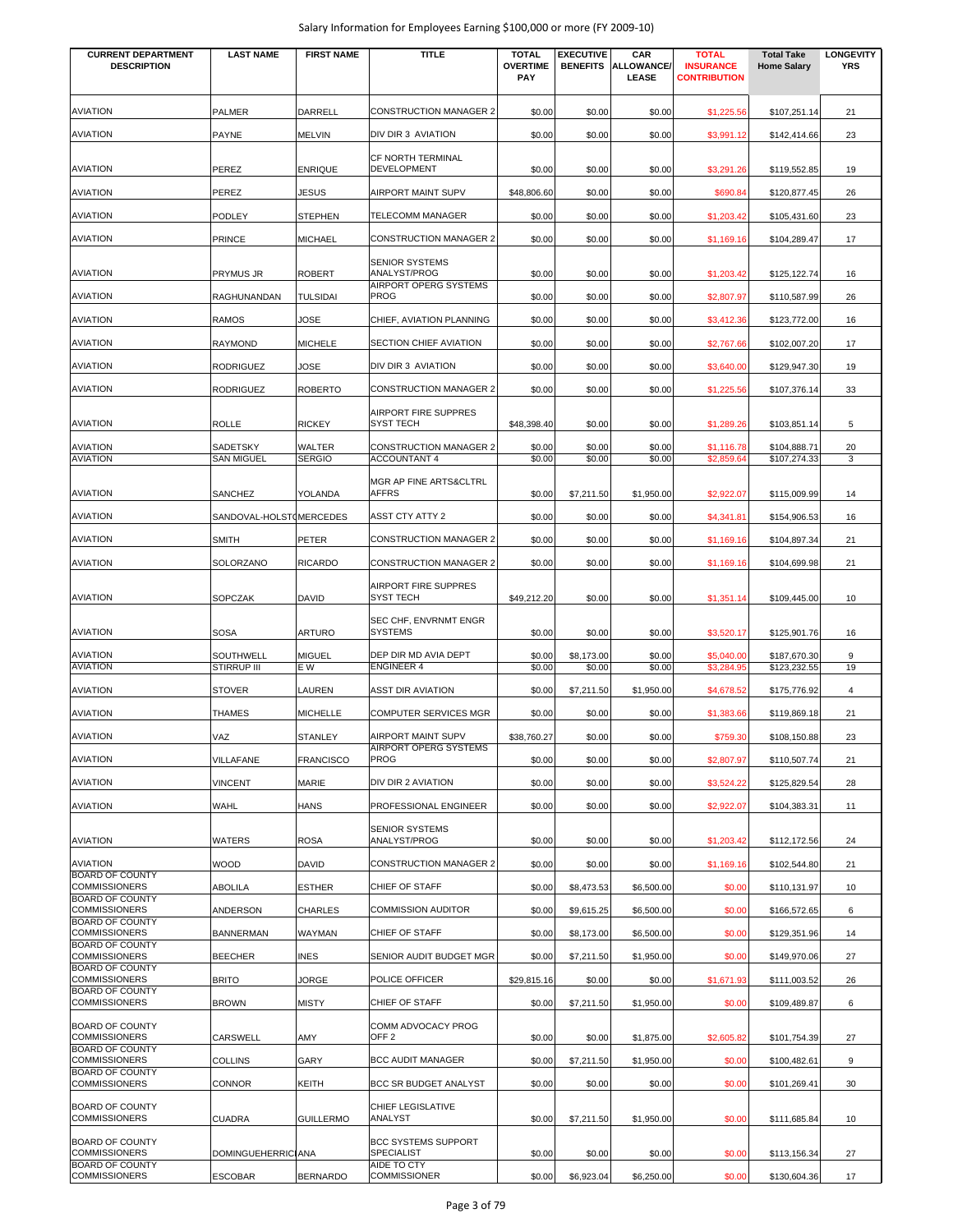| <b>CURRENT DEPARTMENT</b>                      | <b>LAST NAME</b>                       | <b>FIRST NAME</b>    | <b>TITLE</b>                                    | <b>TOTAL</b>           | <b>EXECUTIVE</b>     | CAR                        | <b>TOTAL</b>                            | <b>Total Take</b>            | <b>LONGEVITY</b> |
|------------------------------------------------|----------------------------------------|----------------------|-------------------------------------------------|------------------------|----------------------|----------------------------|-----------------------------------------|------------------------------|------------------|
| <b>DESCRIPTION</b>                             |                                        |                      |                                                 | <b>OVERTIME</b><br>PAY | <b>BENEFITS</b>      | <b>ALLOWANCE/</b><br>LEASE | <b>INSURANCE</b><br><b>CONTRIBUTION</b> | <b>Home Salary</b>           | <b>YRS</b>       |
|                                                |                                        |                      |                                                 |                        |                      |                            |                                         |                              |                  |
| <b>AVIATION</b>                                | <b>PALMER</b>                          | DARRELL              | <b>CONSTRUCTION MANAGER 2</b>                   | \$0.00                 | \$0.00               | \$0.00                     | \$1,225.56                              | \$107,251.14                 | 21               |
| <b>AVIATION</b>                                | PAYNE                                  | <b>MELVIN</b>        | DIV DIR 3 AVIATION                              | \$0.00                 | \$0.00               | \$0.00                     | \$3,991.12                              | \$142,414.66                 | 23               |
|                                                |                                        |                      |                                                 |                        |                      |                            |                                         |                              |                  |
| <b>AVIATION</b>                                | PEREZ                                  | <b>ENRIQUE</b>       | <b>CF NORTH TERMINAL</b><br>DEVELOPMENT         | \$0.00                 | \$0.00               | \$0.00                     | \$3,291.26                              | \$119,552.85                 | 19               |
| <b>AVIATION</b>                                | PEREZ                                  | JESUS                | AIRPORT MAINT SUPV                              | \$48,806.60            | \$0.00               | \$0.00                     | \$690.84                                | \$120,877.45                 | 26               |
|                                                |                                        |                      |                                                 |                        |                      |                            |                                         |                              |                  |
| <b>AVIATION</b>                                | <b>PODLEY</b>                          | <b>STEPHEN</b>       | <b>TELECOMM MANAGER</b>                         | \$0.00                 | \$0.00               | \$0.00                     | \$1,203.42                              | \$105,431.60                 | 23               |
| AVIATION                                       | <b>PRINCE</b>                          | <b>MICHAEL</b>       | <b>CONSTRUCTION MANAGER 2</b>                   | \$0.00                 | \$0.00               | \$0.00                     | \$1,169.16                              | \$104,289.47                 | 17               |
|                                                |                                        |                      | <b>SENIOR SYSTEMS</b>                           |                        |                      |                            |                                         |                              |                  |
| <b>AVIATION</b>                                | <b>PRYMUS JR</b>                       | <b>ROBERT</b>        | ANALYST/PROG<br>AIRPORT OPERG SYSTEMS           | \$0.00                 | \$0.00               | \$0.00                     | \$1,203.42                              | \$125,122.74                 | 16               |
| AVIATION                                       | RAGHUNANDAN                            | TULSIDAI             | <b>PROG</b>                                     | \$0.00                 | \$0.00               | \$0.00                     | \$2,807.97                              | \$110,587.99                 | 26               |
| <b>AVIATION</b>                                | <b>RAMOS</b>                           | JOSE                 | CHIEF, AVIATION PLANNING                        | \$0.00                 | \$0.00               | \$0.00                     | \$3,412.36                              | \$123,772.00                 | 16               |
| <b>AVIATION</b>                                | <b>RAYMOND</b>                         | <b>MICHELE</b>       | SECTION CHIEF AVIATION                          | \$0.00                 | \$0.00               | \$0.00                     | \$2,767.66                              | \$102,007.20                 | 17               |
|                                                |                                        |                      |                                                 |                        |                      |                            |                                         |                              |                  |
| <b>AVIATION</b>                                | <b>RODRIGUEZ</b>                       | <b>JOSE</b>          | DIV DIR 3 AVIATION                              | \$0.00                 | \$0.00               | \$0.00                     | \$3,640.00                              | \$129,947.30                 | 19               |
| <b>AVIATION</b>                                | <b>RODRIGUEZ</b>                       | <b>ROBERTO</b>       | <b>CONSTRUCTION MANAGER 2</b>                   | \$0.00                 | \$0.00               | \$0.00                     | \$1,225.56                              | \$107,376.14                 | 33               |
|                                                |                                        |                      | <b>AIRPORT FIRE SUPPRES</b>                     |                        |                      |                            |                                         |                              |                  |
| <b>AVIATION</b>                                | <b>ROLLE</b>                           | <b>RICKEY</b>        | <b>SYST TECH</b>                                | \$48,398.40            | \$0.00               | \$0.00                     | \$1,289.26                              | \$103,851.14                 | 5                |
| <b>AVIATION</b>                                | SADETSKY                               | WALTER               | <b>CONSTRUCTION MANAGER 2</b>                   | \$0.00                 | \$0.00               | \$0.00                     | \$1,116.78                              | \$104,888.71                 | 20               |
| <b>AVIATION</b>                                | <b>SAN MIGUEL</b>                      | <b>SERGIO</b>        | <b>ACCOUNTANT 4</b>                             | \$0.00                 | \$0.00               | \$0.00                     | \$2,859.64                              | \$107,274.33                 | 3                |
| <b>AVIATION</b>                                | SANCHEZ                                | YOLANDA              | MGR AP FINE ARTS&CLTRL<br><b>AFFRS</b>          | \$0.00                 | \$7.211.50           | \$1,950.00                 | \$2,922.07                              | \$115,009.99                 | 14               |
|                                                |                                        |                      |                                                 |                        |                      |                            |                                         |                              |                  |
| <b>AVIATION</b>                                | SANDOVAL-HOLST (MERCEDES               |                      | <b>ASST CTY ATTY 2</b>                          | \$0.00                 | \$0.00               | \$0.00                     | \$4,341.81                              | \$154,906.53                 | 16               |
| AVIATION                                       | <b>SMITH</b>                           | PETER                | <b>CONSTRUCTION MANAGER 2</b>                   | \$0.00                 | \$0.00               | \$0.00                     | \$1,169.16                              | \$104,897.34                 | 21               |
| <b>AVIATION</b>                                | SOLORZANO                              | <b>RICARDO</b>       | <b>CONSTRUCTION MANAGER 2</b>                   | \$0.00                 | \$0.00               | \$0.00                     | \$1,169.16                              | \$104,699.98                 | 21               |
|                                                |                                        |                      | <b>AIRPORT FIRE SUPPRES</b>                     |                        |                      |                            |                                         |                              |                  |
| <b>AVIATION</b>                                | SOPCZAK                                | DAVID                | <b>SYST TECH</b>                                | \$49,212.20            | \$0.00               | \$0.00                     | \$1,351.14                              | \$109,445.00                 | 10               |
|                                                |                                        |                      | SEC CHF, ENVRNMT ENGR                           |                        |                      |                            |                                         |                              |                  |
| <b>AVIATION</b>                                | <b>SOSA</b>                            | <b>ARTURO</b>        | <b>SYSTEMS</b>                                  | \$0.00                 | \$0.00               | \$0.00                     | \$3,520.17                              | \$125,901.76                 | 16               |
| <b>AVIATION</b><br><b>AVIATION</b>             | <b>SOUTHWELL</b><br><b>STIRRUP III</b> | <b>MIGUEL</b><br>E W | DEP DIR MD AVIA DEPT<br><b>ENGINEER 4</b>       | \$0.00<br>\$0.00       | \$8,173.00<br>\$0.00 | \$0.00<br>\$0.00           | \$5,040.00<br>\$3,284.95                | \$187,670.30<br>\$123,232.55 | 9<br>19          |
| <b>AVIATION</b>                                |                                        |                      |                                                 |                        |                      |                            |                                         |                              |                  |
|                                                | <b>STOVER</b>                          | LAUREN               | <b>ASST DIR AVIATION</b>                        | \$0.00                 | \$7,211.50           | \$1,950.00                 | \$4,678.52                              | \$175,776.92                 | $\overline{4}$   |
| <b>AVIATION</b>                                | THAMES                                 | <b>MICHELLE</b>      | <b>COMPUTER SERVICES MGR</b>                    | \$0.00                 | \$0.00               | \$0.00                     | \$1,383.66                              | \$119,869.18                 | 21               |
| <b>AVIATION</b>                                | VAZ                                    | <b>STANLEY</b>       | AIRPORT MAINT SUPV                              | \$38,760.27            | \$0.00               | \$0.00                     | \$759.30                                | \$108,150.88                 | 23               |
| <b>AVIATION</b>                                | VILLAFANE                              | <b>FRANCISCO</b>     | AIRPORT OPERG SYSTEMS<br><b>PROG</b>            | \$0.00                 | \$0.00               | \$0.00                     | \$2,807.97                              | \$110,507.74                 | 21               |
| <b>AVIATION</b>                                | <b>VINCENT</b>                         | MARIE                | DIV DIR 2 AVIATION                              | \$0.00                 | \$0.00               | \$0.00                     | \$3,524.22                              | \$125,829.54                 | 28               |
| <b>AVIATION</b>                                | WAHL                                   | HANS                 | PROFESSIONAL ENGINEER                           | \$0.00                 | \$0.00               | \$0.00                     | \$2,922.07                              | \$104,383.31                 | 11               |
|                                                |                                        |                      |                                                 |                        |                      |                            |                                         |                              |                  |
| <b>AVIATION</b>                                | WATERS                                 | <b>ROSA</b>          | <b>SENIOR SYSTEMS</b><br>ANALYST/PROG           | \$0.00                 | \$0.00               | \$0.00                     | \$1,203.42                              | \$112,172.56                 | 24               |
| <b>AVIATION</b>                                | <b>WOOD</b>                            | DAVID                | <b>CONSTRUCTION MANAGER 2</b>                   | \$0.00                 | \$0.00               | \$0.00                     | \$1,169.16                              | \$102,544.80                 | 21               |
| <b>BOARD OF COUNTY</b>                         |                                        |                      |                                                 |                        |                      |                            |                                         |                              |                  |
| <b>COMMISSIONERS</b><br><b>BOARD OF COUNTY</b> | <b>ABOLILA</b>                         | <b>ESTHER</b>        | CHIEF OF STAFF                                  | \$0.00                 | \$8,473.53           | \$6,500.00                 | \$0.00                                  | \$110,131.97                 | 10               |
| <b>COMMISSIONERS</b><br><b>BOARD OF COUNTY</b> | <b>ANDERSON</b>                        | <b>CHARLES</b>       | <b>COMMISSION AUDITOR</b>                       | \$0.00                 | \$9,615.25           | \$6,500.00                 | \$0.00                                  | \$166,572.65                 | 6                |
| <b>COMMISSIONERS</b>                           | <b>BANNERMAN</b>                       | WAYMAN               | CHIEF OF STAFF                                  | \$0.00                 | \$8,173.00           | \$6,500.00                 | \$0.00                                  | \$129,351.96                 | 14               |
| <b>BOARD OF COUNTY</b><br><b>COMMISSIONERS</b> | <b>BEECHER</b>                         | <b>INES</b>          | SENIOR AUDIT BUDGET MGR                         | \$0.00                 | \$7,211.50           | \$1,950.00                 | \$0.00                                  | \$149,970.06                 | 27               |
| <b>BOARD OF COUNTY</b><br><b>COMMISSIONERS</b> | <b>BRITO</b>                           | JORGE                | POLICE OFFICER                                  | \$29,815.16            | \$0.00               | \$0.00                     | \$1,671.93                              | \$111,003.52                 | 26               |
| <b>BOARD OF COUNTY</b>                         |                                        |                      |                                                 |                        |                      |                            |                                         |                              |                  |
| <b>COMMISSIONERS</b>                           | <b>BROWN</b>                           | <b>MISTY</b>         | CHIEF OF STAFF                                  | \$0.00                 | \$7,211.50           | \$1,950.00                 | \$0.00                                  | \$109,489.87                 | 6                |
| <b>BOARD OF COUNTY</b><br><b>COMMISSIONERS</b> | CARSWELL                               | AMY                  | COMM ADVOCACY PROG<br>OFF <sub>2</sub>          | \$0.00                 | \$0.00               | \$1,875.00                 | \$2,605.82                              | \$101,754.39                 | 27               |
| <b>BOARD OF COUNTY</b>                         |                                        |                      |                                                 |                        |                      |                            |                                         |                              |                  |
| <b>COMMISSIONERS</b><br><b>BOARD OF COUNTY</b> | <b>COLLINS</b>                         | GARY                 | <b>BCC AUDIT MANAGER</b>                        | \$0.00                 | \$7,211.50           | \$1,950.00                 | \$0.00                                  | \$100,482.61                 | 9                |
| COMMISSIONERS                                  | <b>CONNOR</b>                          | KEITH                | <b>BCC SR BUDGET ANALYST</b>                    | \$0.00                 | \$0.00               | \$0.00                     | \$0.00                                  | \$101,269.41                 | 30               |
| <b>BOARD OF COUNTY</b>                         |                                        |                      | CHIEF LEGISLATIVE                               |                        |                      |                            |                                         |                              |                  |
| <b>COMMISSIONERS</b>                           | <b>CUADRA</b>                          | <b>GUILLERMO</b>     | ANALYST                                         | \$0.00                 | \$7,211.50           | \$1,950.00                 | \$0.00                                  | \$111,685.84                 | 10               |
| <b>BOARD OF COUNTY</b><br><b>COMMISSIONERS</b> | <b>DOMINGUEHERRICIANA</b>              |                      | <b>BCC SYSTEMS SUPPORT</b><br><b>SPECIALIST</b> | \$0.00                 | \$0.00               | \$0.00                     | \$0.00                                  | \$113,156.34                 | 27               |
| <b>BOARD OF COUNTY</b>                         |                                        |                      | AIDE TO CTY                                     |                        |                      |                            |                                         |                              |                  |
| <b>COMMISSIONERS</b>                           | <b>ESCOBAR</b>                         | <b>BERNARDO</b>      | <b>COMMISSIONER</b>                             | \$0.00                 | \$6,923.04           | \$6,250.00                 | \$0.00                                  | \$130,604.36                 | 17               |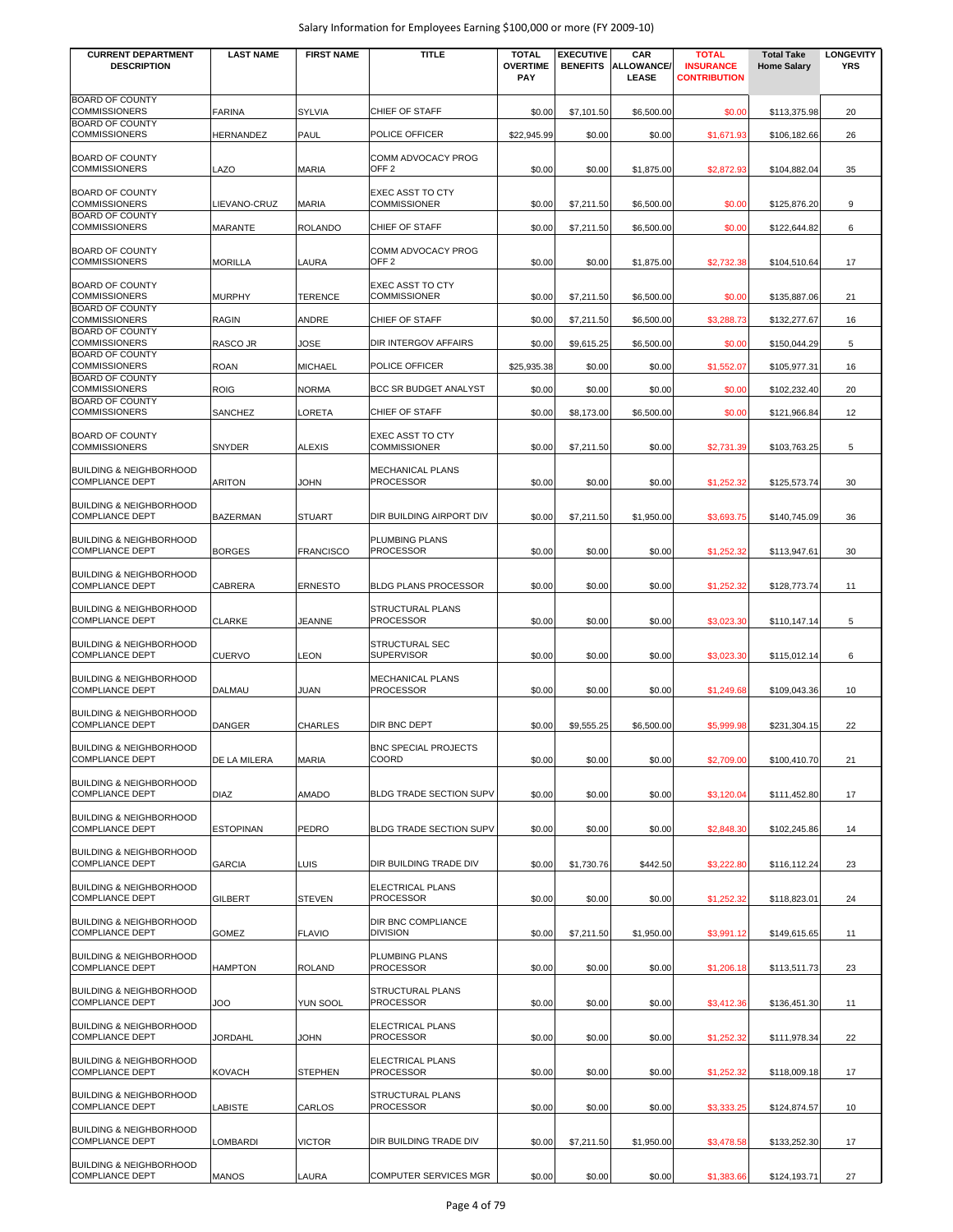| <b>CURRENT DEPARTMENT</b><br><b>DESCRIPTION</b>                          | <b>LAST NAME</b> | <b>FIRST NAME</b> | <b>TITLE</b>                                   | <b>TOTAL</b><br><b>OVERTIME</b><br><b>PAY</b> | <b>EXECUTIVE</b><br><b>BENEFITS</b> | CAR<br>ALLOWANCE/<br><b>LEASE</b> | <b>TOTAL</b><br><b>INSURANCE</b><br><b>CONTRIBUTION</b> | <b>Total Take</b><br><b>Home Salary</b> | <b>LONGEVITY</b><br><b>YRS</b> |
|--------------------------------------------------------------------------|------------------|-------------------|------------------------------------------------|-----------------------------------------------|-------------------------------------|-----------------------------------|---------------------------------------------------------|-----------------------------------------|--------------------------------|
| <b>BOARD OF COUNTY</b><br><b>COMMISSIONERS</b>                           | FARINA           | <b>SYLVIA</b>     | CHIEF OF STAFF                                 | \$0.00                                        | \$7,101.50                          | \$6,500.00                        |                                                         |                                         | 20                             |
| <b>BOARD OF COUNTY</b><br><b>COMMISSIONERS</b>                           | <b>HERNANDEZ</b> | PAUL              | POLICE OFFICER                                 | \$22,945.99                                   | \$0.00                              | \$0.00                            | \$0.00<br>\$1,671.93                                    | \$113,375.98<br>\$106,182.66            | 26                             |
| <b>BOARD OF COUNTY</b><br><b>COMMISSIONERS</b>                           | LAZO             | <b>MARIA</b>      | COMM ADVOCACY PROG<br>OFF <sub>2</sub>         | \$0.00                                        | \$0.00                              | \$1,875.00                        | \$2,872.93                                              | \$104,882.04                            | 35                             |
| <b>BOARD OF COUNTY</b><br><b>COMMISSIONERS</b>                           | LIEVANO-CRUZ     | <b>MARIA</b>      | <b>EXEC ASST TO CTY</b><br><b>COMMISSIONER</b> | \$0.00                                        | \$7,211.50                          | \$6,500.00                        | \$0.00                                                  | \$125,876.20                            | 9                              |
| <b>BOARD OF COUNTY</b><br><b>COMMISSIONERS</b>                           | MARANTE          | <b>ROLANDO</b>    | CHIEF OF STAFF                                 | \$0.00                                        | \$7,211.50                          | \$6,500.00                        | \$0.00                                                  | \$122,644.82                            | 6                              |
| <b>BOARD OF COUNTY</b><br>COMMISSIONERS                                  | <b>MORILLA</b>   | LAURA             | COMM ADVOCACY PROG<br>OFF <sub>2</sub>         | \$0.00                                        | \$0.00                              | \$1,875.00                        | \$2,732.38                                              | \$104,510.64                            | 17                             |
| <b>BOARD OF COUNTY</b><br><b>COMMISSIONERS</b><br><b>BOARD OF COUNTY</b> | <b>MURPHY</b>    | <b>TERENCE</b>    | <b>EXEC ASST TO CTY</b><br><b>COMMISSIONER</b> | \$0.00                                        | \$7,211.50                          | \$6,500.00                        | \$0.00                                                  | \$135,887.06                            | 21                             |
| <b>COMMISSIONERS</b><br><b>BOARD OF COUNTY</b>                           | <b>RAGIN</b>     | ANDRE             | CHIEF OF STAFF                                 | \$0.00                                        | \$7,211.50                          | \$6,500.00                        | \$3,288.73                                              | \$132,277.67                            | 16                             |
| <b>COMMISSIONERS</b>                                                     | RASCO JR         | JOSE              | DIR INTERGOV AFFAIRS                           | \$0.00                                        | \$9,615.25                          | \$6,500.00                        | \$0.00                                                  | \$150,044.29                            | 5                              |
| <b>BOARD OF COUNTY</b><br><b>COMMISSIONERS</b>                           | ROAN             | <b>MICHAEL</b>    | POLICE OFFICER                                 | \$25,935.38                                   | \$0.00                              | \$0.00                            | \$1,552.07                                              | \$105,977.31                            | 16                             |
| <b>BOARD OF COUNTY</b><br><b>COMMISSIONERS</b>                           | <b>ROIG</b>      | <b>NORMA</b>      | BCC SR BUDGET ANALYST                          | \$0.00                                        | \$0.00                              | \$0.00                            | \$0.00                                                  | \$102,232.40                            | 20                             |
| <b>BOARD OF COUNTY</b><br><b>COMMISSIONERS</b>                           | SANCHEZ          | LORETA            | CHIEF OF STAFF                                 | \$0.00                                        | \$8,173.00                          | \$6,500.00                        | \$0.00                                                  | \$121,966.84                            | 12                             |
| <b>BOARD OF COUNTY</b><br><b>COMMISSIONERS</b>                           | <b>SNYDER</b>    | <b>ALEXIS</b>     | <b>EXEC ASST TO CTY</b><br><b>COMMISSIONER</b> | \$0.00                                        | \$7,211.50                          | \$0.00                            | \$2,731.39                                              | \$103,763.25                            | 5                              |
| <b>BUILDING &amp; NEIGHBORHOOD</b><br><b>COMPLIANCE DEPT</b>             | ARITON           | <b>JOHN</b>       | MECHANICAL PLANS<br>PROCESSOR                  | \$0.00                                        | \$0.00                              | \$0.00                            | \$1,252.32                                              | \$125,573.74                            | 30                             |
| <b>BUILDING &amp; NEIGHBORHOOD</b><br><b>COMPLIANCE DEPT</b>             | <b>BAZERMAN</b>  | <b>STUART</b>     | DIR BUILDING AIRPORT DIV                       | \$0.00                                        | \$7,211.50                          | \$1,950.00                        | \$3,693.75                                              | \$140,745.09                            | 36                             |
| <b>BUILDING &amp; NEIGHBORHOOD</b><br><b>COMPLIANCE DEPT</b>             | <b>BORGES</b>    | <b>FRANCISCO</b>  | PLUMBING PLANS<br><b>PROCESSOR</b>             | \$0.00                                        | \$0.00                              | \$0.00                            | \$1,252.32                                              | \$113,947.61                            | 30                             |
| <b>BUILDING &amp; NEIGHBORHOOD</b><br><b>COMPLIANCE DEPT</b>             | CABRERA          | <b>ERNESTO</b>    | BLDG PLANS PROCESSOR                           | \$0.00                                        | \$0.00                              | \$0.00                            | \$1,252.32                                              | \$128,773.74                            | 11                             |
| <b>BUILDING &amp; NEIGHBORHOOD</b><br><b>COMPLIANCE DEPT</b>             | <b>CLARKE</b>    | <b>JEANNE</b>     | STRUCTURAL PLANS<br><b>PROCESSOR</b>           | \$0.00                                        | \$0.00                              | \$0.00                            | \$3,023.30                                              | \$110,147.14                            | 5                              |
| <b>BUILDING &amp; NEIGHBORHOOD</b><br><b>COMPLIANCE DEPT</b>             | <b>CUERVO</b>    | LEON              | STRUCTURAL SEC<br><b>SUPERVISOR</b>            | \$0.00                                        | \$0.00                              | \$0.00                            | \$3.023.30                                              | \$115,012.14                            | 6                              |
| <b>BUILDING &amp; NEIGHBORHOOD</b><br><b>COMPLIANCE DEPT</b>             | <b>DALMAU</b>    | <b>JUAN</b>       | MECHANICAL PLANS<br><b>PROCESSOR</b>           | \$0.00                                        | \$0.00                              | \$0.00                            | \$1,249.68                                              | \$109,043.36                            | 10                             |
| <b>BUILDING &amp; NEIGHBORHOOD</b><br><b>COMPLIANCE DEPT</b>             | <b>DANGER</b>    | <b>CHARLES</b>    | DIR BNC DEPT                                   | \$0.00                                        | \$9,555.25                          | \$6,500.00                        | \$5,999.98                                              | \$231,304.15                            | 22                             |
| BUILDING & NEIGHBORHOOD<br><b>COMPLIANCE DEPT</b>                        | DE LA MILERA     | <b>MARIA</b>      | <b>BNC SPECIAL PROJECTS</b><br>COORD           | \$0.00                                        | \$0.00                              | \$0.00                            | \$2,709.00                                              | \$100,410.70                            | 21                             |
| BUILDING & NEIGHBORHOOD<br><b>COMPLIANCE DEPT</b>                        | <b>DIAZ</b>      | AMADO             | BLDG TRADE SECTION SUPV                        | \$0.00                                        | \$0.00                              | \$0.00                            | \$3,120.04                                              | \$111,452.80                            | 17                             |
| BUILDING & NEIGHBORHOOD<br><b>COMPLIANCE DEPT</b>                        | <b>ESTOPINAN</b> | PEDRO             | BLDG TRADE SECTION SUPV                        | \$0.00                                        | \$0.00                              | \$0.00                            | \$2,848.30                                              | \$102,245.86                            | 14                             |
| <b>BUILDING &amp; NEIGHBORHOOD</b><br><b>COMPLIANCE DEPT</b>             | GARCIA           | LUIS              | DIR BUILDING TRADE DIV                         | \$0.00                                        | \$1,730.76                          | \$442.50                          | \$3,222.80                                              | \$116,112.24                            | 23                             |
| <b>BUILDING &amp; NEIGHBORHOOD</b><br><b>COMPLIANCE DEPT</b>             | GILBERT          | <b>STEVEN</b>     | ELECTRICAL PLANS<br>PROCESSOR                  | \$0.00                                        | \$0.00                              | \$0.00                            | \$1,252.32                                              | \$118,823.01                            | 24                             |
| <b>BUILDING &amp; NEIGHBORHOOD</b><br><b>COMPLIANCE DEPT</b>             | <b>GOMEZ</b>     | <b>FLAVIO</b>     | DIR BNC COMPLIANCE<br><b>DIVISION</b>          | \$0.00                                        | \$7,211.50                          | \$1,950.00                        | \$3,991.12                                              | \$149.615.65                            | 11                             |
| <b>BUILDING &amp; NEIGHBORHOOD</b><br><b>COMPLIANCE DEPT</b>             | HAMPTON          | <b>ROLAND</b>     | PLUMBING PLANS<br>PROCESSOR                    | \$0.00                                        | \$0.00                              | \$0.00                            | \$1,206.18                                              | \$113,511.73                            | 23                             |
| <b>BUILDING &amp; NEIGHBORHOOD</b><br><b>COMPLIANCE DEPT</b>             | OOL              | YUN SOOL          | STRUCTURAL PLANS<br>PROCESSOR                  | \$0.00                                        | \$0.00                              | \$0.00                            | \$3,412.36                                              | \$136,451.30                            | 11                             |
| BUILDING & NEIGHBORHOOD<br><b>COMPLIANCE DEPT</b>                        | <b>JORDAHL</b>   | <b>JOHN</b>       | ELECTRICAL PLANS<br>PROCESSOR                  | \$0.00                                        | \$0.00                              | \$0.00                            | \$1,252.32                                              | \$111,978.34                            | 22                             |
| BUILDING & NEIGHBORHOOD<br><b>COMPLIANCE DEPT</b>                        | KOVACH           | <b>STEPHEN</b>    | ELECTRICAL PLANS<br>PROCESSOR                  | \$0.00                                        | \$0.00                              | \$0.00                            | \$1,252.32                                              | \$118,009.18                            | 17                             |
| BUILDING & NEIGHBORHOOD<br><b>COMPLIANCE DEPT</b>                        | LABISTE          | CARLOS            | STRUCTURAL PLANS<br>PROCESSOR                  | \$0.00                                        | \$0.00                              | \$0.00                            | \$3,333.25                                              | \$124,874.57                            | 10                             |
| BUILDING & NEIGHBORHOOD<br><b>COMPLIANCE DEPT</b>                        | LOMBARDI         | <b>VICTOR</b>     | DIR BUILDING TRADE DIV                         | \$0.00                                        | \$7,211.50                          | \$1,950.00                        | \$3,478.58                                              | \$133,252.30                            | 17                             |
| <b>BUILDING &amp; NEIGHBORHOOD</b><br><b>COMPLIANCE DEPT</b>             | <b>MANOS</b>     | LAURA             | COMPUTER SERVICES MGR                          | \$0.00                                        | \$0.00                              | \$0.00                            | \$1,383.66                                              | \$124,193.71                            | 27                             |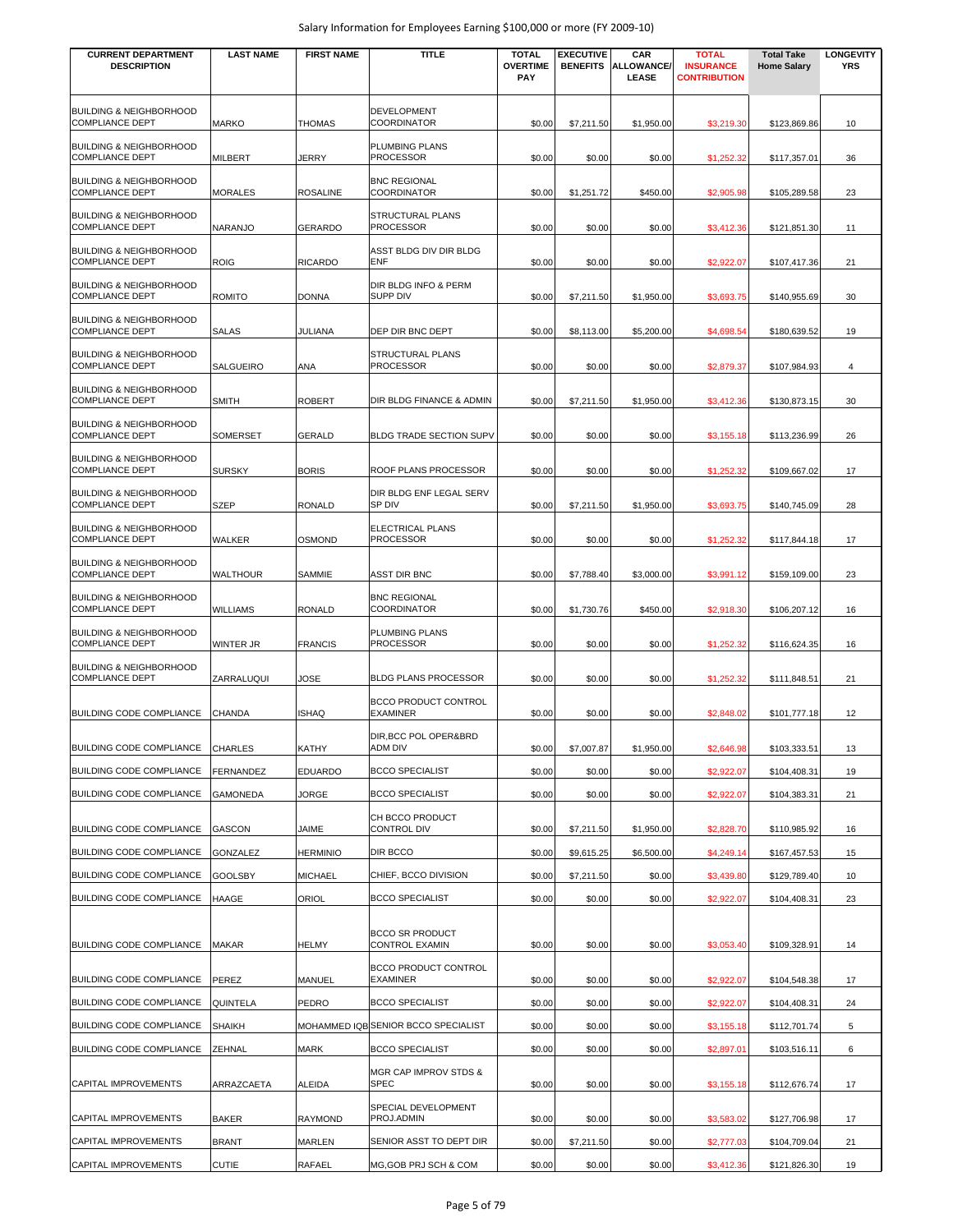| <b>CURRENT DEPARTMENT</b><br><b>DESCRIPTION</b>                                        | <b>LAST NAME</b>   | <b>FIRST NAME</b>                 | <b>TITLE</b>                                        | <b>TOTAL</b><br><b>OVERTIME</b><br><b>PAY</b> | <b>EXECUTIVE</b><br><b>BENEFITS</b> | CAR<br><b>ALLOWANCE/</b><br>LEASE | <b>TOTAL</b><br><b>INSURANCE</b><br><b>CONTRIBUTION</b> | <b>Total Take</b><br><b>Home Salary</b> | <b>LONGEVITY</b><br><b>YRS</b> |
|----------------------------------------------------------------------------------------|--------------------|-----------------------------------|-----------------------------------------------------|-----------------------------------------------|-------------------------------------|-----------------------------------|---------------------------------------------------------|-----------------------------------------|--------------------------------|
| BUILDING & NEIGHBORHOOD<br><b>COMPLIANCE DEPT</b>                                      | <b>MARKO</b>       | <b>THOMAS</b>                     | <b>DEVELOPMENT</b><br><b>COORDINATOR</b>            | \$0.00                                        | \$7,211.50                          | \$1,950.00                        | \$3,219.30                                              | \$123,869.86                            | 10                             |
| <b>BUILDING &amp; NEIGHBORHOOD</b><br><b>COMPLIANCE DEPT</b>                           | MILBERT            | JERRY                             | PLUMBING PLANS<br><b>PROCESSOR</b>                  | \$0.00                                        | \$0.00                              | \$0.00                            | \$1,252.32                                              | \$117,357.01                            | 36                             |
| <b>BUILDING &amp; NEIGHBORHOOD</b>                                                     |                    |                                   | <b>BNC REGIONAL</b>                                 |                                               |                                     |                                   |                                                         |                                         |                                |
| <b>COMPLIANCE DEPT</b><br><b>BUILDING &amp; NEIGHBORHOOD</b><br><b>COMPLIANCE DEPT</b> | MORALES<br>NARANJO | <b>ROSALINE</b><br><b>GERARDO</b> | COORDINATOR<br>STRUCTURAL PLANS<br><b>PROCESSOR</b> | \$0.00<br>\$0.00                              | \$1,251.72<br>\$0.00                | \$450.00                          | \$2,905.98                                              | \$105,289.58                            | 23<br>11                       |
| <b>BUILDING &amp; NEIGHBORHOOD</b>                                                     |                    |                                   | ASST BLDG DIV DIR BLDG                              |                                               |                                     | \$0.00                            | \$3,412.36                                              | \$121,851.30                            |                                |
| <b>COMPLIANCE DEPT</b>                                                                 | <b>ROIG</b>        | <b>RICARDO</b>                    | ENF                                                 | \$0.00                                        | \$0.00                              | \$0.00                            | \$2,922.07                                              | \$107,417.36                            | 21                             |
| <b>BUILDING &amp; NEIGHBORHOOD</b><br><b>COMPLIANCE DEPT</b>                           | ROMITO             | <b>DONNA</b>                      | DIR BLDG INFO & PERM<br><b>SUPP DIV</b>             | \$0.00                                        | \$7,211.50                          | \$1,950.00                        | \$3,693.75                                              | \$140,955.69                            | 30                             |
| <b>BUILDING &amp; NEIGHBORHOOD</b><br><b>COMPLIANCE DEPT</b>                           | <b>SALAS</b>       | JULIANA                           | DEP DIR BNC DEPT                                    | \$0.00                                        | \$8,113.00                          | \$5,200.00                        | \$4,698.54                                              | \$180,639.52                            | 19                             |
| <b>BUILDING &amp; NEIGHBORHOOD</b><br><b>COMPLIANCE DEPT</b>                           | SALGUEIRO          | ANA                               | STRUCTURAL PLANS<br><b>PROCESSOR</b>                | \$0.00                                        | \$0.00                              | \$0.00                            | \$2,879.37                                              | \$107,984.93                            | 4                              |
| <b>BUILDING &amp; NEIGHBORHOOD</b><br><b>COMPLIANCE DEPT</b>                           | SMITH              | <b>ROBERT</b>                     | DIR BLDG FINANCE & ADMIN                            | \$0.00                                        | \$7,211.50                          | \$1,950.00                        | \$3,412.36                                              | \$130,873.15                            | 30                             |
| <b>BUILDING &amp; NEIGHBORHOOD</b><br><b>COMPLIANCE DEPT</b>                           | SOMERSET           | <b>GERALD</b>                     | BLDG TRADE SECTION SUPV                             | \$0.00                                        | \$0.00                              | \$0.00                            | \$3,155.18                                              | \$113,236.99                            | 26                             |
| <b>BUILDING &amp; NEIGHBORHOOD</b><br><b>COMPLIANCE DEPT</b>                           | <b>SURSKY</b>      | <b>BORIS</b>                      | ROOF PLANS PROCESSOR                                | \$0.00                                        | \$0.00                              | \$0.00                            | \$1,252.32                                              | \$109,667.02                            | 17                             |
| <b>BUILDING &amp; NEIGHBORHOOD</b><br><b>COMPLIANCE DEPT</b>                           | <b>SZEP</b>        | <b>RONALD</b>                     | DIR BLDG ENF LEGAL SERV<br>SP DIV                   | \$0.00                                        | \$7,211.50                          | \$1,950.00                        | \$3,693.75                                              | \$140,745.09                            | 28                             |
| <b>BUILDING &amp; NEIGHBORHOOD</b><br><b>COMPLIANCE DEPT</b>                           | WALKER             | <b>OSMOND</b>                     | ELECTRICAL PLANS<br><b>PROCESSOR</b>                | \$0.00                                        | \$0.00                              | \$0.00                            | \$1,252.32                                              | \$117,844.18                            | 17                             |
| <b>BUILDING &amp; NEIGHBORHOOD</b><br><b>COMPLIANCE DEPT</b>                           | WALTHOUR           | SAMMIE                            | <b>ASST DIR BNC</b>                                 | \$0.00                                        | \$7,788.40                          | \$3,000.00                        | \$3,991.12                                              | \$159,109.00                            | 23                             |
| <b>BUILDING &amp; NEIGHBORHOOD</b><br><b>COMPLIANCE DEPT</b>                           | WILLIAMS           | <b>RONALD</b>                     | <b>BNC REGIONAL</b><br>COORDINATOR                  | \$0.00                                        | \$1,730.76                          | \$450.00                          | \$2,918.30                                              | \$106,207.12                            | 16                             |
| <b>BUILDING &amp; NEIGHBORHOOD</b><br><b>COMPLIANCE DEPT</b>                           | WINTER JR          | <b>FRANCIS</b>                    | PLUMBING PLANS<br><b>PROCESSOR</b>                  | \$0.00                                        | \$0.00                              | \$0.00                            | \$1,252.32                                              | \$116,624.35                            | 16                             |
| <b>BUILDING &amp; NEIGHBORHOOD</b><br><b>COMPLIANCE DEPT</b>                           | ZARRALUQUI         | JOSE                              | <b>BLDG PLANS PROCESSOR</b>                         | \$0.00                                        | \$0.00                              | \$0.00                            | \$1,252.32                                              | \$111,848.51                            | 21                             |
| <b>BUILDING CODE COMPLIANCE</b>                                                        | CHANDA             | <b>ISHAQ</b>                      | <b>BCCO PRODUCT CONTROL</b><br><b>EXAMINER</b>      | \$0.00                                        | \$0.00                              | \$0.00                            | \$2,848.02                                              | \$101,777.18                            | 12                             |
| BUILDING CODE COMPLIANCE                                                               | CHARLES            | KATHY                             | DIR, BCC POL OPER&BRD<br>ADM DIV                    | \$0.00                                        | \$7,007.87                          | \$1,950.00                        | \$2,646.98                                              | \$103,333.51                            | 13                             |
| BUILDING CODE COMPLIANCE                                                               | FERNANDEZ          | <b>EDUARDO</b>                    | <b>BCCO SPECIALIST</b>                              | \$0.00                                        | \$0.00                              | \$0.00                            | \$2,922.07                                              | \$104,408.31                            | 19                             |
| BUILDING CODE COMPLIANCE                                                               | GAMONEDA           | JORGE                             | <b>BCCO SPECIALIST</b>                              | \$0.00                                        | \$0.00                              | \$0.00                            | \$2,922.07                                              | \$104,383.31                            | 21                             |
| BUILDING CODE COMPLIANCE                                                               | GASCON             | JAIME                             | CH BCCO PRODUCT<br><b>CONTROL DIV</b>               | \$0.00                                        | \$7,211.50                          | \$1,950.00                        | \$2,828.70                                              | \$110,985.92                            | 16                             |
| BUILDING CODE COMPLIANCE                                                               | GONZALEZ           | <b>HERMINIO</b>                   | DIR BCCO                                            | \$0.00                                        | \$9,615.25                          | \$6,500.00                        | \$4,249.14                                              | \$167,457.53                            | 15                             |
| BUILDING CODE COMPLIANCE                                                               | GOOLSBY            | <b>MICHAEL</b>                    | CHIEF, BCCO DIVISION                                | \$0.00                                        | \$7,211.50                          | \$0.00                            | \$3,439.80                                              | \$129,789.40                            | 10                             |
| BUILDING CODE COMPLIANCE                                                               | HAAGE              | ORIOL                             | <b>BCCO SPECIALIST</b>                              | \$0.00                                        | \$0.00                              | \$0.00                            | \$2,922.07                                              | \$104,408.31                            | 23                             |
|                                                                                        |                    |                                   |                                                     |                                               |                                     |                                   |                                                         |                                         |                                |
| BUILDING CODE COMPLIANCE                                                               | <b>MAKAR</b>       | <b>HELMY</b>                      | <b>BCCO SR PRODUCT</b><br><b>CONTROL EXAMIN</b>     | \$0.00                                        | \$0.00                              | \$0.00                            | \$3,053.40                                              | \$109,328.91                            | 14                             |
| BUILDING CODE COMPLIANCE                                                               | PEREZ              | <b>MANUEL</b>                     | BCCO PRODUCT CONTROL<br><b>EXAMINER</b>             | \$0.00                                        | \$0.00                              | \$0.00                            | \$2,922.07                                              | \$104,548.38                            | 17                             |
| BUILDING CODE COMPLIANCE                                                               | QUINTELA           | PEDRO                             | <b>BCCO SPECIALIST</b>                              | \$0.00                                        | \$0.00                              | \$0.00                            | \$2,922.07                                              | \$104,408.31                            | 24                             |
| BUILDING CODE COMPLIANCE                                                               | SHAIKH             |                                   | MOHAMMED IQB SENIOR BCCO SPECIALIST                 | \$0.00                                        | \$0.00                              | \$0.00                            | \$3,155.18                                              | \$112,701.74                            | 5                              |
| <b>BUILDING CODE COMPLIANCE</b>                                                        | ZEHNAL             | MARK                              | <b>BCCO SPECIALIST</b>                              | \$0.00                                        | \$0.00                              | \$0.00                            | \$2,897.01                                              | \$103,516.11                            | 6                              |
| CAPITAL IMPROVEMENTS                                                                   | ARRAZCAETA         | ALEIDA                            | MGR CAP IMPROV STDS &<br>SPEC                       | \$0.00                                        | \$0.00                              | \$0.00                            | \$3,155.18                                              | \$112,676.74                            | 17                             |
| CAPITAL IMPROVEMENTS                                                                   | <b>BAKER</b>       | <b>RAYMOND</b>                    | SPECIAL DEVELOPMENT<br>PROJ.ADMIN                   | \$0.00                                        | \$0.00                              | \$0.00                            | \$3,583.02                                              | \$127,706.98                            | 17                             |
| CAPITAL IMPROVEMENTS                                                                   | BRANT              | <b>MARLEN</b>                     | SENIOR ASST TO DEPT DIR                             | \$0.00                                        | \$7,211.50                          | \$0.00                            | \$2,777.03                                              | \$104,709.04                            | 21                             |
| CAPITAL IMPROVEMENTS                                                                   | <b>CUTIE</b>       | RAFAEL                            | MG, GOB PRJ SCH & COM                               | \$0.00                                        | \$0.00                              | \$0.00                            | \$3,412.36                                              | \$121,826.30                            | 19                             |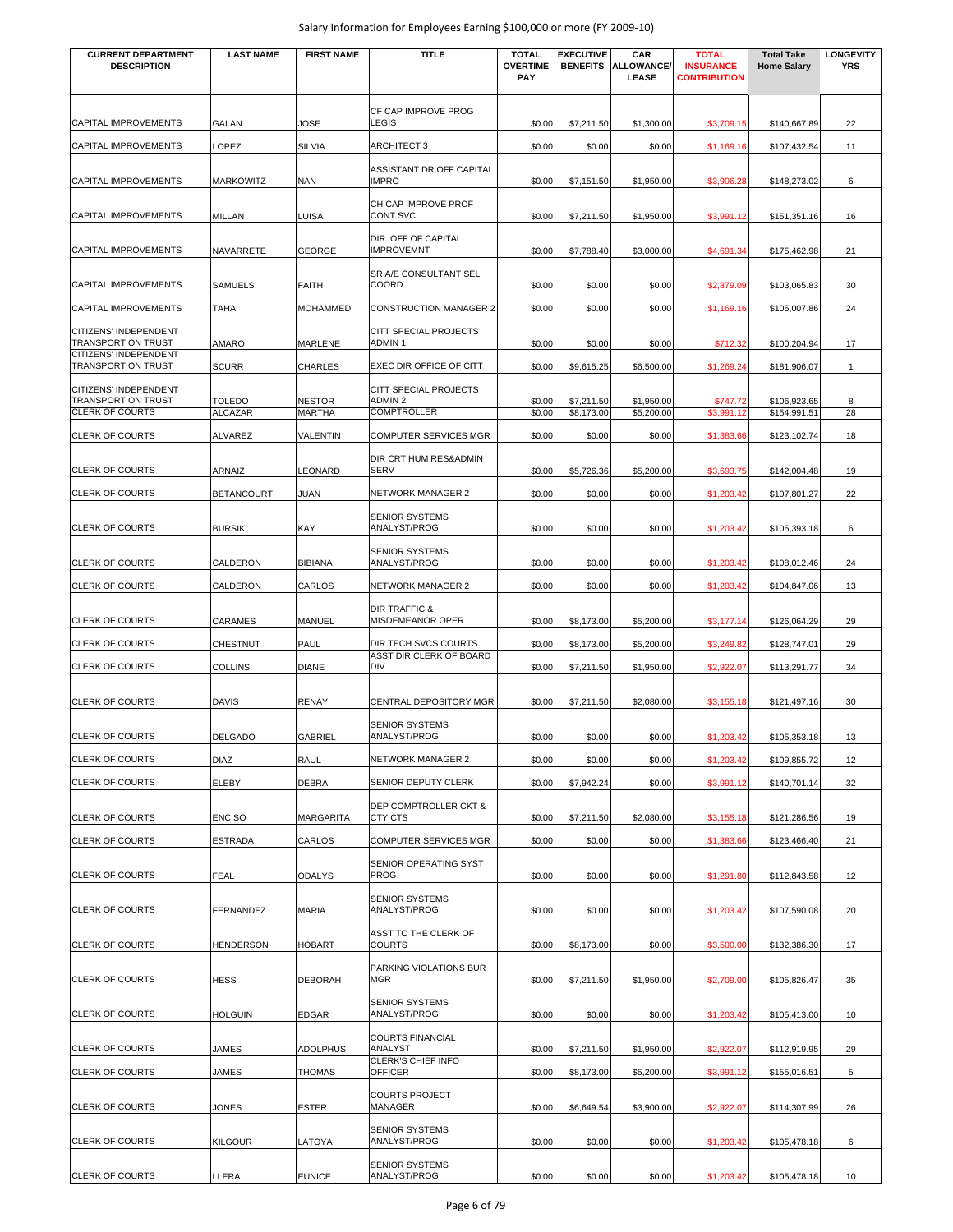| <b>CURRENT DEPARTMENT</b><br><b>DESCRIPTION</b>     | <b>LAST NAME</b>                | <b>FIRST NAME</b>              | <b>TITLE</b>                                    | <b>TOTAL</b><br><b>OVERTIME</b> | <b>EXECUTIVE</b><br><b>BENEFITS</b> | CAR<br><b>ALLOWANCE/</b> | <b>TOTAL</b><br><b>INSURANCE</b> | <b>Total Take</b><br><b>Home Salary</b> | <b>LONGEVITY</b><br><b>YRS</b> |
|-----------------------------------------------------|---------------------------------|--------------------------------|-------------------------------------------------|---------------------------------|-------------------------------------|--------------------------|----------------------------------|-----------------------------------------|--------------------------------|
|                                                     |                                 |                                |                                                 | PAY                             |                                     | LEASE                    | <b>CONTRIBUTION</b>              |                                         |                                |
|                                                     |                                 |                                | CF CAP IMPROVE PROG                             |                                 |                                     |                          |                                  |                                         |                                |
| CAPITAL IMPROVEMENTS                                | <b>GALAN</b>                    | JOSE                           | <b>LEGIS</b>                                    | \$0.00                          | \$7,211.50                          | \$1,300.00               | \$3,709.15                       | \$140,667.89                            | 22                             |
| CAPITAL IMPROVEMENTS                                | LOPEZ                           | <b>SILVIA</b>                  | <b>ARCHITECT 3</b>                              | \$0.00                          | \$0.00                              | \$0.00                   | \$1,169.16                       | \$107,432.54                            | 11                             |
| CAPITAL IMPROVEMENTS                                | <b>MARKOWITZ</b>                | <b>NAN</b>                     | ASSISTANT DR OFF CAPITAL<br><b>IMPRO</b>        | \$0.00                          | \$7,151.50                          | \$1,950.00               | \$3,906.28                       | \$148,273.02                            | 6                              |
| CAPITAL IMPROVEMENTS                                | <b>MILLAN</b>                   | LUISA                          | CH CAP IMPROVE PROF<br><b>CONT SVC</b>          | \$0.00                          | \$7,211.50                          | \$1,950.00               | \$3,991.12                       | \$151,351.16                            | 16                             |
| <b>CAPITAL IMPROVEMENTS</b>                         | NAVARRETE                       | <b>GEORGE</b>                  | DIR. OFF OF CAPITAL<br><b>IMPROVEMNT</b>        | \$0.00                          | \$7,788.40                          | \$3,000.00               | \$4,691.34                       | \$175,462.98                            | 21                             |
| CAPITAL IMPROVEMENTS                                | <b>SAMUELS</b>                  | <b>FAITH</b>                   | SR A/E CONSULTANT SEL<br>COORD                  | \$0.00                          | \$0.00                              | \$0.00                   | \$2,879.09                       | \$103,065.83                            | 30                             |
| CAPITAL IMPROVEMENTS                                | <b>TAHA</b>                     | <b>MOHAMMED</b>                | CONSTRUCTION MANAGER 2                          | \$0.00                          | \$0.00                              | \$0.00                   | \$1,169.16                       | \$105,007.86                            | 24                             |
| CITIZENS' INDEPENDENT<br>TRANSPORTION TRUST         | AMARO                           | MARLENE                        | CITT SPECIAL PROJECTS<br><b>ADMIN1</b>          | \$0.00                          | \$0.00                              | \$0.00                   | \$712.32                         | \$100,204.94                            | 17                             |
| CITIZENS' INDEPENDENT<br>TRANSPORTION TRUST         | <b>SCURR</b>                    | <b>CHARLES</b>                 | EXEC DIR OFFICE OF CITT                         | \$0.00                          | \$9,615.25                          | \$6,500.00               | \$1,269.24                       | \$181,906.07                            | $\overline{1}$                 |
| CITIZENS' INDEPENDENT                               |                                 |                                | CITT SPECIAL PROJECTS                           |                                 |                                     |                          |                                  |                                         |                                |
| <b>TRANSPORTION TRUST</b><br><b>CLERK OF COURTS</b> | <b>TOLEDO</b><br><b>ALCAZAR</b> | <b>NESTOR</b><br><b>MARTHA</b> | ADMIN 2<br><b>COMPTROLLER</b>                   | \$0.00<br>\$0.00                | \$7,211.50<br>\$8,173.00            | \$1,950.00<br>\$5,200.00 | \$747.72<br>\$3,991.12           | \$106,923.65<br>\$154,991.51            | 8<br>28                        |
| <b>CLERK OF COURTS</b>                              | <b>ALVAREZ</b>                  | VALENTIN                       | <b>COMPUTER SERVICES MGR</b>                    | \$0.00                          | \$0.00                              | \$0.00                   | \$1,383.66                       | \$123,102.74                            | 18                             |
|                                                     |                                 |                                | DIR CRT HUM RES&ADMIN                           |                                 |                                     |                          |                                  |                                         |                                |
| <b>CLERK OF COURTS</b>                              | ARNAIZ                          | LEONARD                        | <b>SERV</b>                                     | \$0.00                          | \$5,726.36                          | \$5,200.00               | \$3,693.75                       | \$142,004.48                            | 19                             |
| <b>CLERK OF COURTS</b>                              | <b>BETANCOURT</b>               | JUAN                           | NETWORK MANAGER 2                               | \$0.00                          | \$0.00                              | \$0.00                   | \$1,203.42                       | \$107,801.27                            | 22                             |
| <b>CLERK OF COURTS</b>                              | <b>BURSIK</b>                   | KAY                            | <b>SENIOR SYSTEMS</b><br>ANALYST/PROG           | \$0.00                          | \$0.00                              | \$0.00                   | \$1,203.42                       | \$105,393.18                            | 6                              |
| <b>CLERK OF COURTS</b>                              | <b>CALDERON</b>                 | <b>BIBIANA</b>                 | <b>SENIOR SYSTEMS</b><br>ANALYST/PROG           | \$0.00                          | \$0.00                              | \$0.00                   | \$1,203.42                       | \$108,012.46                            | 24                             |
| <b>CLERK OF COURTS</b>                              | CALDERON                        | CARLOS                         | NETWORK MANAGER 2                               | \$0.00                          | \$0.00                              | \$0.00                   | \$1,203.42                       | \$104,847.06                            | 13                             |
|                                                     |                                 |                                | DIR TRAFFIC &                                   |                                 |                                     |                          |                                  |                                         |                                |
| <b>CLERK OF COURTS</b>                              | <b>CARAMES</b>                  | <b>MANUEL</b>                  | MISDEMEANOR OPER                                | \$0.00                          | \$8,173.00                          | \$5,200.00               | \$3,177.14                       | \$126,064.29                            | 29                             |
| <b>CLERK OF COURTS</b>                              | <b>CHESTNUT</b>                 | PAUL                           | DIR TECH SVCS COURTS<br>ASST DIR CLERK OF BOARD | \$0.00                          | \$8,173.00                          | \$5,200.00               | \$3,249.82                       | \$128,747.01                            | 29                             |
| <b>CLERK OF COURTS</b>                              | <b>COLLINS</b>                  | <b>DIANE</b>                   | <b>DIV</b>                                      | \$0.00                          | \$7,211.50                          | \$1,950.00               | \$2,922.07                       | \$113,291.77                            | 34                             |
| <b>CLERK OF COURTS</b>                              | <b>DAVIS</b>                    | <b>RENAY</b>                   | CENTRAL DEPOSITORY MGR                          | \$0.00                          | \$7,211.50                          | \$2,080.00               | \$3,155.18                       | \$121,497.16                            | 30                             |
| <b>CLERK OF COURTS</b>                              | <b>DELGADO</b>                  | <b>GABRIEL</b>                 | <b>SENIOR SYSTEMS</b><br>ANALYST/PROG           | \$0.00                          | \$0.00                              | \$0.00                   | \$1,203.42                       | \$105,353.18                            | 13                             |
| <b>CLERK OF COURTS</b>                              | <b>DIAZ</b>                     | RAUL                           | NETWORK MANAGER 2                               | \$0.00                          | \$0.00                              | \$0.00                   | \$1,203.42                       | \$109,855.72                            | 12                             |
| <b>CLERK OF COURTS</b>                              | ELEBY                           | DEBRA                          | SENIOR DEPUTY CLERK                             | \$0.00                          | \$7,942.24                          | \$0.00                   | \$3,991.12                       | \$140,701.14                            | 32                             |
| <b>CLERK OF COURTS</b>                              | <b>ENCISO</b>                   | <b>MARGARITA</b>               | DEP COMPTROLLER CKT &<br>CTY CTS                | \$0.00                          | \$7,211.50                          | \$2,080.00               | \$3,155.18                       | \$121,286.56                            | 19                             |
| <b>CLERK OF COURTS</b>                              | <b>ESTRADA</b>                  | CARLOS                         | COMPUTER SERVICES MGR                           | \$0.00                          | \$0.00                              | \$0.00                   | \$1,383.66                       | \$123,466.40                            | 21                             |
| <b>CLERK OF COURTS</b>                              | <b>FEAL</b>                     | ODALYS                         | SENIOR OPERATING SYST<br><b>PROG</b>            | \$0.00                          | \$0.00                              | \$0.00                   | \$1,291.80                       | \$112,843.58                            | 12                             |
|                                                     |                                 |                                | <b>SENIOR SYSTEMS</b>                           |                                 |                                     |                          |                                  |                                         |                                |
| <b>CLERK OF COURTS</b>                              | FERNANDEZ                       | <b>MARIA</b>                   | ANALYST/PROG                                    | \$0.00                          | \$0.00                              | \$0.00                   | \$1,203.42                       | \$107,590.08                            | 20                             |
| <b>CLERK OF COURTS</b>                              | <b>HENDERSON</b>                | <b>HOBART</b>                  | ASST TO THE CLERK OF<br><b>COURTS</b>           | \$0.00                          | \$8,173.00                          | \$0.00                   | \$3,500.00                       | \$132,386.30                            | 17                             |
| <b>CLERK OF COURTS</b>                              | <b>HESS</b>                     | <b>DEBORAH</b>                 | PARKING VIOLATIONS BUR<br><b>MGR</b>            | \$0.00                          | \$7,211.50                          | \$1,950.00               | \$2,709.00                       | \$105,826.47                            | 35                             |
| <b>CLERK OF COURTS</b>                              | <b>HOLGUIN</b>                  | EDGAR                          | <b>SENIOR SYSTEMS</b><br>ANALYST/PROG           | \$0.00                          | \$0.00                              | \$0.00                   | \$1,203.42                       | \$105,413.00                            | 10                             |
| <b>CLERK OF COURTS</b>                              | JAMES                           | <b>ADOLPHUS</b>                | <b>COURTS FINANCIAL</b><br>ANALYST              | \$0.00                          | \$7,211.50                          | \$1,950.00               | \$2,922.07                       | \$112,919.95                            | 29                             |
| <b>CLERK OF COURTS</b>                              | JAMES                           | <b>THOMAS</b>                  | CLERK'S CHIEF INFO<br><b>OFFICER</b>            | \$0.00                          | \$8,173.00                          | \$5,200.00               | \$3,991.12                       | \$155,016.51                            | 5                              |
|                                                     |                                 |                                | <b>COURTS PROJECT</b>                           |                                 |                                     |                          |                                  |                                         |                                |
| <b>CLERK OF COURTS</b>                              | JONES                           | <b>ESTER</b>                   | MANAGER                                         | \$0.00                          | \$6,649.54                          | \$3,900.00               | \$2,922.07                       | \$114,307.99                            | 26                             |
| <b>CLERK OF COURTS</b>                              | <b>KILGOUR</b>                  | LATOYA                         | <b>SENIOR SYSTEMS</b><br>ANALYST/PROG           | \$0.00                          | \$0.00                              | \$0.00                   | \$1,203.42                       | \$105,478.18                            | 6                              |
| <b>CLERK OF COURTS</b>                              | LLERA                           | <b>EUNICE</b>                  | <b>SENIOR SYSTEMS</b><br>ANALYST/PROG           | \$0.00                          | \$0.00                              | \$0.00                   | \$1,203.42                       | \$105,478.18                            | 10                             |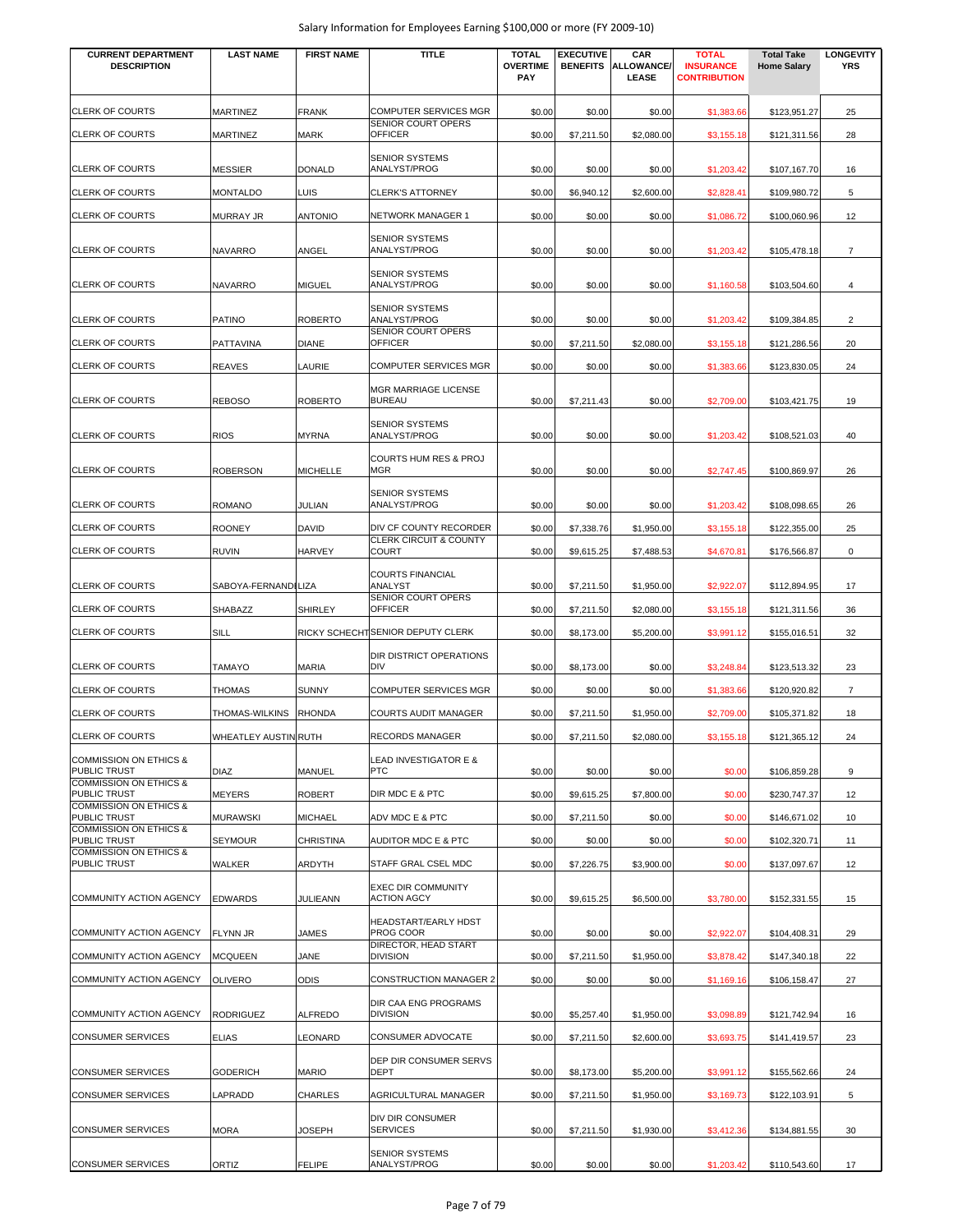| <b>CURRENT DEPARTMENT</b><br><b>DESCRIPTION</b>          | <b>LAST NAME</b>            | <b>FIRST NAME</b> | <b>TITLE</b>                                                     | <b>TOTAL</b><br><b>OVERTIME</b><br>PAY | <b>EXECUTIVE</b><br><b>BENEFITS</b> | CAR<br><b>ALLOWANCE/</b><br>LEASE | <b>TOTAL</b><br><b>INSURANCE</b><br><b>CONTRIBUTION</b> | <b>Total Take</b><br><b>Home Salary</b> | <b>LONGEVITY</b><br><b>YRS</b> |
|----------------------------------------------------------|-----------------------------|-------------------|------------------------------------------------------------------|----------------------------------------|-------------------------------------|-----------------------------------|---------------------------------------------------------|-----------------------------------------|--------------------------------|
| <b>CLERK OF COURTS</b>                                   | <b>MARTINEZ</b>             | <b>FRANK</b>      | <b>COMPUTER SERVICES MGR</b>                                     | \$0.00                                 | \$0.00                              | \$0.00                            | \$1,383.66                                              | \$123,951.27                            | 25                             |
| <b>CLERK OF COURTS</b>                                   | <b>MARTINEZ</b>             | MARK              | SENIOR COURT OPERS<br><b>OFFICER</b>                             | \$0.00                                 | \$7,211.50                          | \$2,080.00                        | \$3,155.18                                              | \$121,311.56                            | 28                             |
| <b>CLERK OF COURTS</b>                                   | <b>MESSIER</b>              | <b>DONALD</b>     | <b>SENIOR SYSTEMS</b><br>ANALYST/PROG                            | \$0.00                                 | \$0.00                              | \$0.00                            | \$1,203.42                                              | \$107,167.70                            | 16                             |
| <b>CLERK OF COURTS</b>                                   | <b>MONTALDO</b>             | LUIS              | <b>CLERK'S ATTORNEY</b>                                          | \$0.00                                 | \$6,940.12                          | \$2,600.00                        | \$2,828.41                                              | \$109,980.72                            | 5                              |
| <b>CLERK OF COURTS</b>                                   | <b>MURRAY JR</b>            | <b>ANTONIO</b>    | NETWORK MANAGER 1                                                | \$0.00                                 | \$0.00                              | \$0.00                            | \$1,086.72                                              | \$100,060.96                            | 12                             |
| <b>CLERK OF COURTS</b>                                   | <b>NAVARRO</b>              | ANGEL             | <b>SENIOR SYSTEMS</b><br>ANALYST/PROG                            | \$0.00                                 | \$0.00                              | \$0.00                            | \$1,203.42                                              | \$105,478.18                            | $\overline{7}$                 |
| <b>CLERK OF COURTS</b>                                   | <b>NAVARRO</b>              | <b>MIGUEL</b>     | <b>SENIOR SYSTEMS</b><br>ANALYST/PROG                            | \$0.00                                 | \$0.00                              | \$0.00                            | \$1,160.58                                              | \$103,504.60                            | 4                              |
| <b>CLERK OF COURTS</b>                                   | <b>PATINO</b>               | <b>ROBERTO</b>    | <b>SENIOR SYSTEMS</b><br>ANALYST/PROG                            | \$0.00                                 | \$0.00                              | \$0.00                            | \$1,203.42                                              | \$109,384.85                            | $\overline{2}$                 |
| <b>CLERK OF COURTS</b>                                   | PATTAVINA                   | DIANE             | SENIOR COURT OPERS<br><b>OFFICER</b>                             | \$0.00                                 | \$7,211.50                          | \$2,080.00                        | \$3,155.18                                              | \$121,286.56                            | 20                             |
| <b>CLERK OF COURTS</b>                                   | <b>REAVES</b>               | LAURIE            | <b>COMPUTER SERVICES MGR</b>                                     | \$0.00                                 | \$0.00                              | \$0.00                            | \$1,383.66                                              | \$123,830.05                            | 24                             |
| <b>CLERK OF COURTS</b>                                   | <b>REBOSO</b>               | <b>ROBERTO</b>    | MGR MARRIAGE LICENSE<br><b>BUREAU</b>                            | \$0.00                                 | \$7,211.43                          | \$0.00                            | \$2,709.00                                              | \$103,421.75                            | 19                             |
| <b>CLERK OF COURTS</b>                                   | <b>RIOS</b>                 | <b>MYRNA</b>      | <b>SENIOR SYSTEMS</b><br>ANALYST/PROG                            | \$0.00                                 | \$0.00                              | \$0.00                            | \$1,203.42                                              | \$108,521.03                            | 40                             |
| <b>CLERK OF COURTS</b>                                   | <b>ROBERSON</b>             | <b>MICHELLE</b>   | <b>COURTS HUM RES &amp; PROJ</b><br><b>MGR</b>                   | \$0.00                                 | \$0.00                              | \$0.00                            | \$2,747.45                                              | \$100,869.97                            | 26                             |
| <b>CLERK OF COURTS</b>                                   | <b>ROMANO</b>               | JULIAN            | <b>SENIOR SYSTEMS</b><br>ANALYST/PROG                            | \$0.00                                 | \$0.00                              | \$0.00                            | \$1,203.42                                              | \$108,098.65                            | 26                             |
| CLERK OF COURTS                                          | <b>ROONEY</b>               | DAVID             | DIV CF COUNTY RECORDER                                           | \$0.00                                 | \$7,338.76                          | \$1,950.00                        | \$3,155.18                                              | \$122,355.00                            | 25                             |
| <b>CLERK OF COURTS</b>                                   | <b>RUVIN</b>                | HARVEY            | <b>CLERK CIRCUIT &amp; COUNTY</b><br><b>COURT</b>                | \$0.00                                 | \$9,615.25                          | \$7,488.53                        | \$4,670.81                                              | \$176,566.87                            | 0                              |
| <b>CLERK OF COURTS</b>                                   | SABOYA-FERNANDI LIZA        |                   | <b>COURTS FINANCIAL</b><br>ANALYST                               | \$0.00                                 | \$7,211.50                          | \$1,950.00                        | \$2,922.07                                              | \$112,894.95                            | 17                             |
| <b>CLERK OF COURTS</b>                                   | <b>SHABAZZ</b>              | <b>SHIRLEY</b>    | SENIOR COURT OPERS<br><b>OFFICER</b>                             | \$0.00                                 | \$7,211.50                          | \$2,080.00                        | \$3,155.18                                              | \$121,311.56                            | 36                             |
| <b>CLERK OF COURTS</b>                                   | SILL                        |                   | RICKY SCHECHT SENIOR DEPUTY CLERK                                | \$0.00                                 | \$8,173.00                          | \$5,200.00                        | \$3,991.12                                              | \$155,016.51                            | 32                             |
| <b>CLERK OF COURTS</b>                                   | <b>TAMAYO</b>               | MARIA             | <b>DIR DISTRICT OPERATIONS</b><br><b>DIV</b>                     | \$0.00                                 | \$8,173.00                          | \$0.00                            | \$3,248.84                                              | \$123,513.32                            | 23                             |
| <b>CLERK OF COURTS</b>                                   | <b>THOMAS</b>               | <b>SUNNY</b>      | <b>COMPUTER SERVICES MGR</b>                                     | \$0.00                                 | \$0.00                              | \$0.00                            | \$1,383.66                                              | \$120,920.82                            | $\overline{7}$                 |
| <b>CLERK OF COURTS</b>                                   | THOMAS-WILKINS              | <b>RHONDA</b>     | <b>COURTS AUDIT MANAGER</b>                                      | \$0.00                                 | \$7,211.50                          | \$1,950.00                        | \$2,709.00                                              | \$105,371.82                            | 18                             |
| <b>CLERK OF COURTS</b>                                   | <b>WHEATLEY AUSTIN RUTH</b> |                   | <b>RECORDS MANAGER</b>                                           | \$0.00                                 | \$7,211.50                          | \$2,080.00                        | \$3,155.18                                              | \$121,365.12                            | 24                             |
| <b>COMMISSION ON ETHICS &amp;</b><br>PUBLIC TRUST        | <b>DIAZ</b>                 | MANUEL            | LEAD INVESTIGATOR E &<br><b>PTC</b>                              | \$0.00                                 | \$0.00                              | \$0.00                            | \$0.00                                                  | \$106,859.28                            | 9                              |
| <b>COMMISSION ON ETHICS &amp;</b><br>PUBLIC TRUST        | <b>MEYERS</b>               | <b>ROBERT</b>     | DIR MDC E & PTC                                                  | \$0.00                                 | \$9,615.25                          | \$7,800.00                        | \$0.00                                                  | \$230,747.37                            | 12                             |
| <b>COMMISSION ON ETHICS &amp;</b><br>PUBLIC TRUST        | <b>MURAWSKI</b>             | MICHAEL           | ADV MDC E & PTC                                                  | \$0.00                                 | \$7,211.50                          | \$0.00                            | \$0.00                                                  | \$146,671.02                            | 10                             |
| <b>COMMISSION ON ETHICS &amp;</b><br><b>PUBLIC TRUST</b> | <b>SEYMOUR</b>              | <b>CHRISTINA</b>  | AUDITOR MDC E & PTC                                              | \$0.00                                 | \$0.00                              | \$0.00                            | \$0.00                                                  | \$102,320.71                            | 11                             |
| <b>COMMISSION ON ETHICS &amp;</b><br>PUBLIC TRUST        | <b>WALKER</b>               | ARDYTH            | <b>STAFF GRAL CSEL MDC</b>                                       | \$0.00                                 | \$7,226.75                          | \$3,900.00                        | \$0.00                                                  | \$137,097.67                            | 12                             |
|                                                          |                             |                   | <b>EXEC DIR COMMUNITY</b>                                        |                                        |                                     |                                   |                                                         |                                         |                                |
| COMMUNITY ACTION AGENCY                                  | <b>EDWARDS</b>              | JULIEANN          | <b>ACTION AGCY</b>                                               | \$0.00                                 | \$9,615.25                          | \$6,500.00                        | \$3,780.00                                              | \$152,331.55                            | 15                             |
| COMMUNITY ACTION AGENCY                                  | <b>FLYNN JR</b>             | JAMES             | <b>HEADSTART/EARLY HDST</b><br>PROG COOR<br>DIRECTOR, HEAD START | \$0.00                                 | \$0.00                              | \$0.00                            | \$2,922.07                                              | \$104,408.31                            | 29                             |
| COMMUNITY ACTION AGENCY                                  | <b>MCQUEEN</b>              | JANE              | <b>DIVISION</b>                                                  | \$0.00                                 | \$7,211.50                          | \$1,950.00                        | \$3,878.42                                              | \$147,340.18                            | 22                             |
| COMMUNITY ACTION AGENCY                                  | <b>OLIVERO</b>              | <b>ODIS</b>       | <b>CONSTRUCTION MANAGER 2</b>                                    | \$0.00                                 | \$0.00                              | \$0.00                            | \$1,169.16                                              | \$106,158.47                            | 27                             |
| COMMUNITY ACTION AGENCY                                  | <b>RODRIGUEZ</b>            | <b>ALFREDO</b>    | DIR CAA ENG PROGRAMS<br><b>DIVISION</b>                          | \$0.00                                 | \$5,257.40                          | \$1,950.00                        | \$3,098.89                                              | \$121,742.94                            | 16                             |
| <b>CONSUMER SERVICES</b>                                 | <b>ELIAS</b>                | LEONARD           | CONSUMER ADVOCATE                                                | \$0.00                                 | \$7,211.50                          | \$2,600.00                        | \$3,693.75                                              | \$141,419.57                            | 23                             |
| <b>CONSUMER SERVICES</b>                                 | <b>GODERICH</b>             | <b>MARIO</b>      | DEP DIR CONSUMER SERVS<br><b>DEPT</b>                            | \$0.00                                 | \$8,173.00                          | \$5,200.00                        | \$3,991.12                                              | \$155,562.66                            | 24                             |
| <b>CONSUMER SERVICES</b>                                 | LAPRADD                     | CHARLES           | AGRICULTURAL MANAGER                                             | \$0.00                                 | \$7,211.50                          | \$1,950.00                        | \$3,169.73                                              | \$122,103.91                            | 5                              |
| <b>CONSUMER SERVICES</b>                                 | <b>MORA</b>                 | JOSEPH            | <b>DIV DIR CONSUMER</b><br><b>SERVICES</b>                       | \$0.00                                 | \$7,211.50                          | \$1,930.00                        | \$3,412.36                                              | \$134,881.55                            | 30                             |
| <b>CONSUMER SERVICES</b>                                 | ORTIZ                       | FELIPE            | <b>SENIOR SYSTEMS</b><br>ANALYST/PROG                            | \$0.00                                 | \$0.00                              | \$0.00                            | \$1,203.42                                              | \$110,543.60                            | 17                             |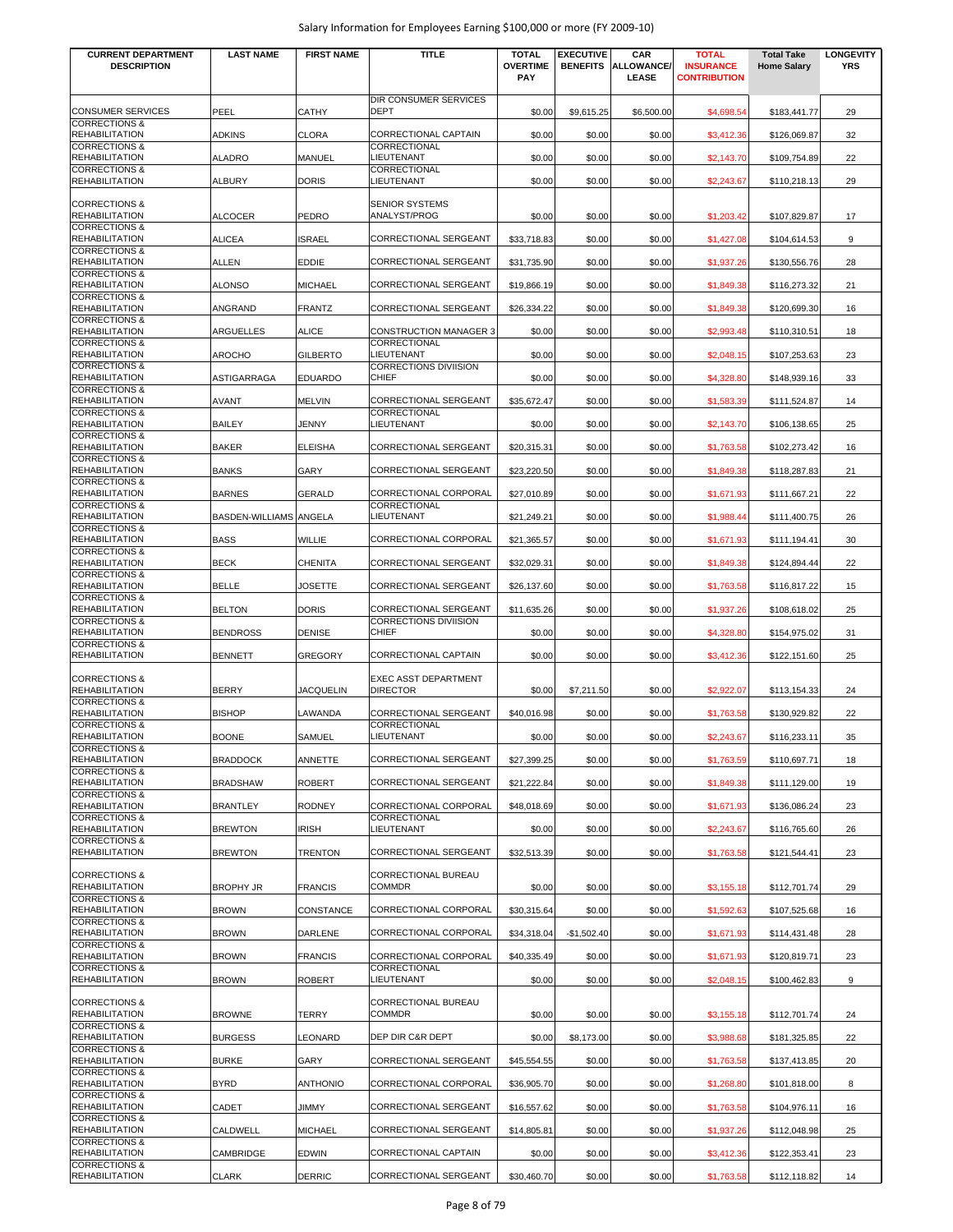| <b>CURRENT DEPARTMENT</b>                            | <b>LAST NAME</b>       | <b>FIRST NAME</b> | TITLE                                        | <b>TOTAL</b>                  | <b>EXECUTIVE</b> | CAR                        | <b>TOTAL</b>                            | <b>Total Take</b>  | <b>LONGEVITY</b> |
|------------------------------------------------------|------------------------|-------------------|----------------------------------------------|-------------------------------|------------------|----------------------------|-----------------------------------------|--------------------|------------------|
| <b>DESCRIPTION</b>                                   |                        |                   |                                              | <b>OVERTIME</b><br><b>PAY</b> | <b>BENEFITS</b>  | <b>ALLOWANCE/</b><br>LEASE | <b>INSURANCE</b><br><b>CONTRIBUTION</b> | <b>Home Salary</b> | <b>YRS</b>       |
|                                                      |                        |                   | DIR CONSUMER SERVICES                        |                               |                  |                            |                                         |                    |                  |
| <b>CONSUMER SERVICES</b><br><b>CORRECTIONS &amp;</b> | PEEL                   | CATHY             | <b>DEPT</b>                                  | \$0.00                        | \$9,615.25       | \$6,500.00                 | \$4,698.54                              | \$183,441.77       | 29               |
| <b>REHABILITATION</b><br><b>CORRECTIONS &amp;</b>    | <b>ADKINS</b>          | CLORA             | <b>CORRECTIONAL CAPTAIN</b><br>CORRECTIONAL  | \$0.00                        | \$0.00           | \$0.00                     | \$3,412.36                              | \$126,069.87       | 32               |
| <b>REHABILITATION</b><br><b>CORRECTIONS &amp;</b>    | <b>ALADRO</b>          | MANUEL            | LIEUTENANT<br>CORRECTIONAL                   | \$0.00                        | \$0.00           | \$0.00                     | \$2,143.70                              | \$109,754.89       | 22               |
| <b>REHABILITATION</b>                                | <b>ALBURY</b>          | <b>DORIS</b>      | LIEUTENANT                                   | \$0.00                        | \$0.00           | \$0.00                     | \$2,243.67                              | \$110,218.13       | 29               |
| <b>CORRECTIONS &amp;</b>                             |                        |                   | <b>SENIOR SYSTEMS</b>                        |                               |                  |                            |                                         |                    |                  |
| <b>REHABILITATION</b><br><b>CORRECTIONS &amp;</b>    | <b>ALCOCER</b>         | PEDRO             | ANALYST/PROG                                 | \$0.00                        | \$0.00           | \$0.00                     | \$1,203.42                              | \$107,829.87       | 17               |
| REHABILITATION<br><b>CORRECTIONS &amp;</b>           | <b>ALICEA</b>          | <b>ISRAEL</b>     | CORRECTIONAL SERGEANT                        | \$33,718.83                   | \$0.00           | \$0.00                     | \$1,427.08                              | \$104,614.53       | 9                |
| <b>REHABILITATION</b><br><b>CORRECTIONS &amp;</b>    | ALLEN                  | <b>EDDIE</b>      | CORRECTIONAL SERGEANT                        | \$31,735.90                   | \$0.00           | \$0.00                     | \$1,937.26                              | \$130,556.76       | 28               |
| <b>REHABILITATION</b><br><b>CORRECTIONS &amp;</b>    | <b>ALONSO</b>          | <b>MICHAEL</b>    | CORRECTIONAL SERGEANT                        | \$19,866.19                   | \$0.00           | \$0.00                     | \$1,849.38                              | \$116,273.32       | 21               |
| <b>REHABILITATION</b>                                | ANGRAND                | <b>FRANTZ</b>     | CORRECTIONAL SERGEANT                        | \$26,334.22                   | \$0.00           | \$0.00                     | \$1,849.38                              | \$120,699.30       | 16               |
| <b>CORRECTIONS &amp;</b><br><b>REHABILITATION</b>    | ARGUELLES              | <b>ALICE</b>      | <b>CONSTRUCTION MANAGER 3</b>                | \$0.00                        | \$0.00           | \$0.00                     | \$2,993.48                              | \$110,310.51       | 18               |
| <b>CORRECTIONS &amp;</b><br><b>REHABILITATION</b>    | <b>AROCHO</b>          | <b>GILBERTO</b>   | CORRECTIONAL<br>LIEUTENANT                   | \$0.00                        | \$0.00           | \$0.00                     | \$2,048.15                              | \$107,253.63       | 23               |
| <b>CORRECTIONS &amp;</b><br><b>REHABILITATION</b>    | ASTIGARRAGA            | <b>EDUARDO</b>    | <b>CORRECTIONS DIVIISION</b><br><b>CHIEF</b> | \$0.00                        | \$0.00           | \$0.00                     | \$4,328.80                              | \$148,939.16       | 33               |
| <b>CORRECTIONS &amp;</b><br><b>REHABILITATION</b>    | <b>AVANT</b>           | <b>MELVIN</b>     | <b>CORRECTIONAL SERGEANT</b>                 | \$35,672.47                   | \$0.00           | \$0.00                     | \$1,583.39                              | \$111,524.87       | 14               |
| <b>CORRECTIONS &amp;</b><br><b>REHABILITATION</b>    | <b>BAILEY</b>          | JENNY             | CORRECTIONAL<br>LIEUTENANT                   | \$0.00                        | \$0.00           | \$0.00                     | \$2,143.70                              | \$106,138.65       | 25               |
| <b>CORRECTIONS &amp;</b>                             |                        |                   |                                              |                               |                  |                            |                                         |                    |                  |
| <b>REHABILITATION</b><br><b>CORRECTIONS &amp;</b>    | <b>BAKER</b>           | <b>ELEISHA</b>    | CORRECTIONAL SERGEANT                        | \$20,315.31                   | \$0.00           | \$0.00                     | \$1,763.58                              | \$102,273.42       | 16               |
| <b>REHABILITATION</b><br><b>CORRECTIONS &amp;</b>    | <b>BANKS</b>           | GARY              | CORRECTIONAL SERGEANT                        | \$23,220.50                   | \$0.00           | \$0.00                     | \$1,849.38                              | \$118,287.83       | 21               |
| <b>REHABILITATION</b><br><b>CORRECTIONS &amp;</b>    | <b>BARNES</b>          | GERALD            | CORRECTIONAL CORPORAL<br>CORRECTIONAL        | \$27,010.89                   | \$0.00           | \$0.00                     | \$1,671.93                              | \$111,667.21       | 22               |
| <b>REHABILITATION</b><br><b>CORRECTIONS &amp;</b>    | BASDEN-WILLIAMS ANGELA |                   | LIEUTENANT                                   | \$21,249.21                   | \$0.00           | \$0.00                     | \$1,988.44                              | \$111,400.75       | 26               |
| <b>REHABILITATION</b>                                | <b>BASS</b>            | WILLIE            | CORRECTIONAL CORPORAL                        | \$21,365.57                   | \$0.00           | \$0.00                     | \$1,671.93                              | \$111,194.41       | 30               |
| <b>CORRECTIONS &amp;</b><br><b>REHABILITATION</b>    | <b>BECK</b>            | <b>CHENITA</b>    | CORRECTIONAL SERGEANT                        | \$32,029.31                   | \$0.00           | \$0.00                     | \$1,849.38                              | \$124,894.44       | 22               |
| <b>CORRECTIONS &amp;</b><br><b>REHABILITATION</b>    | BELLE                  | JOSETTE           | CORRECTIONAL SERGEANT                        | \$26,137.60                   | \$0.00           | \$0.00                     | \$1,763.58                              | \$116,817.22       | 15               |
| <b>CORRECTIONS &amp;</b><br><b>REHABILITATION</b>    | <b>BELTON</b>          | DORIS             | CORRECTIONAL SERGEANT                        | \$11,635.26                   | \$0.00           | \$0.00                     | \$1,937.26                              | \$108,618.02       | 25               |
| <b>CORRECTIONS &amp;</b><br><b>REHABILITATION</b>    | <b>BENDROSS</b>        | DENISE            | <b>CORRECTIONS DIVIISION</b><br><b>CHIEF</b> | \$0.00                        | \$0.00           | \$0.00                     | \$4,328.80                              | \$154,975.02       | 31               |
| <b>CORRECTIONS &amp;</b><br><b>REHABILITATION</b>    | <b>BENNETT</b>         | <b>GREGORY</b>    | CORRECTIONAL CAPTAIN                         | \$0.00                        | \$0.00           | \$0.00                     | \$3,412.36                              | \$122,151.60       | 25               |
| <b>CORRECTIONS &amp;</b>                             |                        |                   | <b>EXEC ASST DEPARTMENT</b>                  |                               |                  |                            |                                         |                    |                  |
| <b>REHABILITATION</b>                                | <b>BERRY</b>           | <b>JACQUELIN</b>  | <b>DIRECTOR</b>                              | \$0.00                        | \$7,211.50       | \$0.00                     | \$2,922.07                              | \$113,154.33       | 24               |
| <b>CORRECTIONS &amp;</b><br><b>REHABILITATION</b>    | <b>BISHOP</b>          | LAWANDA           | CORRECTIONAL SERGEANT                        | \$40,016.98                   | \$0.00           | \$0.00                     | \$1,763.58                              | \$130,929.82       | 22               |
| <b>CORRECTIONS &amp;</b><br><b>REHABILITATION</b>    | <b>BOONE</b>           | SAMUEL            | <b>CORRECTIONAL</b><br>LIEUTENANT            | \$0.00                        | \$0.00           | \$0.00                     | \$2,243.67                              | \$116,233.11       | 35               |
| <b>CORRECTIONS &amp;</b><br><b>REHABILITATION</b>    | <b>BRADDOCK</b>        | ANNETTE           | CORRECTIONAL SERGEANT                        | \$27,399.25                   | \$0.00           | \$0.00                     | \$1,763.59                              | \$110,697.71       | 18               |
| <b>CORRECTIONS &amp;</b><br><b>REHABILITATION</b>    | <b>BRADSHAW</b>        | <b>ROBERT</b>     | CORRECTIONAL SERGEANT                        | \$21,222.84                   | \$0.00           | \$0.00                     | \$1,849.38                              | \$111,129.00       | 19               |
| <b>CORRECTIONS &amp;</b><br><b>REHABILITATION</b>    | <b>BRANTLEY</b>        | <b>RODNEY</b>     | CORRECTIONAL CORPORAL                        | \$48,018.69                   | \$0.00           | \$0.00                     | \$1,671.93                              | \$136,086.24       | 23               |
| <b>CORRECTIONS &amp;</b>                             |                        |                   | CORRECTIONAL                                 |                               |                  |                            |                                         |                    |                  |
| <b>REHABILITATION</b><br><b>CORRECTIONS &amp;</b>    | <b>BREWTON</b>         | IRISH             | LIEUTENANT                                   | \$0.00                        | \$0.00           | \$0.00                     | \$2,243.67                              | \$116,765.60       | 26               |
| <b>REHABILITATION</b>                                | <b>BREWTON</b>         | TRENTON           | CORRECTIONAL SERGEANT                        | \$32,513.39                   | \$0.00           | \$0.00                     | \$1,763.58                              | \$121,544.41       | 23               |
| <b>CORRECTIONS &amp;</b><br><b>REHABILITATION</b>    | <b>BROPHY JR</b>       | <b>FRANCIS</b>    | <b>CORRECTIONAL BUREAU</b><br><b>COMMDR</b>  | \$0.00                        | \$0.00           | \$0.00                     | \$3,155.18                              | \$112,701.74       | 29               |
| <b>CORRECTIONS &amp;</b><br><b>REHABILITATION</b>    | <b>BROWN</b>           | CONSTANCE         | CORRECTIONAL CORPORAL                        | \$30,315.64                   | \$0.00           | \$0.00                     | \$1,592.63                              | \$107,525.68       | 16               |
| <b>CORRECTIONS &amp;</b><br><b>REHABILITATION</b>    | <b>BROWN</b>           | DARLENE           | CORRECTIONAL CORPORAL                        | \$34,318.04                   | $-$1,502.40$     | \$0.00                     | \$1,671.93                              | \$114,431.48       | 28               |
| <b>CORRECTIONS &amp;</b>                             |                        |                   |                                              |                               |                  |                            |                                         |                    |                  |
| <b>REHABILITATION</b><br><b>CORRECTIONS &amp;</b>    | <b>BROWN</b>           | <b>FRANCIS</b>    | CORRECTIONAL CORPORAL<br>CORRECTIONAL        | \$40,335.49                   | \$0.00           | \$0.00                     | \$1,671.93                              | \$120,819.71       | 23               |
| <b>REHABILITATION</b>                                | <b>BROWN</b>           | ROBERT            | LIEUTENANT                                   | \$0.00                        | \$0.00           | \$0.00                     | \$2,048.15                              | \$100,462.83       | 9                |
| <b>CORRECTIONS &amp;</b><br><b>REHABILITATION</b>    | <b>BROWNE</b>          | TERRY             | CORRECTIONAL BUREAU<br><b>COMMDR</b>         | \$0.00                        | \$0.00           | \$0.00                     | \$3,155.18                              | \$112,701.74       | 24               |
| <b>CORRECTIONS &amp;</b><br><b>REHABILITATION</b>    | <b>BURGESS</b>         | LEONARD           | DEP DIR C&R DEPT                             | \$0.00                        | \$8,173.00       | \$0.00                     | \$3,988.68                              | \$181,325.85       | 22               |
| <b>CORRECTIONS &amp;</b><br><b>REHABILITATION</b>    | <b>BURKE</b>           | GARY              | CORRECTIONAL SERGEANT                        | \$45,554.55                   | \$0.00           | \$0.00                     | \$1,763.58                              | \$137,413.85       | 20               |
| <b>CORRECTIONS &amp;</b><br><b>REHABILITATION</b>    | <b>BYRD</b>            | <b>ANTHONIO</b>   | CORRECTIONAL CORPORAL                        | \$36,905.70                   | \$0.00           | \$0.00                     | \$1,268.80                              | \$101,818.00       | 8                |
| <b>CORRECTIONS &amp;</b>                             |                        |                   |                                              |                               |                  |                            |                                         |                    |                  |
| <b>REHABILITATION</b><br><b>CORRECTIONS &amp;</b>    | CADET                  | JIMMY             | CORRECTIONAL SERGEANT                        | \$16,557.62                   | \$0.00           | \$0.00                     | \$1,763.58                              | \$104,976.11       | 16               |
| <b>REHABILITATION</b><br><b>CORRECTIONS &amp;</b>    | CALDWELL               | MICHAEL           | CORRECTIONAL SERGEANT                        | \$14,805.81                   | \$0.00           | \$0.00                     | \$1,937.26                              | \$112,048.98       | 25               |
| <b>REHABILITATION</b><br><b>CORRECTIONS &amp;</b>    | CAMBRIDGE              | EDWIN             | CORRECTIONAL CAPTAIN                         | \$0.00                        | \$0.00           | \$0.00                     | \$3,412.36                              | \$122,353.41       | 23               |
| <b>REHABILITATION</b>                                | <b>CLARK</b>           | <b>DERRIC</b>     | CORRECTIONAL SERGEANT                        | \$30,460.70                   | \$0.00           | \$0.00                     | \$1,763.58                              | \$112,118.82       | 14               |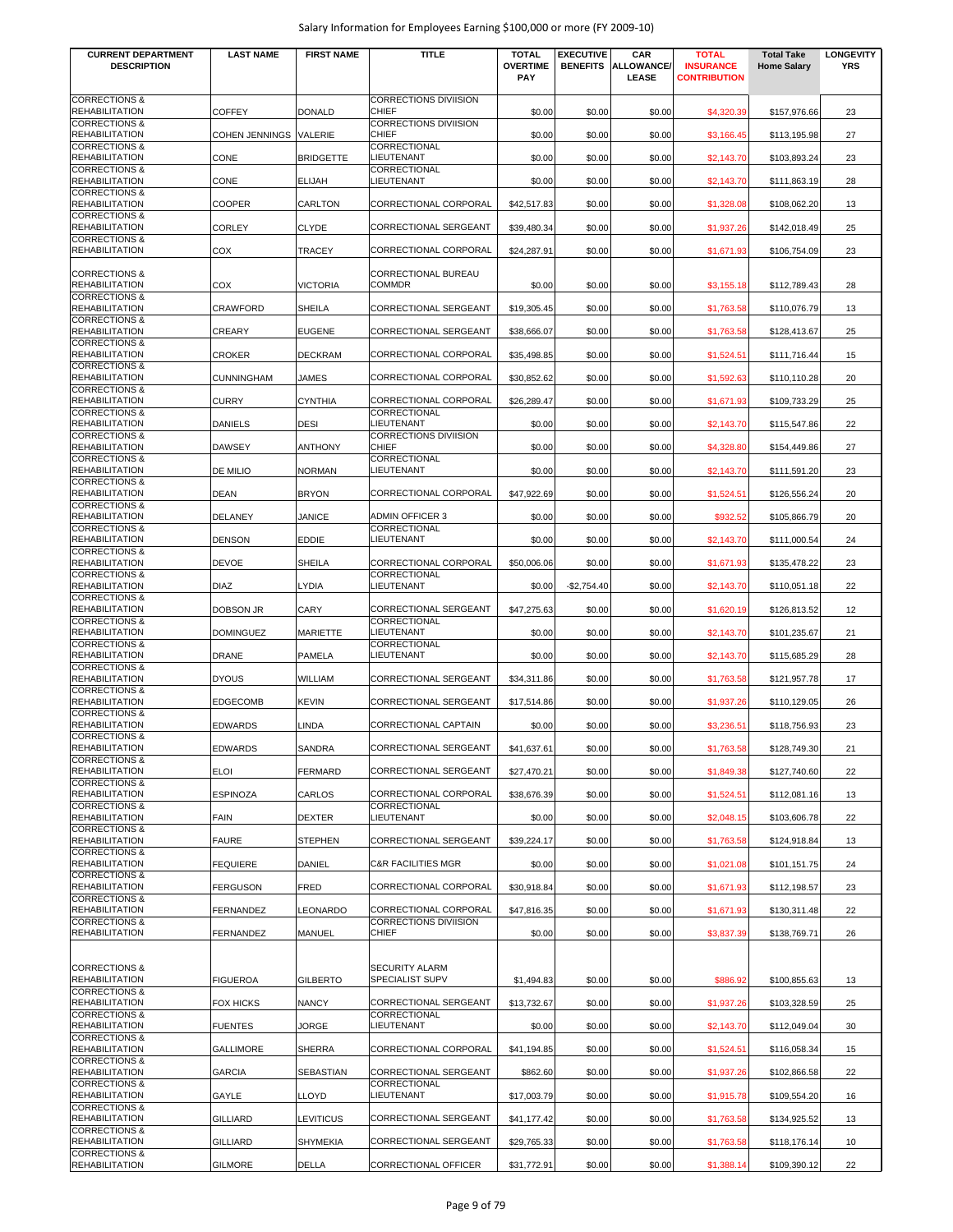| <b>CURRENT DEPARTMENT</b>                         | <b>LAST NAME</b>       | <b>FIRST NAME</b> | <b>TITLE</b>                                 | <b>TOTAL</b>                  | <b>EXECUTIVE</b> | CAR                        | <b>TOTAL</b>                            | <b>Total Take</b>  | <b>LONGEVITY</b> |
|---------------------------------------------------|------------------------|-------------------|----------------------------------------------|-------------------------------|------------------|----------------------------|-----------------------------------------|--------------------|------------------|
| <b>DESCRIPTION</b>                                |                        |                   |                                              | <b>OVERTIME</b><br><b>PAY</b> | <b>BENEFITS</b>  | <b>ALLOWANCE/</b><br>LEASE | <b>INSURANCE</b><br><b>CONTRIBUTION</b> | <b>Home Salary</b> | <b>YRS</b>       |
| <b>CORRECTIONS &amp;</b><br><b>REHABILITATION</b> | <b>COFFEY</b>          | <b>DONALD</b>     | <b>CORRECTIONS DIVIISION</b><br><b>CHIEF</b> | \$0.00                        | \$0.00           | \$0.00                     | \$4,320.39                              | \$157,976.66       | 23               |
| <b>CORRECTIONS &amp;</b><br><b>REHABILITATION</b> | COHEN JENNINGS VALERIE |                   | <b>CORRECTIONS DIVIISION</b><br><b>CHIEF</b> | \$0.00                        | \$0.00           | \$0.00                     | \$3,166.45                              | \$113,195.98       | 27               |
| <b>CORRECTIONS &amp;</b><br><b>REHABILITATION</b> | CONE                   | <b>BRIDGETTE</b>  | CORRECTIONAL<br><b>LIEUTENANT</b>            | \$0.00                        | \$0.00           | \$0.00                     | \$2,143.70                              | \$103,893.24       | 23               |
| <b>CORRECTIONS &amp;</b><br><b>REHABILITATION</b> | CONE                   | <b>ELIJAH</b>     | CORRECTIONAL<br>LIEUTENANT                   | \$0.00                        | \$0.00           | \$0.00                     | \$2,143.70                              | \$111,863.19       | 28               |
| <b>CORRECTIONS &amp;</b><br><b>REHABILITATION</b> | COOPER                 | <b>CARLTON</b>    | CORRECTIONAL CORPORAL                        | \$42,517.83                   | \$0.00           | \$0.00                     | \$1,328.08                              | \$108,062.20       | 13               |
| <b>CORRECTIONS &amp;</b><br><b>REHABILITATION</b> | <b>CORLEY</b>          | <b>CLYDE</b>      | CORRECTIONAL SERGEANT                        | \$39,480.34                   | \$0.00           | \$0.00                     | \$1,937.26                              | \$142,018.49       | 25               |
| <b>CORRECTIONS &amp;</b><br><b>REHABILITATION</b> | COX                    | <b>TRACEY</b>     | CORRECTIONAL CORPORAL                        | \$24,287.91                   | \$0.00           | \$0.00                     | \$1,671.93                              | \$106,754.09       | 23               |
| <b>CORRECTIONS &amp;</b><br><b>REHABILITATION</b> | COX                    | <b>VICTORIA</b>   | CORRECTIONAL BUREAU<br><b>COMMDR</b>         | \$0.00                        | \$0.00           | \$0.00                     | \$3,155.18                              | \$112,789.43       | 28               |
| <b>CORRECTIONS &amp;</b><br><b>REHABILITATION</b> | CRAWFORD               | <b>SHEILA</b>     | CORRECTIONAL SERGEANT                        | \$19,305.45                   | \$0.00           | \$0.00                     | \$1,763.58                              | \$110,076.79       | 13               |
| <b>CORRECTIONS &amp;</b><br><b>REHABILITATION</b> | CREARY                 | <b>EUGENE</b>     | CORRECTIONAL SERGEANT                        | \$38,666.07                   | \$0.00           | \$0.00                     |                                         | \$128,413.67       | 25               |
| <b>CORRECTIONS &amp;</b>                          |                        |                   |                                              |                               |                  |                            | \$1,763.58                              |                    |                  |
| <b>REHABILITATION</b><br><b>CORRECTIONS &amp;</b> | CROKER                 | <b>DECKRAM</b>    | CORRECTIONAL CORPORAL                        | \$35,498.85                   | \$0.00           | \$0.00                     | \$1,524.51                              | \$111,716.44       | 15               |
| <b>REHABILITATION</b><br><b>CORRECTIONS &amp;</b> | <b>CUNNINGHAM</b>      | JAMES             | CORRECTIONAL CORPORAL                        | \$30,852.62                   | \$0.00           | \$0.00                     | \$1,592.63                              | \$110,110.28       | 20               |
| <b>REHABILITATION</b><br><b>CORRECTIONS &amp;</b> | CURRY                  | <b>CYNTHIA</b>    | CORRECTIONAL CORPORAL<br>CORRECTIONAL        | \$26,289.47                   | \$0.00           | \$0.00                     | \$1,671.93                              | \$109,733.29       | 25               |
| <b>REHABILITATION</b><br><b>CORRECTIONS &amp;</b> | DANIELS                | <b>DESI</b>       | LIEUTENANT<br><b>CORRECTIONS DIVIISION</b>   | \$0.00                        | \$0.00           | \$0.00                     | \$2,143.70                              | \$115,547.86       | 22               |
| <b>REHABILITATION</b>                             | <b>DAWSEY</b>          | <b>ANTHONY</b>    | <b>CHIEF</b>                                 | \$0.00                        | \$0.00           | \$0.00                     | \$4,328.80                              | \$154,449.86       | 27               |
| <b>CORRECTIONS &amp;</b><br><b>REHABILITATION</b> | DE MILIO               | <b>NORMAN</b>     | CORRECTIONAL<br><b>LIEUTENANT</b>            | \$0.00                        | \$0.00           | \$0.00                     | \$2,143.70                              | \$111,591.20       | 23               |
| <b>CORRECTIONS &amp;</b><br><b>REHABILITATION</b> | DEAN                   | <b>BRYON</b>      | CORRECTIONAL CORPORAL                        | \$47,922.69                   | \$0.00           | \$0.00                     | \$1,524.51                              | \$126,556.24       | 20               |
| <b>CORRECTIONS &amp;</b><br><b>REHABILITATION</b> | DELANEY                | <b>JANICE</b>     | <b>ADMIN OFFICER 3</b>                       | \$0.00                        | \$0.00           | \$0.00                     | \$932.52                                | \$105,866.79       | 20               |
| <b>CORRECTIONS &amp;</b><br><b>REHABILITATION</b> | DENSON                 | <b>EDDIE</b>      | CORRECTIONAL<br>LIEUTENANT                   | \$0.00                        | \$0.00           | \$0.00                     | \$2,143.70                              | \$111,000.54       | 24               |
| <b>CORRECTIONS &amp;</b><br><b>REHABILITATION</b> | DEVOE                  | <b>SHEILA</b>     | CORRECTIONAL CORPORAL                        | \$50,006.06                   | \$0.00           | \$0.00                     | \$1,671.93                              | \$135,478.22       | 23               |
| <b>CORRECTIONS &amp;</b>                          |                        |                   | CORRECTIONAL                                 |                               |                  |                            |                                         |                    |                  |
| <b>REHABILITATION</b><br><b>CORRECTIONS &amp;</b> | DIAZ                   | <b>LYDIA</b>      | <b>LIEUTENANT</b>                            | \$0.00                        | $-$2,754.40$     | \$0.00                     | \$2,143.70                              | \$110,051.18       | 22               |
| <b>REHABILITATION</b><br><b>CORRECTIONS &amp;</b> | DOBSON JR              | <b>CARY</b>       | <b>CORRECTIONAL SERGEANT</b><br>CORRECTIONAL | \$47,275.63                   | \$0.00           | \$0.00                     | \$1,620.19                              | \$126,813.52       | 12               |
| <b>REHABILITATION</b><br><b>CORRECTIONS &amp;</b> | <b>DOMINGUEZ</b>       | <b>MARIETTE</b>   | LIEUTENANT<br><b>CORRECTIONAL</b>            | \$0.00                        | \$0.00           | \$0.00                     | \$2,143.70                              | \$101,235.67       | 21               |
| <b>REHABILITATION</b><br><b>CORRECTIONS &amp;</b> | DRANE                  | <b>PAMELA</b>     | LIEUTENANT                                   | \$0.00                        | \$0.00           | \$0.00                     | \$2,143.70                              | \$115,685.29       | 28               |
| <b>REHABILITATION</b><br><b>CORRECTIONS &amp;</b> | DYOUS                  | WILLIAM           | CORRECTIONAL SERGEANT                        | \$34,311.86                   | \$0.00           | \$0.00                     | \$1,763.58                              | \$121,957.78       | 17               |
| <b>REHABILITATION</b><br><b>CORRECTIONS &amp;</b> | EDGECOMB               | <b>KEVIN</b>      | CORRECTIONAL SERGEANT                        | \$17,514.86                   | \$0.00           | \$0.00                     | \$1,937.26                              | \$110,129.05       | 26               |
| <b>REHABILITATION</b>                             | EDWARDS                | LINDA             | CORRECTIONAL CAPTAIN                         | \$0.00                        | \$0.00           | \$0.00                     | \$3,236.51                              | \$118,756.93       | 23               |
| <b>CORRECTIONS &amp;</b><br><b>REHABILITATION</b> | EDWARDS                | SANDRA            | <b>CORRECTIONAL SERGEANT</b>                 | \$41,637.61                   | \$0.00           | \$0.00                     | \$1,763.58                              | \$128,749.30       | 21               |
| <b>CORRECTIONS &amp;</b><br><b>REHABILITATION</b> | <b>ELOI</b>            | <b>FERMARD</b>    | CORRECTIONAL SERGEANT                        | \$27,470.21                   | \$0.00           | \$0.00                     | \$1,849.38                              | \$127,740.60       | 22               |
| <b>CORRECTIONS &amp;</b><br><b>REHABILITATION</b> | ESPINOZA               | CARLOS            | CORRECTIONAL CORPORAL                        | \$38,676.39                   | \$0.00           | \$0.00                     | \$1,524.51                              | \$112,081.16       | 13               |
| <b>CORRECTIONS &amp;</b><br><b>REHABILITATION</b> | FAIN                   | <b>DEXTER</b>     | CORRECTIONAL<br>LIEUTENANT                   | \$0.00                        | \$0.00           | \$0.00                     | \$2,048.15                              | \$103,606.78       | 22               |
| <b>CORRECTIONS &amp;</b><br><b>REHABILITATION</b> | <b>FAURE</b>           | <b>STEPHEN</b>    | <b>CORRECTIONAL SERGEANT</b>                 | \$39,224.17                   | \$0.00           | \$0.00                     | \$1,763.58                              | \$124,918.84       | 13               |
| <b>CORRECTIONS &amp;</b><br><b>REHABILITATION</b> | <b>FEQUIERE</b>        | DANIEL            | <b>C&amp;R FACILITIES MGR</b>                | \$0.00                        | \$0.00           | \$0.00                     | \$1,021.08                              | \$101,151.75       | 24               |
| <b>CORRECTIONS &amp;</b><br><b>REHABILITATION</b> |                        |                   | CORRECTIONAL CORPORAL                        |                               |                  |                            |                                         |                    |                  |
| <b>CORRECTIONS &amp;</b>                          | FERGUSON               | <b>FRED</b>       | <b>CORRECTIONAL CORPORAL</b>                 | \$30,918.84                   | \$0.00           | \$0.00                     | \$1,671.93                              | \$112,198.57       | 23               |
| <b>REHABILITATION</b><br><b>CORRECTIONS &amp;</b> | FERNANDEZ              | LEONARDO          | <b>CORRECTIONS DIVIISION</b>                 | \$47,816.35                   | \$0.00           | \$0.00                     | \$1,671.93                              | \$130,311.48       | 22               |
| <b>REHABILITATION</b>                             | FERNANDEZ              | <b>MANUEL</b>     | <b>CHIEF</b>                                 | \$0.00                        | \$0.00           | \$0.00                     | \$3,837.39                              | \$138,769.71       | 26               |
| <b>CORRECTIONS &amp;</b>                          |                        |                   | <b>SECURITY ALARM</b>                        |                               |                  |                            |                                         |                    |                  |
| <b>REHABILITATION</b><br><b>CORRECTIONS &amp;</b> | <b>FIGUEROA</b>        | <b>GILBERTO</b>   | <b>SPECIALIST SUPV</b>                       | \$1,494.83                    | \$0.00           | \$0.00                     | \$886.92                                | \$100,855.63       | 13               |
| <b>REHABILITATION</b><br><b>CORRECTIONS &amp;</b> | FOX HICKS              | <b>NANCY</b>      | CORRECTIONAL SERGEANT<br>CORRECTIONAL        | \$13,732.67                   | \$0.00           | \$0.00                     | \$1,937.26                              | \$103,328.59       | 25               |
| <b>REHABILITATION</b><br><b>CORRECTIONS &amp;</b> | <b>FUENTES</b>         | JORGE             | LIEUTENANT                                   | \$0.00                        | \$0.00           | \$0.00                     | \$2,143.70                              | \$112,049.04       | 30               |
| <b>REHABILITATION</b><br><b>CORRECTIONS &amp;</b> | <b>GALLIMORE</b>       | <b>SHERRA</b>     | CORRECTIONAL CORPORAL                        | \$41,194.85                   | \$0.00           | \$0.00                     | \$1,524.51                              | \$116,058.34       | 15               |
| <b>REHABILITATION</b><br><b>CORRECTIONS &amp;</b> | GARCIA                 | SEBASTIAN         | CORRECTIONAL SERGEANT<br>CORRECTIONAL        | \$862.60                      | \$0.00           | \$0.00                     | \$1,937.26                              | \$102,866.58       | 22               |
| <b>REHABILITATION</b>                             | GAYLE                  | <b>LLOYD</b>      | <b>LIEUTENANT</b>                            | \$17,003.79                   | \$0.00           | \$0.00                     | \$1,915.78                              | \$109,554.20       | 16               |
| <b>CORRECTIONS &amp;</b><br><b>REHABILITATION</b> | GILLIARD               | LEVITICUS         | CORRECTIONAL SERGEANT                        | \$41,177.42                   | \$0.00           | \$0.00                     | \$1,763.58                              | \$134,925.52       | 13               |
| <b>CORRECTIONS &amp;</b><br><b>REHABILITATION</b> | GILLIARD               | <b>SHYMEKIA</b>   | CORRECTIONAL SERGEANT                        | \$29,765.33                   | \$0.00           | \$0.00                     | \$1,763.58                              | \$118,176.14       | 10               |
| <b>CORRECTIONS &amp;</b><br><b>REHABILITATION</b> | GILMORE                | <b>DELLA</b>      | CORRECTIONAL OFFICER                         | \$31,772.91                   | \$0.00           | \$0.00                     | \$1,388.14                              | \$109,390.12       | 22               |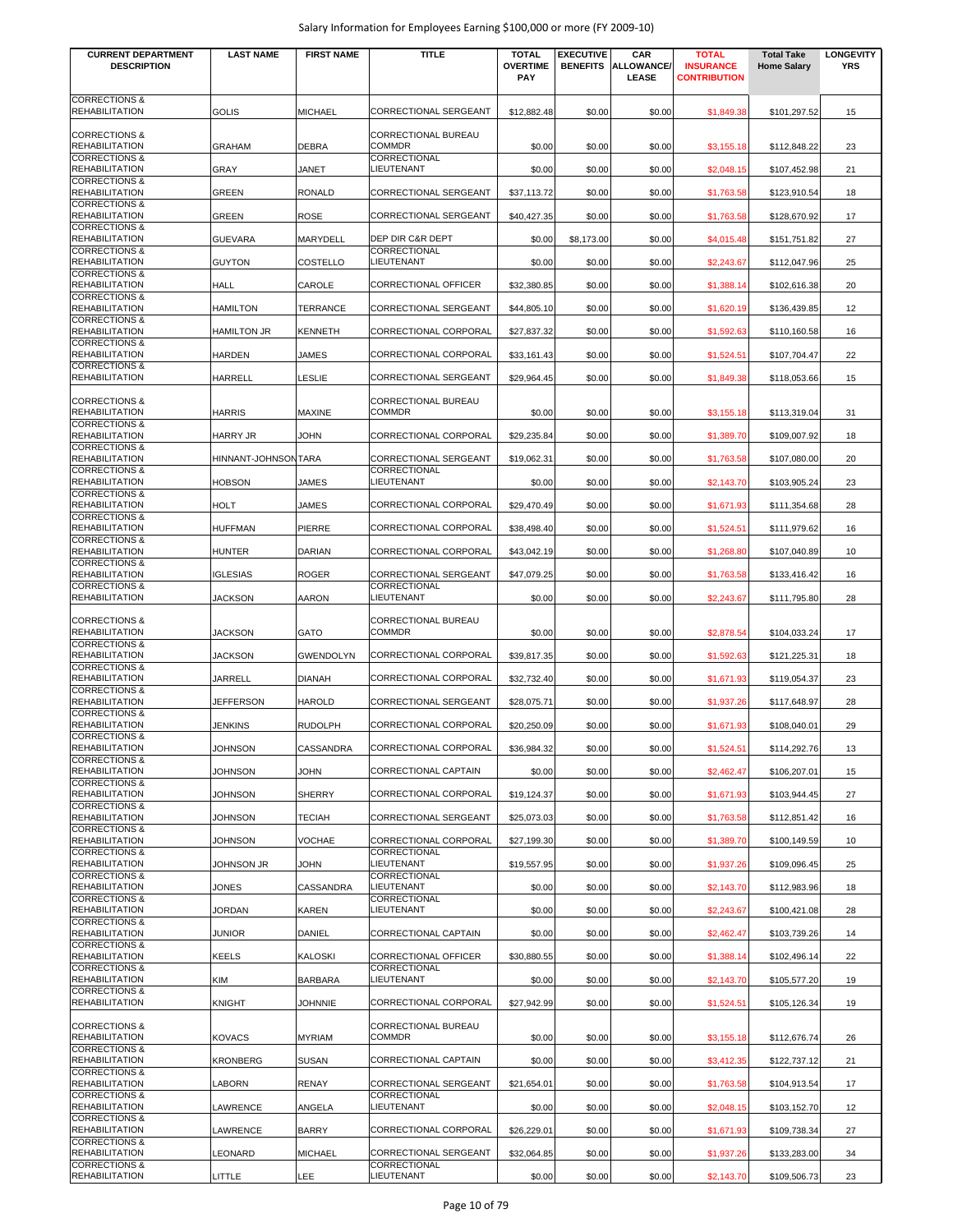| <b>CURRENT DEPARTMENT</b><br><b>DESCRIPTION</b>                               | <b>LAST NAME</b>    | <b>FIRST NAME</b> | <b>TITLE</b>                          | <b>TOTAL</b><br><b>OVERTIME</b><br><b>PAY</b> | <b>EXECUTIVE</b><br><b>BENEFITS</b> | CAR<br>ALLOWANCE/<br><b>LEASE</b> | <b>TOTAL</b><br><b>INSURANCE</b><br><b>CONTRIBUTION</b> | <b>Total Take</b><br><b>Home Salary</b> | <b>LONGEVITY</b><br><b>YRS</b> |
|-------------------------------------------------------------------------------|---------------------|-------------------|---------------------------------------|-----------------------------------------------|-------------------------------------|-----------------------------------|---------------------------------------------------------|-----------------------------------------|--------------------------------|
| <b>CORRECTIONS &amp;</b><br><b>REHABILITATION</b>                             | <b>GOLIS</b>        | <b>MICHAEL</b>    | CORRECTIONAL SERGEANT                 | \$12,882.48                                   | \$0.00                              | \$0.00                            | \$1,849.38                                              | \$101,297.52                            | 15                             |
| <b>CORRECTIONS &amp;</b>                                                      |                     |                   | CORRECTIONAL BUREAU                   |                                               |                                     |                                   |                                                         |                                         |                                |
| <b>REHABILITATION</b><br><b>CORRECTIONS &amp;</b>                             | <b>GRAHAM</b>       | <b>DEBRA</b>      | COMMDR<br>CORRECTIONAL                | \$0.00                                        | \$0.00                              | \$0.00                            | \$3,155.18                                              | \$112,848.22                            | 23                             |
| <b>REHABILITATION</b>                                                         | GRAY                | <b>JANET</b>      | LIEUTENANT                            | \$0.00                                        | \$0.00                              | \$0.00                            | \$2,048.15                                              | \$107,452.98                            | 21                             |
| <b>CORRECTIONS &amp;</b><br><b>REHABILITATION</b>                             | <b>GREEN</b>        | <b>RONALD</b>     | CORRECTIONAL SERGEANT                 | \$37,113.72                                   | \$0.00                              | \$0.00                            | \$1,763.58                                              | \$123,910.54                            | 18                             |
| <b>CORRECTIONS &amp;</b><br><b>REHABILITATION</b>                             | <b>GREEN</b>        | <b>ROSE</b>       | CORRECTIONAL SERGEANT                 | \$40,427.35                                   | \$0.00                              | \$0.00                            | \$1,763.58                                              | \$128,670.92                            | 17                             |
| <b>CORRECTIONS &amp;</b>                                                      |                     |                   |                                       |                                               |                                     |                                   |                                                         |                                         |                                |
| <b>REHABILITATION</b><br><b>CORRECTIONS &amp;</b>                             | <b>GUEVARA</b>      | MARYDELL          | DEP DIR C&R DEPT<br>CORRECTIONAL      | \$0.00                                        | \$8,173.00                          | \$0.00                            | \$4,015.48                                              | \$151,751.82                            | 27                             |
| <b>REHABILITATION</b><br><b>CORRECTIONS &amp;</b>                             | <b>GUYTON</b>       | COSTELLO          | LIEUTENANT                            | \$0.00                                        | \$0.00                              | \$0.00                            | \$2,243.67                                              | \$112,047.96                            | 25                             |
| <b>REHABILITATION</b>                                                         | HALL                | CAROLE            | CORRECTIONAL OFFICER                  | \$32,380.85                                   | \$0.00                              | \$0.00                            | \$1,388.14                                              | \$102,616.38                            | 20                             |
| <b>CORRECTIONS &amp;</b><br><b>REHABILITATION</b>                             | <b>HAMILTON</b>     | TERRANCE          | CORRECTIONAL SERGEANT                 | \$44,805.10                                   | \$0.00                              | \$0.00                            | \$1,620.19                                              | \$136,439.85                            | 12                             |
| <b>CORRECTIONS &amp;</b><br>REHABILITATION                                    | <b>HAMILTON JR</b>  | <b>KENNETH</b>    | CORRECTIONAL CORPORAL                 | \$27,837.32                                   | \$0.00                              | \$0.00                            | \$1,592.63                                              | \$110,160.58                            | 16                             |
| <b>CORRECTIONS &amp;</b>                                                      |                     |                   |                                       |                                               |                                     |                                   |                                                         |                                         |                                |
| REHABILITATION<br><b>CORRECTIONS &amp;</b>                                    | <b>HARDEN</b>       | JAMES             | CORRECTIONAL CORPORAL                 | \$33,161.43                                   | \$0.00                              | \$0.00                            | \$1,524.51                                              | \$107,704.47                            | 22                             |
| <b>REHABILITATION</b>                                                         | <b>HARRELL</b>      | LESLIE            | CORRECTIONAL SERGEANT                 | \$29,964.45                                   | \$0.00                              | \$0.00                            | \$1,849.38                                              | \$118,053.66                            | 15                             |
| <b>CORRECTIONS &amp;</b><br><b>REHABILITATION</b>                             | <b>HARRIS</b>       | <b>MAXINE</b>     | CORRECTIONAL BUREAU<br><b>COMMDR</b>  |                                               | \$0.00                              |                                   |                                                         | \$113,319.04                            | 31                             |
| <b>CORRECTIONS &amp;</b>                                                      |                     |                   |                                       | \$0.00                                        |                                     | \$0.00                            | \$3,155.18                                              |                                         |                                |
| <b>REHABILITATION</b><br><b>CORRECTIONS &amp;</b>                             | <b>HARRY JR</b>     | <b>JOHN</b>       | CORRECTIONAL CORPORAL                 | \$29,235.84                                   | \$0.00                              | \$0.00                            | \$1,389.70                                              | \$109,007.92                            | 18                             |
| <b>REHABILITATION</b><br><b>CORRECTIONS &amp;</b>                             | HINNANT-JOHNSONTARA |                   | CORRECTIONAL SERGEANT<br>CORRECTIONAL | \$19,062.31                                   | \$0.00                              | \$0.00                            | \$1,763.58                                              | \$107,080.00                            | 20                             |
| <b>REHABILITATION</b>                                                         | <b>HOBSON</b>       | JAMES             | LIEUTENANT                            | \$0.00                                        | \$0.00                              | \$0.00                            | \$2,143.70                                              | \$103,905.24                            | 23                             |
| <b>CORRECTIONS &amp;</b><br><b>REHABILITATION</b>                             | HOLT                | <b>JAMES</b>      | CORRECTIONAL CORPORAL                 | \$29,470.49                                   | \$0.00                              | \$0.00                            | \$1,671.93                                              | \$111,354.68                            | 28                             |
| <b>CORRECTIONS &amp;</b><br><b>REHABILITATION</b>                             | <b>HUFFMAN</b>      | PIERRE            | CORRECTIONAL CORPORAL                 | \$38,498.40                                   | \$0.00                              | \$0.00                            | \$1,524.51                                              | \$111,979.62                            | 16                             |
| <b>CORRECTIONS &amp;</b>                                                      |                     |                   |                                       |                                               |                                     |                                   |                                                         |                                         |                                |
| <b>REHABILITATION</b><br><b>CORRECTIONS &amp;</b>                             | <b>HUNTER</b>       | <b>DARIAN</b>     | CORRECTIONAL CORPORAL                 | \$43,042.19                                   | \$0.00                              | \$0.00                            | \$1,268.80                                              | \$107,040.89                            | 10                             |
| <b>REHABILITATION</b><br><b>CORRECTIONS &amp;</b>                             | <b>IGLESIAS</b>     | <b>ROGER</b>      | CORRECTIONAL SERGEANT<br>CORRECTIONAL | \$47,079.25                                   | \$0.00                              | \$0.00                            | \$1,763.58                                              | \$133,416.42                            | 16                             |
| <b>REHABILITATION</b>                                                         | <b>JACKSON</b>      | <b>AARON</b>      | LIEUTENANT                            | \$0.00                                        | \$0.00                              | \$0.00                            | \$2,243.67                                              | \$111,795.80                            | 28                             |
| <b>CORRECTIONS &amp;</b><br><b>REHABILITATION</b>                             | <b>JACKSON</b>      | GATO              | CORRECTIONAL BUREAU<br><b>COMMDR</b>  | \$0.00                                        | \$0.00                              | \$0.00                            | \$2,878.54                                              | \$104,033.24                            | 17                             |
| <b>CORRECTIONS &amp;</b><br><b>REHABILITATION</b>                             | <b>JACKSON</b>      | <b>GWENDOLYN</b>  | CORRECTIONAL CORPORAL                 | \$39,817.35                                   | \$0.00                              | \$0.00                            | \$1,592.63                                              | \$121,225.31                            | 18                             |
| <b>CORRECTIONS &amp;</b><br><b>REHABILITATION</b>                             | JARRELL             | <b>DIANAH</b>     | CORRECTIONAL CORPORAL                 | \$32,732.40                                   | \$0.00                              | \$0.00                            | \$1,671.93                                              | \$119,054.37                            | 23                             |
| <b>CORRECTIONS &amp;</b><br><b>REHABILITATION</b>                             |                     | <b>HAROLD</b>     | CORRECTIONAL SERGEANT                 |                                               |                                     |                                   |                                                         |                                         |                                |
| <b>CORRECTIONS &amp;</b>                                                      | <b>JEFFERSON</b>    |                   |                                       | \$28,075.71                                   | \$0.00                              | \$0.00                            | \$1,937.26                                              | \$117,648.97                            | 28                             |
| <b>REHABILITATION</b><br><b>CORRECTIONS &amp;</b>                             | JENKINS             | <b>RUDOLPH</b>    | CORRECTIONAL CORPORAL                 | \$20,250.09                                   | \$0.00                              | \$0.00                            | \$1,671.93                                              | \$108,040.01                            | 29                             |
| <b>REHABILITATION</b><br><b>CORRECTIONS &amp;</b>                             | JOHNSON             | CASSANDRA         | CORRECTIONAL CORPORAL                 | \$36,984.32                                   | \$0.00                              | \$0.00                            | \$1,524.51                                              | \$114,292.76                            | 13                             |
| <b>REHABILITATION</b><br><b>CORRECTIONS &amp;</b>                             | <b>JOHNSON</b>      | <b>JOHN</b>       | CORRECTIONAL CAPTAIN                  | \$0.00                                        | \$0.00                              | \$0.00                            | \$2,462.47                                              | \$106,207.01                            | 15                             |
| <b>REHABILITATION</b>                                                         | <b>JOHNSON</b>      | <b>SHERRY</b>     | CORRECTIONAL CORPORAL                 | \$19,124.37                                   | \$0.00                              | \$0.00                            | \$1,671.93                                              | \$103,944.45                            | 27                             |
| <b>CORRECTIONS &amp;</b><br><b>REHABILITATION</b>                             | <b>JOHNSON</b>      | <b>TECIAH</b>     | CORRECTIONAL SERGEANT                 | \$25,073.03                                   | \$0.00                              | \$0.00                            | \$1,763.58                                              | \$112,851.42                            | 16                             |
| <b>CORRECTIONS &amp;</b><br><b>REHABILITATION</b>                             | <b>JOHNSON</b>      | VOCHAE            | CORRECTIONAL CORPORAL                 | \$27,199.30                                   | \$0.00                              | \$0.00                            | \$1,389.70                                              | \$100,149.59                            | 10                             |
| <b>CORRECTIONS &amp;</b>                                                      |                     |                   | CORRECTIONAL                          |                                               |                                     |                                   |                                                         |                                         |                                |
| <b>REHABILITATION</b><br><b>CORRECTIONS &amp;</b>                             | JOHNSON JR          | <b>JOHN</b>       | LIEUTENANT<br>CORRECTIONAL            | \$19,557.95                                   | \$0.00                              | \$0.00                            | \$1,937.26                                              | \$109,096.45                            | 25                             |
| <b>REHABILITATION</b><br><b>CORRECTIONS &amp;</b>                             | JONES               | CASSANDRA         | LIEUTENANT<br>CORRECTIONAL            | \$0.00                                        | \$0.00                              | \$0.00                            | \$2,143.70                                              | \$112,983.96                            | 18                             |
| <b>REHABILITATION</b>                                                         | <b>JORDAN</b>       | <b>KAREN</b>      | LIEUTENANT                            | \$0.00                                        | \$0.00                              | \$0.00                            | \$2,243.67                                              | \$100,421.08                            | 28                             |
| <b>CORRECTIONS &amp;</b><br><b>REHABILITATION</b>                             | <b>JUNIOR</b>       | DANIEL            | CORRECTIONAL CAPTAIN                  | \$0.00                                        | \$0.00                              | \$0.00                            | \$2,462.47                                              | \$103,739.26                            | 14                             |
| <b>CORRECTIONS &amp;</b><br><b>REHABILITATION</b>                             | <b>KEELS</b>        | KALOSKI           | CORRECTIONAL OFFICER                  | \$30,880.55                                   | \$0.00                              | \$0.00                            | \$1,388.14                                              | \$102,496.14                            | 22                             |
| <b>CORRECTIONS &amp;</b><br><b>REHABILITATION</b>                             |                     |                   | CORRECTIONAL<br>LIEUTENANT            |                                               |                                     |                                   |                                                         |                                         |                                |
| <b>CORRECTIONS &amp;</b>                                                      | KIM                 | <b>BARBARA</b>    |                                       | \$0.00                                        | \$0.00                              | \$0.00                            | \$2,143.70                                              | \$105,577.20                            | 19                             |
| <b>REHABILITATION</b>                                                         | <b>KNIGHT</b>       | <b>JOHNNIE</b>    | CORRECTIONAL CORPORAL                 | \$27,942.99                                   | \$0.00                              | \$0.00                            | \$1,524.51                                              | \$105,126.34                            | 19                             |
| <b>CORRECTIONS &amp;</b><br><b>REHABILITATION</b><br><b>CORRECTIONS &amp;</b> | <b>KOVACS</b>       | <b>MYRIAM</b>     | CORRECTIONAL BUREAU<br>COMMDR         | \$0.00                                        | \$0.00                              | \$0.00                            | \$3,155.18                                              | \$112,676.74                            | 26                             |
| <b>REHABILITATION</b>                                                         | <b>KRONBERG</b>     | <b>SUSAN</b>      | CORRECTIONAL CAPTAIN                  | \$0.00                                        | \$0.00                              | \$0.00                            | \$3,412.35                                              | \$122,737.12                            | 21                             |
| <b>CORRECTIONS &amp;</b><br><b>REHABILITATION</b>                             | LABORN              | <b>RENAY</b>      | CORRECTIONAL SERGEANT                 | \$21,654.01                                   | \$0.00                              | \$0.00                            | \$1,763.58                                              | \$104,913.54                            | 17                             |
| <b>CORRECTIONS &amp;</b><br><b>REHABILITATION</b>                             | LAWRENCE            | ANGELA            | CORRECTIONAL<br>LIEUTENANT            | \$0.00                                        | \$0.00                              | \$0.00                            | \$2,048.15                                              | \$103,152.70                            | 12                             |
| <b>CORRECTIONS &amp;</b>                                                      |                     |                   |                                       |                                               |                                     |                                   |                                                         |                                         |                                |
| <b>REHABILITATION</b><br><b>CORRECTIONS &amp;</b>                             | LAWRENCE            | <b>BARRY</b>      | CORRECTIONAL CORPORAL                 | \$26,229.01                                   | \$0.00                              | \$0.00                            | \$1,671.93                                              | \$109,738.34                            | 27                             |
| <b>REHABILITATION</b><br><b>CORRECTIONS &amp;</b>                             | LEONARD             | <b>MICHAEL</b>    | CORRECTIONAL SERGEANT<br>CORRECTIONAL | \$32,064.85                                   | \$0.00                              | \$0.00                            | \$1,937.26                                              | \$133,283.00                            | 34                             |
| <b>REHABILITATION</b>                                                         | LITTLE              | LEE               | LIEUTENANT                            | \$0.00                                        | \$0.00                              | \$0.00                            | \$2,143.70                                              | \$109,506.73                            | 23                             |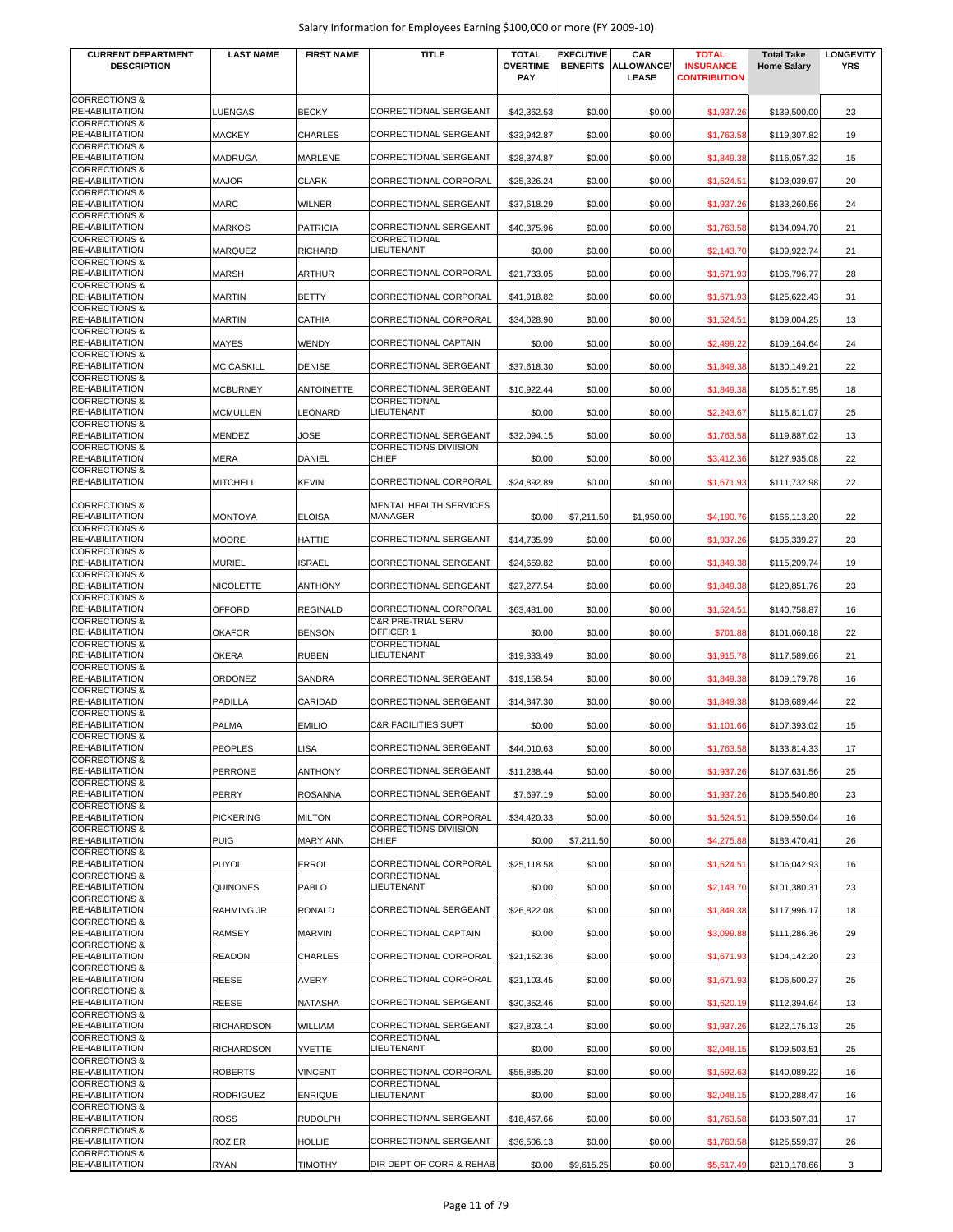| <b>CURRENT DEPARTMENT</b>                                                     | <b>LAST NAME</b>  | <b>FIRST NAME</b> | <b>TITLE</b>                                 | <b>TOTAL</b>           | <b>EXECUTIVE</b> | CAR                        | <b>TOTAL</b>                            | <b>Total Take</b>  | <b>LONGEVITY</b> |
|-------------------------------------------------------------------------------|-------------------|-------------------|----------------------------------------------|------------------------|------------------|----------------------------|-----------------------------------------|--------------------|------------------|
| <b>DESCRIPTION</b>                                                            |                   |                   |                                              | <b>OVERTIME</b><br>PAY | <b>BENEFITS</b>  | <b>ALLOWANCE/</b><br>LEASE | <b>INSURANCE</b><br><b>CONTRIBUTION</b> | <b>Home Salary</b> | <b>YRS</b>       |
| <b>CORRECTIONS &amp;</b><br><b>REHABILITATION</b>                             | LUENGAS           | <b>BECKY</b>      | <b>CORRECTIONAL SERGEANT</b>                 | \$42,362.53            | \$0.00           | \$0.00                     | \$1,937.26                              | \$139,500.00       | 23               |
| <b>CORRECTIONS &amp;</b><br><b>REHABILITATION</b>                             | <b>MACKEY</b>     | <b>CHARLES</b>    | <b>CORRECTIONAL SERGEANT</b>                 | \$33,942.87            | \$0.00           | \$0.00                     | \$1,763.58                              | \$119,307.82       | 19               |
| <b>CORRECTIONS &amp;</b><br><b>REHABILITATION</b><br><b>CORRECTIONS &amp;</b> | <b>MADRUGA</b>    | <b>MARLENE</b>    | <b>CORRECTIONAL SERGEANT</b>                 | \$28,374.87            | \$0.00           | \$0.00                     | \$1,849.38                              | \$116,057.32       | 15               |
| <b>REHABILITATION</b><br><b>CORRECTIONS &amp;</b>                             | <b>MAJOR</b>      | <b>CLARK</b>      | CORRECTIONAL CORPORAL                        | \$25,326.24            | \$0.00           | \$0.00                     | \$1,524.51                              | \$103,039.97       | 20               |
| <b>REHABILITATION</b><br><b>CORRECTIONS &amp;</b>                             | <b>MARC</b>       | <b>WILNER</b>     | CORRECTIONAL SERGEANT                        | \$37.618.29            | \$0.00           | \$0.00                     | \$1,937.26                              | \$133,260.56       | 24               |
| <b>REHABILITATION</b><br><b>CORRECTIONS &amp;</b>                             | <b>MARKOS</b>     | <b>PATRICIA</b>   | CORRECTIONAL SERGEANT<br>CORRECTIONAL        | \$40,375.96            | \$0.00           | \$0.00                     | \$1,763.58                              | \$134,094.70       | 21               |
| <b>REHABILITATION</b><br><b>CORRECTIONS &amp;</b>                             | MARQUEZ           | <b>RICHARD</b>    | <b>LIEUTENANT</b>                            | \$0.00                 | \$0.00           | \$0.00                     | \$2,143.70                              | \$109,922.74       | 21               |
| <b>REHABILITATION</b>                                                         | <b>MARSH</b>      | <b>ARTHUR</b>     | CORRECTIONAL CORPORAL                        | \$21,733.05            | \$0.00           | \$0.00                     | \$1,671.93                              | \$106,796.77       | 28               |
| <b>CORRECTIONS &amp;</b><br><b>REHABILITATION</b><br><b>CORRECTIONS &amp;</b> | MARTIN            | <b>BETTY</b>      | CORRECTIONAL CORPORAL                        | \$41,918.82            | \$0.00           | \$0.00                     | \$1,671.93                              | \$125,622.43       | 31               |
| <b>REHABILITATION</b>                                                         | <b>MARTIN</b>     | <b>CATHIA</b>     | CORRECTIONAL CORPORAL                        | \$34,028.90            | \$0.00           | \$0.00                     | \$1,524.51                              | \$109,004.25       | 13               |
| <b>CORRECTIONS &amp;</b><br><b>REHABILITATION</b>                             | MAYES             | WENDY             | CORRECTIONAL CAPTAIN                         | \$0.00                 | \$0.00           | \$0.00                     | \$2,499.22                              | \$109,164.64       | 24               |
| <b>CORRECTIONS &amp;</b><br><b>REHABILITATION</b><br><b>CORRECTIONS &amp;</b> | <b>MC CASKILL</b> | <b>DENISE</b>     | CORRECTIONAL SERGEANT                        | \$37,618.30            | \$0.00           | \$0.00                     | \$1,849.38                              | \$130,149.21       | 22               |
| <b>REHABILITATION</b>                                                         | <b>MCBURNEY</b>   | <b>ANTOINETTE</b> | CORRECTIONAL SERGEANT                        | \$10,922.44            | \$0.00           | \$0.00                     | \$1,849.38                              | \$105,517.95       | 18               |
| <b>CORRECTIONS &amp;</b><br><b>REHABILITATION</b>                             | <b>MCMULLEN</b>   | <b>LEONARD</b>    | CORRECTIONAL<br>LIEUTENANT                   | \$0.00                 | \$0.00           | \$0.00                     | \$2,243.67                              | \$115,811.07       | 25               |
| <b>CORRECTIONS &amp;</b><br><b>REHABILITATION</b>                             | MENDEZ            | JOSE              | CORRECTIONAL SERGEANT                        | \$32,094.15            | \$0.00           | \$0.00                     | \$1,763.58                              | \$119,887.02       | 13               |
| <b>CORRECTIONS &amp;</b><br><b>REHABILITATION</b>                             | MERA              | <b>DANIEL</b>     | <b>CORRECTIONS DIVIISION</b><br><b>CHIEF</b> | \$0.00                 | \$0.00           | \$0.00                     | \$3,412.36                              | \$127,935.08       | 22               |
| <b>CORRECTIONS &amp;</b><br><b>REHABILITATION</b>                             | <b>MITCHELL</b>   | <b>KEVIN</b>      | CORRECTIONAL CORPORAL                        | \$24,892.89            | \$0.00           | \$0.00                     | \$1,671.93                              | \$111,732.98       | 22               |
| <b>CORRECTIONS &amp;</b><br><b>REHABILITATION</b>                             | <b>MONTOYA</b>    | <b>ELOISA</b>     | MENTAL HEALTH SERVICES<br>MANAGER            | \$0.00                 | \$7,211.50       | \$1,950.00                 | \$4,190.76                              | \$166,113.20       | 22               |
| <b>CORRECTIONS &amp;</b><br><b>REHABILITATION</b>                             | <b>MOORE</b>      | <b>HATTIE</b>     | CORRECTIONAL SERGEANT                        | \$14,735.99            | \$0.00           | \$0.00                     | \$1,937.26                              | \$105,339.27       | 23               |
| <b>CORRECTIONS &amp;</b><br><b>REHABILITATION</b>                             | <b>MURIEL</b>     | <b>ISRAEL</b>     | CORRECTIONAL SERGEANT                        | \$24,659.82            | \$0.00           | \$0.00                     | \$1,849.38                              | \$115,209.74       | 19               |
| <b>CORRECTIONS &amp;</b><br><b>REHABILITATION</b>                             | NICOLETTE         | <b>ANTHONY</b>    | CORRECTIONAL SERGEANT                        | \$27,277.54            | \$0.00           | \$0.00                     | \$1,849.38                              | \$120,851.76       | 23               |
| <b>CORRECTIONS &amp;</b><br><b>REHABILITATION</b>                             | <b>OFFORD</b>     | <b>REGINALD</b>   | CORRECTIONAL CORPORAL                        | \$63,481.00            | \$0.00           | \$0.00                     | \$1,524.51                              | \$140,758.87       | 16               |
| <b>CORRECTIONS &amp;</b><br><b>REHABILITATION</b>                             | <b>OKAFOR</b>     | <b>BENSON</b>     | <b>C&amp;R PRE-TRIAL SERV</b><br>OFFICER 1   | \$0.00                 | \$0.00           | \$0.00                     | \$701.88                                | \$101,060.18       | 22               |
| <b>CORRECTIONS &amp;</b><br><b>REHABILITATION</b>                             | <b>OKERA</b>      | <b>RUBEN</b>      | CORRECTIONAL<br>LIEUTENANT                   | \$19,333.49            | \$0.00           | \$0.00                     | \$1,915.78                              | \$117,589.66       | 21               |
| <b>CORRECTIONS &amp;</b><br><b>REHABILITATION</b>                             | ORDONEZ           | <b>SANDRA</b>     | CORRECTIONAL SERGEANT                        | \$19,158.54            | \$0.00           | \$0.00                     | \$1,849.38                              | \$109,179.78       | 16               |
| <b>CORRECTIONS &amp;</b><br><b>REHABILITATION</b>                             | <b>PADILLA</b>    | CARIDAD           | CORRECTIONAL SERGEANT                        | \$14,847.30            | \$0.00           | \$0.00                     | \$1,849.38                              | \$108,689.44       | 22               |
| <b>CORRECTIONS &amp;</b><br><b>REHABILITATION</b>                             | PALMA             | <b>EMILIO</b>     | <b>C&amp;R FACILITIES SUPT</b>               | \$0.00                 | \$0.00           | \$0.00                     | \$1,101.66                              | \$107,393.02       | 15               |
| <b>CORRECTIONS &amp;</b><br><b>REHABILITATION</b>                             | <b>PEOPLES</b>    | <b>LISA</b>       | CORRECTIONAL SERGEANT                        | \$44,010.63            | \$0.00           | \$0.00                     | \$1,763.58                              | \$133,814.33       | 17               |
| <b>CORRECTIONS &amp;</b><br><b>REHABILITATION</b>                             | <b>PERRONE</b>    | <b>ANTHONY</b>    | <b>CORRECTIONAL SERGEANT</b>                 | \$11,238.44            | \$0.00           | \$0.00                     | \$1,937.26                              | \$107,631.56       | 25               |
| <b>CORRECTIONS &amp;</b><br><b>REHABILITATION</b>                             | PERRY             | <b>ROSANNA</b>    | CORRECTIONAL SERGEANT                        | \$7,697.19             | \$0.00           | \$0.00                     | \$1,937.26                              | \$106,540.80       | 23               |
| <b>CORRECTIONS &amp;</b><br><b>REHABILITATION</b>                             |                   |                   | CORRECTIONAL CORPORAL                        |                        |                  |                            |                                         |                    |                  |
| <b>CORRECTIONS &amp;</b>                                                      | <b>PICKERING</b>  | <b>MILTON</b>     | CORRECTIONS DIVIISION<br>CHIEF               | \$34,420.33            | \$0.00           | \$0.00                     | \$1,524.51                              | \$109,550.04       | 16               |
| <b>REHABILITATION</b><br><b>CORRECTIONS &amp;</b>                             | <b>PUIG</b>       | <b>MARY ANN</b>   |                                              | \$0.00                 | \$7,211.50       | \$0.00                     | \$4,275.88                              | \$183,470.41       | 26               |
| <b>REHABILITATION</b><br><b>CORRECTIONS &amp;</b>                             | <b>PUYOL</b>      | <b>ERROL</b>      | CORRECTIONAL CORPORAL<br>CORRECTIONAL        | \$25,118.58            | \$0.00           | \$0.00                     | \$1,524.51                              | \$106,042.93       | 16               |
| <b>REHABILITATION</b><br><b>CORRECTIONS &amp;</b>                             | QUINONES          | PABLO             | LIEUTENANT                                   | \$0.00                 | \$0.00           | \$0.00                     | \$2,143.70                              | \$101,380.31       | 23               |
| <b>REHABILITATION</b><br><b>CORRECTIONS &amp;</b>                             | <b>RAHMING JR</b> | <b>RONALD</b>     | CORRECTIONAL SERGEANT                        | \$26,822.08            | \$0.00           | \$0.00                     | \$1,849.38                              | \$117,996.17       | 18               |
| <b>REHABILITATION</b><br><b>CORRECTIONS &amp;</b>                             | RAMSEY            | <b>MARVIN</b>     | CORRECTIONAL CAPTAIN                         | \$0.00                 | \$0.00           | \$0.00                     | \$3,099.88                              | \$111,286.36       | 29               |
| <b>REHABILITATION</b><br><b>CORRECTIONS &amp;</b>                             | <b>READON</b>     | <b>CHARLES</b>    | CORRECTIONAL CORPORAL                        | \$21,152.36            | \$0.00           | \$0.00                     | \$1,671.93                              | \$104,142.20       | 23               |
| <b>REHABILITATION</b><br><b>CORRECTIONS &amp;</b>                             | <b>REESE</b>      | AVERY             | CORRECTIONAL CORPORAL                        | \$21,103.45            | \$0.00           | \$0.00                     | \$1,671.93                              | \$106,500.27       | 25               |
| <b>REHABILITATION</b><br><b>CORRECTIONS &amp;</b>                             | <b>REESE</b>      | <b>NATASHA</b>    | CORRECTIONAL SERGEANT                        | \$30,352.46            | \$0.00           | \$0.00                     | \$1,620.19                              | \$112,394.64       | 13               |
| <b>REHABILITATION</b><br><b>CORRECTIONS &amp;</b>                             | <b>RICHARDSON</b> | WILLIAM           | <b>CORRECTIONAL SERGEANT</b><br>CORRECTIONAL | \$27,803.14            | \$0.00           | \$0.00                     | \$1,937.26                              | \$122,175.13       | 25               |
| <b>REHABILITATION</b><br><b>CORRECTIONS &amp;</b>                             | <b>RICHARDSON</b> | <b>YVETTE</b>     | <b>LIEUTENANT</b>                            | \$0.00                 | \$0.00           | \$0.00                     | \$2,048.15                              | \$109,503.51       | 25               |
| <b>REHABILITATION</b><br><b>CORRECTIONS &amp;</b>                             | <b>ROBERTS</b>    | <b>VINCENT</b>    | CORRECTIONAL CORPORAL<br>CORRECTIONAL        | \$55,885.20            | \$0.00           | \$0.00                     | \$1,592.63                              | \$140,089.22       | 16               |
| <b>REHABILITATION</b><br><b>CORRECTIONS &amp;</b>                             | <b>RODRIGUEZ</b>  | <b>ENRIQUE</b>    | LIEUTENANT                                   | \$0.00                 | \$0.00           | \$0.00                     | \$2,048.15                              | \$100,288.47       | 16               |
| <b>REHABILITATION</b><br><b>CORRECTIONS &amp;</b>                             | <b>ROSS</b>       | <b>RUDOLPH</b>    | CORRECTIONAL SERGEANT                        | \$18,467.66            | \$0.00           | \$0.00                     | \$1,763.58                              | \$103,507.31       | 17               |
| <b>REHABILITATION</b><br><b>CORRECTIONS &amp;</b>                             | <b>ROZIER</b>     | <b>HOLLIE</b>     | CORRECTIONAL SERGEANT                        | \$36,506.13            | \$0.00           | \$0.00                     | \$1,763.58                              | \$125,559.37       | 26               |
| <b>REHABILITATION</b>                                                         | RYAN              | <b>TIMOTHY</b>    | DIR DEPT OF CORR & REHAB                     | \$0.00                 | \$9,615.25       | \$0.00                     | \$5,617.49                              | \$210,178.66       | 3                |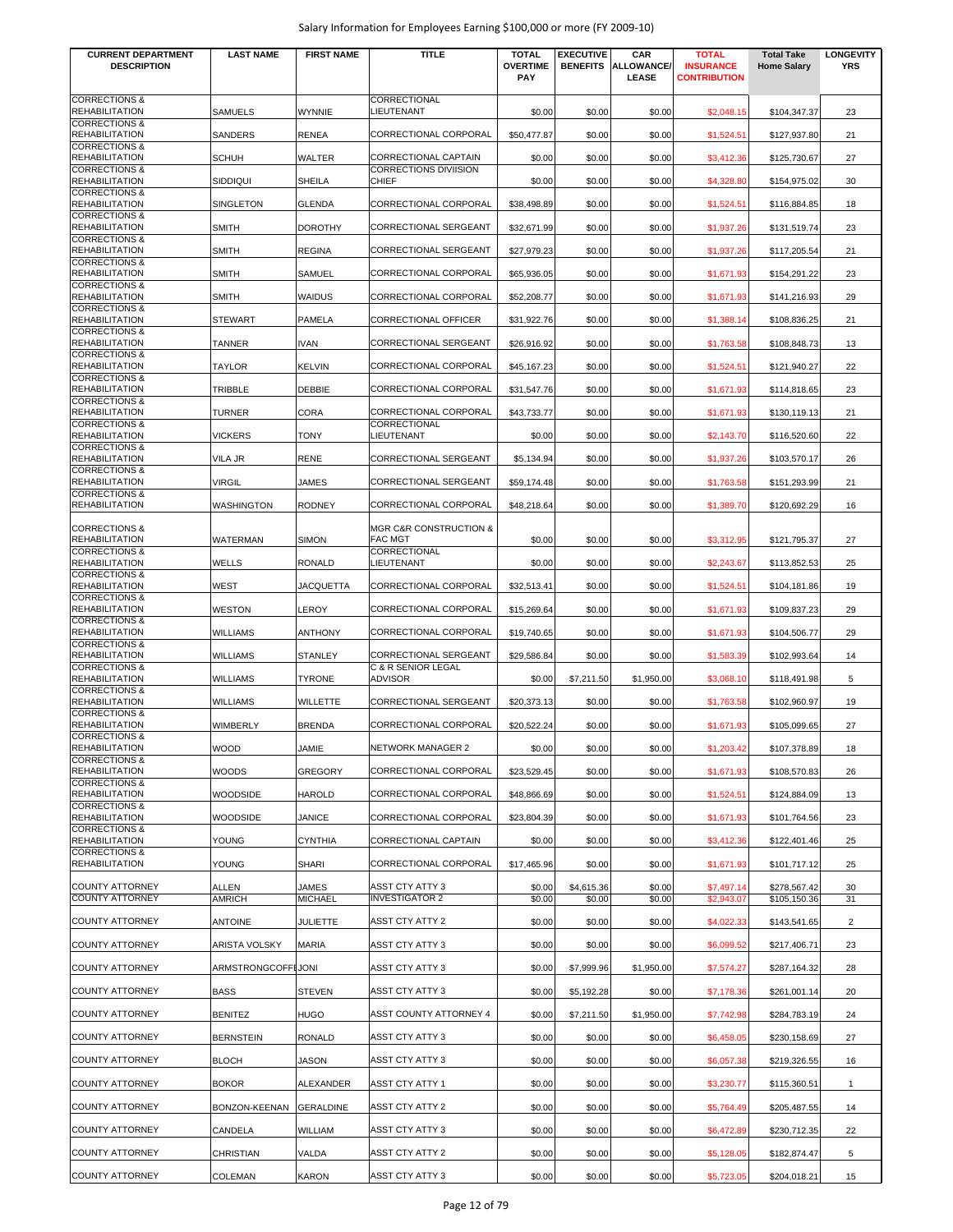| <b>DESCRIPTION</b><br><b>OVERTIME</b><br><b>BENEFITS</b><br><b>ALLOWANCE/</b><br><b>INSURANCE</b><br><b>YRS</b><br><b>Home Salary</b><br>PAY<br>LEASE<br><b>CONTRIBUTION</b><br><b>CORRECTIONS &amp;</b><br>CORRECTIONAL<br><b>LIEUTENANT</b><br><b>REHABILITATION</b><br>SAMUELS<br><b>WYNNIE</b><br>\$0.00<br>\$0.00<br>\$0.00<br>\$104,347.37<br>23<br>\$2,048.15<br><b>CORRECTIONS &amp;</b><br>CORRECTIONAL CORPORAL<br><b>REHABILITATION</b><br>SANDERS<br><b>RENEA</b><br>\$50,477.87<br>\$0.00<br>\$0.00<br>21<br>\$1,524.51<br>\$127,937.80<br><b>CORRECTIONS &amp;</b><br><b>REHABILITATION</b><br><b>SCHUH</b><br><b>WALTER</b><br>CORRECTIONAL CAPTAIN<br>\$0.00<br>\$0.00<br>\$0.00<br>27<br>\$3,412.36<br>\$125,730.67<br><b>CORRECTIONS &amp;</b><br>CORRECTIONS DIVIISION<br><b>REHABILITATION</b><br><b>SIDDIQUI</b><br><b>SHEILA</b><br><b>CHIEF</b><br>\$0.00<br>\$0.00<br>\$0.00<br>\$4,328.80<br>\$154,975.02<br>30<br><b>CORRECTIONS &amp;</b><br><b>REHABILITATION</b><br>SINGLETON<br><b>GLENDA</b><br>CORRECTIONAL CORPORAL<br>\$38,498.89<br>\$0.00<br>\$0.00<br>18<br>\$1.524.51<br>\$116,884.85<br><b>CORRECTIONS &amp;</b><br><b>REHABILITATION</b><br><b>SMITH</b><br><b>DOROTHY</b><br>CORRECTIONAL SERGEANT<br>\$32,671.99<br>\$0.00<br>\$0.00<br>\$1,937.26<br>\$131,519.74<br>23<br><b>CORRECTIONS &amp;</b><br><b>REHABILITATION</b><br><b>SMITH</b><br><b>REGINA</b><br>CORRECTIONAL SERGEANT<br>\$0.00<br>\$0.00<br>21<br>\$27,979.23<br>\$1,937.26<br>\$117,205.54<br><b>CORRECTIONS &amp;</b><br><b>REHABILITATION</b><br>CORRECTIONAL CORPORAL<br>23<br><b>SMITH</b><br><b>SAMUEL</b><br>\$65,936.05<br>\$0.00<br>\$0.00<br>\$1,671.93<br>\$154,291.22<br><b>CORRECTIONS &amp;</b><br><b>REHABILITATION</b><br>CORRECTIONAL CORPORAL<br>29<br><b>SMITH</b><br><b>WAIDUS</b><br>\$52,208.77<br>\$0.00<br>\$0.00<br>\$1,671.93<br>\$141,216.93<br><b>CORRECTIONS &amp;</b><br><b>REHABILITATION</b><br><b>PAMELA</b><br>CORRECTIONAL OFFICER<br>21<br><b>STEWART</b><br>\$31,922.76<br>\$0.00<br>\$0.00<br>\$1,388.14<br>\$108,836.25<br><b>CORRECTIONS &amp;</b><br><b>REHABILITATION</b><br><b>IVAN</b><br><b>CORRECTIONAL SERGEANT</b><br>13<br>TANNER<br>\$26,916.92<br>\$0.00<br>\$0.00<br>\$1,763.58<br>\$108,848.73<br><b>CORRECTIONS &amp;</b><br>22<br><b>REHABILITATION</b><br><b>TAYLOR</b><br><b>KELVIN</b><br>CORRECTIONAL CORPORAL<br>\$0.00<br>\$45,167.23<br>\$0.00<br>\$1,524.51<br>\$121,940.27<br><b>CORRECTIONS &amp;</b><br><b>REHABILITATION</b><br>TRIBBLE<br><b>DEBBIE</b><br>CORRECTIONAL CORPORAL<br>23<br>\$31,547.76<br>\$0.00<br>\$0.00<br>\$114,818.65<br>\$1,671.93<br><b>CORRECTIONS &amp;</b><br>CORA<br><b>REHABILITATION</b><br><b>TURNER</b><br>CORRECTIONAL CORPORAL<br>\$43,733.77<br>\$0.00<br>\$0.00<br>\$130,119.13<br>21<br>\$1,671.93<br><b>CORRECTIONS &amp;</b><br>CORRECTIONAL<br><b>LIEUTENANT</b><br><b>REHABILITATION</b><br><b>VICKERS</b><br><b>TONY</b><br>\$0.00<br>\$0.00<br>\$0.00<br>22<br>\$2,143.70<br>\$116,520.60<br><b>CORRECTIONS &amp;</b><br><b>REHABILITATION</b><br>VILA JR<br><b>RENE</b><br>CORRECTIONAL SERGEANT<br>\$0.00<br>\$0.00<br>\$103,570.17<br>26<br>\$5,134.94<br>\$1,937.26<br><b>CORRECTIONS &amp;</b><br><b>REHABILITATION</b><br><b>VIRGIL</b><br><b>JAMES</b><br>CORRECTIONAL SERGEANT<br>\$0.00<br>\$0.00<br>21<br>\$59,174.48<br>\$1,763.58<br>\$151,293.99<br><b>CORRECTIONS &amp;</b><br><b>REHABILITATION</b><br>WASHINGTON<br><b>RODNEY</b><br>CORRECTIONAL CORPORAL<br>\$48,218.64<br>\$0.00<br>\$0.00<br>\$1,389.70<br>16<br>\$120,692.29<br><b>CORRECTIONS &amp;</b><br>MGR C&R CONSTRUCTION &<br><b>REHABILITATION</b><br>WATERMAN<br><b>SIMON</b><br><b>FAC MGT</b><br>\$0.00<br>\$0.00<br>\$0.00<br>\$3,312.95<br>\$121,795.37<br>27<br><b>CORRECTIONS &amp;</b><br>CORRECTIONAL<br><b>REHABILITATION</b><br>WELLS<br><b>RONALD</b><br>LIEUTENANT<br>25<br>\$0.00<br>\$0.00<br>\$0.00<br>\$2,243.67<br>\$113,852.53<br><b>CORRECTIONS &amp;</b><br><b>REHABILITATION</b><br>CORRECTIONAL CORPORAL<br>WEST<br>JACQUETTA<br>\$32,513.41<br>\$0.00<br>\$0.00<br>\$1,524.51<br>\$104,181.86<br>19<br><b>CORRECTIONS &amp;</b><br><b>REHABILITATION</b><br>LEROY<br>CORRECTIONAL CORPORAL<br>29<br>WESTON<br>\$15,269.64<br>\$0.00<br>\$0.00<br>\$1,671.93<br>\$109,837.23<br><b>CORRECTIONS &amp;</b><br><b>REHABILITATION</b><br><b>WILLIAMS</b><br>CORRECTIONAL CORPORAL<br>29<br><b>ANTHONY</b><br>\$19,740.65<br>\$0.00<br>\$0.00<br>\$1,671.93<br>\$104,506.77<br><b>CORRECTIONS &amp;</b><br><b>REHABILITATION</b><br><b>WILLIAMS</b><br><b>STANLEY</b><br>CORRECTIONAL SERGEANT<br>\$29,586.84<br>\$0.00<br>\$0.00<br>\$1,583.39<br>\$102,993.64<br>14<br><b>CORRECTIONS &amp;</b><br>C & R SENIOR LEGAL<br><b>ADVISOR</b><br><b>REHABILITATION</b><br><b>TYRONE</b><br>5<br><b>WILLIAMS</b><br>\$0.00<br>\$7,211.50<br>\$1,950.00<br>\$3,068.10<br>\$118,491.98<br><b>CORRECTIONS &amp;</b><br><b>REHABILITATION</b><br><b>WILLIAMS</b><br><b>WILLETTE</b><br><b>CORRECTIONAL SERGEANT</b><br>\$20,373.13<br>\$0.00<br>\$0.00<br>19<br>\$1,763.58<br>\$102,960.97<br><b>CORRECTIONS &amp;</b><br><b>REHABILITATION</b><br><b>BRENDA</b><br>CORRECTIONAL CORPORAL<br>\$0.00<br>\$0.00<br>27<br>WIMBERLY<br>\$20,522.24<br>\$1,671.93<br>\$105,099.65<br><b>CORRECTIONS &amp;</b><br><b>REHABILITATION</b><br><b>WOOD</b><br>JAMIE<br>NETWORK MANAGER 2<br>\$0.00<br>\$0.00<br>\$0.00<br>\$1,203.42<br>\$107,378.89<br>18<br><b>CORRECTIONS &amp;</b><br><b>REHABILITATION</b><br><b>WOODS</b><br><b>GREGORY</b><br>CORRECTIONAL CORPORAL<br>\$23,529.45<br>\$0.00<br>\$0.00<br>\$1,671.93<br>26<br>\$108,570.83<br><b>CORRECTIONS &amp;</b> |
|--------------------------------------------------------------------------------------------------------------------------------------------------------------------------------------------------------------------------------------------------------------------------------------------------------------------------------------------------------------------------------------------------------------------------------------------------------------------------------------------------------------------------------------------------------------------------------------------------------------------------------------------------------------------------------------------------------------------------------------------------------------------------------------------------------------------------------------------------------------------------------------------------------------------------------------------------------------------------------------------------------------------------------------------------------------------------------------------------------------------------------------------------------------------------------------------------------------------------------------------------------------------------------------------------------------------------------------------------------------------------------------------------------------------------------------------------------------------------------------------------------------------------------------------------------------------------------------------------------------------------------------------------------------------------------------------------------------------------------------------------------------------------------------------------------------------------------------------------------------------------------------------------------------------------------------------------------------------------------------------------------------------------------------------------------------------------------------------------------------------------------------------------------------------------------------------------------------------------------------------------------------------------------------------------------------------------------------------------------------------------------------------------------------------------------------------------------------------------------------------------------------------------------------------------------------------------------------------------------------------------------------------------------------------------------------------------------------------------------------------------------------------------------------------------------------------------------------------------------------------------------------------------------------------------------------------------------------------------------------------------------------------------------------------------------------------------------------------------------------------------------------------------------------------------------------------------------------------------------------------------------------------------------------------------------------------------------------------------------------------------------------------------------------------------------------------------------------------------------------------------------------------------------------------------------------------------------------------------------------------------------------------------------------------------------------------------------------------------------------------------------------------------------------------------------------------------------------------------------------------------------------------------------------------------------------------------------------------------------------------------------------------------------------------------------------------------------------------------------------------------------------------------------------------------------------------------------------------------------------------------------------------------------------------------------------------------------------------------------------------------------------------------------------------------------------------------------------------------------------------------------------------------------------------------------------------------------------------------------------------------------------------------------------------------------------------------------------------------------------------------------------------------------------------------------------------------------------------------------------------------------------------------------------------------------------------------------------------------------------------------------------------------------------------------------------------------------------------------------------------------------------------------------------------------------------------------------------------------------------------------------------------------------------------------------------------------------------------------------------------------------------------------------------------------------------------------------------------------------------------------------------------------------------------------------------------------------------------------------------------------------------------------------------------------------------|
|                                                                                                                                                                                                                                                                                                                                                                                                                                                                                                                                                                                                                                                                                                                                                                                                                                                                                                                                                                                                                                                                                                                                                                                                                                                                                                                                                                                                                                                                                                                                                                                                                                                                                                                                                                                                                                                                                                                                                                                                                                                                                                                                                                                                                                                                                                                                                                                                                                                                                                                                                                                                                                                                                                                                                                                                                                                                                                                                                                                                                                                                                                                                                                                                                                                                                                                                                                                                                                                                                                                                                                                                                                                                                                                                                                                                                                                                                                                                                                                                                                                                                                                                                                                                                                                                                                                                                                                                                                                                                                                                                                                                                                                                                                                                                                                                                                                                                                                                                                                                                                                                                                                                                                                                                                                                                                                                                                                                                                                                                                                                                                                                                                                                                      |
|                                                                                                                                                                                                                                                                                                                                                                                                                                                                                                                                                                                                                                                                                                                                                                                                                                                                                                                                                                                                                                                                                                                                                                                                                                                                                                                                                                                                                                                                                                                                                                                                                                                                                                                                                                                                                                                                                                                                                                                                                                                                                                                                                                                                                                                                                                                                                                                                                                                                                                                                                                                                                                                                                                                                                                                                                                                                                                                                                                                                                                                                                                                                                                                                                                                                                                                                                                                                                                                                                                                                                                                                                                                                                                                                                                                                                                                                                                                                                                                                                                                                                                                                                                                                                                                                                                                                                                                                                                                                                                                                                                                                                                                                                                                                                                                                                                                                                                                                                                                                                                                                                                                                                                                                                                                                                                                                                                                                                                                                                                                                                                                                                                                                                      |
|                                                                                                                                                                                                                                                                                                                                                                                                                                                                                                                                                                                                                                                                                                                                                                                                                                                                                                                                                                                                                                                                                                                                                                                                                                                                                                                                                                                                                                                                                                                                                                                                                                                                                                                                                                                                                                                                                                                                                                                                                                                                                                                                                                                                                                                                                                                                                                                                                                                                                                                                                                                                                                                                                                                                                                                                                                                                                                                                                                                                                                                                                                                                                                                                                                                                                                                                                                                                                                                                                                                                                                                                                                                                                                                                                                                                                                                                                                                                                                                                                                                                                                                                                                                                                                                                                                                                                                                                                                                                                                                                                                                                                                                                                                                                                                                                                                                                                                                                                                                                                                                                                                                                                                                                                                                                                                                                                                                                                                                                                                                                                                                                                                                                                      |
|                                                                                                                                                                                                                                                                                                                                                                                                                                                                                                                                                                                                                                                                                                                                                                                                                                                                                                                                                                                                                                                                                                                                                                                                                                                                                                                                                                                                                                                                                                                                                                                                                                                                                                                                                                                                                                                                                                                                                                                                                                                                                                                                                                                                                                                                                                                                                                                                                                                                                                                                                                                                                                                                                                                                                                                                                                                                                                                                                                                                                                                                                                                                                                                                                                                                                                                                                                                                                                                                                                                                                                                                                                                                                                                                                                                                                                                                                                                                                                                                                                                                                                                                                                                                                                                                                                                                                                                                                                                                                                                                                                                                                                                                                                                                                                                                                                                                                                                                                                                                                                                                                                                                                                                                                                                                                                                                                                                                                                                                                                                                                                                                                                                                                      |
|                                                                                                                                                                                                                                                                                                                                                                                                                                                                                                                                                                                                                                                                                                                                                                                                                                                                                                                                                                                                                                                                                                                                                                                                                                                                                                                                                                                                                                                                                                                                                                                                                                                                                                                                                                                                                                                                                                                                                                                                                                                                                                                                                                                                                                                                                                                                                                                                                                                                                                                                                                                                                                                                                                                                                                                                                                                                                                                                                                                                                                                                                                                                                                                                                                                                                                                                                                                                                                                                                                                                                                                                                                                                                                                                                                                                                                                                                                                                                                                                                                                                                                                                                                                                                                                                                                                                                                                                                                                                                                                                                                                                                                                                                                                                                                                                                                                                                                                                                                                                                                                                                                                                                                                                                                                                                                                                                                                                                                                                                                                                                                                                                                                                                      |
|                                                                                                                                                                                                                                                                                                                                                                                                                                                                                                                                                                                                                                                                                                                                                                                                                                                                                                                                                                                                                                                                                                                                                                                                                                                                                                                                                                                                                                                                                                                                                                                                                                                                                                                                                                                                                                                                                                                                                                                                                                                                                                                                                                                                                                                                                                                                                                                                                                                                                                                                                                                                                                                                                                                                                                                                                                                                                                                                                                                                                                                                                                                                                                                                                                                                                                                                                                                                                                                                                                                                                                                                                                                                                                                                                                                                                                                                                                                                                                                                                                                                                                                                                                                                                                                                                                                                                                                                                                                                                                                                                                                                                                                                                                                                                                                                                                                                                                                                                                                                                                                                                                                                                                                                                                                                                                                                                                                                                                                                                                                                                                                                                                                                                      |
|                                                                                                                                                                                                                                                                                                                                                                                                                                                                                                                                                                                                                                                                                                                                                                                                                                                                                                                                                                                                                                                                                                                                                                                                                                                                                                                                                                                                                                                                                                                                                                                                                                                                                                                                                                                                                                                                                                                                                                                                                                                                                                                                                                                                                                                                                                                                                                                                                                                                                                                                                                                                                                                                                                                                                                                                                                                                                                                                                                                                                                                                                                                                                                                                                                                                                                                                                                                                                                                                                                                                                                                                                                                                                                                                                                                                                                                                                                                                                                                                                                                                                                                                                                                                                                                                                                                                                                                                                                                                                                                                                                                                                                                                                                                                                                                                                                                                                                                                                                                                                                                                                                                                                                                                                                                                                                                                                                                                                                                                                                                                                                                                                                                                                      |
|                                                                                                                                                                                                                                                                                                                                                                                                                                                                                                                                                                                                                                                                                                                                                                                                                                                                                                                                                                                                                                                                                                                                                                                                                                                                                                                                                                                                                                                                                                                                                                                                                                                                                                                                                                                                                                                                                                                                                                                                                                                                                                                                                                                                                                                                                                                                                                                                                                                                                                                                                                                                                                                                                                                                                                                                                                                                                                                                                                                                                                                                                                                                                                                                                                                                                                                                                                                                                                                                                                                                                                                                                                                                                                                                                                                                                                                                                                                                                                                                                                                                                                                                                                                                                                                                                                                                                                                                                                                                                                                                                                                                                                                                                                                                                                                                                                                                                                                                                                                                                                                                                                                                                                                                                                                                                                                                                                                                                                                                                                                                                                                                                                                                                      |
|                                                                                                                                                                                                                                                                                                                                                                                                                                                                                                                                                                                                                                                                                                                                                                                                                                                                                                                                                                                                                                                                                                                                                                                                                                                                                                                                                                                                                                                                                                                                                                                                                                                                                                                                                                                                                                                                                                                                                                                                                                                                                                                                                                                                                                                                                                                                                                                                                                                                                                                                                                                                                                                                                                                                                                                                                                                                                                                                                                                                                                                                                                                                                                                                                                                                                                                                                                                                                                                                                                                                                                                                                                                                                                                                                                                                                                                                                                                                                                                                                                                                                                                                                                                                                                                                                                                                                                                                                                                                                                                                                                                                                                                                                                                                                                                                                                                                                                                                                                                                                                                                                                                                                                                                                                                                                                                                                                                                                                                                                                                                                                                                                                                                                      |
|                                                                                                                                                                                                                                                                                                                                                                                                                                                                                                                                                                                                                                                                                                                                                                                                                                                                                                                                                                                                                                                                                                                                                                                                                                                                                                                                                                                                                                                                                                                                                                                                                                                                                                                                                                                                                                                                                                                                                                                                                                                                                                                                                                                                                                                                                                                                                                                                                                                                                                                                                                                                                                                                                                                                                                                                                                                                                                                                                                                                                                                                                                                                                                                                                                                                                                                                                                                                                                                                                                                                                                                                                                                                                                                                                                                                                                                                                                                                                                                                                                                                                                                                                                                                                                                                                                                                                                                                                                                                                                                                                                                                                                                                                                                                                                                                                                                                                                                                                                                                                                                                                                                                                                                                                                                                                                                                                                                                                                                                                                                                                                                                                                                                                      |
|                                                                                                                                                                                                                                                                                                                                                                                                                                                                                                                                                                                                                                                                                                                                                                                                                                                                                                                                                                                                                                                                                                                                                                                                                                                                                                                                                                                                                                                                                                                                                                                                                                                                                                                                                                                                                                                                                                                                                                                                                                                                                                                                                                                                                                                                                                                                                                                                                                                                                                                                                                                                                                                                                                                                                                                                                                                                                                                                                                                                                                                                                                                                                                                                                                                                                                                                                                                                                                                                                                                                                                                                                                                                                                                                                                                                                                                                                                                                                                                                                                                                                                                                                                                                                                                                                                                                                                                                                                                                                                                                                                                                                                                                                                                                                                                                                                                                                                                                                                                                                                                                                                                                                                                                                                                                                                                                                                                                                                                                                                                                                                                                                                                                                      |
|                                                                                                                                                                                                                                                                                                                                                                                                                                                                                                                                                                                                                                                                                                                                                                                                                                                                                                                                                                                                                                                                                                                                                                                                                                                                                                                                                                                                                                                                                                                                                                                                                                                                                                                                                                                                                                                                                                                                                                                                                                                                                                                                                                                                                                                                                                                                                                                                                                                                                                                                                                                                                                                                                                                                                                                                                                                                                                                                                                                                                                                                                                                                                                                                                                                                                                                                                                                                                                                                                                                                                                                                                                                                                                                                                                                                                                                                                                                                                                                                                                                                                                                                                                                                                                                                                                                                                                                                                                                                                                                                                                                                                                                                                                                                                                                                                                                                                                                                                                                                                                                                                                                                                                                                                                                                                                                                                                                                                                                                                                                                                                                                                                                                                      |
|                                                                                                                                                                                                                                                                                                                                                                                                                                                                                                                                                                                                                                                                                                                                                                                                                                                                                                                                                                                                                                                                                                                                                                                                                                                                                                                                                                                                                                                                                                                                                                                                                                                                                                                                                                                                                                                                                                                                                                                                                                                                                                                                                                                                                                                                                                                                                                                                                                                                                                                                                                                                                                                                                                                                                                                                                                                                                                                                                                                                                                                                                                                                                                                                                                                                                                                                                                                                                                                                                                                                                                                                                                                                                                                                                                                                                                                                                                                                                                                                                                                                                                                                                                                                                                                                                                                                                                                                                                                                                                                                                                                                                                                                                                                                                                                                                                                                                                                                                                                                                                                                                                                                                                                                                                                                                                                                                                                                                                                                                                                                                                                                                                                                                      |
|                                                                                                                                                                                                                                                                                                                                                                                                                                                                                                                                                                                                                                                                                                                                                                                                                                                                                                                                                                                                                                                                                                                                                                                                                                                                                                                                                                                                                                                                                                                                                                                                                                                                                                                                                                                                                                                                                                                                                                                                                                                                                                                                                                                                                                                                                                                                                                                                                                                                                                                                                                                                                                                                                                                                                                                                                                                                                                                                                                                                                                                                                                                                                                                                                                                                                                                                                                                                                                                                                                                                                                                                                                                                                                                                                                                                                                                                                                                                                                                                                                                                                                                                                                                                                                                                                                                                                                                                                                                                                                                                                                                                                                                                                                                                                                                                                                                                                                                                                                                                                                                                                                                                                                                                                                                                                                                                                                                                                                                                                                                                                                                                                                                                                      |
|                                                                                                                                                                                                                                                                                                                                                                                                                                                                                                                                                                                                                                                                                                                                                                                                                                                                                                                                                                                                                                                                                                                                                                                                                                                                                                                                                                                                                                                                                                                                                                                                                                                                                                                                                                                                                                                                                                                                                                                                                                                                                                                                                                                                                                                                                                                                                                                                                                                                                                                                                                                                                                                                                                                                                                                                                                                                                                                                                                                                                                                                                                                                                                                                                                                                                                                                                                                                                                                                                                                                                                                                                                                                                                                                                                                                                                                                                                                                                                                                                                                                                                                                                                                                                                                                                                                                                                                                                                                                                                                                                                                                                                                                                                                                                                                                                                                                                                                                                                                                                                                                                                                                                                                                                                                                                                                                                                                                                                                                                                                                                                                                                                                                                      |
|                                                                                                                                                                                                                                                                                                                                                                                                                                                                                                                                                                                                                                                                                                                                                                                                                                                                                                                                                                                                                                                                                                                                                                                                                                                                                                                                                                                                                                                                                                                                                                                                                                                                                                                                                                                                                                                                                                                                                                                                                                                                                                                                                                                                                                                                                                                                                                                                                                                                                                                                                                                                                                                                                                                                                                                                                                                                                                                                                                                                                                                                                                                                                                                                                                                                                                                                                                                                                                                                                                                                                                                                                                                                                                                                                                                                                                                                                                                                                                                                                                                                                                                                                                                                                                                                                                                                                                                                                                                                                                                                                                                                                                                                                                                                                                                                                                                                                                                                                                                                                                                                                                                                                                                                                                                                                                                                                                                                                                                                                                                                                                                                                                                                                      |
|                                                                                                                                                                                                                                                                                                                                                                                                                                                                                                                                                                                                                                                                                                                                                                                                                                                                                                                                                                                                                                                                                                                                                                                                                                                                                                                                                                                                                                                                                                                                                                                                                                                                                                                                                                                                                                                                                                                                                                                                                                                                                                                                                                                                                                                                                                                                                                                                                                                                                                                                                                                                                                                                                                                                                                                                                                                                                                                                                                                                                                                                                                                                                                                                                                                                                                                                                                                                                                                                                                                                                                                                                                                                                                                                                                                                                                                                                                                                                                                                                                                                                                                                                                                                                                                                                                                                                                                                                                                                                                                                                                                                                                                                                                                                                                                                                                                                                                                                                                                                                                                                                                                                                                                                                                                                                                                                                                                                                                                                                                                                                                                                                                                                                      |
|                                                                                                                                                                                                                                                                                                                                                                                                                                                                                                                                                                                                                                                                                                                                                                                                                                                                                                                                                                                                                                                                                                                                                                                                                                                                                                                                                                                                                                                                                                                                                                                                                                                                                                                                                                                                                                                                                                                                                                                                                                                                                                                                                                                                                                                                                                                                                                                                                                                                                                                                                                                                                                                                                                                                                                                                                                                                                                                                                                                                                                                                                                                                                                                                                                                                                                                                                                                                                                                                                                                                                                                                                                                                                                                                                                                                                                                                                                                                                                                                                                                                                                                                                                                                                                                                                                                                                                                                                                                                                                                                                                                                                                                                                                                                                                                                                                                                                                                                                                                                                                                                                                                                                                                                                                                                                                                                                                                                                                                                                                                                                                                                                                                                                      |
|                                                                                                                                                                                                                                                                                                                                                                                                                                                                                                                                                                                                                                                                                                                                                                                                                                                                                                                                                                                                                                                                                                                                                                                                                                                                                                                                                                                                                                                                                                                                                                                                                                                                                                                                                                                                                                                                                                                                                                                                                                                                                                                                                                                                                                                                                                                                                                                                                                                                                                                                                                                                                                                                                                                                                                                                                                                                                                                                                                                                                                                                                                                                                                                                                                                                                                                                                                                                                                                                                                                                                                                                                                                                                                                                                                                                                                                                                                                                                                                                                                                                                                                                                                                                                                                                                                                                                                                                                                                                                                                                                                                                                                                                                                                                                                                                                                                                                                                                                                                                                                                                                                                                                                                                                                                                                                                                                                                                                                                                                                                                                                                                                                                                                      |
|                                                                                                                                                                                                                                                                                                                                                                                                                                                                                                                                                                                                                                                                                                                                                                                                                                                                                                                                                                                                                                                                                                                                                                                                                                                                                                                                                                                                                                                                                                                                                                                                                                                                                                                                                                                                                                                                                                                                                                                                                                                                                                                                                                                                                                                                                                                                                                                                                                                                                                                                                                                                                                                                                                                                                                                                                                                                                                                                                                                                                                                                                                                                                                                                                                                                                                                                                                                                                                                                                                                                                                                                                                                                                                                                                                                                                                                                                                                                                                                                                                                                                                                                                                                                                                                                                                                                                                                                                                                                                                                                                                                                                                                                                                                                                                                                                                                                                                                                                                                                                                                                                                                                                                                                                                                                                                                                                                                                                                                                                                                                                                                                                                                                                      |
|                                                                                                                                                                                                                                                                                                                                                                                                                                                                                                                                                                                                                                                                                                                                                                                                                                                                                                                                                                                                                                                                                                                                                                                                                                                                                                                                                                                                                                                                                                                                                                                                                                                                                                                                                                                                                                                                                                                                                                                                                                                                                                                                                                                                                                                                                                                                                                                                                                                                                                                                                                                                                                                                                                                                                                                                                                                                                                                                                                                                                                                                                                                                                                                                                                                                                                                                                                                                                                                                                                                                                                                                                                                                                                                                                                                                                                                                                                                                                                                                                                                                                                                                                                                                                                                                                                                                                                                                                                                                                                                                                                                                                                                                                                                                                                                                                                                                                                                                                                                                                                                                                                                                                                                                                                                                                                                                                                                                                                                                                                                                                                                                                                                                                      |
|                                                                                                                                                                                                                                                                                                                                                                                                                                                                                                                                                                                                                                                                                                                                                                                                                                                                                                                                                                                                                                                                                                                                                                                                                                                                                                                                                                                                                                                                                                                                                                                                                                                                                                                                                                                                                                                                                                                                                                                                                                                                                                                                                                                                                                                                                                                                                                                                                                                                                                                                                                                                                                                                                                                                                                                                                                                                                                                                                                                                                                                                                                                                                                                                                                                                                                                                                                                                                                                                                                                                                                                                                                                                                                                                                                                                                                                                                                                                                                                                                                                                                                                                                                                                                                                                                                                                                                                                                                                                                                                                                                                                                                                                                                                                                                                                                                                                                                                                                                                                                                                                                                                                                                                                                                                                                                                                                                                                                                                                                                                                                                                                                                                                                      |
|                                                                                                                                                                                                                                                                                                                                                                                                                                                                                                                                                                                                                                                                                                                                                                                                                                                                                                                                                                                                                                                                                                                                                                                                                                                                                                                                                                                                                                                                                                                                                                                                                                                                                                                                                                                                                                                                                                                                                                                                                                                                                                                                                                                                                                                                                                                                                                                                                                                                                                                                                                                                                                                                                                                                                                                                                                                                                                                                                                                                                                                                                                                                                                                                                                                                                                                                                                                                                                                                                                                                                                                                                                                                                                                                                                                                                                                                                                                                                                                                                                                                                                                                                                                                                                                                                                                                                                                                                                                                                                                                                                                                                                                                                                                                                                                                                                                                                                                                                                                                                                                                                                                                                                                                                                                                                                                                                                                                                                                                                                                                                                                                                                                                                      |
|                                                                                                                                                                                                                                                                                                                                                                                                                                                                                                                                                                                                                                                                                                                                                                                                                                                                                                                                                                                                                                                                                                                                                                                                                                                                                                                                                                                                                                                                                                                                                                                                                                                                                                                                                                                                                                                                                                                                                                                                                                                                                                                                                                                                                                                                                                                                                                                                                                                                                                                                                                                                                                                                                                                                                                                                                                                                                                                                                                                                                                                                                                                                                                                                                                                                                                                                                                                                                                                                                                                                                                                                                                                                                                                                                                                                                                                                                                                                                                                                                                                                                                                                                                                                                                                                                                                                                                                                                                                                                                                                                                                                                                                                                                                                                                                                                                                                                                                                                                                                                                                                                                                                                                                                                                                                                                                                                                                                                                                                                                                                                                                                                                                                                      |
|                                                                                                                                                                                                                                                                                                                                                                                                                                                                                                                                                                                                                                                                                                                                                                                                                                                                                                                                                                                                                                                                                                                                                                                                                                                                                                                                                                                                                                                                                                                                                                                                                                                                                                                                                                                                                                                                                                                                                                                                                                                                                                                                                                                                                                                                                                                                                                                                                                                                                                                                                                                                                                                                                                                                                                                                                                                                                                                                                                                                                                                                                                                                                                                                                                                                                                                                                                                                                                                                                                                                                                                                                                                                                                                                                                                                                                                                                                                                                                                                                                                                                                                                                                                                                                                                                                                                                                                                                                                                                                                                                                                                                                                                                                                                                                                                                                                                                                                                                                                                                                                                                                                                                                                                                                                                                                                                                                                                                                                                                                                                                                                                                                                                                      |
|                                                                                                                                                                                                                                                                                                                                                                                                                                                                                                                                                                                                                                                                                                                                                                                                                                                                                                                                                                                                                                                                                                                                                                                                                                                                                                                                                                                                                                                                                                                                                                                                                                                                                                                                                                                                                                                                                                                                                                                                                                                                                                                                                                                                                                                                                                                                                                                                                                                                                                                                                                                                                                                                                                                                                                                                                                                                                                                                                                                                                                                                                                                                                                                                                                                                                                                                                                                                                                                                                                                                                                                                                                                                                                                                                                                                                                                                                                                                                                                                                                                                                                                                                                                                                                                                                                                                                                                                                                                                                                                                                                                                                                                                                                                                                                                                                                                                                                                                                                                                                                                                                                                                                                                                                                                                                                                                                                                                                                                                                                                                                                                                                                                                                      |
|                                                                                                                                                                                                                                                                                                                                                                                                                                                                                                                                                                                                                                                                                                                                                                                                                                                                                                                                                                                                                                                                                                                                                                                                                                                                                                                                                                                                                                                                                                                                                                                                                                                                                                                                                                                                                                                                                                                                                                                                                                                                                                                                                                                                                                                                                                                                                                                                                                                                                                                                                                                                                                                                                                                                                                                                                                                                                                                                                                                                                                                                                                                                                                                                                                                                                                                                                                                                                                                                                                                                                                                                                                                                                                                                                                                                                                                                                                                                                                                                                                                                                                                                                                                                                                                                                                                                                                                                                                                                                                                                                                                                                                                                                                                                                                                                                                                                                                                                                                                                                                                                                                                                                                                                                                                                                                                                                                                                                                                                                                                                                                                                                                                                                      |
|                                                                                                                                                                                                                                                                                                                                                                                                                                                                                                                                                                                                                                                                                                                                                                                                                                                                                                                                                                                                                                                                                                                                                                                                                                                                                                                                                                                                                                                                                                                                                                                                                                                                                                                                                                                                                                                                                                                                                                                                                                                                                                                                                                                                                                                                                                                                                                                                                                                                                                                                                                                                                                                                                                                                                                                                                                                                                                                                                                                                                                                                                                                                                                                                                                                                                                                                                                                                                                                                                                                                                                                                                                                                                                                                                                                                                                                                                                                                                                                                                                                                                                                                                                                                                                                                                                                                                                                                                                                                                                                                                                                                                                                                                                                                                                                                                                                                                                                                                                                                                                                                                                                                                                                                                                                                                                                                                                                                                                                                                                                                                                                                                                                                                      |
|                                                                                                                                                                                                                                                                                                                                                                                                                                                                                                                                                                                                                                                                                                                                                                                                                                                                                                                                                                                                                                                                                                                                                                                                                                                                                                                                                                                                                                                                                                                                                                                                                                                                                                                                                                                                                                                                                                                                                                                                                                                                                                                                                                                                                                                                                                                                                                                                                                                                                                                                                                                                                                                                                                                                                                                                                                                                                                                                                                                                                                                                                                                                                                                                                                                                                                                                                                                                                                                                                                                                                                                                                                                                                                                                                                                                                                                                                                                                                                                                                                                                                                                                                                                                                                                                                                                                                                                                                                                                                                                                                                                                                                                                                                                                                                                                                                                                                                                                                                                                                                                                                                                                                                                                                                                                                                                                                                                                                                                                                                                                                                                                                                                                                      |
|                                                                                                                                                                                                                                                                                                                                                                                                                                                                                                                                                                                                                                                                                                                                                                                                                                                                                                                                                                                                                                                                                                                                                                                                                                                                                                                                                                                                                                                                                                                                                                                                                                                                                                                                                                                                                                                                                                                                                                                                                                                                                                                                                                                                                                                                                                                                                                                                                                                                                                                                                                                                                                                                                                                                                                                                                                                                                                                                                                                                                                                                                                                                                                                                                                                                                                                                                                                                                                                                                                                                                                                                                                                                                                                                                                                                                                                                                                                                                                                                                                                                                                                                                                                                                                                                                                                                                                                                                                                                                                                                                                                                                                                                                                                                                                                                                                                                                                                                                                                                                                                                                                                                                                                                                                                                                                                                                                                                                                                                                                                                                                                                                                                                                      |
|                                                                                                                                                                                                                                                                                                                                                                                                                                                                                                                                                                                                                                                                                                                                                                                                                                                                                                                                                                                                                                                                                                                                                                                                                                                                                                                                                                                                                                                                                                                                                                                                                                                                                                                                                                                                                                                                                                                                                                                                                                                                                                                                                                                                                                                                                                                                                                                                                                                                                                                                                                                                                                                                                                                                                                                                                                                                                                                                                                                                                                                                                                                                                                                                                                                                                                                                                                                                                                                                                                                                                                                                                                                                                                                                                                                                                                                                                                                                                                                                                                                                                                                                                                                                                                                                                                                                                                                                                                                                                                                                                                                                                                                                                                                                                                                                                                                                                                                                                                                                                                                                                                                                                                                                                                                                                                                                                                                                                                                                                                                                                                                                                                                                                      |
| <b>REHABILITATION</b><br>WOODSIDE<br><b>HAROLD</b><br>CORRECTIONAL CORPORAL<br>\$48,866.69<br>\$0.00<br>\$0.00<br>\$1,524.51<br>\$124,884.09<br>13                                                                                                                                                                                                                                                                                                                                                                                                                                                                                                                                                                                                                                                                                                                                                                                                                                                                                                                                                                                                                                                                                                                                                                                                                                                                                                                                                                                                                                                                                                                                                                                                                                                                                                                                                                                                                                                                                                                                                                                                                                                                                                                                                                                                                                                                                                                                                                                                                                                                                                                                                                                                                                                                                                                                                                                                                                                                                                                                                                                                                                                                                                                                                                                                                                                                                                                                                                                                                                                                                                                                                                                                                                                                                                                                                                                                                                                                                                                                                                                                                                                                                                                                                                                                                                                                                                                                                                                                                                                                                                                                                                                                                                                                                                                                                                                                                                                                                                                                                                                                                                                                                                                                                                                                                                                                                                                                                                                                                                                                                                                                   |
| <b>CORRECTIONS &amp;</b><br><b>REHABILITATION</b><br>WOODSIDE<br><b>JANICE</b><br>CORRECTIONAL CORPORAL<br>\$23,804.39<br>\$0.00<br>\$0.00<br>\$1,671.93<br>\$101,764.56<br>23                                                                                                                                                                                                                                                                                                                                                                                                                                                                                                                                                                                                                                                                                                                                                                                                                                                                                                                                                                                                                                                                                                                                                                                                                                                                                                                                                                                                                                                                                                                                                                                                                                                                                                                                                                                                                                                                                                                                                                                                                                                                                                                                                                                                                                                                                                                                                                                                                                                                                                                                                                                                                                                                                                                                                                                                                                                                                                                                                                                                                                                                                                                                                                                                                                                                                                                                                                                                                                                                                                                                                                                                                                                                                                                                                                                                                                                                                                                                                                                                                                                                                                                                                                                                                                                                                                                                                                                                                                                                                                                                                                                                                                                                                                                                                                                                                                                                                                                                                                                                                                                                                                                                                                                                                                                                                                                                                                                                                                                                                                       |
| <b>CORRECTIONS &amp;</b><br><b>REHABILITATION</b><br>YOUNG<br><b>CYNTHIA</b><br>CORRECTIONAL CAPTAIN<br>25<br>\$0.00<br>\$0.00<br>\$0.00<br>\$3,412.36<br>\$122,401.46                                                                                                                                                                                                                                                                                                                                                                                                                                                                                                                                                                                                                                                                                                                                                                                                                                                                                                                                                                                                                                                                                                                                                                                                                                                                                                                                                                                                                                                                                                                                                                                                                                                                                                                                                                                                                                                                                                                                                                                                                                                                                                                                                                                                                                                                                                                                                                                                                                                                                                                                                                                                                                                                                                                                                                                                                                                                                                                                                                                                                                                                                                                                                                                                                                                                                                                                                                                                                                                                                                                                                                                                                                                                                                                                                                                                                                                                                                                                                                                                                                                                                                                                                                                                                                                                                                                                                                                                                                                                                                                                                                                                                                                                                                                                                                                                                                                                                                                                                                                                                                                                                                                                                                                                                                                                                                                                                                                                                                                                                                               |
| <b>CORRECTIONS &amp;</b><br><b>REHABILITATION</b><br>CORRECTIONAL CORPORAL<br><b>YOUNG</b><br><b>SHARI</b><br>25<br>\$17,465.96<br>\$0.00<br>\$0.00<br>\$1,671.93<br>\$101,717.12                                                                                                                                                                                                                                                                                                                                                                                                                                                                                                                                                                                                                                                                                                                                                                                                                                                                                                                                                                                                                                                                                                                                                                                                                                                                                                                                                                                                                                                                                                                                                                                                                                                                                                                                                                                                                                                                                                                                                                                                                                                                                                                                                                                                                                                                                                                                                                                                                                                                                                                                                                                                                                                                                                                                                                                                                                                                                                                                                                                                                                                                                                                                                                                                                                                                                                                                                                                                                                                                                                                                                                                                                                                                                                                                                                                                                                                                                                                                                                                                                                                                                                                                                                                                                                                                                                                                                                                                                                                                                                                                                                                                                                                                                                                                                                                                                                                                                                                                                                                                                                                                                                                                                                                                                                                                                                                                                                                                                                                                                                    |
| <b>COUNTY ATTORNEY</b><br>ALLEN<br>JAMES<br>ASST CTY ATTY 3<br>\$0.00<br>30<br>\$4,615.36<br>\$0.00<br>\$7,497.14<br>\$278,567.42<br><b>COUNTY ATTORNEY</b><br><b>INVESTIGATOR 2</b><br>31<br><b>AMRICH</b><br><b>MICHAEL</b><br>\$0.00<br>\$0.00<br>\$0.00<br>\$2,943.07<br>\$105,150.36                                                                                                                                                                                                                                                                                                                                                                                                                                                                                                                                                                                                                                                                                                                                                                                                                                                                                                                                                                                                                                                                                                                                                                                                                                                                                                                                                                                                                                                                                                                                                                                                                                                                                                                                                                                                                                                                                                                                                                                                                                                                                                                                                                                                                                                                                                                                                                                                                                                                                                                                                                                                                                                                                                                                                                                                                                                                                                                                                                                                                                                                                                                                                                                                                                                                                                                                                                                                                                                                                                                                                                                                                                                                                                                                                                                                                                                                                                                                                                                                                                                                                                                                                                                                                                                                                                                                                                                                                                                                                                                                                                                                                                                                                                                                                                                                                                                                                                                                                                                                                                                                                                                                                                                                                                                                                                                                                                                            |
| <b>COUNTY ATTORNEY</b><br><b>ASST CTY ATTY 2</b><br><b>ANTOINE</b><br>JULIETTE<br>\$0.00<br>\$0.00<br>\$0.00<br>\$143,541.65<br>$\overline{2}$<br>\$4,022.33                                                                                                                                                                                                                                                                                                                                                                                                                                                                                                                                                                                                                                                                                                                                                                                                                                                                                                                                                                                                                                                                                                                                                                                                                                                                                                                                                                                                                                                                                                                                                                                                                                                                                                                                                                                                                                                                                                                                                                                                                                                                                                                                                                                                                                                                                                                                                                                                                                                                                                                                                                                                                                                                                                                                                                                                                                                                                                                                                                                                                                                                                                                                                                                                                                                                                                                                                                                                                                                                                                                                                                                                                                                                                                                                                                                                                                                                                                                                                                                                                                                                                                                                                                                                                                                                                                                                                                                                                                                                                                                                                                                                                                                                                                                                                                                                                                                                                                                                                                                                                                                                                                                                                                                                                                                                                                                                                                                                                                                                                                                         |
| <b>COUNTY ATTORNEY</b><br><b>ASST CTY ATTY 3</b><br>ARISTA VOLSKY<br><b>MARIA</b><br>\$0.00<br>\$0.00<br>\$6,099.52<br>\$217,406.71<br>23<br>\$0.00                                                                                                                                                                                                                                                                                                                                                                                                                                                                                                                                                                                                                                                                                                                                                                                                                                                                                                                                                                                                                                                                                                                                                                                                                                                                                                                                                                                                                                                                                                                                                                                                                                                                                                                                                                                                                                                                                                                                                                                                                                                                                                                                                                                                                                                                                                                                                                                                                                                                                                                                                                                                                                                                                                                                                                                                                                                                                                                                                                                                                                                                                                                                                                                                                                                                                                                                                                                                                                                                                                                                                                                                                                                                                                                                                                                                                                                                                                                                                                                                                                                                                                                                                                                                                                                                                                                                                                                                                                                                                                                                                                                                                                                                                                                                                                                                                                                                                                                                                                                                                                                                                                                                                                                                                                                                                                                                                                                                                                                                                                                                  |
| <b>COUNTY ATTORNEY</b><br><b>ARMSTRONGCOFFIJONI</b><br>ASST CTY ATTY 3<br>\$7,999.96<br>28<br>\$0.00<br>\$1,950.00<br>\$7,574.27<br>\$287,164.32                                                                                                                                                                                                                                                                                                                                                                                                                                                                                                                                                                                                                                                                                                                                                                                                                                                                                                                                                                                                                                                                                                                                                                                                                                                                                                                                                                                                                                                                                                                                                                                                                                                                                                                                                                                                                                                                                                                                                                                                                                                                                                                                                                                                                                                                                                                                                                                                                                                                                                                                                                                                                                                                                                                                                                                                                                                                                                                                                                                                                                                                                                                                                                                                                                                                                                                                                                                                                                                                                                                                                                                                                                                                                                                                                                                                                                                                                                                                                                                                                                                                                                                                                                                                                                                                                                                                                                                                                                                                                                                                                                                                                                                                                                                                                                                                                                                                                                                                                                                                                                                                                                                                                                                                                                                                                                                                                                                                                                                                                                                                     |
| <b>COUNTY ATTORNEY</b><br><b>ASST CTY ATTY 3</b><br><b>BASS</b><br><b>STEVEN</b><br>\$0.00<br>\$0.00<br>20<br>\$5,192.28<br>\$7,178.36<br>\$261,001.14                                                                                                                                                                                                                                                                                                                                                                                                                                                                                                                                                                                                                                                                                                                                                                                                                                                                                                                                                                                                                                                                                                                                                                                                                                                                                                                                                                                                                                                                                                                                                                                                                                                                                                                                                                                                                                                                                                                                                                                                                                                                                                                                                                                                                                                                                                                                                                                                                                                                                                                                                                                                                                                                                                                                                                                                                                                                                                                                                                                                                                                                                                                                                                                                                                                                                                                                                                                                                                                                                                                                                                                                                                                                                                                                                                                                                                                                                                                                                                                                                                                                                                                                                                                                                                                                                                                                                                                                                                                                                                                                                                                                                                                                                                                                                                                                                                                                                                                                                                                                                                                                                                                                                                                                                                                                                                                                                                                                                                                                                                                               |
| <b>HUGO</b><br>ASST COUNTY ATTORNEY 4<br><b>COUNTY ATTORNEY</b><br><b>BENITEZ</b><br>\$0.00<br>\$1,950.00<br>\$7,742.98<br>24<br>\$7,211.50<br>\$284,783.19                                                                                                                                                                                                                                                                                                                                                                                                                                                                                                                                                                                                                                                                                                                                                                                                                                                                                                                                                                                                                                                                                                                                                                                                                                                                                                                                                                                                                                                                                                                                                                                                                                                                                                                                                                                                                                                                                                                                                                                                                                                                                                                                                                                                                                                                                                                                                                                                                                                                                                                                                                                                                                                                                                                                                                                                                                                                                                                                                                                                                                                                                                                                                                                                                                                                                                                                                                                                                                                                                                                                                                                                                                                                                                                                                                                                                                                                                                                                                                                                                                                                                                                                                                                                                                                                                                                                                                                                                                                                                                                                                                                                                                                                                                                                                                                                                                                                                                                                                                                                                                                                                                                                                                                                                                                                                                                                                                                                                                                                                                                          |
| <b>COUNTY ATTORNEY</b><br><b>BERNSTEIN</b><br><b>RONALD</b><br>ASST CTY ATTY 3<br>\$0.00<br>\$0.00<br>\$0.00<br>\$6,458.05<br>\$230,158.69<br>27                                                                                                                                                                                                                                                                                                                                                                                                                                                                                                                                                                                                                                                                                                                                                                                                                                                                                                                                                                                                                                                                                                                                                                                                                                                                                                                                                                                                                                                                                                                                                                                                                                                                                                                                                                                                                                                                                                                                                                                                                                                                                                                                                                                                                                                                                                                                                                                                                                                                                                                                                                                                                                                                                                                                                                                                                                                                                                                                                                                                                                                                                                                                                                                                                                                                                                                                                                                                                                                                                                                                                                                                                                                                                                                                                                                                                                                                                                                                                                                                                                                                                                                                                                                                                                                                                                                                                                                                                                                                                                                                                                                                                                                                                                                                                                                                                                                                                                                                                                                                                                                                                                                                                                                                                                                                                                                                                                                                                                                                                                                                     |
| <b>COUNTY ATTORNEY</b><br><b>BLOCH</b><br><b>JASON</b><br>ASST CTY ATTY 3<br>\$0.00<br>16<br>\$0.00<br>\$0.00<br>\$6,057.38<br>\$219,326.55                                                                                                                                                                                                                                                                                                                                                                                                                                                                                                                                                                                                                                                                                                                                                                                                                                                                                                                                                                                                                                                                                                                                                                                                                                                                                                                                                                                                                                                                                                                                                                                                                                                                                                                                                                                                                                                                                                                                                                                                                                                                                                                                                                                                                                                                                                                                                                                                                                                                                                                                                                                                                                                                                                                                                                                                                                                                                                                                                                                                                                                                                                                                                                                                                                                                                                                                                                                                                                                                                                                                                                                                                                                                                                                                                                                                                                                                                                                                                                                                                                                                                                                                                                                                                                                                                                                                                                                                                                                                                                                                                                                                                                                                                                                                                                                                                                                                                                                                                                                                                                                                                                                                                                                                                                                                                                                                                                                                                                                                                                                                          |
| <b>COUNTY ATTORNEY</b><br><b>BOKOR</b><br><b>ALEXANDER</b><br>ASST CTY ATTY 1<br>\$0.00<br>\$0.00<br>\$0.00<br>\$3,230.77<br>\$115,360.51<br>$\mathbf{1}$                                                                                                                                                                                                                                                                                                                                                                                                                                                                                                                                                                                                                                                                                                                                                                                                                                                                                                                                                                                                                                                                                                                                                                                                                                                                                                                                                                                                                                                                                                                                                                                                                                                                                                                                                                                                                                                                                                                                                                                                                                                                                                                                                                                                                                                                                                                                                                                                                                                                                                                                                                                                                                                                                                                                                                                                                                                                                                                                                                                                                                                                                                                                                                                                                                                                                                                                                                                                                                                                                                                                                                                                                                                                                                                                                                                                                                                                                                                                                                                                                                                                                                                                                                                                                                                                                                                                                                                                                                                                                                                                                                                                                                                                                                                                                                                                                                                                                                                                                                                                                                                                                                                                                                                                                                                                                                                                                                                                                                                                                                                            |
| <b>COUNTY ATTORNEY</b><br>BONZON-KEENAN<br><b>GERALDINE</b><br>ASST CTY ATTY 2                                                                                                                                                                                                                                                                                                                                                                                                                                                                                                                                                                                                                                                                                                                                                                                                                                                                                                                                                                                                                                                                                                                                                                                                                                                                                                                                                                                                                                                                                                                                                                                                                                                                                                                                                                                                                                                                                                                                                                                                                                                                                                                                                                                                                                                                                                                                                                                                                                                                                                                                                                                                                                                                                                                                                                                                                                                                                                                                                                                                                                                                                                                                                                                                                                                                                                                                                                                                                                                                                                                                                                                                                                                                                                                                                                                                                                                                                                                                                                                                                                                                                                                                                                                                                                                                                                                                                                                                                                                                                                                                                                                                                                                                                                                                                                                                                                                                                                                                                                                                                                                                                                                                                                                                                                                                                                                                                                                                                                                                                                                                                                                                       |
| \$0.00<br>\$0.00<br>\$0.00<br>\$5,764.49<br>\$205,487.55<br>14                                                                                                                                                                                                                                                                                                                                                                                                                                                                                                                                                                                                                                                                                                                                                                                                                                                                                                                                                                                                                                                                                                                                                                                                                                                                                                                                                                                                                                                                                                                                                                                                                                                                                                                                                                                                                                                                                                                                                                                                                                                                                                                                                                                                                                                                                                                                                                                                                                                                                                                                                                                                                                                                                                                                                                                                                                                                                                                                                                                                                                                                                                                                                                                                                                                                                                                                                                                                                                                                                                                                                                                                                                                                                                                                                                                                                                                                                                                                                                                                                                                                                                                                                                                                                                                                                                                                                                                                                                                                                                                                                                                                                                                                                                                                                                                                                                                                                                                                                                                                                                                                                                                                                                                                                                                                                                                                                                                                                                                                                                                                                                                                                       |
| <b>COUNTY ATTORNEY</b><br><b>WILLIAM</b><br>ASST CTY ATTY 3<br>\$0.00<br>22<br>CANDELA<br>\$0.00<br>\$0.00<br>\$6,472.89<br>\$230,712.35                                                                                                                                                                                                                                                                                                                                                                                                                                                                                                                                                                                                                                                                                                                                                                                                                                                                                                                                                                                                                                                                                                                                                                                                                                                                                                                                                                                                                                                                                                                                                                                                                                                                                                                                                                                                                                                                                                                                                                                                                                                                                                                                                                                                                                                                                                                                                                                                                                                                                                                                                                                                                                                                                                                                                                                                                                                                                                                                                                                                                                                                                                                                                                                                                                                                                                                                                                                                                                                                                                                                                                                                                                                                                                                                                                                                                                                                                                                                                                                                                                                                                                                                                                                                                                                                                                                                                                                                                                                                                                                                                                                                                                                                                                                                                                                                                                                                                                                                                                                                                                                                                                                                                                                                                                                                                                                                                                                                                                                                                                                                             |
| <b>COUNTY ATTORNEY</b><br><b>CHRISTIAN</b><br>VALDA<br>ASST CTY ATTY 2<br>\$0.00<br>5<br>\$0.00<br>\$0.00<br>\$5,128.05<br>\$182,874.47<br><b>COUNTY ATTORNEY</b><br>COLEMAN<br><b>KARON</b><br>ASST CTY ATTY 3<br>\$0.00<br>\$0.00<br>\$0.00<br>\$5,723.05<br>15<br>\$204,018.21                                                                                                                                                                                                                                                                                                                                                                                                                                                                                                                                                                                                                                                                                                                                                                                                                                                                                                                                                                                                                                                                                                                                                                                                                                                                                                                                                                                                                                                                                                                                                                                                                                                                                                                                                                                                                                                                                                                                                                                                                                                                                                                                                                                                                                                                                                                                                                                                                                                                                                                                                                                                                                                                                                                                                                                                                                                                                                                                                                                                                                                                                                                                                                                                                                                                                                                                                                                                                                                                                                                                                                                                                                                                                                                                                                                                                                                                                                                                                                                                                                                                                                                                                                                                                                                                                                                                                                                                                                                                                                                                                                                                                                                                                                                                                                                                                                                                                                                                                                                                                                                                                                                                                                                                                                                                                                                                                                                                    |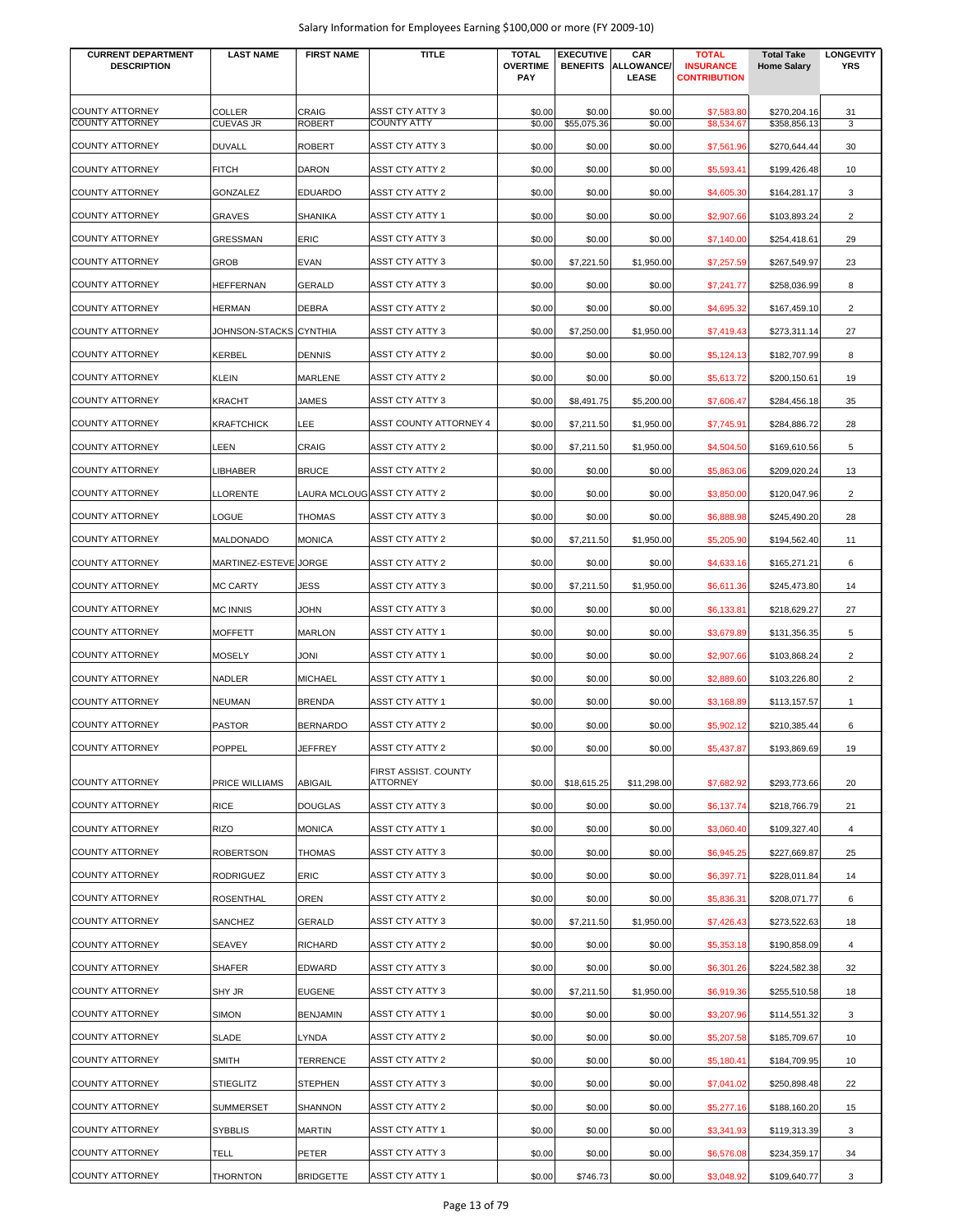| <b>CURRENT DEPARTMENT</b><br><b>DESCRIPTION</b> | <b>LAST NAME</b>       | <b>FIRST NAME</b> | TITLE                        | <b>TOTAL</b><br><b>OVERTIME</b> | <b>EXECUTIVE</b><br><b>BENEFITS</b> | CAR<br><b>ALLOWANCE/</b> | <b>TOTAL</b><br><b>INSURANCE</b> | <b>Total Take</b><br><b>Home Salary</b> | <b>LONGEVITY</b><br><b>YRS</b> |
|-------------------------------------------------|------------------------|-------------------|------------------------------|---------------------------------|-------------------------------------|--------------------------|----------------------------------|-----------------------------------------|--------------------------------|
|                                                 |                        |                   |                              | <b>PAY</b>                      |                                     | LEASE                    | <b>CONTRIBUTION</b>              |                                         |                                |
| <b>COUNTY ATTORNEY</b>                          | <b>COLLER</b>          | <b>CRAIG</b>      | ASST CTY ATTY 3              | \$0.00                          | \$0.00                              | \$0.00                   | \$7,583.80                       | \$270,204.16                            | 31                             |
| <b>COUNTY ATTORNEY</b>                          | <b>CUEVAS JR</b>       | <b>ROBERT</b>     | <b>COUNTY ATTY</b>           | \$0.00                          | \$55,075.36                         | \$0.00                   | \$8,534.67                       | \$358,856.13                            | 3                              |
| <b>COUNTY ATTORNEY</b>                          | <b>DUVALL</b>          | <b>ROBERT</b>     | ASST CTY ATTY 3              | \$0.00                          | \$0.00                              | \$0.00                   | \$7,561.96                       | \$270,644.44                            | 30                             |
| COUNTY ATTORNEY                                 | <b>FITCH</b>           | <b>DARON</b>      | ASST CTY ATTY 2              | \$0.00                          | \$0.00                              | \$0.00                   | \$5,593.41                       | \$199,426.48                            | 10                             |
| <b>COUNTY ATTORNEY</b>                          | GONZALEZ               | <b>EDUARDO</b>    | ASST CTY ATTY 2              | \$0.00                          | \$0.00                              | \$0.00                   | \$4,605.30                       | \$164,281.17                            | 3                              |
| COUNTY ATTORNEY                                 | GRAVES                 | <b>SHANIKA</b>    | ASST CTY ATTY 1              | \$0.00                          | \$0.00                              | \$0.00                   | \$2,907.66                       | \$103,893.24                            | $\overline{c}$                 |
| <b>COUNTY ATTORNEY</b>                          | GRESSMAN               | <b>ERIC</b>       | ASST CTY ATTY 3              | \$0.00                          | \$0.00                              | \$0.00                   | \$7,140.00                       | \$254,418.61                            | 29                             |
| COUNTY ATTORNEY                                 | GROB                   | <b>EVAN</b>       | ASST CTY ATTY 3              | \$0.00                          | \$7,221.50                          | \$1,950.00               | \$7,257.59                       | \$267,549.97                            | 23                             |
| COUNTY ATTORNEY                                 | <b>HEFFERNAN</b>       | <b>GERALD</b>     | ASST CTY ATTY 3              | \$0.00                          | \$0.00                              | \$0.00                   | \$7,241.77                       | \$258,036.99                            | 8                              |
| COUNTY ATTORNEY                                 | <b>HERMAN</b>          | <b>DEBRA</b>      | ASST CTY ATTY 2              | \$0.00                          | \$0.00                              | \$0.00                   | \$4,695.32                       | \$167,459.10                            | $\overline{c}$                 |
| <b>COUNTY ATTORNEY</b>                          | JOHNSON-STACKS CYNTHIA |                   | ASST CTY ATTY 3              | \$0.00                          | \$7,250.00                          | \$1,950.00               | \$7,419.43                       | \$273,311.14                            | 27                             |
| <b>COUNTY ATTORNEY</b>                          | KERBEL                 | <b>DENNIS</b>     | ASST CTY ATTY 2              | \$0.00                          | \$0.00                              | \$0.00                   | \$5,124.13                       | \$182,707.99                            | 8                              |
| <b>COUNTY ATTORNEY</b>                          | KLEIN                  | <b>MARLENE</b>    | ASST CTY ATTY 2              | \$0.00                          | \$0.00                              | \$0.00                   | \$5,613.72                       | \$200,150.61                            | 19                             |
| <b>COUNTY ATTORNEY</b>                          | KRACHT                 | <b>JAMES</b>      | ASST CTY ATTY 3              | \$0.00                          | \$8,491.75                          | \$5,200.00               | \$7,606.47                       | \$284,456.18                            | 35                             |
| COUNTY ATTORNEY                                 | <b>KRAFTCHICK</b>      | LEE               | ASST COUNTY ATTORNEY 4       | \$0.00                          | \$7,211.50                          | \$1,950.00               | \$7,745.91                       | \$284,886.72                            | 28                             |
| COUNTY ATTORNEY                                 | <b>LEEN</b>            | CRAIG             | ASST CTY ATTY 2              | \$0.00                          | \$7,211.50                          | \$1,950.00               | \$4,504.50                       | \$169,610.56                            | 5                              |
| <b>COUNTY ATTORNEY</b>                          | LIBHABER               | <b>BRUCE</b>      | ASST CTY ATTY 2              | \$0.00                          | \$0.00                              | \$0.00                   | \$5,863.06                       | \$209,020.24                            | 13                             |
| COUNTY ATTORNEY                                 | LLORENTE               |                   | LAURA MCLOUG ASST CTY ATTY 2 | \$0.00                          | \$0.00                              | \$0.00                   | \$3,850.00                       | \$120,047.96                            | $\overline{2}$                 |
| <b>COUNTY ATTORNEY</b>                          | LOGUE                  | <b>THOMAS</b>     | ASST CTY ATTY 3              | \$0.00                          | \$0.00                              | \$0.00                   | \$6,888.98                       | \$245,490.20                            | 28                             |
| COUNTY ATTORNEY                                 | MALDONADO              | <b>MONICA</b>     | ASST CTY ATTY 2              | \$0.00                          | \$7,211.50                          | \$1,950.00               | \$5,205.90                       | \$194,562.40                            | 11                             |
| COUNTY ATTORNEY                                 | MARTINEZ-ESTEVE JORGE  |                   | ASST CTY ATTY 2              | \$0.00                          | \$0.00                              | \$0.00                   | \$4,633.16                       | \$165,271.21                            | 6                              |
| COUNTY ATTORNEY                                 | <b>MC CARTY</b>        | <b>JESS</b>       | ASST CTY ATTY 3              | \$0.00                          | \$7,211.50                          | \$1,950.00               | \$6,611.36                       | \$245,473.80                            | 14                             |
| COUNTY ATTORNEY                                 | <b>MC INNIS</b>        | <b>JOHN</b>       | ASST CTY ATTY 3              | \$0.00                          | \$0.00                              | \$0.00                   | \$6,133.81                       | \$218,629.27                            | 27                             |
| <b>COUNTY ATTORNEY</b>                          | MOFFETT                | <b>MARLON</b>     | <b>ASST CTY ATTY 1</b>       | \$0.00                          | \$0.00                              | \$0.00                   | \$3,679.89                       | \$131,356.35                            | 5                              |
| <b>COUNTY ATTORNEY</b>                          | <b>MOSELY</b>          | <b>JONI</b>       | <b>ASST CTY ATTY 1</b>       | \$0.00                          | \$0.00                              | \$0.00                   | \$2,907.66                       | \$103,868.24                            | $\overline{2}$                 |
| <b>COUNTY ATTORNEY</b>                          | NADLER                 | <b>MICHAEL</b>    | <b>ASST CTY ATTY 1</b>       | \$0.00                          | \$0.00                              | \$0.00                   | \$2,889.60                       | \$103,226.80                            | 2                              |
| <b>COUNTY ATTORNEY</b>                          | NEUMAN                 | <b>BRENDA</b>     | <b>ASST CTY ATTY 1</b>       | \$0.00                          | \$0.00                              | \$0.00                   | \$3,168.89                       | \$113,157.57                            | $\mathbf{1}$                   |
| <b>COUNTY ATTORNEY</b>                          | <b>PASTOR</b>          | <b>BERNARDO</b>   | <b>ASST CTY ATTY 2</b>       | \$0.00                          | \$0.00                              | \$0.00                   | \$5,902.12                       | \$210,385.44                            | 6                              |
| <b>COUNTY ATTORNEY</b>                          | POPPEL                 | JEFFREY           | ASST CTY ATTY 2              | \$0.00                          | \$0.00                              | \$0.00                   | \$5,437.87                       | \$193,869.69                            | 19                             |
|                                                 |                        |                   | FIRST ASSIST. COUNTY         |                                 |                                     |                          |                                  |                                         |                                |
| <b>COUNTY ATTORNEY</b>                          | PRICE WILLIAMS         | <b>ABIGAIL</b>    | ATTORNEY                     | \$0.00                          | \$18,615.25                         | \$11,298.00              | \$7,682.92                       | \$293,773.66                            | 20                             |
| COUNTY ATTORNEY                                 | <b>RICE</b>            | <b>DOUGLAS</b>    | ASST CTY ATTY 3              | \$0.00                          | \$0.00                              | \$0.00                   | \$6,137.74                       | \$218,766.79                            | 21                             |
| COUNTY ATTORNEY                                 | RIZO                   | <b>MONICA</b>     | <b>ASST CTY ATTY 1</b>       | \$0.00                          | \$0.00                              | \$0.00                   | \$3,060.40                       | \$109,327.40                            | $\overline{4}$                 |
| COUNTY ATTORNEY                                 | <b>ROBERTSON</b>       | <b>THOMAS</b>     | ASST CTY ATTY 3              | \$0.00                          | \$0.00                              | \$0.00                   | \$6,945.25                       | \$227,669.87                            | 25                             |
| COUNTY ATTORNEY                                 | RODRIGUEZ              | ERIC              | ASST CTY ATTY 3              | \$0.00                          | \$0.00                              | \$0.00                   | \$6,397.71                       | \$228,011.84                            | 14                             |
| COUNTY ATTORNEY                                 | <b>ROSENTHAL</b>       | <b>OREN</b>       | ASST CTY ATTY 2              | \$0.00                          | \$0.00                              | \$0.00                   | \$5,836.31                       | \$208,071.77                            | 6                              |
| <b>COUNTY ATTORNEY</b>                          | SANCHEZ                | GERALD            | ASST CTY ATTY 3              | \$0.00                          | \$7,211.50                          | \$1,950.00               | \$7,426.43                       | \$273,522.63                            | 18                             |
| <b>COUNTY ATTORNEY</b>                          | SEAVEY                 | <b>RICHARD</b>    | ASST CTY ATTY 2              | \$0.00                          | \$0.00                              | \$0.00                   | \$5,353.18                       | \$190,858.09                            | 4                              |
| <b>COUNTY ATTORNEY</b>                          | SHAFER                 | <b>EDWARD</b>     | ASST CTY ATTY 3              | \$0.00                          | \$0.00                              | \$0.00                   | \$6,301.26                       | \$224,582.38                            | 32                             |
| COUNTY ATTORNEY                                 | SHY JR                 | <b>EUGENE</b>     | <b>ASST CTY ATTY 3</b>       | \$0.00                          | \$7,211.50                          | \$1,950.00               | \$6,919.36                       | \$255,510.58                            | 18                             |
| COUNTY ATTORNEY                                 | <b>SIMON</b>           | <b>BENJAMIN</b>   | <b>ASST CTY ATTY 1</b>       | \$0.00                          | \$0.00                              | \$0.00                   | \$3,207.96                       | \$114,551.32                            | 3                              |
| COUNTY ATTORNEY                                 | SLADE                  | <b>LYNDA</b>      | ASST CTY ATTY 2              | \$0.00                          | \$0.00                              | \$0.00                   | \$5,207.58                       | \$185,709.67                            | 10                             |
| COUNTY ATTORNEY                                 | <b>SMITH</b>           | <b>TERRENCE</b>   | ASST CTY ATTY 2              | \$0.00                          | \$0.00                              | \$0.00                   | \$5,180.41                       | \$184,709.95                            | 10                             |
| COUNTY ATTORNEY                                 | <b>STIEGLITZ</b>       | <b>STEPHEN</b>    | ASST CTY ATTY 3              | \$0.00                          | \$0.00                              | \$0.00                   | \$7,041.02                       | \$250,898.48                            | 22                             |
| COUNTY ATTORNEY                                 | SUMMERSET              | SHANNON           | <b>ASST CTY ATTY 2</b>       | \$0.00                          | \$0.00                              | \$0.00                   | \$5,277.16                       | \$188,160.20                            | 15                             |
| COUNTY ATTORNEY                                 | <b>SYBBLIS</b>         | <b>MARTIN</b>     | ASST CTY ATTY 1              | \$0.00                          | \$0.00                              | \$0.00                   | \$3,341.93                       | \$119,313.39                            | 3                              |
| COUNTY ATTORNEY                                 | TELL                   | PETER             | ASST CTY ATTY 3              | \$0.00                          | \$0.00                              | \$0.00                   | \$6,576.08                       | \$234,359.17                            | 34                             |
| COUNTY ATTORNEY                                 | THORNTON               | <b>BRIDGETTE</b>  | ASST CTY ATTY 1              | \$0.00                          | \$746.73                            | \$0.00                   | \$3,048.92                       | \$109,640.77                            | 3                              |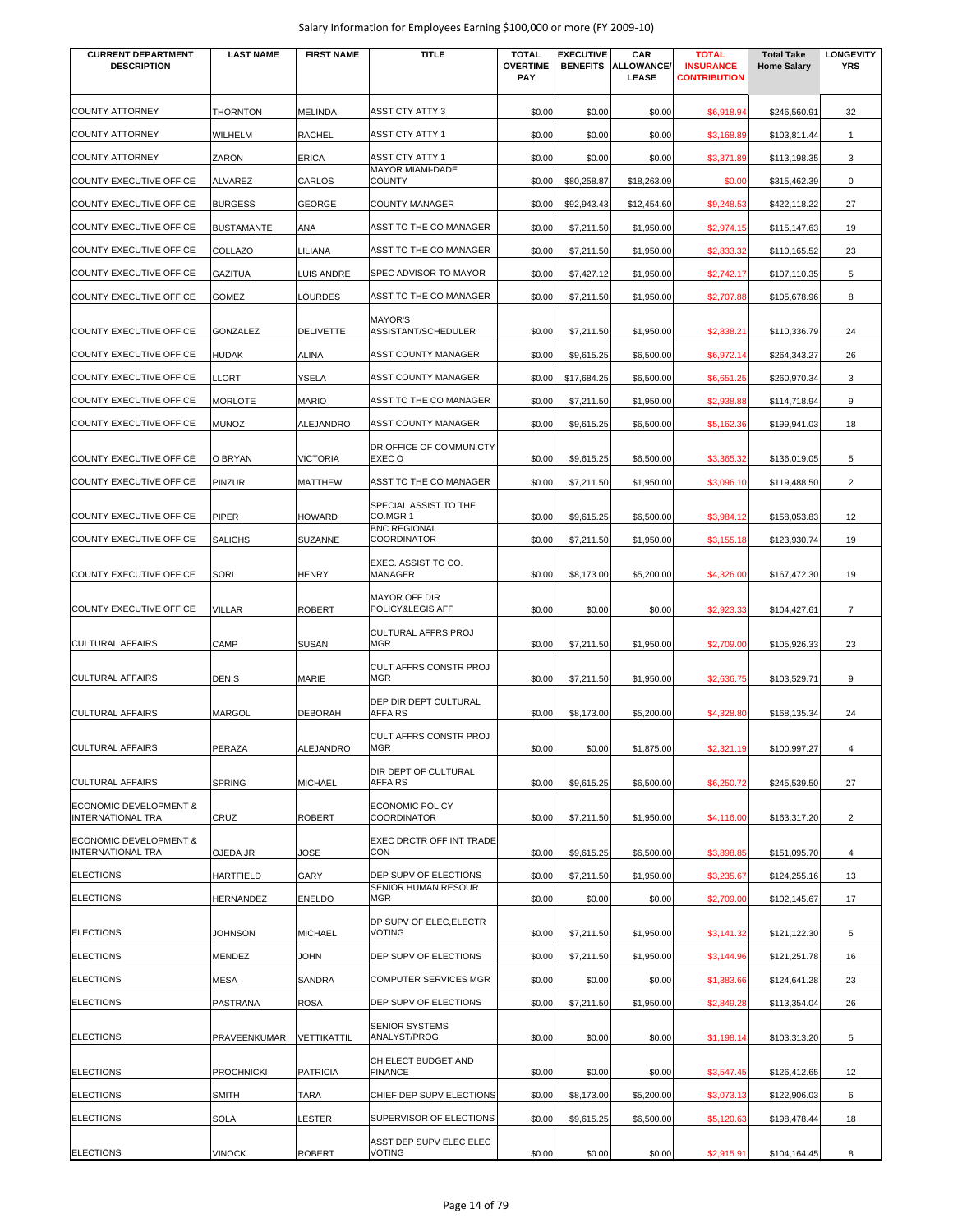| <b>CURRENT DEPARTMENT</b><br><b>DESCRIPTION</b>               | <b>LAST NAME</b>  | <b>FIRST NAME</b> | <b>TITLE</b>                              | <b>TOTAL</b><br><b>OVERTIME</b><br>PAY | <b>EXECUTIVE</b><br><b>BENEFITS</b> | CAR<br>ALLOWANCE/<br>LEASE | <b>TOTAL</b><br><b>INSURANCE</b><br><b>CONTRIBUTION</b> | <b>Total Take</b><br><b>Home Salary</b> | <b>LONGEVITY</b><br><b>YRS</b> |
|---------------------------------------------------------------|-------------------|-------------------|-------------------------------------------|----------------------------------------|-------------------------------------|----------------------------|---------------------------------------------------------|-----------------------------------------|--------------------------------|
| COUNTY ATTORNEY                                               | <b>THORNTON</b>   | <b>MELINDA</b>    | <b>ASST CTY ATTY 3</b>                    | \$0.00                                 | \$0.00                              | \$0.00                     | \$6,918.94                                              | \$246,560.91                            | 32                             |
| COUNTY ATTORNEY                                               | WILHELM           | <b>RACHEL</b>     | ASST CTY ATTY 1                           | \$0.00                                 | \$0.00                              | \$0.00                     | \$3,168.89                                              | \$103,811.44                            | $\mathbf{1}$                   |
| COUNTY ATTORNEY                                               | ZARON             | <b>ERICA</b>      | <b>ASST CTY ATTY 1</b>                    | \$0.00                                 | \$0.00                              | \$0.00                     | \$3,371.89                                              | \$113,198.35                            | 3                              |
| COUNTY EXECUTIVE OFFICE                                       | ALVAREZ           | CARLOS            | <b>MAYOR MIAMI-DADE</b><br><b>COUNTY</b>  | \$0.00                                 | \$80,258.87                         | \$18,263.09                | \$0.00                                                  | \$315,462.39                            | 0                              |
| COUNTY EXECUTIVE OFFICE                                       | <b>BURGESS</b>    | <b>GEORGE</b>     | <b>COUNTY MANAGER</b>                     | \$0.00                                 | \$92,943.43                         | \$12,454.60                | \$9,248.53                                              | \$422,118.22                            | 27                             |
| COUNTY EXECUTIVE OFFICE                                       | <b>BUSTAMANTE</b> | ANA               | ASST TO THE CO MANAGER                    | \$0.00                                 | \$7,211.50                          | \$1,950.00                 | \$2,974.15                                              | \$115,147.63                            | 19                             |
| COUNTY EXECUTIVE OFFICE                                       | COLLAZO           | LILIANA           | ASST TO THE CO MANAGER                    | \$0.00                                 | \$7,211.50                          | \$1,950.00                 | \$2,833.32                                              | \$110,165.52                            | 23                             |
| COUNTY EXECUTIVE OFFICE                                       | GAZITUA           | <b>LUIS ANDRE</b> | SPEC ADVISOR TO MAYOR                     | \$0.00                                 | \$7,427.12                          | \$1,950.00                 | \$2,742.17                                              | \$107,110.35                            | 5                              |
| COUNTY EXECUTIVE OFFICE                                       | <b>GOMEZ</b>      | <b>LOURDES</b>    | ASST TO THE CO MANAGER                    | \$0.00                                 | \$7,211.50                          | \$1,950.00                 | \$2,707.88                                              | \$105,678.96                            | 8                              |
|                                                               |                   |                   | <b>MAYOR'S</b>                            |                                        |                                     |                            |                                                         |                                         |                                |
| COUNTY EXECUTIVE OFFICE                                       | GONZALEZ          | <b>DELIVETTE</b>  | ASSISTANT/SCHEDULER                       | \$0.00                                 | \$7,211.50                          | \$1,950.00                 | \$2,838.21                                              | \$110,336.79                            | 24                             |
| COUNTY EXECUTIVE OFFICE                                       | HUDAK             | <b>ALINA</b>      | ASST COUNTY MANAGER                       | \$0.00                                 | \$9,615.25                          | \$6,500.00                 | \$6,972.14                                              | \$264,343.27                            | 26                             |
| COUNTY EXECUTIVE OFFICE                                       | LLORT             | <b>YSELA</b>      | ASST COUNTY MANAGER                       | \$0.00                                 | \$17,684.25                         | \$6,500.00                 | \$6,651.25                                              | \$260,970.34                            | 3                              |
| COUNTY EXECUTIVE OFFICE                                       | <b>MORLOTE</b>    | <b>MARIO</b>      | ASST TO THE CO MANAGER                    | \$0.00                                 | \$7,211.50                          | \$1,950.00                 | \$2,938.88                                              | \$114,718.94                            | 9                              |
| COUNTY EXECUTIVE OFFICE                                       | <b>MUNOZ</b>      | <b>ALEJANDRO</b>  | ASST COUNTY MANAGER                       | \$0.00                                 | \$9,615.25                          | \$6,500.00                 | \$5,162.36                                              | \$199,941.03                            | 18                             |
| COUNTY EXECUTIVE OFFICE                                       | O BRYAN           | <b>VICTORIA</b>   | DR OFFICE OF COMMUN.CTY<br>EXEC O         | \$0.00                                 | \$9,615.25                          | \$6,500.00                 | \$3,365.32                                              | \$136,019.05                            | 5                              |
| COUNTY EXECUTIVE OFFICE                                       | PINZUR            | <b>MATTHEW</b>    | ASST TO THE CO MANAGER                    | \$0.00                                 | \$7,211.50                          | \$1,950.00                 | \$3,096.10                                              | \$119,488.50                            | $\overline{2}$                 |
| COUNTY EXECUTIVE OFFICE                                       | PIPER             | <b>HOWARD</b>     | SPECIAL ASSIST.TO THE<br>CO.MGR 1         | \$0.00                                 | \$9,615.25                          | \$6,500.00                 | \$3,984.12                                              | \$158,053.83                            | 12                             |
| COUNTY EXECUTIVE OFFICE                                       | SALICHS           | <b>SUZANNE</b>    | <b>BNC REGIONAL</b><br><b>COORDINATOR</b> | \$0.00                                 | \$7,211.50                          | \$1,950.00                 | \$3,155.18                                              | \$123,930.74                            | 19                             |
| COUNTY EXECUTIVE OFFICE                                       | SORI              | <b>HENRY</b>      | EXEC. ASSIST TO CO.<br>MANAGER            | \$0.00                                 | \$8,173.00                          | \$5,200.00                 | \$4,326.00                                              | \$167,472.30                            | 19                             |
| COUNTY EXECUTIVE OFFICE                                       | VILLAR            | <b>ROBERT</b>     | <b>MAYOR OFF DIR</b><br>POLICY&LEGIS AFF  | \$0.00                                 | \$0.00                              | \$0.00                     | \$2,923.33                                              | \$104,427.61                            | $\overline{7}$                 |
| <b>CULTURAL AFFAIRS</b>                                       | CAMP              | <b>SUSAN</b>      | CULTURAL AFFRS PROJ<br><b>MGR</b>         | \$0.00                                 | \$7,211.50                          | \$1,950.00                 | \$2,709.00                                              | \$105,926.33                            | 23                             |
| <b>CULTURAL AFFAIRS</b>                                       | DENIS             | MARIE             | CULT AFFRS CONSTR PROJ<br><b>MGR</b>      | \$0.00                                 | \$7,211.50                          | \$1,950.00                 | \$2,636.75                                              | \$103,529.71                            | 9                              |
| <b>CULTURAL AFFAIRS</b>                                       | <b>MARGOL</b>     | <b>DEBORAH</b>    | DEP DIR DEPT CULTURAL<br><b>AFFAIRS</b>   | \$0.00                                 | \$8,173.00                          | \$5,200.00                 | \$4,328.80                                              | \$168,135.34                            | 24                             |
| <b>CULTURAL AFFAIRS</b>                                       | PERAZA            | ALEJANDRO         | CULT AFFRS CONSTR PROJ<br><b>MGR</b>      | \$0.00                                 | \$0.00                              | \$1,875.00                 | \$2,321.19                                              | \$100,997.27                            | $\overline{4}$                 |
| <b>CULTURAL AFFAIRS</b>                                       | <b>SPRING</b>     | <b>MICHAEL</b>    | DIR DEPT OF CULTURAL<br><b>AFFAIRS</b>    | \$0.00                                 | \$9,615.25                          | \$6,500.00                 | \$6,250.72                                              | \$245,539.50                            | 27                             |
| ECONOMIC DEVELOPMENT &<br><b>INTERNATIONAL TRA</b>            | CRUZ              | <b>ROBERT</b>     | ECONOMIC POLICY<br><b>COORDINATOR</b>     | \$0.00                                 | \$7,211.50                          | \$1,950.00                 | \$4,116.00                                              | \$163,317.20                            | $\overline{2}$                 |
| <b>ECONOMIC DEVELOPMENT &amp;</b><br><b>INTERNATIONAL TRA</b> | OJEDA JR          | JOSE              | EXEC DRCTR OFF INT TRADE<br>CON           | \$0.00                                 | \$9,615.25                          | \$6,500.00                 | \$3,898.85                                              | \$151,095.70                            | 4                              |
| <b>ELECTIONS</b>                                              | HARTFIELD         | GARY              | DEP SUPV OF ELECTIONS                     | \$0.00                                 | \$7,211.50                          | \$1,950.00                 | \$3,235.67                                              | \$124,255.16                            | 13                             |
| <b>ELECTIONS</b>                                              | HERNANDEZ         | <b>ENELDO</b>     | SENIOR HUMAN RESOUR<br><b>MGR</b>         | \$0.00                                 | \$0.00                              | \$0.00                     | \$2,709.00                                              | \$102,145.67                            | 17                             |
| <b>ELECTIONS</b>                                              | <b>JOHNSON</b>    | <b>MICHAEL</b>    | DP SUPV OF ELEC, ELECTR<br><b>VOTING</b>  | \$0.00                                 | \$7,211.50                          | \$1,950.00                 | \$3,141.32                                              | \$121,122.30                            | 5                              |
| <b>ELECTIONS</b>                                              | MENDEZ            | <b>JOHN</b>       | DEP SUPV OF ELECTIONS                     | \$0.00                                 | \$7,211.50                          | \$1,950.00                 | \$3,144.96                                              | \$121,251.78                            | 16                             |
| <b>ELECTIONS</b>                                              | MESA              | SANDRA            | COMPUTER SERVICES MGR                     | \$0.00                                 | \$0.00                              | \$0.00                     | \$1,383.66                                              | \$124,641.28                            | 23                             |
| <b>ELECTIONS</b>                                              | PASTRANA          | <b>ROSA</b>       | DEP SUPV OF ELECTIONS                     | \$0.00                                 | \$7,211.50                          | \$1,950.00                 | \$2,849.28                                              | \$113,354.04                            | 26                             |
| <b>ELECTIONS</b>                                              | PRAVEENKUMAR      | VETTIKATTIL       | SENIOR SYSTEMS<br>ANALYST/PROG            | \$0.00                                 | \$0.00                              | \$0.00                     | \$1,198.14                                              | \$103,313.20                            | 5                              |
| <b>ELECTIONS</b>                                              | <b>PROCHNICKI</b> | <b>PATRICIA</b>   | CH ELECT BUDGET AND<br><b>FINANCE</b>     | \$0.00                                 | \$0.00                              | \$0.00                     | \$3,547.45                                              | \$126,412.65                            | 12                             |
| <b>ELECTIONS</b>                                              | SMITH             | TARA              | CHIEF DEP SUPV ELECTIONS                  | \$0.00                                 | \$8,173.00                          | \$5,200.00                 | \$3,073.13                                              | \$122,906.03                            | 6                              |
| <b>ELECTIONS</b>                                              | SOLA              | LESTER            | SUPERVISOR OF ELECTIONS                   | \$0.00                                 | \$9,615.25                          | \$6,500.00                 | \$5,120.63                                              | \$198,478.44                            | 18                             |
| <b>ELECTIONS</b>                                              | <b>VINOCK</b>     | <b>ROBERT</b>     | ASST DEP SUPV ELEC ELEC<br>VOTING         | \$0.00                                 | \$0.00                              | \$0.00                     | \$2,915.91                                              | \$104,164.45                            | 8                              |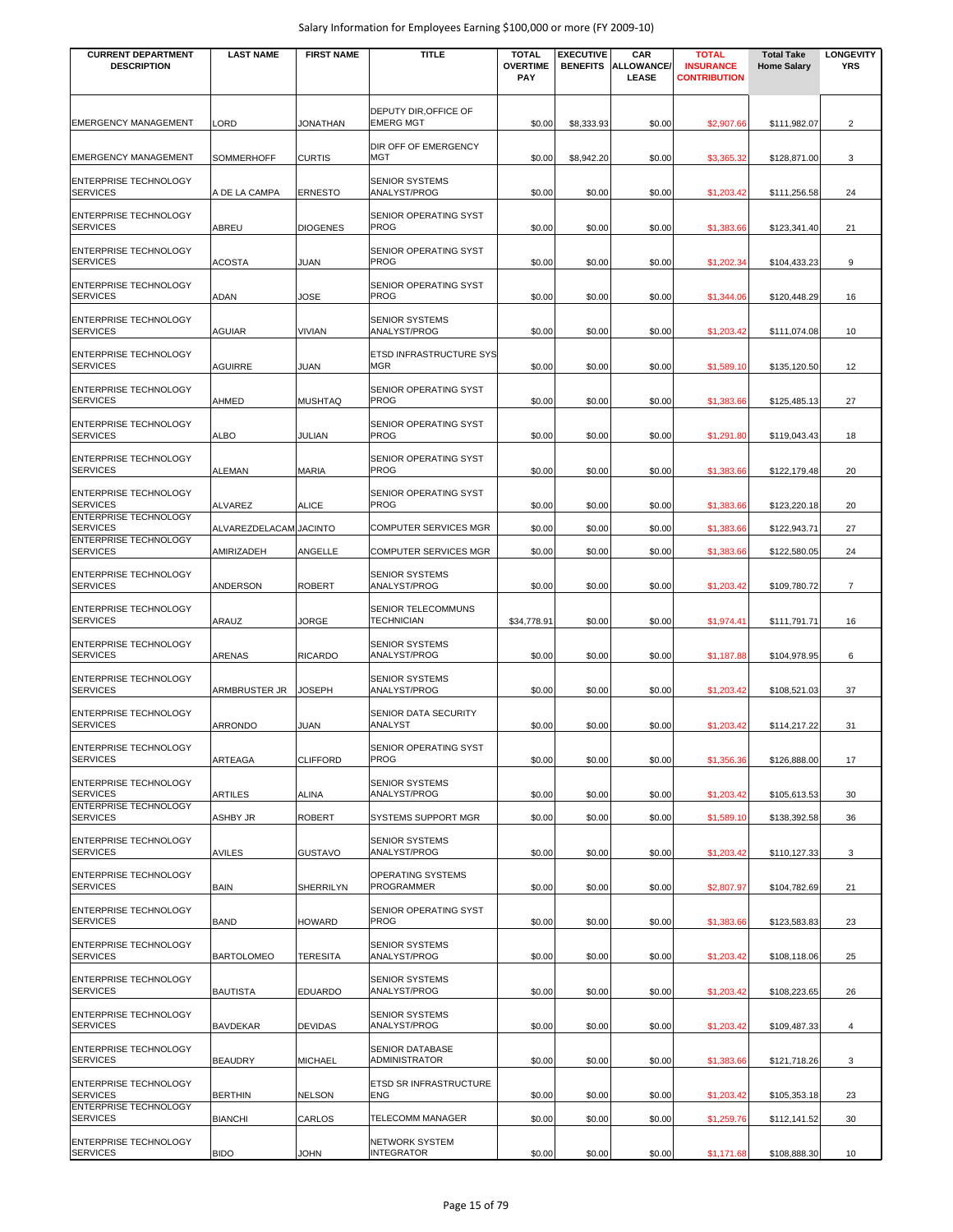| <b>CURRENT DEPARTMENT</b><br><b>DESCRIPTION</b> | <b>LAST NAME</b>       | <b>FIRST NAME</b> | <b>TITLE</b>                              | <b>TOTAL</b><br><b>OVERTIME</b><br><b>PAY</b> | <b>EXECUTIVE</b><br><b>BENEFITS</b> | CAR<br><b>ALLOWANCE/</b><br>LEASE | <b>TOTAL</b><br><b>INSURANCE</b><br><b>CONTRIBUTION</b> | <b>Total Take</b><br><b>Home Salary</b> | <b>LONGEVITY</b><br><b>YRS</b> |
|-------------------------------------------------|------------------------|-------------------|-------------------------------------------|-----------------------------------------------|-------------------------------------|-----------------------------------|---------------------------------------------------------|-----------------------------------------|--------------------------------|
| <b>EMERGENCY MANAGEMENT</b>                     | LORD                   | JONATHAN          | DEPUTY DIR, OFFICE OF<br><b>EMERG MGT</b> | \$0.00                                        | \$8,333.93                          | \$0.00                            | \$2,907.66                                              | \$111,982.07                            | 2                              |
| <b>EMERGENCY MANAGEMENT</b>                     | SOMMERHOFF             | <b>CURTIS</b>     | DIR OFF OF EMERGENCY<br>MGT               | \$0.00                                        | \$8,942.20                          | \$0.00                            | \$3,365.32                                              | \$128,871.00                            | 3                              |
| ENTERPRISE TECHNOLOGY<br><b>SERVICES</b>        | A DE LA CAMPA          | <b>ERNESTO</b>    | <b>SENIOR SYSTEMS</b><br>ANALYST/PROG     | \$0.00                                        | \$0.00                              | \$0.00                            | \$1,203.42                                              | \$111,256.58                            | 24                             |
| ENTERPRISE TECHNOLOGY<br><b>SERVICES</b>        | ABREU                  | <b>DIOGENES</b>   | SENIOR OPERATING SYST<br>PROG             | \$0.00                                        | \$0.00                              | \$0.00                            | \$1,383.66                                              | \$123,341.40                            | 21                             |
| ENTERPRISE TECHNOLOGY<br><b>SERVICES</b>        | <b>ACOSTA</b>          | <b>JUAN</b>       | SENIOR OPERATING SYST<br><b>PROG</b>      | \$0.00                                        | \$0.00                              | \$0.00                            | \$1,202.34                                              | \$104,433.23                            | 9                              |
| ENTERPRISE TECHNOLOGY<br><b>SERVICES</b>        | ADAN                   | JOSE              | SENIOR OPERATING SYST<br><b>PROG</b>      | \$0.00                                        | \$0.00                              | \$0.00                            | \$1,344.06                                              | \$120,448.29                            | 16                             |
| ENTERPRISE TECHNOLOGY<br><b>SERVICES</b>        | AGUIAR                 | <b>VIVIAN</b>     | <b>SENIOR SYSTEMS</b><br>ANALYST/PROG     | \$0.00                                        | \$0.00                              | \$0.00                            | \$1,203.42                                              | \$111,074.08                            | 10                             |
| ENTERPRISE TECHNOLOGY<br><b>SERVICES</b>        | AGUIRRE                | JUAN              | ETSD INFRASTRUCTURE SYS<br>MGR            | \$0.00                                        | \$0.00                              | \$0.00                            | \$1,589.10                                              | \$135,120.50                            | 12                             |
| ENTERPRISE TECHNOLOGY<br><b>SERVICES</b>        | AHMED                  | <b>MUSHTAQ</b>    | SENIOR OPERATING SYST<br><b>PROG</b>      | \$0.00                                        | \$0.00                              | \$0.00                            | \$1,383.66                                              | \$125,485.13                            | 27                             |
| ENTERPRISE TECHNOLOGY<br><b>SERVICES</b>        | ALBO                   | JULIAN            | SENIOR OPERATING SYST<br>PROG             | \$0.00                                        | \$0.00                              | \$0.00                            | \$1,291.80                                              | \$119,043.43                            | 18                             |
| ENTERPRISE TECHNOLOGY<br><b>SERVICES</b>        | ALEMAN                 | <b>MARIA</b>      | SENIOR OPERATING SYST<br>PROG             | \$0.00                                        | \$0.00                              | \$0.00                            | \$1,383.66                                              | \$122,179.48                            | 20                             |
| ENTERPRISE TECHNOLOGY<br><b>SERVICES</b>        | ALVAREZ                | <b>ALICE</b>      | SENIOR OPERATING SYST<br>PROG             | \$0.00                                        | \$0.00                              | \$0.00                            | \$1,383.66                                              | \$123,220.18                            | 20                             |
| ENTERPRISE TECHNOLOGY<br><b>SERVICES</b>        | ALVAREZDELACAM JACINTO |                   | <b>COMPUTER SERVICES MGR</b>              | \$0.00                                        | \$0.00                              | \$0.00                            | \$1,383.66                                              | \$122,943.71                            | 27                             |
| ENTERPRISE TECHNOLOGY<br><b>SERVICES</b>        | AMIRIZADEH             | ANGELLE           | <b>COMPUTER SERVICES MGR</b>              | \$0.00                                        | \$0.00                              | \$0.00                            | \$1,383.66                                              | \$122,580.05                            | 24                             |
| ENTERPRISE TECHNOLOGY<br><b>SERVICES</b>        | ANDERSON               | <b>ROBERT</b>     | <b>SENIOR SYSTEMS</b><br>ANALYST/PROG     | \$0.00                                        | \$0.00                              | \$0.00                            | \$1,203.42                                              | \$109,780.72                            | $\overline{7}$                 |
| ENTERPRISE TECHNOLOGY<br><b>SERVICES</b>        | ARAUZ                  | JORGE             | SENIOR TELECOMMUNS<br>TECHNICIAN          | \$34,778.91                                   | \$0.00                              | \$0.00                            | \$1,974.41                                              | \$111,791.71                            | 16                             |
| ENTERPRISE TECHNOLOGY<br><b>SERVICES</b>        | ARENAS                 | <b>RICARDO</b>    | <b>SENIOR SYSTEMS</b><br>ANALYST/PROG     | \$0.00                                        | \$0.00                              | \$0.00                            | \$1,187.88                                              | \$104,978.95                            | 6                              |
| ENTERPRISE TECHNOLOGY<br><b>SERVICES</b>        | ARMBRUSTER JR          | <b>JOSEPH</b>     | <b>SENIOR SYSTEMS</b><br>ANALYST/PROG     | \$0.00                                        | \$0.00                              | \$0.00                            | \$1,203.42                                              | \$108,521.03                            | 37                             |
| ENTERPRISE TECHNOLOGY<br><b>SERVICES</b>        | ARRONDO                | JUAN              | SENIOR DATA SECURITY<br>ANALYST           | \$0.00                                        | \$0.00                              | \$0.00                            | \$1,203.42                                              | \$114,217.22                            | 31                             |
| ENTERPRISE TECHNOLOGY<br><b>SERVICES</b>        | ARTEAGA                | <b>CLIFFORD</b>   | SENIOR OPERATING SYST<br><b>PROG</b>      | \$0.00                                        | \$0.00                              | \$0.00                            | \$1,356.36                                              | \$126,888.00                            | 17                             |
| ENTERPRISE TECHNOLOGY<br><b>SERVICES</b>        | ARTILES                | <b>ALINA</b>      | <b>SENIOR SYSTEMS</b><br>ANALYST/PROG     | \$0.00                                        | \$0.00                              | \$0.00                            | \$1,203.42                                              | \$105,613.53                            | 30                             |
| ENTERPRISE TECHNOLOGY<br><b>SERVICES</b>        | ASHBY JR               | <b>ROBERT</b>     | <b>SYSTEMS SUPPORT MGR</b>                | \$0.00                                        | \$0.00                              | \$0.00                            | \$1,589.10                                              | \$138,392.58                            | 36                             |
| ENTERPRISE TECHNOLOGY<br><b>SERVICES</b>        | <b>AVILES</b>          | <b>GUSTAVO</b>    | <b>SENIOR SYSTEMS</b><br>ANALYST/PROG     | \$0.00                                        | \$0.00                              | \$0.00                            | \$1,203.42                                              | \$110,127.33                            | 3                              |
| ENTERPRISE TECHNOLOGY<br><b>SERVICES</b>        | BAIN                   | SHERRILYN         | OPERATING SYSTEMS<br>PROGRAMMER           | \$0.00                                        | \$0.00                              | \$0.00                            | \$2,807.97                                              | \$104,782.69                            | 21                             |
| <b>ENTERPRISE TECHNOLOGY</b><br><b>SERVICES</b> | <b>BAND</b>            | <b>HOWARD</b>     | SENIOR OPERATING SYST<br>PROG             | \$0.00                                        | \$0.00                              | \$0.00                            | \$1,383.66                                              | \$123,583.83                            | 23                             |
| ENTERPRISE TECHNOLOGY<br><b>SERVICES</b>        | <b>BARTOLOMEO</b>      | TERESITA          | <b>SENIOR SYSTEMS</b><br>ANALYST/PROG     | \$0.00                                        | \$0.00                              | \$0.00                            | \$1,203.42                                              | \$108,118.06                            | 25                             |
| ENTERPRISE TECHNOLOGY<br><b>SERVICES</b>        | <b>BAUTISTA</b>        | <b>EDUARDO</b>    | <b>SENIOR SYSTEMS</b><br>ANALYST/PROG     | \$0.00                                        | \$0.00                              | \$0.00                            | \$1,203.42                                              | \$108,223.65                            | 26                             |
| ENTERPRISE TECHNOLOGY<br><b>SERVICES</b>        | <b>BAVDEKAR</b>        | <b>DEVIDAS</b>    | <b>SENIOR SYSTEMS</b><br>ANALYST/PROG     | \$0.00                                        | \$0.00                              | \$0.00                            | \$1,203.42                                              | \$109,487.33                            | 4                              |
| ENTERPRISE TECHNOLOGY<br><b>SERVICES</b>        | <b>BEAUDRY</b>         | <b>MICHAEL</b>    | SENIOR DATABASE<br>ADMINISTRATOR          | \$0.00                                        | \$0.00                              | \$0.00                            | \$1,383.66                                              | \$121,718.26                            | 3                              |
| ENTERPRISE TECHNOLOGY<br><b>SERVICES</b>        | <b>BERTHIN</b>         | <b>NELSON</b>     | ETSD SR INFRASTRUCTURE<br>ENG             | \$0.00                                        | \$0.00                              | \$0.00                            | \$1,203.42                                              | \$105,353.18                            | 23                             |
| ENTERPRISE TECHNOLOGY<br><b>SERVICES</b>        | <b>BIANCHI</b>         | CARLOS            | TELECOMM MANAGER                          | \$0.00                                        | \$0.00                              | \$0.00                            | \$1,259.76                                              | \$112,141.52                            | 30                             |
| ENTERPRISE TECHNOLOGY<br><b>SERVICES</b>        | <b>BIDO</b>            | <b>JOHN</b>       | NETWORK SYSTEM<br><b>INTEGRATOR</b>       | \$0.00                                        | \$0.00                              | \$0.00                            | \$1,171.68                                              | \$108,888.30                            | 10                             |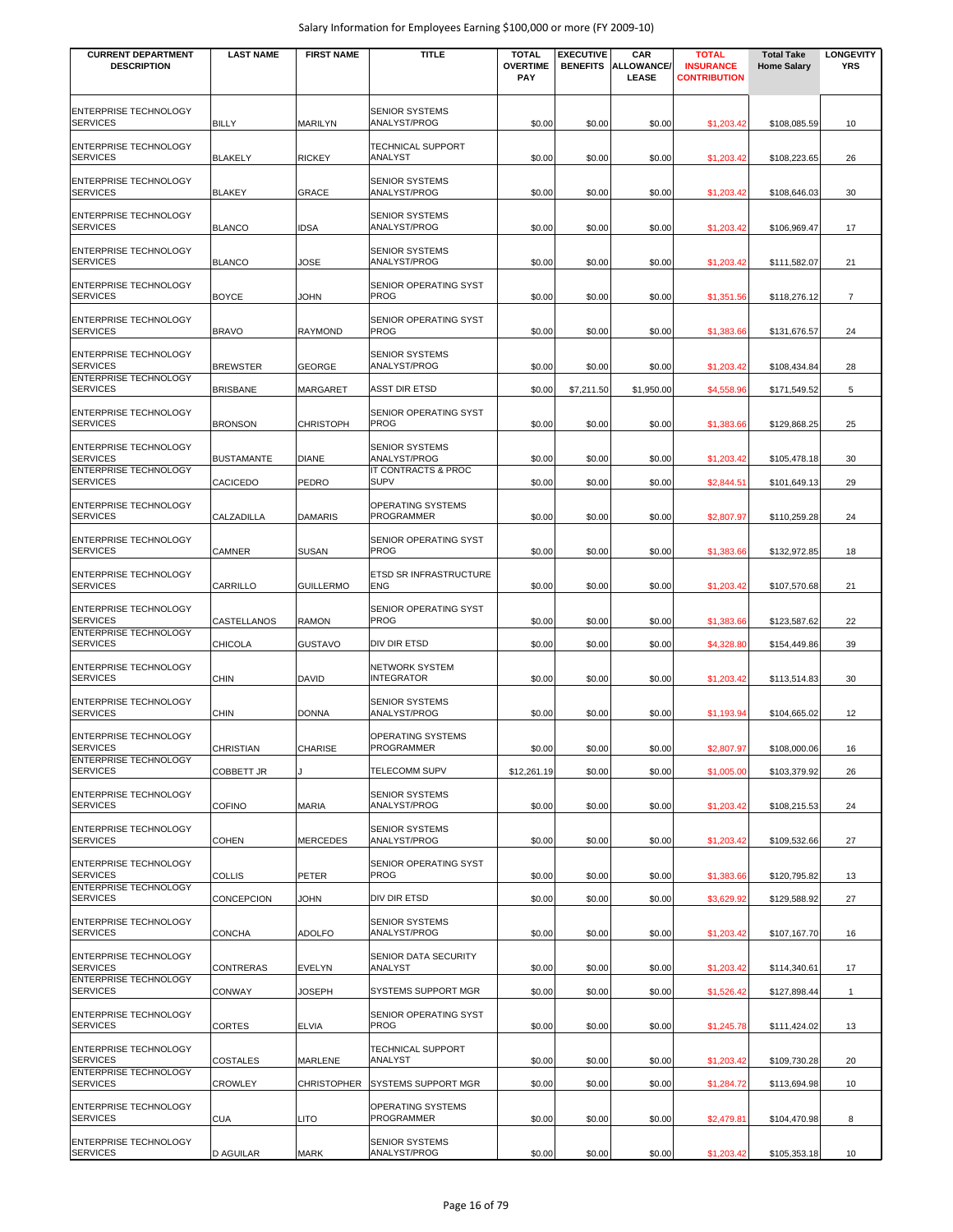| <b>CURRENT DEPARTMENT</b><br><b>DESCRIPTION</b> | <b>LAST NAME</b>  | <b>FIRST NAME</b>  | <b>TITLE</b>                               | <b>TOTAL</b><br><b>OVERTIME</b><br>PAY | <b>EXECUTIVE</b><br><b>BENEFITS</b> | CAR<br><b>ALLOWANCE/</b><br>LEASE | <b>TOTAL</b><br><b>INSURANCE</b><br><b>CONTRIBUTION</b> | <b>Total Take</b><br><b>Home Salary</b> | <b>LONGEVITY</b><br><b>YRS</b> |
|-------------------------------------------------|-------------------|--------------------|--------------------------------------------|----------------------------------------|-------------------------------------|-----------------------------------|---------------------------------------------------------|-----------------------------------------|--------------------------------|
| ENTERPRISE TECHNOLOGY<br><b>SERVICES</b>        | BILLY             | <b>MARILYN</b>     | <b>SENIOR SYSTEMS</b><br>ANALYST/PROG      | \$0.00                                 | \$0.00                              | \$0.00                            | \$1,203.42                                              | \$108.085.59                            | 10                             |
| ENTERPRISE TECHNOLOGY<br><b>SERVICES</b>        | <b>BLAKELY</b>    | <b>RICKEY</b>      | TECHNICAL SUPPORT<br>ANALYST               | \$0.00                                 | \$0.00                              | \$0.00                            | \$1,203.42                                              | \$108,223.65                            | 26                             |
| ENTERPRISE TECHNOLOGY<br><b>SERVICES</b>        | <b>BLAKEY</b>     | <b>GRACE</b>       | <b>SENIOR SYSTEMS</b><br>ANALYST/PROG      | \$0.00                                 | \$0.00                              | \$0.00                            | \$1,203.42                                              | \$108,646.03                            | 30                             |
| <b>ENTERPRISE TECHNOLOGY</b><br><b>SERVICES</b> | <b>BLANCO</b>     | <b>IDSA</b>        | <b>SENIOR SYSTEMS</b><br>ANALYST/PROG      | \$0.00                                 | \$0.00                              | \$0.00                            | \$1,203.42                                              | \$106,969.47                            | 17                             |
| ENTERPRISE TECHNOLOGY<br><b>SERVICES</b>        | <b>BLANCO</b>     | JOSE               | <b>SENIOR SYSTEMS</b><br>ANALYST/PROG      | \$0.00                                 | \$0.00                              | \$0.00                            | \$1,203.42                                              | \$111,582.07                            | 21                             |
| ENTERPRISE TECHNOLOGY<br><b>SERVICES</b>        | <b>BOYCE</b>      | JOHN               | SENIOR OPERATING SYST<br><b>PROG</b>       | \$0.00                                 | \$0.00                              | \$0.00                            | \$1,351.56                                              | \$118,276.12                            | $\overline{7}$                 |
| ENTERPRISE TECHNOLOGY<br><b>SERVICES</b>        | <b>BRAVO</b>      | <b>RAYMOND</b>     | SENIOR OPERATING SYST<br><b>PROG</b>       | \$0.00                                 | \$0.00                              | \$0.00                            | \$1,383.66                                              | \$131,676.57                            | 24                             |
| ENTERPRISE TECHNOLOGY<br><b>SERVICES</b>        | <b>BREWSTER</b>   | <b>GEORGE</b>      | <b>SENIOR SYSTEMS</b><br>ANALYST/PROG      | \$0.00                                 | \$0.00                              | \$0.00                            | \$1,203.42                                              | \$108,434.84                            | 28                             |
| ENTERPRISE TECHNOLOGY<br><b>SERVICES</b>        | <b>BRISBANE</b>   | <b>MARGARET</b>    | <b>ASST DIR ETSD</b>                       | \$0.00                                 | \$7,211.50                          | \$1,950.00                        | \$4,558.96                                              | \$171,549.52                            | 5                              |
| <b>ENTERPRISE TECHNOLOGY</b><br><b>SERVICES</b> | <b>BRONSON</b>    | <b>CHRISTOPH</b>   | SENIOR OPERATING SYST<br>PROG              | \$0.00                                 | \$0.00                              | \$0.00                            | \$1,383.66                                              | \$129,868.25                            | 25                             |
| ENTERPRISE TECHNOLOGY<br><b>SERVICES</b>        | <b>BUSTAMANTE</b> | <b>DIANE</b>       | <b>SENIOR SYSTEMS</b><br>ANALYST/PROG      | \$0.00                                 | \$0.00                              | \$0.00                            | \$1,203.42                                              | \$105,478.18                            | 30                             |
| ENTERPRISE TECHNOLOGY<br><b>SERVICES</b>        | CACICEDO          | PEDRO              | IT CONTRACTS & PROC<br><b>SUPV</b>         | \$0.00                                 | \$0.00                              | \$0.00                            | \$2,844.51                                              | \$101,649.13                            | 29                             |
| ENTERPRISE TECHNOLOGY<br><b>SERVICES</b>        | CALZADILLA        | <b>DAMARIS</b>     | OPERATING SYSTEMS<br>PROGRAMMER            | \$0.00                                 | \$0.00                              | \$0.00                            | \$2,807.97                                              | \$110,259.28                            | 24                             |
| ENTERPRISE TECHNOLOGY<br><b>SERVICES</b>        | CAMNER            | <b>SUSAN</b>       | SENIOR OPERATING SYST<br><b>PROG</b>       | \$0.00                                 | \$0.00                              | \$0.00                            | \$1,383.66                                              | \$132,972.85                            | 18                             |
| ENTERPRISE TECHNOLOGY<br><b>SERVICES</b>        | CARRILLO          | <b>GUILLERMO</b>   | ETSD SR INFRASTRUCTURE<br>ENG              | \$0.00                                 | \$0.00                              | \$0.00                            | \$1,203.42                                              | \$107,570.68                            | 21                             |
| ENTERPRISE TECHNOLOGY<br><b>SERVICES</b>        | CASTELLANOS       | <b>RAMON</b>       | SENIOR OPERATING SYST<br>PROG              | \$0.00                                 | \$0.00                              | \$0.00                            | \$1,383.66                                              | \$123,587.62                            | 22                             |
| ENTERPRISE TECHNOLOGY<br><b>SERVICES</b>        | CHICOLA           | <b>GUSTAVO</b>     | DIV DIR ETSD                               | \$0.00                                 | \$0.00                              | \$0.00                            | \$4,328.80                                              | \$154,449.86                            | 39                             |
| ENTERPRISE TECHNOLOGY<br><b>SERVICES</b>        | CHIN              | DAVID              | <b>NETWORK SYSTEM</b><br><b>INTEGRATOR</b> | \$0.00                                 | \$0.00                              | \$0.00                            | \$1,203.42                                              | \$113,514.83                            | 30                             |
| ENTERPRISE TECHNOLOGY<br><b>SERVICES</b>        | CHIN              | <b>DONNA</b>       | <b>SENIOR SYSTEMS</b><br>ANALYST/PROG      | \$0.00                                 | \$0.00                              | \$0.00                            | \$1,193.94                                              | \$104,665.02                            | 12                             |
| <b>ENTERPRISE TECHNOLOGY</b><br><b>SERVICES</b> | CHRISTIAN         | CHARISE            | OPERATING SYSTEMS<br>PROGRAMMER            | \$0.00                                 | \$0.00                              | \$0.00                            | \$2,807.97                                              | \$108,000.06                            | 16                             |
| <b>ENTERPRISE TECHNOLOGY</b><br><b>SERVICES</b> | COBBETT JR        |                    | TELECOMM SUPV                              | \$12,261.19                            | \$0.00                              | \$0.00                            | \$1,005.00                                              | \$103,379.92                            | 26                             |
| <b>ENTERPRISE TECHNOLOGY</b><br><b>SERVICES</b> | COFINO            | <b>MARIA</b>       | <b>SENIOR SYSTEMS</b><br>ANALYST/PROG      | \$0.00                                 | \$0.00                              | \$0.00                            | \$1,203.42                                              | \$108,215.53                            | 24                             |
| ENTERPRISE TECHNOLOGY<br><b>SERVICES</b>        | <b>COHEN</b>      | <b>MERCEDES</b>    | <b>SENIOR SYSTEMS</b><br>ANALYST/PROG      | \$0.00                                 | \$0.00                              | \$0.00                            | \$1,203.42                                              | \$109,532.66                            | 27                             |
| <b>ENTERPRISE TECHNOLOGY</b><br><b>SERVICES</b> | COLLIS            | PETER              | SENIOR OPERATING SYST<br><b>PROG</b>       | \$0.00                                 | \$0.00                              | \$0.00                            | \$1,383.66                                              | \$120,795.82                            | 13                             |
| ENTERPRISE TECHNOLOGY<br><b>SERVICES</b>        | CONCEPCION        | JOHN               | DIV DIR ETSD                               | \$0.00                                 | \$0.00                              | \$0.00                            | \$3,629.92                                              | \$129,588.92                            | 27                             |
| ENTERPRISE TECHNOLOGY<br><b>SERVICES</b>        | CONCHA            | <b>ADOLFO</b>      | <b>SENIOR SYSTEMS</b><br>ANALYST/PROG      | \$0.00                                 | \$0.00                              | \$0.00                            | \$1,203.42                                              | \$107,167.70                            | 16                             |
| ENTERPRISE TECHNOLOGY<br><b>SERVICES</b>        | CONTRERAS         | <b>EVELYN</b>      | SENIOR DATA SECURITY<br>ANALYST            | \$0.00                                 | \$0.00                              | \$0.00                            | \$1,203.42                                              | \$114,340.61                            | 17                             |
| ENTERPRISE TECHNOLOGY<br><b>SERVICES</b>        | CONWAY            | JOSEPH             | SYSTEMS SUPPORT MGR                        | \$0.00                                 | \$0.00                              | \$0.00                            | \$1,526.42                                              | \$127,898.44                            | $\overline{1}$                 |
| ENTERPRISE TECHNOLOGY<br><b>SERVICES</b>        | CORTES            | <b>ELVIA</b>       | SENIOR OPERATING SYST<br>PROG              | \$0.00                                 | \$0.00                              | \$0.00                            | \$1,245.78                                              | \$111,424.02                            | 13                             |
| ENTERPRISE TECHNOLOGY<br><b>SERVICES</b>        | COSTALES          | MARLENE            | TECHNICAL SUPPORT<br>ANALYST               | \$0.00                                 | \$0.00                              | \$0.00                            | \$1,203.42                                              | \$109,730.28                            | 20                             |
| ENTERPRISE TECHNOLOGY<br><b>SERVICES</b>        | CROWLEY           | <b>CHRISTOPHER</b> | <b>SYSTEMS SUPPORT MGR</b>                 | \$0.00                                 | \$0.00                              | \$0.00                            | \$1,284.72                                              | \$113,694.98                            | 10                             |
| ENTERPRISE TECHNOLOGY<br><b>SERVICES</b>        | CUA               | LITO               | OPERATING SYSTEMS<br>PROGRAMMER            | \$0.00                                 | \$0.00                              | \$0.00                            | \$2,479.81                                              | \$104,470.98                            | 8                              |
| ENTERPRISE TECHNOLOGY<br><b>SERVICES</b>        | <b>D AGUILAR</b>  | <b>MARK</b>        | <b>SENIOR SYSTEMS</b><br>ANALYST/PROG      | \$0.00                                 | \$0.00                              | \$0.00                            | \$1,203.42                                              | \$105,353.18                            | 10                             |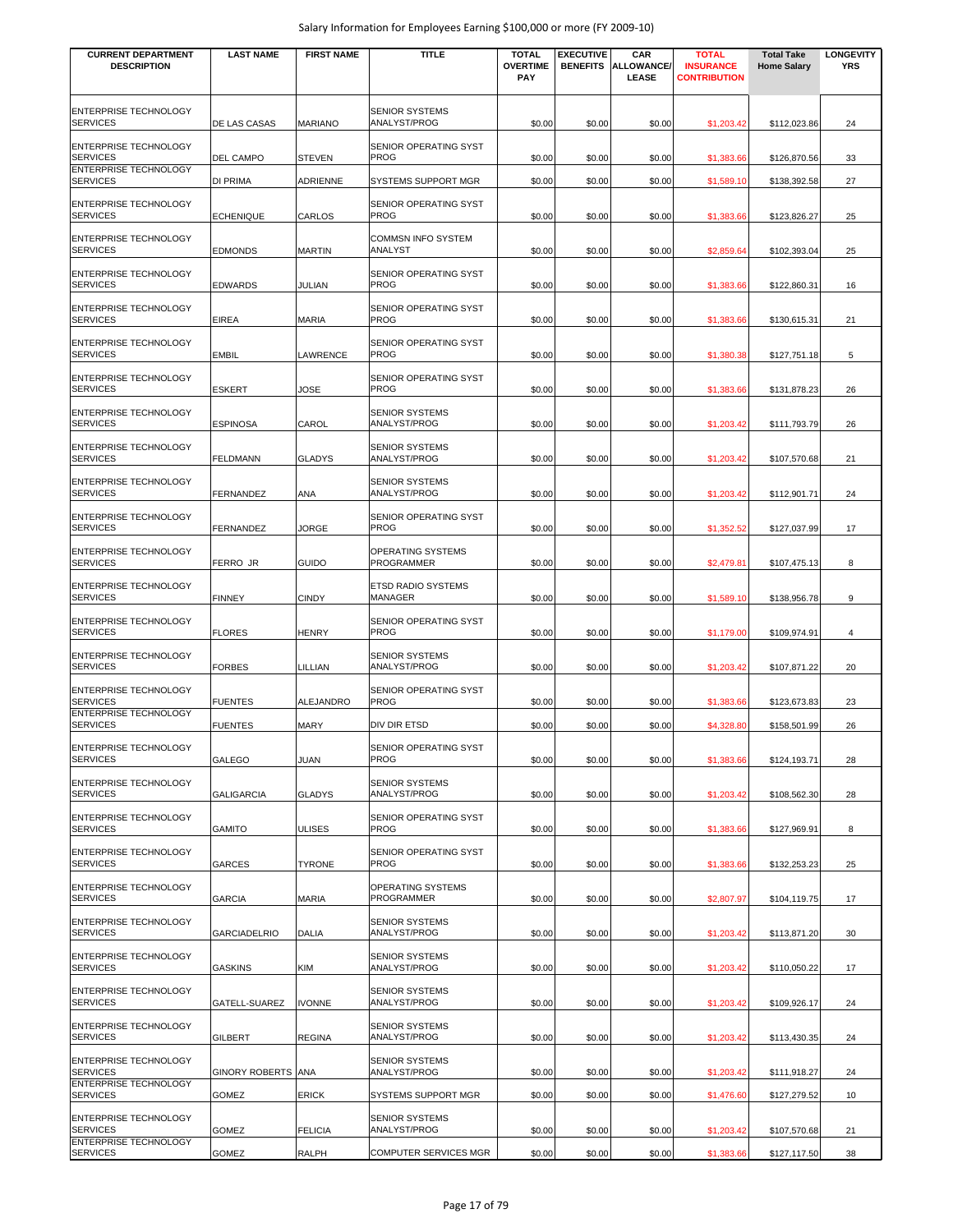| <b>CURRENT DEPARTMENT</b><br><b>DESCRIPTION</b>                          | <b>LAST NAME</b>    | <b>FIRST NAME</b> | <b>TITLE</b>                                 | <b>TOTAL</b><br><b>OVERTIME</b><br>PAY | <b>EXECUTIVE</b><br><b>BENEFITS</b> | CAR<br><b>ALLOWANCE/</b><br>LEASE | TOTAL<br><b>INSURANCE</b><br><b>CONTRIBUTION</b> | <b>Total Take</b><br><b>Home Salary</b> | <b>LONGEVITY</b><br><b>YRS</b> |
|--------------------------------------------------------------------------|---------------------|-------------------|----------------------------------------------|----------------------------------------|-------------------------------------|-----------------------------------|--------------------------------------------------|-----------------------------------------|--------------------------------|
| <b>ENTERPRISE TECHNOLOGY</b><br><b>SERVICES</b>                          | DE LAS CASAS        | <b>MARIANO</b>    | <b>SENIOR SYSTEMS</b><br>ANALYST/PROG        | \$0.00                                 | \$0.00                              | \$0.00                            | \$1,203.42                                       | \$112,023.86                            | 24                             |
| ENTERPRISE TECHNOLOGY<br><b>SERVICES</b><br>ENTERPRISE TECHNOLOGY        | <b>DEL CAMPO</b>    | STEVEN            | SENIOR OPERATING SYST<br><b>PROG</b>         | \$0.00                                 | \$0.00                              | \$0.00                            | \$1,383.66                                       | \$126,870.56                            | 33                             |
| <b>SERVICES</b><br>ENTERPRISE TECHNOLOGY                                 | <b>DI PRIMA</b>     | ADRIENNE          | SYSTEMS SUPPORT MGR<br>SENIOR OPERATING SYST | \$0.00                                 | \$0.00                              | \$0.00                            | \$1,589.10                                       | \$138,392.58                            | 27                             |
| <b>SERVICES</b>                                                          | <b>ECHENIQUE</b>    | CARLOS            | <b>PROG</b>                                  | \$0.00                                 | \$0.00                              | \$0.00                            | \$1,383.66                                       | \$123,826.27                            | 25                             |
| ENTERPRISE TECHNOLOGY<br><b>SERVICES</b>                                 | <b>EDMONDS</b>      | <b>MARTIN</b>     | <b>COMMSN INFO SYSTEM</b><br>ANALYST         | \$0.00                                 | \$0.00                              | \$0.00                            | \$2,859.64                                       | \$102,393.04                            | 25                             |
| ENTERPRISE TECHNOLOGY<br><b>SERVICES</b>                                 | <b>EDWARDS</b>      | <b>JULIAN</b>     | SENIOR OPERATING SYST<br><b>PROG</b>         | \$0.00                                 | \$0.00                              | \$0.00                            | \$1,383.66                                       | \$122,860.31                            | 16                             |
| <b>ENTERPRISE TECHNOLOGY</b><br><b>SERVICES</b>                          | <b>EIREA</b>        | <b>MARIA</b>      | SENIOR OPERATING SYST<br><b>PROG</b>         | \$0.00                                 | \$0.00                              | \$0.00                            | \$1,383.66                                       | \$130,615.31                            | 21                             |
| ENTERPRISE TECHNOLOGY<br><b>SERVICES</b>                                 | <b>EMBIL</b>        | LAWRENCE          | SENIOR OPERATING SYST<br><b>PROG</b>         | \$0.00                                 | \$0.00                              | \$0.00                            | \$1,380.38                                       | \$127,751.18                            | 5                              |
| <b>ENTERPRISE TECHNOLOGY</b><br><b>SERVICES</b>                          | <b>ESKERT</b>       | JOSE              | SENIOR OPERATING SYST<br><b>PROG</b>         | \$0.00                                 | \$0.00                              | \$0.00                            | \$1,383.66                                       | \$131,878.23                            | 26                             |
| ENTERPRISE TECHNOLOGY<br><b>SERVICES</b>                                 | <b>ESPINOSA</b>     | CAROL             | <b>SENIOR SYSTEMS</b><br>ANALYST/PROG        | \$0.00                                 | \$0.00                              | \$0.00                            | \$1,203.42                                       | \$111,793.79                            | 26                             |
| ENTERPRISE TECHNOLOGY<br><b>SERVICES</b>                                 | <b>FELDMANN</b>     | <b>GLADYS</b>     | <b>SENIOR SYSTEMS</b><br>ANALYST/PROG        | \$0.00                                 | \$0.00                              | \$0.00                            | \$1,203.42                                       | \$107,570.68                            | 21                             |
| ENTERPRISE TECHNOLOGY<br><b>SERVICES</b>                                 | <b>FERNANDEZ</b>    | ANA               | <b>SENIOR SYSTEMS</b><br>ANALYST/PROG        | \$0.00                                 | \$0.00                              | \$0.00                            | \$1,203.42                                       | \$112,901.71                            | 24                             |
| ENTERPRISE TECHNOLOGY<br><b>SERVICES</b>                                 | <b>FERNANDEZ</b>    | <b>JORGE</b>      | SENIOR OPERATING SYST<br><b>PROG</b>         | \$0.00                                 | \$0.00                              | \$0.00                            | \$1,352.52                                       | \$127,037.99                            | 17                             |
| <b>ENTERPRISE TECHNOLOGY</b><br><b>SERVICES</b>                          | FERRO JR            | GUIDO             | OPERATING SYSTEMS<br><b>PROGRAMMER</b>       | \$0.00                                 | \$0.00                              | \$0.00                            | \$2,479.81                                       | \$107,475.13                            | 8                              |
| ENTERPRISE TECHNOLOGY<br><b>SERVICES</b>                                 | <b>FINNEY</b>       | <b>CINDY</b>      | ETSD RADIO SYSTEMS<br>MANAGER                | \$0.00                                 | \$0.00                              | \$0.00                            | \$1,589.10                                       | \$138,956.78                            | 9                              |
| ENTERPRISE TECHNOLOGY<br><b>SERVICES</b>                                 | <b>FLORES</b>       | <b>HENRY</b>      | SENIOR OPERATING SYST<br><b>PROG</b>         | \$0.00                                 | \$0.00                              | \$0.00                            | \$1,179.00                                       | \$109,974.91                            | 4                              |
| ENTERPRISE TECHNOLOGY<br><b>SERVICES</b>                                 | <b>FORBES</b>       | LILLIAN           | <b>SENIOR SYSTEMS</b><br>ANALYST/PROG        | \$0.00                                 | \$0.00                              | \$0.00                            | \$1,203.42                                       | \$107,871.22                            | 20                             |
| <b>ENTERPRISE TECHNOLOGY</b><br><b>SERVICES</b>                          | <b>FUENTES</b>      | ALEJANDRO         | SENIOR OPERATING SYST<br><b>PROG</b>         | \$0.00                                 | \$0.00                              | \$0.00                            | \$1,383.66                                       | \$123,673.83                            | 23                             |
| <b>ENTERPRISE TECHNOLOGY</b><br><b>SERVICES</b>                          | <b>FUENTES</b>      | MARY              | DIV DIR ETSD                                 | \$0.00                                 | \$0.00                              | \$0.00                            | \$4,328.80                                       | \$158,501.99                            | 26                             |
| <b>ENTERPRISE TECHNOLOGY</b><br><b>SERVICES</b>                          | <b>GALEGO</b>       | JUAN              | SENIOR OPERATING SYST<br><b>PROG</b>         | \$0.00                                 | \$0.00                              | \$0.00                            | \$1,383.66                                       | \$124,193.71                            | 28                             |
| <b>ENTERPRISE TECHNOLOGY</b><br><b>SERVICES</b>                          | <b>GALIGARCIA</b>   | <b>GLADYS</b>     | <b>SENIOR SYSTEMS</b><br>ANALYST/PROG        | \$0.00                                 | \$0.00                              | \$0.00                            | \$1,203.42                                       | \$108,562.30                            | 28                             |
| ENTERPRISE TECHNOLOGY<br><b>SERVICES</b>                                 | <b>GAMITO</b>       | <b>ULISES</b>     | SENIOR OPERATING SYST<br><b>PROG</b>         | \$0.00                                 | \$0.00                              | \$0.00                            | \$1,383.66                                       | \$127,969.91                            | 8                              |
| ENTERPRISE TECHNOLOGY<br><b>SERVICES</b>                                 | <b>GARCES</b>       | <b>TYRONE</b>     | SENIOR OPERATING SYST<br><b>PROG</b>         | \$0.00                                 | \$0.00                              | \$0.00                            | \$1,383.66                                       | \$132,253.23                            | 25                             |
| <b>ENTERPRISE TECHNOLOGY</b><br><b>SERVICES</b>                          | <b>GARCIA</b>       | <b>MARIA</b>      | OPERATING SYSTEMS<br>PROGRAMMER              | \$0.00                                 | \$0.00                              | \$0.00                            | \$2,807.97                                       | \$104,119.75                            | 17                             |
| <b>ENTERPRISE TECHNOLOGY</b><br><b>SERVICES</b>                          | <b>GARCIADELRIO</b> | <b>DALIA</b>      | <b>SENIOR SYSTEMS</b><br>ANALYST/PROG        | \$0.00                                 | \$0.00                              | \$0.00                            | \$1,203.42                                       | \$113,871.20                            | 30                             |
| <b>ENTERPRISE TECHNOLOGY</b><br><b>SERVICES</b>                          | <b>GASKINS</b>      | KIM               | <b>SENIOR SYSTEMS</b><br>ANALYST/PROG        | \$0.00                                 | \$0.00                              | \$0.00                            | \$1,203.42                                       | \$110,050.22                            | 17                             |
| <b>ENTERPRISE TECHNOLOGY</b><br><b>SERVICES</b>                          | GATELL-SUAREZ       | <b>IVONNE</b>     | <b>SENIOR SYSTEMS</b><br>ANALYST/PROG        | \$0.00                                 | \$0.00                              | \$0.00                            | \$1,203.42                                       | \$109,926.17                            | 24                             |
| <b>ENTERPRISE TECHNOLOGY</b><br><b>SERVICES</b>                          | <b>GILBERT</b>      | <b>REGINA</b>     | <b>SENIOR SYSTEMS</b><br>ANALYST/PROG        | \$0.00                                 | \$0.00                              | \$0.00                            | \$1,203.42                                       | \$113,430.35                            | 24                             |
| <b>ENTERPRISE TECHNOLOGY</b><br><b>SERVICES</b>                          | GINORY ROBERTS ANA  |                   | <b>SENIOR SYSTEMS</b><br>ANALYST/PROG        | \$0.00                                 | \$0.00                              | \$0.00                            | \$1,203.42                                       | \$111,918.27                            | 24                             |
| <b>ENTERPRISE TECHNOLOGY</b><br><b>SERVICES</b>                          | <b>GOMEZ</b>        | ERICK             | SYSTEMS SUPPORT MGR                          | \$0.00                                 | \$0.00                              | \$0.00                            | \$1,476.60                                       | \$127,279.52                            | 10                             |
| <b>ENTERPRISE TECHNOLOGY</b><br><b>SERVICES</b><br>ENTERPRISE TECHNOLOGY | <b>GOMEZ</b>        | <b>FELICIA</b>    | <b>SENIOR SYSTEMS</b><br>ANALYST/PROG        | \$0.00                                 | \$0.00                              | \$0.00                            | \$1,203.42                                       | \$107,570.68                            | 21                             |
| <b>SERVICES</b>                                                          | <b>GOMEZ</b>        | RALPH             | COMPUTER SERVICES MGR                        | \$0.00                                 | \$0.00                              | \$0.00                            | \$1,383.66                                       | \$127,117.50                            | 38                             |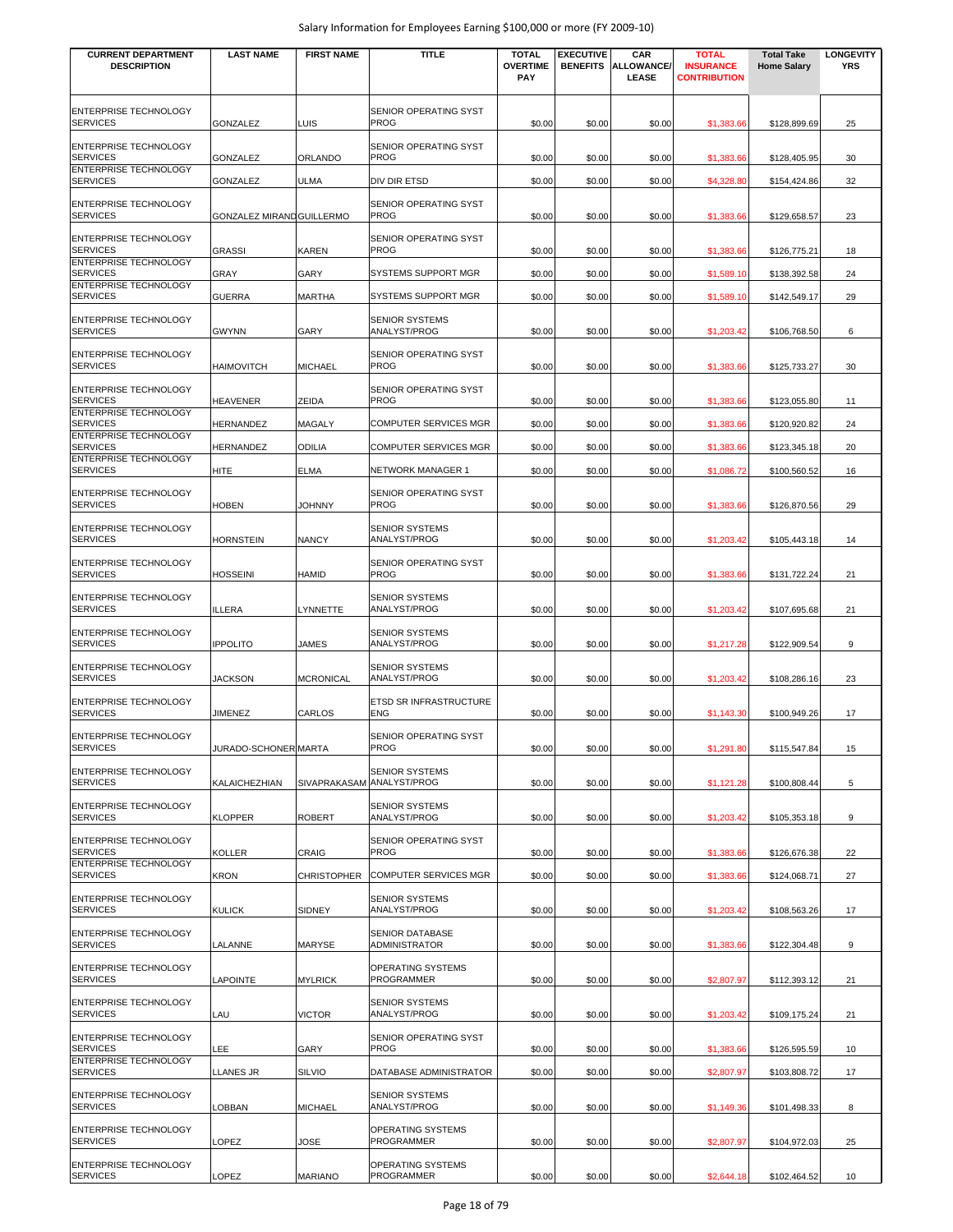| <b>CURRENT DEPARTMENT</b><br><b>DESCRIPTION</b> | <b>LAST NAME</b>          | <b>FIRST NAME</b>  | <b>TITLE</b>                                | <b>TOTAL</b><br><b>OVERTIME</b><br><b>PAY</b> | <b>EXECUTIVE</b><br><b>BENEFITS</b> | CAR<br><b>ALLOWANCE/</b><br>LEASE | <b>TOTAL</b><br><b>INSURANCE</b><br><b>CONTRIBUTION</b> | <b>Total Take</b><br><b>Home Salary</b> | <b>LONGEVITY</b><br><b>YRS</b> |
|-------------------------------------------------|---------------------------|--------------------|---------------------------------------------|-----------------------------------------------|-------------------------------------|-----------------------------------|---------------------------------------------------------|-----------------------------------------|--------------------------------|
| ENTERPRISE TECHNOLOGY<br><b>SERVICES</b>        | <b>GONZALEZ</b>           | LUIS               | SENIOR OPERATING SYST<br><b>PROG</b>        | \$0.00                                        | \$0.00                              | \$0.00                            | \$1,383.66                                              | \$128,899.69                            | 25                             |
| <b>ENTERPRISE TECHNOLOGY</b><br><b>SERVICES</b> | <b>GONZALEZ</b>           | ORLANDO            | SENIOR OPERATING SYST<br><b>PROG</b>        | \$0.00                                        | \$0.00                              | \$0.00                            | \$1,383.66                                              | \$128,405.95                            | 30                             |
| <b>ENTERPRISE TECHNOLOGY</b><br><b>SERVICES</b> | <b>GONZALEZ</b>           | ULMA               | DIV DIR ETSD                                | \$0.00                                        | \$0.00                              | \$0.00                            | \$4,328.80                                              | \$154,424.86                            | 32                             |
| ENTERPRISE TECHNOLOGY<br><b>SERVICES</b>        | GONZALEZ MIRAND GUILLERMO |                    | SENIOR OPERATING SYST<br><b>PROG</b>        | \$0.00                                        | \$0.00                              | \$0.00                            | \$1,383.66                                              | \$129,658.57                            | 23                             |
| <b>ENTERPRISE TECHNOLOGY</b><br><b>SERVICES</b> | <b>GRASSI</b>             | KAREN              | <b>SENIOR OPERATING SYST</b><br><b>PROG</b> | \$0.00                                        | \$0.00                              | \$0.00                            | \$1,383.66                                              | \$126,775.21                            | 18                             |
| <b>ENTERPRISE TECHNOLOGY</b><br><b>SERVICES</b> | <b>GRAY</b>               | GARY               | SYSTEMS SUPPORT MGR                         | \$0.00                                        | \$0.00                              | \$0.00                            | \$1,589.10                                              | \$138,392.58                            | 24                             |
| ENTERPRISE TECHNOLOGY<br><b>SERVICES</b>        | <b>GUERRA</b>             | <b>MARTHA</b>      | SYSTEMS SUPPORT MGR                         | \$0.00                                        | \$0.00                              | \$0.00                            | \$1,589.10                                              | \$142,549.17                            | 29                             |
| <b>ENTERPRISE TECHNOLOGY</b><br><b>SERVICES</b> | <b>GWYNN</b>              | GARY               | <b>SENIOR SYSTEMS</b><br>ANALYST/PROG       | \$0.00                                        | \$0.00                              | \$0.00                            | \$1,203.42                                              | \$106,768.50                            | 6                              |
| ENTERPRISE TECHNOLOGY<br><b>SERVICES</b>        | <b>HAIMOVITCH</b>         | <b>MICHAEL</b>     | SENIOR OPERATING SYST<br><b>PROG</b>        | \$0.00                                        | \$0.00                              | \$0.00                            | \$1,383.66                                              | \$125,733.27                            | 30                             |
| <b>ENTERPRISE TECHNOLOGY</b><br><b>SERVICES</b> | <b>HEAVENER</b>           | ZEIDA              | SENIOR OPERATING SYST<br><b>PROG</b>        | \$0.00                                        | \$0.00                              | \$0.00                            | \$1,383.66                                              | \$123,055.80                            | 11                             |
| <b>ENTERPRISE TECHNOLOGY</b><br><b>SERVICES</b> | HERNANDEZ                 | MAGALY             | <b>COMPUTER SERVICES MGR</b>                | \$0.00                                        | \$0.00                              | \$0.00                            | \$1,383.66                                              | \$120,920.82                            | 24                             |
| <b>ENTERPRISE TECHNOLOGY</b><br><b>SERVICES</b> | <b>HERNANDEZ</b>          | ODILIA             | COMPUTER SERVICES MGR                       | \$0.00                                        | \$0.00                              | \$0.00                            | \$1,383.66                                              | \$123,345.18                            | 20                             |
| ENTERPRISE TECHNOLOGY<br><b>SERVICES</b>        | <b>HITE</b>               | <b>ELMA</b>        | <b>NETWORK MANAGER 1</b>                    | \$0.00                                        | \$0.00                              | \$0.00                            | \$1,086.72                                              | \$100,560.52                            | 16                             |
| ENTERPRISE TECHNOLOGY<br><b>SERVICES</b>        | <b>HOBEN</b>              | <b>JOHNNY</b>      | SENIOR OPERATING SYST<br><b>PROG</b>        | \$0.00                                        | \$0.00                              | \$0.00                            | \$1,383.66                                              | \$126,870.56                            | 29                             |
| ENTERPRISE TECHNOLOGY<br><b>SERVICES</b>        | <b>HORNSTEIN</b>          | <b>NANCY</b>       | <b>SENIOR SYSTEMS</b><br>ANALYST/PROG       | \$0.00                                        | \$0.00                              | \$0.00                            | \$1,203.42                                              | \$105,443.18                            | 14                             |
| ENTERPRISE TECHNOLOGY<br><b>SERVICES</b>        | <b>HOSSEINI</b>           | <b>HAMID</b>       | SENIOR OPERATING SYST<br><b>PROG</b>        | \$0.00                                        | \$0.00                              | \$0.00                            | \$1,383.66                                              | \$131,722.24                            | 21                             |
| ENTERPRISE TECHNOLOGY<br><b>SERVICES</b>        | <b>ILLERA</b>             | LYNNETTE           | <b>SENIOR SYSTEMS</b><br>ANALYST/PROG       | \$0.00                                        | \$0.00                              | \$0.00                            | \$1,203.42                                              | \$107,695.68                            | 21                             |
| ENTERPRISE TECHNOLOGY<br><b>SERVICES</b>        | <b>IPPOLITO</b>           | JAMES              | <b>SENIOR SYSTEMS</b><br>ANALYST/PROG       | \$0.00                                        | \$0.00                              | \$0.00                            | \$1,217.28                                              | \$122,909.54                            | 9                              |
| ENTERPRISE TECHNOLOGY<br><b>SERVICES</b>        | <b>JACKSON</b>            | <b>MCRONICAL</b>   | <b>SENIOR SYSTEMS</b><br>ANALYST/PROG       | \$0.00                                        | \$0.00                              | \$0.00                            | \$1,203.42                                              | \$108,286.16                            | 23                             |
| <b>ENTERPRISE TECHNOLOGY</b><br><b>SERVICES</b> | <b>JIMENEZ</b>            | CARLOS             | ETSD SR INFRASTRUCTURE<br><b>ENG</b>        | \$0.00                                        | \$0.00                              | \$0.00                            | \$1,143.30                                              | \$100,949.26                            | 17                             |
| <b>ENTERPRISE TECHNOLOGY</b><br><b>SERVICES</b> | JURADO-SCHONER MARTA      |                    | SENIOR OPERATING SYST<br><b>PROG</b>        | \$0.00                                        | \$0.00                              | \$0.00                            | \$1,291.80                                              | \$115,547.84                            | 15                             |
| <b>ENTERPRISE TECHNOLOGY</b><br><b>SERVICES</b> | <b>KALAICHEZHIAN</b>      |                    | SENIOR SYSTEMS<br>SIVAPRAKASAM ANALYST/PROG | \$0.00                                        | \$0.00                              | \$0.00                            | \$1,121.28                                              | \$100,808.44                            | 5                              |
| <b>ENTERPRISE TECHNOLOGY</b><br><b>SERVICES</b> | <b>KLOPPER</b>            | ROBERT             | <b>SENIOR SYSTEMS</b><br>ANALYST/PROG       | \$0.00                                        | \$0.00                              | \$0.00                            | \$1,203.42                                              | \$105,353.18                            | 9                              |
| <b>ENTERPRISE TECHNOLOGY</b><br><b>SERVICES</b> | <b>KOLLER</b>             | CRAIG              | SENIOR OPERATING SYST<br><b>PROG</b>        | \$0.00                                        | \$0.00                              | \$0.00                            | \$1,383.66                                              | \$126,676.38                            | 22                             |
| ENTERPRISE TECHNOLOGY<br><b>SERVICES</b>        | <b>KRON</b>               | <b>CHRISTOPHER</b> | <b>COMPUTER SERVICES MGR</b>                | \$0.00                                        | \$0.00                              | \$0.00                            | \$1,383.66                                              | \$124,068.71                            | 27                             |
| <b>ENTERPRISE TECHNOLOGY</b><br><b>SERVICES</b> | <b>KULICK</b>             | SIDNEY             | <b>SENIOR SYSTEMS</b><br>ANALYST/PROG       | \$0.00                                        | \$0.00                              | \$0.00                            | \$1,203.42                                              | \$108,563.26                            | 17                             |
| ENTERPRISE TECHNOLOGY<br><b>SERVICES</b>        | LALANNE                   | <b>MARYSE</b>      | <b>SENIOR DATABASE</b><br>ADMINISTRATOR     | \$0.00                                        | \$0.00                              | \$0.00                            | \$1,383.66                                              | \$122,304.48                            | 9                              |
| <b>ENTERPRISE TECHNOLOGY</b><br><b>SERVICES</b> | <b>LAPOINTE</b>           | <b>MYLRICK</b>     | OPERATING SYSTEMS<br>PROGRAMMER             | \$0.00                                        | \$0.00                              | \$0.00                            | \$2,807.97                                              | \$112,393.12                            | 21                             |
| ENTERPRISE TECHNOLOGY<br><b>SERVICES</b>        | LAU                       | <b>VICTOR</b>      | <b>SENIOR SYSTEMS</b><br>ANALYST/PROG       | \$0.00                                        | \$0.00                              | \$0.00                            | \$1,203.42                                              | \$109,175.24                            | 21                             |
| <b>ENTERPRISE TECHNOLOGY</b><br><b>SERVICES</b> | LEE                       | GARY               | SENIOR OPERATING SYST<br><b>PROG</b>        | \$0.00                                        | \$0.00                              | \$0.00                            | \$1,383.66                                              | \$126,595.59                            | 10                             |
| <b>ENTERPRISE TECHNOLOGY</b><br><b>SERVICES</b> | LLANES JR                 | <b>SILVIO</b>      | DATABASE ADMINISTRATOR                      | \$0.00                                        | \$0.00                              | \$0.00                            | \$2,807.97                                              | \$103,808.72                            | 17                             |
| <b>ENTERPRISE TECHNOLOGY</b><br><b>SERVICES</b> | LOBBAN                    | MICHAEL            | <b>SENIOR SYSTEMS</b><br>ANALYST/PROG       | \$0.00                                        | \$0.00                              | \$0.00                            | \$1,149.36                                              | \$101,498.33                            | 8                              |
| <b>ENTERPRISE TECHNOLOGY</b><br><b>SERVICES</b> | LOPEZ                     | JOSE               | OPERATING SYSTEMS<br><b>PROGRAMMER</b>      | \$0.00                                        | \$0.00                              | \$0.00                            | \$2,807.97                                              | \$104,972.03                            | 25                             |
| <b>ENTERPRISE TECHNOLOGY</b><br><b>SERVICES</b> | LOPEZ                     | <b>MARIANO</b>     | OPERATING SYSTEMS<br><b>PROGRAMMER</b>      | \$0.00                                        | \$0.00                              | \$0.00                            | \$2,644.18                                              | \$102,464.52                            | 10                             |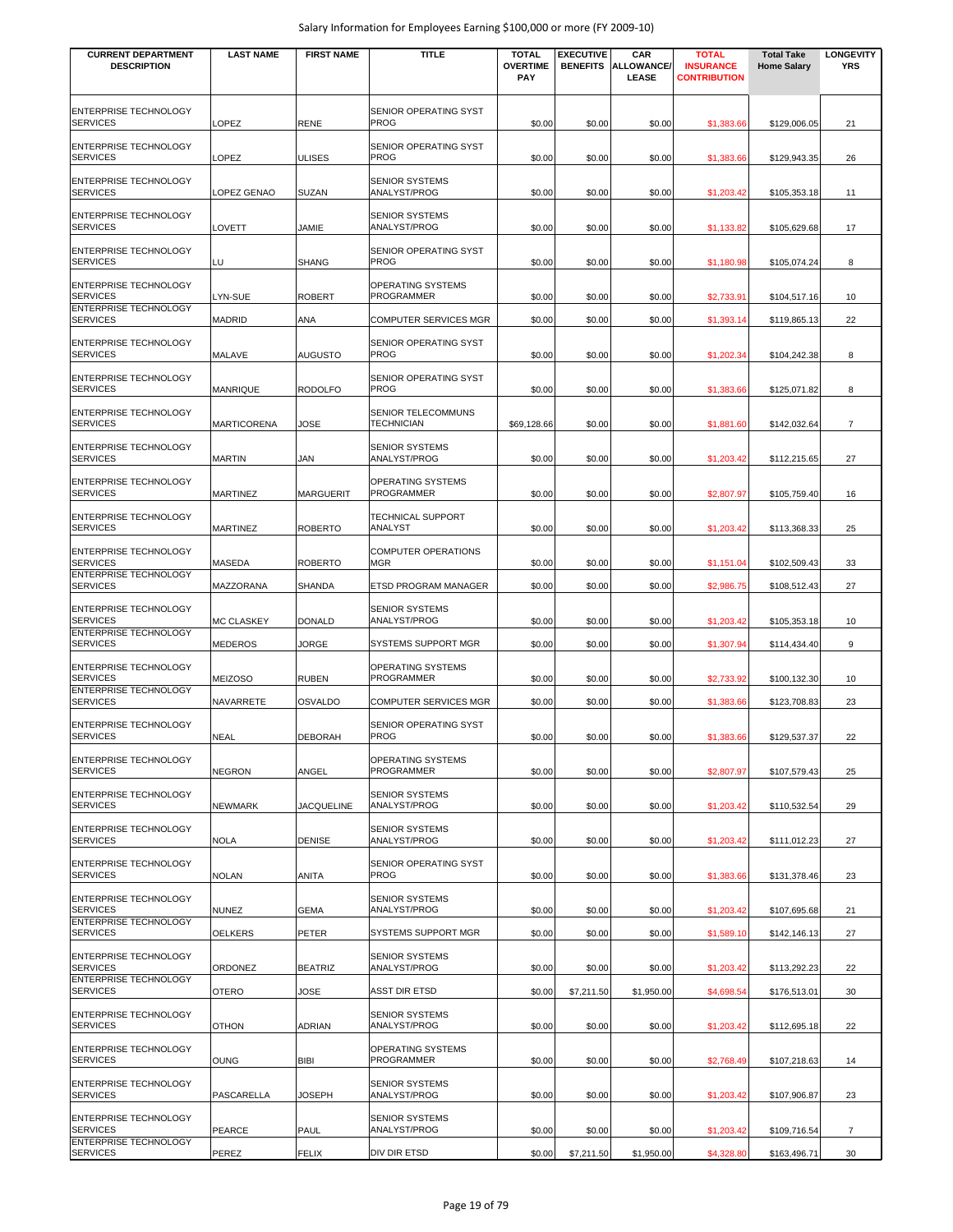| <b>CURRENT DEPARTMENT</b>                                                       | <b>LAST NAME</b>  | <b>FIRST NAME</b> | <b>TITLE</b>                             | <b>TOTAL</b>           | <b>EXECUTIVE</b> | <b>CAR</b>                | <b>TOTAL</b>                            | <b>Total Take</b>  | <b>LONGEVITY</b> |
|---------------------------------------------------------------------------------|-------------------|-------------------|------------------------------------------|------------------------|------------------|---------------------------|-----------------------------------------|--------------------|------------------|
| <b>DESCRIPTION</b>                                                              |                   |                   |                                          | <b>OVERTIME</b><br>PAY | <b>BENEFITS</b>  | <b>ALLOWANCE</b><br>LEASE | <b>INSURANCE</b><br><b>CONTRIBUTION</b> | <b>Home Salary</b> | <b>YRS</b>       |
| <b>ENTERPRISE TECHNOLOGY</b><br><b>SERVICES</b>                                 | OPEZ              | <b>RENE</b>       | SENIOR OPERATING SYST<br><b>PROG</b>     | \$0.00                 | \$0.00           | \$0.00                    | \$1,383.66                              | \$129,006.05       | 21               |
| <b>ENTERPRISE TECHNOLOGY</b><br><b>SERVICES</b>                                 | LOPEZ             | <b>ULISES</b>     | SENIOR OPERATING SYST<br><b>PROG</b>     | \$0.00                 | \$0.00           | \$0.00                    | \$1,383.66                              | \$129,943.35       | 26               |
| <b>ENTERPRISE TECHNOLOGY</b><br><b>SERVICES</b>                                 | LOPEZ GENAO       | <b>SUZAN</b>      | <b>SENIOR SYSTEMS</b><br>ANALYST/PROG    | \$0.00                 | \$0.00           | \$0.00                    | \$1,203.42                              | \$105,353.18       | 11               |
| <b>ENTERPRISE TECHNOLOGY</b><br><b>SERVICES</b>                                 | LOVETT            | JAMIE             | <b>SENIOR SYSTEMS</b><br>ANALYST/PROG    | \$0.00                 | \$0.00           | \$0.00                    | \$1,133.82                              | \$105,629.68       | 17               |
| ENTERPRISE TECHNOLOGY<br><b>SERVICES</b>                                        | LU                | <b>SHANG</b>      | SENIOR OPERATING SYST<br><b>PROG</b>     | \$0.00                 | \$0.00           | \$0.00                    | \$1,180.98                              | \$105,074.24       | 8                |
| <b>ENTERPRISE TECHNOLOGY</b><br><b>SERVICES</b>                                 | LYN-SUE           | <b>ROBERT</b>     | OPERATING SYSTEMS<br><b>PROGRAMMER</b>   | \$0.00                 | \$0.00           | \$0.00                    | \$2,733.91                              | \$104,517.16       | 10               |
| ENTERPRISE TECHNOLOGY<br><b>SERVICES</b>                                        | <b>MADRID</b>     | <b>ANA</b>        | <b>COMPUTER SERVICES MGR</b>             | \$0.00                 | \$0.00           | \$0.00                    | \$1,393.14                              | \$119,865.13       | 22               |
| ENTERPRISE TECHNOLOGY<br><b>SERVICES</b>                                        | MALAVE            | AUGUSTO           | SENIOR OPERATING SYST<br>PROG            | \$0.00                 | \$0.00           | \$0.00                    | \$1,202.34                              | \$104,242.38       | 8                |
| ENTERPRISE TECHNOLOGY<br><b>SERVICES</b>                                        | <b>MANRIQUE</b>   | <b>RODOLFO</b>    | SENIOR OPERATING SYST<br>PROG            | \$0.00                 | \$0.00           | \$0.00                    | \$1,383.66                              | \$125,071.82       | 8                |
| ENTERPRISE TECHNOLOGY<br><b>SERVICES</b>                                        | MARTICORENA       | JOSE              | SENIOR TELECOMMUNS<br><b>TECHNICIAN</b>  | \$69,128.66            | \$0.00           | \$0.00                    | \$1,881.60                              | \$142,032.64       | $\overline{7}$   |
| ENTERPRISE TECHNOLOGY<br><b>SERVICES</b>                                        | <b>MARTIN</b>     | <b>JAN</b>        | <b>SENIOR SYSTEMS</b><br>ANALYST/PROG    | \$0.00                 | \$0.00           | \$0.00                    | \$1,203.42                              | \$112,215.65       | 27               |
| ENTERPRISE TECHNOLOGY<br><b>SERVICES</b>                                        | MARTINEZ          | <b>MARGUERIT</b>  | OPERATING SYSTEMS<br><b>PROGRAMMER</b>   | \$0.00                 | \$0.00           | \$0.00                    | \$2,807.97                              | \$105,759.40       | 16               |
| <b>ENTERPRISE TECHNOLOGY</b><br><b>SERVICES</b>                                 | MARTINEZ          | <b>ROBERTO</b>    | TECHNICAL SUPPORT<br>ANALYST             | \$0.00                 | \$0.00           | \$0.00                    | \$1,203.42                              | \$113,368.33       | 25               |
| <b>ENTERPRISE TECHNOLOGY</b><br><b>SERVICES</b>                                 | MASEDA            | <b>ROBERTO</b>    | <b>COMPUTER OPERATIONS</b><br><b>MGR</b> | \$0.00                 | \$0.00           | \$0.00                    | \$1,151.04                              | \$102,509.43       | 33               |
| ENTERPRISE TECHNOLOGY<br><b>SERVICES</b>                                        | MAZZORANA         | <b>SHANDA</b>     | ETSD PROGRAM MANAGER                     | \$0.00                 | \$0.00           | \$0.00                    | \$2,986.75                              | \$108,512.43       | 27               |
| <b>ENTERPRISE TECHNOLOGY</b><br><b>SERVICES</b>                                 | <b>MC CLASKEY</b> | <b>DONALD</b>     | <b>SENIOR SYSTEMS</b><br>ANALYST/PROG    | \$0.00                 | \$0.00           | \$0.00                    | \$1,203.42                              | \$105,353.18       | 10               |
| <b>ENTERPRISE TECHNOLOGY</b><br><b>SERVICES</b>                                 | <b>MEDEROS</b>    | JORGE             | SYSTEMS SUPPORT MGR                      | \$0.00                 | \$0.00           | \$0.00                    | \$1,307.94                              | \$114,434.40       | 9                |
| ENTERPRISE TECHNOLOGY<br><b>SERVICES</b>                                        | <b>MEIZOSO</b>    | <b>RUBEN</b>      | OPERATING SYSTEMS<br>PROGRAMMER          | \$0.00                 | \$0.00           | \$0.00                    | \$2,733.92                              | \$100,132.30       | 10               |
| ENTERPRISE TECHNOLOGY<br><b>SERVICES</b>                                        | NAVARRETE         | <b>OSVALDO</b>    | <b>COMPUTER SERVICES MGR</b>             | \$0.00                 | \$0.00           | \$0.00                    | \$1,383.66                              | \$123,708.83       | 23               |
| <b>ENTERPRISE TECHNOLOGY</b><br><b>SERVICES</b>                                 | <b>NEAL</b>       | <b>DEBORAH</b>    | SENIOR OPERATING SYST<br><b>PROG</b>     | \$0.00                 | \$0.00           | \$0.00                    | \$1,383.66                              | \$129,537.37       | 22               |
| <b>ENTERPRISE TECHNOLOGY</b><br><b>SERVICES</b>                                 | NEGRON            | ANGEL             | OPERATING SYSTEMS<br><b>PROGRAMMER</b>   | \$0.00                 | \$0.00           | \$0.00                    | \$2,807.97                              | \$107,579.43       | 25               |
| <b>ENTERPRISE TECHNOLOGY</b><br><b>SERVICES</b>                                 | NEWMARK           | <b>JACQUELINE</b> | <b>SENIOR SYSTEMS</b><br>ANALYST/PROG    | \$0.00                 | \$0.00           | \$0.00                    | \$1,203.42                              | \$110,532.54       | 29               |
| <b>ENTERPRISE TECHNOLOGY</b><br><b>SERVICES</b>                                 | <b>NOLA</b>       | <b>DENISE</b>     | <b>SENIOR SYSTEMS</b><br>ANALYST/PROG    | \$0.00                 | \$0.00           | \$0.00                    | \$1,203.42                              | \$111,012.23       | 27               |
| <b>ENTERPRISE TECHNOLOGY</b><br><b>SERVICES</b>                                 | <b>NOLAN</b>      | <b>ANITA</b>      | SENIOR OPERATING SYST<br>PROG            | \$0.00                 | \$0.00           | \$0.00                    | \$1,383.66                              | \$131,378.46       | 23               |
| <b>ENTERPRISE TECHNOLOGY</b><br><b>SERVICES</b>                                 | <b>NUNEZ</b>      | <b>GEMA</b>       | <b>SENIOR SYSTEMS</b><br>ANALYST/PROG    | \$0.00                 | \$0.00           | \$0.00                    | \$1,203.42                              | \$107,695.68       | 21               |
| <b>ENTERPRISE TECHNOLOGY</b><br><b>SERVICES</b>                                 | <b>OELKERS</b>    | <b>PETER</b>      | <b>SYSTEMS SUPPORT MGR</b>               | \$0.00                 | \$0.00           | \$0.00                    | \$1,589.10                              | \$142,146.13       | 27               |
| <b>ENTERPRISE TECHNOLOGY</b><br><b>SERVICES</b>                                 | ORDONEZ           | <b>BEATRIZ</b>    | <b>SENIOR SYSTEMS</b><br>ANALYST/PROG    | \$0.00                 | \$0.00           | \$0.00                    | \$1,203.42                              | \$113,292.23       | 22               |
| <b>ENTERPRISE TECHNOLOGY</b><br><b>SERVICES</b>                                 | <b>OTERO</b>      | JOSE              | <b>ASST DIR ETSD</b>                     | \$0.00                 | \$7,211.50       | \$1,950.00                | \$4,698.54                              | \$176,513.01       | 30               |
| ENTERPRISE TECHNOLOGY<br><b>SERVICES</b>                                        | <b>OTHON</b>      | <b>ADRIAN</b>     | <b>SENIOR SYSTEMS</b><br>ANALYST/PROG    | \$0.00                 | \$0.00           | \$0.00                    | \$1,203.42                              | \$112,695.18       | 22               |
| ENTERPRISE TECHNOLOGY<br><b>SERVICES</b>                                        | <b>OUNG</b>       | <b>BIBI</b>       | OPERATING SYSTEMS<br>PROGRAMMER          | \$0.00                 | \$0.00           | \$0.00                    | \$2,768.49                              | \$107,218.63       | 14               |
| <b>ENTERPRISE TECHNOLOGY</b><br><b>SERVICES</b>                                 | PASCARELLA        | JOSEPH            | <b>SENIOR SYSTEMS</b><br>ANALYST/PROG    | \$0.00                 | \$0.00           | \$0.00                    | \$1,203.42                              | \$107,906.87       | 23               |
| <b>ENTERPRISE TECHNOLOGY</b><br><b>SERVICES</b><br><b>ENTERPRISE TECHNOLOGY</b> | PEARCE            | PAUL              | <b>SENIOR SYSTEMS</b><br>ANALYST/PROG    | \$0.00                 | \$0.00           | \$0.00                    | \$1,203.42                              | \$109,716.54       | 7                |
| <b>SERVICES</b>                                                                 | PEREZ             | <b>FELIX</b>      | DIV DIR ETSD                             | \$0.00                 | \$7,211.50       | \$1,950.00                | \$4,328.80                              | \$163,496.71       | 30               |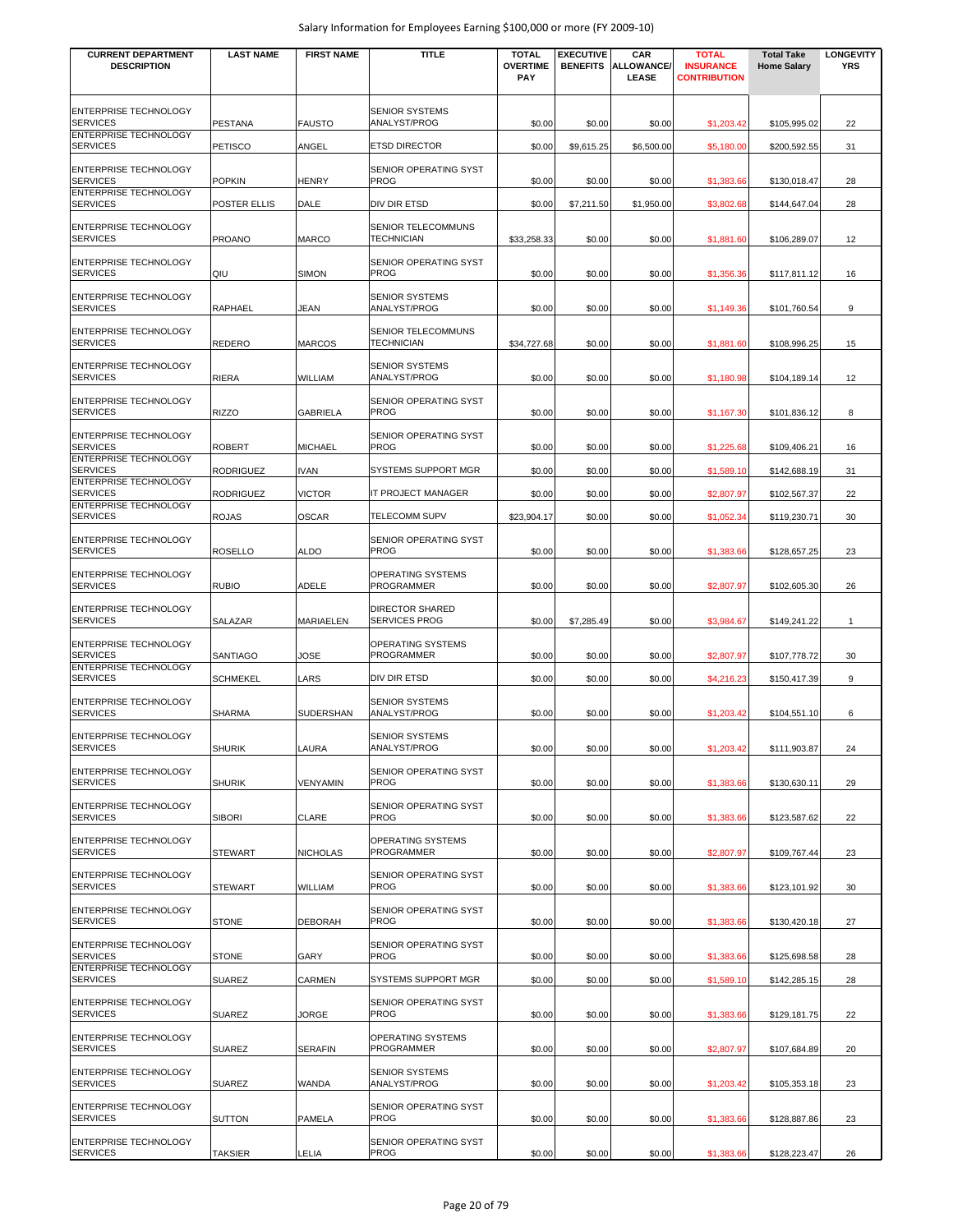| <b>CURRENT DEPARTMENT</b><br><b>DESCRIPTION</b> | <b>LAST NAME</b> | <b>FIRST NAME</b> | <b>TITLE</b>                                   | <b>TOTAL</b><br><b>OVERTIME</b><br><b>PAY</b> | <b>EXECUTIVE</b><br><b>BENEFITS</b> | CAR<br><b>ALLOWANCE/</b><br>LEASE | <b>TOTAL</b><br><b>INSURANCE</b><br><b>CONTRIBUTION</b> | <b>Total Take</b><br><b>Home Salary</b> | <b>LONGEVITY</b><br><b>YRS</b> |
|-------------------------------------------------|------------------|-------------------|------------------------------------------------|-----------------------------------------------|-------------------------------------|-----------------------------------|---------------------------------------------------------|-----------------------------------------|--------------------------------|
| ENTERPRISE TECHNOLOGY<br><b>SERVICES</b>        | PESTANA          | <b>FAUSTO</b>     | <b>SENIOR SYSTEMS</b><br>ANALYST/PROG          | \$0.00                                        | \$0.00                              | \$0.00                            | \$1,203.42                                              | \$105,995.02                            | 22                             |
| ENTERPRISE TECHNOLOGY<br><b>SERVICES</b>        | PETISCO          | ANGEL             | <b>ETSD DIRECTOR</b>                           | \$0.00                                        | \$9,615.25                          | \$6,500.00                        | \$5,180.00                                              | \$200,592.55                            | 31                             |
| ENTERPRISE TECHNOLOGY<br><b>SERVICES</b>        | <b>POPKIN</b>    | <b>HENRY</b>      | SENIOR OPERATING SYST<br><b>PROG</b>           | \$0.00                                        | \$0.00                              | \$0.00                            | \$1,383.66                                              | \$130,018.47                            | 28                             |
| ENTERPRISE TECHNOLOGY<br><b>SERVICES</b>        | POSTER ELLIS     | DALE              | DIV DIR ETSD                                   | \$0.00                                        | \$7,211.50                          | \$1,950.00                        | \$3,802.68                                              | \$144,647.04                            | 28                             |
| ENTERPRISE TECHNOLOGY<br><b>SERVICES</b>        | PROANO           | <b>MARCO</b>      | SENIOR TELECOMMUNS<br><b>TECHNICIAN</b>        | \$33,258.33                                   | \$0.00                              | \$0.00                            | \$1,881.60                                              | \$106,289.07                            | 12                             |
| ENTERPRISE TECHNOLOGY<br><b>SERVICES</b>        | QIU              | <b>SIMON</b>      | SENIOR OPERATING SYST<br><b>PROG</b>           | \$0.00                                        | \$0.00                              | \$0.00                            | \$1,356.36                                              | \$117,811.12                            | 16                             |
| ENTERPRISE TECHNOLOGY<br><b>SERVICES</b>        | RAPHAEL          | JEAN              | <b>SENIOR SYSTEMS</b><br>ANALYST/PROG          | \$0.00                                        | \$0.00                              | \$0.00                            | \$1,149.36                                              | \$101,760.54                            | 9                              |
| ENTERPRISE TECHNOLOGY<br><b>SERVICES</b>        | REDERO           | <b>MARCOS</b>     | SENIOR TELECOMMUNS<br>TECHNICIAN               | \$34,727.68                                   | \$0.00                              | \$0.00                            | \$1,881.60                                              | \$108,996.25                            | 15                             |
| <b>ENTERPRISE TECHNOLOGY</b><br><b>SERVICES</b> | RIERA            | WILLIAM           | <b>SENIOR SYSTEMS</b><br>ANALYST/PROG          | \$0.00                                        | \$0.00                              | \$0.00                            | \$1,180.98                                              | \$104.189.14                            | 12                             |
| ENTERPRISE TECHNOLOGY<br><b>SERVICES</b>        | <b>RIZZO</b>     | <b>GABRIELA</b>   | SENIOR OPERATING SYST<br><b>PROG</b>           | \$0.00                                        | \$0.00                              | \$0.00                            | \$1,167.30                                              | \$101,836.12                            | 8                              |
| <b>ENTERPRISE TECHNOLOGY</b><br><b>SERVICES</b> | ROBERT           | <b>MICHAEL</b>    | SENIOR OPERATING SYST<br><b>PROG</b>           | \$0.00                                        | \$0.00                              | \$0.00                            | \$1,225.68                                              | \$109,406.21                            | 16                             |
| ENTERPRISE TECHNOLOGY<br><b>SERVICES</b>        | RODRIGUEZ        | <b>IVAN</b>       | SYSTEMS SUPPORT MGR                            | \$0.00                                        | \$0.00                              | \$0.00                            | \$1,589.10                                              | \$142,688.19                            | 31                             |
| ENTERPRISE TECHNOLOGY<br><b>SERVICES</b>        | RODRIGUEZ        | <b>VICTOR</b>     | IT PROJECT MANAGER                             | \$0.00                                        | \$0.00                              | \$0.00                            | \$2,807.97                                              | \$102,567.37                            | 22                             |
| ENTERPRISE TECHNOLOGY<br><b>SERVICES</b>        | <b>ROJAS</b>     | OSCAR             | TELECOMM SUPV                                  | \$23,904.17                                   | \$0.00                              | \$0.00                            | \$1,052.34                                              | \$119,230.71                            | 30                             |
| ENTERPRISE TECHNOLOGY<br><b>SERVICES</b>        | ROSELLO          | <b>ALDO</b>       | SENIOR OPERATING SYST<br><b>PROG</b>           | \$0.00                                        | \$0.00                              | \$0.00                            | \$1,383.66                                              | \$128,657.25                            | 23                             |
| ENTERPRISE TECHNOLOGY<br><b>SERVICES</b>        | Rubio            | ADELE             | OPERATING SYSTEMS<br>PROGRAMMER                | \$0.00                                        | \$0.00                              | \$0.00                            | \$2,807.97                                              | \$102,605.30                            | 26                             |
| ENTERPRISE TECHNOLOGY<br><b>SERVICES</b>        | SALAZAR          | MARIAELEN         | <b>DIRECTOR SHARED</b><br><b>SERVICES PROG</b> | \$0.00                                        | \$7,285.49                          | \$0.00                            | \$3,984.67                                              | \$149,241.22                            | $\mathbf{1}$                   |
| ENTERPRISE TECHNOLOGY<br><b>SERVICES</b>        | <b>SANTIAGO</b>  | JOSE              | OPERATING SYSTEMS<br>PROGRAMMER                | \$0.00                                        | \$0.00                              | \$0.00                            | \$2,807.97                                              | \$107,778.72                            | 30                             |
| <b>ENTERPRISE TECHNOLOGY</b><br><b>SERVICES</b> | <b>SCHMEKEL</b>  | LARS              | DIV DIR ETSD                                   | \$0.00                                        | \$0.00                              | \$0.00                            | \$4,216.23                                              | \$150,417.39                            | 9                              |
| ENTERPRISE TECHNOLOGY<br><b>SERVICES</b>        | SHARMA           | <b>SUDERSHAN</b>  | <b>SENIOR SYSTEMS</b><br>ANALYST/PROG          | \$0.00                                        | \$0.00                              | \$0.00                            | \$1,203.42                                              | \$104,551.10                            | 6                              |
| <b>ENTERPRISE TECHNOLOGY</b><br><b>SERVICES</b> | <b>SHURIK</b>    | LAURA             | <b>SENIOR SYSTEMS</b><br>ANALYST/PROG          | \$0.00                                        | \$0.00                              | \$0.00                            | \$1,203.42                                              | \$111,903.87                            | 24                             |
| ENTERPRISE TECHNOLOGY<br><b>SERVICES</b>        | <b>SHURIK</b>    | VENYAMIN          | SENIOR OPERATING SYST<br><b>PROG</b>           | \$0.00                                        | \$0.00                              | \$0.00                            | \$1,383.66                                              | \$130,630.11                            | 29                             |
| ENTERPRISE TECHNOLOGY<br><b>SERVICES</b>        | <b>SIBORI</b>    | CLARE             | SENIOR OPERATING SYST<br>PROG                  | \$0.00                                        | \$0.00                              | \$0.00                            | \$1,383.66                                              | \$123,587.62                            | 22                             |
| ENTERPRISE TECHNOLOGY<br><b>SERVICES</b>        | <b>STEWART</b>   | <b>NICHOLAS</b>   | OPERATING SYSTEMS<br>PROGRAMMER                | \$0.00                                        | \$0.00                              | \$0.00                            | \$2,807.97                                              | \$109,767.44                            | 23                             |
| ENTERPRISE TECHNOLOGY<br><b>SERVICES</b>        | <b>STEWART</b>   | WILLIAM           | SENIOR OPERATING SYST<br><b>PROG</b>           | \$0.00                                        | \$0.00                              | \$0.00                            | \$1,383.66                                              | \$123,101.92                            | 30                             |
| <b>ENTERPRISE TECHNOLOGY</b><br><b>SERVICES</b> | <b>STONE</b>     | <b>DEBORAH</b>    | SENIOR OPERATING SYST<br>PROG                  | \$0.00                                        | \$0.00                              | \$0.00                            | \$1,383.66                                              | \$130,420.18                            | 27                             |
| ENTERPRISE TECHNOLOGY<br><b>SERVICES</b>        | STONE            | GARY              | SENIOR OPERATING SYST<br>PROG                  | \$0.00                                        | \$0.00                              | \$0.00                            | \$1,383.66                                              | \$125,698.58                            | 28                             |
| ENTERPRISE TECHNOLOGY<br><b>SERVICES</b>        | SUAREZ           | CARMEN            | SYSTEMS SUPPORT MGR                            | \$0.00                                        | \$0.00                              | \$0.00                            | \$1,589.10                                              | \$142,285.15                            | 28                             |
| ENTERPRISE TECHNOLOGY<br><b>SERVICES</b>        | <b>SUAREZ</b>    | JORGE             | SENIOR OPERATING SYST<br>PROG                  | \$0.00                                        | \$0.00                              | \$0.00                            | \$1,383.66                                              | \$129,181.75                            | 22                             |
| ENTERPRISE TECHNOLOGY<br><b>SERVICES</b>        | SUAREZ           | <b>SERAFIN</b>    | OPERATING SYSTEMS<br>PROGRAMMER                | \$0.00                                        | \$0.00                              | \$0.00                            | \$2,807.97                                              | \$107,684.89                            | 20                             |
| ENTERPRISE TECHNOLOGY<br><b>SERVICES</b>        | SUAREZ           | WANDA             | <b>SENIOR SYSTEMS</b><br>ANALYST/PROG          | \$0.00                                        | \$0.00                              | \$0.00                            | \$1,203.42                                              | \$105,353.18                            | 23                             |
| ENTERPRISE TECHNOLOGY<br><b>SERVICES</b>        | SUTTON           | PAMELA            | SENIOR OPERATING SYST<br>PROG                  | \$0.00                                        | \$0.00                              | \$0.00                            | \$1,383.66                                              | \$128,887.86                            | 23                             |
| ENTERPRISE TECHNOLOGY<br><b>SERVICES</b>        | TAKSIER          | LELIA             | SENIOR OPERATING SYST<br>PROG                  | \$0.00                                        | \$0.00                              | \$0.00                            | \$1,383.66                                              | \$128,223.47                            | 26                             |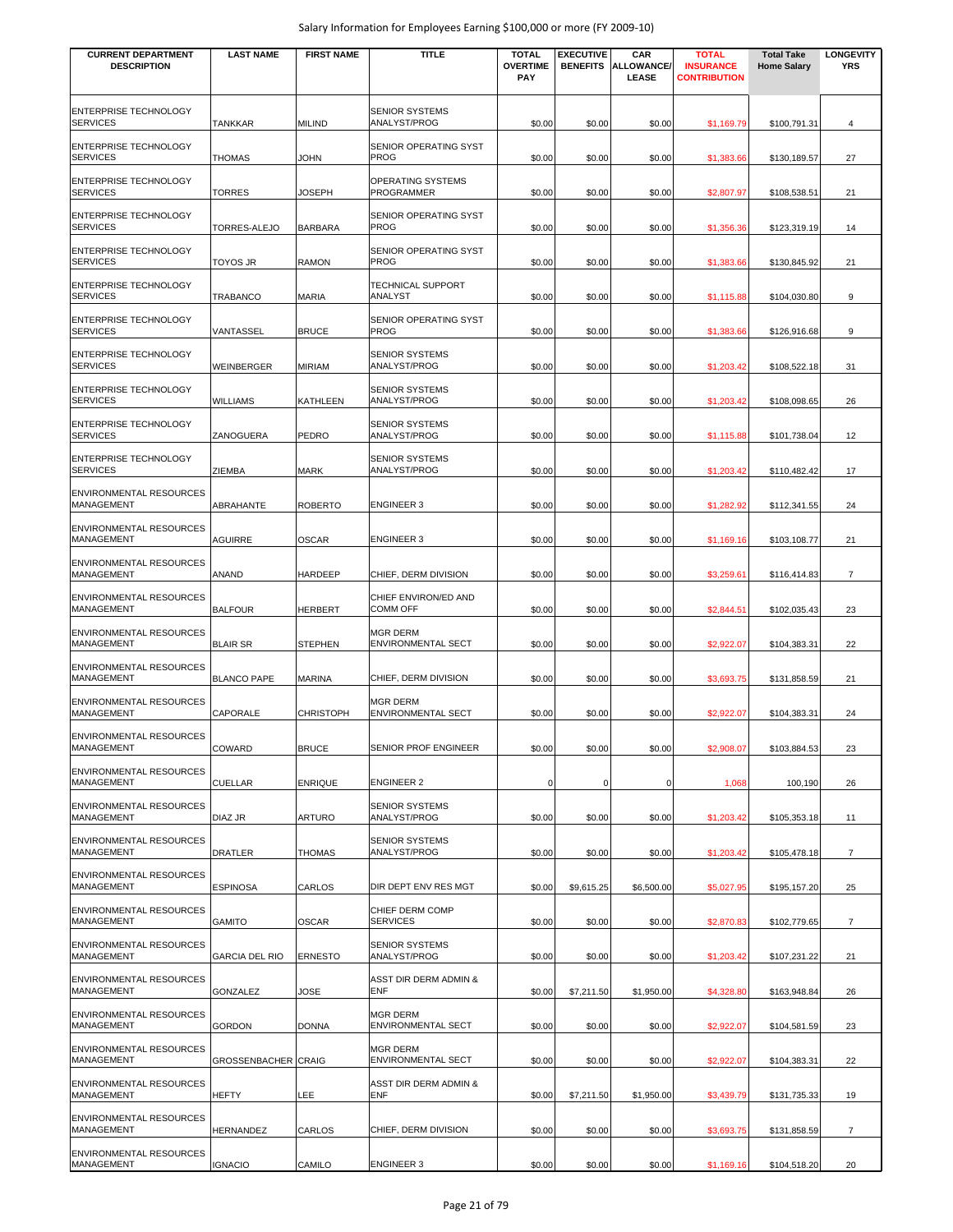| <b>CURRENT DEPARTMENT</b><br><b>DESCRIPTION</b> | <b>LAST NAME</b>           | <b>FIRST NAME</b> | <b>TITLE</b>                                 | <b>TOTAL</b><br><b>OVERTIME</b><br><b>PAY</b> | <b>EXECUTIVE</b><br><b>BENEFITS</b> | CAR<br>ALLOWANCE/<br>LEASE | <b>TOTAL</b><br><b>INSURANCE</b><br><b>CONTRIBUTION</b> | <b>Total Take</b><br><b>Home Salary</b> | <b>LONGEVITY</b><br><b>YRS</b> |
|-------------------------------------------------|----------------------------|-------------------|----------------------------------------------|-----------------------------------------------|-------------------------------------|----------------------------|---------------------------------------------------------|-----------------------------------------|--------------------------------|
| ENTERPRISE TECHNOLOGY<br><b>SERVICES</b>        | <b>TANKKAR</b>             | <b>MILIND</b>     | <b>SENIOR SYSTEMS</b><br>ANALYST/PROG        | \$0.00                                        | \$0.00                              | \$0.00                     | \$1,169.79                                              | \$100.791.31                            | 4                              |
| <b>ENTERPRISE TECHNOLOGY</b><br><b>SERVICES</b> | <b>THOMAS</b>              | <b>JOHN</b>       | SENIOR OPERATING SYST<br><b>PROG</b>         | \$0.00                                        | \$0.00                              | \$0.00                     | \$1,383.66                                              | \$130,189.57                            | 27                             |
| ENTERPRISE TECHNOLOGY<br><b>SERVICES</b>        | TORRES                     | JOSEPH            | OPERATING SYSTEMS<br><b>PROGRAMMER</b>       | \$0.00                                        | \$0.00                              | \$0.00                     | \$2,807.97                                              | \$108,538.51                            | 21                             |
| <b>ENTERPRISE TECHNOLOGY</b><br><b>SERVICES</b> | <b>TORRES-ALEJO</b>        | <b>BARBARA</b>    | SENIOR OPERATING SYST<br><b>PROG</b>         | \$0.00                                        | \$0.00                              | \$0.00                     | \$1,356.36                                              | \$123,319.19                            | 14                             |
| <b>ENTERPRISE TECHNOLOGY</b><br><b>SERVICES</b> | TOYOS JR                   | <b>RAMON</b>      | SENIOR OPERATING SYST<br><b>PROG</b>         | \$0.00                                        | \$0.00                              | \$0.00                     | \$1,383.66                                              | \$130,845.92                            | 21                             |
| <b>ENTERPRISE TECHNOLOGY</b><br><b>SERVICES</b> | TRABANCO                   | <b>MARIA</b>      | <b>TECHNICAL SUPPORT</b><br>ANALYST          | \$0.00                                        | \$0.00                              | \$0.00                     | \$1,115.88                                              | \$104,030.80                            | 9                              |
| <b>ENTERPRISE TECHNOLOGY</b><br><b>SERVICES</b> | VANTASSEL                  | <b>BRUCE</b>      | SENIOR OPERATING SYST<br><b>PROG</b>         | \$0.00                                        | \$0.00                              | \$0.00                     | \$1,383.66                                              | \$126,916.68                            | 9                              |
| ENTERPRISE TECHNOLOGY<br><b>SERVICES</b>        | <b>WEINBERGER</b>          | <b>MIRIAM</b>     | <b>SENIOR SYSTEMS</b><br>ANALYST/PROG        | \$0.00                                        | \$0.00                              | \$0.00                     | \$1,203.42                                              | \$108,522.18                            | 31                             |
| <b>ENTERPRISE TECHNOLOGY</b><br><b>SERVICES</b> | <b>WILLIAMS</b>            | KATHLEEN          | <b>SENIOR SYSTEMS</b><br>ANALYST/PROG        | \$0.00                                        | \$0.00                              | \$0.00                     | \$1,203.42                                              | \$108,098.65                            | 26                             |
| ENTERPRISE TECHNOLOGY<br><b>SERVICES</b>        | ZANOGUERA                  | PEDRO             | SENIOR SYSTEMS<br>ANALYST/PROG               | \$0.00                                        | \$0.00                              | \$0.00                     | \$1,115.88                                              | \$101,738.04                            | 12                             |
| <b>ENTERPRISE TECHNOLOGY</b><br><b>SERVICES</b> | <b>ZIEMBA</b>              | <b>MARK</b>       | <b>SENIOR SYSTEMS</b><br>ANALYST/PROG        | \$0.00                                        | \$0.00                              | \$0.00                     | \$1,203.42                                              | \$110,482.42                            | 17                             |
| ENVIRONMENTAL RESOURCES<br>MANAGEMENT           | ABRAHANTE                  | <b>ROBERTO</b>    | <b>ENGINEER 3</b>                            | \$0.00                                        | \$0.00                              | \$0.00                     | \$1,282.92                                              | \$112,341.55                            | 24                             |
| <b>ENVIRONMENTAL RESOURCES</b><br>MANAGEMENT    | <b>AGUIRRE</b>             | <b>OSCAR</b>      | <b>ENGINEER 3</b>                            | \$0.00                                        | \$0.00                              | \$0.00                     | \$1,169.16                                              | \$103,108.77                            | 21                             |
| ENVIRONMENTAL RESOURCES<br>MANAGEMENT           | <b>ANAND</b>               | HARDEEP           | CHIEF, DERM DIVISION                         | \$0.00                                        | \$0.00                              | \$0.00                     | \$3,259.61                                              | \$116,414.83                            | $\overline{7}$                 |
| ENVIRONMENTAL RESOURCES<br>MANAGEMENT           | <b>BALFOUR</b>             | <b>HERBERT</b>    | CHIEF ENVIRON/ED AND<br><b>COMM OFF</b>      | \$0.00                                        | \$0.00                              | \$0.00                     | \$2,844.51                                              | \$102,035.43                            | 23                             |
| ENVIRONMENTAL RESOURCES<br>MANAGEMENT           | <b>BLAIR SR</b>            | <b>STEPHEN</b>    | <b>MGR DERM</b><br><b>ENVIRONMENTAL SECT</b> | \$0.00                                        | \$0.00                              | \$0.00                     | \$2,922.07                                              | \$104,383.31                            | 22                             |
| <b>ENVIRONMENTAL RESOURCES</b><br>MANAGEMENT    | <b>BLANCO PAPE</b>         | <b>MARINA</b>     | CHIEF, DERM DIVISION                         | \$0.00                                        | \$0.00                              | \$0.00                     | \$3,693.75                                              | \$131,858.59                            | 21                             |
| <b>ENVIRONMENTAL RESOURCES</b><br>MANAGEMENT    | CAPORALE                   | <b>CHRISTOPH</b>  | <b>MGR DERM</b><br><b>ENVIRONMENTAL SECT</b> | \$0.00                                        | \$0.00                              | \$0.00                     | \$2,922.07                                              | \$104,383.31                            | 24                             |
| <b>ENVIRONMENTAL RESOURCES</b><br>MANAGEMENT    | <b>COWARD</b>              | <b>BRUCE</b>      | SENIOR PROF ENGINEER                         | \$0.00                                        | \$0.00                              | \$0.00                     | \$2,908.07                                              | \$103,884.53                            | 23                             |
| <b>ENVIRONMENTAL RESOURCES</b><br>MANAGEMENT    | <b>CUELLAR</b>             | <b>ENRIQUE</b>    | <b>ENGINEER 2</b>                            | $\mathbf 0$                                   | $\circ$                             | $\mathbf 0$                | 1,068                                                   | 100,190                                 | 26                             |
| <b>ENVIRONMENTAL RESOURCES</b><br>MANAGEMENT    | DIAZ JR                    | ARTURO            | <b>SENIOR SYSTEMS</b><br>ANALYST/PROG        | \$0.00                                        | \$0.00                              | \$0.00                     | \$1,203.42                                              | \$105,353.18                            | 11                             |
| ENVIRONMENTAL RESOURCES<br>MANAGEMENT           | <b>DRATLER</b>             | <b>THOMAS</b>     | <b>SENIOR SYSTEMS</b><br>ANALYST/PROG        | \$0.00                                        | \$0.00                              | \$0.00                     | \$1,203.42                                              | \$105,478.18                            | $\overline{7}$                 |
| ENVIRONMENTAL RESOURCES<br>MANAGEMENT           | <b>ESPINOSA</b>            | CARLOS            | DIR DEPT ENV RES MGT                         | \$0.00                                        | \$9,615.25                          | \$6,500.00                 | \$5,027.95                                              | \$195,157.20                            | 25                             |
| ENVIRONMENTAL RESOURCES<br><b>MANAGEMENT</b>    | <b>GAMITO</b>              | <b>OSCAR</b>      | CHIEF DERM COMP<br><b>SERVICES</b>           | \$0.00                                        | \$0.00                              | \$0.00                     | \$2,870.83                                              | \$102,779.65                            | $\overline{7}$                 |
| ENVIRONMENTAL RESOURCES<br>MANAGEMENT           | <b>GARCIA DEL RIO</b>      | ERNESTO           | <b>SENIOR SYSTEMS</b><br>ANALYST/PROG        | \$0.00                                        | \$0.00                              | \$0.00                     | \$1,203.42                                              | \$107,231.22                            | 21                             |
| <b>ENVIRONMENTAL RESOURCES</b><br>MANAGEMENT    | GONZALEZ                   | JOSE              | ASST DIR DERM ADMIN &<br><b>ENF</b>          | \$0.00                                        | \$7,211.50                          | \$1,950.00                 | \$4,328.80                                              | \$163,948.84                            | 26                             |
| ENVIRONMENTAL RESOURCES<br>MANAGEMENT           | <b>GORDON</b>              | <b>DONNA</b>      | <b>MGR DERM</b><br><b>ENVIRONMENTAL SECT</b> | \$0.00                                        | \$0.00                              | \$0.00                     | \$2,922.07                                              | \$104,581.59                            | 23                             |
| <b>ENVIRONMENTAL RESOURCES</b><br>MANAGEMENT    | <b>GROSSENBACHER CRAIG</b> |                   | <b>MGR DERM</b><br><b>ENVIRONMENTAL SECT</b> | \$0.00                                        | \$0.00                              | \$0.00                     | \$2,922.07                                              | \$104,383.31                            | 22                             |
| <b>ENVIRONMENTAL RESOURCES</b><br>MANAGEMENT    | <b>HEFTY</b>               | LEE               | ASST DIR DERM ADMIN &<br><b>ENF</b>          | \$0.00                                        | \$7,211.50                          | \$1,950.00                 | \$3,439.79                                              | \$131,735.33                            | 19                             |
| ENVIRONMENTAL RESOURCES<br>MANAGEMENT           | <b>HERNANDEZ</b>           | CARLOS            | CHIEF, DERM DIVISION                         | \$0.00                                        | \$0.00                              | \$0.00                     | \$3,693.75                                              | \$131,858.59                            | $\overline{7}$                 |
| <b>ENVIRONMENTAL RESOURCES</b><br>MANAGEMENT    | <b>IGNACIO</b>             | CAMILO            | <b>ENGINEER 3</b>                            | \$0.00                                        | \$0.00                              | \$0.00                     | \$1,169.16                                              | \$104,518.20                            | 20                             |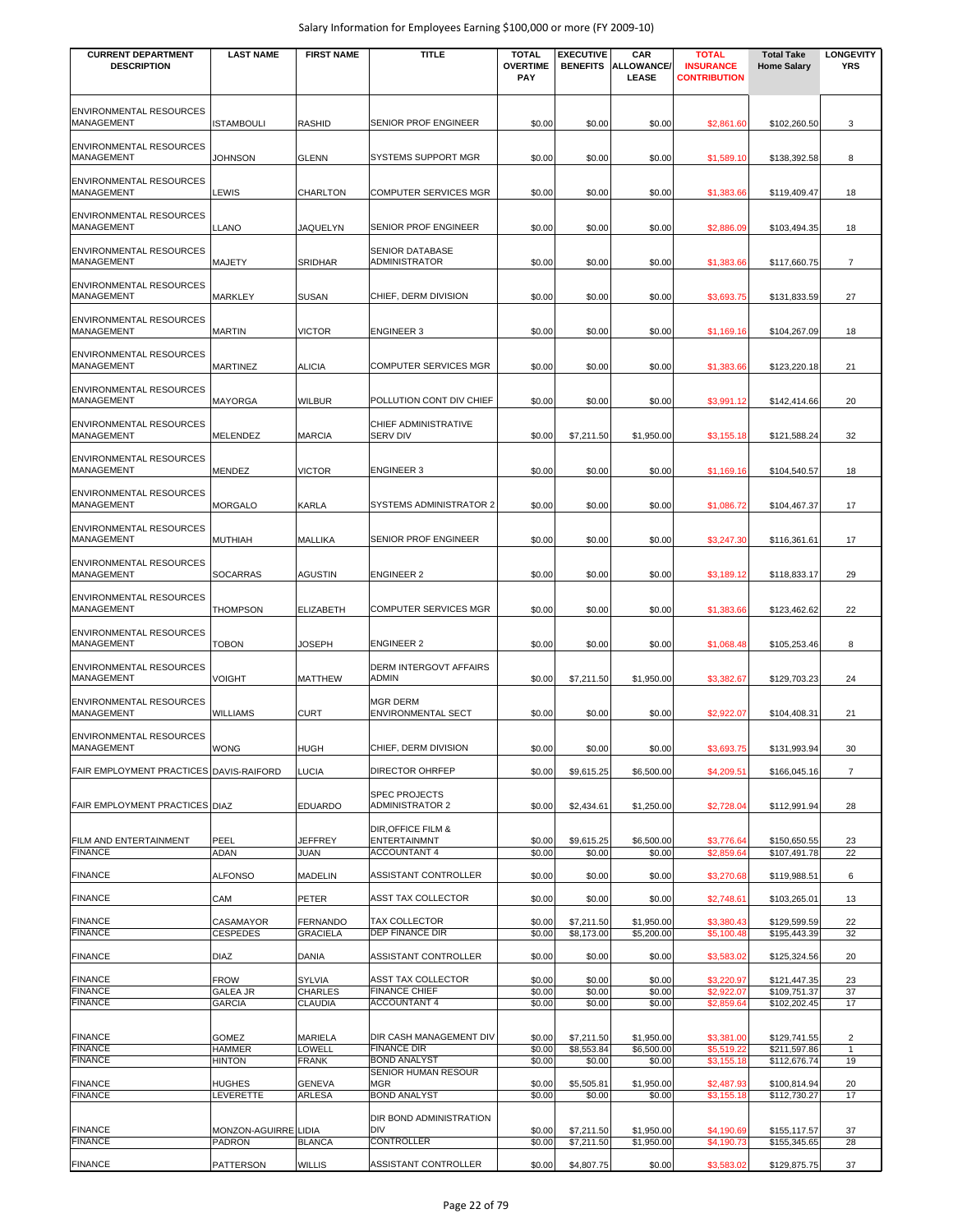| <b>CURRENT DEPARTMENT</b><br><b>DESCRIPTION</b> | <b>LAST NAME</b>                 | <b>FIRST NAME</b>                  | <b>TITLE</b>                                                                | <b>TOTAL</b><br><b>OVERTIME</b><br>PAY | <b>EXECUTIVE</b><br><b>BENEFITS</b> | CAR<br><b>ALLOWANCE/</b><br><b>LEASE</b> | <b>TOTAL</b><br><b>INSURANCE</b><br><b>CONTRIBUTION</b> | <b>Total Take</b><br><b>Home Salary</b> | <b>LONGEVITY</b><br><b>YRS</b> |
|-------------------------------------------------|----------------------------------|------------------------------------|-----------------------------------------------------------------------------|----------------------------------------|-------------------------------------|------------------------------------------|---------------------------------------------------------|-----------------------------------------|--------------------------------|
| ENVIRONMENTAL RESOURCES<br><b>MANAGEMENT</b>    | ISTAMBOULI                       | <b>RASHID</b>                      | SENIOR PROF ENGINEER                                                        | \$0.00                                 | \$0.00                              | \$0.00                                   | \$2,861.60                                              | \$102.260.50                            | 3                              |
| <b>ENVIRONMENTAL RESOURCES</b><br>MANAGEMENT    | <b>JOHNSON</b>                   | <b>GLENN</b>                       | SYSTEMS SUPPORT MGR                                                         | \$0.00                                 | \$0.00                              | \$0.00                                   | \$1,589.10                                              | \$138,392.58                            | 8                              |
| ENVIRONMENTAL RESOURCES<br>MANAGEMENT           | LEWIS                            | CHARLTON                           | <b>COMPUTER SERVICES MGR</b>                                                | \$0.00                                 | \$0.00                              | \$0.00                                   | \$1,383.66                                              | \$119,409.47                            | 18                             |
| <b>ENVIRONMENTAL RESOURCES</b><br>MANAGEMENT    | LLANO                            | <b>JAQUELYN</b>                    | SENIOR PROF ENGINEER                                                        | \$0.00                                 | \$0.00                              | \$0.00                                   | \$2,886.09                                              | \$103,494.35                            | 18                             |
| <b>ENVIRONMENTAL RESOURCES</b><br>MANAGEMENT    | MAJETY                           | <b>SRIDHAR</b>                     | <b>SENIOR DATABASE</b><br><b>ADMINISTRATOR</b>                              | \$0.00                                 | \$0.00                              | \$0.00                                   | \$1,383.66                                              | \$117,660.75                            | $\overline{7}$                 |
| ENVIRONMENTAL RESOURCES<br>MANAGEMENT           | MARKLEY                          | <b>SUSAN</b>                       | CHIEF, DERM DIVISION                                                        | \$0.00                                 | \$0.00                              | \$0.00                                   | \$3,693.75                                              | \$131,833.59                            | 27                             |
| <b>ENVIRONMENTAL RESOURCES</b><br>MANAGEMENT    | <b>MARTIN</b>                    | <b>VICTOR</b>                      | <b>ENGINEER 3</b>                                                           | \$0.00                                 | \$0.00                              | \$0.00                                   | \$1,169.16                                              | \$104,267.09                            | 18                             |
| <b>ENVIRONMENTAL RESOURCES</b><br>MANAGEMENT    | <b>MARTINEZ</b>                  | <b>ALICIA</b>                      | <b>COMPUTER SERVICES MGR</b>                                                | \$0.00                                 | \$0.00                              | \$0.00                                   | \$1,383.66                                              | \$123,220.18                            | 21                             |
| <b>ENVIRONMENTAL RESOURCES</b><br>MANAGEMENT    | MAYORGA                          | <b>WILBUR</b>                      | POLLUTION CONT DIV CHIEF                                                    | \$0.00                                 | \$0.00                              | \$0.00                                   | \$3,991.12                                              | \$142,414.66                            | 20                             |
| ENVIRONMENTAL RESOURCES<br><b>MANAGEMENT</b>    | MELENDEZ                         | <b>MARCIA</b>                      | <b>CHIEF ADMINISTRATIVE</b><br><b>SERV DIV</b>                              | \$0.00                                 | \$7,211.50                          | \$1,950.00                               | \$3,155.18                                              | \$121,588.24                            | 32                             |
| <b>ENVIRONMENTAL RESOURCES</b><br>MANAGEMENT    | <b>MENDEZ</b>                    | <b>VICTOR</b>                      | <b>ENGINEER 3</b>                                                           | \$0.00                                 | \$0.00                              | \$0.00                                   | \$1,169.16                                              | \$104,540.57                            | 18                             |
| ENVIRONMENTAL RESOURCES<br>MANAGEMENT           | <b>MORGALO</b>                   | <b>KARLA</b>                       | SYSTEMS ADMINISTRATOR 2                                                     | \$0.00                                 | \$0.00                              | \$0.00                                   | \$1,086.72                                              | \$104,467.37                            | 17                             |
| ENVIRONMENTAL RESOURCES<br>MANAGEMENT           | MUTHIAH                          | <b>MALLIKA</b>                     | SENIOR PROF ENGINEER                                                        | \$0.00                                 | \$0.00                              | \$0.00                                   | \$3,247.30                                              | \$116,361.61                            | 17                             |
| ENVIRONMENTAL RESOURCES<br>MANAGEMENT           | <b>SOCARRAS</b>                  | <b>AGUSTIN</b>                     | <b>ENGINEER 2</b>                                                           | \$0.00                                 | \$0.00                              | \$0.00                                   | \$3,189.12                                              | \$118,833.17                            | 29                             |
| <b>ENVIRONMENTAL RESOURCES</b><br>MANAGEMENT    | THOMPSON                         | <b>ELIZABETH</b>                   | <b>COMPUTER SERVICES MGR</b>                                                | \$0.00                                 | \$0.00                              | \$0.00                                   | \$1,383.66                                              | \$123,462.62                            | 22                             |
| <b>ENVIRONMENTAL RESOURCES</b><br>MANAGEMENT    | <b>TOBON</b>                     | <b>JOSEPH</b>                      | <b>ENGINEER 2</b>                                                           | \$0.00                                 | \$0.00                              | \$0.00                                   | \$1,068.48                                              | \$105,253.46                            | 8                              |
| ENVIRONMENTAL RESOURCES<br>MANAGEMENT           | <b>VOIGHT</b>                    | <b>MATTHEW</b>                     | DERM INTERGOVT AFFAIRS<br>ADMIN                                             | \$0.00                                 | \$7,211.50                          | \$1,950.00                               | \$3,382.67                                              | \$129,703.23                            | 24                             |
| ENVIRONMENTAL RESOURCES<br>MANAGEMENT           | WILLIAMS                         | <b>CURT</b>                        | <b>MGR DERM</b><br><b>ENVIRONMENTAL SECT</b>                                | \$0.00                                 | \$0.00                              | \$0.00                                   | \$2,922.07                                              | \$104,408.31                            | 21                             |
| <b>ENVIRONMENTAL RESOURCES</b><br>MANAGEMENT    | <b>WONG</b>                      | <b>HUGH</b>                        | CHIEF, DERM DIVISION                                                        | \$0.00                                 | \$0.00                              | \$0.00                                   | \$3,693.75                                              | \$131,993.94                            | 30                             |
| FAIR EMPLOYMENT PRACTICES DAVIS-RAIFORD         |                                  | <b>LUCIA</b>                       | DIRECTOR OHRFEP                                                             | \$0.00                                 | \$9,615.25                          | \$6,500.00                               | \$4,209.51                                              | \$166,045.16                            | $\overline{7}$                 |
| FAIR EMPLOYMENT PRACTICES DIAZ                  |                                  | <b>EDUARDO</b>                     | <b>SPEC PROJECTS</b><br><b>ADMINISTRATOR 2</b>                              | \$0.00                                 | \$2,434.61                          | \$1,250.00                               | \$2,728.04                                              | \$112,991.94                            | 28                             |
| FILM AND ENTERTAINMENT<br><b>FINANCE</b>        | PEEL<br>ADAN                     | <b>JEFFREY</b><br>JUAN             | <b>DIR, OFFICE FILM &amp;</b><br><b>ENTERTAINMNT</b><br><b>ACCOUNTANT 4</b> | \$0.00<br>\$0.00                       | \$9,615.25<br>\$0.00                | \$6,500.00<br>\$0.00                     | \$3,776.64<br>\$2,859.64                                | \$150,650.55<br>\$107,491.78            | 23<br>22                       |
| <b>FINANCE</b>                                  | <b>ALFONSO</b>                   | <b>MADELIN</b>                     | <b>ASSISTANT CONTROLLER</b>                                                 | \$0.00                                 | \$0.00                              | \$0.00                                   | \$3,270.68                                              | \$119,988.51                            | 6                              |
| <b>FINANCE</b>                                  | CAM                              | <b>PETER</b>                       | ASST TAX COLLECTOR                                                          | \$0.00                                 | \$0.00                              | \$0.00                                   | \$2,748.61                                              | \$103,265.01                            | 13                             |
| <b>FINANCE</b><br><b>FINANCE</b>                | CASAMAYOR<br><b>CESPEDES</b>     | <b>FERNANDO</b><br><b>GRACIELA</b> | <b>TAX COLLECTOR</b><br><b>DEP FINANCE DIR</b>                              | \$0.00<br>\$0.00                       | \$7,211.50<br>\$8,173.00            | \$1,950.00<br>\$5,200.00                 | \$3,380.43<br>\$5,100.48                                | \$129,599.59<br>\$195,443.39            | 22<br>32                       |
| <b>FINANCE</b>                                  | DIAZ                             | DANIA                              | ASSISTANT CONTROLLER                                                        | \$0.00                                 | \$0.00                              | \$0.00                                   | \$3,583.02                                              | \$125,324.56                            | 20                             |
| <b>FINANCE</b>                                  | <b>FROW</b>                      | SYLVIA                             | ASST TAX COLLECTOR                                                          | \$0.00                                 | \$0.00                              | \$0.00                                   | \$3,220.97                                              | \$121,447.35                            | 23                             |
| <b>FINANCE</b><br><b>FINANCE</b>                | <b>GALEA JR</b><br><b>GARCIA</b> | <b>CHARLES</b><br><b>CLAUDIA</b>   | <b>FINANCE CHIEF</b><br><b>ACCOUNTANT 4</b>                                 | \$0.00<br>\$0.00                       | \$0.00<br>\$0.00                    | \$0.00<br>\$0.00                         | \$2,922.07<br>\$2,859.64                                | \$109,751.37<br>\$102,202.45            | 37<br>17                       |
| <b>FINANCE</b>                                  | <b>GOMEZ</b>                     | <b>MARIELA</b>                     | DIR CASH MANAGEMENT DIV                                                     | \$0.00                                 | \$7,211.50                          | \$1,950.00                               | \$3,381.00                                              | \$129,741.55                            | $\overline{2}$                 |
| <b>FINANCE</b><br><b>FINANCE</b>                | <b>HAMMER</b><br><b>HINTON</b>   | LOWELL<br><b>FRANK</b>             | <b>FINANCE DIR</b><br><b>BOND ANALYST</b><br>SENIOR HUMAN RESOUR            | \$0.00<br>\$0.00                       | \$8,553.84<br>\$0.00                | \$6,500.00<br>\$0.00                     | \$5,519.22<br>\$3,155.18                                | \$211,597.86<br>\$112,676.74            | $\mathbf{1}$<br>19             |
| <b>FINANCE</b><br><b>FINANCE</b>                | HUGHES                           | <b>GENEVA</b>                      | <b>MGR</b><br><b>BOND ANALYST</b>                                           | \$0.00<br>\$0.00                       | \$5,505.81                          | \$1,950.00                               | \$2,487.93                                              | \$100,814.94                            | 20<br>17                       |
|                                                 | LEVERETTE                        | <b>ARLESA</b>                      | DIR BOND ADMINISTRATION                                                     |                                        | \$0.00                              | \$0.00                                   | \$3,155.18                                              | \$112,730.27                            |                                |
| <b>FINANCE</b><br><b>FINANCE</b>                | MONZON-AGUIRRE LIDIA<br>PADRON   | <b>BLANCA</b>                      | <b>DIV</b><br><b>CONTROLLER</b>                                             | \$0.00<br>\$0.00                       | \$7,211.50<br>\$7,211.50            | \$1,950.00<br>\$1,950.00                 | \$4,190.69<br>\$4,190.73                                | \$155,117.57<br>\$155,345.65            | 37<br>28                       |
| <b>FINANCE</b>                                  | PATTERSON                        | <b>WILLIS</b>                      | ASSISTANT CONTROLLER                                                        | \$0.00                                 | \$4,807.75                          | \$0.00                                   | \$3,583.02                                              | \$129,875.75                            | 37                             |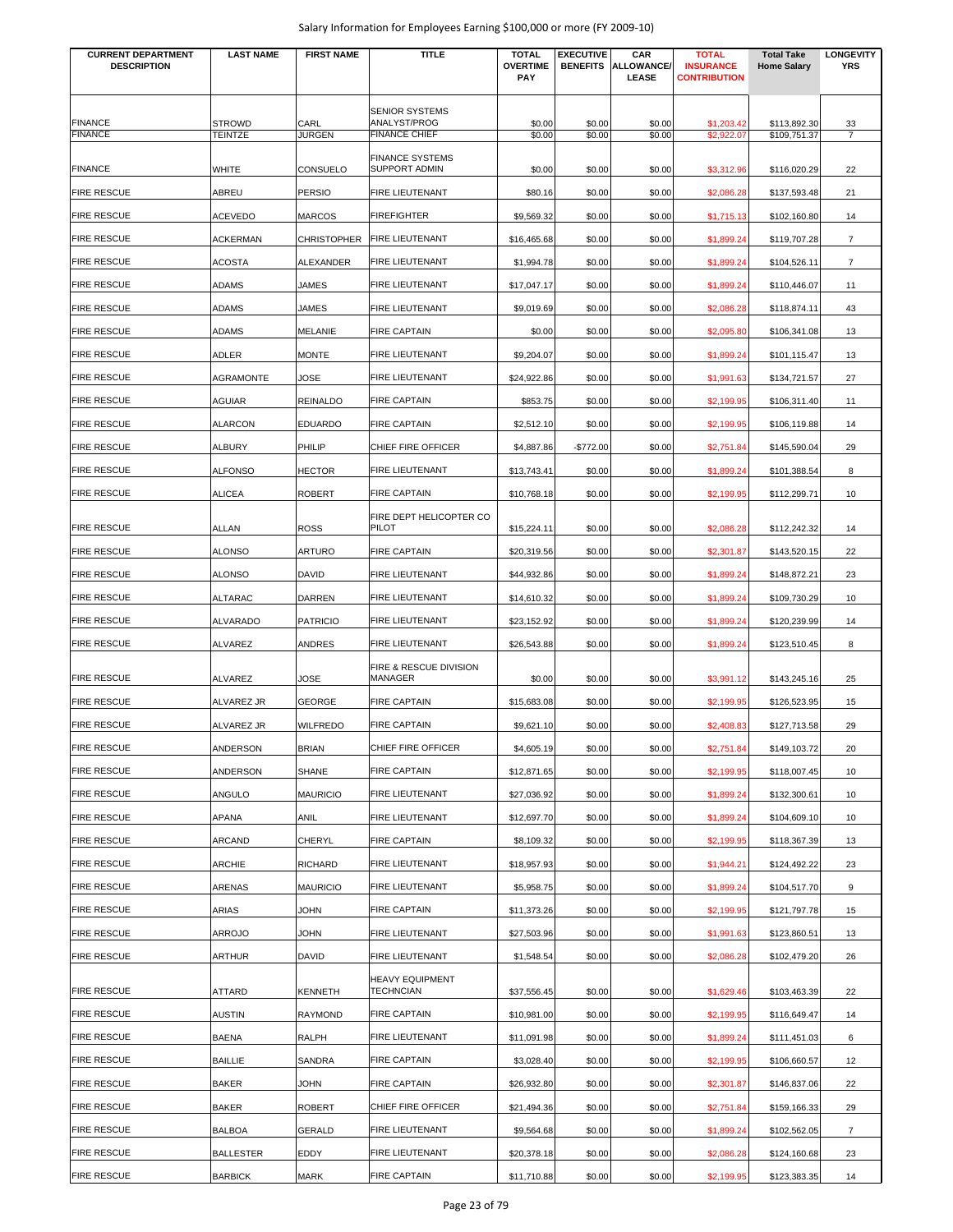| <b>CURRENT DEPARTMENT</b><br><b>DESCRIPTION</b> | <b>LAST NAME</b>                | <b>FIRST NAME</b>     | <b>TITLE</b>                         | <b>TOTAL</b><br><b>OVERTIME</b> | <b>EXECUTIVE</b><br><b>BENEFITS</b> | <b>CAR</b><br><b>ALLOWANCE/</b> | <b>TOTAL</b><br><b>INSURANCE</b> | <b>Total Take</b><br><b>Home Salary</b> | <b>LONGEVITY</b><br><b>YRS</b> |
|-------------------------------------------------|---------------------------------|-----------------------|--------------------------------------|---------------------------------|-------------------------------------|---------------------------------|----------------------------------|-----------------------------------------|--------------------------------|
|                                                 |                                 |                       |                                      | PAY                             |                                     | LEASE                           | <b>CONTRIBUTION</b>              |                                         |                                |
|                                                 |                                 |                       | <b>SENIOR SYSTEMS</b>                |                                 |                                     |                                 |                                  |                                         |                                |
| <b>FINANCE</b><br><b>FINANCE</b>                | <b>STROWD</b><br><b>TEINTZE</b> | CARL<br><b>JURGEN</b> | ANALYST/PROG<br><b>FINANCE CHIEF</b> | \$0.00<br>\$0.00                | \$0.00<br>\$0.00                    | \$0.00<br>\$0.00                | \$1,203.42<br>\$2,922.07         | \$113,892.30<br>\$109,751.37            | 33<br>$\overline{7}$           |
|                                                 |                                 |                       | <b>FINANCE SYSTEMS</b>               |                                 |                                     |                                 |                                  |                                         |                                |
| <b>FINANCE</b>                                  | <b>WHITE</b>                    | <b>CONSUELO</b>       | <b>SUPPORT ADMIN</b>                 | \$0.00                          | \$0.00                              | \$0.00                          | \$3,312.96                       | \$116,020.29                            | 22                             |
| <b>FIRE RESCUE</b>                              | ABREU                           | <b>PERSIO</b>         | FIRE LIEUTENANT                      | \$80.16                         | \$0.00                              | \$0.00                          | \$2,086.28                       | \$137,593.48                            | 21                             |
| <b>FIRE RESCUE</b>                              | <b>ACEVEDO</b>                  | <b>MARCOS</b>         | <b>FIREFIGHTER</b>                   | \$9,569.32                      | \$0.00                              | \$0.00                          | \$1,715.13                       | \$102,160.80                            | 14                             |
| <b>FIRE RESCUE</b>                              | <b>ACKERMAN</b>                 | <b>CHRISTOPHER</b>    | <b>FIRE LIEUTENANT</b>               | \$16,465.68                     | \$0.00                              | \$0.00                          | \$1,899.24                       | \$119,707.28                            | 7                              |
| <b>FIRE RESCUE</b>                              | <b>ACOSTA</b>                   | <b>ALEXANDER</b>      | <b>FIRE LIEUTENANT</b>               | \$1,994.78                      | \$0.00                              | \$0.00                          | \$1,899.24                       | \$104,526.11                            | $\overline{7}$                 |
| <b>FIRE RESCUE</b>                              | <b>ADAMS</b>                    | JAMES                 | <b>FIRE LIEUTENANT</b>               | \$17,047.17                     | \$0.00                              | \$0.00                          | \$1,899.24                       | \$110,446.07                            | 11                             |
| <b>FIRE RESCUE</b>                              | ADAMS                           | JAMES                 | <b>FIRE LIEUTENANT</b>               | \$9,019.69                      | \$0.00                              | \$0.00                          | \$2,086.28                       | \$118,874.11                            | 43                             |
| <b>FIRE RESCUE</b>                              | ADAMS                           | <b>MELANIE</b>        | <b>FIRE CAPTAIN</b>                  | \$0.00                          | \$0.00                              | \$0.00                          | \$2,095.80                       | \$106,341.08                            | 13                             |
| <b>FIRE RESCUE</b>                              | ADLER                           | <b>MONTE</b>          | FIRE LIEUTENANT                      | \$9,204.07                      | \$0.00                              | \$0.00                          | \$1,899.24                       | \$101,115.47                            | 13                             |
| <b>FIRE RESCUE</b>                              | <b>AGRAMONTE</b>                | JOSE                  | FIRE LIEUTENANT                      | \$24,922.86                     | \$0.00                              | \$0.00                          | \$1,991.63                       | \$134,721.57                            | 27                             |
| <b>FIRE RESCUE</b>                              | AGUIAR                          | <b>REINALDO</b>       | <b>FIRE CAPTAIN</b>                  | \$853.75                        | \$0.00                              | \$0.00                          | \$2,199.95                       | \$106,311.40                            | 11                             |
| <b>FIRE RESCUE</b>                              | <b>ALARCON</b>                  | <b>EDUARDO</b>        | <b>FIRE CAPTAIN</b>                  | \$2,512.10                      | \$0.00                              | \$0.00                          | \$2,199.95                       | \$106,119.88                            | 14                             |
| <b>FIRE RESCUE</b>                              | <b>ALBURY</b>                   | PHILIP                | CHIEF FIRE OFFICER                   | \$4,887.86                      | $-$772.00$                          | \$0.00                          | \$2,751.84                       | \$145,590.04                            | 29                             |
| <b>FIRE RESCUE</b>                              | <b>ALFONSO</b>                  | <b>HECTOR</b>         | FIRE LIEUTENANT                      | \$13,743.41                     | \$0.00                              | \$0.00                          | \$1,899.24                       | \$101,388.54                            | 8                              |
| <b>FIRE RESCUE</b>                              | <b>ALICEA</b>                   | <b>ROBERT</b>         | <b>FIRE CAPTAIN</b>                  | \$10,768.18                     | \$0.00                              | \$0.00                          | \$2,199.95                       | \$112,299.71                            | 10                             |
|                                                 |                                 |                       | FIRE DEPT HELICOPTER CO              |                                 |                                     |                                 |                                  |                                         |                                |
| <b>FIRE RESCUE</b>                              | <b>ALLAN</b>                    | <b>ROSS</b>           | PILOT                                | \$15,224.11                     | \$0.00                              | \$0.00                          | \$2,086.28                       | \$112,242.32                            | 14                             |
| <b>FIRE RESCUE</b>                              | <b>ALONSO</b>                   | <b>ARTURO</b>         | <b>FIRE CAPTAIN</b>                  | \$20,319.56                     | \$0.00                              | \$0.00                          | \$2,301.87                       | \$143,520.15                            | 22                             |
| <b>FIRE RESCUE</b>                              | <b>ALONSO</b>                   | <b>DAVID</b>          | <b>FIRE LIEUTENANT</b>               | \$44,932.86                     | \$0.00                              | \$0.00                          | \$1,899.24                       | \$148,872.21                            | 23                             |
| <b>FIRE RESCUE</b>                              | <b>ALTARAC</b>                  | <b>DARREN</b>         | <b>FIRE LIEUTENANT</b>               | \$14,610.32                     | \$0.00                              | \$0.00                          | \$1,899.24                       | \$109,730.29                            | 10                             |
| <b>FIRE RESCUE</b>                              | ALVARADO                        | <b>PATRICIO</b>       | FIRE LIEUTENANT                      | \$23,152.92                     | \$0.00                              | \$0.00                          | \$1,899.24                       | \$120,239.99                            | 14                             |
| <b>FIRE RESCUE</b>                              | <b>ALVAREZ</b>                  | <b>ANDRES</b>         | FIRE LIEUTENANT                      | \$26,543.88                     | \$0.00                              | \$0.00                          | \$1,899.24                       | \$123,510.45                            | 8                              |
| <b>FIRE RESCUE</b>                              | <b>ALVAREZ</b>                  | JOSE                  | FIRE & RESCUE DIVISION<br>MANAGER    | \$0.00                          | \$0.00                              | \$0.00                          | \$3,991.12                       | \$143,245.16                            | 25                             |
| <b>FIRE RESCUE</b>                              | ALVAREZ JR                      | <b>GEORGE</b>         | <b>FIRE CAPTAIN</b>                  | \$15,683.08                     | \$0.00                              | \$0.00                          | \$2,199.95                       | \$126,523.95                            | 15                             |
| <b>FIRE RESCUE</b>                              | ALVAREZ JR                      | <b>WILFREDO</b>       | <b>FIRE CAPTAIN</b>                  | \$9,621.10                      | \$0.00                              | \$0.00                          | \$2,408.83                       |                                         | 29                             |
|                                                 | ANDERSON                        |                       | CHIEF FIRE OFFICER                   |                                 |                                     |                                 |                                  | \$127,713.58                            |                                |
| FIRE RESCUE<br><b>FIRE RESCUE</b>               |                                 | <b>BRIAN</b>          |                                      | \$4,605.19                      | \$0.00                              | \$0.00                          | \$2,751.84                       | \$149,103.72                            | 20                             |
|                                                 | ANDERSON                        | <b>SHANE</b>          | <b>FIRE CAPTAIN</b>                  | \$12,871.65                     | \$0.00                              | \$0.00                          | \$2,199.95                       | \$118,007.45                            | 10                             |
| <b>FIRE RESCUE</b>                              | ANGULO                          | <b>MAURICIO</b>       | FIRE LIEUTENANT                      | \$27,036.92                     | \$0.00                              | \$0.00                          | \$1,899.24                       | \$132,300.61                            | 10                             |
| <b>FIRE RESCUE</b>                              | APANA                           | <b>ANIL</b>           | FIRE LIEUTENANT                      | \$12,697.70                     | \$0.00                              | \$0.00                          | \$1,899.24                       | \$104,609.10                            | 10                             |
| <b>FIRE RESCUE</b>                              | ARCAND                          | <b>CHERYL</b>         | <b>FIRE CAPTAIN</b>                  | \$8,109.32                      | \$0.00                              | \$0.00                          | \$2,199.95                       | \$118,367.39                            | 13                             |
| <b>FIRE RESCUE</b>                              | ARCHIE                          | <b>RICHARD</b>        | FIRE LIEUTENANT                      | \$18,957.93                     | \$0.00                              | \$0.00                          | \$1,944.21                       | \$124,492.22                            | 23                             |
| <b>FIRE RESCUE</b>                              | ARENAS                          | <b>MAURICIO</b>       | FIRE LIEUTENANT                      | \$5,958.75                      | \$0.00                              | \$0.00                          | \$1,899.24                       | \$104,517.70                            | 9                              |
| <b>FIRE RESCUE</b>                              | ARIAS                           | JOHN                  | <b>FIRE CAPTAIN</b>                  | \$11,373.26                     | \$0.00                              | \$0.00                          | \$2,199.95                       | \$121,797.78                            | 15                             |
| <b>FIRE RESCUE</b>                              | ARROJO                          | JOHN                  | FIRE LIEUTENANT                      | \$27,503.96                     | \$0.00                              | \$0.00                          | \$1,991.63                       | \$123,860.51                            | 13                             |
| <b>FIRE RESCUE</b>                              | ARTHUR                          | <b>DAVID</b>          | FIRE LIEUTENANT                      | \$1,548.54                      | \$0.00                              | \$0.00                          | \$2,086.28                       | \$102,479.20                            | 26                             |
| <b>FIRE RESCUE</b>                              | ATTARD                          | <b>KENNETH</b>        | <b>HEAVY EQUIPMENT</b><br>TECHNCIAN  | \$37,556.45                     | \$0.00                              | \$0.00                          | \$1,629.46                       | \$103,463.39                            | 22                             |
| <b>FIRE RESCUE</b>                              | <b>AUSTIN</b>                   | <b>RAYMOND</b>        | <b>FIRE CAPTAIN</b>                  | \$10,981.00                     | \$0.00                              | \$0.00                          | \$2,199.95                       | \$116,649.47                            | 14                             |
| FIRE RESCUE                                     | <b>BAENA</b>                    | <b>RALPH</b>          | FIRE LIEUTENANT                      | \$11,091.98                     | \$0.00                              | \$0.00                          | \$1,899.24                       | \$111,451.03                            | 6                              |
| <b>FIRE RESCUE</b>                              | <b>BAILLIE</b>                  | SANDRA                | <b>FIRE CAPTAIN</b>                  | \$3,028.40                      | \$0.00                              | \$0.00                          | \$2,199.95                       | \$106,660.57                            | 12                             |
| <b>FIRE RESCUE</b>                              | <b>BAKER</b>                    | <b>JOHN</b>           | <b>FIRE CAPTAIN</b>                  | \$26,932.80                     | \$0.00                              | \$0.00                          | \$2,301.87                       | \$146,837.06                            | 22                             |
| <b>FIRE RESCUE</b>                              | <b>BAKER</b>                    | <b>ROBERT</b>         | CHIEF FIRE OFFICER                   | \$21,494.36                     | \$0.00                              | \$0.00                          | \$2,751.84                       | \$159,166.33                            | 29                             |
| <b>FIRE RESCUE</b>                              | <b>BALBOA</b>                   | <b>GERALD</b>         | FIRE LIEUTENANT                      | \$9,564.68                      | \$0.00                              | \$0.00                          | \$1,899.24                       | \$102,562.05                            | $\overline{7}$                 |
| <b>FIRE RESCUE</b>                              | <b>BALLESTER</b>                | EDDY                  | FIRE LIEUTENANT                      | \$20,378.18                     | \$0.00                              | \$0.00                          | \$2,086.28                       | \$124,160.68                            | 23                             |
| <b>FIRE RESCUE</b>                              | <b>BARBICK</b>                  | <b>MARK</b>           | <b>FIRE CAPTAIN</b>                  | \$11,710.88                     | \$0.00                              | \$0.00                          | \$2,199.95                       | \$123,383.35                            | 14                             |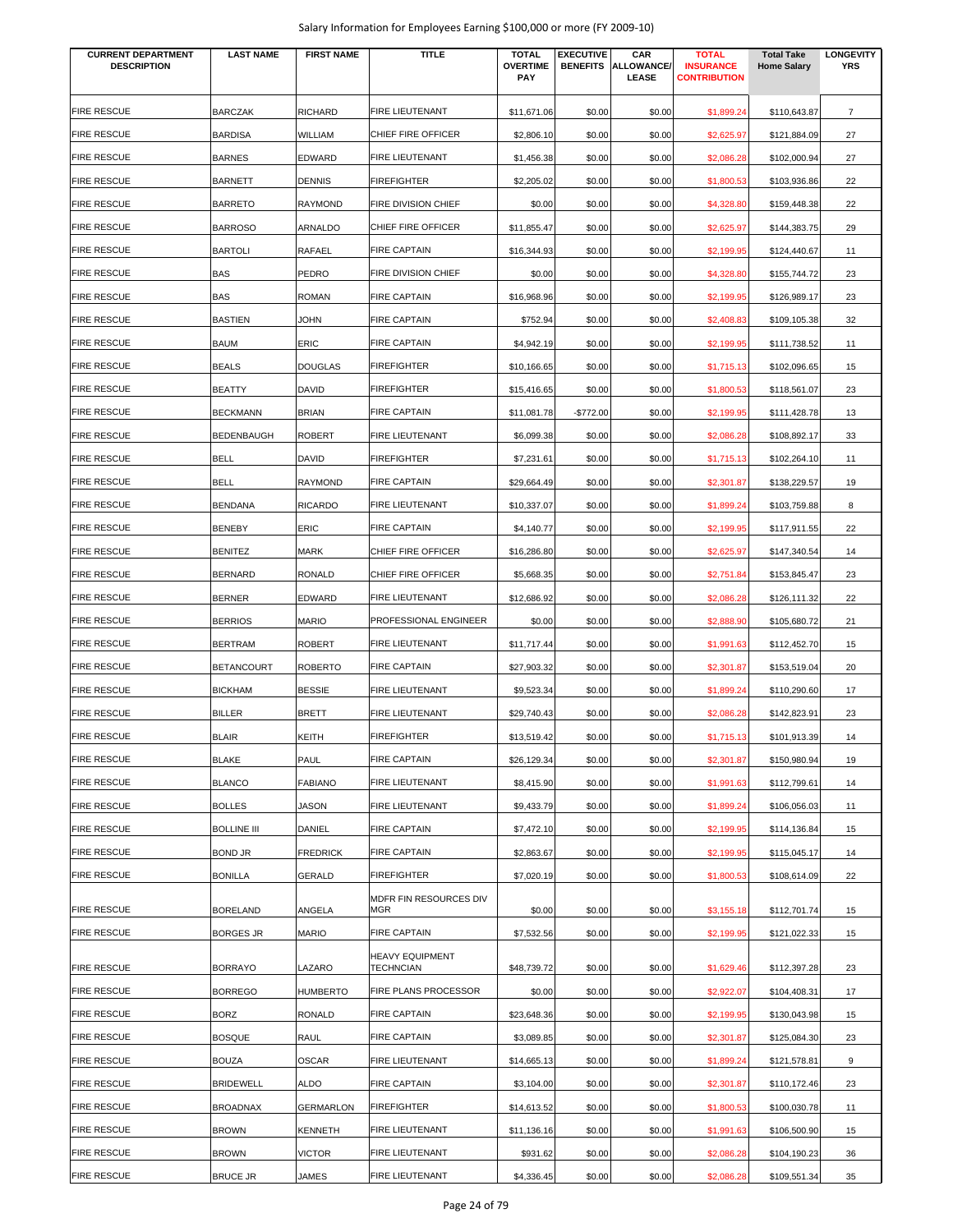| <b>CURRENT DEPARTMENT</b><br><b>DESCRIPTION</b> | <b>LAST NAME</b>                    | <b>FIRST NAME</b>      | <b>TITLE</b>                               | <b>TOTAL</b><br><b>OVERTIME</b><br><b>PAY</b> | <b>EXECUTIVE</b><br><b>BENEFITS</b> | CAR<br>ALLOWANCE/<br><b>LEASE</b> | <b>TOTAL</b><br><b>INSURANCE</b><br><b>CONTRIBUTION</b> | <b>Total Take</b><br><b>Home Salary</b> | <b>LONGEVITY</b><br><b>YRS</b> |
|-------------------------------------------------|-------------------------------------|------------------------|--------------------------------------------|-----------------------------------------------|-------------------------------------|-----------------------------------|---------------------------------------------------------|-----------------------------------------|--------------------------------|
| <b>FIRE RESCUE</b>                              | <b>BARCZAK</b>                      | <b>RICHARD</b>         | FIRE LIEUTENANT                            | \$11,671.06                                   | \$0.00                              | \$0.00                            | \$1,899.24                                              | \$110,643.87                            | $\overline{7}$                 |
| <b>FIRE RESCUE</b>                              | <b>BARDISA</b>                      | WILLIAM                | CHIEF FIRE OFFICER                         | \$2,806.10                                    | \$0.00                              | \$0.00                            | \$2,625.97                                              | \$121,884.09                            | 27                             |
| <b>FIRE RESCUE</b>                              | <b>BARNES</b>                       | <b>EDWARD</b>          | FIRE LIEUTENANT                            | \$1,456.38                                    | \$0.00                              | \$0.00                            | \$2,086.28                                              | \$102,000.94                            | 27                             |
| <b>FIRE RESCUE</b>                              | <b>BARNETT</b>                      | <b>DENNIS</b>          | <b>FIREFIGHTER</b>                         | \$2,205.02                                    | \$0.00                              | \$0.00                            | \$1,800.53                                              | \$103,936.86                            | 22                             |
| <b>FIRE RESCUE</b>                              | <b>BARRETO</b>                      | <b>RAYMOND</b>         | FIRE DIVISION CHIEF                        | \$0.00                                        | \$0.00                              | \$0.00                            | \$4,328.80                                              | \$159,448.38                            | 22                             |
| <b>FIRE RESCUE</b>                              | <b>BARROSO</b>                      | ARNALDO                | CHIEF FIRE OFFICER                         | \$11,855.47                                   | \$0.00                              | \$0.00                            | \$2,625.97                                              | \$144,383.75                            | 29                             |
| <b>FIRE RESCUE</b>                              | <b>BARTOLI</b>                      | <b>RAFAEL</b>          | <b>FIRE CAPTAIN</b>                        | \$16,344.93                                   | \$0.00                              | \$0.00                            | \$2,199.95                                              | \$124,440.67                            | 11                             |
| <b>FIRE RESCUE</b>                              | <b>BAS</b>                          | PEDRO                  | FIRE DIVISION CHIEF                        | \$0.00                                        | \$0.00                              | \$0.00                            | \$4,328.80                                              | \$155,744.72                            | 23                             |
| <b>FIRE RESCUE</b>                              | <b>BAS</b>                          | <b>ROMAN</b>           | <b>FIRE CAPTAIN</b>                        | \$16,968.96                                   | \$0.00                              | \$0.00                            | \$2,199.95                                              | \$126,989.17                            | 23                             |
| <b>FIRE RESCUE</b>                              | <b>BASTIEN</b>                      | <b>JOHN</b>            | <b>FIRE CAPTAIN</b>                        | \$752.94                                      | \$0.00                              | \$0.00                            | \$2,408.83                                              | \$109,105.38                            | 32                             |
| <b>FIRE RESCUE</b>                              | <b>BAUM</b>                         | <b>ERIC</b>            | <b>FIRE CAPTAIN</b>                        | \$4,942.19                                    | \$0.00                              | \$0.00                            | \$2,199.95                                              | \$111,738.52                            | 11                             |
| <b>FIRE RESCUE</b>                              | <b>BEALS</b>                        | <b>DOUGLAS</b>         | <b>FIREFIGHTER</b>                         | \$10,166.65                                   | \$0.00                              | \$0.00                            | \$1,715.13                                              | \$102,096.65                            | 15                             |
| <b>FIRE RESCUE</b>                              | <b>BEATTY</b>                       | <b>DAVID</b>           | <b>FIREFIGHTER</b>                         | \$15,416.65                                   | \$0.00                              | \$0.00                            | \$1,800.53                                              | \$118,561.07                            | 23                             |
| <b>FIRE RESCUE</b>                              | <b>BECKMANN</b>                     | <b>BRIAN</b>           | <b>FIRE CAPTAIN</b>                        | \$11,081.78                                   | -\$772.00                           | \$0.00                            | \$2,199.95                                              | \$111,428.78                            | 13                             |
| <b>FIRE RESCUE</b>                              | <b>BEDENBAUGH</b>                   | <b>ROBERT</b>          | FIRE LIEUTENANT                            | \$6,099.38                                    | \$0.00                              | \$0.00                            | \$2,086.28                                              | \$108,892.17                            | 33                             |
| <b>FIRE RESCUE</b>                              | <b>BELL</b>                         | <b>DAVID</b>           | <b>FIREFIGHTER</b>                         | \$7,231.61                                    | \$0.00                              | \$0.00                            | \$1,715.13                                              | \$102,264.10                            | 11                             |
| <b>FIRE RESCUE</b>                              | <b>BELL</b>                         | <b>RAYMOND</b>         | <b>FIRE CAPTAIN</b>                        | \$29,664.49                                   | \$0.00                              | \$0.00                            | \$2,301.87                                              | \$138,229.57                            | 19                             |
| <b>FIRE RESCUE</b>                              | <b>BENDANA</b>                      | <b>RICARDO</b>         | FIRE LIEUTENANT                            | \$10,337.07                                   | \$0.00                              | \$0.00                            | \$1,899.24                                              | \$103,759.88                            | 8                              |
| <b>FIRE RESCUE</b>                              | <b>BENEBY</b>                       | ERIC                   | <b>FIRE CAPTAIN</b>                        | \$4,140.77                                    | \$0.00                              | \$0.00                            | \$2,199.95                                              | \$117,911.55                            | 22                             |
| <b>FIRE RESCUE</b>                              | <b>BENITEZ</b>                      | <b>MARK</b>            | CHIEF FIRE OFFICER                         | \$16,286.80                                   | \$0.00                              | \$0.00                            | \$2,625.97                                              | \$147,340.54                            | 14                             |
| <b>FIRE RESCUE</b>                              | <b>BERNARD</b>                      | <b>RONALD</b>          | CHIEF FIRE OFFICER                         |                                               | \$0.00                              | \$0.00                            |                                                         |                                         | 23                             |
| <b>FIRE RESCUE</b>                              |                                     |                        | FIRE LIEUTENANT                            | \$5,668.35                                    |                                     |                                   | \$2,751.84                                              | \$153,845.47                            |                                |
| <b>FIRE RESCUE</b>                              | <b>BERNER</b><br><b>BERRIOS</b>     | EDWARD<br><b>MARIO</b> | PROFESSIONAL ENGINEER                      | \$12,686.92                                   | \$0.00                              | \$0.00                            | \$2,086.28                                              | \$126,111.32                            | 22<br>21                       |
| <b>FIRE RESCUE</b>                              |                                     |                        | FIRE LIEUTENANT                            | \$0.00                                        | \$0.00                              | \$0.00                            | \$2,888.90                                              | \$105,680.72                            |                                |
| <b>FIRE RESCUE</b>                              | <b>BERTRAM</b><br><b>BETANCOURT</b> | <b>ROBERT</b>          | <b>FIRE CAPTAIN</b>                        | \$11,717.44                                   | \$0.00                              | \$0.00                            | \$1,991.63                                              | \$112,452.70                            | 15                             |
| <b>FIRE RESCUE</b>                              |                                     | <b>ROBERTO</b>         | FIRE LIEUTENANT                            | \$27,903.32                                   | \$0.00                              | \$0.00                            | \$2,301.87                                              | \$153,519.04                            | 20                             |
|                                                 | <b>BICKHAM</b><br><b>BILLER</b>     | <b>BESSIE</b>          |                                            | \$9,523.34                                    | \$0.00                              | \$0.00                            | \$1,899.24                                              | \$110,290.60                            | 17                             |
| <b>FIRE RESCUE</b>                              |                                     | <b>BRETT</b>           | FIRE LIEUTENANT                            | \$29,740.43                                   | \$0.00                              | \$0.00                            | \$2,086.28                                              | \$142,823.91                            | 23                             |
| <b>FIRE RESCUE</b>                              | <b>BLAIR</b>                        | <b>KEITH</b>           | <b>FIREFIGHTER</b>                         | \$13,519.42                                   | \$0.00                              | \$0.00                            | \$1,715.13                                              | \$101,913.39                            | 14                             |
| <b>FIRE RESCUE</b>                              | <b>BLAKE</b>                        | <b>PAUL</b>            | <b>FIRE CAPTAIN</b>                        | \$26,129.34                                   | \$0.00                              | \$0.00                            | \$2,301.87                                              | \$150,980.94                            | 19                             |
| <b>FIRE RESCUE</b>                              | <b>BLANCO</b>                       | <b>FABIANO</b>         | FIRE LIEUTENANT                            | \$8,415.90                                    | \$0.00                              | \$0.00                            | \$1,991.63                                              | \$112,799.61                            | 14                             |
| <b>FIRE RESCUE</b>                              | <b>BOLLES</b>                       | <b>JASON</b>           | <b>FIRE LIEUTENANT</b>                     | \$9,433.79                                    | \$0.00                              | \$0.00                            | \$1,899.24                                              | \$106,056.03                            | 11                             |
| <b>FIRE RESCUE</b>                              | <b>BOLLINE III</b>                  | DANIEL                 | <b>FIRE CAPTAIN</b>                        | \$7,472.10                                    | \$0.00                              | \$0.00                            | \$2,199.95                                              | \$114,136.84                            | 15                             |
| <b>FIRE RESCUE</b>                              | <b>BOND JR</b>                      | <b>FREDRICK</b>        | <b>FIRE CAPTAIN</b>                        | \$2,863.67                                    | \$0.00                              | \$0.00                            | \$2,199.95                                              | \$115,045.17                            | 14                             |
| <b>FIRE RESCUE</b>                              | <b>BONILLA</b>                      | GERALD                 | <b>FIREFIGHTER</b>                         | \$7,020.19                                    | \$0.00                              | \$0.00                            | \$1,800.53                                              | \$108,614.09                            | 22                             |
| <b>FIRE RESCUE</b>                              | <b>BORELAND</b>                     | ANGELA                 | MDFR FIN RESOURCES DIV<br>MGR              | \$0.00                                        | \$0.00                              | \$0.00                            | \$3,155.18                                              | \$112,701.74                            | 15                             |
| <b>FIRE RESCUE</b>                              | <b>BORGES JR</b>                    | <b>MARIO</b>           | <b>FIRE CAPTAIN</b>                        | \$7,532.56                                    | \$0.00                              | \$0.00                            | \$2,199.95                                              | \$121,022.33                            | 15                             |
| <b>FIRE RESCUE</b>                              | <b>BORRAYO</b>                      | LAZARO                 | <b>HEAVY EQUIPMENT</b><br><b>TECHNCIAN</b> | \$48,739.72                                   | \$0.00                              | \$0.00                            | \$1,629.46                                              | \$112,397.28                            | 23                             |
| <b>FIRE RESCUE</b>                              | <b>BORREGO</b>                      | <b>HUMBERTO</b>        | FIRE PLANS PROCESSOR                       | \$0.00                                        | \$0.00                              | \$0.00                            | \$2,922.07                                              | \$104,408.31                            | 17                             |
| <b>FIRE RESCUE</b>                              | <b>BORZ</b>                         | RONALD                 | <b>FIRE CAPTAIN</b>                        | \$23,648.36                                   | \$0.00                              | \$0.00                            | \$2,199.95                                              | \$130,043.98                            | 15                             |
| <b>FIRE RESCUE</b>                              | <b>BOSQUE</b>                       | RAUL                   | <b>FIRE CAPTAIN</b>                        | \$3,089.85                                    | \$0.00                              | \$0.00                            | \$2,301.87                                              | \$125,084.30                            | 23                             |
| <b>FIRE RESCUE</b>                              | <b>BOUZA</b>                        | <b>OSCAR</b>           | FIRE LIEUTENANT                            | \$14,665.13                                   | \$0.00                              | \$0.00                            | \$1,899.24                                              | \$121,578.81                            | 9                              |
| <b>FIRE RESCUE</b>                              | <b>BRIDEWELL</b>                    | <b>ALDO</b>            | <b>FIRE CAPTAIN</b>                        | \$3,104.00                                    | \$0.00                              | \$0.00                            | \$2,301.87                                              | \$110,172.46                            | 23                             |
| <b>FIRE RESCUE</b>                              | <b>BROADNAX</b>                     | <b>GERMARLON</b>       | <b>FIREFIGHTER</b>                         | \$14,613.52                                   | \$0.00                              | \$0.00                            | \$1,800.53                                              | \$100,030.78                            | 11                             |
| <b>FIRE RESCUE</b>                              | <b>BROWN</b>                        | <b>KENNETH</b>         | FIRE LIEUTENANT                            | \$11,136.16                                   | \$0.00                              | \$0.00                            | \$1,991.63                                              | \$106,500.90                            | 15                             |
| <b>FIRE RESCUE</b>                              | <b>BROWN</b>                        | <b>VICTOR</b>          | FIRE LIEUTENANT                            | \$931.62                                      | \$0.00                              | \$0.00                            | \$2,086.28                                              | \$104,190.23                            | 36                             |
| <b>FIRE RESCUE</b>                              | <b>BRUCE JR</b>                     | JAMES                  | FIRE LIEUTENANT                            | \$4,336.45                                    | \$0.00                              | \$0.00                            | \$2,086.28                                              | \$109,551.34                            | 35                             |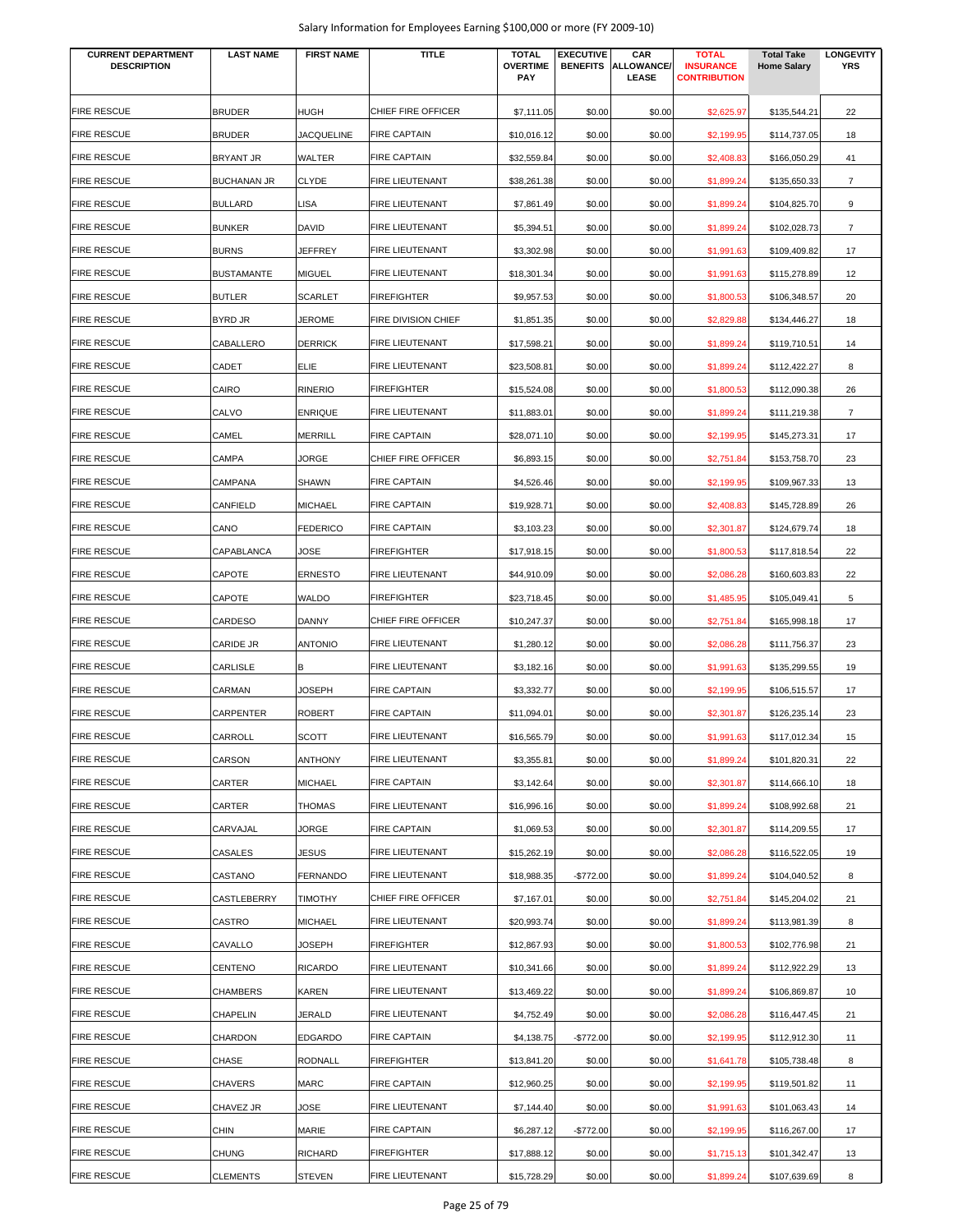| <b>CURRENT DEPARTMENT</b><br><b>DESCRIPTION</b> | <b>LAST NAME</b>   | <b>FIRST NAME</b> | <b>TITLE</b>           | <b>TOTAL</b><br><b>OVERTIME</b> | <b>EXECUTIVE</b><br><b>BENEFITS</b> | CAR<br>ALLOWANCE/ | <b>TOTAL</b><br><b>INSURANCE</b> | <b>Total Take</b><br><b>Home Salary</b> | <b>LONGEVITY</b><br><b>YRS</b> |
|-------------------------------------------------|--------------------|-------------------|------------------------|---------------------------------|-------------------------------------|-------------------|----------------------------------|-----------------------------------------|--------------------------------|
|                                                 |                    |                   |                        | <b>PAY</b>                      |                                     | LEASE             | <b>CONTRIBUTION</b>              |                                         |                                |
| <b>FIRE RESCUE</b>                              | <b>BRUDER</b>      | <b>HUGH</b>       | CHIEF FIRE OFFICER     | \$7,111.05                      | \$0.00                              | \$0.00            | \$2,625.97                       | \$135,544.21                            | 22                             |
| <b>FIRE RESCUE</b>                              | <b>BRUDER</b>      | <b>JACQUELINE</b> | <b>FIRE CAPTAIN</b>    | \$10.016.12                     | \$0.00                              | \$0.00            | \$2,199.95                       | \$114,737.05                            | 18                             |
| <b>FIRE RESCUE</b>                              | <b>BRYANT JR</b>   | <b>WALTER</b>     | <b>FIRE CAPTAIN</b>    | \$32,559.84                     | \$0.00                              | \$0.00            | \$2,408.83                       | \$166,050.29                            | 41                             |
| <b>FIRE RESCUE</b>                              | <b>BUCHANAN JR</b> | <b>CLYDE</b>      | <b>FIRE LIEUTENANT</b> | \$38,261.38                     | \$0.00                              | \$0.00            | \$1,899.24                       | \$135,650.33                            | $\overline{7}$                 |
| <b>FIRE RESCUE</b>                              | <b>BULLARD</b>     | LISA              | FIRE LIEUTENANT        | \$7,861.49                      | \$0.00                              | \$0.00            | \$1,899.24                       | \$104,825.70                            | 9                              |
| <b>FIRE RESCUE</b>                              | <b>BUNKER</b>      | <b>DAVID</b>      | FIRE LIEUTENANT        | \$5,394.51                      | \$0.00                              | \$0.00            | \$1,899.24                       | \$102,028.73                            | $\overline{7}$                 |
| <b>FIRE RESCUE</b>                              | <b>BURNS</b>       | JEFFREY           | <b>FIRE LIEUTENANT</b> | \$3,302.98                      | \$0.00                              | \$0.00            | \$1,991.63                       | \$109,409.82                            | 17                             |
| <b>FIRE RESCUE</b>                              | <b>BUSTAMANTE</b>  | <b>MIGUEL</b>     | FIRE LIEUTENANT        | \$18,301.34                     | \$0.00                              | \$0.00            | \$1,991.63                       | \$115,278.89                            | 12                             |
| <b>FIRE RESCUE</b>                              | <b>BUTLER</b>      | <b>SCARLET</b>    | <b>FIREFIGHTER</b>     | \$9,957.53                      | \$0.00                              | \$0.00            | \$1,800.53                       | \$106,348.57                            | 20                             |
| <b>FIRE RESCUE</b>                              | <b>BYRD JR</b>     | JEROME            | FIRE DIVISION CHIEF    | \$1,851.35                      | \$0.00                              | \$0.00            | \$2,829.88                       | \$134,446.27                            | 18                             |
| <b>FIRE RESCUE</b>                              | CABALLERO          | <b>DERRICK</b>    | <b>FIRE LIEUTENANT</b> | \$17,598.21                     | \$0.00                              | \$0.00            | \$1,899.24                       | \$119,710.51                            | 14                             |
| <b>FIRE RESCUE</b>                              | CADET              | <b>ELIE</b>       | <b>FIRE LIEUTENANT</b> | \$23,508.81                     | \$0.00                              | \$0.00            | \$1,899.24                       | \$112,422.27                            | 8                              |
| <b>FIRE RESCUE</b>                              | CAIRO              | <b>RINERIO</b>    | FIREFIGHTER            | \$15,524.08                     | \$0.00                              | \$0.00            | \$1,800.53                       | \$112,090.38                            | 26                             |
| <b>FIRE RESCUE</b>                              | CALVO              | <b>ENRIQUE</b>    | FIRE LIEUTENANT        | \$11,883.01                     | \$0.00                              | \$0.00            | \$1,899.24                       | \$111,219.38                            | $\overline{7}$                 |
| <b>FIRE RESCUE</b>                              | CAMEL              | <b>MERRILL</b>    | <b>FIRE CAPTAIN</b>    | \$28,071.10                     | \$0.00                              | \$0.00            | \$2,199.95                       | \$145,273.31                            | 17                             |
| <b>FIRE RESCUE</b>                              | CAMPA              | <b>JORGE</b>      | CHIEF FIRE OFFICER     | \$6,893.15                      | \$0.00                              | \$0.00            | \$2,751.84                       | \$153,758.70                            | 23                             |
| <b>FIRE RESCUE</b>                              | CAMPANA            | <b>SHAWN</b>      | <b>FIRE CAPTAIN</b>    | \$4,526.46                      | \$0.00                              | \$0.00            | \$2,199.95                       | \$109,967.33                            | 13                             |
| <b>FIRE RESCUE</b>                              | CANFIELD           | <b>MICHAEL</b>    | <b>FIRE CAPTAIN</b>    | \$19,928.71                     | \$0.00                              | \$0.00            | \$2,408.83                       | \$145,728.89                            | 26                             |
| <b>FIRE RESCUE</b>                              | CANO               | <b>FEDERICO</b>   | <b>FIRE CAPTAIN</b>    | \$3,103.23                      | \$0.00                              | \$0.00            | \$2,301.87                       | \$124,679.74                            | 18                             |
| <b>FIRE RESCUE</b>                              | CAPABLANCA         | JOSE              | <b>FIREFIGHTER</b>     | \$17,918.15                     | \$0.00                              | \$0.00            | \$1,800.53                       | \$117,818.54                            | 22                             |
| <b>FIRE RESCUE</b>                              | CAPOTE             | <b>ERNESTO</b>    | <b>FIRE LIEUTENANT</b> | \$44,910.09                     | \$0.00                              | \$0.00            | \$2,086.28                       | \$160,603.83                            | 22                             |
| <b>FIRE RESCUE</b>                              | CAPOTE             | <b>WALDO</b>      | <b>FIREFIGHTER</b>     | \$23,718.45                     | \$0.00                              | \$0.00            | \$1,485.95                       | \$105,049.41                            | 5                              |
| <b>FIRE RESCUE</b>                              | CARDESO            | <b>DANNY</b>      | CHIEF FIRE OFFICER     | \$10,247.37                     | \$0.00                              | \$0.00            | \$2,751.84                       | \$165,998.18                            | 17                             |
| <b>FIRE RESCUE</b>                              | <b>CARIDE JR</b>   | <b>ANTONIO</b>    | <b>FIRE LIEUTENANT</b> | \$1,280.12                      | \$0.00                              | \$0.00            | \$2,086.28                       | \$111,756.37                            | 23                             |
| <b>FIRE RESCUE</b>                              | CARLISLE           | B                 | <b>FIRE LIEUTENANT</b> | \$3,182.16                      | \$0.00                              | \$0.00            | \$1,991.63                       | \$135,299.55                            | 19                             |
| <b>FIRE RESCUE</b>                              | CARMAN             | JOSEPH            | <b>FIRE CAPTAIN</b>    | \$3,332.77                      | \$0.00                              | \$0.00            | \$2,199.95                       | \$106,515.57                            | 17                             |
| <b>FIRE RESCUE</b>                              | CARPENTER          | <b>ROBERT</b>     | <b>FIRE CAPTAIN</b>    | \$11,094.01                     | \$0.00                              | \$0.00            | \$2,301.87                       | \$126,235.14                            | 23                             |
| <b>FIRE RESCUE</b>                              | CARROLL            | <b>SCOTT</b>      | FIRE LIEUTENANT        | \$16,565.79                     | \$0.00                              | \$0.00            | \$1,991.63                       | \$117,012.34                            | 15                             |
| <b>FIRE RESCUE</b>                              | CARSON             | <b>ANTHONY</b>    | <b>FIRE LIEUTENANT</b> | \$3,355.81                      | \$0.00                              | \$0.00            | \$1,899.24                       | \$101,820.31                            | 22                             |
| <b>FIRE RESCUE</b>                              | CARTER             | <b>MICHAEL</b>    | <b>FIRE CAPTAIN</b>    | \$3,142.64                      | \$0.00                              | \$0.00            | \$2,301.87                       | \$114,666.10                            | 18                             |
| <b>FIRE RESCUE</b>                              | CARTER             | <b>THOMAS</b>     | FIRE LIEUTENANT        | \$16,996.16                     | \$0.00                              | \$0.00            | \$1,899.24                       | \$108,992.68                            | 21                             |
| <b>FIRE RESCUE</b>                              | CARVAJAL           | JORGE             | <b>FIRE CAPTAIN</b>    | \$1,069.53                      | \$0.00                              | \$0.00            | \$2,301.87                       | \$114,209.55                            | 17                             |
| <b>FIRE RESCUE</b>                              | CASALES            | JESUS             | FIRE LIEUTENANT        | \$15,262.19                     | \$0.00                              | \$0.00            | \$2,086.28                       | \$116,522.05                            | 19                             |
| <b>FIRE RESCUE</b>                              | CASTANO            | <b>FERNANDO</b>   | FIRE LIEUTENANT        | \$18,988.35                     | $-$772.00$                          | \$0.00            | \$1,899.24                       | \$104,040.52                            | 8                              |
| <b>FIRE RESCUE</b>                              | CASTLEBERRY        | <b>TIMOTHY</b>    | CHIEF FIRE OFFICER     | \$7,167.01                      | \$0.00                              | \$0.00            | \$2,751.84                       | \$145,204.02                            | 21                             |
| <b>FIRE RESCUE</b>                              | CASTRO             | <b>MICHAEL</b>    | <b>FIRE LIEUTENANT</b> | \$20,993.74                     | \$0.00                              | \$0.00            | \$1,899.24                       | \$113,981.39                            | 8                              |
| <b>FIRE RESCUE</b>                              | CAVALLO            | JOSEPH            | FIREFIGHTER            | \$12,867.93                     | \$0.00                              | \$0.00            | \$1,800.53                       | \$102,776.98                            | 21                             |
| <b>FIRE RESCUE</b>                              | CENTENO            | <b>RICARDO</b>    | <b>FIRE LIEUTENANT</b> | \$10,341.66                     | \$0.00                              | \$0.00            | \$1,899.24                       | \$112,922.29                            | 13                             |
| <b>FIRE RESCUE</b>                              | <b>CHAMBERS</b>    | <b>KAREN</b>      | FIRE LIEUTENANT        | \$13,469.22                     | \$0.00                              | \$0.00            | \$1,899.24                       | \$106,869.87                            | 10                             |
| <b>FIRE RESCUE</b>                              | CHAPELIN           | JERALD            | FIRE LIEUTENANT        | \$4,752.49                      | \$0.00                              | \$0.00            | \$2,086.28                       | \$116,447.45                            | 21                             |
| <b>FIRE RESCUE</b>                              | CHARDON            | <b>EDGARDO</b>    | FIRE CAPTAIN           | \$4,138.75                      | -\$772.00                           | \$0.00            | \$2,199.95                       | \$112,912.30                            | 11                             |
| <b>FIRE RESCUE</b>                              | CHASE              | <b>RODNALL</b>    | <b>FIREFIGHTER</b>     | \$13,841.20                     | \$0.00                              | \$0.00            | \$1,641.78                       | \$105,738.48                            | 8                              |
| <b>FIRE RESCUE</b>                              | <b>CHAVERS</b>     | <b>MARC</b>       | <b>FIRE CAPTAIN</b>    | \$12,960.25                     | \$0.00                              | \$0.00            | \$2,199.95                       | \$119,501.82                            | 11                             |
| <b>FIRE RESCUE</b>                              | CHAVEZ JR          | JOSE              | FIRE LIEUTENANT        | \$7,144.40                      | \$0.00                              | \$0.00            | \$1,991.63                       | \$101,063.43                            | 14                             |
| <b>FIRE RESCUE</b>                              | <b>CHIN</b>        | MARIE             | <b>FIRE CAPTAIN</b>    | \$6,287.12                      | $-$772.00$                          | \$0.00            | \$2,199.95                       | \$116,267.00                            | 17                             |
| <b>FIRE RESCUE</b>                              | <b>CHUNG</b>       | <b>RICHARD</b>    | FIREFIGHTER            |                                 | \$0.00                              | \$0.00            |                                  |                                         |                                |
| <b>FIRE RESCUE</b>                              | <b>CLEMENTS</b>    | <b>STEVEN</b>     | FIRE LIEUTENANT        | \$17,888.12<br>\$15,728.29      | \$0.00                              | \$0.00            | \$1,715.13<br>\$1,899.24         | \$101,342.47<br>\$107,639.69            | 13<br>8                        |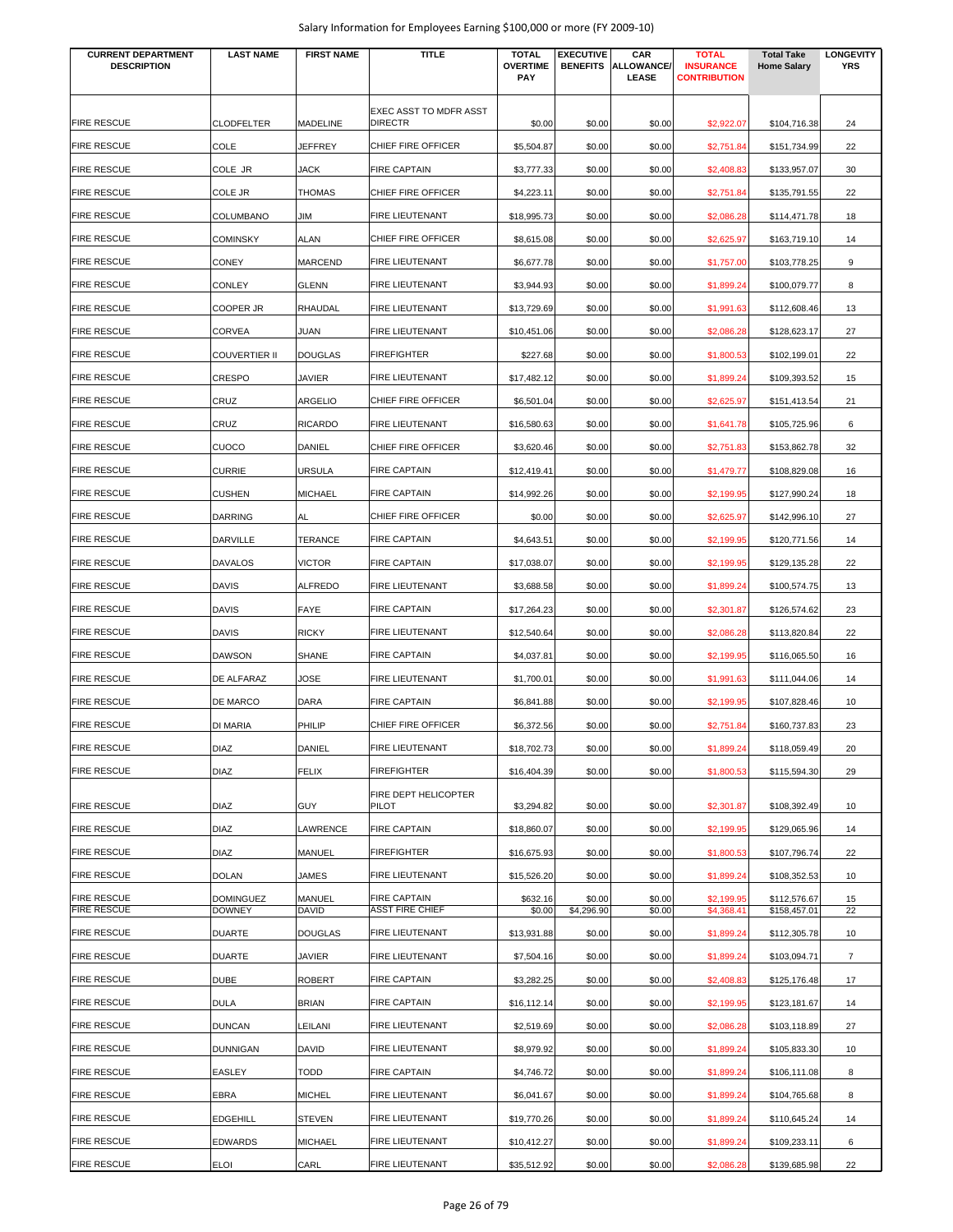| <b>CURRENT DEPARTMENT</b><br><b>DESCRIPTION</b> | <b>LAST NAME</b>     | <b>FIRST NAME</b> | <b>TITLE</b>                             | <b>TOTAL</b><br><b>OVERTIME</b><br>PAY | <b>EXECUTIVE</b><br><b>BENEFITS</b> | CAR<br>ALLOWANCE/<br>LEASE | <b>TOTAL</b><br><b>INSURANCE</b><br><b>CONTRIBUTION</b> | <b>Total Take</b><br><b>Home Salary</b> | <b>LONGEVITY</b><br><b>YRS</b> |
|-------------------------------------------------|----------------------|-------------------|------------------------------------------|----------------------------------------|-------------------------------------|----------------------------|---------------------------------------------------------|-----------------------------------------|--------------------------------|
| <b>FIRE RESCUE</b>                              | <b>CLODFELTER</b>    | <b>MADELINE</b>   | EXEC ASST TO MDFR ASST<br><b>DIRECTR</b> | \$0.00                                 | \$0.00                              | \$0.00                     | \$2,922.07                                              | \$104,716.38                            | 24                             |
| <b>FIRE RESCUE</b>                              | COLE                 | <b>JEFFREY</b>    | CHIEF FIRE OFFICER                       | \$5,504.87                             | \$0.00                              | \$0.00                     | \$2,751.84                                              | \$151,734.99                            | 22                             |
| <b>FIRE RESCUE</b>                              | COLE JR              | JACK              | <b>FIRE CAPTAIN</b>                      | \$3,777.33                             | \$0.00                              | \$0.00                     | \$2,408.83                                              | \$133,957.07                            | 30                             |
| <b>FIRE RESCUE</b>                              | COLE JR              | THOMAS            | CHIEF FIRE OFFICER                       | \$4,223.11                             | \$0.00                              | \$0.00                     | \$2,751.84                                              | \$135,791.55                            | 22                             |
| <b>FIRE RESCUE</b>                              | COLUMBANO            | ЛIГ               | FIRE LIEUTENANT                          | \$18,995.73                            | \$0.00                              | \$0.00                     | \$2,086.28                                              | \$114,471.78                            | 18                             |
| <b>FIRE RESCUE</b>                              | <b>COMINSKY</b>      | ALAN              | CHIEF FIRE OFFICER                       | \$8,615.08                             | \$0.00                              | \$0.00                     | \$2,625.97                                              | \$163,719.10                            | 14                             |
| <b>FIRE RESCUE</b>                              | <b>CONEY</b>         | MARCEND           | <b>FIRE LIEUTENANT</b>                   | \$6,677.78                             | \$0.00                              | \$0.00                     | \$1,757.00                                              | \$103,778.25                            | 9                              |
| <b>FIRE RESCUE</b>                              | <b>CONLEY</b>        | GLENN             | <b>FIRE LIEUTENANT</b>                   | \$3,944.93                             | \$0.00                              | \$0.00                     | \$1,899.24                                              | \$100,079.77                            | 8                              |
| <b>FIRE RESCUE</b>                              | <b>COOPER JR</b>     | RHAUDAL           | FIRE LIEUTENANT                          | \$13,729.69                            | \$0.00                              | \$0.00                     | \$1,991.63                                              | \$112,608.46                            | 13                             |
| <b>FIRE RESCUE</b>                              | <b>CORVEA</b>        | JUAN              | FIRE LIEUTENANT                          | \$10,451.06                            | \$0.00                              | \$0.00                     | \$2,086.28                                              | \$128,623.17                            | 27                             |
| <b>FIRE RESCUE</b>                              | <b>COUVERTIER II</b> | <b>DOUGLAS</b>    | <b>FIREFIGHTER</b>                       | \$227.68                               | \$0.00                              | \$0.00                     | \$1,800.53                                              | \$102,199.01                            | 22                             |
| <b>FIRE RESCUE</b>                              | <b>CRESPO</b>        | JAVIER            | FIRE LIEUTENANT                          | \$17,482.12                            | \$0.00                              | \$0.00                     | \$1,899.24                                              | \$109,393.52                            | 15                             |
| <b>FIRE RESCUE</b>                              | CRUZ                 | ARGELIO           | CHIEF FIRE OFFICER                       | \$6,501.04                             | \$0.00                              | \$0.00                     | \$2,625.97                                              | \$151,413.54                            | 21                             |
| <b>FIRE RESCUE</b>                              | CRUZ                 | <b>RICARDO</b>    | FIRE LIEUTENANT                          | \$16,580.63                            | \$0.00                              | \$0.00                     | \$1,641.78                                              | \$105,725.96                            | 6                              |
| <b>FIRE RESCUE</b>                              | CUOCO                | DANIEL            | CHIEF FIRE OFFICER                       | \$3,620.46                             | \$0.00                              | \$0.00                     | \$2,751.83                                              | \$153,862.78                            | 32                             |
| <b>FIRE RESCUE</b>                              | <b>CURRIE</b>        | URSULA            | <b>FIRE CAPTAIN</b>                      | \$12,419.41                            | \$0.00                              | \$0.00                     | \$1,479.77                                              | \$108,829.08                            | 16                             |
| <b>FIRE RESCUE</b>                              | <b>CUSHEN</b>        | MICHAEL           | <b>FIRE CAPTAIN</b>                      | \$14,992.26                            | \$0.00                              | \$0.00                     | \$2,199.95                                              | \$127,990.24                            | 18                             |
| <b>FIRE RESCUE</b>                              | <b>DARRING</b>       | AL                | CHIEF FIRE OFFICER                       | \$0.00                                 | \$0.00                              | \$0.00                     | \$2,625.97                                              | \$142,996.10                            | 27                             |
| <b>FIRE RESCUE</b>                              | <b>DARVILLE</b>      | TERANCE           | <b>FIRE CAPTAIN</b>                      | \$4,643.51                             | \$0.00                              | \$0.00                     | \$2,199.95                                              | \$120,771.56                            | 14                             |
| <b>FIRE RESCUE</b>                              | <b>DAVALOS</b>       | <b>VICTOR</b>     | <b>FIRE CAPTAIN</b>                      | \$17,038.07                            | \$0.00                              | \$0.00                     | \$2,199.95                                              | \$129,135.28                            | 22                             |
| <b>FIRE RESCUE</b>                              | <b>DAVIS</b>         | ALFREDO           | FIRE LIEUTENANT                          | \$3,688.58                             | \$0.00                              | \$0.00                     | \$1,899.24                                              | \$100,574.75                            | 13                             |
| <b>FIRE RESCUE</b>                              | <b>DAVIS</b>         | FAYE              | <b>FIRE CAPTAIN</b>                      | \$17,264.23                            | \$0.00                              | \$0.00                     | \$2,301.87                                              | \$126,574.62                            | 23                             |
| <b>FIRE RESCUE</b>                              | <b>DAVIS</b>         | RICKY             | FIRE LIEUTENANT                          | \$12,540.64                            | \$0.00                              | \$0.00                     | \$2,086.28                                              | \$113,820.84                            | 22                             |
| <b>FIRE RESCUE</b>                              | <b>DAWSON</b>        | SHANE             | <b>FIRE CAPTAIN</b>                      | \$4,037.81                             | \$0.00                              | \$0.00                     | \$2,199.95                                              | \$116,065.50                            | 16                             |
| <b>FIRE RESCUE</b>                              | DE ALFARAZ           | JOSE              | FIRE LIEUTENANT                          | \$1,700.01                             | \$0.00                              | \$0.00                     | \$1,991.63                                              | \$111,044.06                            | 14                             |
| <b>FIRE RESCUE</b>                              | <b>DE MARCO</b>      | DARA              | <b>FIRE CAPTAIN</b>                      | \$6,841.88                             | \$0.00                              | \$0.00                     | \$2,199.95                                              | \$107,828.46                            | 10                             |
| <b>FIRE RESCUE</b>                              | <b>DI MARIA</b>      | PHILIP            | CHIEF FIRE OFFICER                       | \$6,372.56                             | \$0.00                              | \$0.00                     | \$2,751.84                                              | \$160,737.83                            | 23                             |
| <b>FIRE RESCUE</b>                              | <b>DIAZ</b>          | DANIEL            | FIRE LIEUTENANT                          |                                        | \$0.00                              | \$0.00                     | \$1,899.24                                              |                                         |                                |
| <b>FIRE RESCUE</b>                              | <b>DIAZ</b>          | <b>FELIX</b>      | <b>FIREFIGHTER</b>                       | \$18,702.73                            |                                     |                            |                                                         | \$118,059.49                            | 20<br>29                       |
|                                                 |                      |                   |                                          | \$16,404.39                            | \$0.00                              | \$0.00                     | \$1,800.53                                              | \$115,594.30                            |                                |
| <b>FIRE RESCUE</b>                              | <b>DIAZ</b>          | <b>GUY</b>        | FIRE DEPT HELICOPTER<br>PILOT            | \$3,294.82                             | \$0.00                              | \$0.00                     | \$2,301.87                                              | \$108,392.49                            | 10                             |
| <b>FIRE RESCUE</b>                              | <b>DIAZ</b>          | LAWRENCE          | <b>FIRE CAPTAIN</b>                      | \$18,860.07                            | \$0.00                              | \$0.00                     | \$2,199.95                                              | \$129,065.96                            | 14                             |
| <b>FIRE RESCUE</b>                              | <b>DIAZ</b>          | MANUEL            | <b>FIREFIGHTER</b>                       | \$16,675.93                            | \$0.00                              | \$0.00                     | \$1,800.53                                              | \$107,796.74                            | 22                             |
| <b>FIRE RESCUE</b>                              | <b>DOLAN</b>         | JAMES             | FIRE LIEUTENANT                          | \$15,526.20                            | \$0.00                              | \$0.00                     | \$1,899.24                                              | \$108,352.53                            | 10                             |
| <b>FIRE RESCUE</b>                              | <b>DOMINGUEZ</b>     | MANUEL            | <b>FIRE CAPTAIN</b>                      | \$632.16                               | \$0.00                              | \$0.00                     | \$2,199.95                                              | \$112,576.67                            | 15                             |
| <b>FIRE RESCUE</b>                              | <b>DOWNEY</b>        | DAVID             | <b>ASST FIRE CHIEF</b>                   | \$0.00                                 | \$4,296.90                          | \$0.00                     | \$4,368.41                                              | \$158,457.01                            | 22                             |
| <b>FIRE RESCUE</b>                              | <b>DUARTE</b>        | <b>DOUGLAS</b>    | FIRE LIEUTENANT                          | \$13,931.88                            | \$0.00                              | \$0.00                     | \$1,899.24                                              | \$112,305.78                            | 10                             |
| <b>FIRE RESCUE</b>                              | <b>DUARTE</b>        | <b>JAVIER</b>     | FIRE LIEUTENANT                          | \$7,504.16                             | \$0.00                              | \$0.00                     | \$1,899.24                                              | \$103,094.71                            | $\overline{7}$                 |
| <b>FIRE RESCUE</b>                              | <b>DUBE</b>          | ROBERT            | <b>FIRE CAPTAIN</b>                      | \$3,282.25                             | \$0.00                              | \$0.00                     | \$2,408.83                                              | \$125,176.48                            | 17                             |
| <b>FIRE RESCUE</b>                              | <b>DULA</b>          | <b>BRIAN</b>      | <b>FIRE CAPTAIN</b>                      | \$16,112.14                            | \$0.00                              | \$0.00                     | \$2,199.95                                              | \$123,181.67                            | 14                             |
| <b>FIRE RESCUE</b>                              | <b>DUNCAN</b>        | LEILANI           | FIRE LIEUTENANT                          | \$2,519.69                             | \$0.00                              | \$0.00                     | \$2,086.28                                              | \$103,118.89                            | 27                             |
| <b>FIRE RESCUE</b>                              | <b>DUNNIGAN</b>      | DAVID             | FIRE LIEUTENANT                          | \$8,979.92                             | \$0.00                              | \$0.00                     | \$1,899.24                                              | \$105,833.30                            | 10                             |
| <b>FIRE RESCUE</b>                              | EASLEY               | <b>TODD</b>       | <b>FIRE CAPTAIN</b>                      | \$4,746.72                             | \$0.00                              | \$0.00                     | \$1,899.24                                              | \$106,111.08                            | 8                              |
| <b>FIRE RESCUE</b>                              | EBRA                 | <b>MICHEL</b>     | FIRE LIEUTENANT                          | \$6,041.67                             | \$0.00                              | \$0.00                     | \$1,899.24                                              | \$104,765.68                            | 8                              |
| <b>FIRE RESCUE</b>                              | <b>EDGEHILL</b>      | STEVEN            | FIRE LIEUTENANT                          | \$19,770.26                            | \$0.00                              | \$0.00                     | \$1,899.24                                              | \$110,645.24                            | 14                             |
| <b>FIRE RESCUE</b>                              | <b>EDWARDS</b>       | MICHAEL           | FIRE LIEUTENANT                          | \$10,412.27                            | \$0.00                              | \$0.00                     | \$1,899.24                                              | \$109,233.11                            | 6                              |
| <b>FIRE RESCUE</b>                              | <b>ELOI</b>          | CARL              | FIRE LIEUTENANT                          | \$35,512.92                            | \$0.00                              | \$0.00                     | \$2,086.28                                              | \$139,685.98                            | 22                             |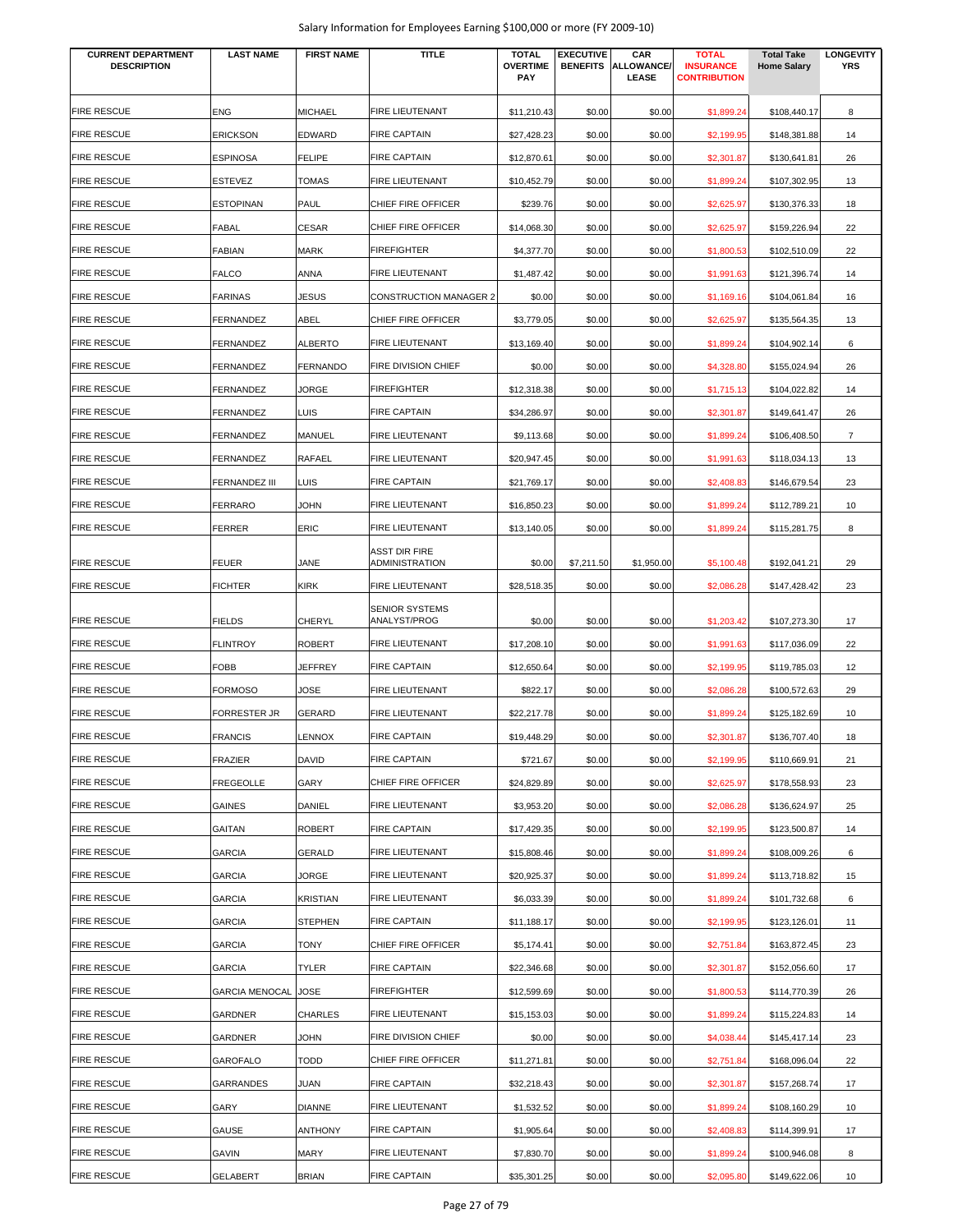| <b>CURRENT DEPARTMENT</b><br><b>DESCRIPTION</b> | <b>LAST NAME</b>           | <b>FIRST NAME</b> | <b>TITLE</b>                    | <b>TOTAL</b><br><b>OVERTIME</b><br><b>PAY</b> | <b>EXECUTIVE</b><br><b>BENEFITS</b> | CAR<br><b>ALLOWANCE</b><br>LEASE | <b>TOTAL</b><br><b>INSURANCE</b><br><b>CONTRIBUTION</b> | <b>Total Take</b><br><b>Home Salary</b> | <b>LONGEVITY</b><br><b>YRS</b> |
|-------------------------------------------------|----------------------------|-------------------|---------------------------------|-----------------------------------------------|-------------------------------------|----------------------------------|---------------------------------------------------------|-----------------------------------------|--------------------------------|
|                                                 |                            |                   |                                 |                                               |                                     |                                  |                                                         |                                         |                                |
| <b>FIRE RESCUE</b>                              | <b>ENG</b>                 | <b>MICHAEL</b>    | FIRE LIEUTENANT                 | \$11,210.43                                   | \$0.00                              | \$0.00                           | \$1,899.24                                              | \$108,440.17                            | 8                              |
| <b>FIRE RESCUE</b>                              | <b>ERICKSON</b>            | <b>EDWARD</b>     | <b>FIRE CAPTAIN</b>             | \$27,428.23                                   | \$0.00                              | \$0.00                           | \$2,199.95                                              | \$148,381.88                            | 14                             |
| <b>FIRE RESCUE</b>                              | <b>ESPINOSA</b>            | <b>FELIPE</b>     | <b>FIRE CAPTAIN</b>             | \$12,870.61                                   | \$0.00                              | \$0.00                           | \$2,301.87                                              | \$130,641.81                            | 26                             |
| <b>FIRE RESCUE</b>                              | <b>ESTEVEZ</b>             | <b>TOMAS</b>      | FIRE LIEUTENANT                 | \$10,452.79                                   | \$0.00                              | \$0.00                           | \$1,899.24                                              | \$107,302.95                            | 13                             |
| <b>FIRE RESCUE</b>                              | <b>ESTOPINAN</b>           | <b>PAUL</b>       | CHIEF FIRE OFFICER              | \$239.76                                      | \$0.00                              | \$0.00                           | \$2,625.97                                              | \$130,376.33                            | 18                             |
| <b>FIRE RESCUE</b>                              | <b>FABAL</b>               | <b>CESAR</b>      | CHIEF FIRE OFFICER              | \$14,068.30                                   | \$0.00                              | \$0.00                           | \$2,625.97                                              | \$159,226.94                            | 22                             |
| <b>FIRE RESCUE</b>                              | <b>FABIAN</b>              | <b>MARK</b>       | <b>FIREFIGHTER</b>              | \$4,377.70                                    | \$0.00                              | \$0.00                           | \$1,800.53                                              | \$102,510.09                            | 22                             |
| <b>FIRE RESCUE</b>                              | <b>FALCO</b>               | <b>ANNA</b>       | FIRE LIEUTENANT                 | \$1,487.42                                    | \$0.00                              | \$0.00                           | \$1,991.63                                              | \$121,396.74                            | 14                             |
| <b>FIRE RESCUE</b>                              | <b>FARINAS</b>             | JESUS             | <b>CONSTRUCTION MANAGER 2</b>   | \$0.00                                        | \$0.00                              | \$0.00                           | \$1,169.16                                              | \$104,061.84                            | 16                             |
| <b>FIRE RESCUE</b>                              | <b>FERNANDEZ</b>           | ABEL              | CHIEF FIRE OFFICER              | \$3,779.05                                    | \$0.00                              | \$0.00                           | \$2,625.97                                              | \$135,564.35                            | 13                             |
| <b>FIRE RESCUE</b>                              | FERNANDEZ                  | <b>ALBERTO</b>    | <b>FIRE LIEUTENANT</b>          | \$13,169.40                                   | \$0.00                              | \$0.00                           | \$1,899.24                                              | \$104,902.14                            | 6                              |
| <b>FIRE RESCUE</b>                              | FERNANDEZ                  | <b>FERNANDO</b>   | FIRE DIVISION CHIEF             | \$0.00                                        | \$0.00                              | \$0.00                           | \$4,328.80                                              | \$155,024.94                            | 26                             |
| <b>FIRE RESCUE</b>                              | FERNANDEZ                  | JORGE             | <b>FIREFIGHTER</b>              | \$12,318.38                                   | \$0.00                              | \$0.00                           | \$1,715.13                                              | \$104,022.82                            | 14                             |
| <b>FIRE RESCUE</b>                              | FERNANDEZ                  | <b>LUIS</b>       | <b>FIRE CAPTAIN</b>             | \$34,286.97                                   | \$0.00                              | \$0.00                           | \$2,301.87                                              | \$149,641.47                            | 26                             |
| <b>FIRE RESCUE</b>                              | FERNANDEZ                  | <b>MANUEL</b>     | FIRE LIEUTENANT                 | \$9,113.68                                    | \$0.00                              | \$0.00                           | \$1,899.24                                              | \$106,408.50                            | 7                              |
| <b>FIRE RESCUE</b>                              | FERNANDEZ                  | <b>RAFAEL</b>     | FIRE LIEUTENANT                 | \$20,947.45                                   | \$0.00                              | \$0.00                           | \$1,991.63                                              | \$118,034.13                            | 13                             |
| <b>FIRE RESCUE</b>                              | <b>FERNANDEZ III</b>       | LUIS              | <b>FIRE CAPTAIN</b>             | \$21,769.17                                   | \$0.00                              | \$0.00                           | \$2,408.83                                              | \$146,679.54                            | 23                             |
| <b>FIRE RESCUE</b>                              | <b>FERRARO</b>             | JOHN              | <b>FIRE LIEUTENANT</b>          | \$16,850.23                                   | \$0.00                              | \$0.00                           | \$1,899.24                                              | \$112,789.21                            | 10                             |
| <b>FIRE RESCUE</b>                              | <b>FERRER</b>              | <b>ERIC</b>       | <b>FIRE LIEUTENANT</b>          | \$13,140.05                                   | \$0.00                              | \$0.00                           | \$1,899.24                                              | \$115,281.75                            | 8                              |
| <b>FIRE RESCUE</b>                              | <b>FEUER</b>               | JANE              | ASST DIR FIRE<br>ADMINISTRATION | \$0.00                                        | \$7,211.50                          | \$1,950.00                       | \$5,100.48                                              | \$192,041.21                            | 29                             |
| <b>FIRE RESCUE</b>                              | <b>FICHTER</b>             | <b>KIRK</b>       | FIRE LIEUTENANT                 | \$28,518.35                                   | \$0.00                              | \$0.00                           | \$2,086.28                                              | \$147,428.42                            | 23                             |
|                                                 |                            |                   | <b>SENIOR SYSTEMS</b>           |                                               |                                     |                                  |                                                         |                                         |                                |
| <b>FIRE RESCUE</b>                              | <b>FIELDS</b>              | <b>CHERYL</b>     | ANALYST/PROG                    | \$0.00                                        | \$0.00                              | \$0.00                           | \$1,203.42                                              | \$107,273.30                            | 17                             |
| <b>FIRE RESCUE</b>                              | <b>FLINTROY</b>            | <b>ROBERT</b>     | <b>FIRE LIEUTENANT</b>          | \$17,208.10                                   | \$0.00                              | \$0.00                           | \$1,991.63                                              | \$117,036.09                            | 22                             |
| <b>FIRE RESCUE</b>                              | FOBB                       | <b>JEFFREY</b>    | <b>FIRE CAPTAIN</b>             | \$12,650.64                                   | \$0.00                              | \$0.00                           | \$2,199.95                                              | \$119,785.03                            | 12                             |
| <b>FIRE RESCUE</b>                              | <b>FORMOSO</b>             | JOSE              | <b>FIRE LIEUTENANT</b>          | \$822.17                                      | \$0.00                              | \$0.00                           | \$2,086.28                                              | \$100,572.63                            | 29                             |
| <b>FIRE RESCUE</b>                              | <b>FORRESTER JR</b>        | <b>GERARD</b>     | FIRE LIEUTENANT                 | \$22,217.78                                   | \$0.00                              | \$0.00                           | \$1,899.24                                              | \$125,182.69                            | 10                             |
| <b>FIRE RESCUE</b>                              | <b>FRANCIS</b>             | <b>LENNOX</b>     | <b>FIRE CAPTAIN</b>             | \$19,448.29                                   | \$0.00                              | \$0.00                           | \$2,301.87                                              | \$136,707.40                            | 18                             |
| <b>FIRE RESCUE</b>                              | <b>FRAZIER</b>             | <b>DAVID</b>      | <b>FIRE CAPTAIN</b>             | \$721.67                                      | \$0.00                              | \$0.00                           | \$2,199.95                                              | \$110,669.91                            | 21                             |
| <b>FIRE RESCUE</b>                              | <b>FREGEOLLE</b>           | GARY              | CHIEF FIRE OFFICER              | \$24,829.89                                   | \$0.00                              | \$0.00                           | \$2,625.97                                              | \$178,558.93                            | 23                             |
| <b>FIRE RESCUE</b>                              | GAINES                     | <b>DANIEL</b>     | FIRE LIEUTENANT                 | \$3,953.20                                    | \$0.00                              | \$0.00                           | \$2,086.28                                              | \$136,624.97                            | 25                             |
| <b>FIRE RESCUE</b>                              | <b>GAITAN</b>              | <b>ROBERT</b>     | <b>FIRE CAPTAIN</b>             | \$17,429.35                                   | \$0.00                              | \$0.00                           | \$2,199.95                                              | \$123,500.87                            | 14                             |
| <b>FIRE RESCUE</b>                              | <b>GARCIA</b>              | <b>GERALD</b>     | <b>FIRE LIEUTENANT</b>          | \$15,808.46                                   | \$0.00                              | \$0.00                           | \$1,899.24                                              | \$108,009.26                            | 6                              |
| <b>FIRE RESCUE</b>                              | <b>GARCIA</b>              | JORGE             | <b>FIRE LIEUTENANT</b>          | \$20,925.37                                   | \$0.00                              | \$0.00                           | \$1,899.24                                              | \$113,718.82                            | 15                             |
| <b>FIRE RESCUE</b>                              | <b>GARCIA</b>              | <b>KRISTIAN</b>   | FIRE LIEUTENANT                 | \$6,033.39                                    | \$0.00                              | \$0.00                           | \$1,899.24                                              | \$101,732.68                            | 6                              |
| <b>FIRE RESCUE</b>                              | <b>GARCIA</b>              | <b>STEPHEN</b>    | <b>FIRE CAPTAIN</b>             | \$11,188.17                                   | \$0.00                              | \$0.00                           | \$2,199.95                                              | \$123,126.01                            | 11                             |
| <b>FIRE RESCUE</b>                              | <b>GARCIA</b>              | TONY              | CHIEF FIRE OFFICER              | \$5,174.41                                    | \$0.00                              | \$0.00                           | \$2,751.84                                              | \$163,872.45                            | 23                             |
| <b>FIRE RESCUE</b>                              | <b>GARCIA</b>              | TYLER             | <b>FIRE CAPTAIN</b>             | \$22,346.68                                   | \$0.00                              | \$0.00                           | \$2,301.87                                              | \$152,056.60                            | 17                             |
| <b>FIRE RESCUE</b>                              | <b>GARCIA MENOCAL JOSE</b> |                   | FIREFIGHTER                     | \$12,599.69                                   | \$0.00                              | \$0.00                           | \$1,800.53                                              | \$114,770.39                            | 26                             |
| <b>FIRE RESCUE</b>                              | GARDNER                    | <b>CHARLES</b>    | FIRE LIEUTENANT                 | \$15,153.03                                   | \$0.00                              | \$0.00                           | \$1,899.24                                              | \$115,224.83                            | 14                             |
| <b>FIRE RESCUE</b>                              | GARDNER                    | JOHN              | FIRE DIVISION CHIEF             | \$0.00                                        | \$0.00                              | \$0.00                           | \$4,038.44                                              | \$145,417.14                            | 23                             |
| <b>FIRE RESCUE</b>                              | <b>GAROFALO</b>            | <b>TODD</b>       | CHIEF FIRE OFFICER              | \$11,271.81                                   | \$0.00                              | \$0.00                           | \$2,751.84                                              | \$168,096.04                            | 22                             |
| <b>FIRE RESCUE</b>                              | GARRANDES                  | JUAN              | <b>FIRE CAPTAIN</b>             | \$32,218.43                                   | \$0.00                              | \$0.00                           | \$2,301.87                                              | \$157,268.74                            | 17                             |
| <b>FIRE RESCUE</b>                              | GARY                       | <b>DIANNE</b>     | FIRE LIEUTENANT                 | \$1,532.52                                    | \$0.00                              | \$0.00                           | \$1,899.24                                              | \$108,160.29                            | 10                             |
| <b>FIRE RESCUE</b>                              | <b>GAUSE</b>               | <b>ANTHONY</b>    | <b>FIRE CAPTAIN</b>             | \$1,905.64                                    | \$0.00                              | \$0.00                           | \$2,408.83                                              | \$114,399.91                            | 17                             |
| <b>FIRE RESCUE</b>                              | GAVIN                      | <b>MARY</b>       | <b>FIRE LIEUTENANT</b>          | \$7,830.70                                    | \$0.00                              | \$0.00                           | \$1,899.24                                              | \$100,946.08                            | 8                              |
| <b>FIRE RESCUE</b>                              | GELABERT                   | <b>BRIAN</b>      | <b>FIRE CAPTAIN</b>             | \$35,301.25                                   | \$0.00                              | \$0.00                           | \$2,095.80                                              | \$149,622.06                            | 10                             |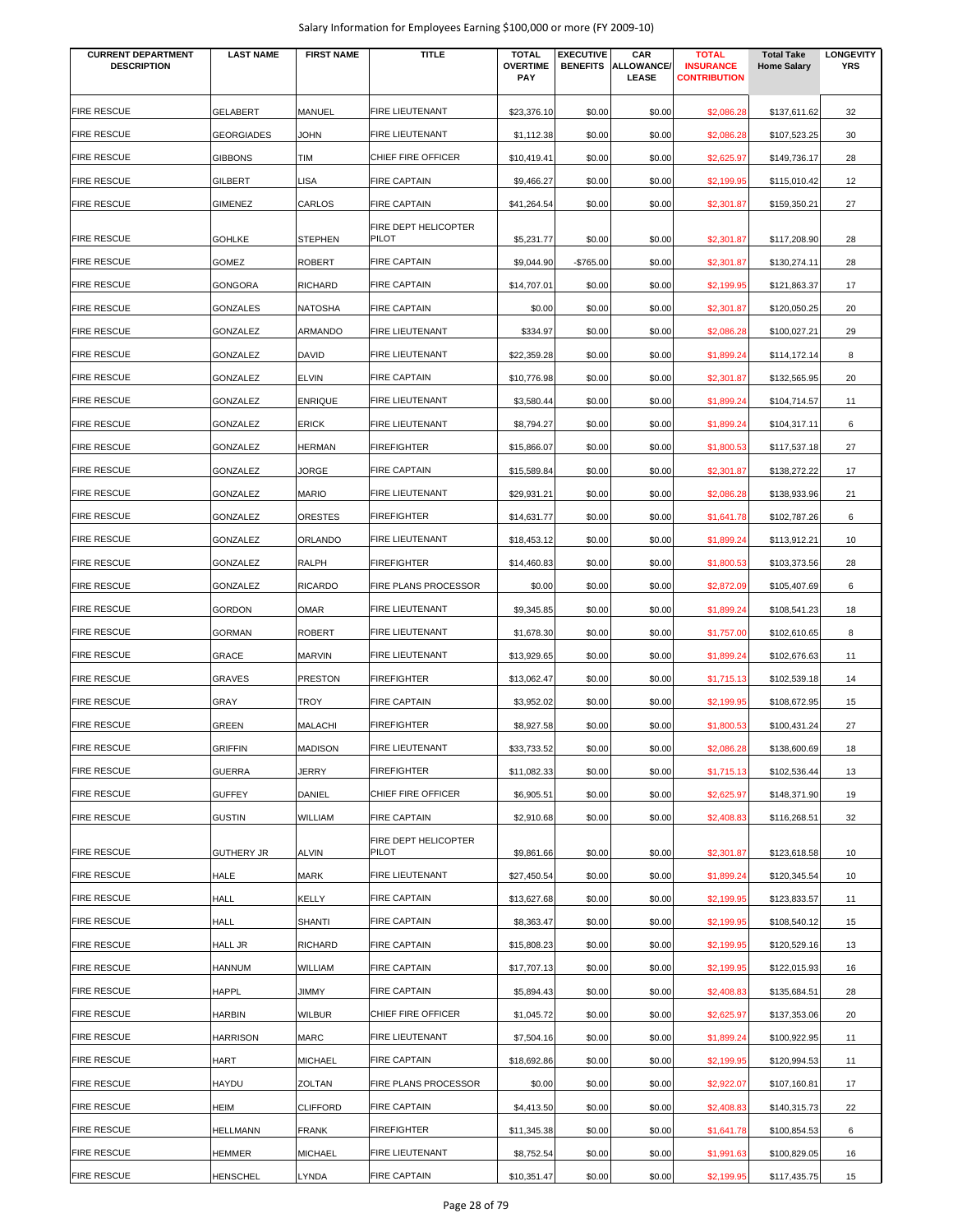| <b>CURRENT DEPARTMENT</b><br><b>DESCRIPTION</b> | <b>LAST NAME</b>  | <b>FIRST NAME</b> | <b>TITLE</b>                         | <b>TOTAL</b><br><b>OVERTIME</b> | <b>EXECUTIVE</b><br><b>BENEFITS</b> | CAR<br><b>ALLOWANCE</b> | <b>TOTAL</b><br><b>INSURANCE</b> | <b>Total Take</b><br><b>Home Salary</b> | <b>LONGEVITY</b><br><b>YRS</b> |
|-------------------------------------------------|-------------------|-------------------|--------------------------------------|---------------------------------|-------------------------------------|-------------------------|----------------------------------|-----------------------------------------|--------------------------------|
|                                                 |                   |                   |                                      | PAY                             |                                     | LEASE                   | <b>CONTRIBUTION</b>              |                                         |                                |
| <b>FIRE RESCUE</b>                              | <b>GELABERT</b>   | MANUEL            | FIRE LIEUTENANT                      | \$23,376.10                     | \$0.00                              | \$0.00                  | \$2,086.28                       | \$137,611.62                            | 32                             |
| <b>FIRE RESCUE</b>                              | <b>GEORGIADES</b> | <b>JOHN</b>       | FIRE LIEUTENANT                      | \$1,112.38                      | \$0.00                              | \$0.00                  | \$2,086.28                       | \$107,523.25                            | 30                             |
| <b>FIRE RESCUE</b>                              | <b>GIBBONS</b>    | TIM               | CHIEF FIRE OFFICER                   | \$10,419.41                     | \$0.00                              | \$0.00                  | \$2,625.97                       | \$149,736.17                            | 28                             |
| <b>FIRE RESCUE</b>                              | GILBERT           | <b>LISA</b>       | <b>FIRE CAPTAIN</b>                  | \$9,466.27                      | \$0.00                              | \$0.00                  | \$2,199.95                       | \$115,010.42                            | 12                             |
| <b>FIRE RESCUE</b>                              | GIMENEZ           | CARLOS            | <b>FIRE CAPTAIN</b>                  | \$41,264.54                     | \$0.00                              | \$0.00                  | \$2,301.87                       | \$159,350.21                            | 27                             |
|                                                 |                   |                   | FIRE DEPT HELICOPTER                 |                                 |                                     |                         |                                  |                                         |                                |
| <b>FIRE RESCUE</b>                              | <b>GOHLKE</b>     | <b>STEPHEN</b>    | <b>PILOT</b>                         | \$5,231.77                      | \$0.00                              | \$0.00                  | \$2,301.87                       | \$117,208.90                            | 28                             |
| <b>FIRE RESCUE</b>                              | <b>GOMEZ</b>      | <b>ROBERT</b>     | <b>FIRE CAPTAIN</b>                  | \$9,044.90                      | -\$765.00                           | \$0.00                  | \$2,301.87                       | \$130,274.11                            | 28                             |
| <b>FIRE RESCUE</b>                              | <b>GONGORA</b>    | <b>RICHARD</b>    | <b>FIRE CAPTAIN</b>                  | \$14,707.01                     | \$0.00                              | \$0.00                  | \$2,199.95                       | \$121,863.37                            | 17                             |
| <b>FIRE RESCUE</b>                              | <b>GONZALES</b>   | <b>NATOSHA</b>    | <b>FIRE CAPTAIN</b>                  | \$0.00                          | \$0.00                              | \$0.00                  | \$2,301.87                       | \$120,050.25                            | 20                             |
| <b>FIRE RESCUE</b>                              | GONZALEZ          | ARMANDO           | <b>FIRE LIEUTENANT</b>               | \$334.97                        | \$0.00                              | \$0.00                  | \$2,086.28                       | \$100,027.21                            | 29                             |
| <b>FIRE RESCUE</b>                              | GONZALEZ          | <b>DAVID</b>      | FIRE LIEUTENANT                      | \$22,359.28                     | \$0.00                              | \$0.00                  | \$1,899.24                       | \$114,172.14                            | 8                              |
| <b>FIRE RESCUE</b>                              | GONZALEZ          | <b>ELVIN</b>      | <b>FIRE CAPTAIN</b>                  | \$10,776.98                     | \$0.00                              | \$0.00                  | \$2,301.87                       | \$132,565.95                            | 20                             |
| <b>FIRE RESCUE</b>                              | GONZALEZ          | <b>ENRIQUE</b>    | FIRE LIEUTENANT                      | \$3,580.44                      | \$0.00                              | \$0.00                  | \$1,899.24                       | \$104,714.57                            | 11                             |
| <b>FIRE RESCUE</b>                              | GONZALEZ          | <b>ERICK</b>      | <b>FIRE LIEUTENANT</b>               | \$8,794.27                      | \$0.00                              | \$0.00                  | \$1,899.24                       | \$104,317.11                            | 6                              |
| <b>FIRE RESCUE</b>                              | GONZALEZ          | <b>HERMAN</b>     | <b>FIREFIGHTER</b>                   | \$15,866.07                     | \$0.00                              | \$0.00                  | \$1,800.53                       | \$117,537.18                            | 27                             |
| <b>FIRE RESCUE</b>                              | GONZALEZ          | JORGE             | <b>FIRE CAPTAIN</b>                  | \$15,589.84                     | \$0.00                              | \$0.00                  | \$2,301.87                       | \$138,272.22                            | 17                             |
| <b>FIRE RESCUE</b>                              | GONZALEZ          | <b>MARIO</b>      | <b>FIRE LIEUTENANT</b>               | \$29,931.21                     | \$0.00                              | \$0.00                  | \$2,086.28                       | \$138,933.96                            | 21                             |
| <b>FIRE RESCUE</b>                              | GONZALEZ          | <b>ORESTES</b>    | <b>FIREFIGHTER</b>                   | \$14,631.77                     | \$0.00                              | \$0.00                  | \$1,641.78                       | \$102,787.26                            | 6                              |
| <b>FIRE RESCUE</b>                              | GONZALEZ          | ORLANDO           | FIRE LIEUTENANT                      | \$18,453.12                     | \$0.00                              | \$0.00                  | \$1,899.24                       | \$113,912.21                            | 10                             |
| <b>FIRE RESCUE</b>                              | <b>GONZALEZ</b>   | <b>RALPH</b>      | <b>FIREFIGHTER</b>                   | \$14,460.83                     | \$0.00                              | \$0.00                  | \$1,800.53                       | \$103,373.56                            | 28                             |
| <b>FIRE RESCUE</b>                              | GONZALEZ          | <b>RICARDO</b>    | <b>FIRE PLANS PROCESSOR</b>          | \$0.00                          | \$0.00                              | \$0.00                  | \$2,872.09                       | \$105,407.69                            | 6                              |
| <b>FIRE RESCUE</b>                              | <b>GORDON</b>     | <b>OMAR</b>       | <b>FIRE LIEUTENANT</b>               | \$9,345.85                      | \$0.00                              | \$0.00                  | \$1,899.24                       | \$108,541.23                            | 18                             |
| <b>FIRE RESCUE</b>                              | <b>GORMAN</b>     | <b>ROBERT</b>     | FIRE LIEUTENANT                      | \$1,678.30                      | \$0.00                              | \$0.00                  | \$1,757.00                       | \$102,610.65                            | 8                              |
| <b>FIRE RESCUE</b>                              | GRACE             | <b>MARVIN</b>     | <b>FIRE LIEUTENANT</b>               | \$13,929.65                     | \$0.00                              | \$0.00                  | \$1,899.24                       | \$102,676.63                            | 11                             |
| <b>FIRE RESCUE</b>                              | <b>GRAVES</b>     | <b>PRESTON</b>    | <b>FIREFIGHTER</b>                   | \$13,062.47                     | \$0.00                              | \$0.00                  | \$1,715.13                       | \$102,539.18                            | 14                             |
| <b>FIRE RESCUE</b>                              | GRAY              | TROY              | <b>FIRE CAPTAIN</b>                  | \$3,952.02                      | \$0.00                              | \$0.00                  | \$2,199.95                       | \$108,672.95                            | 15                             |
| <b>FIRE RESCUE</b>                              | GREEN             | <b>MALACHI</b>    | <b>FIREFIGHTER</b>                   | \$8,927.58                      | \$0.00                              | \$0.00                  | \$1,800.53                       | \$100,431.24                            | 27                             |
| <b>FIRE RESCUE</b>                              | <b>GRIFFIN</b>    | <b>MADISON</b>    | FIRE LIEUTENANT                      | \$33,733.52                     | \$0.00                              | \$0.00                  | \$2,086.28                       | \$138,600.69                            | 18                             |
| <b>FIRE RESCUE</b>                              | <b>GUERRA</b>     | JERRY             | <b>FIREFIGHTER</b>                   | \$11,082.33                     | \$0.00                              | \$0.00                  | \$1,715.13                       | \$102,536.44                            | 13                             |
| <b>FIRE RESCUE</b>                              | <b>GUFFEY</b>     | DANIEL            | CHIEF FIRE OFFICER                   | \$6,905.51                      | \$0.00                              | \$0.00                  | \$2,625.97                       | \$148,371.90                            | 19                             |
| <b>FIRE RESCUE</b>                              | <b>GUSTIN</b>     | WILLIAM           | <b>FIRE CAPTAIN</b>                  | \$2,910.68                      | \$0.00                              | \$0.00                  | \$2,408.83                       | \$116,268.51                            | 32                             |
| <b>FIRE RESCUE</b>                              | <b>GUTHERY JR</b> | <b>ALVIN</b>      | FIRE DEPT HELICOPTER<br><b>PILOT</b> | \$9,861.66                      | \$0.00                              | \$0.00                  | \$2,301.87                       | \$123,618.58                            | 10                             |
| <b>FIRE RESCUE</b>                              | HALE              | MARK              | FIRE LIEUTENANT                      | \$27,450.54                     | \$0.00                              | \$0.00                  | \$1,899.24                       | \$120,345.54                            | 10                             |
| <b>FIRE RESCUE</b>                              | HALL              | KELLY             | <b>FIRE CAPTAIN</b>                  | \$13,627.68                     | \$0.00                              | \$0.00                  | \$2,199.95                       | \$123,833.57                            | 11                             |
| <b>FIRE RESCUE</b>                              | HALL              | <b>SHANTI</b>     | <b>FIRE CAPTAIN</b>                  | \$8,363.47                      | \$0.00                              | \$0.00                  | \$2,199.95                       | \$108,540.12                            | 15                             |
| <b>FIRE RESCUE</b>                              | <b>HALL JR</b>    | <b>RICHARD</b>    | <b>FIRE CAPTAIN</b>                  | \$15,808.23                     | \$0.00                              | \$0.00                  | \$2,199.95                       | \$120,529.16                            | 13                             |
| <b>FIRE RESCUE</b>                              | <b>HANNUM</b>     | WILLIAM           | <b>FIRE CAPTAIN</b>                  | \$17,707.13                     | \$0.00                              | \$0.00                  | \$2,199.95                       | \$122,015.93                            | 16                             |
| <b>FIRE RESCUE</b>                              | <b>HAPPL</b>      | JIMMY             | <b>FIRE CAPTAIN</b>                  | \$5,894.43                      | \$0.00                              | \$0.00                  | \$2,408.83                       | \$135,684.51                            | 28                             |
| <b>FIRE RESCUE</b>                              | <b>HARBIN</b>     | <b>WILBUR</b>     | CHIEF FIRE OFFICER                   | \$1,045.72                      | \$0.00                              | \$0.00                  | \$2,625.97                       | \$137,353.06                            | 20                             |
| <b>FIRE RESCUE</b>                              | <b>HARRISON</b>   | <b>MARC</b>       | FIRE LIEUTENANT                      | \$7,504.16                      | \$0.00                              | \$0.00                  | \$1,899.24                       | \$100,922.95                            | 11                             |
| <b>FIRE RESCUE</b>                              | HART              | <b>MICHAEL</b>    | <b>FIRE CAPTAIN</b>                  | \$18,692.86                     | \$0.00                              | \$0.00                  | \$2,199.95                       | \$120,994.53                            | 11                             |
| <b>FIRE RESCUE</b>                              | HAYDU             | <b>ZOLTAN</b>     | FIRE PLANS PROCESSOR                 | \$0.00                          | \$0.00                              | \$0.00                  | \$2,922.07                       | \$107,160.81                            | 17                             |
| <b>FIRE RESCUE</b>                              | HEIM              | <b>CLIFFORD</b>   | <b>FIRE CAPTAIN</b>                  | \$4,413.50                      | \$0.00                              | \$0.00                  | \$2,408.83                       | \$140,315.73                            | 22                             |
| <b>FIRE RESCUE</b>                              | <b>HELLMANN</b>   | <b>FRANK</b>      | <b>FIREFIGHTER</b>                   | \$11,345.38                     | \$0.00                              | \$0.00                  | \$1,641.78                       | \$100,854.53                            | 6                              |
| <b>FIRE RESCUE</b>                              | <b>HEMMER</b>     | <b>MICHAEL</b>    | FIRE LIEUTENANT                      | \$8,752.54                      | \$0.00                              | \$0.00                  | \$1,991.63                       | \$100,829.05                            | 16                             |
| <b>FIRE RESCUE</b>                              | <b>HENSCHEL</b>   | LYNDA             | FIRE CAPTAIN                         | \$10,351.47                     | \$0.00                              | \$0.00                  | \$2,199.95                       | \$117,435.75                            | 15                             |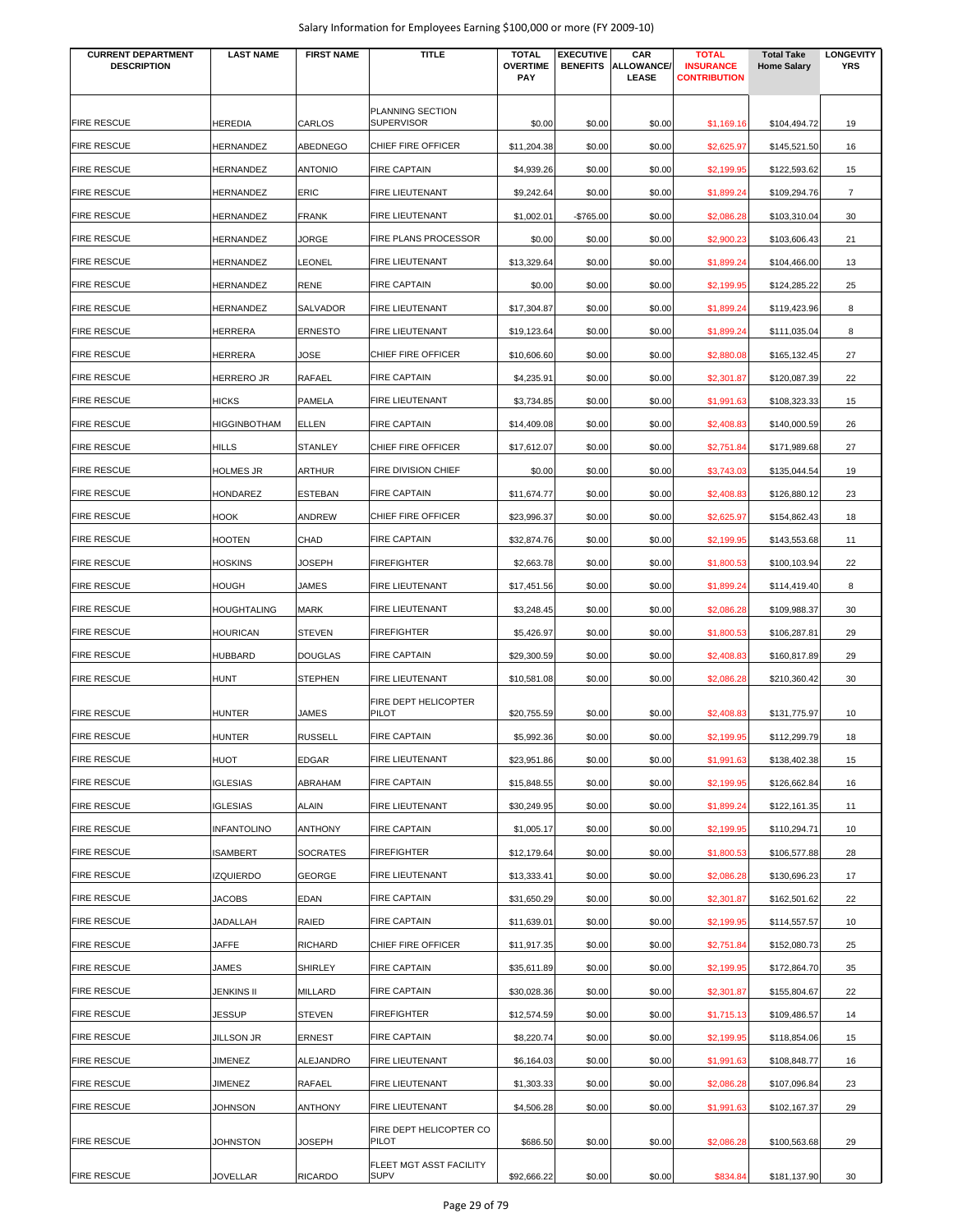| <b>CURRENT DEPARTMENT</b><br><b>DESCRIPTION</b> | <b>LAST NAME</b>    | <b>FIRST NAME</b> | TITLE                                  | <b>TOTAL</b><br><b>OVERTIME</b><br><b>PAY</b> | <b>EXECUTIVE</b><br><b>BENEFITS</b> | CAR<br><b>ALLOWANCE/</b><br><b>LEASE</b> | <b>TOTAL</b><br><b>INSURANCE</b><br><b>CONTRIBUTION</b> | <b>Total Take</b><br><b>Home Salary</b> | <b>LONGEVITY</b><br><b>YRS</b> |
|-------------------------------------------------|---------------------|-------------------|----------------------------------------|-----------------------------------------------|-------------------------------------|------------------------------------------|---------------------------------------------------------|-----------------------------------------|--------------------------------|
| <b>FIRE RESCUE</b>                              | <b>HEREDIA</b>      | CARLOS            | PLANNING SECTION<br><b>SUPERVISOR</b>  | \$0.00                                        | \$0.00                              | \$0.00                                   |                                                         | \$104,494.72                            | 19                             |
| <b>FIRE RESCUE</b>                              | <b>HERNANDEZ</b>    | ABEDNEGO          | CHIEF FIRE OFFICER                     | \$11,204.38                                   | \$0.00                              | \$0.00                                   | \$1,169.16<br>\$2,625.97                                | \$145,521.50                            | 16                             |
| <b>FIRE RESCUE</b>                              | <b>HERNANDEZ</b>    | <b>ANTONIO</b>    | <b>FIRE CAPTAIN</b>                    | \$4,939.26                                    | \$0.00                              | \$0.00                                   | \$2,199.95                                              | \$122,593.62                            | 15                             |
| <b>FIRE RESCUE</b>                              | HERNANDEZ           | ERIC              | FIRE LIEUTENANT                        | \$9,242.64                                    | \$0.00                              | \$0.00                                   | \$1,899.24                                              | \$109,294.76                            | $\overline{7}$                 |
| <b>FIRE RESCUE</b>                              | HERNANDEZ           | <b>FRANK</b>      | FIRE LIEUTENANT                        | \$1,002.01                                    | -\$765.00                           | \$0.00                                   | \$2,086.28                                              | \$103,310.04                            | 30                             |
| <b>FIRE RESCUE</b>                              | HERNANDEZ           | JORGE             | FIRE PLANS PROCESSOR                   |                                               |                                     |                                          |                                                         | \$103,606.43                            | 21                             |
| <b>FIRE RESCUE</b>                              | HERNANDEZ           | LEONEL            | FIRE LIEUTENANT                        | \$0.00<br>\$13,329.64                         | \$0.00<br>\$0.00                    | \$0.00<br>\$0.00                         | \$2,900.23                                              | \$104,466.00                            | 13                             |
| <b>FIRE RESCUE</b>                              |                     |                   | <b>FIRE CAPTAIN</b>                    |                                               |                                     |                                          | \$1,899.24                                              |                                         | 25                             |
|                                                 | <b>HERNANDEZ</b>    | RENE              |                                        | \$0.00                                        | \$0.00                              | \$0.00                                   | \$2,199.95                                              | \$124,285.22                            |                                |
| <b>FIRE RESCUE</b>                              | HERNANDEZ           | SALVADOR          | FIRE LIEUTENANT                        | \$17,304.87                                   | \$0.00                              | \$0.00                                   | \$1,899.24                                              | \$119,423.96                            | 8                              |
| <b>FIRE RESCUE</b>                              | <b>HERRERA</b>      | <b>ERNESTO</b>    | <b>FIRE LIEUTENANT</b>                 | \$19,123.64                                   | \$0.00                              | \$0.00                                   | \$1,899.24                                              | \$111,035.04                            | 8                              |
| <b>FIRE RESCUE</b>                              | <b>HERRERA</b>      | JOSE              | CHIEF FIRE OFFICER                     | \$10,606.60                                   | \$0.00                              | \$0.00                                   | \$2,880.08                                              | \$165,132.45                            | 27                             |
| <b>FIRE RESCUE</b>                              | <b>HERRERO JR</b>   | RAFAEL            | <b>FIRE CAPTAIN</b>                    | \$4,235.91                                    | \$0.00                              | \$0.00                                   | \$2,301.87                                              | \$120,087.39                            | 22                             |
| <b>FIRE RESCUE</b>                              | <b>HICKS</b>        | PAMELA            | <b>FIRE LIEUTENANT</b>                 | \$3,734.85                                    | \$0.00                              | \$0.00                                   | \$1,991.63                                              | \$108,323.33                            | 15                             |
| <b>FIRE RESCUE</b>                              | <b>HIGGINBOTHAM</b> | <b>ELLEN</b>      | <b>FIRE CAPTAIN</b>                    | \$14,409.08                                   | \$0.00                              | \$0.00                                   | \$2,408.83                                              | \$140,000.59                            | 26                             |
| <b>FIRE RESCUE</b>                              | <b>HILLS</b>        | <b>STANLEY</b>    | CHIEF FIRE OFFICER                     | \$17,612.07                                   | \$0.00                              | \$0.00                                   | \$2,751.84                                              | \$171,989.68                            | 27                             |
| <b>FIRE RESCUE</b>                              | <b>HOLMES JR</b>    | <b>ARTHUR</b>     | FIRE DIVISION CHIEF                    | \$0.00                                        | \$0.00                              | \$0.00                                   | \$3,743.03                                              | \$135,044.54                            | 19                             |
| <b>FIRE RESCUE</b>                              | HONDAREZ            | <b>ESTEBAN</b>    | <b>FIRE CAPTAIN</b>                    | \$11,674.77                                   | \$0.00                              | \$0.00                                   | \$2,408.83                                              | \$126,880.12                            | 23                             |
| <b>FIRE RESCUE</b>                              | <b>HOOK</b>         | ANDREW            | CHIEF FIRE OFFICER                     | \$23,996.37                                   | \$0.00                              | \$0.00                                   | \$2,625.97                                              | \$154,862.43                            | 18                             |
| <b>FIRE RESCUE</b>                              | <b>HOOTEN</b>       | CHAD              | <b>FIRE CAPTAIN</b>                    | \$32,874.76                                   | \$0.00                              | \$0.00                                   | \$2,199.95                                              | \$143,553.68                            | 11                             |
| <b>FIRE RESCUE</b>                              | <b>HOSKINS</b>      | <b>JOSEPH</b>     | <b>FIREFIGHTER</b>                     | \$2,663.78                                    | \$0.00                              | \$0.00                                   | \$1,800.53                                              | \$100,103.94                            | 22                             |
| <b>FIRE RESCUE</b>                              | <b>HOUGH</b>        | JAMES             | FIRE LIEUTENANT                        | \$17,451.56                                   | \$0.00                              | \$0.00                                   | \$1,899.24                                              | \$114,419.40                            | 8                              |
| <b>FIRE RESCUE</b>                              | <b>HOUGHTALING</b>  | <b>MARK</b>       | FIRE LIEUTENANT                        | \$3,248.45                                    | \$0.00                              | \$0.00                                   | \$2,086.28                                              | \$109,988.37                            | 30                             |
| <b>FIRE RESCUE</b>                              | <b>HOURICAN</b>     | <b>STEVEN</b>     | <b>FIREFIGHTER</b>                     | \$5,426.97                                    | \$0.00                              | \$0.00                                   | \$1,800.53                                              | \$106,287.81                            | 29                             |
| <b>FIRE RESCUE</b>                              | <b>HUBBARD</b>      | <b>DOUGLAS</b>    | <b>FIRE CAPTAIN</b>                    | \$29,300.59                                   | \$0.00                              | \$0.00                                   | \$2,408.83                                              | \$160,817.89                            | 29                             |
| <b>FIRE RESCUE</b>                              | <b>HUNT</b>         | <b>STEPHEN</b>    | <b>FIRE LIEUTENANT</b>                 | \$10,581.08                                   | \$0.00                              | \$0.00                                   | \$2,086.28                                              | \$210,360.42                            | 30                             |
| <b>FIRE RESCUE</b>                              | <b>HUNTER</b>       | JAMES             | FIRE DEPT HELICOPTER<br>PILOT          | \$20,755.59                                   | \$0.00                              | \$0.00                                   | \$2,408.83                                              | \$131,775.97                            | 10                             |
| <b>FIRE RESCUE</b>                              | <b>HUNTER</b>       | <b>RUSSELL</b>    | <b>FIRE CAPTAIN</b>                    | \$5,992.36                                    | \$0.00                              | \$0.00                                   | \$2,199.95                                              | \$112,299.79                            | 18                             |
| <b>FIRE RESCUE</b>                              | <b>HUOT</b>         | <b>EDGAR</b>      | FIRE LIEUTENANT                        | \$23,951.86                                   | \$0.00                              | \$0.00                                   | \$1,991.63                                              | \$138,402.38                            | 15                             |
| <b>FIRE RESCUE</b>                              | <b>IGLESIAS</b>     | ABRAHAM           | <b>FIRE CAPTAIN</b>                    | \$15,848.55                                   | \$0.00                              | \$0.00                                   | \$2,199.95                                              | \$126,662.84                            | 16                             |
| <b>FIRE RESCUE</b>                              | <b>IGLESIAS</b>     | <b>ALAIN</b>      | FIRE LIEUTENANT                        | \$30,249.95                                   | \$0.00                              | \$0.00                                   | \$1,899.24                                              | \$122,161.35                            | 11                             |
| <b>FIRE RESCUE</b>                              | <b>INFANTOLINO</b>  | <b>ANTHONY</b>    | <b>FIRE CAPTAIN</b>                    | \$1,005.17                                    | \$0.00                              | \$0.00                                   | \$2,199.95                                              | \$110,294.71                            | 10                             |
| <b>FIRE RESCUE</b>                              | <b>ISAMBERT</b>     | <b>SOCRATES</b>   | <b>FIREFIGHTER</b>                     | \$12,179.64                                   | \$0.00                              | \$0.00                                   | \$1,800.53                                              | \$106,577.88                            | 28                             |
| <b>FIRE RESCUE</b>                              | <b>IZQUIERDO</b>    | GEORGE            | FIRE LIEUTENANT                        | \$13,333.41                                   | \$0.00                              | \$0.00                                   | \$2,086.28                                              | \$130,696.23                            | 17                             |
| <b>FIRE RESCUE</b>                              | <b>JACOBS</b>       | EDAN              | <b>FIRE CAPTAIN</b>                    | \$31,650.29                                   | \$0.00                              | \$0.00                                   | \$2,301.87                                              | \$162,501.62                            | 22                             |
| <b>FIRE RESCUE</b>                              | JADALLAH            | RAIED             | <b>FIRE CAPTAIN</b>                    | \$11,639.01                                   | \$0.00                              | \$0.00                                   | \$2,199.95                                              | \$114,557.57                            | 10                             |
| <b>FIRE RESCUE</b>                              | JAFFE               | <b>RICHARD</b>    | CHIEF FIRE OFFICER                     | \$11,917.35                                   | \$0.00                              | \$0.00                                   | \$2,751.84                                              | \$152,080.73                            | 25                             |
| <b>FIRE RESCUE</b>                              | JAMES               | <b>SHIRLEY</b>    | <b>FIRE CAPTAIN</b>                    | \$35,611.89                                   | \$0.00                              | \$0.00                                   | \$2,199.95                                              | \$172,864.70                            | 35                             |
| <b>FIRE RESCUE</b>                              | JENKINS II          | MILLARD           | <b>FIRE CAPTAIN</b>                    | \$30,028.36                                   | \$0.00                              | \$0.00                                   | \$2,301.87                                              | \$155,804.67                            | 22                             |
| <b>FIRE RESCUE</b>                              | <b>JESSUP</b>       | <b>STEVEN</b>     | FIREFIGHTER                            | \$12,574.59                                   | \$0.00                              | \$0.00                                   | \$1,715.13                                              | \$109,486.57                            | 14                             |
| <b>FIRE RESCUE</b>                              | <b>JILLSON JR</b>   | ERNEST            | <b>FIRE CAPTAIN</b>                    | \$8,220.74                                    | \$0.00                              | \$0.00                                   | \$2,199.95                                              | \$118,854.06                            | 15                             |
| <b>FIRE RESCUE</b>                              | JIMENEZ             | ALEJANDRO         | FIRE LIEUTENANT                        | \$6,164.03                                    | \$0.00                              | \$0.00                                   | \$1,991.63                                              | \$108,848.77                            | 16                             |
| <b>FIRE RESCUE</b>                              | JIMENEZ             | RAFAEL            | FIRE LIEUTENANT                        | \$1,303.33                                    | \$0.00                              | \$0.00                                   | \$2,086.28                                              | \$107,096.84                            | 23                             |
| <b>FIRE RESCUE</b>                              | JOHNSON             | <b>ANTHONY</b>    | FIRE LIEUTENANT                        | \$4,506.28                                    | \$0.00                              | \$0.00                                   | \$1,991.63                                              | \$102,167.37                            | 29                             |
|                                                 |                     |                   | FIRE DEPT HELICOPTER CO                |                                               |                                     |                                          |                                                         |                                         |                                |
| <b>FIRE RESCUE</b>                              | JOHNSTON            | <b>JOSEPH</b>     | PILOT                                  | \$686.50                                      | \$0.00                              | \$0.00                                   | \$2,086.28                                              | \$100,563.68                            | 29                             |
| <b>FIRE RESCUE</b>                              | JOVELLAR            | <b>RICARDO</b>    | FLEET MGT ASST FACILITY<br><b>SUPV</b> | \$92,666.22                                   | \$0.00                              | \$0.00                                   | \$834.84                                                | \$181,137.90                            | 30                             |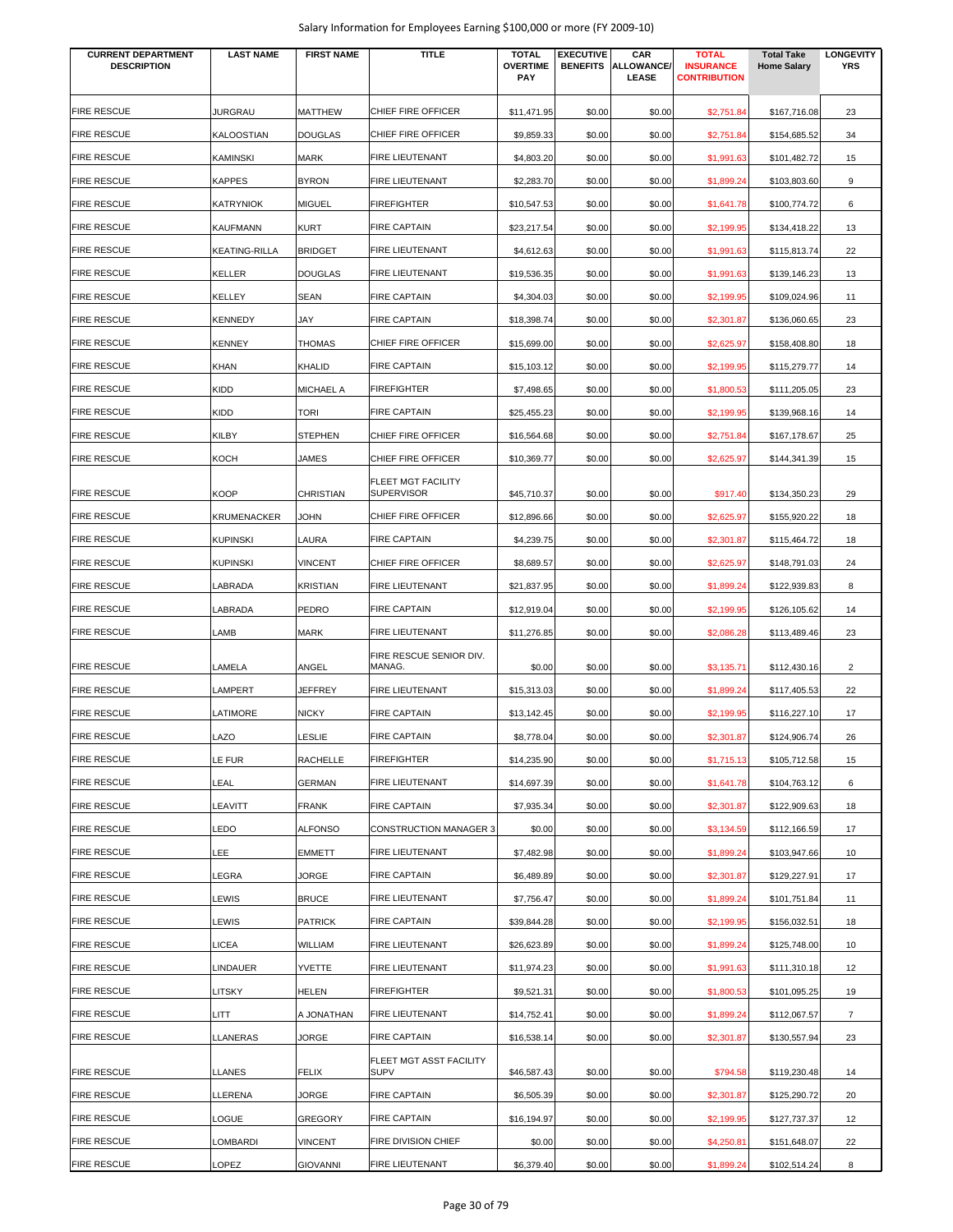| <b>CURRENT DEPARTMENT</b><br><b>DESCRIPTION</b> | <b>LAST NAME</b>     | <b>FIRST NAME</b> | <b>TITLE</b>                                   | <b>TOTAL</b><br><b>OVERTIME</b><br><b>PAY</b> | <b>EXECUTIVE</b><br><b>BENEFITS</b> | CAR<br><b>ALLOWANCE/</b><br>LEASE | <b>TOTAL</b><br><b>INSURANCE</b><br><b>CONTRIBUTION</b> | <b>Total Take</b><br><b>Home Salary</b> | <b>LONGEVITY</b><br><b>YRS</b> |
|-------------------------------------------------|----------------------|-------------------|------------------------------------------------|-----------------------------------------------|-------------------------------------|-----------------------------------|---------------------------------------------------------|-----------------------------------------|--------------------------------|
| <b>FIRE RESCUE</b>                              | <b>JURGRAU</b>       | <b>MATTHEW</b>    | CHIEF FIRE OFFICER                             | \$11,471.95                                   | \$0.00                              | \$0.00                            | \$2,751.84                                              | \$167,716.08                            | 23                             |
| <b>FIRE RESCUE</b>                              | KALOOSTIAN           | <b>DOUGLAS</b>    | CHIEF FIRE OFFICER                             | \$9,859.33                                    | \$0.00                              | \$0.00                            | \$2,751.84                                              | \$154,685.52                            | 34                             |
| <b>FIRE RESCUE</b>                              | <b>KAMINSKI</b>      | <b>MARK</b>       | <b>FIRE LIEUTENANT</b>                         | \$4,803.20                                    | \$0.00                              | \$0.00                            | \$1,991.63                                              | \$101,482.72                            | 15                             |
| <b>FIRE RESCUE</b>                              | <b>KAPPES</b>        | <b>BYRON</b>      | FIRE LIEUTENANT                                | \$2,283.70                                    | \$0.00                              | \$0.00                            | \$1,899.24                                              | \$103,803.60                            | 9                              |
| <b>FIRE RESCUE</b>                              | <b>KATRYNIOK</b>     | <b>MIGUEL</b>     | <b>FIREFIGHTER</b>                             | \$10,547.53                                   | \$0.00                              | \$0.00                            | \$1,641.78                                              | \$100,774.72                            | 6                              |
| <b>FIRE RESCUE</b>                              | <b>KAUFMANN</b>      | <b>KURT</b>       | <b>FIRE CAPTAIN</b>                            | \$23,217.54                                   | \$0.00                              | \$0.00                            | \$2,199.95                                              | \$134,418.22                            | 13                             |
| <b>FIRE RESCUE</b>                              | <b>KEATING-RILLA</b> | <b>BRIDGET</b>    | <b>FIRE LIEUTENANT</b>                         | \$4,612.63                                    | \$0.00                              | \$0.00                            | \$1,991.63                                              | \$115,813.74                            | 22                             |
| <b>FIRE RESCUE</b>                              | <b>KELLER</b>        | <b>DOUGLAS</b>    | <b>FIRE LIEUTENANT</b>                         | \$19,536.35                                   | \$0.00                              | \$0.00                            | \$1,991.63                                              | \$139,146.23                            | 13                             |
| <b>FIRE RESCUE</b>                              | <b>KELLEY</b>        | <b>SEAN</b>       | <b>FIRE CAPTAIN</b>                            | \$4,304.03                                    | \$0.00                              | \$0.00                            | \$2,199.95                                              | \$109,024.96                            | 11                             |
| <b>FIRE RESCUE</b>                              | <b>KENNEDY</b>       | JAY               | <b>FIRE CAPTAIN</b>                            | \$18,398.74                                   | \$0.00                              | \$0.00                            | \$2,301.87                                              | \$136,060.65                            | 23                             |
| <b>FIRE RESCUE</b>                              | <b>KENNEY</b>        | THOMAS            | CHIEF FIRE OFFICER                             | \$15,699.00                                   | \$0.00                              | \$0.00                            | \$2,625.97                                              | \$158,408.80                            | 18                             |
| <b>FIRE RESCUE</b>                              | <b>KHAN</b>          | <b>KHALID</b>     | <b>FIRE CAPTAIN</b>                            | \$15,103.12                                   | \$0.00                              | \$0.00                            | \$2,199.95                                              | \$115,279.77                            | 14                             |
| <b>FIRE RESCUE</b>                              | <b>KIDD</b>          | <b>MICHAEL A</b>  | <b>FIREFIGHTER</b>                             | \$7,498.65                                    | \$0.00                              | \$0.00                            | \$1,800.53                                              | \$111,205.05                            | 23                             |
| <b>FIRE RESCUE</b>                              | <b>KIDD</b>          | <b>TORI</b>       | <b>FIRE CAPTAIN</b>                            | \$25,455.23                                   | \$0.00                              | \$0.00                            | \$2,199.95                                              | \$139,968.16                            | 14                             |
| <b>FIRE RESCUE</b>                              | KILBY                | <b>STEPHEN</b>    | CHIEF FIRE OFFICER                             | \$16,564.68                                   | \$0.00                              | \$0.00                            | \$2,751.84                                              | \$167,178.67                            | 25                             |
| <b>FIRE RESCUE</b>                              | <b>KOCH</b>          | JAMES             | CHIEF FIRE OFFICER                             | \$10,369.77                                   | \$0.00                              | \$0.00                            | \$2,625.97                                              | \$144,341.39                            | 15                             |
| <b>FIRE RESCUE</b>                              | <b>KOOP</b>          | <b>CHRISTIAN</b>  | <b>FLEET MGT FACILITY</b><br><b>SUPERVISOR</b> | \$45,710.37                                   | \$0.00                              | \$0.00                            | \$917.40                                                | \$134,350.23                            | 29                             |
| <b>FIRE RESCUE</b>                              | <b>KRUMENACKER</b>   | <b>JOHN</b>       | CHIEF FIRE OFFICER                             | \$12,896.66                                   | \$0.00                              | \$0.00                            | \$2,625.97                                              | \$155,920.22                            | 18                             |
| <b>FIRE RESCUE</b>                              | <b>KUPINSKI</b>      | LAURA             | <b>FIRE CAPTAIN</b>                            | \$4,239.75                                    | \$0.00                              | \$0.00                            | \$2,301.87                                              | \$115,464.72                            | 18                             |
| <b>FIRE RESCUE</b>                              | <b>KUPINSKI</b>      | <b>VINCENT</b>    | CHIEF FIRE OFFICER                             | \$8,689.57                                    | \$0.00                              | \$0.00                            | \$2,625.97                                              | \$148,791.03                            | 24                             |
| <b>FIRE RESCUE</b>                              | LABRADA              | <b>KRISTIAN</b>   | <b>FIRE LIEUTENANT</b>                         | \$21,837.95                                   | \$0.00                              | \$0.00                            | \$1,899.24                                              | \$122,939.83                            | 8                              |
| <b>FIRE RESCUE</b>                              | LABRADA              | <b>PEDRO</b>      | <b>FIRE CAPTAIN</b>                            | \$12,919.04                                   | \$0.00                              | \$0.00                            | \$2,199.95                                              | \$126,105.62                            | 14                             |
| <b>FIRE RESCUE</b>                              | LAMB                 | <b>MARK</b>       | <b>FIRE LIEUTENANT</b>                         | \$11,276.85                                   | \$0.00                              | \$0.00                            | \$2,086.28                                              | \$113,489.46                            | 23                             |
|                                                 |                      |                   | FIRE RESCUE SENIOR DIV.                        |                                               |                                     |                                   |                                                         |                                         |                                |
| <b>FIRE RESCUE</b>                              | LAMELA               | ANGEL             | MANAG.                                         | \$0.00                                        | \$0.00                              | \$0.00                            | \$3,135.71                                              | \$112,430.16                            | $\overline{2}$                 |
| <b>FIRE RESCUE</b>                              | LAMPERT              | <b>JEFFREY</b>    | <b>FIRE LIEUTENANT</b>                         | \$15,313.03                                   | \$0.00                              | \$0.00                            | \$1,899.24                                              | \$117,405.53                            | 22                             |
| <b>FIRE RESCUE</b>                              | LATIMORE             | <b>NICKY</b>      | <b>FIRE CAPTAIN</b>                            | \$13,142.45                                   | \$0.00                              | \$0.00                            | \$2,199.95                                              | \$116,227.10                            | 17                             |
| <b>FIRE RESCUE</b>                              | LAZO                 | <b>LESLIE</b>     | <b>FIRE CAPTAIN</b>                            | \$8,778.04                                    | \$0.00                              | \$0.00                            | \$2,301.87                                              | \$124,906.74                            | 26                             |
| <b>FIRE RESCUE</b>                              | LE FUR               | RACHELLE          | <b>FIREFIGHTER</b>                             | \$14,235.90                                   | \$0.00                              | \$0.00                            | \$1,715.13                                              | \$105,712.58                            | 15                             |
| <b>FIRE RESCUE</b>                              | LEAL                 | <b>GERMAN</b>     | FIRE LIEUTENANT                                | \$14,697.39                                   | \$0.00                              | \$0.00                            | \$1,641.78                                              | \$104,763.12                            | 6                              |
| <b>FIRE RESCUE</b>                              | LEAVITT              | <b>FRANK</b>      | <b>FIRE CAPTAIN</b>                            | \$7,935.34                                    | \$0.00                              | \$0.00                            | \$2,301.87                                              | \$122,909.63                            | 18                             |
| <b>FIRE RESCUE</b>                              | LEDO                 | <b>ALFONSO</b>    | CONSTRUCTION MANAGER 3                         | \$0.00                                        | \$0.00                              | \$0.00                            | \$3,134.59                                              | \$112,166.59                            | 17                             |
| <b>FIRE RESCUE</b>                              | LEE                  | <b>EMMETT</b>     | FIRE LIEUTENANT                                | \$7,482.98                                    | \$0.00                              | \$0.00                            | \$1,899.24                                              | \$103,947.66                            | 10                             |
| <b>FIRE RESCUE</b>                              | LEGRA                | JORGE             | <b>FIRE CAPTAIN</b>                            | \$6,489.89                                    | \$0.00                              | \$0.00                            | \$2,301.87                                              | \$129,227.91                            | 17                             |
| <b>FIRE RESCUE</b>                              | LEWIS                | <b>BRUCE</b>      | FIRE LIEUTENANT                                | \$7,756.47                                    | \$0.00                              | \$0.00                            | \$1,899.24                                              | \$101,751.84                            | 11                             |
| <b>FIRE RESCUE</b>                              | LEWIS                | <b>PATRICK</b>    | <b>FIRE CAPTAIN</b>                            | \$39,844.28                                   | \$0.00                              | \$0.00                            | \$2,199.95                                              | \$156,032.51                            | 18                             |
| <b>FIRE RESCUE</b>                              | LICEA                | WILLIAM           | FIRE LIEUTENANT                                | \$26,623.89                                   | \$0.00                              | \$0.00                            | \$1,899.24                                              | \$125,748.00                            | 10                             |
| <b>FIRE RESCUE</b>                              | LINDAUER             | YVETTE            | FIRE LIEUTENANT                                | \$11,974.23                                   | \$0.00                              | \$0.00                            | \$1,991.63                                              | \$111,310.18                            | 12                             |
| <b>FIRE RESCUE</b>                              | LITSKY               | <b>HELEN</b>      | <b>FIREFIGHTER</b>                             | \$9,521.31                                    | \$0.00                              | \$0.00                            | \$1,800.53                                              | \$101,095.25                            | 19                             |
| <b>FIRE RESCUE</b>                              | <b>LITT</b>          | A JONATHAN        | FIRE LIEUTENANT                                | \$14,752.41                                   | \$0.00                              | \$0.00                            | \$1,899.24                                              | \$112,067.57                            | $\overline{7}$                 |
| <b>FIRE RESCUE</b>                              | LLANERAS             | JORGE             | FIRE CAPTAIN                                   | \$16,538.14                                   | \$0.00                              | \$0.00                            | \$2,301.87                                              | \$130,557.94                            | 23                             |
| <b>FIRE RESCUE</b>                              | LLANES               | <b>FELIX</b>      | FLEET MGT ASST FACILITY<br><b>SUPV</b>         | \$46,587.43                                   | \$0.00                              | \$0.00                            | \$794.58                                                | \$119,230.48                            | 14                             |
| <b>FIRE RESCUE</b>                              | LLERENA              | JORGE             | <b>FIRE CAPTAIN</b>                            | \$6,505.39                                    | \$0.00                              | \$0.00                            | \$2,301.87                                              | \$125,290.72                            | 20                             |
| <b>FIRE RESCUE</b>                              | LOGUE                | <b>GREGORY</b>    | <b>FIRE CAPTAIN</b>                            | \$16,194.97                                   | \$0.00                              | \$0.00                            | \$2,199.95                                              | \$127,737.37                            | 12                             |
| <b>FIRE RESCUE</b>                              | <b>LOMBARDI</b>      | <b>VINCENT</b>    | FIRE DIVISION CHIEF                            | \$0.00                                        | \$0.00                              | \$0.00                            | \$4,250.81                                              | \$151,648.07                            | 22                             |
| <b>FIRE RESCUE</b>                              | LOPEZ                | <b>GIOVANNI</b>   | FIRE LIEUTENANT                                | \$6,379.40                                    | \$0.00                              | \$0.00                            | \$1,899.24                                              | \$102,514.24                            | 8                              |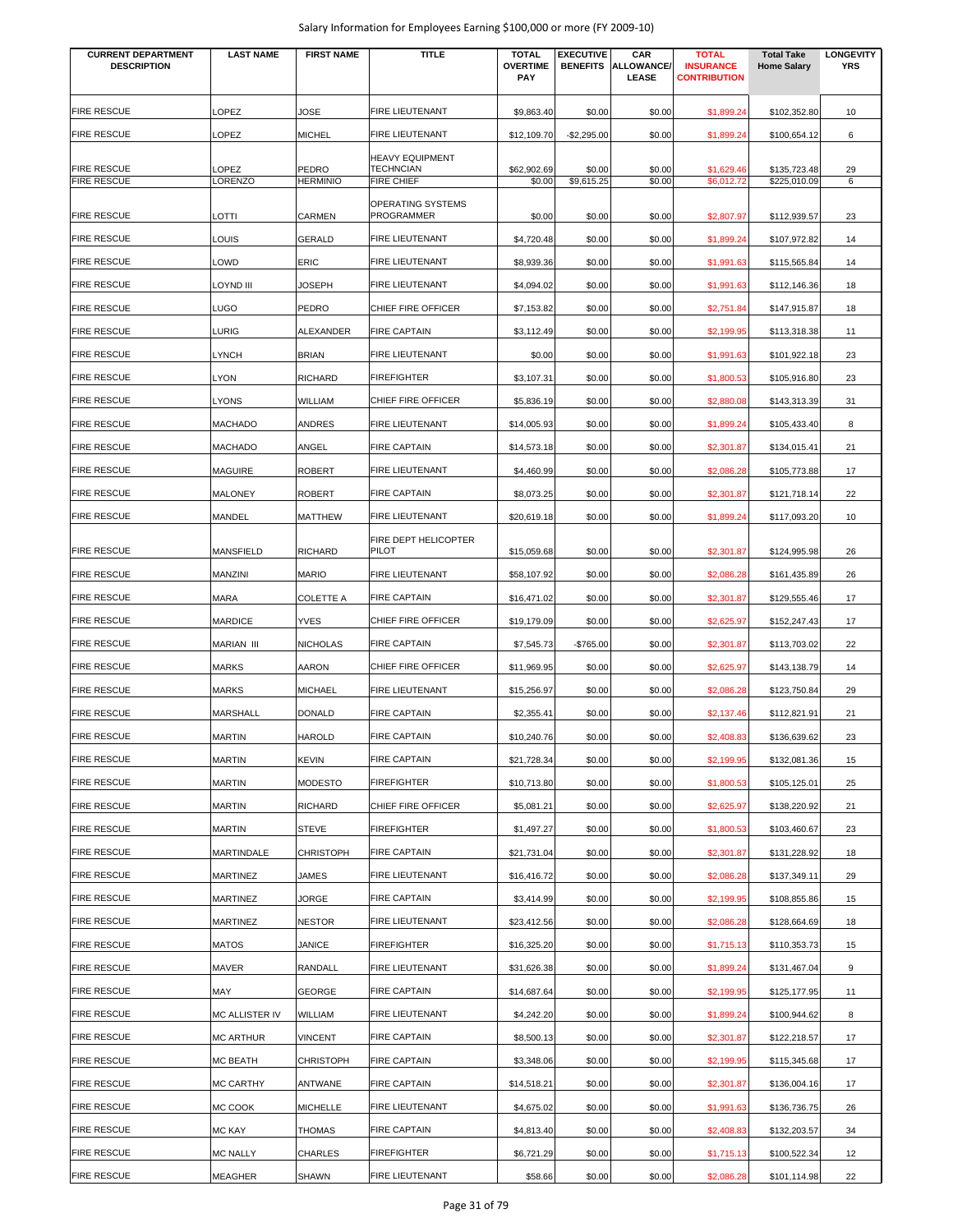| <b>CURRENT DEPARTMENT</b><br><b>DESCRIPTION</b> | <b>LAST NAME</b>  | <b>FIRST NAME</b>        | <b>TITLE</b>                   | <b>TOTAL</b><br><b>OVERTIME</b> | <b>EXECUTIVE</b><br><b>BENEFITS</b> | CAR<br><b>ALLOWANCE/</b> | <b>TOTAL</b><br><b>INSURANCE</b> | <b>Total Take</b><br><b>Home Salary</b> | <b>LONGEVITY</b><br><b>YRS</b> |
|-------------------------------------------------|-------------------|--------------------------|--------------------------------|---------------------------------|-------------------------------------|--------------------------|----------------------------------|-----------------------------------------|--------------------------------|
|                                                 |                   |                          |                                | <b>PAY</b>                      |                                     | <b>LEASE</b>             | <b>CONTRIBUTION</b>              |                                         |                                |
| <b>FIRE RESCUE</b>                              | OPEZ.             | JOSE                     | FIRE LIEUTENANT                | \$9,863.40                      | \$0.00                              | \$0.00                   | \$1,899.24                       | \$102,352.80                            | 10                             |
| <b>FIRE RESCUE</b>                              | OPEZ.             | <b>MICHEL</b>            | FIRE LIEUTENANT                | \$12,109.70                     | $-$2,295.00$                        | \$0.00                   | \$1,899.24                       | \$100.654.12                            | 6                              |
|                                                 |                   |                          | <b>HEAVY EQUIPMENT</b>         |                                 |                                     |                          |                                  |                                         |                                |
| <b>FIRE RESCUE</b><br><b>FIRE RESCUE</b>        | LOPEZ<br>LORENZO  | PEDRO<br><b>HERMINIO</b> | TECHNCIAN<br><b>FIRE CHIEF</b> | \$62,902.69<br>\$0.00           | \$0.00<br>\$9,615.25                | \$0.00<br>\$0.00         | \$1,629.46<br>\$6,012.72         | \$135,723.48<br>\$225,010.09            | 29<br>6                        |
|                                                 |                   |                          | OPERATING SYSTEMS              |                                 |                                     |                          |                                  |                                         |                                |
| FIRE RESCUE                                     | LOTTI             | <b>CARMEN</b>            | <b>PROGRAMMER</b>              | \$0.00                          | \$0.00                              | \$0.00                   | \$2,807.97                       | \$112,939.57                            | 23                             |
| <b>FIRE RESCUE</b>                              | LOUIS             | <b>GERALD</b>            | FIRE LIEUTENANT                | \$4,720.48                      | \$0.00                              | \$0.00                   | \$1,899.24                       | \$107,972.82                            | 14                             |
| <b>FIRE RESCUE</b>                              | LOWD              | ERIC                     | <b>FIRE LIEUTENANT</b>         | \$8,939.36                      | \$0.00                              | \$0.00                   | \$1,991.63                       | \$115,565.84                            | 14                             |
| <b>FIRE RESCUE</b>                              | <b>III OYND.</b>  | JOSEPH                   | <b>FIRE LIEUTENANT</b>         | \$4,094.02                      | \$0.00                              | \$0.00                   | \$1,991.63                       | \$112,146.36                            | 18                             |
| <b>FIRE RESCUE</b>                              | LUGO              | PEDRO                    | CHIEF FIRE OFFICER             | \$7,153.82                      | \$0.00                              | \$0.00                   | \$2,751.84                       | \$147,915.87                            | 18                             |
| <b>FIRE RESCUE</b>                              | LURIG             | <b>ALEXANDER</b>         | <b>FIRE CAPTAIN</b>            | \$3,112.49                      | \$0.00                              | \$0.00                   | \$2,199.95                       | \$113,318.38                            | 11                             |
| FIRE RESCUE                                     | LYNCH             | <b>BRIAN</b>             | <b>FIRE LIEUTENANT</b>         | \$0.00                          | \$0.00                              | \$0.00                   | \$1,991.63                       | \$101,922.18                            | 23                             |
| <b>FIRE RESCUE</b>                              | LYON              | <b>RICHARD</b>           | <b>FIREFIGHTER</b>             | \$3,107.31                      | \$0.00                              | \$0.00                   | \$1,800.53                       | \$105,916.80                            | 23                             |
| <b>FIRE RESCUE</b>                              | LYONS             | <b>WILLIAM</b>           | CHIEF FIRE OFFICER             | \$5,836.19                      | \$0.00                              | \$0.00                   | \$2,880.08                       | \$143,313.39                            | 31                             |
| <b>FIRE RESCUE</b>                              | MACHADO           | <b>ANDRES</b>            | FIRE LIEUTENANT                | \$14,005.93                     | \$0.00                              | \$0.00                   | \$1,899.24                       | \$105,433.40                            | 8                              |
| <b>FIRE RESCUE</b>                              | <b>MACHADO</b>    | ANGEL                    | <b>FIRE CAPTAIN</b>            | \$14,573.18                     | \$0.00                              | \$0.00                   | \$2,301.87                       | \$134,015.41                            | 21                             |
| <b>FIRE RESCUE</b>                              | <b>MAGUIRE</b>    | <b>ROBERT</b>            | FIRE LIEUTENANT                | \$4,460.99                      | \$0.00                              | \$0.00                   | \$2,086.28                       | \$105,773.88                            | 17                             |
| <b>FIRE RESCUE</b>                              | <b>MALONEY</b>    | <b>ROBERT</b>            | <b>FIRE CAPTAIN</b>            | \$8,073.25                      | \$0.00                              | \$0.00                   | \$2,301.87                       | \$121,718.14                            | 22                             |
| <b>FIRE RESCUE</b>                              | MANDEL            | <b>MATTHEW</b>           | FIRE LIEUTENANT                | \$20,619.18                     | \$0.00                              | \$0.00                   | \$1,899.24                       | \$117,093.20                            | 10                             |
|                                                 |                   |                          | FIRE DEPT HELICOPTER           |                                 |                                     |                          |                                  |                                         |                                |
| <b>FIRE RESCUE</b>                              | <b>MANSFIELD</b>  | <b>RICHARD</b>           | <b>PILOT</b>                   | \$15,059.68                     | \$0.00                              | \$0.00                   | \$2,301.87                       | \$124,995.98                            | 26                             |
| <b>FIRE RESCUE</b>                              | MANZINI           | <b>MARIO</b>             | FIRE LIEUTENANT                | \$58,107.92                     | \$0.00                              | \$0.00                   | \$2,086.28                       | \$161,435.89                            | 26                             |
| <b>FIRE RESCUE</b>                              | MARA              | <b>COLETTE A</b>         | <b>FIRE CAPTAIN</b>            | \$16,471.02                     | \$0.00                              | \$0.00                   | \$2,301.87                       | \$129,555.46                            | 17                             |
| <b>FIRE RESCUE</b>                              | <b>MARDICE</b>    | <b>YVES</b>              | CHIEF FIRE OFFICER             | \$19,179.09                     | \$0.00                              | \$0.00                   | \$2,625.97                       | \$152,247.43                            | 17                             |
| <b>FIRE RESCUE</b>                              | <b>MARIAN III</b> | <b>NICHOLAS</b>          | <b>FIRE CAPTAIN</b>            | \$7,545.73                      | $-$765.00$                          | \$0.00                   | \$2,301.87                       | \$113,703.02                            | 22                             |
| <b>FIRE RESCUE</b>                              | <b>MARKS</b>      | <b>AARON</b>             | CHIEF FIRE OFFICER             | \$11,969.95                     | \$0.00                              | \$0.00                   | \$2,625.97                       | \$143,138.79                            | 14                             |
| <b>FIRE RESCUE</b>                              | MARKS             | <b>MICHAEL</b>           | FIRE LIEUTENANT                | \$15,256.97                     | \$0.00                              | \$0.00                   | \$2,086.28                       | \$123,750.84                            | 29                             |
| <b>FIRE RESCUE</b>                              | <b>MARSHALL</b>   | <b>DONALD</b>            | <b>FIRE CAPTAIN</b>            | \$2,355.41                      | \$0.00                              | \$0.00                   | \$2,137.46                       | \$112,821.91                            | 21                             |
| <b>FIRE RESCUE</b>                              | <b>MARTIN</b>     | <b>HAROLD</b>            | <b>FIRE CAPTAIN</b>            | \$10,240.76                     | \$0.00                              | \$0.00                   | \$2,408.83                       | \$136,639.62                            | 23                             |
| <b>FIRE RESCUE</b>                              | <b>MARTIN</b>     | <b>KEVIN</b>             | <b>FIRE CAPTAIN</b>            | \$21,728.34                     | \$0.00                              | \$0.00                   | \$2,199.95                       | \$132,081.36                            | 15                             |
| <b>FIRE RESCUE</b>                              | <b>MARTIN</b>     | <b>MODESTO</b>           | <b>FIREFIGHTER</b>             | \$10,713.80                     | \$0.00                              | \$0.00                   | \$1,800.53                       | \$105,125.01                            | 25                             |
| <b>FIRE RESCUE</b>                              | <b>MARTIN</b>     | <b>RICHARD</b>           | CHIEF FIRE OFFICER             | \$5,081.21                      | \$0.00                              | \$0.00                   | \$2,625.97                       | \$138,220.92                            | 21                             |
| <b>FIRE RESCUE</b>                              | MARTIN            | <b>STEVE</b>             | <b>FIREFIGHTER</b>             | \$1,497.27                      | \$0.00                              | \$0.00                   | \$1,800.53                       | \$103,460.67                            | 23                             |
| <b>FIRE RESCUE</b>                              | MARTINDALE        | <b>CHRISTOPH</b>         | <b>FIRE CAPTAIN</b>            | \$21,731.04                     | \$0.00                              | \$0.00                   | \$2,301.87                       | \$131,228.92                            | 18                             |
| <b>FIRE RESCUE</b>                              | MARTINEZ          | JAMES                    | FIRE LIEUTENANT                | \$16,416.72                     | \$0.00                              | \$0.00                   | \$2,086.28                       | \$137,349.11                            | 29                             |
| <b>FIRE RESCUE</b>                              | MARTINEZ          | JORGE                    | <b>FIRE CAPTAIN</b>            | \$3,414.99                      | \$0.00                              | \$0.00                   | \$2,199.95                       | \$108,855.86                            | 15                             |
| <b>FIRE RESCUE</b>                              | MARTINEZ          | <b>NESTOR</b>            | FIRE LIEUTENANT                | \$23,412.56                     | \$0.00                              | \$0.00                   | \$2,086.28                       | \$128,664.69                            | 18                             |
| FIRE RESCUE                                     | MATOS             | JANICE                   | <b>FIREFIGHTER</b>             | \$16,325.20                     | \$0.00                              | \$0.00                   | \$1,715.13                       | \$110,353.73                            | 15                             |
| <b>FIRE RESCUE</b>                              | MAVER             | RANDALL                  | FIRE LIEUTENANT                | \$31,626.38                     | \$0.00                              | \$0.00                   | \$1,899.24                       | \$131,467.04                            | 9                              |
| <b>FIRE RESCUE</b>                              | MAY               | GEORGE                   | <b>FIRE CAPTAIN</b>            | \$14,687.64                     | \$0.00                              | \$0.00                   | \$2,199.95                       | \$125,177.95                            | 11                             |
| <b>FIRE RESCUE</b>                              | MC ALLISTER IV    | WILLIAM                  | <b>FIRE LIEUTENANT</b>         | \$4,242.20                      | \$0.00                              | \$0.00                   | \$1,899.24                       | \$100,944.62                            | 8                              |
| <b>FIRE RESCUE</b>                              | MC ARTHUR         | <b>VINCENT</b>           | <b>FIRE CAPTAIN</b>            | \$8,500.13                      | \$0.00                              | \$0.00                   | \$2,301.87                       | \$122,218.57                            | 17                             |
| FIRE RESCUE                                     | <b>MC BEATH</b>   | <b>CHRISTOPH</b>         | <b>FIRE CAPTAIN</b>            | \$3,348.06                      | \$0.00                              | \$0.00                   | \$2,199.95                       | \$115,345.68                            | 17                             |
| FIRE RESCUE                                     | <b>MC CARTHY</b>  | ANTWANE                  | <b>FIRE CAPTAIN</b>            | \$14,518.21                     | \$0.00                              | \$0.00                   | \$2,301.87                       | \$136,004.16                            | 17                             |
| <b>FIRE RESCUE</b>                              | MC COOK           | <b>MICHELLE</b>          | <b>FIRE LIEUTENANT</b>         | \$4,675.02                      | \$0.00                              | \$0.00                   | \$1,991.63                       | \$136,736.75                            | 26                             |
| FIRE RESCUE                                     | MC KAY            | <b>THOMAS</b>            | <b>FIRE CAPTAIN</b>            | \$4,813.40                      | \$0.00                              | \$0.00                   | \$2,408.83                       | \$132,203.57                            | 34                             |
| FIRE RESCUE                                     | <b>MC NALLY</b>   | <b>CHARLES</b>           | <b>FIREFIGHTER</b>             | \$6,721.29                      | \$0.00                              | \$0.00                   | \$1,715.13                       | \$100,522.34                            | 12                             |
| <b>FIRE RESCUE</b>                              | MEAGHER           | SHAWN                    | <b>FIRE LIEUTENANT</b>         | \$58.66                         | \$0.00                              | \$0.00                   | \$2,086.28                       | \$101,114.98                            | 22                             |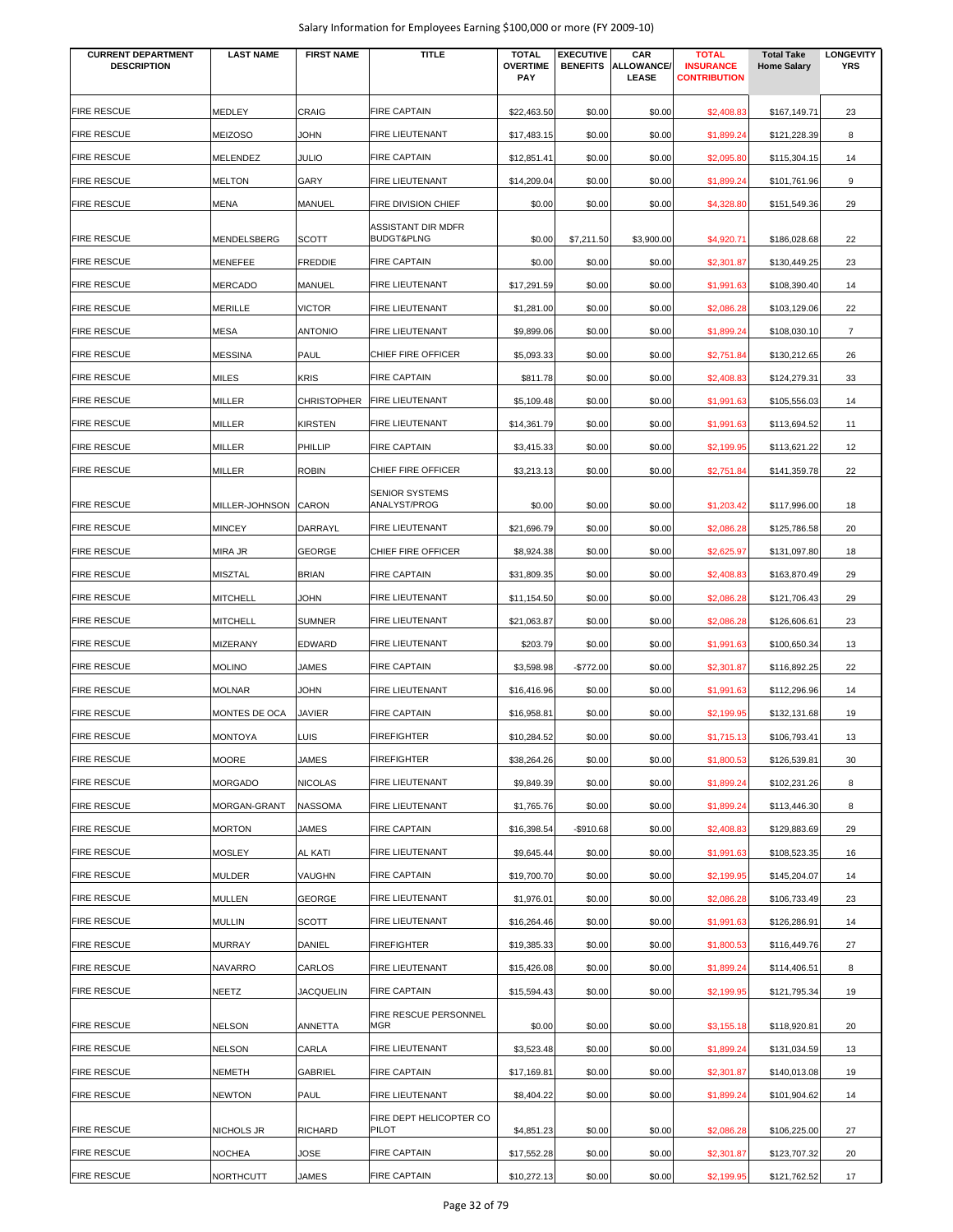| <b>CURRENT DEPARTMENT</b><br><b>DESCRIPTION</b> | <b>LAST NAME</b>     | <b>FIRST NAME</b>  | <b>TITLE</b>                                       | <b>TOTAL</b><br><b>OVERTIME</b> | <b>EXECUTIVE</b><br><b>BENEFITS</b> | CAR<br><b>ALLOWANCE</b> | <b>TOTAL</b><br><b>INSURANCE</b> | <b>Total Take</b><br><b>Home Salary</b> | <b>LONGEVITY</b><br><b>YRS</b> |
|-------------------------------------------------|----------------------|--------------------|----------------------------------------------------|---------------------------------|-------------------------------------|-------------------------|----------------------------------|-----------------------------------------|--------------------------------|
|                                                 |                      |                    |                                                    | <b>PAY</b>                      |                                     | LEASE                   | <b>CONTRIBUTION</b>              |                                         |                                |
|                                                 |                      |                    |                                                    |                                 |                                     |                         |                                  |                                         |                                |
| <b>FIRE RESCUE</b>                              | MEDLEY               | CRAIG              | <b>FIRE CAPTAIN</b>                                | \$22,463.50                     | \$0.00                              | \$0.00                  | \$2,408.83                       | \$167,149.71                            | 23                             |
| <b>FIRE RESCUE</b>                              | <b>MEIZOSO</b>       | <b>JOHN</b>        | FIRE LIEUTENANT                                    | \$17,483.15                     | \$0.00                              | \$0.00                  | \$1,899.24                       | \$121,228.39                            | 8                              |
| <b>FIRE RESCUE</b>                              | MELENDEZ             | JULIO              | <b>FIRE CAPTAIN</b>                                | \$12,851.41                     | \$0.00                              | \$0.00                  | \$2,095.80                       | \$115,304.15                            | 14                             |
| <b>FIRE RESCUE</b>                              | <b>MELTON</b>        | GARY               | FIRE LIEUTENANT                                    | \$14,209.04                     | \$0.00                              | \$0.00                  | \$1,899.24                       | \$101,761.96                            | 9                              |
| <b>FIRE RESCUE</b>                              | MENA                 | MANUEL             | <b>FIRE DIVISION CHIEF</b>                         | \$0.00                          | \$0.00                              | \$0.00                  | \$4,328.80                       | \$151,549.36                            | 29                             |
| <b>FIRE RESCUE</b>                              | MENDELSBERG          | <b>SCOTT</b>       | <b>ASSISTANT DIR MDFR</b><br><b>BUDGT&amp;PLNG</b> | \$0.00                          | \$7,211.50                          | \$3,900.00              | \$4,920.71                       | \$186,028.68                            | 22                             |
| <b>FIRE RESCUE</b>                              | MENEFEE              | <b>FREDDIE</b>     | <b>FIRE CAPTAIN</b>                                | \$0.00                          | \$0.00                              | \$0.00                  | \$2,301.87                       | \$130,449.25                            | 23                             |
| <b>FIRE RESCUE</b>                              | <b>MERCADO</b>       | MANUEL             | FIRE LIEUTENANT                                    | \$17,291.59                     | \$0.00                              | \$0.00                  | \$1,991.63                       | \$108,390.40                            | 14                             |
| <b>FIRE RESCUE</b>                              | <b>MERILLE</b>       | <b>VICTOR</b>      | FIRE LIEUTENANT                                    | \$1,281.00                      | \$0.00                              | \$0.00                  | \$2,086.28                       | \$103,129.06                            | 22                             |
| <b>FIRE RESCUE</b>                              | <b>MESA</b>          | <b>ANTONIO</b>     | FIRE LIEUTENANT                                    | \$9,899.06                      | \$0.00                              | \$0.00                  | \$1,899.24                       | \$108,030.10                            | $\overline{7}$                 |
| <b>FIRE RESCUE</b>                              | <b>MESSINA</b>       | PAUL               | CHIEF FIRE OFFICER                                 | \$5,093.33                      | \$0.00                              | \$0.00                  | \$2,751.84                       | \$130,212.65                            | 26                             |
| <b>FIRE RESCUE</b>                              | MILES                | <b>KRIS</b>        | <b>FIRE CAPTAIN</b>                                | \$811.78                        | \$0.00                              | \$0.00                  | \$2,408.83                       | \$124,279.31                            | 33                             |
| <b>FIRE RESCUE</b>                              | MILLER               | <b>CHRISTOPHER</b> | FIRE LIEUTENANT                                    | \$5,109.48                      | \$0.00                              | \$0.00                  | \$1,991.63                       | \$105,556.03                            | 14                             |
| <b>FIRE RESCUE</b>                              | MILLER               | <b>KIRSTEN</b>     | FIRE LIEUTENANT                                    | \$14,361.79                     | \$0.00                              | \$0.00                  | \$1,991.63                       | \$113,694.52                            | 11                             |
| <b>FIRE RESCUE</b>                              | MILLER               | PHILLIP            | <b>FIRE CAPTAIN</b>                                | \$3,415.33                      | \$0.00                              | \$0.00                  | \$2,199.95                       | \$113,621.22                            | 12                             |
| <b>FIRE RESCUE</b>                              | MILLER               | <b>ROBIN</b>       | CHIEF FIRE OFFICER                                 | \$3,213.13                      | \$0.00                              | \$0.00                  |                                  | \$141,359.78                            | 22                             |
|                                                 |                      |                    |                                                    |                                 |                                     |                         | \$2,751.84                       |                                         |                                |
| <b>FIRE RESCUE</b>                              | MILLER-JOHNSON CARON |                    | <b>SENIOR SYSTEMS</b><br>ANALYST/PROG              | \$0.00                          | \$0.00                              | \$0.00                  | \$1,203.42                       | \$117,996.00                            | 18                             |
| <b>FIRE RESCUE</b>                              | <b>MINCEY</b>        | DARRAYL            | FIRE LIEUTENANT                                    | \$21,696.79                     | \$0.00                              | \$0.00                  | \$2,086.28                       | \$125,786.58                            | 20                             |
| <b>FIRE RESCUE</b>                              | MIRA JR              | <b>GEORGE</b>      | CHIEF FIRE OFFICER                                 | \$8,924.38                      | \$0.00                              | \$0.00                  | \$2,625.97                       | \$131,097.80                            | 18                             |
| <b>FIRE RESCUE</b>                              | <b>MISZTAL</b>       | <b>BRIAN</b>       | <b>FIRE CAPTAIN</b>                                | \$31,809.35                     | \$0.00                              | \$0.00                  | \$2,408.83                       | \$163,870.49                            | 29                             |
| <b>FIRE RESCUE</b>                              | <b>MITCHELL</b>      | <b>JOHN</b>        | FIRE LIEUTENANT                                    | \$11,154.50                     | \$0.00                              | \$0.00                  | \$2,086.28                       | \$121,706.43                            | 29                             |
| <b>FIRE RESCUE</b>                              | MITCHELL             | <b>SUMNER</b>      | FIRE LIEUTENANT                                    | \$21,063.87                     | \$0.00                              | \$0.00                  | \$2,086.28                       | \$126,606.61                            | 23                             |
| <b>FIRE RESCUE</b>                              | <b>MIZERANY</b>      | <b>EDWARD</b>      | FIRE LIEUTENANT                                    | \$203.79                        | \$0.00                              | \$0.00                  | \$1,991.63                       | \$100,650.34                            | 13                             |
| <b>FIRE RESCUE</b>                              | <b>MOLINO</b>        | JAMES              | <b>FIRE CAPTAIN</b>                                | \$3,598.98                      | $-$772.00$                          | \$0.00                  | \$2,301.87                       | \$116,892.25                            | 22                             |
| <b>FIRE RESCUE</b>                              | <b>MOLNAR</b>        | <b>JOHN</b>        | FIRE LIEUTENANT                                    | \$16,416.96                     | \$0.00                              | \$0.00                  | \$1,991.63                       | \$112,296.96                            | 14                             |
| <b>FIRE RESCUE</b>                              | MONTES DE OCA        | <b>JAVIER</b>      | <b>FIRE CAPTAIN</b>                                | \$16,958.81                     | \$0.00                              | \$0.00                  | \$2,199.95                       | \$132,131.68                            | 19                             |
| <b>FIRE RESCUE</b>                              | <b>MONTOYA</b>       | LUIS               | <b>FIREFIGHTER</b>                                 | \$10,284.52                     | \$0.00                              | \$0.00                  | \$1,715.13                       | \$106,793.41                            | 13                             |
| <b>FIRE RESCUE</b>                              | <b>MOORE</b>         | JAMES              | <b>FIREFIGHTER</b>                                 | \$38,264.26                     | \$0.00                              | \$0.00                  | \$1,800.53                       | \$126,539.81                            | 30                             |
| <b>FIRE RESCUE</b>                              | <b>MORGADO</b>       | <b>NICOLAS</b>     | FIRE LIEUTENANT                                    | \$9,849.39                      | \$0.00                              | \$0.00                  | \$1,899.24                       | \$102,231.26                            | 8                              |
| <b>FIRE RESCUE</b>                              | MORGAN-GRANT         | <b>NASSOMA</b>     | <b>FIRE LIEUTENANT</b>                             | \$1,765.76                      | \$0.00                              | \$0.00                  | \$1,899.24                       | \$113,446.30                            | 8                              |
| <b>FIRE RESCUE</b>                              | <b>MORTON</b>        | JAMES              | <b>FIRE CAPTAIN</b>                                |                                 |                                     | \$0.00                  | \$2,408.83                       |                                         | 29                             |
| <b>FIRE RESCUE</b>                              |                      |                    | FIRE LIEUTENANT                                    | \$16,398.54                     | -\$910.68                           |                         |                                  | \$129,883.69                            |                                |
|                                                 | MOSLEY               | <b>AL KATI</b>     |                                                    | \$9,645.44                      | \$0.00                              | \$0.00                  | \$1,991.63                       | \$108,523.35                            | 16                             |
| <b>FIRE RESCUE</b>                              | <b>MULDER</b>        | VAUGHN             | <b>FIRE CAPTAIN</b>                                | \$19,700.70                     | \$0.00                              | \$0.00                  | \$2,199.95                       | \$145,204.07                            | 14                             |
| <b>FIRE RESCUE</b>                              | <b>MULLEN</b>        | <b>GEORGE</b>      | FIRE LIEUTENANT                                    | \$1,976.01                      | \$0.00                              | \$0.00                  | \$2,086.28                       | \$106,733.49                            | 23                             |
| <b>FIRE RESCUE</b>                              | <b>MULLIN</b>        | <b>SCOTT</b>       | FIRE LIEUTENANT                                    | \$16,264.46                     | \$0.00                              | \$0.00                  | \$1,991.63                       | \$126,286.91                            | 14                             |
| <b>FIRE RESCUE</b>                              | MURRAY               | DANIEL             | <b>FIREFIGHTER</b>                                 | \$19,385.33                     | \$0.00                              | \$0.00                  | \$1,800.53                       | \$116,449.76                            | 27                             |
| <b>FIRE RESCUE</b>                              | NAVARRO              | CARLOS             | FIRE LIEUTENANT                                    | \$15,426.08                     | \$0.00                              | \$0.00                  | \$1,899.24                       | \$114,406.51                            | 8                              |
| <b>FIRE RESCUE</b>                              | NEETZ                | <b>JACQUELIN</b>   | <b>FIRE CAPTAIN</b>                                | \$15,594.43                     | \$0.00                              | \$0.00                  | \$2,199.95                       | \$121,795.34                            | 19                             |
| <b>FIRE RESCUE</b>                              | NELSON               | ANNETTA            | FIRE RESCUE PERSONNEL<br>MGR                       | \$0.00                          | \$0.00                              | \$0.00                  | \$3,155.18                       | \$118,920.81                            | 20                             |
| <b>FIRE RESCUE</b>                              | <b>NELSON</b>        | CARLA              | FIRE LIEUTENANT                                    | \$3,523.48                      | \$0.00                              | \$0.00                  | \$1,899.24                       | \$131,034.59                            | 13                             |
| <b>FIRE RESCUE</b>                              | NEMETH               | GABRIEL            | <b>FIRE CAPTAIN</b>                                | \$17,169.81                     | \$0.00                              | \$0.00                  | \$2,301.87                       | \$140,013.08                            | 19                             |
| <b>FIRE RESCUE</b>                              | <b>NEWTON</b>        | PAUL               | FIRE LIEUTENANT                                    | \$8,404.22                      | \$0.00                              | \$0.00                  | \$1,899.24                       | \$101,904.62                            | 14                             |
|                                                 |                      |                    | FIRE DEPT HELICOPTER CO                            |                                 |                                     |                         |                                  |                                         |                                |
| <b>FIRE RESCUE</b>                              | NICHOLS JR           | RICHARD            | PILOT                                              | \$4,851.23                      | \$0.00                              | \$0.00                  | \$2,086.28                       | \$106,225.00                            | 27                             |
| <b>FIRE RESCUE</b>                              | NOCHEA               | JOSE               | <b>FIRE CAPTAIN</b>                                | \$17,552.28                     | \$0.00                              | \$0.00                  | \$2,301.87                       | \$123,707.32                            | 20                             |
| <b>FIRE RESCUE</b>                              | NORTHCUTT            | JAMES              | <b>FIRE CAPTAIN</b>                                | \$10,272.13                     | \$0.00                              | \$0.00                  | \$2,199.95                       | \$121,762.52                            | 17                             |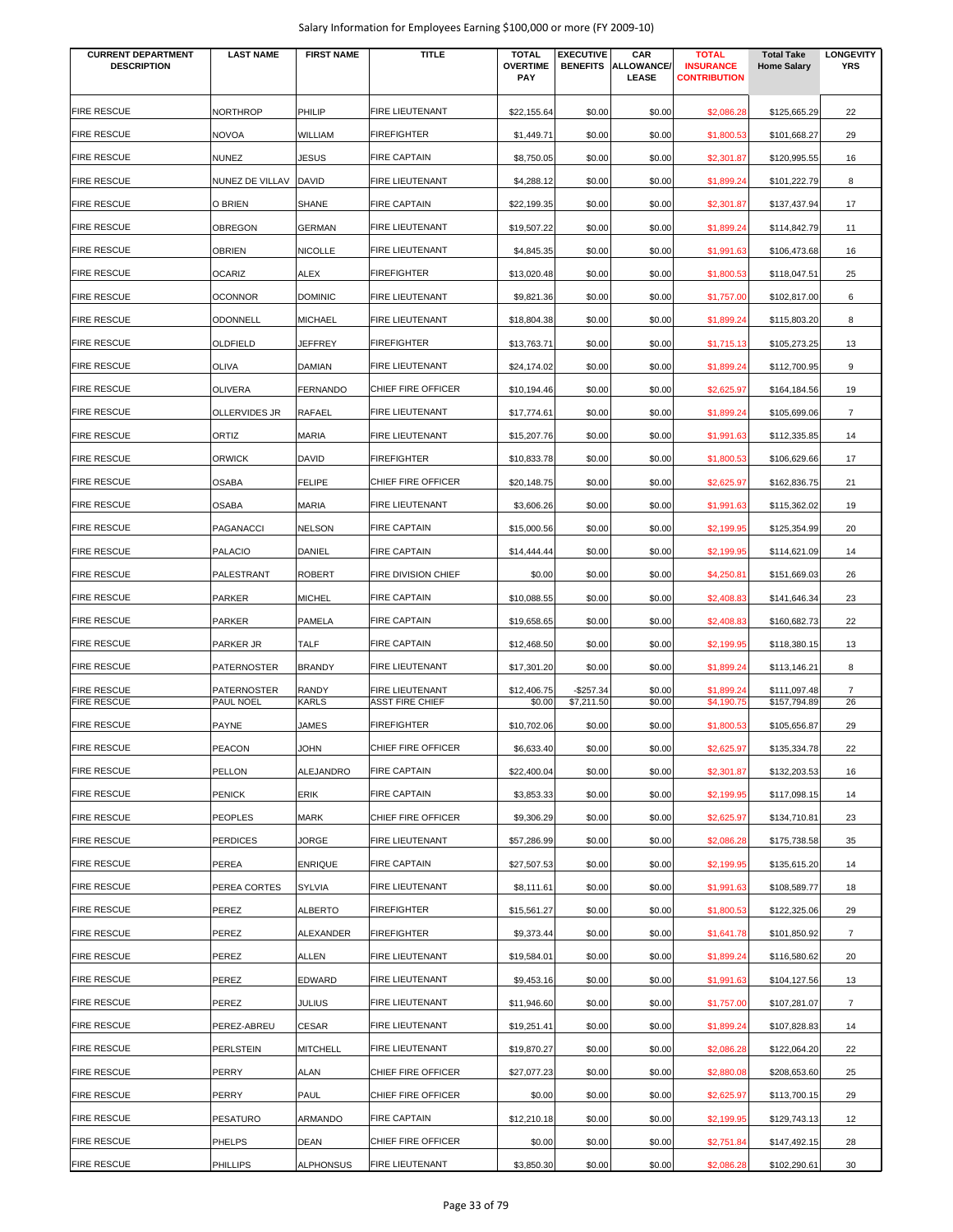| <b>CURRENT DEPARTMENT</b><br><b>DESCRIPTION</b> | <b>LAST NAME</b>                       | <b>FIRST NAME</b> | TITLE                                     | <b>TOTAL</b><br><b>OVERTIME</b><br><b>PAY</b> | <b>EXECUTIVE</b>         | CAR<br><b>BENEFITS ALLOWANCE</b><br>LEASE | <b>TOTAL</b><br><b>INSURANCE</b><br><b>CONTRIBUTION</b> | <b>Total Take</b><br><b>Home Salary</b> | <b>LONGEVITY</b><br><b>YRS</b> |
|-------------------------------------------------|----------------------------------------|-------------------|-------------------------------------------|-----------------------------------------------|--------------------------|-------------------------------------------|---------------------------------------------------------|-----------------------------------------|--------------------------------|
| <b>FIRE RESCUE</b>                              | <b>NORTHROP</b>                        | PHILIP            | FIRE LIEUTENANT                           | \$22,155.64                                   | \$0.00                   | \$0.00                                    | \$2,086.28                                              | \$125,665.29                            | 22                             |
| <b>FIRE RESCUE</b>                              | <b>NOVOA</b>                           | WILLIAM           | <b>FIREFIGHTER</b>                        | \$1,449.71                                    | \$0.00                   | \$0.00                                    | \$1,800.53                                              | \$101,668.27                            | 29                             |
| <b>FIRE RESCUE</b>                              | <b>NUNEZ</b>                           | JESUS             | <b>FIRE CAPTAIN</b>                       | \$8,750.05                                    | \$0.00                   | \$0.00                                    | \$2,301.87                                              | \$120,995.55                            | 16                             |
| <b>FIRE RESCUE</b>                              | NUNEZ DE VILLAV                        | DAVID             | FIRE LIEUTENANT                           | \$4,288.12                                    | \$0.00                   | \$0.00                                    | \$1,899.24                                              | \$101,222.79                            | 8                              |
| <b>FIRE RESCUE</b>                              | O BRIEN                                | <b>SHANE</b>      | <b>FIRE CAPTAIN</b>                       | \$22.199.35                                   | \$0.00                   | \$0.00                                    | \$2,301.87                                              | \$137,437.94                            | 17                             |
| <b>FIRE RESCUE</b>                              | <b>OBREGON</b>                         | <b>GERMAN</b>     | FIRE LIEUTENANT                           | \$19,507.22                                   | \$0.00                   | \$0.00                                    | \$1,899.24                                              | \$114,842.79                            | 11                             |
| <b>FIRE RESCUE</b>                              | <b>OBRIEN</b>                          | NICOLLE           | FIRE LIEUTENANT                           | \$4,845.35                                    | \$0.00                   | \$0.00                                    | \$1,991.63                                              | \$106,473.68                            | 16                             |
| <b>FIRE RESCUE</b>                              | <b>OCARIZ</b>                          | <b>ALEX</b>       | <b>FIREFIGHTER</b>                        | \$13,020.48                                   | \$0.00                   | \$0.00                                    | \$1,800.53                                              | \$118,047.51                            | 25                             |
| <b>FIRE RESCUE</b>                              | <b>OCONNOR</b>                         | <b>DOMINIC</b>    | FIRE LIEUTENANT                           | \$9,821.36                                    | \$0.00                   | \$0.00                                    | \$1,757.00                                              | \$102,817.00                            | 6                              |
| <b>FIRE RESCUE</b>                              | <b>ODONNELL</b>                        | <b>MICHAEL</b>    | FIRE LIEUTENANT                           | \$18,804.38                                   | \$0.00                   | \$0.00                                    | \$1,899.24                                              | \$115,803.20                            | 8                              |
| <b>FIRE RESCUE</b>                              | OLDFIELD                               | JEFFREY           | <b>FIREFIGHTER</b>                        | \$13,763.71                                   | \$0.00                   | \$0.00                                    | \$1,715.13                                              | \$105,273.25                            | 13                             |
| <b>FIRE RESCUE</b>                              | <b>OLIVA</b>                           | <b>DAMIAN</b>     | FIRE LIEUTENANT                           | \$24,174.02                                   | \$0.00                   | \$0.00                                    | \$1,899.24                                              | \$112,700.95                            | 9                              |
| <b>FIRE RESCUE</b>                              | <b>OLIVERA</b>                         | FERNANDO          | CHIEF FIRE OFFICER                        | \$10,194.46                                   | \$0.00                   | \$0.00                                    | \$2,625.97                                              | \$164,184.56                            | 19                             |
| <b>FIRE RESCUE</b>                              | <b>OLLERVIDES JR</b>                   | RAFAEL            | FIRE LIEUTENANT                           | \$17,774.61                                   | \$0.00                   | \$0.00                                    | \$1,899.24                                              | \$105,699.06                            | $\overline{7}$                 |
| <b>FIRE RESCUE</b>                              | ORTIZ                                  | MARIA             | FIRE LIEUTENANT                           | \$15,207.76                                   | \$0.00                   | \$0.00                                    | \$1,991.63                                              | \$112,335.85                            | 14                             |
| <b>FIRE RESCUE</b>                              | <b>ORWICK</b>                          | DAVID             | <b>FIREFIGHTER</b>                        | \$10,833.78                                   | \$0.00                   | \$0.00                                    | \$1,800.53                                              | \$106,629.66                            | 17                             |
| <b>FIRE RESCUE</b>                              | <b>OSABA</b>                           | <b>FELIPE</b>     | CHIEF FIRE OFFICER                        | \$20,148.75                                   | \$0.00                   | \$0.00                                    | \$2,625.97                                              | \$162,836.75                            | 21                             |
| <b>FIRE RESCUE</b>                              | <b>OSABA</b>                           | MARIA             | FIRE LIEUTENANT                           | \$3,606.26                                    | \$0.00                   | \$0.00                                    | \$1,991.63                                              | \$115,362.02                            | 19                             |
| <b>FIRE RESCUE</b>                              | PAGANACCI                              | NELSON            | <b>FIRE CAPTAIN</b>                       | \$15,000.56                                   | \$0.00                   | \$0.00                                    | \$2,199.95                                              | \$125,354.99                            | 20                             |
| <b>FIRE RESCUE</b>                              | <b>PALACIO</b>                         | DANIEL            | <b>FIRE CAPTAIN</b>                       | \$14,444.44                                   | \$0.00                   | \$0.00                                    | \$2,199.95                                              | \$114,621.09                            | 14                             |
| <b>FIRE RESCUE</b>                              | PALESTRANT                             | <b>ROBERT</b>     | FIRE DIVISION CHIEF                       | \$0.00                                        | \$0.00                   | \$0.00                                    | \$4,250.81                                              | \$151,669.03                            | 26                             |
| <b>FIRE RESCUE</b>                              | <b>PARKER</b>                          | <b>MICHEL</b>     | <b>FIRE CAPTAIN</b>                       | \$10,088.55                                   | \$0.00                   | \$0.00                                    | \$2,408.83                                              | \$141,646.34                            | 23                             |
| <b>FIRE RESCUE</b>                              | <b>PARKER</b>                          | PAMELA            | <b>FIRE CAPTAIN</b>                       | \$19,658.65                                   | \$0.00                   | \$0.00                                    | \$2,408.83                                              | \$160,682.73                            | 22                             |
| <b>FIRE RESCUE</b>                              | PARKER JR                              | TALF              | <b>FIRE CAPTAIN</b>                       | \$12,468.50                                   | \$0.00                   | \$0.00                                    | \$2,199.95                                              | \$118,380.15                            | 13                             |
| <b>FIRE RESCUE</b>                              | PATERNOSTER                            | <b>BRANDY</b>     | <b>FIRE LIEUTENANT</b>                    | \$17,301.20                                   | \$0.00                   | \$0.00                                    | \$1,899.24                                              | \$113,146.21                            | 8                              |
| <b>FIRE RESCUE</b><br><b>FIRE RESCUE</b>        | <b>PATERNOSTER</b><br><b>PAUL NOEL</b> | RANDY<br>KARLS    | FIRE LIEUTENANT<br><b>ASST FIRE CHIEF</b> | \$12,406.75<br>\$0.00                         | $-$257.34$<br>\$7,211.50 | \$0.00<br>\$0.00                          | \$1,899.24<br>\$4,190.75                                | \$111,097.48<br>\$157,794.89            | $\overline{7}$<br>26           |
| <b>FIRE RESCUE</b>                              | <b>PAYNE</b>                           | JAMES             | <b>FIREFIGHTER</b>                        | \$10,702.06                                   | \$0.00                   | \$0.00                                    | \$1,800.53                                              | \$105,656.87                            | 29                             |
| <b>FIRE RESCUE</b>                              | <b>PEACON</b>                          | JOHN              | CHIEF FIRE OFFICER                        | \$6,633.40                                    | \$0.00                   | \$0.00                                    | \$2,625.97                                              | \$135,334.78                            | 22                             |
| <b>FIRE RESCUE</b>                              | PELLON                                 | ALEJANDRO         | <b>FIRE CAPTAIN</b>                       | \$22,400.04                                   | \$0.00                   | \$0.00                                    | \$2,301.87                                              | \$132,203.53                            | 16                             |
| <b>FIRE RESCUE</b>                              | <b>PENICK</b>                          | ERIK              | <b>FIRE CAPTAIN</b>                       | \$3,853.33                                    | \$0.00                   | \$0.00                                    | \$2,199.95                                              | \$117,098.15                            |                                |
| <b>FIRE RESCUE</b>                              | <b>PEOPLES</b>                         | MARK              | CHIEF FIRE OFFICER                        | \$9,306.29                                    | \$0.00                   | \$0.00                                    |                                                         | \$134,710.81                            | 14<br>23                       |
| <b>FIRE RESCUE</b>                              | <b>PERDICES</b>                        | JORGE             | FIRE LIEUTENANT                           | \$57,286.99                                   | \$0.00                   | \$0.00                                    | \$2,625.97<br>\$2,086.28                                | \$175,738.58                            | 35                             |
| <b>FIRE RESCUE</b>                              | PEREA                                  | <b>ENRIQUE</b>    | <b>FIRE CAPTAIN</b>                       | \$27,507.53                                   | \$0.00                   | \$0.00                                    | \$2,199.95                                              | \$135,615.20                            | 14                             |
| <b>FIRE RESCUE</b>                              | PEREA CORTES                           | <b>SYLVIA</b>     | FIRE LIEUTENANT                           | \$8,111.61                                    | \$0.00                   | \$0.00                                    | \$1,991.63                                              | \$108,589.77                            | 18                             |
| <b>FIRE RESCUE</b>                              | PEREZ                                  | ALBERTO           | <b>FIREFIGHTER</b>                        | \$15,561.27                                   | \$0.00                   | \$0.00                                    | \$1,800.53                                              | \$122,325.06                            | 29                             |
| <b>FIRE RESCUE</b>                              | PEREZ                                  | ALEXANDER         | <b>FIREFIGHTER</b>                        | \$9,373.44                                    | \$0.00                   | \$0.00                                    | \$1,641.78                                              | \$101,850.92                            | 7                              |
| <b>FIRE RESCUE</b>                              |                                        |                   | FIRE LIEUTENANT                           |                                               |                          |                                           |                                                         |                                         |                                |
| <b>FIRE RESCUE</b>                              | PEREZ<br>PEREZ                         | ALLEN<br>EDWARD   | FIRE LIEUTENANT                           | \$19,584.01<br>\$9,453.16                     | \$0.00<br>\$0.00         | \$0.00<br>\$0.00                          | \$1,899.24<br>\$1,991.63                                | \$116,580.62<br>\$104,127.56            | 20<br>13                       |
| <b>FIRE RESCUE</b>                              |                                        |                   | FIRE LIEUTENANT                           |                                               |                          |                                           |                                                         |                                         |                                |
| <b>FIRE RESCUE</b>                              | PEREZ<br>PEREZ-ABREU                   | JULIUS<br>CESAR   | FIRE LIEUTENANT                           | \$11,946.60<br>\$19,251.41                    | \$0.00<br>\$0.00         | \$0.00<br>\$0.00                          | \$1,757.00<br>\$1,899.24                                | \$107,281.07<br>\$107,828.83            | $\overline{7}$<br>14           |
| <b>FIRE RESCUE</b>                              | <b>PERLSTEIN</b>                       | <b>MITCHELL</b>   | FIRE LIEUTENANT                           | \$19,870.27                                   | \$0.00                   | \$0.00                                    | \$2,086.28                                              | \$122,064.20                            | 22                             |
| <b>FIRE RESCUE</b>                              | PERRY                                  | ALAN              | CHIEF FIRE OFFICER                        | \$27,077.23                                   | \$0.00                   | \$0.00                                    | \$2,880.08                                              | \$208,653.60                            | 25                             |
| <b>FIRE RESCUE</b>                              | PERRY                                  | PAUL              | CHIEF FIRE OFFICER                        |                                               |                          |                                           |                                                         |                                         |                                |
| <b>FIRE RESCUE</b>                              |                                        | ARMANDO           | <b>FIRE CAPTAIN</b>                       | \$0.00                                        | \$0.00                   | \$0.00                                    | \$2,625.97                                              | \$113,700.15                            | 29                             |
| <b>FIRE RESCUE</b>                              | <b>PESATURO</b><br><b>PHELPS</b>       | <b>DEAN</b>       | CHIEF FIRE OFFICER                        | \$12,210.18<br>\$0.00                         | \$0.00                   | \$0.00                                    | \$2,199.95                                              | \$129,743.13                            | 12<br>28                       |
|                                                 |                                        |                   |                                           |                                               | \$0.00                   | \$0.00                                    | \$2,751.84                                              | \$147,492.15                            |                                |
| <b>FIRE RESCUE</b>                              | <b>PHILLIPS</b>                        | ALPHONSUS         | FIRE LIEUTENANT                           | \$3,850.30                                    | \$0.00                   | \$0.00                                    | \$2,086.28                                              | \$102,290.61                            | 30                             |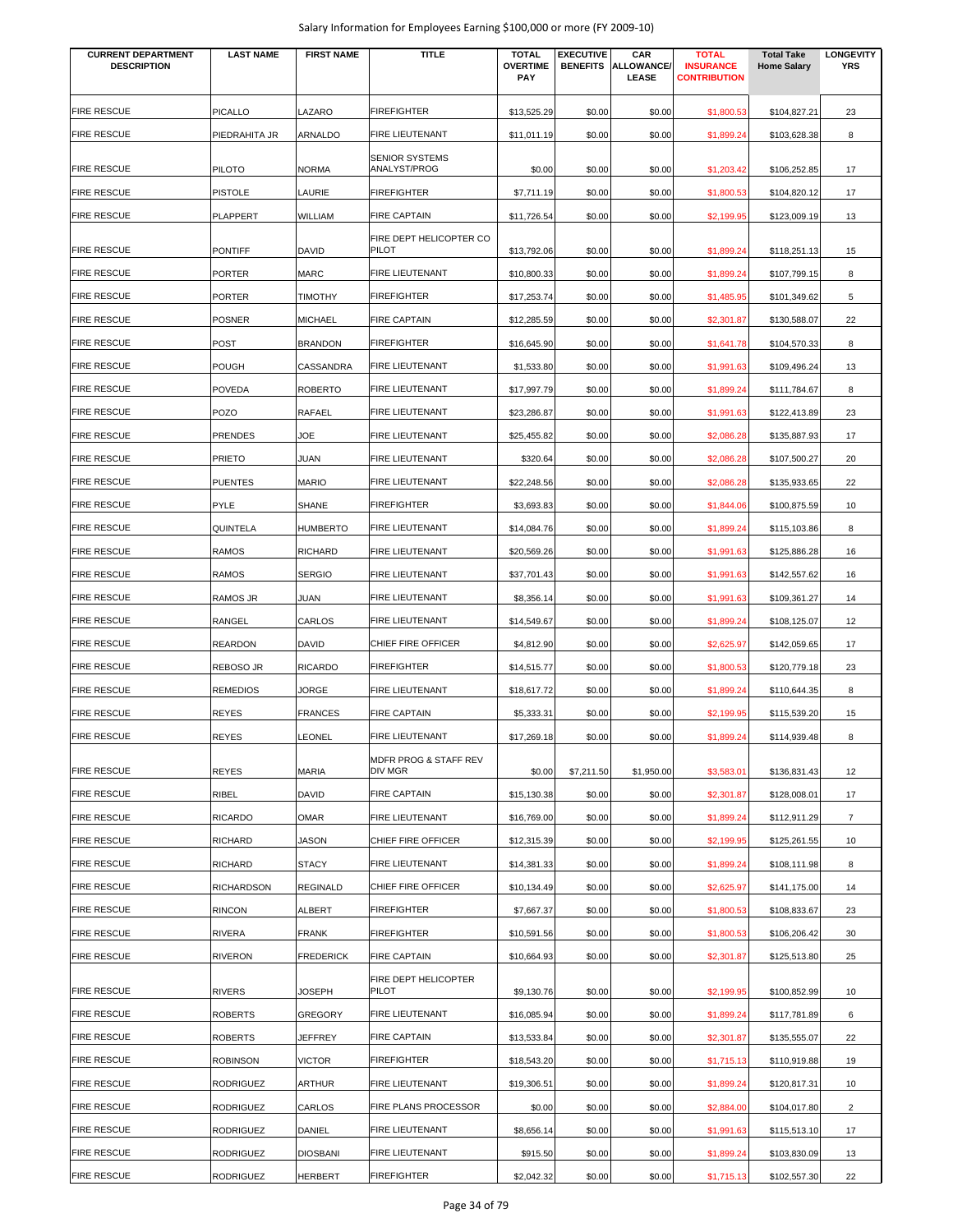| <b>CURRENT DEPARTMENT</b><br><b>DESCRIPTION</b> | <b>LAST NAME</b> | <b>FIRST NAME</b> | <b>TITLE</b>                          | <b>TOTAL</b><br><b>OVERTIME</b><br><b>PAY</b> | <b>EXECUTIVE</b><br><b>BENEFITS</b> | CAR<br><b>ALLOWANCE/</b><br>LEASE | <b>TOTAL</b><br><b>INSURANCE</b><br><b>CONTRIBUTION</b> | <b>Total Take</b><br><b>Home Salary</b> | <b>LONGEVITY</b><br><b>YRS</b> |
|-------------------------------------------------|------------------|-------------------|---------------------------------------|-----------------------------------------------|-------------------------------------|-----------------------------------|---------------------------------------------------------|-----------------------------------------|--------------------------------|
|                                                 |                  |                   |                                       |                                               |                                     |                                   |                                                         |                                         |                                |
| <b>FIRE RESCUE</b>                              | PICALLO          | LAZARO            | <b>FIREFIGHTER</b>                    | \$13,525.29                                   | \$0.00                              | \$0.00                            | \$1,800.53                                              | \$104,827.21                            | 23                             |
| <b>FIRE RESCUE</b>                              | PIEDRAHITA JR    | ARNALDO           | FIRE LIEUTENANT                       | \$11,011.19                                   | \$0.00                              | \$0.00                            | \$1,899.24                                              | \$103,628.38                            | 8                              |
| FIRE RESCUE                                     | <b>PILOTO</b>    | <b>NORMA</b>      | <b>SENIOR SYSTEMS</b><br>ANALYST/PROG | \$0.00                                        | \$0.00                              | \$0.00                            | \$1,203.42                                              | \$106,252.85                            | 17                             |
| <b>FIRE RESCUE</b>                              | <b>PISTOLE</b>   | LAURIE            | <b>FIREFIGHTER</b>                    | \$7,711.19                                    | \$0.00                              | \$0.00                            | \$1,800.53                                              | \$104,820.12                            | 17                             |
| <b>FIRE RESCUE</b>                              | PLAPPERT         | WILLIAM           | <b>FIRE CAPTAIN</b>                   | \$11,726.54                                   | \$0.00                              | \$0.00                            | \$2,199.95                                              | \$123,009.19                            | 13                             |
|                                                 |                  |                   | FIRE DEPT HELICOPTER CO               |                                               |                                     |                                   |                                                         |                                         |                                |
| <b>FIRE RESCUE</b>                              | <b>PONTIFF</b>   | <b>DAVID</b>      | PILOT                                 | \$13,792.06                                   | \$0.00                              | \$0.00                            | \$1,899.24                                              | \$118,251.13                            | 15                             |
| <b>FIRE RESCUE</b>                              | PORTER           | <b>MARC</b>       | FIRE LIEUTENANT                       | \$10,800.33                                   | \$0.00                              | \$0.00                            | \$1,899.24                                              | \$107,799.15                            | 8                              |
| <b>FIRE RESCUE</b>                              | PORTER           | TIMOTHY           | <b>FIREFIGHTER</b>                    | \$17,253.74                                   | \$0.00                              | \$0.00                            | \$1,485.95                                              | \$101,349.62                            | 5                              |
| <b>FIRE RESCUE</b>                              | POSNER           | <b>MICHAEL</b>    | <b>FIRE CAPTAIN</b>                   | \$12,285.59                                   | \$0.00                              | \$0.00                            | \$2,301.87                                              | \$130,588.07                            | 22                             |
| <b>FIRE RESCUE</b>                              | POST             | <b>BRANDON</b>    | <b>FIREFIGHTER</b>                    | \$16,645.90                                   | \$0.00                              | \$0.00                            | \$1,641.78                                              | \$104,570.33                            | 8                              |
| FIRE RESCUE                                     | POUGH            | CASSANDRA         | FIRE LIEUTENANT                       | \$1,533.80                                    | \$0.00                              | \$0.00                            | \$1,991.63                                              | \$109,496.24                            | 13                             |
| <b>FIRE RESCUE</b>                              | <b>POVEDA</b>    | <b>ROBERTO</b>    | FIRE LIEUTENANT                       | \$17,997.79                                   | \$0.00                              | \$0.00                            | \$1,899.24                                              | \$111,784.67                            | 8                              |
| <b>FIRE RESCUE</b>                              | POZO             | RAFAEL            | FIRE LIEUTENANT                       | \$23,286.87                                   | \$0.00                              | \$0.00                            | \$1,991.63                                              | \$122,413.89                            | 23                             |
| <b>FIRE RESCUE</b>                              | PRENDES          | JOE               | FIRE LIEUTENANT                       | \$25,455.82                                   | \$0.00                              | \$0.00                            | \$2,086.28                                              | \$135,887.93                            | 17                             |
| <b>FIRE RESCUE</b>                              | <b>PRIETO</b>    | JUAN              | FIRE LIEUTENANT                       | \$320.64                                      | \$0.00                              | \$0.00                            | \$2,086.28                                              | \$107,500.27                            | 20                             |
| <b>FIRE RESCUE</b>                              | <b>PUENTES</b>   | <b>MARIO</b>      | <b>FIRE LIEUTENANT</b>                | \$22,248.56                                   | \$0.00                              | \$0.00                            | \$2,086.28                                              | \$135,933.65                            | 22                             |
| <b>FIRE RESCUE</b>                              | PYLE             | SHANE             | <b>FIREFIGHTER</b>                    | \$3,693.83                                    | \$0.00                              | \$0.00                            | \$1,844.06                                              | \$100,875.59                            | 10                             |
| <b>FIRE RESCUE</b>                              | QUINTELA         | <b>HUMBERTO</b>   | <b>FIRE LIEUTENANT</b>                | \$14,084.76                                   | \$0.00                              | \$0.00                            | \$1,899.24                                              | \$115,103.86                            | 8                              |
| <b>FIRE RESCUE</b>                              | <b>RAMOS</b>     | <b>RICHARD</b>    | <b>FIRE LIEUTENANT</b>                | \$20,569.26                                   | \$0.00                              | \$0.00                            | \$1,991.63                                              | \$125,886.28                            | 16                             |
| <b>FIRE RESCUE</b>                              | <b>RAMOS</b>     | <b>SERGIO</b>     | <b>FIRE LIEUTENANT</b>                | \$37,701.43                                   | \$0.00                              | \$0.00                            | \$1,991.63                                              | \$142,557.62                            | 16                             |
| <b>FIRE RESCUE</b>                              | RAMOS JR         | JUAN              | <b>FIRE LIEUTENANT</b>                | \$8,356.14                                    | \$0.00                              | \$0.00                            | \$1,991.63                                              | \$109,361.27                            | 14                             |
| <b>FIRE RESCUE</b>                              | RANGEL           | CARLOS            | FIRE LIEUTENANT                       | \$14,549.67                                   | \$0.00                              | \$0.00                            | \$1,899.24                                              | \$108,125.07                            | 12                             |
| <b>FIRE RESCUE</b>                              | <b>REARDON</b>   | DAVID             | CHIEF FIRE OFFICER                    | \$4,812.90                                    | \$0.00                              | \$0.00                            | \$2,625.97                                              | \$142,059.65                            | 17                             |
| <b>FIRE RESCUE</b>                              | REBOSO JR        | <b>RICARDO</b>    | <b>FIREFIGHTER</b>                    | \$14,515.77                                   | \$0.00                              | \$0.00                            | \$1,800.53                                              | \$120,779.18                            | 23                             |
| <b>FIRE RESCUE</b>                              | <b>REMEDIOS</b>  | JORGE             | FIRE LIEUTENANT                       | \$18,617.72                                   | \$0.00                              | \$0.00                            | \$1,899.24                                              | \$110,644.35                            | 8                              |
| <b>FIRE RESCUE</b>                              | <b>REYES</b>     | <b>FRANCES</b>    | <b>FIRE CAPTAIN</b>                   | \$5,333.31                                    | \$0.00                              | \$0.00                            | \$2,199.95                                              | \$115,539.20                            | 15                             |
| <b>FIRE RESCUE</b>                              | <b>REYES</b>     | LEONEL            | FIRE LIEUTENANT                       | \$17,269.18                                   | \$0.00                              | \$0.00                            | \$1,899.24                                              | \$114,939.48                            | 8                              |
|                                                 |                  |                   | MDFR PROG & STAFF REV                 |                                               |                                     |                                   |                                                         |                                         |                                |
| <b>FIRE RESCUE</b>                              | REYES            | MARIA             | DIV MGR                               | \$0.00                                        | \$7,211.50                          | \$1,950.00                        | \$3,583.01                                              | \$136,831.43                            | 12                             |
| <b>FIRE RESCUE</b>                              | RIBEL            | <b>DAVID</b>      | <b>FIRE CAPTAIN</b>                   | \$15,130.38                                   | \$0.00                              | \$0.00                            | \$2,301.87                                              | \$128,008.01                            | 17                             |
| FIRE RESCUE                                     | <b>RICARDO</b>   | <b>OMAR</b>       | FIRE LIEUTENANT                       | \$16,769.00                                   | \$0.00                              | \$0.00                            | \$1,899.24                                              | \$112,911.29                            | $\overline{7}$                 |
| FIRE RESCUE                                     | <b>RICHARD</b>   | JASON             | CHIEF FIRE OFFICER                    | \$12,315.39                                   | \$0.00                              | \$0.00                            | \$2,199.95                                              | \$125,261.55                            | 10                             |
| <b>FIRE RESCUE</b>                              | <b>RICHARD</b>   | <b>STACY</b>      | FIRE LIEUTENANT                       | \$14,381.33                                   | \$0.00                              | \$0.00                            | \$1,899.24                                              | \$108,111.98                            | 8                              |
| <b>FIRE RESCUE</b>                              | RICHARDSON       | <b>REGINALD</b>   | CHIEF FIRE OFFICER                    | \$10,134.49                                   | \$0.00                              | \$0.00                            | \$2,625.97                                              | \$141,175.00                            | 14                             |
| <b>FIRE RESCUE</b>                              | <b>RINCON</b>    | <b>ALBERT</b>     | <b>FIREFIGHTER</b>                    | \$7,667.37                                    | \$0.00                              | \$0.00                            | \$1,800.53                                              | \$108,833.67                            | 23                             |
| <b>FIRE RESCUE</b>                              | RIVERA           | <b>FRANK</b>      | <b>FIREFIGHTER</b>                    | \$10,591.56                                   | \$0.00                              | \$0.00                            | \$1,800.53                                              | \$106,206.42                            | 30                             |
| <b>FIRE RESCUE</b>                              | <b>RIVERON</b>   | <b>FREDERICK</b>  | <b>FIRE CAPTAIN</b>                   | \$10,664.93                                   | \$0.00                              | \$0.00                            | \$2,301.87                                              | \$125,513.80                            | 25                             |
| FIRE RESCUE                                     | <b>RIVERS</b>    | <b>JOSEPH</b>     | FIRE DEPT HELICOPTER<br><b>PILOT</b>  | \$9,130.76                                    | \$0.00                              | \$0.00                            | \$2,199.95                                              | \$100,852.99                            | 10                             |
| FIRE RESCUE                                     | <b>ROBERTS</b>   | <b>GREGORY</b>    | FIRE LIEUTENANT                       | \$16,085.94                                   | \$0.00                              | \$0.00                            | \$1,899.24                                              | \$117,781.89                            | 6                              |
| FIRE RESCUE                                     | ROBERTS          | JEFFREY           | <b>FIRE CAPTAIN</b>                   | \$13,533.84                                   | \$0.00                              | \$0.00                            | \$2,301.87                                              | \$135,555.07                            | 22                             |
| FIRE RESCUE                                     | <b>ROBINSON</b>  | <b>VICTOR</b>     | <b>FIREFIGHTER</b>                    | \$18,543.20                                   | \$0.00                              | \$0.00                            | \$1,715.13                                              | \$110,919.88                            | 19                             |
| <b>FIRE RESCUE</b>                              | <b>RODRIGUEZ</b> | <b>ARTHUR</b>     | FIRE LIEUTENANT                       | \$19,306.51                                   | \$0.00                              | \$0.00                            | \$1,899.24                                              | \$120,817.31                            | 10                             |
| FIRE RESCUE                                     | <b>RODRIGUEZ</b> | CARLOS            | FIRE PLANS PROCESSOR                  | \$0.00                                        | \$0.00                              | \$0.00                            | \$2,884.00                                              | \$104,017.80                            | $\overline{2}$                 |
| FIRE RESCUE                                     | <b>RODRIGUEZ</b> | DANIEL            | FIRE LIEUTENANT                       | \$8,656.14                                    | \$0.00                              | \$0.00                            | \$1,991.63                                              | \$115,513.10                            | 17                             |
| FIRE RESCUE                                     | <b>RODRIGUEZ</b> | <b>DIOSBANI</b>   | FIRE LIEUTENANT                       | \$915.50                                      | \$0.00                              | \$0.00                            | \$1,899.24                                              | \$103,830.09                            | 13                             |
| <b>FIRE RESCUE</b>                              | <b>RODRIGUEZ</b> | <b>HERBERT</b>    | <b>FIREFIGHTER</b>                    | \$2,042.32                                    | \$0.00                              | \$0.00                            | \$1,715.13                                              | \$102,557.30                            | 22                             |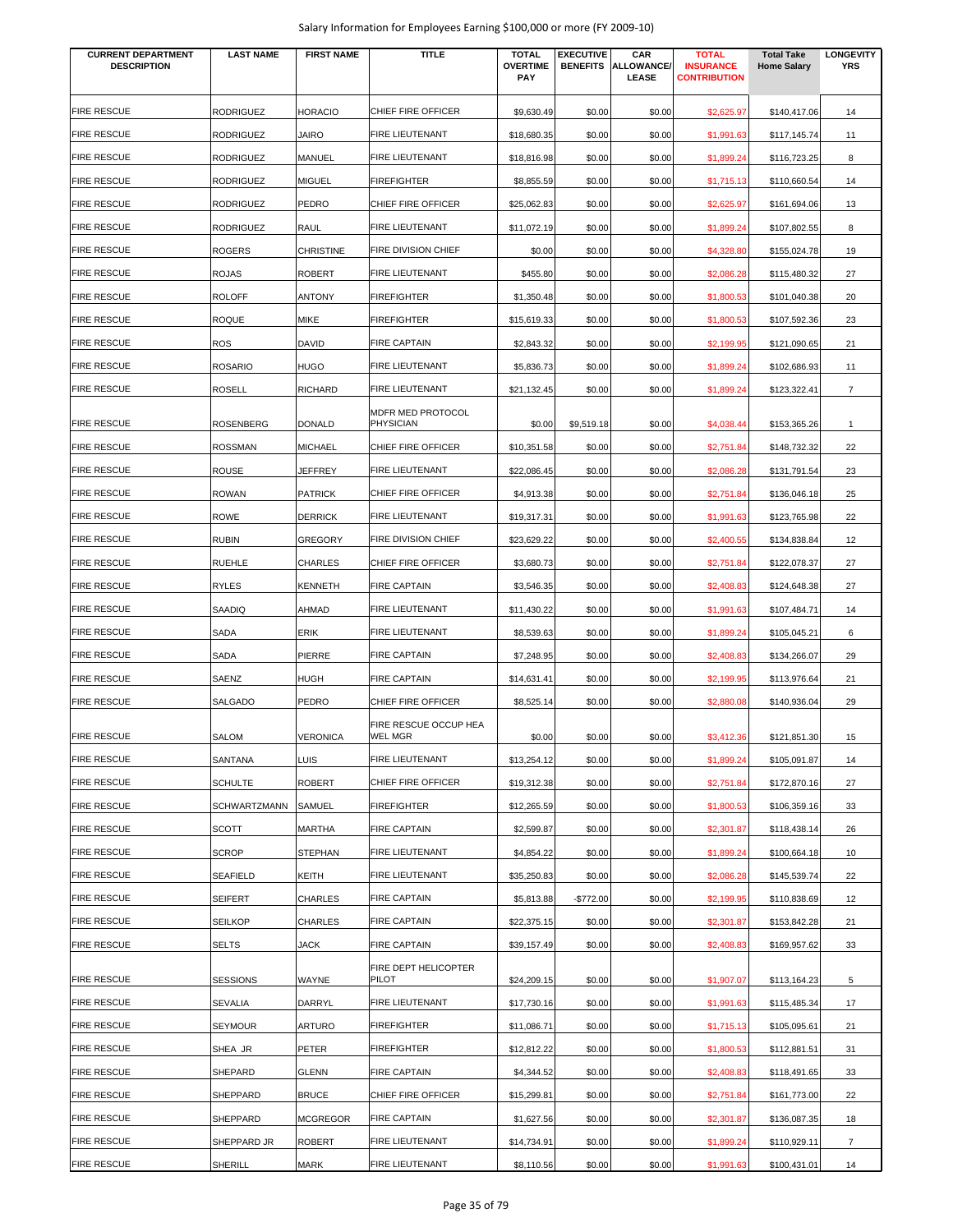| <b>CURRENT DEPARTMENT</b><br><b>DESCRIPTION</b> | <b>LAST NAME</b>               | <b>FIRST NAME</b>                | <b>TITLE</b>                          | <b>TOTAL</b><br><b>OVERTIME</b><br><b>PAY</b> | <b>EXECUTIVE</b> | CAR<br><b>BENEFITS ALLOWANCE/</b><br>LEASE | <b>TOTAL</b><br><b>INSURANCE</b><br><b>CONTRIBUTION</b> | <b>Total Take</b><br><b>Home Salary</b> | <b>LONGEVITY</b><br>YRS |
|-------------------------------------------------|--------------------------------|----------------------------------|---------------------------------------|-----------------------------------------------|------------------|--------------------------------------------|---------------------------------------------------------|-----------------------------------------|-------------------------|
| FIRE RESCUE                                     | <b>RODRIGUEZ</b>               | <b>HORACIO</b>                   | CHIEF FIRE OFFICER                    | \$9,630.49                                    | \$0.00           | \$0.00                                     | \$2,625.97                                              | \$140,417.06                            | 14                      |
| <b>FIRE RESCUE</b>                              | <b>RODRIGUEZ</b>               | <b>JAIRO</b>                     | <b>FIRE LIEUTENANT</b>                | \$18,680.35                                   | \$0.00           | \$0.00                                     | \$1,991.63                                              | \$117,145.74                            | 11                      |
| FIRE RESCUE                                     | <b>RODRIGUEZ</b>               | MANUEL                           | FIRE LIEUTENANT                       | \$18,816.98                                   | \$0.00           | \$0.00                                     | \$1,899.24                                              | \$116,723.25                            | 8                       |
| FIRE RESCUE                                     | <b>RODRIGUEZ</b>               | <b>MIGUEL</b>                    | <b>FIREFIGHTER</b>                    | \$8,855.59                                    | \$0.00           | \$0.00                                     | \$1,715.13                                              | \$110,660.54                            | 14                      |
| FIRE RESCUE                                     | <b>RODRIGUEZ</b>               | PEDRO                            | CHIEF FIRE OFFICER                    | \$25,062.83                                   | \$0.00           | \$0.00                                     | \$2,625.97                                              | \$161,694.06                            | 13                      |
| FIRE RESCUE                                     | <b>RODRIGUEZ</b>               | RAUL                             | FIRE LIEUTENANT                       | \$11,072.19                                   | \$0.00           | \$0.00                                     | \$1,899.24                                              | \$107,802.55                            | 8                       |
| <b>FIRE RESCUE</b>                              | <b>ROGERS</b>                  | <b>CHRISTINE</b>                 | <b>FIRE DIVISION CHIEF</b>            | \$0.00                                        | \$0.00           | \$0.00                                     | \$4,328.80                                              | \$155,024.78                            | 19                      |
| <b>FIRE RESCUE</b>                              | <b>ROJAS</b>                   | <b>ROBERT</b>                    | FIRE LIEUTENANT                       | \$455.80                                      | \$0.00           | \$0.00                                     | \$2,086.28                                              | \$115,480.32                            | 27                      |
| FIRE RESCUE                                     | <b>ROLOFF</b>                  | <b>ANTONY</b>                    | <b>FIREFIGHTER</b>                    | \$1,350.48                                    | \$0.00           | \$0.00                                     | \$1,800.53                                              | \$101,040.38                            | 20                      |
| FIRE RESCUE                                     | <b>ROQUE</b>                   | MIKE                             | <b>FIREFIGHTER</b>                    | \$15,619.33                                   | \$0.00           | \$0.00                                     | \$1,800.53                                              | \$107,592.36                            | 23                      |
| <b>FIRE RESCUE</b>                              | <b>ROS</b>                     | DAVID                            | <b>FIRE CAPTAIN</b>                   | \$2,843.32                                    | \$0.00           | \$0.00                                     | \$2,199.95                                              | \$121,090.65                            | 21                      |
| FIRE RESCUE                                     | <b>ROSARIO</b>                 | <b>HUGO</b>                      | FIRE LIEUTENANT                       | \$5,836.73                                    | \$0.00           | \$0.00                                     | \$1,899.24                                              | \$102,686.93                            | 11                      |
| <b>FIRE RESCUE</b>                              | <b>ROSELL</b>                  | <b>RICHARD</b>                   | FIRE LIEUTENANT                       | \$21,132.45                                   | \$0.00           | \$0.00                                     | \$1,899.24                                              | \$123,322.41                            | $\overline{7}$          |
| FIRE RESCUE                                     |                                |                                  | MDFR MED PROTOCOL<br><b>PHYSICIAN</b> |                                               |                  |                                            |                                                         |                                         |                         |
| FIRE RESCUE                                     | <b>ROSENBERG</b>               | <b>DONALD</b>                    | CHIEF FIRE OFFICER                    | \$0.00                                        | \$9,519.18       | \$0.00                                     | \$4,038.44                                              | \$153,365.26                            | 1                       |
| FIRE RESCUE                                     | <b>ROSSMAN</b><br><b>ROUSE</b> | <b>MICHAEL</b><br><b>JEFFREY</b> | <b>FIRE LIEUTENANT</b>                | \$10,351.58<br>\$22,086.45                    | \$0.00<br>\$0.00 | \$0.00<br>\$0.00                           | \$2,751.84<br>\$2,086.28                                | \$148,732.32<br>\$131,791.54            | 22<br>23                |
| FIRE RESCUE                                     | <b>ROWAN</b>                   | <b>PATRICK</b>                   | CHIEF FIRE OFFICER                    | \$4,913.38                                    | \$0.00           | \$0.00                                     | \$2,751.84                                              | \$136,046.18                            |                         |
| FIRE RESCUE                                     | <b>ROWE</b>                    | <b>DERRICK</b>                   | <b>FIRE LIEUTENANT</b>                | \$19,317.31                                   | \$0.00           | \$0.00                                     | \$1,991.63                                              | \$123,765.98                            | 25<br>22                |
| FIRE RESCUE                                     | <b>RUBIN</b>                   | <b>GREGORY</b>                   | FIRE DIVISION CHIEF                   | \$23,629.22                                   | \$0.00           | \$0.00                                     | \$2,400.55                                              | \$134,838.84                            | 12                      |
| <b>FIRE RESCUE</b>                              | <b>RUEHLE</b>                  | CHARLES                          | CHIEF FIRE OFFICER                    | \$3,680.73                                    | \$0.00           | \$0.00                                     | \$2,751.84                                              | \$122,078.37                            | 27                      |
| <b>FIRE RESCUE</b>                              | <b>RYLES</b>                   | <b>KENNETH</b>                   | <b>FIRE CAPTAIN</b>                   | \$3,546.35                                    | \$0.00           | \$0.00                                     | \$2,408.83                                              | \$124,648.38                            | 27                      |
| <b>FIRE RESCUE</b>                              | SAADIQ                         | AHMAD                            | FIRE LIEUTENANT                       | \$11,430.22                                   | \$0.00           | \$0.00                                     | \$1,991.63                                              | \$107,484.71                            | 14                      |
| FIRE RESCUE                                     | SADA                           | ERIK                             | FIRE LIEUTENANT                       | \$8,539.63                                    | \$0.00           | \$0.00                                     | \$1,899.24                                              | \$105,045.21                            | 6                       |
| FIRE RESCUE                                     | SADA                           | PIERRE                           | <b>FIRE CAPTAIN</b>                   | \$7,248.95                                    | \$0.00           | \$0.00                                     | \$2,408.83                                              | \$134,266.07                            | 29                      |
| FIRE RESCUE                                     | <b>SAENZ</b>                   | <b>HUGH</b>                      | <b>FIRE CAPTAIN</b>                   | \$14,631.41                                   | \$0.00           | \$0.00                                     | \$2,199.95                                              | \$113,976.64                            | 21                      |
| <b>FIRE RESCUE</b>                              | SALGADO                        | PEDRO                            | CHIEF FIRE OFFICER                    | \$8,525.14                                    | \$0.00           | \$0.00                                     | \$2,880.08                                              | \$140,936.04                            | 29                      |
|                                                 |                                |                                  | FIRE RESCUE OCCUP HEA                 |                                               |                  |                                            |                                                         |                                         |                         |
| <b>FIRE RESCUE</b>                              | <b>SALOM</b>                   | <b>VERONICA</b>                  | WEL MGR                               | \$0.00                                        | \$0.00           | \$0.00                                     | \$3,412.36                                              | \$121,851.30                            | 15                      |
| <b>FIRE RESCUE</b>                              | SANTANA                        | <b>LUIS</b>                      | FIRE LIEUTENANT                       | \$13,254.12                                   | \$0.00           | \$0.00                                     | \$1,899.24                                              | \$105,091.87                            | 14                      |
| <b>FIRE RESCUE</b>                              | <b>SCHULTE</b>                 | <b>ROBERT</b>                    | CHIEF FIRE OFFICER                    | \$19,312.38                                   | \$0.00           | \$0.00                                     | \$2,751.84                                              | \$172,870.16                            | 27                      |
| <b>FIRE RESCUE</b>                              | <b>SCHWARTZMANN</b>            | SAMUEL                           | <b>FIREFIGHTER</b>                    | \$12,265.59                                   | \$0.00           | \$0.00                                     | \$1,800.53                                              | \$106,359.16                            | 33                      |
| <b>FIRE RESCUE</b>                              | <b>SCOTT</b>                   | MARTHA                           | <b>FIRE CAPTAIN</b>                   | \$2,599.87                                    | \$0.00           | \$0.00                                     | \$2,301.87                                              | \$118,438.14                            | 26                      |
| <b>FIRE RESCUE</b>                              | <b>SCROP</b>                   | <b>STEPHAN</b>                   | FIRE LIEUTENANT                       | \$4,854.22                                    | \$0.00           | \$0.00                                     | \$1,899.24                                              | \$100,664.18                            | 10                      |
| <b>FIRE RESCUE</b>                              | <b>SEAFIELD</b>                | KEITH                            | FIRE LIEUTENANT                       | \$35,250.83                                   | \$0.00           | \$0.00                                     | \$2,086.28                                              | \$145,539.74                            | 22                      |
| <b>FIRE RESCUE</b>                              | <b>SEIFERT</b>                 | <b>CHARLES</b>                   | <b>FIRE CAPTAIN</b>                   | \$5,813.88                                    | $-$772.00$       | \$0.00                                     | \$2,199.95                                              | \$110,838.69                            | 12                      |
| <b>FIRE RESCUE</b>                              | <b>SEILKOP</b>                 | CHARLES                          | <b>FIRE CAPTAIN</b>                   | \$22,375.15                                   | \$0.00           | \$0.00                                     | \$2,301.87                                              | \$153,842.28                            | 21                      |
| FIRE RESCUE                                     | <b>SELTS</b>                   | <b>JACK</b>                      | <b>FIRE CAPTAIN</b>                   | \$39,157.49                                   | \$0.00           | \$0.00                                     | \$2,408.83                                              | \$169,957.62                            | 33                      |
| <b>FIRE RESCUE</b>                              | <b>SESSIONS</b>                | WAYNE                            | FIRE DEPT HELICOPTER<br>PILOT         | \$24,209.15                                   | \$0.00           | \$0.00                                     | \$1,907.07                                              | \$113,164.23                            | 5                       |
| FIRE RESCUE                                     | <b>SEVALIA</b>                 | DARRYL                           | FIRE LIEUTENANT                       | \$17,730.16                                   | \$0.00           | \$0.00                                     | \$1,991.63                                              | \$115,485.34                            | 17                      |
| FIRE RESCUE                                     | <b>SEYMOUR</b>                 | ARTURO                           | <b>FIREFIGHTER</b>                    | \$11,086.71                                   | \$0.00           | \$0.00                                     | \$1,715.13                                              | \$105,095.61                            | 21                      |
| FIRE RESCUE                                     | SHEA JR                        | PETER                            | <b>FIREFIGHTER</b>                    | \$12,812.22                                   | \$0.00           | \$0.00                                     | \$1,800.53                                              | \$112,881.51                            | 31                      |
| <b>FIRE RESCUE</b>                              | SHEPARD                        | <b>GLENN</b>                     | <b>FIRE CAPTAIN</b>                   | \$4,344.52                                    | \$0.00           | \$0.00                                     | \$2,408.83                                              | \$118,491.65                            | 33                      |
| <b>FIRE RESCUE</b>                              | SHEPPARD                       | <b>BRUCE</b>                     | CHIEF FIRE OFFICER                    | \$15,299.81                                   | \$0.00           | \$0.00                                     | \$2,751.84                                              | \$161,773.00                            | 22                      |
| <b>FIRE RESCUE</b>                              | SHEPPARD                       | <b>MCGREGOR</b>                  | <b>FIRE CAPTAIN</b>                   | \$1,627.56                                    | \$0.00           | \$0.00                                     | \$2,301.87                                              | \$136,087.35                            | 18                      |
| <b>FIRE RESCUE</b>                              | SHEPPARD JR                    | <b>ROBERT</b>                    | FIRE LIEUTENANT                       | \$14,734.91                                   | \$0.00           | \$0.00                                     | \$1,899.24                                              | \$110,929.11                            | $\overline{7}$          |
| <b>FIRE RESCUE</b>                              | SHERILL                        | MARK                             | FIRE LIEUTENANT                       | \$8,110.56                                    | \$0.00           | \$0.00                                     | \$1,991.63                                              | \$100,431.01                            | 14                      |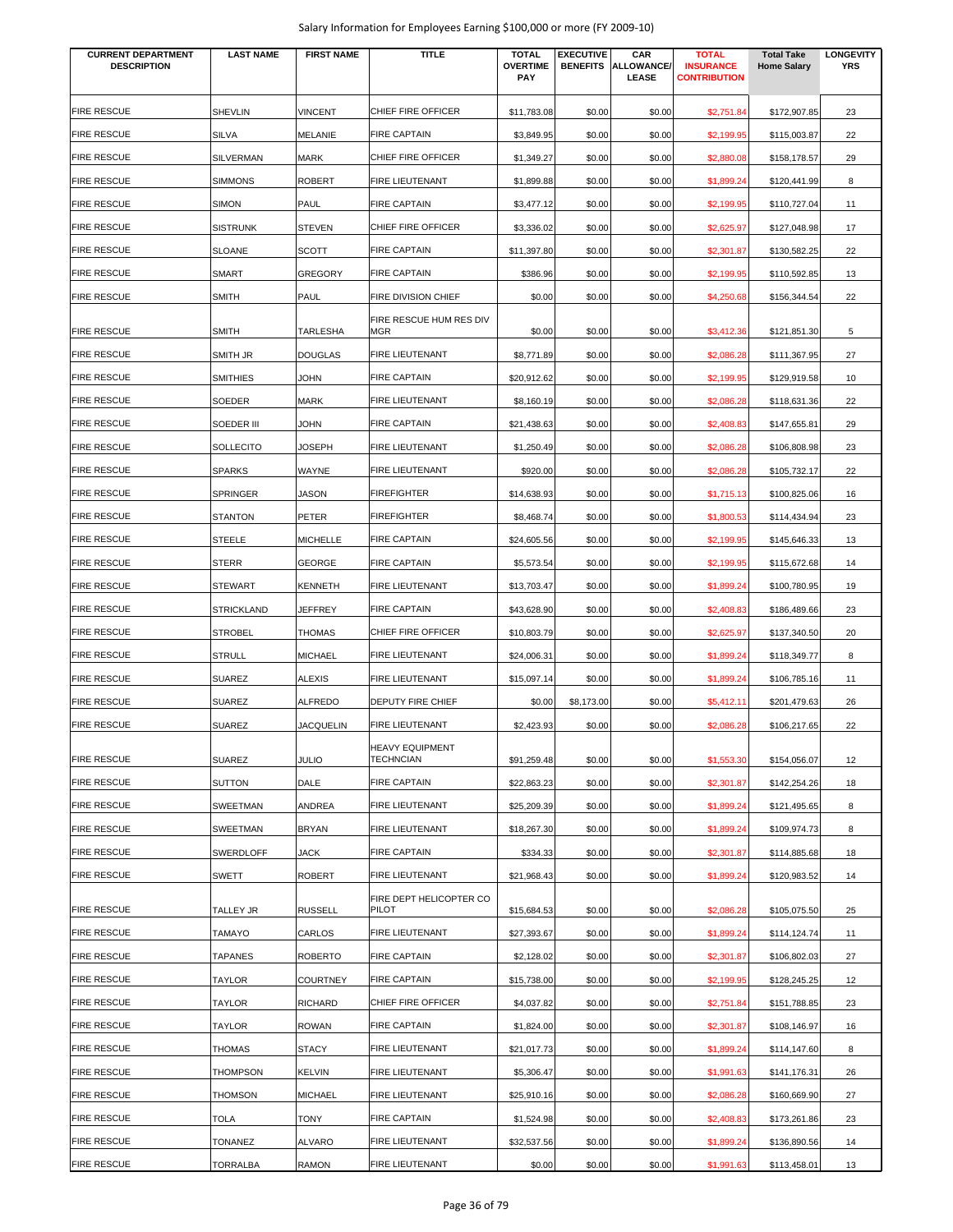| <b>FIRE RESCUE</b><br>CHIEF FIRE OFFICER<br><b>SHEVLIN</b><br><b>VINCENT</b><br>\$0.00<br>\$0.00<br>23<br>\$11,783.08<br>\$2,751.84<br>\$172,907.85<br>FIRE RESCUE<br><b>SILVA</b><br>MELANIE<br><b>FIRE CAPTAIN</b><br>\$0.00<br>\$0.00<br>22<br>\$3,849.95<br>\$2,199.95<br>\$115,003.87<br>CHIEF FIRE OFFICER<br>FIRE RESCUE<br><b>SILVERMAN</b><br>MARK<br>\$1,349.27<br>\$0.00<br>\$0.00<br>29<br>\$2,880.08<br>\$158,178.57<br><b>SIMMONS</b><br><b>ROBERT</b><br>\$0.00<br>\$0.00<br>FIRE RESCUE<br><b>FIRE LIEUTENANT</b><br>\$1,899.88<br>\$1,899.24<br>\$120,441.99<br>8<br>FIRE RESCUE<br><b>SIMON</b><br>PAUL<br><b>FIRE CAPTAIN</b><br>\$0.00<br>\$0.00<br>\$3,477.12<br>\$2,199.95<br>\$110,727.04<br>11<br>FIRE RESCUE<br><b>SISTRUNK</b><br><b>STEVEN</b><br>CHIEF FIRE OFFICER<br>\$3,336.02<br>\$0.00<br>\$0.00<br>\$2,625.97<br>\$127,048.98<br>17<br>FIRE RESCUE<br><b>SLOANE</b><br>SCOTT<br><b>FIRE CAPTAIN</b><br>\$0.00<br>\$0.00<br>22<br>\$11,397.80<br>\$2,301.87<br>\$130,582.25<br><b>FIRE RESCUE</b><br><b>GREGORY</b><br><b>FIRE CAPTAIN</b><br><b>SMART</b><br>\$386.96<br>\$0.00<br>\$0.00<br>\$2,199.95<br>\$110,592.85<br>13<br><b>FIRE RESCUE</b><br><b>SMITH</b><br>PAUL<br>FIRE DIVISION CHIEF<br>22<br>\$0.00<br>\$0.00<br>\$0.00<br>\$4,250.68<br>\$156,344.54<br>FIRE RESCUE HUM RES DIV<br><b>FIRE RESCUE</b><br><b>SMITH</b><br>TARLESHA<br>MGR<br>\$0.00<br>5<br>\$0.00<br>\$0.00<br>\$3,412.36<br>\$121,851.30<br><b>FIRE RESCUE</b><br>FIRE LIEUTENANT<br>SMITH JR<br><b>DOUGLAS</b><br>\$0.00<br>\$0.00<br>27<br>\$8,771.89<br>\$2,086.28<br>\$111,367.95<br><b>FIRE RESCUE</b><br><b>JOHN</b><br><b>FIRE CAPTAIN</b><br><b>SMITHIES</b><br>\$20,912.62<br>\$0.00<br>\$0.00<br>\$2,199.95<br>\$129,919.58<br>10<br><b>FIRE RESCUE</b><br>SOEDER<br>MARK<br><b>FIRE LIEUTENANT</b><br>\$0.00<br>\$0.00<br>22<br>\$8,160.19<br>\$2,086.28<br>\$118,631.36<br><b>FIRE CAPTAIN</b><br><b>FIRE RESCUE</b><br>SOEDER III<br><b>JOHN</b><br>\$0.00<br>\$0.00<br>29<br>\$21,438.63<br>\$2,408.83<br>\$147,655.81<br>FIRE RESCUE<br><b>SOLLECITO</b><br><b>JOSEPH</b><br><b>FIRE LIEUTENANT</b><br>\$1,250.49<br>\$0.00<br>\$0.00<br>23<br>\$2,086.28<br>\$106,808.98<br><b>SPARKS</b><br>WAYNE<br>\$920.00<br>\$0.00<br>\$0.00<br>22<br>FIRE RESCUE<br><b>FIRE LIEUTENANT</b><br>\$2,086.28<br>\$105,732.17<br>FIRE RESCUE<br><b>SPRINGER</b><br><b>JASON</b><br><b>FIREFIGHTER</b><br>\$0.00<br>\$0.00<br>\$14,638.93<br>\$1,715.13<br>\$100,825.06<br>16<br>FIRE RESCUE<br><b>STANTON</b><br>PETER<br><b>FIREFIGHTER</b><br>\$0.00<br>\$0.00<br>23<br>\$8,468.74<br>\$1,800.53<br>\$114,434.94<br>FIRE RESCUE<br><b>STEELE</b><br><b>MICHELLE</b><br><b>FIRE CAPTAIN</b><br>\$0.00<br>\$0.00<br>13<br>\$24,605.56<br>\$2,199.95<br>\$145,646.33<br><b>FIRE RESCUE</b><br><b>STERR</b><br><b>GEORGE</b><br><b>FIRE CAPTAIN</b><br>\$5,573.54<br>\$0.00<br>\$0.00<br>\$2,199.95<br>\$115,672.68<br>14<br><b>FIRE RESCUE</b><br>FIRE LIEUTENANT<br><b>STEWART</b><br><b>KENNETH</b><br>\$13,703.47<br>\$0.00<br>\$0.00<br>\$1,899.24<br>\$100,780.95<br>19<br><b>FIRE RESCUE</b><br><b>FIRE CAPTAIN</b><br><b>STRICKLAND</b><br><b>JEFFREY</b><br>\$43,628.90<br>\$0.00<br>\$0.00<br>\$2,408.83<br>\$186,489.66<br>23<br><b>FIRE RESCUE</b><br>CHIEF FIRE OFFICER<br><b>STROBEL</b><br><b>THOMAS</b><br>\$0.00<br>\$0.00<br>20<br>\$10,803.79<br>\$2,625.97<br>\$137,340.50<br><b>FIRE RESCUE</b><br><b>STRULL</b><br><b>MICHAEL</b><br>FIRE LIEUTENANT<br>\$0.00<br>\$0.00<br>8<br>\$24,006.31<br>\$1,899.24<br>\$118,349.77<br>FIRE RESCUE<br><b>SUAREZ</b><br><b>ALEXIS</b><br>FIRE LIEUTENANT<br>\$0.00<br>\$15,097.14<br>\$0.00<br>\$1,899.24<br>\$106,785.16<br>11<br><b>FIRE RESCUE</b><br><b>DEPUTY FIRE CHIEF</b><br><b>SUAREZ</b><br><b>ALFREDO</b><br>\$0.00<br>\$8,173.00<br>\$0.00<br>26<br>\$5,412.11<br>\$201,479.63<br><b>FIRE RESCUE</b><br>FIRE LIEUTENANT<br><b>SUAREZ</b><br><b>JACQUELIN</b><br>\$2,423.93<br>\$0.00<br>\$0.00<br>22<br>\$2,086.28<br>\$106,217.65<br><b>HEAVY EQUIPMENT</b><br><b>FIRE RESCUE</b><br><b>SUAREZ</b><br><b>JULIO</b><br><b>TECHNCIAN</b><br>\$91,259.48<br>\$0.00<br>\$0.00<br>\$1,553.30<br>\$154,056.07<br>12<br><b>FIRE RESCUE</b><br><b>SUTTON</b><br>DALE<br><b>FIRE CAPTAIN</b><br>\$22,863.23<br>\$0.00<br>\$0.00<br>\$2,301.87<br>\$142,254.26<br>18<br><b>FIRE RESCUE</b><br>FIRE LIEUTENANT<br><b>SWEETMAN</b><br>ANDREA<br>\$25,209.39<br>\$0.00<br>\$0.00<br>\$1,899.24<br>\$121,495.65<br>8<br><b>FIRE RESCUE</b><br>FIRE LIEUTENANT<br><b>SWEETMAN</b><br><b>BRYAN</b><br>\$18,267.30<br>\$0.00<br>\$0.00<br>\$1,899.24<br>\$109,974.73<br>8<br><b>FIRE RESCUE</b><br><b>FIRE CAPTAIN</b><br><b>SWERDLOFF</b><br><b>JACK</b><br>\$334.33<br>\$0.00<br>\$0.00<br>\$2,301.87<br>\$114,885.68<br>18<br><b>FIRE RESCUE</b><br><b>ROBERT</b><br>FIRE LIEUTENANT<br><b>SWETT</b><br>\$21,968.43<br>\$0.00<br>\$0.00<br>\$120,983.52<br>\$1,899.24<br>14<br>FIRE DEPT HELICOPTER CO<br><b>FIRE RESCUE</b><br>TALLEY JR<br>RUSSELL<br>PILOT<br>\$15,684.53<br>\$0.00<br>\$0.00<br>\$2,086.28<br>25<br>\$105,075.50<br>FIRE RESCUE<br>CARLOS<br>FIRE LIEUTENANT<br>\$0.00<br>\$0.00<br><b>TAMAYO</b><br>\$27,393.67<br>\$1,899.24<br>\$114,124.74<br>11<br>FIRE RESCUE<br><b>TAPANES</b><br><b>ROBERTO</b><br><b>FIRE CAPTAIN</b><br>\$2,128.02<br>\$0.00<br>\$0.00<br>\$2,301.87<br>\$106,802.03<br>27<br>FIRE RESCUE<br><b>FIRE CAPTAIN</b><br>\$0.00<br><b>TAYLOR</b><br><b>COURTNEY</b><br>\$15,738.00<br>\$0.00<br>\$2,199.95<br>\$128,245.25<br>12<br>FIRE RESCUE<br>RICHARD<br>CHIEF FIRE OFFICER<br><b>TAYLOR</b><br>\$4,037.82<br>\$0.00<br>\$0.00<br>23<br>\$2,751.84<br>\$151,788.85<br>FIRE RESCUE<br><b>TAYLOR</b><br><b>ROWAN</b><br><b>FIRE CAPTAIN</b><br>\$0.00<br>\$1,824.00<br>\$0.00<br>\$2,301.87<br>\$108,146.97<br>16<br><b>STACY</b><br>FIRE RESCUE<br>THOMAS<br>FIRE LIEUTENANT<br>\$21,017.73<br>\$0.00<br>\$0.00<br>\$1,899.24<br>8<br>\$114,147.60<br><b>FIRE RESCUE</b><br>FIRE LIEUTENANT<br><b>THOMPSON</b><br><b>KELVIN</b><br>\$5,306.47<br>\$0.00<br>\$0.00<br>\$1,991.63<br>\$141,176.31<br>26<br><b>FIRE RESCUE</b><br>FIRE LIEUTENANT<br><b>THOMSON</b><br><b>MICHAEL</b><br>\$25,910.16<br>\$0.00<br>\$0.00<br>\$2,086.28<br>\$160,669.90<br>27<br><b>FIRE RESCUE</b><br><b>FIRE CAPTAIN</b><br><b>TOLA</b><br>TONY<br>\$1,524.98<br>\$0.00<br>\$0.00<br>\$2,408.83<br>\$173,261.86<br>23<br><b>FIRE RESCUE</b><br>FIRE LIEUTENANT<br><b>TONANEZ</b><br><b>ALVARO</b><br>\$32,537.56<br>\$0.00<br>\$0.00<br>\$136,890.56<br>\$1,899.24<br>14<br><b>TORRALBA</b><br>FIRE LIEUTENANT<br>RAMON<br>\$0.00<br>\$0.00<br>\$0.00<br>\$1,991.63<br>\$113,458.01<br>13 | <b>CURRENT DEPARTMENT</b><br><b>DESCRIPTION</b> | <b>LAST NAME</b> | <b>FIRST NAME</b> | <b>TITLE</b> | <b>TOTAL</b><br><b>OVERTIME</b><br><b>PAY</b> | <b>EXECUTIVE</b> | CAR<br><b>BENEFITS ALLOWANCE/</b><br>LEASE | <b>TOTAL</b><br><b>INSURANCE</b><br><b>CONTRIBUTION</b> | <b>Total Take</b><br><b>Home Salary</b> | <b>LONGEVITY</b><br><b>YRS</b> |
|----------------------------------------------------------------------------------------------------------------------------------------------------------------------------------------------------------------------------------------------------------------------------------------------------------------------------------------------------------------------------------------------------------------------------------------------------------------------------------------------------------------------------------------------------------------------------------------------------------------------------------------------------------------------------------------------------------------------------------------------------------------------------------------------------------------------------------------------------------------------------------------------------------------------------------------------------------------------------------------------------------------------------------------------------------------------------------------------------------------------------------------------------------------------------------------------------------------------------------------------------------------------------------------------------------------------------------------------------------------------------------------------------------------------------------------------------------------------------------------------------------------------------------------------------------------------------------------------------------------------------------------------------------------------------------------------------------------------------------------------------------------------------------------------------------------------------------------------------------------------------------------------------------------------------------------------------------------------------------------------------------------------------------------------------------------------------------------------------------------------------------------------------------------------------------------------------------------------------------------------------------------------------------------------------------------------------------------------------------------------------------------------------------------------------------------------------------------------------------------------------------------------------------------------------------------------------------------------------------------------------------------------------------------------------------------------------------------------------------------------------------------------------------------------------------------------------------------------------------------------------------------------------------------------------------------------------------------------------------------------------------------------------------------------------------------------------------------------------------------------------------------------------------------------------------------------------------------------------------------------------------------------------------------------------------------------------------------------------------------------------------------------------------------------------------------------------------------------------------------------------------------------------------------------------------------------------------------------------------------------------------------------------------------------------------------------------------------------------------------------------------------------------------------------------------------------------------------------------------------------------------------------------------------------------------------------------------------------------------------------------------------------------------------------------------------------------------------------------------------------------------------------------------------------------------------------------------------------------------------------------------------------------------------------------------------------------------------------------------------------------------------------------------------------------------------------------------------------------------------------------------------------------------------------------------------------------------------------------------------------------------------------------------------------------------------------------------------------------------------------------------------------------------------------------------------------------------------------------------------------------------------------------------------------------------------------------------------------------------------------------------------------------------------------------------------------------------------------------------------------------------------------------------------------------------------------------------------------------------------------------------------------------------------------------------------------------------------------------------------------------------------------------------------------------------------------------------------------------------------------------------------------------------------------------------------------------------------------------------------------------------------------------------------------------------------------------------------------------------------------------------------------------------------------------------------------------------------------------------------------------------------------------------------------------------------------------------------------------------------------------------------------------------------------------------------------------------------------------------------------------------------------------------------------------------------------------------------------------------------------------------------------------------------------------------------------------------------------------------------------------------------------------------------------------------------------------------------------------------------------------------------------------------------------------------------------------------------------------------------------------------------------------------------------------------------------------|-------------------------------------------------|------------------|-------------------|--------------|-----------------------------------------------|------------------|--------------------------------------------|---------------------------------------------------------|-----------------------------------------|--------------------------------|
|                                                                                                                                                                                                                                                                                                                                                                                                                                                                                                                                                                                                                                                                                                                                                                                                                                                                                                                                                                                                                                                                                                                                                                                                                                                                                                                                                                                                                                                                                                                                                                                                                                                                                                                                                                                                                                                                                                                                                                                                                                                                                                                                                                                                                                                                                                                                                                                                                                                                                                                                                                                                                                                                                                                                                                                                                                                                                                                                                                                                                                                                                                                                                                                                                                                                                                                                                                                                                                                                                                                                                                                                                                                                                                                                                                                                                                                                                                                                                                                                                                                                                                                                                                                                                                                                                                                                                                                                                                                                                                                                                                                                                                                                                                                                                                                                                                                                                                                                                                                                                                                                                                                                                                                                                                                                                                                                                                                                                                                                                                                                                                                                                                                                                                                                                                                                                                                                                                                                                                                                                                                                                                                                                                                                                                                                                                                                                                                                                                                                                                                                                                                                                                                                                                    |                                                 |                  |                   |              |                                               |                  |                                            |                                                         |                                         |                                |
|                                                                                                                                                                                                                                                                                                                                                                                                                                                                                                                                                                                                                                                                                                                                                                                                                                                                                                                                                                                                                                                                                                                                                                                                                                                                                                                                                                                                                                                                                                                                                                                                                                                                                                                                                                                                                                                                                                                                                                                                                                                                                                                                                                                                                                                                                                                                                                                                                                                                                                                                                                                                                                                                                                                                                                                                                                                                                                                                                                                                                                                                                                                                                                                                                                                                                                                                                                                                                                                                                                                                                                                                                                                                                                                                                                                                                                                                                                                                                                                                                                                                                                                                                                                                                                                                                                                                                                                                                                                                                                                                                                                                                                                                                                                                                                                                                                                                                                                                                                                                                                                                                                                                                                                                                                                                                                                                                                                                                                                                                                                                                                                                                                                                                                                                                                                                                                                                                                                                                                                                                                                                                                                                                                                                                                                                                                                                                                                                                                                                                                                                                                                                                                                                                                    |                                                 |                  |                   |              |                                               |                  |                                            |                                                         |                                         |                                |
|                                                                                                                                                                                                                                                                                                                                                                                                                                                                                                                                                                                                                                                                                                                                                                                                                                                                                                                                                                                                                                                                                                                                                                                                                                                                                                                                                                                                                                                                                                                                                                                                                                                                                                                                                                                                                                                                                                                                                                                                                                                                                                                                                                                                                                                                                                                                                                                                                                                                                                                                                                                                                                                                                                                                                                                                                                                                                                                                                                                                                                                                                                                                                                                                                                                                                                                                                                                                                                                                                                                                                                                                                                                                                                                                                                                                                                                                                                                                                                                                                                                                                                                                                                                                                                                                                                                                                                                                                                                                                                                                                                                                                                                                                                                                                                                                                                                                                                                                                                                                                                                                                                                                                                                                                                                                                                                                                                                                                                                                                                                                                                                                                                                                                                                                                                                                                                                                                                                                                                                                                                                                                                                                                                                                                                                                                                                                                                                                                                                                                                                                                                                                                                                                                                    |                                                 |                  |                   |              |                                               |                  |                                            |                                                         |                                         |                                |
|                                                                                                                                                                                                                                                                                                                                                                                                                                                                                                                                                                                                                                                                                                                                                                                                                                                                                                                                                                                                                                                                                                                                                                                                                                                                                                                                                                                                                                                                                                                                                                                                                                                                                                                                                                                                                                                                                                                                                                                                                                                                                                                                                                                                                                                                                                                                                                                                                                                                                                                                                                                                                                                                                                                                                                                                                                                                                                                                                                                                                                                                                                                                                                                                                                                                                                                                                                                                                                                                                                                                                                                                                                                                                                                                                                                                                                                                                                                                                                                                                                                                                                                                                                                                                                                                                                                                                                                                                                                                                                                                                                                                                                                                                                                                                                                                                                                                                                                                                                                                                                                                                                                                                                                                                                                                                                                                                                                                                                                                                                                                                                                                                                                                                                                                                                                                                                                                                                                                                                                                                                                                                                                                                                                                                                                                                                                                                                                                                                                                                                                                                                                                                                                                                                    |                                                 |                  |                   |              |                                               |                  |                                            |                                                         |                                         |                                |
|                                                                                                                                                                                                                                                                                                                                                                                                                                                                                                                                                                                                                                                                                                                                                                                                                                                                                                                                                                                                                                                                                                                                                                                                                                                                                                                                                                                                                                                                                                                                                                                                                                                                                                                                                                                                                                                                                                                                                                                                                                                                                                                                                                                                                                                                                                                                                                                                                                                                                                                                                                                                                                                                                                                                                                                                                                                                                                                                                                                                                                                                                                                                                                                                                                                                                                                                                                                                                                                                                                                                                                                                                                                                                                                                                                                                                                                                                                                                                                                                                                                                                                                                                                                                                                                                                                                                                                                                                                                                                                                                                                                                                                                                                                                                                                                                                                                                                                                                                                                                                                                                                                                                                                                                                                                                                                                                                                                                                                                                                                                                                                                                                                                                                                                                                                                                                                                                                                                                                                                                                                                                                                                                                                                                                                                                                                                                                                                                                                                                                                                                                                                                                                                                                                    |                                                 |                  |                   |              |                                               |                  |                                            |                                                         |                                         |                                |
|                                                                                                                                                                                                                                                                                                                                                                                                                                                                                                                                                                                                                                                                                                                                                                                                                                                                                                                                                                                                                                                                                                                                                                                                                                                                                                                                                                                                                                                                                                                                                                                                                                                                                                                                                                                                                                                                                                                                                                                                                                                                                                                                                                                                                                                                                                                                                                                                                                                                                                                                                                                                                                                                                                                                                                                                                                                                                                                                                                                                                                                                                                                                                                                                                                                                                                                                                                                                                                                                                                                                                                                                                                                                                                                                                                                                                                                                                                                                                                                                                                                                                                                                                                                                                                                                                                                                                                                                                                                                                                                                                                                                                                                                                                                                                                                                                                                                                                                                                                                                                                                                                                                                                                                                                                                                                                                                                                                                                                                                                                                                                                                                                                                                                                                                                                                                                                                                                                                                                                                                                                                                                                                                                                                                                                                                                                                                                                                                                                                                                                                                                                                                                                                                                                    |                                                 |                  |                   |              |                                               |                  |                                            |                                                         |                                         |                                |
|                                                                                                                                                                                                                                                                                                                                                                                                                                                                                                                                                                                                                                                                                                                                                                                                                                                                                                                                                                                                                                                                                                                                                                                                                                                                                                                                                                                                                                                                                                                                                                                                                                                                                                                                                                                                                                                                                                                                                                                                                                                                                                                                                                                                                                                                                                                                                                                                                                                                                                                                                                                                                                                                                                                                                                                                                                                                                                                                                                                                                                                                                                                                                                                                                                                                                                                                                                                                                                                                                                                                                                                                                                                                                                                                                                                                                                                                                                                                                                                                                                                                                                                                                                                                                                                                                                                                                                                                                                                                                                                                                                                                                                                                                                                                                                                                                                                                                                                                                                                                                                                                                                                                                                                                                                                                                                                                                                                                                                                                                                                                                                                                                                                                                                                                                                                                                                                                                                                                                                                                                                                                                                                                                                                                                                                                                                                                                                                                                                                                                                                                                                                                                                                                                                    |                                                 |                  |                   |              |                                               |                  |                                            |                                                         |                                         |                                |
|                                                                                                                                                                                                                                                                                                                                                                                                                                                                                                                                                                                                                                                                                                                                                                                                                                                                                                                                                                                                                                                                                                                                                                                                                                                                                                                                                                                                                                                                                                                                                                                                                                                                                                                                                                                                                                                                                                                                                                                                                                                                                                                                                                                                                                                                                                                                                                                                                                                                                                                                                                                                                                                                                                                                                                                                                                                                                                                                                                                                                                                                                                                                                                                                                                                                                                                                                                                                                                                                                                                                                                                                                                                                                                                                                                                                                                                                                                                                                                                                                                                                                                                                                                                                                                                                                                                                                                                                                                                                                                                                                                                                                                                                                                                                                                                                                                                                                                                                                                                                                                                                                                                                                                                                                                                                                                                                                                                                                                                                                                                                                                                                                                                                                                                                                                                                                                                                                                                                                                                                                                                                                                                                                                                                                                                                                                                                                                                                                                                                                                                                                                                                                                                                                                    |                                                 |                  |                   |              |                                               |                  |                                            |                                                         |                                         |                                |
|                                                                                                                                                                                                                                                                                                                                                                                                                                                                                                                                                                                                                                                                                                                                                                                                                                                                                                                                                                                                                                                                                                                                                                                                                                                                                                                                                                                                                                                                                                                                                                                                                                                                                                                                                                                                                                                                                                                                                                                                                                                                                                                                                                                                                                                                                                                                                                                                                                                                                                                                                                                                                                                                                                                                                                                                                                                                                                                                                                                                                                                                                                                                                                                                                                                                                                                                                                                                                                                                                                                                                                                                                                                                                                                                                                                                                                                                                                                                                                                                                                                                                                                                                                                                                                                                                                                                                                                                                                                                                                                                                                                                                                                                                                                                                                                                                                                                                                                                                                                                                                                                                                                                                                                                                                                                                                                                                                                                                                                                                                                                                                                                                                                                                                                                                                                                                                                                                                                                                                                                                                                                                                                                                                                                                                                                                                                                                                                                                                                                                                                                                                                                                                                                                                    |                                                 |                  |                   |              |                                               |                  |                                            |                                                         |                                         |                                |
|                                                                                                                                                                                                                                                                                                                                                                                                                                                                                                                                                                                                                                                                                                                                                                                                                                                                                                                                                                                                                                                                                                                                                                                                                                                                                                                                                                                                                                                                                                                                                                                                                                                                                                                                                                                                                                                                                                                                                                                                                                                                                                                                                                                                                                                                                                                                                                                                                                                                                                                                                                                                                                                                                                                                                                                                                                                                                                                                                                                                                                                                                                                                                                                                                                                                                                                                                                                                                                                                                                                                                                                                                                                                                                                                                                                                                                                                                                                                                                                                                                                                                                                                                                                                                                                                                                                                                                                                                                                                                                                                                                                                                                                                                                                                                                                                                                                                                                                                                                                                                                                                                                                                                                                                                                                                                                                                                                                                                                                                                                                                                                                                                                                                                                                                                                                                                                                                                                                                                                                                                                                                                                                                                                                                                                                                                                                                                                                                                                                                                                                                                                                                                                                                                                    |                                                 |                  |                   |              |                                               |                  |                                            |                                                         |                                         |                                |
|                                                                                                                                                                                                                                                                                                                                                                                                                                                                                                                                                                                                                                                                                                                                                                                                                                                                                                                                                                                                                                                                                                                                                                                                                                                                                                                                                                                                                                                                                                                                                                                                                                                                                                                                                                                                                                                                                                                                                                                                                                                                                                                                                                                                                                                                                                                                                                                                                                                                                                                                                                                                                                                                                                                                                                                                                                                                                                                                                                                                                                                                                                                                                                                                                                                                                                                                                                                                                                                                                                                                                                                                                                                                                                                                                                                                                                                                                                                                                                                                                                                                                                                                                                                                                                                                                                                                                                                                                                                                                                                                                                                                                                                                                                                                                                                                                                                                                                                                                                                                                                                                                                                                                                                                                                                                                                                                                                                                                                                                                                                                                                                                                                                                                                                                                                                                                                                                                                                                                                                                                                                                                                                                                                                                                                                                                                                                                                                                                                                                                                                                                                                                                                                                                                    |                                                 |                  |                   |              |                                               |                  |                                            |                                                         |                                         |                                |
|                                                                                                                                                                                                                                                                                                                                                                                                                                                                                                                                                                                                                                                                                                                                                                                                                                                                                                                                                                                                                                                                                                                                                                                                                                                                                                                                                                                                                                                                                                                                                                                                                                                                                                                                                                                                                                                                                                                                                                                                                                                                                                                                                                                                                                                                                                                                                                                                                                                                                                                                                                                                                                                                                                                                                                                                                                                                                                                                                                                                                                                                                                                                                                                                                                                                                                                                                                                                                                                                                                                                                                                                                                                                                                                                                                                                                                                                                                                                                                                                                                                                                                                                                                                                                                                                                                                                                                                                                                                                                                                                                                                                                                                                                                                                                                                                                                                                                                                                                                                                                                                                                                                                                                                                                                                                                                                                                                                                                                                                                                                                                                                                                                                                                                                                                                                                                                                                                                                                                                                                                                                                                                                                                                                                                                                                                                                                                                                                                                                                                                                                                                                                                                                                                                    |                                                 |                  |                   |              |                                               |                  |                                            |                                                         |                                         |                                |
|                                                                                                                                                                                                                                                                                                                                                                                                                                                                                                                                                                                                                                                                                                                                                                                                                                                                                                                                                                                                                                                                                                                                                                                                                                                                                                                                                                                                                                                                                                                                                                                                                                                                                                                                                                                                                                                                                                                                                                                                                                                                                                                                                                                                                                                                                                                                                                                                                                                                                                                                                                                                                                                                                                                                                                                                                                                                                                                                                                                                                                                                                                                                                                                                                                                                                                                                                                                                                                                                                                                                                                                                                                                                                                                                                                                                                                                                                                                                                                                                                                                                                                                                                                                                                                                                                                                                                                                                                                                                                                                                                                                                                                                                                                                                                                                                                                                                                                                                                                                                                                                                                                                                                                                                                                                                                                                                                                                                                                                                                                                                                                                                                                                                                                                                                                                                                                                                                                                                                                                                                                                                                                                                                                                                                                                                                                                                                                                                                                                                                                                                                                                                                                                                                                    |                                                 |                  |                   |              |                                               |                  |                                            |                                                         |                                         |                                |
|                                                                                                                                                                                                                                                                                                                                                                                                                                                                                                                                                                                                                                                                                                                                                                                                                                                                                                                                                                                                                                                                                                                                                                                                                                                                                                                                                                                                                                                                                                                                                                                                                                                                                                                                                                                                                                                                                                                                                                                                                                                                                                                                                                                                                                                                                                                                                                                                                                                                                                                                                                                                                                                                                                                                                                                                                                                                                                                                                                                                                                                                                                                                                                                                                                                                                                                                                                                                                                                                                                                                                                                                                                                                                                                                                                                                                                                                                                                                                                                                                                                                                                                                                                                                                                                                                                                                                                                                                                                                                                                                                                                                                                                                                                                                                                                                                                                                                                                                                                                                                                                                                                                                                                                                                                                                                                                                                                                                                                                                                                                                                                                                                                                                                                                                                                                                                                                                                                                                                                                                                                                                                                                                                                                                                                                                                                                                                                                                                                                                                                                                                                                                                                                                                                    |                                                 |                  |                   |              |                                               |                  |                                            |                                                         |                                         |                                |
|                                                                                                                                                                                                                                                                                                                                                                                                                                                                                                                                                                                                                                                                                                                                                                                                                                                                                                                                                                                                                                                                                                                                                                                                                                                                                                                                                                                                                                                                                                                                                                                                                                                                                                                                                                                                                                                                                                                                                                                                                                                                                                                                                                                                                                                                                                                                                                                                                                                                                                                                                                                                                                                                                                                                                                                                                                                                                                                                                                                                                                                                                                                                                                                                                                                                                                                                                                                                                                                                                                                                                                                                                                                                                                                                                                                                                                                                                                                                                                                                                                                                                                                                                                                                                                                                                                                                                                                                                                                                                                                                                                                                                                                                                                                                                                                                                                                                                                                                                                                                                                                                                                                                                                                                                                                                                                                                                                                                                                                                                                                                                                                                                                                                                                                                                                                                                                                                                                                                                                                                                                                                                                                                                                                                                                                                                                                                                                                                                                                                                                                                                                                                                                                                                                    |                                                 |                  |                   |              |                                               |                  |                                            |                                                         |                                         |                                |
|                                                                                                                                                                                                                                                                                                                                                                                                                                                                                                                                                                                                                                                                                                                                                                                                                                                                                                                                                                                                                                                                                                                                                                                                                                                                                                                                                                                                                                                                                                                                                                                                                                                                                                                                                                                                                                                                                                                                                                                                                                                                                                                                                                                                                                                                                                                                                                                                                                                                                                                                                                                                                                                                                                                                                                                                                                                                                                                                                                                                                                                                                                                                                                                                                                                                                                                                                                                                                                                                                                                                                                                                                                                                                                                                                                                                                                                                                                                                                                                                                                                                                                                                                                                                                                                                                                                                                                                                                                                                                                                                                                                                                                                                                                                                                                                                                                                                                                                                                                                                                                                                                                                                                                                                                                                                                                                                                                                                                                                                                                                                                                                                                                                                                                                                                                                                                                                                                                                                                                                                                                                                                                                                                                                                                                                                                                                                                                                                                                                                                                                                                                                                                                                                                                    |                                                 |                  |                   |              |                                               |                  |                                            |                                                         |                                         |                                |
|                                                                                                                                                                                                                                                                                                                                                                                                                                                                                                                                                                                                                                                                                                                                                                                                                                                                                                                                                                                                                                                                                                                                                                                                                                                                                                                                                                                                                                                                                                                                                                                                                                                                                                                                                                                                                                                                                                                                                                                                                                                                                                                                                                                                                                                                                                                                                                                                                                                                                                                                                                                                                                                                                                                                                                                                                                                                                                                                                                                                                                                                                                                                                                                                                                                                                                                                                                                                                                                                                                                                                                                                                                                                                                                                                                                                                                                                                                                                                                                                                                                                                                                                                                                                                                                                                                                                                                                                                                                                                                                                                                                                                                                                                                                                                                                                                                                                                                                                                                                                                                                                                                                                                                                                                                                                                                                                                                                                                                                                                                                                                                                                                                                                                                                                                                                                                                                                                                                                                                                                                                                                                                                                                                                                                                                                                                                                                                                                                                                                                                                                                                                                                                                                                                    |                                                 |                  |                   |              |                                               |                  |                                            |                                                         |                                         |                                |
|                                                                                                                                                                                                                                                                                                                                                                                                                                                                                                                                                                                                                                                                                                                                                                                                                                                                                                                                                                                                                                                                                                                                                                                                                                                                                                                                                                                                                                                                                                                                                                                                                                                                                                                                                                                                                                                                                                                                                                                                                                                                                                                                                                                                                                                                                                                                                                                                                                                                                                                                                                                                                                                                                                                                                                                                                                                                                                                                                                                                                                                                                                                                                                                                                                                                                                                                                                                                                                                                                                                                                                                                                                                                                                                                                                                                                                                                                                                                                                                                                                                                                                                                                                                                                                                                                                                                                                                                                                                                                                                                                                                                                                                                                                                                                                                                                                                                                                                                                                                                                                                                                                                                                                                                                                                                                                                                                                                                                                                                                                                                                                                                                                                                                                                                                                                                                                                                                                                                                                                                                                                                                                                                                                                                                                                                                                                                                                                                                                                                                                                                                                                                                                                                                                    |                                                 |                  |                   |              |                                               |                  |                                            |                                                         |                                         |                                |
|                                                                                                                                                                                                                                                                                                                                                                                                                                                                                                                                                                                                                                                                                                                                                                                                                                                                                                                                                                                                                                                                                                                                                                                                                                                                                                                                                                                                                                                                                                                                                                                                                                                                                                                                                                                                                                                                                                                                                                                                                                                                                                                                                                                                                                                                                                                                                                                                                                                                                                                                                                                                                                                                                                                                                                                                                                                                                                                                                                                                                                                                                                                                                                                                                                                                                                                                                                                                                                                                                                                                                                                                                                                                                                                                                                                                                                                                                                                                                                                                                                                                                                                                                                                                                                                                                                                                                                                                                                                                                                                                                                                                                                                                                                                                                                                                                                                                                                                                                                                                                                                                                                                                                                                                                                                                                                                                                                                                                                                                                                                                                                                                                                                                                                                                                                                                                                                                                                                                                                                                                                                                                                                                                                                                                                                                                                                                                                                                                                                                                                                                                                                                                                                                                                    |                                                 |                  |                   |              |                                               |                  |                                            |                                                         |                                         |                                |
|                                                                                                                                                                                                                                                                                                                                                                                                                                                                                                                                                                                                                                                                                                                                                                                                                                                                                                                                                                                                                                                                                                                                                                                                                                                                                                                                                                                                                                                                                                                                                                                                                                                                                                                                                                                                                                                                                                                                                                                                                                                                                                                                                                                                                                                                                                                                                                                                                                                                                                                                                                                                                                                                                                                                                                                                                                                                                                                                                                                                                                                                                                                                                                                                                                                                                                                                                                                                                                                                                                                                                                                                                                                                                                                                                                                                                                                                                                                                                                                                                                                                                                                                                                                                                                                                                                                                                                                                                                                                                                                                                                                                                                                                                                                                                                                                                                                                                                                                                                                                                                                                                                                                                                                                                                                                                                                                                                                                                                                                                                                                                                                                                                                                                                                                                                                                                                                                                                                                                                                                                                                                                                                                                                                                                                                                                                                                                                                                                                                                                                                                                                                                                                                                                                    |                                                 |                  |                   |              |                                               |                  |                                            |                                                         |                                         |                                |
|                                                                                                                                                                                                                                                                                                                                                                                                                                                                                                                                                                                                                                                                                                                                                                                                                                                                                                                                                                                                                                                                                                                                                                                                                                                                                                                                                                                                                                                                                                                                                                                                                                                                                                                                                                                                                                                                                                                                                                                                                                                                                                                                                                                                                                                                                                                                                                                                                                                                                                                                                                                                                                                                                                                                                                                                                                                                                                                                                                                                                                                                                                                                                                                                                                                                                                                                                                                                                                                                                                                                                                                                                                                                                                                                                                                                                                                                                                                                                                                                                                                                                                                                                                                                                                                                                                                                                                                                                                                                                                                                                                                                                                                                                                                                                                                                                                                                                                                                                                                                                                                                                                                                                                                                                                                                                                                                                                                                                                                                                                                                                                                                                                                                                                                                                                                                                                                                                                                                                                                                                                                                                                                                                                                                                                                                                                                                                                                                                                                                                                                                                                                                                                                                                                    |                                                 |                  |                   |              |                                               |                  |                                            |                                                         |                                         |                                |
|                                                                                                                                                                                                                                                                                                                                                                                                                                                                                                                                                                                                                                                                                                                                                                                                                                                                                                                                                                                                                                                                                                                                                                                                                                                                                                                                                                                                                                                                                                                                                                                                                                                                                                                                                                                                                                                                                                                                                                                                                                                                                                                                                                                                                                                                                                                                                                                                                                                                                                                                                                                                                                                                                                                                                                                                                                                                                                                                                                                                                                                                                                                                                                                                                                                                                                                                                                                                                                                                                                                                                                                                                                                                                                                                                                                                                                                                                                                                                                                                                                                                                                                                                                                                                                                                                                                                                                                                                                                                                                                                                                                                                                                                                                                                                                                                                                                                                                                                                                                                                                                                                                                                                                                                                                                                                                                                                                                                                                                                                                                                                                                                                                                                                                                                                                                                                                                                                                                                                                                                                                                                                                                                                                                                                                                                                                                                                                                                                                                                                                                                                                                                                                                                                                    |                                                 |                  |                   |              |                                               |                  |                                            |                                                         |                                         |                                |
|                                                                                                                                                                                                                                                                                                                                                                                                                                                                                                                                                                                                                                                                                                                                                                                                                                                                                                                                                                                                                                                                                                                                                                                                                                                                                                                                                                                                                                                                                                                                                                                                                                                                                                                                                                                                                                                                                                                                                                                                                                                                                                                                                                                                                                                                                                                                                                                                                                                                                                                                                                                                                                                                                                                                                                                                                                                                                                                                                                                                                                                                                                                                                                                                                                                                                                                                                                                                                                                                                                                                                                                                                                                                                                                                                                                                                                                                                                                                                                                                                                                                                                                                                                                                                                                                                                                                                                                                                                                                                                                                                                                                                                                                                                                                                                                                                                                                                                                                                                                                                                                                                                                                                                                                                                                                                                                                                                                                                                                                                                                                                                                                                                                                                                                                                                                                                                                                                                                                                                                                                                                                                                                                                                                                                                                                                                                                                                                                                                                                                                                                                                                                                                                                                                    |                                                 |                  |                   |              |                                               |                  |                                            |                                                         |                                         |                                |
|                                                                                                                                                                                                                                                                                                                                                                                                                                                                                                                                                                                                                                                                                                                                                                                                                                                                                                                                                                                                                                                                                                                                                                                                                                                                                                                                                                                                                                                                                                                                                                                                                                                                                                                                                                                                                                                                                                                                                                                                                                                                                                                                                                                                                                                                                                                                                                                                                                                                                                                                                                                                                                                                                                                                                                                                                                                                                                                                                                                                                                                                                                                                                                                                                                                                                                                                                                                                                                                                                                                                                                                                                                                                                                                                                                                                                                                                                                                                                                                                                                                                                                                                                                                                                                                                                                                                                                                                                                                                                                                                                                                                                                                                                                                                                                                                                                                                                                                                                                                                                                                                                                                                                                                                                                                                                                                                                                                                                                                                                                                                                                                                                                                                                                                                                                                                                                                                                                                                                                                                                                                                                                                                                                                                                                                                                                                                                                                                                                                                                                                                                                                                                                                                                                    |                                                 |                  |                   |              |                                               |                  |                                            |                                                         |                                         |                                |
|                                                                                                                                                                                                                                                                                                                                                                                                                                                                                                                                                                                                                                                                                                                                                                                                                                                                                                                                                                                                                                                                                                                                                                                                                                                                                                                                                                                                                                                                                                                                                                                                                                                                                                                                                                                                                                                                                                                                                                                                                                                                                                                                                                                                                                                                                                                                                                                                                                                                                                                                                                                                                                                                                                                                                                                                                                                                                                                                                                                                                                                                                                                                                                                                                                                                                                                                                                                                                                                                                                                                                                                                                                                                                                                                                                                                                                                                                                                                                                                                                                                                                                                                                                                                                                                                                                                                                                                                                                                                                                                                                                                                                                                                                                                                                                                                                                                                                                                                                                                                                                                                                                                                                                                                                                                                                                                                                                                                                                                                                                                                                                                                                                                                                                                                                                                                                                                                                                                                                                                                                                                                                                                                                                                                                                                                                                                                                                                                                                                                                                                                                                                                                                                                                                    |                                                 |                  |                   |              |                                               |                  |                                            |                                                         |                                         |                                |
|                                                                                                                                                                                                                                                                                                                                                                                                                                                                                                                                                                                                                                                                                                                                                                                                                                                                                                                                                                                                                                                                                                                                                                                                                                                                                                                                                                                                                                                                                                                                                                                                                                                                                                                                                                                                                                                                                                                                                                                                                                                                                                                                                                                                                                                                                                                                                                                                                                                                                                                                                                                                                                                                                                                                                                                                                                                                                                                                                                                                                                                                                                                                                                                                                                                                                                                                                                                                                                                                                                                                                                                                                                                                                                                                                                                                                                                                                                                                                                                                                                                                                                                                                                                                                                                                                                                                                                                                                                                                                                                                                                                                                                                                                                                                                                                                                                                                                                                                                                                                                                                                                                                                                                                                                                                                                                                                                                                                                                                                                                                                                                                                                                                                                                                                                                                                                                                                                                                                                                                                                                                                                                                                                                                                                                                                                                                                                                                                                                                                                                                                                                                                                                                                                                    |                                                 |                  |                   |              |                                               |                  |                                            |                                                         |                                         |                                |
|                                                                                                                                                                                                                                                                                                                                                                                                                                                                                                                                                                                                                                                                                                                                                                                                                                                                                                                                                                                                                                                                                                                                                                                                                                                                                                                                                                                                                                                                                                                                                                                                                                                                                                                                                                                                                                                                                                                                                                                                                                                                                                                                                                                                                                                                                                                                                                                                                                                                                                                                                                                                                                                                                                                                                                                                                                                                                                                                                                                                                                                                                                                                                                                                                                                                                                                                                                                                                                                                                                                                                                                                                                                                                                                                                                                                                                                                                                                                                                                                                                                                                                                                                                                                                                                                                                                                                                                                                                                                                                                                                                                                                                                                                                                                                                                                                                                                                                                                                                                                                                                                                                                                                                                                                                                                                                                                                                                                                                                                                                                                                                                                                                                                                                                                                                                                                                                                                                                                                                                                                                                                                                                                                                                                                                                                                                                                                                                                                                                                                                                                                                                                                                                                                                    |                                                 |                  |                   |              |                                               |                  |                                            |                                                         |                                         |                                |
|                                                                                                                                                                                                                                                                                                                                                                                                                                                                                                                                                                                                                                                                                                                                                                                                                                                                                                                                                                                                                                                                                                                                                                                                                                                                                                                                                                                                                                                                                                                                                                                                                                                                                                                                                                                                                                                                                                                                                                                                                                                                                                                                                                                                                                                                                                                                                                                                                                                                                                                                                                                                                                                                                                                                                                                                                                                                                                                                                                                                                                                                                                                                                                                                                                                                                                                                                                                                                                                                                                                                                                                                                                                                                                                                                                                                                                                                                                                                                                                                                                                                                                                                                                                                                                                                                                                                                                                                                                                                                                                                                                                                                                                                                                                                                                                                                                                                                                                                                                                                                                                                                                                                                                                                                                                                                                                                                                                                                                                                                                                                                                                                                                                                                                                                                                                                                                                                                                                                                                                                                                                                                                                                                                                                                                                                                                                                                                                                                                                                                                                                                                                                                                                                                                    |                                                 |                  |                   |              |                                               |                  |                                            |                                                         |                                         |                                |
|                                                                                                                                                                                                                                                                                                                                                                                                                                                                                                                                                                                                                                                                                                                                                                                                                                                                                                                                                                                                                                                                                                                                                                                                                                                                                                                                                                                                                                                                                                                                                                                                                                                                                                                                                                                                                                                                                                                                                                                                                                                                                                                                                                                                                                                                                                                                                                                                                                                                                                                                                                                                                                                                                                                                                                                                                                                                                                                                                                                                                                                                                                                                                                                                                                                                                                                                                                                                                                                                                                                                                                                                                                                                                                                                                                                                                                                                                                                                                                                                                                                                                                                                                                                                                                                                                                                                                                                                                                                                                                                                                                                                                                                                                                                                                                                                                                                                                                                                                                                                                                                                                                                                                                                                                                                                                                                                                                                                                                                                                                                                                                                                                                                                                                                                                                                                                                                                                                                                                                                                                                                                                                                                                                                                                                                                                                                                                                                                                                                                                                                                                                                                                                                                                                    |                                                 |                  |                   |              |                                               |                  |                                            |                                                         |                                         |                                |
|                                                                                                                                                                                                                                                                                                                                                                                                                                                                                                                                                                                                                                                                                                                                                                                                                                                                                                                                                                                                                                                                                                                                                                                                                                                                                                                                                                                                                                                                                                                                                                                                                                                                                                                                                                                                                                                                                                                                                                                                                                                                                                                                                                                                                                                                                                                                                                                                                                                                                                                                                                                                                                                                                                                                                                                                                                                                                                                                                                                                                                                                                                                                                                                                                                                                                                                                                                                                                                                                                                                                                                                                                                                                                                                                                                                                                                                                                                                                                                                                                                                                                                                                                                                                                                                                                                                                                                                                                                                                                                                                                                                                                                                                                                                                                                                                                                                                                                                                                                                                                                                                                                                                                                                                                                                                                                                                                                                                                                                                                                                                                                                                                                                                                                                                                                                                                                                                                                                                                                                                                                                                                                                                                                                                                                                                                                                                                                                                                                                                                                                                                                                                                                                                                                    |                                                 |                  |                   |              |                                               |                  |                                            |                                                         |                                         |                                |
|                                                                                                                                                                                                                                                                                                                                                                                                                                                                                                                                                                                                                                                                                                                                                                                                                                                                                                                                                                                                                                                                                                                                                                                                                                                                                                                                                                                                                                                                                                                                                                                                                                                                                                                                                                                                                                                                                                                                                                                                                                                                                                                                                                                                                                                                                                                                                                                                                                                                                                                                                                                                                                                                                                                                                                                                                                                                                                                                                                                                                                                                                                                                                                                                                                                                                                                                                                                                                                                                                                                                                                                                                                                                                                                                                                                                                                                                                                                                                                                                                                                                                                                                                                                                                                                                                                                                                                                                                                                                                                                                                                                                                                                                                                                                                                                                                                                                                                                                                                                                                                                                                                                                                                                                                                                                                                                                                                                                                                                                                                                                                                                                                                                                                                                                                                                                                                                                                                                                                                                                                                                                                                                                                                                                                                                                                                                                                                                                                                                                                                                                                                                                                                                                                                    |                                                 |                  |                   |              |                                               |                  |                                            |                                                         |                                         |                                |
|                                                                                                                                                                                                                                                                                                                                                                                                                                                                                                                                                                                                                                                                                                                                                                                                                                                                                                                                                                                                                                                                                                                                                                                                                                                                                                                                                                                                                                                                                                                                                                                                                                                                                                                                                                                                                                                                                                                                                                                                                                                                                                                                                                                                                                                                                                                                                                                                                                                                                                                                                                                                                                                                                                                                                                                                                                                                                                                                                                                                                                                                                                                                                                                                                                                                                                                                                                                                                                                                                                                                                                                                                                                                                                                                                                                                                                                                                                                                                                                                                                                                                                                                                                                                                                                                                                                                                                                                                                                                                                                                                                                                                                                                                                                                                                                                                                                                                                                                                                                                                                                                                                                                                                                                                                                                                                                                                                                                                                                                                                                                                                                                                                                                                                                                                                                                                                                                                                                                                                                                                                                                                                                                                                                                                                                                                                                                                                                                                                                                                                                                                                                                                                                                                                    |                                                 |                  |                   |              |                                               |                  |                                            |                                                         |                                         |                                |
|                                                                                                                                                                                                                                                                                                                                                                                                                                                                                                                                                                                                                                                                                                                                                                                                                                                                                                                                                                                                                                                                                                                                                                                                                                                                                                                                                                                                                                                                                                                                                                                                                                                                                                                                                                                                                                                                                                                                                                                                                                                                                                                                                                                                                                                                                                                                                                                                                                                                                                                                                                                                                                                                                                                                                                                                                                                                                                                                                                                                                                                                                                                                                                                                                                                                                                                                                                                                                                                                                                                                                                                                                                                                                                                                                                                                                                                                                                                                                                                                                                                                                                                                                                                                                                                                                                                                                                                                                                                                                                                                                                                                                                                                                                                                                                                                                                                                                                                                                                                                                                                                                                                                                                                                                                                                                                                                                                                                                                                                                                                                                                                                                                                                                                                                                                                                                                                                                                                                                                                                                                                                                                                                                                                                                                                                                                                                                                                                                                                                                                                                                                                                                                                                                                    |                                                 |                  |                   |              |                                               |                  |                                            |                                                         |                                         |                                |
|                                                                                                                                                                                                                                                                                                                                                                                                                                                                                                                                                                                                                                                                                                                                                                                                                                                                                                                                                                                                                                                                                                                                                                                                                                                                                                                                                                                                                                                                                                                                                                                                                                                                                                                                                                                                                                                                                                                                                                                                                                                                                                                                                                                                                                                                                                                                                                                                                                                                                                                                                                                                                                                                                                                                                                                                                                                                                                                                                                                                                                                                                                                                                                                                                                                                                                                                                                                                                                                                                                                                                                                                                                                                                                                                                                                                                                                                                                                                                                                                                                                                                                                                                                                                                                                                                                                                                                                                                                                                                                                                                                                                                                                                                                                                                                                                                                                                                                                                                                                                                                                                                                                                                                                                                                                                                                                                                                                                                                                                                                                                                                                                                                                                                                                                                                                                                                                                                                                                                                                                                                                                                                                                                                                                                                                                                                                                                                                                                                                                                                                                                                                                                                                                                                    |                                                 |                  |                   |              |                                               |                  |                                            |                                                         |                                         |                                |
|                                                                                                                                                                                                                                                                                                                                                                                                                                                                                                                                                                                                                                                                                                                                                                                                                                                                                                                                                                                                                                                                                                                                                                                                                                                                                                                                                                                                                                                                                                                                                                                                                                                                                                                                                                                                                                                                                                                                                                                                                                                                                                                                                                                                                                                                                                                                                                                                                                                                                                                                                                                                                                                                                                                                                                                                                                                                                                                                                                                                                                                                                                                                                                                                                                                                                                                                                                                                                                                                                                                                                                                                                                                                                                                                                                                                                                                                                                                                                                                                                                                                                                                                                                                                                                                                                                                                                                                                                                                                                                                                                                                                                                                                                                                                                                                                                                                                                                                                                                                                                                                                                                                                                                                                                                                                                                                                                                                                                                                                                                                                                                                                                                                                                                                                                                                                                                                                                                                                                                                                                                                                                                                                                                                                                                                                                                                                                                                                                                                                                                                                                                                                                                                                                                    |                                                 |                  |                   |              |                                               |                  |                                            |                                                         |                                         |                                |
|                                                                                                                                                                                                                                                                                                                                                                                                                                                                                                                                                                                                                                                                                                                                                                                                                                                                                                                                                                                                                                                                                                                                                                                                                                                                                                                                                                                                                                                                                                                                                                                                                                                                                                                                                                                                                                                                                                                                                                                                                                                                                                                                                                                                                                                                                                                                                                                                                                                                                                                                                                                                                                                                                                                                                                                                                                                                                                                                                                                                                                                                                                                                                                                                                                                                                                                                                                                                                                                                                                                                                                                                                                                                                                                                                                                                                                                                                                                                                                                                                                                                                                                                                                                                                                                                                                                                                                                                                                                                                                                                                                                                                                                                                                                                                                                                                                                                                                                                                                                                                                                                                                                                                                                                                                                                                                                                                                                                                                                                                                                                                                                                                                                                                                                                                                                                                                                                                                                                                                                                                                                                                                                                                                                                                                                                                                                                                                                                                                                                                                                                                                                                                                                                                                    |                                                 |                  |                   |              |                                               |                  |                                            |                                                         |                                         |                                |
|                                                                                                                                                                                                                                                                                                                                                                                                                                                                                                                                                                                                                                                                                                                                                                                                                                                                                                                                                                                                                                                                                                                                                                                                                                                                                                                                                                                                                                                                                                                                                                                                                                                                                                                                                                                                                                                                                                                                                                                                                                                                                                                                                                                                                                                                                                                                                                                                                                                                                                                                                                                                                                                                                                                                                                                                                                                                                                                                                                                                                                                                                                                                                                                                                                                                                                                                                                                                                                                                                                                                                                                                                                                                                                                                                                                                                                                                                                                                                                                                                                                                                                                                                                                                                                                                                                                                                                                                                                                                                                                                                                                                                                                                                                                                                                                                                                                                                                                                                                                                                                                                                                                                                                                                                                                                                                                                                                                                                                                                                                                                                                                                                                                                                                                                                                                                                                                                                                                                                                                                                                                                                                                                                                                                                                                                                                                                                                                                                                                                                                                                                                                                                                                                                                    |                                                 |                  |                   |              |                                               |                  |                                            |                                                         |                                         |                                |
|                                                                                                                                                                                                                                                                                                                                                                                                                                                                                                                                                                                                                                                                                                                                                                                                                                                                                                                                                                                                                                                                                                                                                                                                                                                                                                                                                                                                                                                                                                                                                                                                                                                                                                                                                                                                                                                                                                                                                                                                                                                                                                                                                                                                                                                                                                                                                                                                                                                                                                                                                                                                                                                                                                                                                                                                                                                                                                                                                                                                                                                                                                                                                                                                                                                                                                                                                                                                                                                                                                                                                                                                                                                                                                                                                                                                                                                                                                                                                                                                                                                                                                                                                                                                                                                                                                                                                                                                                                                                                                                                                                                                                                                                                                                                                                                                                                                                                                                                                                                                                                                                                                                                                                                                                                                                                                                                                                                                                                                                                                                                                                                                                                                                                                                                                                                                                                                                                                                                                                                                                                                                                                                                                                                                                                                                                                                                                                                                                                                                                                                                                                                                                                                                                                    |                                                 |                  |                   |              |                                               |                  |                                            |                                                         |                                         |                                |
|                                                                                                                                                                                                                                                                                                                                                                                                                                                                                                                                                                                                                                                                                                                                                                                                                                                                                                                                                                                                                                                                                                                                                                                                                                                                                                                                                                                                                                                                                                                                                                                                                                                                                                                                                                                                                                                                                                                                                                                                                                                                                                                                                                                                                                                                                                                                                                                                                                                                                                                                                                                                                                                                                                                                                                                                                                                                                                                                                                                                                                                                                                                                                                                                                                                                                                                                                                                                                                                                                                                                                                                                                                                                                                                                                                                                                                                                                                                                                                                                                                                                                                                                                                                                                                                                                                                                                                                                                                                                                                                                                                                                                                                                                                                                                                                                                                                                                                                                                                                                                                                                                                                                                                                                                                                                                                                                                                                                                                                                                                                                                                                                                                                                                                                                                                                                                                                                                                                                                                                                                                                                                                                                                                                                                                                                                                                                                                                                                                                                                                                                                                                                                                                                                                    |                                                 |                  |                   |              |                                               |                  |                                            |                                                         |                                         |                                |
|                                                                                                                                                                                                                                                                                                                                                                                                                                                                                                                                                                                                                                                                                                                                                                                                                                                                                                                                                                                                                                                                                                                                                                                                                                                                                                                                                                                                                                                                                                                                                                                                                                                                                                                                                                                                                                                                                                                                                                                                                                                                                                                                                                                                                                                                                                                                                                                                                                                                                                                                                                                                                                                                                                                                                                                                                                                                                                                                                                                                                                                                                                                                                                                                                                                                                                                                                                                                                                                                                                                                                                                                                                                                                                                                                                                                                                                                                                                                                                                                                                                                                                                                                                                                                                                                                                                                                                                                                                                                                                                                                                                                                                                                                                                                                                                                                                                                                                                                                                                                                                                                                                                                                                                                                                                                                                                                                                                                                                                                                                                                                                                                                                                                                                                                                                                                                                                                                                                                                                                                                                                                                                                                                                                                                                                                                                                                                                                                                                                                                                                                                                                                                                                                                                    |                                                 |                  |                   |              |                                               |                  |                                            |                                                         |                                         |                                |
|                                                                                                                                                                                                                                                                                                                                                                                                                                                                                                                                                                                                                                                                                                                                                                                                                                                                                                                                                                                                                                                                                                                                                                                                                                                                                                                                                                                                                                                                                                                                                                                                                                                                                                                                                                                                                                                                                                                                                                                                                                                                                                                                                                                                                                                                                                                                                                                                                                                                                                                                                                                                                                                                                                                                                                                                                                                                                                                                                                                                                                                                                                                                                                                                                                                                                                                                                                                                                                                                                                                                                                                                                                                                                                                                                                                                                                                                                                                                                                                                                                                                                                                                                                                                                                                                                                                                                                                                                                                                                                                                                                                                                                                                                                                                                                                                                                                                                                                                                                                                                                                                                                                                                                                                                                                                                                                                                                                                                                                                                                                                                                                                                                                                                                                                                                                                                                                                                                                                                                                                                                                                                                                                                                                                                                                                                                                                                                                                                                                                                                                                                                                                                                                                                                    |                                                 |                  |                   |              |                                               |                  |                                            |                                                         |                                         |                                |
|                                                                                                                                                                                                                                                                                                                                                                                                                                                                                                                                                                                                                                                                                                                                                                                                                                                                                                                                                                                                                                                                                                                                                                                                                                                                                                                                                                                                                                                                                                                                                                                                                                                                                                                                                                                                                                                                                                                                                                                                                                                                                                                                                                                                                                                                                                                                                                                                                                                                                                                                                                                                                                                                                                                                                                                                                                                                                                                                                                                                                                                                                                                                                                                                                                                                                                                                                                                                                                                                                                                                                                                                                                                                                                                                                                                                                                                                                                                                                                                                                                                                                                                                                                                                                                                                                                                                                                                                                                                                                                                                                                                                                                                                                                                                                                                                                                                                                                                                                                                                                                                                                                                                                                                                                                                                                                                                                                                                                                                                                                                                                                                                                                                                                                                                                                                                                                                                                                                                                                                                                                                                                                                                                                                                                                                                                                                                                                                                                                                                                                                                                                                                                                                                                                    |                                                 |                  |                   |              |                                               |                  |                                            |                                                         |                                         |                                |
|                                                                                                                                                                                                                                                                                                                                                                                                                                                                                                                                                                                                                                                                                                                                                                                                                                                                                                                                                                                                                                                                                                                                                                                                                                                                                                                                                                                                                                                                                                                                                                                                                                                                                                                                                                                                                                                                                                                                                                                                                                                                                                                                                                                                                                                                                                                                                                                                                                                                                                                                                                                                                                                                                                                                                                                                                                                                                                                                                                                                                                                                                                                                                                                                                                                                                                                                                                                                                                                                                                                                                                                                                                                                                                                                                                                                                                                                                                                                                                                                                                                                                                                                                                                                                                                                                                                                                                                                                                                                                                                                                                                                                                                                                                                                                                                                                                                                                                                                                                                                                                                                                                                                                                                                                                                                                                                                                                                                                                                                                                                                                                                                                                                                                                                                                                                                                                                                                                                                                                                                                                                                                                                                                                                                                                                                                                                                                                                                                                                                                                                                                                                                                                                                                                    |                                                 |                  |                   |              |                                               |                  |                                            |                                                         |                                         |                                |
|                                                                                                                                                                                                                                                                                                                                                                                                                                                                                                                                                                                                                                                                                                                                                                                                                                                                                                                                                                                                                                                                                                                                                                                                                                                                                                                                                                                                                                                                                                                                                                                                                                                                                                                                                                                                                                                                                                                                                                                                                                                                                                                                                                                                                                                                                                                                                                                                                                                                                                                                                                                                                                                                                                                                                                                                                                                                                                                                                                                                                                                                                                                                                                                                                                                                                                                                                                                                                                                                                                                                                                                                                                                                                                                                                                                                                                                                                                                                                                                                                                                                                                                                                                                                                                                                                                                                                                                                                                                                                                                                                                                                                                                                                                                                                                                                                                                                                                                                                                                                                                                                                                                                                                                                                                                                                                                                                                                                                                                                                                                                                                                                                                                                                                                                                                                                                                                                                                                                                                                                                                                                                                                                                                                                                                                                                                                                                                                                                                                                                                                                                                                                                                                                                                    |                                                 |                  |                   |              |                                               |                  |                                            |                                                         |                                         |                                |
|                                                                                                                                                                                                                                                                                                                                                                                                                                                                                                                                                                                                                                                                                                                                                                                                                                                                                                                                                                                                                                                                                                                                                                                                                                                                                                                                                                                                                                                                                                                                                                                                                                                                                                                                                                                                                                                                                                                                                                                                                                                                                                                                                                                                                                                                                                                                                                                                                                                                                                                                                                                                                                                                                                                                                                                                                                                                                                                                                                                                                                                                                                                                                                                                                                                                                                                                                                                                                                                                                                                                                                                                                                                                                                                                                                                                                                                                                                                                                                                                                                                                                                                                                                                                                                                                                                                                                                                                                                                                                                                                                                                                                                                                                                                                                                                                                                                                                                                                                                                                                                                                                                                                                                                                                                                                                                                                                                                                                                                                                                                                                                                                                                                                                                                                                                                                                                                                                                                                                                                                                                                                                                                                                                                                                                                                                                                                                                                                                                                                                                                                                                                                                                                                                                    |                                                 |                  |                   |              |                                               |                  |                                            |                                                         |                                         |                                |
|                                                                                                                                                                                                                                                                                                                                                                                                                                                                                                                                                                                                                                                                                                                                                                                                                                                                                                                                                                                                                                                                                                                                                                                                                                                                                                                                                                                                                                                                                                                                                                                                                                                                                                                                                                                                                                                                                                                                                                                                                                                                                                                                                                                                                                                                                                                                                                                                                                                                                                                                                                                                                                                                                                                                                                                                                                                                                                                                                                                                                                                                                                                                                                                                                                                                                                                                                                                                                                                                                                                                                                                                                                                                                                                                                                                                                                                                                                                                                                                                                                                                                                                                                                                                                                                                                                                                                                                                                                                                                                                                                                                                                                                                                                                                                                                                                                                                                                                                                                                                                                                                                                                                                                                                                                                                                                                                                                                                                                                                                                                                                                                                                                                                                                                                                                                                                                                                                                                                                                                                                                                                                                                                                                                                                                                                                                                                                                                                                                                                                                                                                                                                                                                                                                    |                                                 |                  |                   |              |                                               |                  |                                            |                                                         |                                         |                                |
|                                                                                                                                                                                                                                                                                                                                                                                                                                                                                                                                                                                                                                                                                                                                                                                                                                                                                                                                                                                                                                                                                                                                                                                                                                                                                                                                                                                                                                                                                                                                                                                                                                                                                                                                                                                                                                                                                                                                                                                                                                                                                                                                                                                                                                                                                                                                                                                                                                                                                                                                                                                                                                                                                                                                                                                                                                                                                                                                                                                                                                                                                                                                                                                                                                                                                                                                                                                                                                                                                                                                                                                                                                                                                                                                                                                                                                                                                                                                                                                                                                                                                                                                                                                                                                                                                                                                                                                                                                                                                                                                                                                                                                                                                                                                                                                                                                                                                                                                                                                                                                                                                                                                                                                                                                                                                                                                                                                                                                                                                                                                                                                                                                                                                                                                                                                                                                                                                                                                                                                                                                                                                                                                                                                                                                                                                                                                                                                                                                                                                                                                                                                                                                                                                                    | <b>FIRE RESCUE</b>                              |                  |                   |              |                                               |                  |                                            |                                                         |                                         |                                |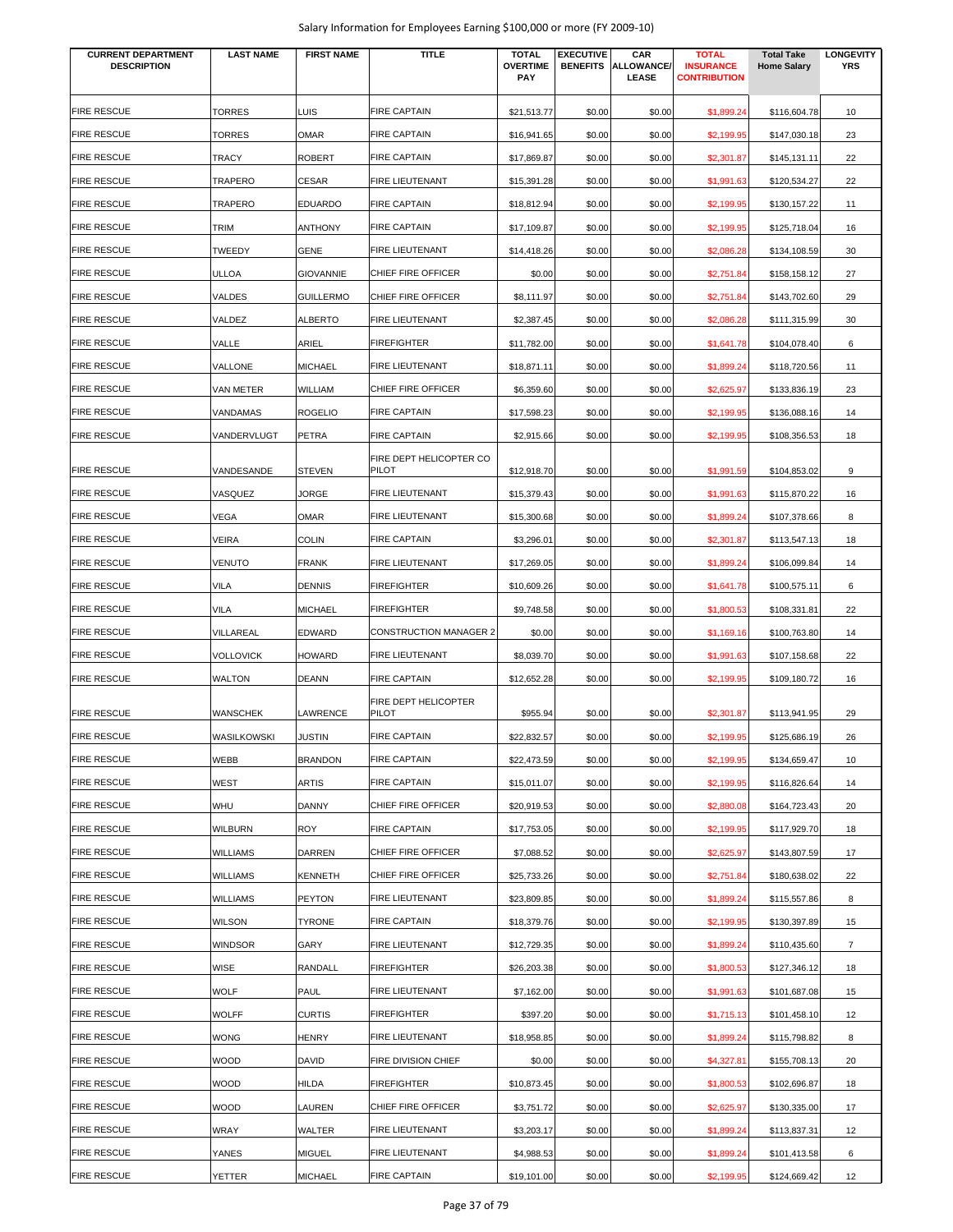| <b>CURRENT DEPARTMENT</b><br><b>DESCRIPTION</b> | <b>LAST NAME</b> | <b>FIRST NAME</b> | <b>TITLE</b>                     | <b>TOTAL</b><br><b>OVERTIME</b> | <b>EXECUTIVE</b><br><b>BENEFITS</b> | CAR<br><b>ALLOWANCE/</b> | <b>TOTAL</b><br><b>INSURANCE</b> | <b>Total Take</b><br><b>Home Salary</b> | <b>LONGEVITY</b><br><b>YRS</b> |
|-------------------------------------------------|------------------|-------------------|----------------------------------|---------------------------------|-------------------------------------|--------------------------|----------------------------------|-----------------------------------------|--------------------------------|
|                                                 |                  |                   |                                  | <b>PAY</b>                      |                                     | LEASE                    | <b>CONTRIBUTION</b>              |                                         |                                |
| <b>FIRE RESCUE</b>                              | <b>TORRES</b>    | LUIS              | <b>FIRE CAPTAIN</b>              | \$21,513.77                     | \$0.00                              | \$0.00                   | \$1,899.24                       | \$116,604.78                            | 10                             |
| <b>FIRE RESCUE</b>                              | <b>TORRES</b>    | <b>OMAR</b>       | <b>FIRE CAPTAIN</b>              | \$16,941.65                     | \$0.00                              | \$0.00                   | \$2,199.95                       | \$147,030.18                            | 23                             |
| <b>FIRE RESCUE</b>                              | TRACY            | <b>ROBERT</b>     | <b>FIRE CAPTAIN</b>              | \$17,869.87                     | \$0.00                              | \$0.00                   | \$2,301.87                       | \$145,131.11                            | 22                             |
| <b>FIRE RESCUE</b>                              | TRAPERO          | <b>CESAR</b>      | FIRE LIEUTENANT                  | \$15,391.28                     | \$0.00                              | \$0.00                   | \$1,991.63                       | \$120,534.27                            | 22                             |
| <b>FIRE RESCUE</b>                              | TRAPERO          | <b>EDUARDO</b>    | <b>FIRE CAPTAIN</b>              | \$18,812.94                     | \$0.00                              | \$0.00                   | \$2,199.95                       | \$130,157.22                            | 11                             |
| <b>FIRE RESCUE</b>                              | TRIM             | <b>ANTHONY</b>    | <b>FIRE CAPTAIN</b>              | \$17,109.87                     | \$0.00                              | \$0.00                   | \$2,199.95                       | \$125,718.04                            | 16                             |
| <b>FIRE RESCUE</b>                              | TWEEDY           | <b>GENE</b>       | <b>FIRE LIEUTENANT</b>           | \$14,418.26                     | \$0.00                              | \$0.00                   | \$2,086.28                       | \$134,108.59                            | 30                             |
| <b>FIRE RESCUE</b>                              | <b>ULLOA</b>     | <b>GIOVANNIE</b>  | CHIEF FIRE OFFICER               | \$0.00                          | \$0.00                              | \$0.00                   | \$2,751.84                       | \$158,158.12                            | 27                             |
| <b>FIRE RESCUE</b>                              | VALDES           | <b>GUILLERMO</b>  | CHIEF FIRE OFFICER               | \$8,111.97                      | \$0.00                              | \$0.00                   | \$2,751.84                       | \$143,702.60                            | 29                             |
| <b>FIRE RESCUE</b>                              | VALDEZ           | <b>ALBERTO</b>    | FIRE LIEUTENANT                  | \$2,387.45                      | \$0.00                              | \$0.00                   | \$2,086.28                       | \$111,315.99                            | 30                             |
| <b>FIRE RESCUE</b>                              | VALLE            | ARIEL             | <b>FIREFIGHTER</b>               | \$11,782.00                     | \$0.00                              | \$0.00                   | \$1,641.78                       | \$104,078.40                            | 6                              |
| <b>FIRE RESCUE</b>                              | VALLONE          | <b>MICHAEL</b>    | FIRE LIEUTENANT                  | \$18,871.11                     | \$0.00                              | \$0.00                   | \$1,899.24                       | \$118,720.56                            | 11                             |
| <b>FIRE RESCUE</b>                              | VAN METER        | <b>WILLIAM</b>    | CHIEF FIRE OFFICER               | \$6,359.60                      | \$0.00                              | \$0.00                   | \$2,625.97                       | \$133,836.19                            | 23                             |
| <b>FIRE RESCUE</b>                              | VANDAMAS         | <b>ROGELIO</b>    | <b>FIRE CAPTAIN</b>              | \$17,598.23                     | \$0.00                              | \$0.00                   | \$2,199.95                       | \$136,088.16                            | 14                             |
| <b>FIRE RESCUE</b>                              | VANDERVLUGT      | PETRA             | <b>FIRE CAPTAIN</b>              | \$2,915.66                      | \$0.00                              | \$0.00                   | \$2,199.95                       | \$108,356.53                            | 18                             |
| <b>FIRE RESCUE</b>                              | VANDESANDE       | <b>STEVEN</b>     | FIRE DEPT HELICOPTER CO<br>PILOT | \$12,918.70                     | \$0.00                              | \$0.00                   | \$1,991.59                       | \$104,853.02                            | 9                              |
| <b>FIRE RESCUE</b>                              | VASQUEZ          | JORGE             | <b>FIRE LIEUTENANT</b>           | \$15,379.43                     | \$0.00                              | \$0.00                   | \$1,991.63                       | \$115,870.22                            | 16                             |
| <b>FIRE RESCUE</b>                              | VEGA             | <b>OMAR</b>       | FIRE LIEUTENANT                  | \$15,300.68                     | \$0.00                              | \$0.00                   | \$1,899.24                       | \$107,378.66                            | 8                              |
| <b>FIRE RESCUE</b>                              | VEIRA            | <b>COLIN</b>      | <b>FIRE CAPTAIN</b>              | \$3,296.01                      | \$0.00                              | \$0.00                   | \$2,301.87                       | \$113,547.13                            | 18                             |
| <b>FIRE RESCUE</b>                              | <b>VENUTO</b>    | <b>FRANK</b>      | FIRE LIEUTENANT                  | \$17,269.05                     | \$0.00                              | \$0.00                   | \$1,899.24                       | \$106,099.84                            | 14                             |
| <b>FIRE RESCUE</b>                              | <b>VILA</b>      | <b>DENNIS</b>     | FIREFIGHTER                      | \$10,609.26                     | \$0.00                              | \$0.00                   | \$1,641.78                       | \$100,575.11                            | 6                              |
| <b>FIRE RESCUE</b>                              | VILA             | <b>MICHAEL</b>    | <b>FIREFIGHTER</b>               | \$9,748.58                      | \$0.00                              | \$0.00                   | \$1,800.53                       | \$108,331.81                            | 22                             |
| <b>FIRE RESCUE</b>                              | VILLAREAL        | EDWARD            | <b>CONSTRUCTION MANAGER 2</b>    | \$0.00                          | \$0.00                              | \$0.00                   | \$1,169.16                       | \$100,763.80                            | 14                             |
| <b>FIRE RESCUE</b>                              | <b>VOLLOVICK</b> | <b>HOWARD</b>     | FIRE LIEUTENANT                  | \$8,039.70                      | \$0.00                              | \$0.00                   | \$1,991.63                       | \$107,158.68                            | 22                             |
| <b>FIRE RESCUE</b>                              | <b>WALTON</b>    | <b>DEANN</b>      | <b>FIRE CAPTAIN</b>              | \$12,652.28                     | \$0.00                              | \$0.00                   | \$2,199.95                       | \$109,180.72                            | 16                             |
| <b>FIRE RESCUE</b>                              | <b>WANSCHEK</b>  | LAWRENCE          | FIRE DEPT HELICOPTER<br>PILOT    | \$955.94                        | \$0.00                              | \$0.00                   | \$2,301.87                       | \$113,941.95                            | 29                             |
| <b>FIRE RESCUE</b>                              | WASILKOWSKI      | <b>JUSTIN</b>     | <b>FIRE CAPTAIN</b>              | \$22,832.57                     | \$0.00                              | \$0.00                   | \$2,199.95                       | \$125,686.19                            | 26                             |
| <b>FIRE RESCUE</b>                              | WEBB             | <b>BRANDON</b>    | <b>FIRE CAPTAIN</b>              | \$22,473.59                     | \$0.00                              | \$0.00                   | \$2,199.95                       | \$134,659.47                            | 10                             |
| <b>FIRE RESCUE</b>                              | WEST             | <b>ARTIS</b>      | <b>FIRE CAPTAIN</b>              | \$15,011.07                     | \$0.00                              | \$0.00                   | \$2,199.95                       | \$116,826.64                            | 14                             |
| <b>FIRE RESCUE</b>                              | WHU              | <b>DANNY</b>      | CHIEF FIRE OFFICER               | \$20,919.53                     | \$0.00                              | \$0.00                   | \$2,880.08                       | \$164,723.43                            | 20                             |
| <b>FIRE RESCUE</b>                              | <b>WILBURN</b>   | <b>ROY</b>        | <b>FIRE CAPTAIN</b>              | \$17,753.05                     | \$0.00                              | \$0.00                   | \$2,199.95                       | \$117,929.70                            | 18                             |
| <b>FIRE RESCUE</b>                              | <b>WILLIAMS</b>  | <b>DARREN</b>     | CHIEF FIRE OFFICER               | \$7,088.52                      | \$0.00                              | \$0.00                   | \$2,625.97                       | \$143,807.59                            | 17                             |
| <b>FIRE RESCUE</b>                              | <b>WILLIAMS</b>  | <b>KENNETH</b>    | CHIEF FIRE OFFICER               | \$25,733.26                     | \$0.00                              | \$0.00                   | \$2,751.84                       | \$180,638.02                            | 22                             |
| <b>FIRE RESCUE</b>                              | WILLIAMS         | <b>PEYTON</b>     | FIRE LIEUTENANT                  | \$23,809.85                     | \$0.00                              | \$0.00                   | \$1,899.24                       | \$115,557.86                            | 8                              |
| <b>FIRE RESCUE</b>                              | <b>WILSON</b>    | <b>TYRONE</b>     | <b>FIRE CAPTAIN</b>              | \$18,379.76                     | \$0.00                              | \$0.00                   | \$2,199.95                       | \$130,397.89                            | 15                             |
| <b>FIRE RESCUE</b>                              | <b>WINDSOR</b>   | GARY              | FIRE LIEUTENANT                  | \$12,729.35                     | \$0.00                              | \$0.00                   | \$1,899.24                       | \$110,435.60                            | $\overline{7}$                 |
| <b>FIRE RESCUE</b>                              | WISE             | RANDALL           | <b>FIREFIGHTER</b>               | \$26,203.38                     | \$0.00                              | \$0.00                   | \$1,800.53                       | \$127,346.12                            | 18                             |
| <b>FIRE RESCUE</b>                              | <b>WOLF</b>      | PAUL              | FIRE LIEUTENANT                  | \$7,162.00                      | \$0.00                              | \$0.00                   | \$1,991.63                       | \$101,687.08                            | 15                             |
| <b>FIRE RESCUE</b>                              | <b>WOLFF</b>     | <b>CURTIS</b>     | FIREFIGHTER                      | \$397.20                        | \$0.00                              | \$0.00                   | \$1,715.13                       | \$101,458.10                            | 12                             |
| <b>FIRE RESCUE</b>                              | <b>WONG</b>      | <b>HENRY</b>      | FIRE LIEUTENANT                  | \$18,958.85                     | \$0.00                              | \$0.00                   | \$1,899.24                       | \$115,798.82                            | 8                              |
| <b>FIRE RESCUE</b>                              | <b>WOOD</b>      | <b>DAVID</b>      | FIRE DIVISION CHIEF              | \$0.00                          | \$0.00                              | \$0.00                   | \$4,327.81                       | \$155,708.13                            | 20                             |
| <b>FIRE RESCUE</b>                              | <b>WOOD</b>      | <b>HILDA</b>      | <b>FIREFIGHTER</b>               | \$10,873.45                     | \$0.00                              | \$0.00                   | \$1,800.53                       | \$102,696.87                            | 18                             |
| <b>FIRE RESCUE</b>                              | <b>WOOD</b>      | LAUREN            | CHIEF FIRE OFFICER               | \$3,751.72                      | \$0.00                              | \$0.00                   | \$2,625.97                       | \$130,335.00                            | 17                             |
| <b>FIRE RESCUE</b>                              | WRAY             | WALTER            | FIRE LIEUTENANT                  | \$3,203.17                      | \$0.00                              | \$0.00                   | \$1,899.24                       | \$113,837.31                            | 12                             |
| <b>FIRE RESCUE</b>                              | YANES            | <b>MIGUEL</b>     | <b>FIRE LIEUTENANT</b>           | \$4,988.53                      | \$0.00                              | \$0.00                   | \$1,899.24                       | \$101,413.58                            | 6                              |
| <b>FIRE RESCUE</b>                              | YETTER           | <b>MICHAEL</b>    | <b>FIRE CAPTAIN</b>              | \$19,101.00                     | \$0.00                              | \$0.00                   | \$2,199.95                       | \$124,669.42                            | 12                             |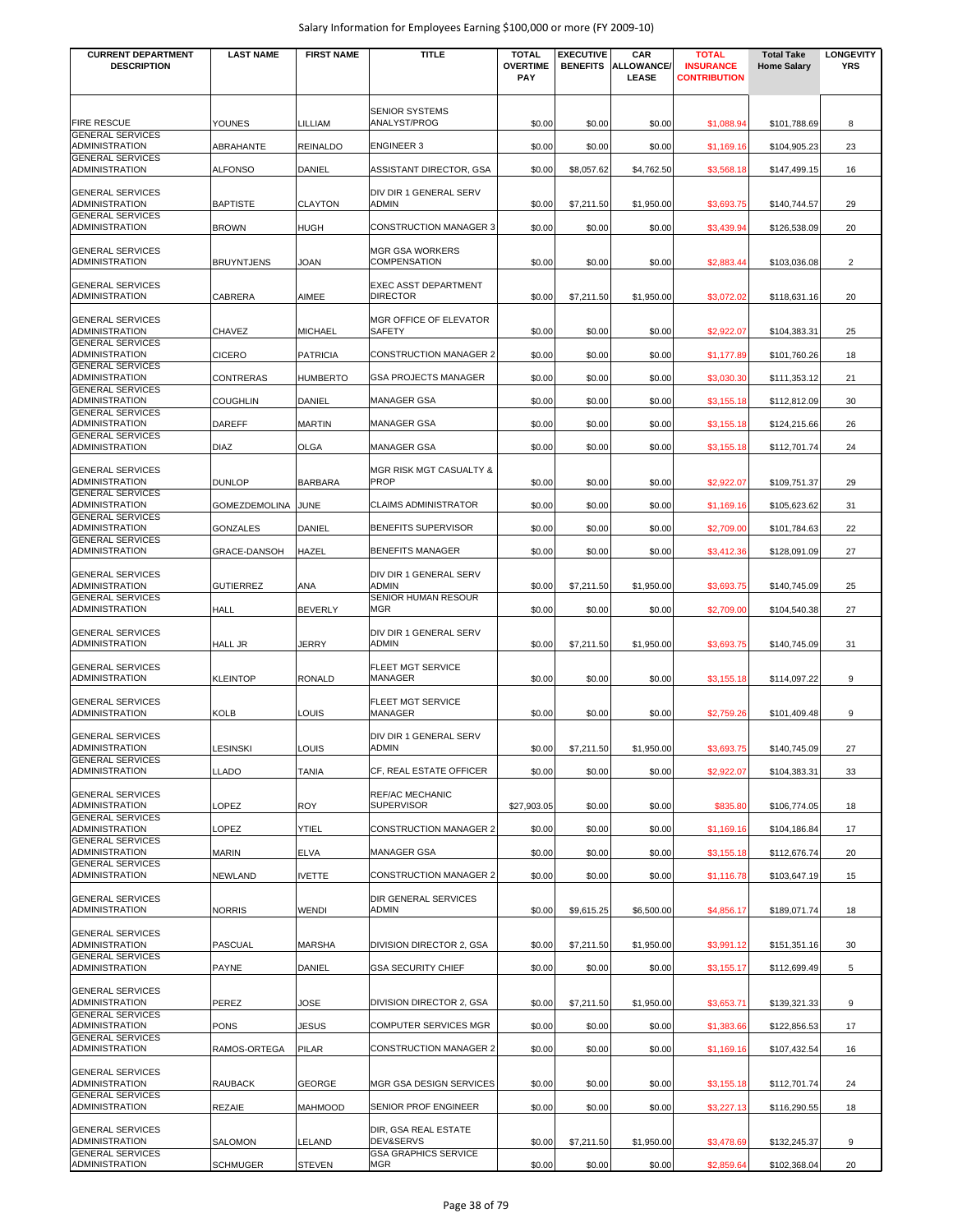| <b>CURRENT DEPARTMENT</b>                        | <b>LAST NAME</b>   | <b>FIRST NAME</b> | <b>TITLE</b>                                  | <b>TOTAL</b>                  | <b>EXECUTIVE</b> | CAR                        | <b>TOTAL</b>                            | <b>Total Take</b>  | <b>LONGEVITY</b> |
|--------------------------------------------------|--------------------|-------------------|-----------------------------------------------|-------------------------------|------------------|----------------------------|-----------------------------------------|--------------------|------------------|
| <b>DESCRIPTION</b>                               |                    |                   |                                               | <b>OVERTIME</b><br><b>PAY</b> | <b>BENEFITS</b>  | <b>ALLOWANCE/</b><br>LEASE | <b>INSURANCE</b><br><b>CONTRIBUTION</b> | <b>Home Salary</b> | <b>YRS</b>       |
|                                                  |                    |                   |                                               |                               |                  |                            |                                         |                    |                  |
| <b>FIRE RESCUE</b>                               | <b>YOUNES</b>      | LILLIAM           | <b>SENIOR SYSTEMS</b><br>ANALYST/PROG         | \$0.00                        | \$0.00           | \$0.00                     | \$1,088.94                              | \$101,788.69       | 8                |
| <b>GENERAL SERVICES</b><br>ADMINISTRATION        | ABRAHANTE          | <b>REINALDO</b>   | <b>ENGINEER 3</b>                             | \$0.00                        | \$0.00           | \$0.00                     | \$1,169.16                              | \$104,905.23       | 23               |
| <b>GENERAL SERVICES</b>                          |                    |                   |                                               |                               |                  |                            |                                         |                    |                  |
| ADMINISTRATION                                   | <b>ALFONSO</b>     | DANIEL            | ASSISTANT DIRECTOR, GSA                       | \$0.00                        | \$8,057.62       | \$4,762.50                 | \$3,568.18                              | \$147,499.15       | 16               |
| <b>GENERAL SERVICES</b><br>ADMINISTRATION        | <b>BAPTISTE</b>    | <b>CLAYTON</b>    | DIV DIR 1 GENERAL SERV<br><b>ADMIN</b>        | \$0.00                        | \$7,211.50       | \$1,950.00                 | \$3,693.75                              | \$140,744.57       | 29               |
| <b>GENERAL SERVICES</b><br>ADMINISTRATION        | <b>BROWN</b>       | <b>HUGH</b>       | <b>CONSTRUCTION MANAGER 3</b>                 | \$0.00                        | \$0.00           | \$0.00                     | \$3,439.94                              | \$126,538.09       | 20               |
|                                                  |                    |                   |                                               |                               |                  |                            |                                         |                    |                  |
| <b>GENERAL SERVICES</b><br>ADMINISTRATION        | <b>BRUYNTJENS</b>  | JOAN              | <b>MGR GSA WORKERS</b><br><b>COMPENSATION</b> | \$0.00                        | \$0.00           | \$0.00                     | \$2,883.44                              | \$103,036.08       | $\overline{2}$   |
| <b>GENERAL SERVICES</b>                          |                    |                   | <b>EXEC ASST DEPARTMENT</b>                   |                               |                  |                            |                                         |                    |                  |
| ADMINISTRATION                                   | <b>CABRERA</b>     | AIMEE             | <b>DIRECTOR</b>                               | \$0.00                        | \$7,211.50       | \$1,950.00                 | \$3,072.02                              | \$118,631.16       | 20               |
| <b>GENERAL SERVICES</b><br>ADMINISTRATION        | <b>CHAVEZ</b>      | <b>MICHAEL</b>    | MGR OFFICE OF ELEVATOR<br>SAFETY              | \$0.00                        | \$0.00           | \$0.00                     | \$2,922.07                              | \$104,383.31       | 25               |
| <b>GENERAL SERVICES</b><br>ADMINISTRATION        |                    |                   | CONSTRUCTION MANAGER 2                        |                               |                  |                            |                                         |                    |                  |
| <b>GENERAL SERVICES</b>                          | <b>CICERO</b>      | <b>PATRICIA</b>   |                                               | \$0.00                        | \$0.00           | \$0.00                     | \$1,177.89                              | \$101,760.26       | 18               |
| ADMINISTRATION<br><b>GENERAL SERVICES</b>        | <b>CONTRERAS</b>   | <b>HUMBERTO</b>   | <b>GSA PROJECTS MANAGER</b>                   | \$0.00                        | \$0.00           | \$0.00                     | \$3,030.30                              | \$111,353.12       | 21               |
| ADMINISTRATION<br><b>GENERAL SERVICES</b>        | <b>COUGHLIN</b>    | DANIEL            | <b>MANAGER GSA</b>                            | \$0.00                        | \$0.00           | \$0.00                     | \$3,155.18                              | \$112,812.09       | 30               |
| <b>ADMINISTRATION</b>                            | <b>DAREFF</b>      | <b>MARTIN</b>     | <b>MANAGER GSA</b>                            | \$0.00                        | \$0.00           | \$0.00                     | \$3,155.18                              | \$124,215.66       | 26               |
| <b>GENERAL SERVICES</b><br>ADMINISTRATION        | <b>DIAZ</b>        | <b>OLGA</b>       | <b>MANAGER GSA</b>                            | \$0.00                        | \$0.00           | \$0.00                     | \$3,155.18                              | \$112,701.74       | 24               |
| <b>GENERAL SERVICES</b>                          |                    |                   | MGR RISK MGT CASUALTY &                       |                               |                  |                            |                                         |                    |                  |
| ADMINISTRATION<br><b>GENERAL SERVICES</b>        | <b>DUNLOP</b>      | <b>BARBARA</b>    | PROP                                          | \$0.00                        | \$0.00           | \$0.00                     | \$2,922.07                              | \$109,751.37       | 29               |
| ADMINISTRATION                                   | GOMEZDEMOLINA JUNE |                   | <b>CLAIMS ADMINISTRATOR</b>                   | \$0.00                        | \$0.00           | \$0.00                     | \$1,169.16                              | \$105,623.62       | 31               |
| <b>GENERAL SERVICES</b><br>ADMINISTRATION        | GONZALES           | DANIEL            | BENEFITS SUPERVISOR                           | \$0.00                        | \$0.00           | \$0.00                     | \$2,709.00                              | \$101,784.63       | 22               |
| <b>GENERAL SERVICES</b><br>ADMINISTRATION        | GRACE-DANSOH       | HAZEL             | <b>BENEFITS MANAGER</b>                       | \$0.00                        | \$0.00           | \$0.00                     | \$3,412.36                              | \$128,091.09       | 27               |
| <b>GENERAL SERVICES</b>                          |                    |                   | DIV DIR 1 GENERAL SERV                        |                               |                  |                            |                                         |                    |                  |
| ADMINISTRATION<br><b>GENERAL SERVICES</b>        | <b>GUTIERREZ</b>   | ANA               | <b>ADMIN</b><br>SENIOR HUMAN RESOUR           | \$0.00                        | \$7,211.50       | \$1,950.00                 | \$3,693.75                              | \$140,745.09       | 25               |
| <b>ADMINISTRATION</b>                            | <b>HALL</b>        | <b>BEVERLY</b>    | <b>MGR</b>                                    | \$0.00                        | \$0.00           | \$0.00                     | \$2,709.00                              | \$104,540.38       | 27               |
| <b>GENERAL SERVICES</b>                          |                    |                   | DIV DIR 1 GENERAL SERV                        |                               |                  |                            |                                         |                    |                  |
| <b>ADMINISTRATION</b>                            | <b>HALL JR</b>     | JERRY             | ADMIN                                         | \$0.00                        | \$7,211.50       | \$1,950.00                 | \$3,693.75                              | \$140,745.09       | 31               |
| <b>GENERAL SERVICES</b><br>ADMINISTRATION        | <b>KLEINTOP</b>    | <b>RONALD</b>     | FLEET MGT SERVICE<br><b>MANAGER</b>           | \$0.00                        | \$0.00           | \$0.00                     | \$3,155.18                              | \$114,097.22       | 9                |
|                                                  |                    |                   |                                               |                               |                  |                            |                                         |                    |                  |
| <b>GENERAL SERVICES</b><br><b>ADMINISTRATION</b> | <b>KOLB</b>        | LOUIS             | FLEET MGT SERVICE<br>MANAGER                  | \$0.00                        | \$0.00           | \$0.00                     | \$2,759.26                              | \$101,409.48       | 9                |
| <b>GENERAL SERVICES</b>                          |                    |                   | DIV DIR 1 GENERAL SERV                        |                               |                  |                            |                                         |                    |                  |
| ADMINISTRATION<br><b>GENERAL SERVICES</b>        | <b>LESINSKI</b>    | LOUIS             | <b>ADMIN</b>                                  | \$0.00                        | \$7,211.50       | \$1,950.00                 | \$3,693.75                              | \$140,745.09       | 27               |
| ADMINISTRATION                                   | <b>LLADO</b>       | <b>TANIA</b>      | CF, REAL ESTATE OFFICER                       | \$0.00                        | \$0.00           | \$0.00                     | \$2,922.07                              | \$104,383.31       | 33               |
| <b>GENERAL SERVICES</b>                          |                    |                   | <b>REF/AC MECHANIC</b>                        |                               |                  |                            |                                         |                    |                  |
| ADMINISTRATION<br><b>GENERAL SERVICES</b>        | LOPEZ              | <b>ROY</b>        | <b>SUPERVISOR</b>                             | \$27,903.05                   | \$0.00           | \$0.00                     | \$835.80                                | \$106,774.05       | 18               |
| ADMINISTRATION<br><b>GENERAL SERVICES</b>        | LOPEZ              | YTIEL             | <b>CONSTRUCTION MANAGER 2</b>                 | \$0.00                        | \$0.00           | \$0.00                     | \$1,169.16                              | \$104,186.84       | 17               |
| ADMINISTRATION<br><b>GENERAL SERVICES</b>        | <b>MARIN</b>       | <b>ELVA</b>       | <b>MANAGER GSA</b>                            | \$0.00                        | \$0.00           | \$0.00                     | \$3,155.18                              | \$112,676.74       | 20               |
| ADMINISTRATION                                   | <b>NEWLAND</b>     | <b>IVETTE</b>     | <b>CONSTRUCTION MANAGER 2</b>                 | \$0.00                        | \$0.00           | \$0.00                     | \$1,116.78                              | \$103,647.19       | 15               |
| <b>GENERAL SERVICES</b>                          |                    |                   | <b>DIR GENERAL SERVICES</b>                   |                               |                  |                            |                                         |                    |                  |
| ADMINISTRATION                                   | <b>NORRIS</b>      | WENDI             | <b>ADMIN</b>                                  | \$0.00                        | \$9,615.25       | \$6,500.00                 | \$4,856.17                              | \$189,071.74       | 18               |
| <b>GENERAL SERVICES</b><br>ADMINISTRATION        | <b>PASCUAL</b>     | <b>MARSHA</b>     | DIVISION DIRECTOR 2, GSA                      | \$0.00                        | \$7,211.50       | \$1,950.00                 | \$3,991.12                              | \$151,351.16       | 30               |
| <b>GENERAL SERVICES</b>                          |                    |                   |                                               |                               |                  |                            |                                         |                    |                  |
| ADMINISTRATION                                   | <b>PAYNE</b>       | DANIEL            | <b>GSA SECURITY CHIEF</b>                     | \$0.00                        | \$0.00           | \$0.00                     | \$3,155.17                              | \$112,699.49       | 5                |
| <b>GENERAL SERVICES</b><br><b>ADMINISTRATION</b> | <b>PEREZ</b>       | JOSE              | DIVISION DIRECTOR 2, GSA                      | \$0.00                        | \$7,211.50       | \$1,950.00                 | \$3,653.71                              | \$139,321.33       | 9                |
| <b>GENERAL SERVICES</b><br>ADMINISTRATION        | <b>PONS</b>        | <b>JESUS</b>      | COMPUTER SERVICES MGR                         | \$0.00                        | \$0.00           | \$0.00                     | \$1,383.66                              | \$122,856.53       | 17               |
| <b>GENERAL SERVICES</b>                          |                    |                   |                                               |                               |                  |                            |                                         |                    |                  |
| ADMINISTRATION                                   | RAMOS-ORTEGA       | <b>PILAR</b>      | CONSTRUCTION MANAGER 2                        | \$0.00                        | \$0.00           | \$0.00                     | \$1,169.16                              | \$107,432.54       | 16               |
| <b>GENERAL SERVICES</b><br>ADMINISTRATION        | <b>RAUBACK</b>     | GEORGE            | MGR GSA DESIGN SERVICES                       | \$0.00                        | \$0.00           | \$0.00                     | \$3,155.18                              | \$112,701.74       | 24               |
| <b>GENERAL SERVICES</b><br>ADMINISTRATION        | <b>REZAIE</b>      | <b>MAHMOOD</b>    | SENIOR PROF ENGINEER                          | \$0.00                        | \$0.00           | \$0.00                     | \$3,227.13                              | \$116,290.55       | 18               |
|                                                  |                    |                   |                                               |                               |                  |                            |                                         |                    |                  |
| <b>GENERAL SERVICES</b><br>ADMINISTRATION        | <b>SALOMON</b>     | LELAND            | DIR, GSA REAL ESTATE<br>DEV&SERVS             | \$0.00                        | \$7,211.50       | \$1,950.00                 | \$3,478.69                              | \$132,245.37       | 9                |
| <b>GENERAL SERVICES</b><br>ADMINISTRATION        | <b>SCHMUGER</b>    | <b>STEVEN</b>     | <b>GSA GRAPHICS SERVICE</b><br><b>MGR</b>     | \$0.00                        | \$0.00           | \$0.00                     | \$2,859.64                              | \$102,368.04       | 20               |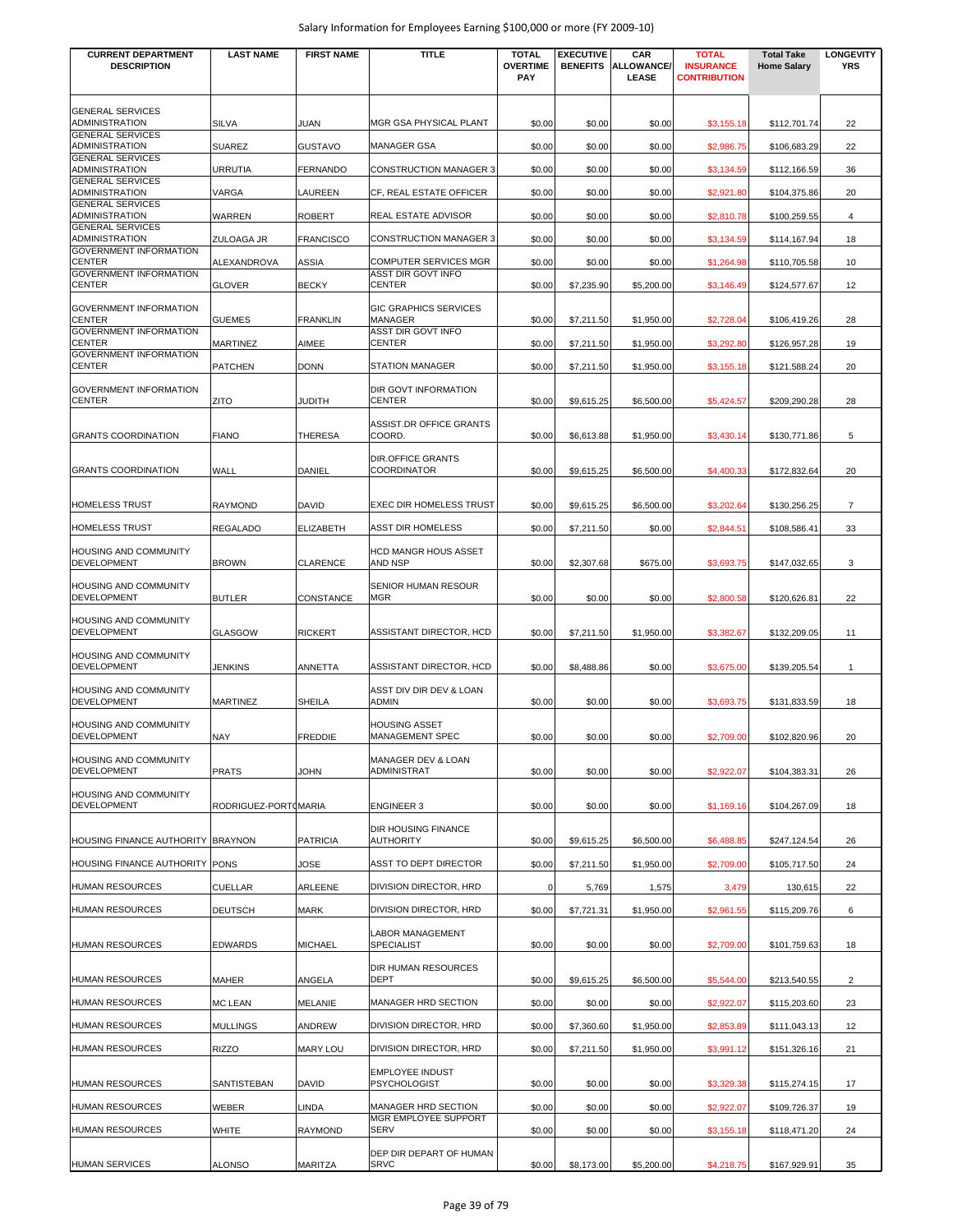| <b>CURRENT DEPARTMENT</b><br><b>DESCRIPTION</b>  | <b>LAST NAME</b>     | <b>FIRST NAME</b> | <b>TITLE</b>                                   | <b>TOTAL</b><br><b>OVERTIME</b><br><b>PAY</b> | <b>EXECUTIVE</b><br><b>BENEFITS</b> | CAR<br><b>ALLOWANCE/</b><br>LEASE | <b>TOTAL</b><br><b>INSURANCE</b><br><b>CONTRIBUTION</b> | <b>Total Take</b><br><b>Home Salary</b> | <b>LONGEVITY</b><br><b>YRS</b> |
|--------------------------------------------------|----------------------|-------------------|------------------------------------------------|-----------------------------------------------|-------------------------------------|-----------------------------------|---------------------------------------------------------|-----------------------------------------|--------------------------------|
| <b>GENERAL SERVICES</b><br>ADMINISTRATION        | <b>SILVA</b>         | JUAN              | MGR GSA PHYSICAL PLANT                         | \$0.00                                        | \$0.00                              | \$0.00                            | \$3,155.18                                              | \$112,701.74                            | 22                             |
| <b>GENERAL SERVICES</b><br><b>ADMINISTRATION</b> | <b>SUAREZ</b>        | GUSTAVO           | <b>MANAGER GSA</b>                             | \$0.00                                        | \$0.00                              | \$0.00                            | \$2,986.75                                              | \$106,683.29                            | 22                             |
| <b>GENERAL SERVICES</b><br>ADMINISTRATION        | <b>URRUTIA</b>       | <b>FERNANDO</b>   | <b>CONSTRUCTION MANAGER 3</b>                  | \$0.00                                        | \$0.00                              | \$0.00                            | \$3,134.59                                              | \$112,166.59                            | 36                             |
| <b>GENERAL SERVICES</b>                          |                      |                   |                                                |                                               |                                     |                                   |                                                         |                                         |                                |
| ADMINISTRATION<br><b>GENERAL SERVICES</b>        | VARGA                | LAUREEN           | CF, REAL ESTATE OFFICER                        | \$0.00                                        | \$0.00                              | \$0.00                            | \$2,921.80                                              | \$104,375.86                            | 20                             |
| ADMINISTRATION<br><b>GENERAL SERVICES</b>        | <b>WARREN</b>        | <b>ROBERT</b>     | REAL ESTATE ADVISOR                            | \$0.00                                        | \$0.00                              | \$0.00                            | \$2,810.78                                              | \$100,259.55                            | 4                              |
| ADMINISTRATION                                   | ZULOAGA JR           | <b>FRANCISCO</b>  | <b>CONSTRUCTION MANAGER 3</b>                  | \$0.00                                        | \$0.00                              | \$0.00                            | \$3,134.59                                              | \$114,167.94                            | 18                             |
| GOVERNMENT INFORMATION<br><b>CENTER</b>          | ALEXANDROVA          | <b>ASSIA</b>      | <b>COMPUTER SERVICES MGR</b>                   | \$0.00                                        | \$0.00                              | \$0.00                            | \$1,264.98                                              | \$110,705.58                            | 10                             |
| <b>GOVERNMENT INFORMATION</b><br>CENTER          | <b>GLOVER</b>        | <b>BECKY</b>      | ASST DIR GOVT INFO<br><b>CENTER</b>            | \$0.00                                        | \$7,235.90                          | \$5,200.00                        | \$3,146.49                                              | \$124,577.67                            | 12                             |
| <b>GOVERNMENT INFORMATION</b><br><b>CENTER</b>   | <b>GUEMES</b>        | <b>FRANKLIN</b>   | <b>GIC GRAPHICS SERVICES</b><br>MANAGER        | \$0.00                                        | \$7,211.50                          | \$1,950.00                        | \$2,728.04                                              | \$106,419.26                            | 28                             |
| <b>GOVERNMENT INFORMATION</b><br>CENTER          | MARTINEZ             | AIMEE             | ASST DIR GOVT INFO<br><b>CENTER</b>            | \$0.00                                        | \$7,211.50                          | \$1,950.00                        | \$3,292.80                                              | \$126,957.28                            | 19                             |
| <b>GOVERNMENT INFORMATION</b><br><b>CENTER</b>   | <b>PATCHEN</b>       | <b>DONN</b>       | <b>STATION MANAGER</b>                         | \$0.00                                        | \$7,211.50                          | \$1,950.00                        | \$3,155.18                                              | \$121,588.24                            | 20                             |
| <b>GOVERNMENT INFORMATION</b><br>CENTER          | <b>ZITO</b>          | JUDITH            | DIR GOVT INFORMATION<br><b>CENTER</b>          | \$0.00                                        | \$9,615.25                          | \$6,500.00                        | \$5,424.57                                              | \$209,290.28                            | 28                             |
| <b>GRANTS COORDINATION</b>                       | <b>FIANO</b>         | <b>THERESA</b>    | <b>ASSIST.DR OFFICE GRANTS</b><br>COORD.       | \$0.00                                        | \$6,613.88                          | \$1,950.00                        | \$3,430.14                                              | \$130,771.86                            | 5                              |
| <b>GRANTS COORDINATION</b>                       | WALL                 | DANIEL            | <b>DIR.OFFICE GRANTS</b><br><b>COORDINATOR</b> | \$0.00                                        | \$9,615.25                          | \$6,500.00                        | \$4,400.33                                              | \$172,832.64                            | 20                             |
| <b>HOMELESS TRUST</b>                            | <b>RAYMOND</b>       | DAVID             | <b>EXEC DIR HOMELESS TRUST</b>                 | \$0.00                                        | \$9,615.25                          | \$6,500.00                        | \$3,202.64                                              | \$130,256.25                            | $\overline{7}$                 |
| <b>HOMELESS TRUST</b>                            | <b>REGALADO</b>      | ELIZABETH         | <b>ASST DIR HOMELESS</b>                       | \$0.00                                        | \$7,211.50                          | \$0.00                            | \$2,844.51                                              | \$108,586.41                            | 33                             |
| <b>HOUSING AND COMMUNITY</b><br>DEVELOPMENT      | <b>BROWN</b>         | <b>CLARENCE</b>   | <b>HCD MANGR HOUS ASSET</b><br>AND NSP         | \$0.00                                        | \$2,307.68                          | \$675.00                          | \$3,693.75                                              | \$147,032.65                            | 3                              |
| <b>HOUSING AND COMMUNITY</b><br>DEVELOPMENT      | <b>BUTLER</b>        | CONSTANCE         | SENIOR HUMAN RESOUR<br>MGR                     | \$0.00                                        | \$0.00                              | \$0.00                            | \$2,800.58                                              | \$120,626.81                            | 22                             |
| HOUSING AND COMMUNITY<br>DEVELOPMENT             | <b>GLASGOW</b>       | <b>RICKERT</b>    | ASSISTANT DIRECTOR, HCD                        | \$0.00                                        | \$7,211.50                          | \$1,950.00                        | \$3,382.67                                              | \$132,209.05                            | 11                             |
| HOUSING AND COMMUNITY<br>DEVELOPMENT             | <b>JENKINS</b>       | ANNETTA           | ASSISTANT DIRECTOR, HCD                        | \$0.00                                        | \$8,488.86                          | \$0.00                            | \$3,675.00                                              | \$139,205.54                            | $\mathbf{1}$                   |
| <b>HOUSING AND COMMUNITY</b><br>DEVELOPMENT      | <b>MARTINEZ</b>      | <b>SHEILA</b>     | ASST DIV DIR DEV & LOAN<br><b>ADMIN</b>        | \$0.00                                        | \$0.00                              | \$0.00                            | \$3,693.75                                              | \$131,833.59                            | 18                             |
| HOUSING AND COMMUNITY<br><b>DEVELOPMENT</b>      | <b>NAY</b>           | <b>FREDDIE</b>    | <b>HOUSING ASSET</b><br><b>MANAGEMENT SPEC</b> | \$0.00                                        | \$0.00                              | \$0.00                            | \$2,709.00                                              | \$102,820.96                            | 20                             |
| <b>HOUSING AND COMMUNITY</b><br>DEVELOPMENT      | <b>PRATS</b>         | JOHN              | MANAGER DEV & LOAN<br>ADMINISTRAT              | \$0.00                                        | \$0.00                              | \$0.00                            | \$2,922.07                                              | \$104,383.31                            | 26                             |
| HOUSING AND COMMUNITY<br>DEVELOPMENT             | RODRIGUEZ-PORTOMARIA |                   | <b>ENGINEER 3</b>                              | \$0.00                                        | \$0.00                              | \$0.00                            | \$1,169.16                                              | \$104,267.09                            | 18                             |
| HOUSING FINANCE AUTHORITY BRAYNON                |                      | <b>PATRICIA</b>   | <b>DIR HOUSING FINANCE</b><br><b>AUTHORITY</b> | \$0.00                                        | \$9,615.25                          | \$6,500.00                        | \$6,488.85                                              | \$247,124.54                            | 26                             |
| HOUSING FINANCE AUTHORITY PONS                   |                      | JOSE              | ASST TO DEPT DIRECTOR                          | \$0.00                                        | \$7,211.50                          | \$1,950.00                        | \$2,709.00                                              | \$105,717.50                            | 24                             |
| HUMAN RESOURCES                                  | <b>CUELLAR</b>       | ARLEENE           | DIVISION DIRECTOR, HRD                         | $\mathbf 0$                                   | 5,769                               | 1,575                             | 3,479                                                   | 130,615                                 | 22                             |
| <b>HUMAN RESOURCES</b>                           | <b>DEUTSCH</b>       | <b>MARK</b>       | DIVISION DIRECTOR, HRD                         | \$0.00                                        | \$7,721.31                          | \$1,950.00                        | \$2,961.55                                              | \$115,209.76                            | 6                              |
| <b>HUMAN RESOURCES</b>                           | <b>EDWARDS</b>       | <b>MICHAEL</b>    | <b>LABOR MANAGEMENT</b><br><b>SPECIALIST</b>   | \$0.00                                        | \$0.00                              | \$0.00                            | \$2,709.00                                              | \$101,759.63                            | 18                             |
| <b>HUMAN RESOURCES</b>                           | <b>MAHER</b>         | ANGELA            | <b>DIR HUMAN RESOURCES</b><br><b>DEPT</b>      | \$0.00                                        | \$9,615.25                          | \$6,500.00                        | \$5,544.00                                              | \$213,540.55                            | $\overline{c}$                 |
| <b>HUMAN RESOURCES</b>                           | <b>MC LEAN</b>       | MELANIE           | MANAGER HRD SECTION                            | \$0.00                                        | \$0.00                              | \$0.00                            | \$2,922.07                                              | \$115,203.60                            | 23                             |
| <b>HUMAN RESOURCES</b>                           | <b>MULLINGS</b>      | ANDREW            | <b>DIVISION DIRECTOR, HRD</b>                  | \$0.00                                        | \$7,360.60                          | \$1,950.00                        | \$2,853.89                                              | \$111,043.13                            | 12                             |
| <b>HUMAN RESOURCES</b>                           | <b>RIZZO</b>         | <b>MARY LOU</b>   | DIVISION DIRECTOR, HRD                         | \$0.00                                        | \$7,211.50                          | \$1,950.00                        | \$3,991.12                                              | \$151,326.16                            | 21                             |
| <b>HUMAN RESOURCES</b>                           | <b>SANTISTEBAN</b>   | DAVID             | <b>EMPLOYEE INDUST</b><br><b>PSYCHOLOGIST</b>  | \$0.00                                        | \$0.00                              | \$0.00                            | \$3,329.38                                              | \$115,274.15                            | 17                             |
| <b>HUMAN RESOURCES</b>                           | <b>WEBER</b>         | LINDA             | MANAGER HRD SECTION                            | \$0.00                                        | \$0.00                              | \$0.00                            | \$2,922.07                                              | \$109,726.37                            | 19                             |
| <b>HUMAN RESOURCES</b>                           | WHITE                | <b>RAYMOND</b>    | MGR EMPLOYEE SUPPORT<br><b>SERV</b>            | \$0.00                                        | \$0.00                              | \$0.00                            | \$3,155.18                                              | \$118,471.20                            | 24                             |
| <b>HUMAN SERVICES</b>                            | <b>ALONSO</b>        | MARITZA           | DEP DIR DEPART OF HUMAN<br><b>SRVC</b>         | \$0.00                                        | \$8,173.00                          | \$5,200.00                        | \$4,218.75                                              | \$167,929.91                            | 35                             |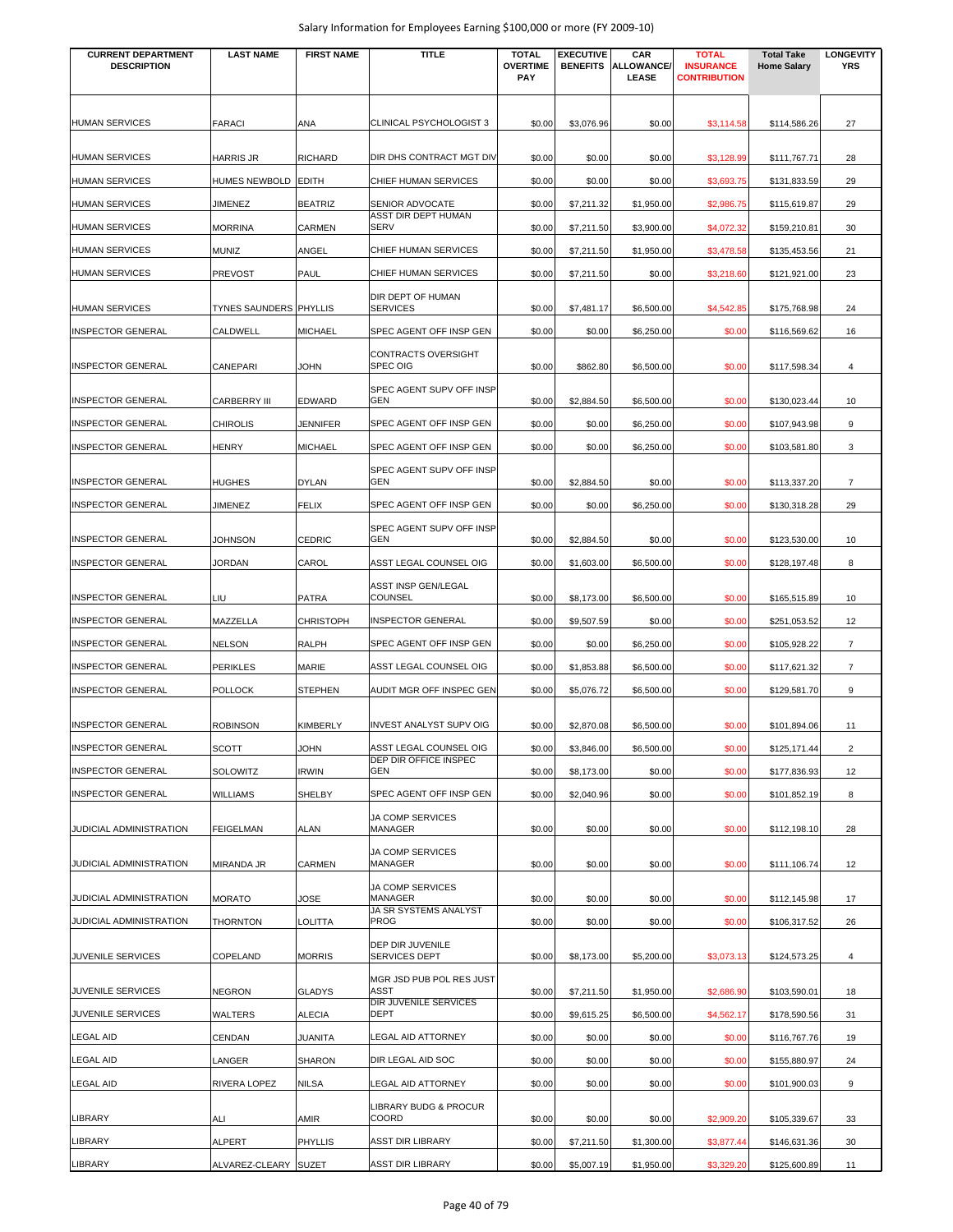| <b>CURRENT DEPARTMENT</b> | <b>LAST NAME</b>              | <b>FIRST NAME</b> | <b>TITLE</b>                             | <b>TOTAL</b>           | <b>EXECUTIVE</b> | CAR                        | <b>TOTAL</b>                            | <b>Total Take</b>  | <b>LONGEVITY</b> |
|---------------------------|-------------------------------|-------------------|------------------------------------------|------------------------|------------------|----------------------------|-----------------------------------------|--------------------|------------------|
| <b>DESCRIPTION</b>        |                               |                   |                                          | <b>OVERTIME</b><br>PAY | <b>BENEFITS</b>  | <b>ALLOWANCE/</b><br>LEASE | <b>INSURANCE</b><br><b>CONTRIBUTION</b> | <b>Home Salary</b> | <b>YRS</b>       |
|                           |                               |                   |                                          |                        |                  |                            |                                         |                    |                  |
| HUMAN SERVICES            | <b>FARACI</b>                 | ANA               | CLINICAL PSYCHOLOGIST 3                  | \$0.00                 | \$3,076.96       | \$0.00                     | \$3,114.58                              | \$114,586.26       | 27               |
| <b>HUMAN SERVICES</b>     | <b>HARRIS JR</b>              | <b>RICHARD</b>    | DIR DHS CONTRACT MGT DIV                 | \$0.00                 | \$0.00           | \$0.00                     | \$3,128.99                              | \$111,767.71       | 28               |
| <b>HUMAN SERVICES</b>     | HUMES NEWBOLD EDITH           |                   | CHIEF HUMAN SERVICES                     | \$0.00                 | \$0.00           | \$0.00                     | \$3,693.75                              | \$131,833.59       | 29               |
| <b>HUMAN SERVICES</b>     | <b>JIMENEZ</b>                | <b>BEATRIZ</b>    | SENIOR ADVOCATE                          | \$0.00                 | \$7,211.32       | \$1,950.00                 | \$2,986.75                              | \$115,619.87       | 29               |
| <b>HUMAN SERVICES</b>     | <b>MORRINA</b>                | CARMEN            | ASST DIR DEPT HUMAN<br>SERV              | \$0.00                 | \$7,211.50       | \$3,900.00                 | \$4,072.32                              | \$159,210.81       | 30               |
| <b>HUMAN SERVICES</b>     | <b>MUNIZ</b>                  | ANGEL             | CHIEF HUMAN SERVICES                     | \$0.00                 | \$7,211.50       | \$1,950.00                 | \$3,478.58                              | \$135,453.56       | 21               |
| <b>HUMAN SERVICES</b>     | <b>PREVOST</b>                | PAUL              | CHIEF HUMAN SERVICES                     | \$0.00                 | \$7,211.50       | \$0.00                     | \$3,218.60                              | \$121,921.00       | 23               |
|                           |                               |                   | DIR DEPT OF HUMAN                        |                        |                  |                            |                                         |                    |                  |
| HUMAN SERVICES            | <b>TYNES SAUNDERS PHYLLIS</b> |                   | <b>SERVICES</b>                          | \$0.00                 | \$7,481.17       | \$6,500.00                 | \$4,542.85                              | \$175,768.98       | 24               |
| <b>INSPECTOR GENERAL</b>  | CALDWELL                      | <b>MICHAEL</b>    | SPEC AGENT OFF INSP GEN                  | \$0.00                 | \$0.00           | \$6,250.00                 | \$0.00                                  | \$116,569.62       | 16               |
| <b>INSPECTOR GENERAL</b>  | <b>CANEPARI</b>               | JOHN              | CONTRACTS OVERSIGHT<br>SPEC OIG          | \$0.00                 | \$862.80         | \$6,500.00                 | \$0.00                                  | \$117,598.34       | $\overline{4}$   |
| <b>INSPECTOR GENERAL</b>  | <b>CARBERRY III</b>           | EDWARD            | SPEC AGENT SUPV OFF INSP<br>GEN          | \$0.00                 | \$2,884.50       | \$6,500.00                 | \$0.00                                  | \$130,023.44       | 10               |
| <b>INSPECTOR GENERAL</b>  | <b>CHIROLIS</b>               | JENNIFER          | SPEC AGENT OFF INSP GEN                  | \$0.00                 | \$0.00           | \$6,250.00                 | \$0.00                                  | \$107,943.98       | 9                |
| <b>INSPECTOR GENERAL</b>  |                               |                   |                                          |                        |                  |                            |                                         |                    |                  |
|                           | <b>HENRY</b>                  | <b>MICHAEL</b>    | SPEC AGENT OFF INSP GEN                  | \$0.00                 | \$0.00           | \$6,250.00                 | \$0.00                                  | \$103,581.80       | 3                |
| <b>INSPECTOR GENERAL</b>  | <b>HUGHES</b>                 | <b>DYLAN</b>      | SPEC AGENT SUPV OFF INSP<br><b>GEN</b>   | \$0.00                 | \$2,884.50       | \$0.00                     | \$0.00                                  | \$113,337.20       | $\overline{7}$   |
| INSPECTOR GENERAL         | <b>JIMENEZ</b>                | FELIX             | SPEC AGENT OFF INSP GEN                  | \$0.00                 | \$0.00           | \$6,250.00                 | \$0.00                                  | \$130,318.28       | 29               |
| <b>INSPECTOR GENERAL</b>  | JOHNSON                       | <b>CEDRIC</b>     | SPEC AGENT SUPV OFF INSP<br>GEN          | \$0.00                 | \$2,884.50       | \$0.00                     | \$0.00                                  | \$123,530.00       | 10               |
| INSPECTOR GENERAL         | JORDAN                        | CAROL             | ASST LEGAL COUNSEL OIG                   | \$0.00                 | \$1,603.00       | \$6,500.00                 | \$0.00                                  | \$128,197.48       | 8                |
|                           |                               |                   | ASST INSP GEN/LEGAL                      |                        |                  |                            |                                         |                    |                  |
| INSPECTOR GENERAL         | LIU                           | <b>PATRA</b>      | COUNSEL                                  | \$0.00                 | \$8,173.00       | \$6,500.00                 | \$0.00                                  | \$165,515.89       | 10               |
| <b>INSPECTOR GENERAL</b>  | MAZZELLA                      | <b>CHRISTOPH</b>  | <b>INSPECTOR GENERAL</b>                 | \$0.00                 | \$9,507.59       | \$0.00                     | \$0.00                                  | \$251,053.52       | 12               |
| <b>INSPECTOR GENERAL</b>  | <b>NELSON</b>                 | <b>RALPH</b>      | SPEC AGENT OFF INSP GEN                  | \$0.00                 | \$0.00           | \$6,250.00                 | \$0.00                                  | \$105,928.22       | $\overline{7}$   |
| <b>INSPECTOR GENERAL</b>  | <b>PERIKLES</b>               | MARIE             | ASST LEGAL COUNSEL OIG                   | \$0.00                 | \$1,853.88       | \$6,500.00                 | \$0.00                                  | \$117,621.32       | $\overline{7}$   |
| <b>INSPECTOR GENERAL</b>  | <b>POLLOCK</b>                | <b>STEPHEN</b>    | AUDIT MGR OFF INSPEC GEN                 | \$0.00                 | \$5,076.72       | \$6,500.00                 | \$0.00                                  | \$129,581.70       | 9                |
| <b>INSPECTOR GENERAL</b>  | <b>ROBINSON</b>               | KIMBERLY          | <b>INVEST ANALYST SUPV OIG</b>           | \$0.00                 | \$2,870.08       | \$6,500.00                 | \$0.00                                  | \$101,894.06       | 11               |
| <b>INSPECTOR GENERAL</b>  | <b>SCOTT</b>                  | <b>UHOL</b>       | ASST LEGAL COUNSEL OIG                   | \$0.00                 | \$3,846.00       | \$6,500.00                 | \$0.00                                  | \$125,171.44       | $\overline{2}$   |
| <b>INSPECTOR GENERAL</b>  | <b>SOLOWITZ</b>               | <b>IRWIN</b>      | DEP DIR OFFICE INSPEC<br>GEN             | \$0.00                 | \$8,173.00       | \$0.00                     | \$0.00                                  | \$177,836.93       | 12               |
| <b>INSPECTOR GENERAL</b>  | <b>WILLIAMS</b>               | SHELBY            | SPEC AGENT OFF INSP GEN                  | \$0.00                 | \$2,040.96       | \$0.00                     | \$0.00                                  | \$101,852.19       | 8                |
| JUDICIAL ADMINISTRATION   | <b>FEIGELMAN</b>              | <b>ALAN</b>       | JA COMP SERVICES<br>MANAGER              | \$0.00                 | \$0.00           | \$0.00                     | \$0.00                                  | \$112,198.10       | 28               |
|                           |                               |                   | <b>JA COMP SERVICES</b>                  |                        |                  |                            |                                         |                    |                  |
| JUDICIAL ADMINISTRATION   | <b>MIRANDA JR</b>             | CARMEN            | <b>MANAGER</b>                           | \$0.00                 | \$0.00           | \$0.00                     | \$0.00                                  | \$111,106.74       | 12               |
| JUDICIAL ADMINISTRATION   | <b>MORATO</b>                 | JOSE              | JA COMP SERVICES<br><b>MANAGER</b>       | \$0.00                 | \$0.00           | \$0.00                     | \$0.00                                  | \$112,145.98       | 17               |
| JUDICIAL ADMINISTRATION   | <b>THORNTON</b>               | LOLITTA           | JA SR SYSTEMS ANALYST<br><b>PROG</b>     | \$0.00                 | \$0.00           | \$0.00                     | \$0.00                                  | \$106,317.52       | 26               |
| JUVENILE SERVICES         | COPELAND                      | <b>MORRIS</b>     | DEP DIR JUVENILE<br><b>SERVICES DEPT</b> | \$0.00                 | \$8,173.00       | \$5,200.00                 | \$3,073.13                              | \$124,573.25       | $\overline{4}$   |
|                           |                               |                   | MGR JSD PUB POL RES JUST                 |                        |                  |                            |                                         |                    |                  |
| JUVENILE SERVICES         | <b>NEGRON</b>                 | <b>GLADYS</b>     | ASST<br>DIR JUVENILE SERVICES            | \$0.00                 | \$7,211.50       | \$1,950.00                 | \$2,686.90                              | \$103,590.01       | 18               |
| JUVENILE SERVICES         | WALTERS                       | <b>ALECIA</b>     | <b>DEPT</b>                              | \$0.00                 | \$9,615.25       | \$6,500.00                 | \$4,562.17                              | \$178,590.56       | 31               |
| LEGAL AID                 | CENDAN                        | JUANITA           | LEGAL AID ATTORNEY                       | \$0.00                 | \$0.00           | \$0.00                     | \$0.00                                  | \$116,767.76       | 19               |
| LEGAL AID                 | LANGER                        | <b>SHARON</b>     | DIR LEGAL AID SOC                        | \$0.00                 | \$0.00           | \$0.00                     | \$0.00                                  | \$155,880.97       | 24               |
| LEGAL AID                 | <b>RIVERA LOPEZ</b>           | NILSA             | LEGAL AID ATTORNEY                       | \$0.00                 | \$0.00           | \$0.00                     | \$0.00                                  | \$101,900.03       | 9                |
| LIBRARY                   | ALI                           | AMIR              | LIBRARY BUDG & PROCUR<br>COORD           | \$0.00                 | \$0.00           | \$0.00                     | \$2,909.20                              | \$105,339.67       | 33               |
| LIBRARY                   | <b>ALPERT</b>                 | <b>PHYLLIS</b>    | <b>ASST DIR LIBRARY</b>                  | \$0.00                 | \$7,211.50       | \$1,300.00                 | \$3,877.44                              | \$146,631.36       | 30               |
| <b>LIBRARY</b>            | ALVAREZ-CLEARY SUZET          |                   | <b>ASST DIR LIBRARY</b>                  | \$0.00                 | \$5,007.19       | \$1,950.00                 | \$3,329.20                              | \$125,600.89       | 11               |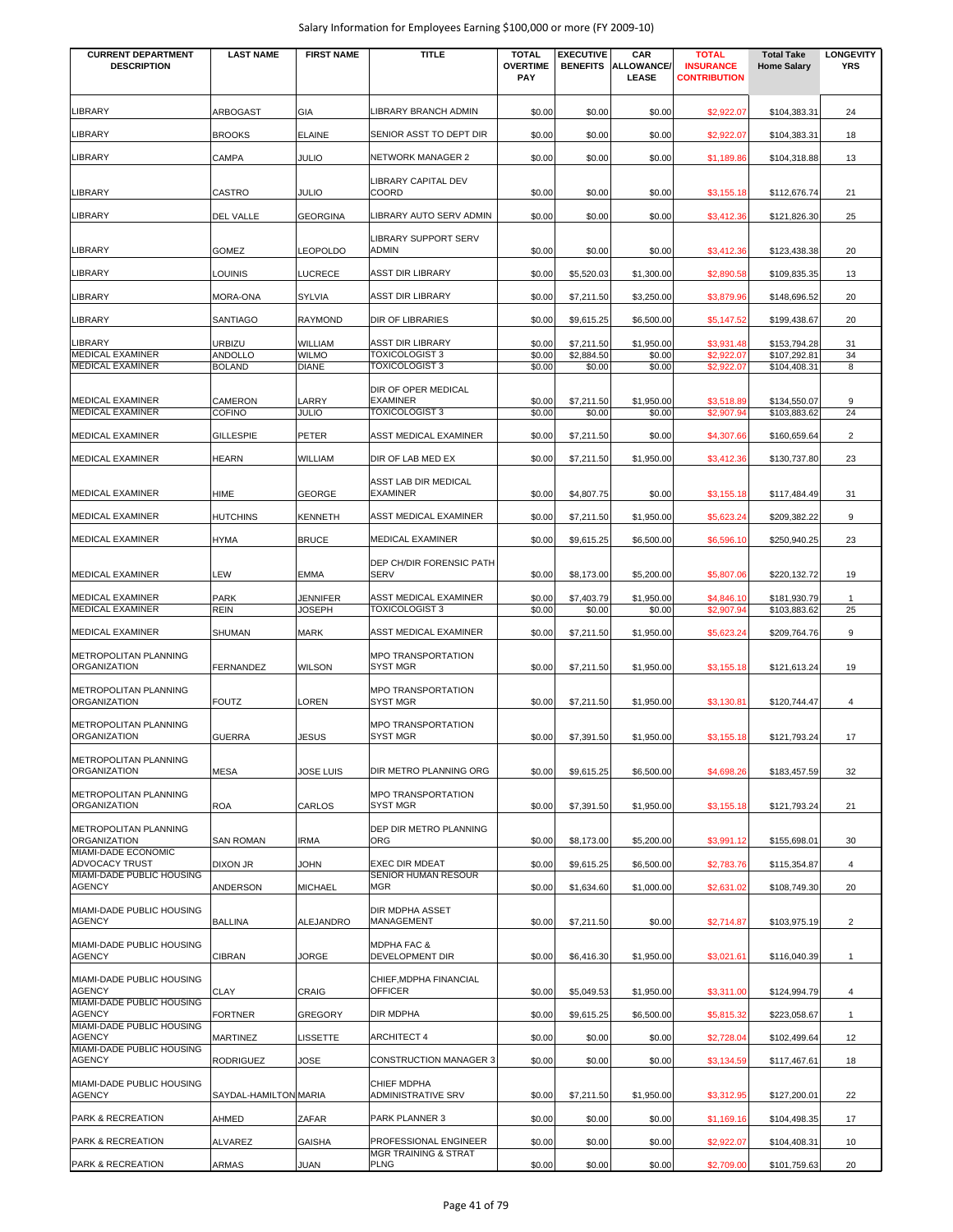| <b>CURRENT DEPARTMENT</b><br><b>DESCRIPTION</b>              | <b>LAST NAME</b>      | <b>FIRST NAME</b>         | TITLE                                               | <b>TOTAL</b><br><b>OVERTIME</b><br>PAY | <b>EXECUTIVE</b><br><b>BENEFITS</b> | CAR<br><b>ALLOWANCE/</b><br>LEASE | <b>TOTAL</b><br><b>INSURANCE</b><br><b>CONTRIBUTION</b> | <b>Total Take</b><br><b>Home Salary</b> | <b>LONGEVITY</b><br>YRS |
|--------------------------------------------------------------|-----------------------|---------------------------|-----------------------------------------------------|----------------------------------------|-------------------------------------|-----------------------------------|---------------------------------------------------------|-----------------------------------------|-------------------------|
| LIBRARY                                                      | ARBOGAST              | GIA                       | LIBRARY BRANCH ADMIN                                | \$0.00                                 | \$0.00                              | \$0.00                            | \$2,922.07                                              | \$104,383.31                            | 24                      |
| LIBRARY                                                      | <b>BROOKS</b>         | <b>ELAINE</b>             | SENIOR ASST TO DEPT DIR                             | \$0.00                                 | \$0.00                              | \$0.00                            | \$2,922.07                                              | \$104,383.31                            | 18                      |
| LIBRARY                                                      | CAMPA                 | <b>JULIO</b>              | <b>NETWORK MANAGER 2</b>                            | \$0.00                                 | \$0.00                              | \$0.00                            | \$1,189.86                                              | \$104,318.88                            | 13                      |
| LIBRARY                                                      | CASTRO                | <b>JULIO</b>              | LIBRARY CAPITAL DEV<br>COORD                        | \$0.00                                 | \$0.00                              | \$0.00                            | \$3,155.18                                              | \$112,676.74                            | 21                      |
| LIBRARY                                                      | <b>DEL VALLE</b>      | <b>GEORGINA</b>           | LIBRARY AUTO SERV ADMIN                             | \$0.00                                 | \$0.00                              | \$0.00                            | \$3,412.36                                              | \$121,826.30                            | 25                      |
| LIBRARY                                                      | GOMEZ                 | LEOPOLDO                  | LIBRARY SUPPORT SERV<br>ADMIN                       | \$0.00                                 | \$0.00                              | \$0.00                            | \$3,412.36                                              | \$123,438.38                            | 20                      |
| LIBRARY                                                      | LOUINIS               | <b>LUCRECE</b>            | <b>ASST DIR LIBRARY</b>                             | \$0.00                                 | \$5,520.03                          | \$1,300.00                        | \$2,890.58                                              | \$109,835.35                            | 13                      |
| LIBRARY                                                      | MORA-ONA              | <b>SYLVIA</b>             | ASST DIR LIBRARY                                    | \$0.00                                 | \$7,211.50                          | \$3,250.00                        | \$3,879.96                                              | \$148,696.52                            | 20                      |
| LIBRARY                                                      | SANTIAGO              | <b>RAYMOND</b>            | <b>DIR OF LIBRARIES</b>                             | \$0.00                                 |                                     |                                   |                                                         |                                         | 20                      |
|                                                              |                       |                           |                                                     |                                        | \$9,615.25                          | \$6,500.00                        | \$5,147.52                                              | \$199,438.67                            |                         |
| LIBRARY<br><b>MEDICAL EXAMINER</b>                           | URBIZU<br>ANDOLLO     | WILLIAM<br><b>WILMO</b>   | ASST DIR LIBRARY<br><b>TOXICOLOGIST 3</b>           | \$0.00<br>\$0.00                       | \$7,211.50<br>\$2,884.50            | \$1,950.00<br>\$0.00              | \$3,931.48<br>\$2,922.07                                | \$153,794.28<br>\$107,292.81            | 31<br>34                |
| <b>MEDICAL EXAMINER</b>                                      | <b>BOLAND</b>         | <b>DIANE</b>              | TOXICOLOGIST 3                                      | \$0.00                                 | \$0.00                              | \$0.00                            | \$2,922.07                                              | \$104,408.31                            | 8                       |
| <b>MEDICAL EXAMINER</b>                                      | CAMERON               | LARRY                     | DIR OF OPER MEDICAL<br><b>EXAMINER</b>              | \$0.00                                 | \$7,211.50                          | \$1,950.00                        | \$3,518.89                                              | \$134,550.07                            | 9                       |
| MEDICAL EXAMINER                                             | <b>COFINO</b>         | <b>JULIO</b>              | TOXICOLOGIST 3                                      | \$0.00                                 | \$0.00                              | \$0.00                            | \$2,907.94                                              | \$103,883.62                            | 24                      |
| <b>MEDICAL EXAMINER</b>                                      | GILLESPIE             | PETER                     | ASST MEDICAL EXAMINER                               | \$0.00                                 | \$7,211.50                          | \$0.00                            | \$4,307.66                                              | \$160,659.64                            | $\overline{2}$          |
| MEDICAL EXAMINER                                             | HEARN                 | <b>WILLIAM</b>            | DIR OF LAB MED EX                                   | \$0.00                                 | \$7,211.50                          | \$1,950.00                        | \$3,412.36                                              | \$130,737.80                            | 23                      |
| <b>MEDICAL EXAMINER</b>                                      | HIME                  | <b>GEORGE</b>             | <b>ASST LAB DIR MEDICAL</b><br><b>EXAMINER</b>      | \$0.00                                 | \$4,807.75                          | \$0.00                            | \$3,155.18                                              | \$117,484.49                            | 31                      |
| <b>MEDICAL EXAMINER</b>                                      | <b>HUTCHINS</b>       | <b>KENNETH</b>            | ASST MEDICAL EXAMINER                               | \$0.00                                 | \$7,211.50                          | \$1,950.00                        | \$5,623.24                                              | \$209,382.22                            | 9                       |
| <b>MEDICAL EXAMINER</b>                                      | HYMA                  | <b>BRUCE</b>              | <b>MEDICAL EXAMINER</b>                             | \$0.00                                 | \$9,615.25                          | \$6,500.00                        | \$6,596.10                                              | \$250,940.25                            | 23                      |
|                                                              |                       |                           | DEP CH/DIR FORENSIC PATH                            |                                        |                                     |                                   |                                                         |                                         |                         |
| <b>MEDICAL EXAMINER</b>                                      | LEW                   | <b>EMMA</b>               | SERV                                                | \$0.00                                 | \$8,173.00                          | \$5,200.00                        | \$5,807.06                                              | \$220,132.72                            | 19                      |
| <b>MEDICAL EXAMINER</b><br><b>MEDICAL EXAMINER</b>           | PARK<br>REIN          | <b>JENNIFER</b><br>JOSEPH | ASST MEDICAL EXAMINER<br><b>TOXICOLOGIST 3</b>      | \$0.00<br>\$0.00                       | \$7,403.79<br>\$0.00                | \$1,950.00<br>\$0.00              | \$4,846.10<br>\$2,907.94                                | \$181,930.79<br>\$103,883.62            | $\mathbf{1}$<br>25      |
| <b>MEDICAL EXAMINER</b>                                      | SHUMAN                | MARK                      | ASST MEDICAL EXAMINER                               | \$0.00                                 | \$7,211.50                          | \$1,950.00                        | \$5,623.24                                              | \$209,764.76                            | 9                       |
| METROPOLITAN PLANNING<br><b>ORGANIZATION</b>                 | FERNANDEZ             | <b>WILSON</b>             | <b>MPO TRANSPORTATION</b><br><b>SYST MGR</b>        | \$0.00                                 | \$7,211.50                          | \$1,950.00                        | \$3,155.18                                              | \$121,613.24                            | 19                      |
| METROPOLITAN PLANNING<br>ORGANIZATION                        | <b>FOUTZ</b>          | LOREN                     | MPO TRANSPORTATION<br><b>SYST MGR</b>               | \$0.00                                 | \$7,211.50                          | \$1,950.00                        | \$3,130.8                                               | \$120,744.47                            | 4                       |
| <b>METROPOLITAN PLANNING</b><br><b>ORGANIZATION</b>          | <b>GUERRA</b>         | JESUS                     | MPO TRANSPORTATION<br><b>SYST MGR</b>               | \$0.00                                 | \$7,391.50                          | \$1,950.00                        | \$3,155.18                                              | \$121,793.24                            | 17                      |
| METROPOLITAN PLANNING<br><b>ORGANIZATION</b>                 | MESA                  | <b>JOSE LUIS</b>          | DIR METRO PLANNING ORG                              | \$0.00                                 | \$9,615.25                          | \$6,500.00                        | \$4,698.26                                              | \$183,457.59                            | 32                      |
| METROPOLITAN PLANNING                                        |                       |                           | <b>MPO TRANSPORTATION</b>                           |                                        |                                     |                                   |                                                         |                                         |                         |
| ORGANIZATION                                                 | ROA                   | CARLOS                    | <b>SYST MGR</b>                                     | \$0.00                                 | \$7,391.50                          | \$1,950.00                        | \$3,155.18                                              | \$121,793.24                            | 21                      |
| METROPOLITAN PLANNING<br>ORGANIZATION<br>MIAMI-DADE ECONOMIC | <b>SAN ROMAN</b>      | <b>IRMA</b>               | DEP DIR METRO PLANNING<br>ORG                       | \$0.00                                 | \$8,173.00                          | \$5,200.00                        | \$3,991.12                                              | \$155,698.01                            | 30                      |
| ADVOCACY TRUST<br>MIAMI-DADE PUBLIC HOUSING                  | DIXON JR              | <b>JOHN</b>               | <b>EXEC DIR MDEAT</b><br><b>SENIOR HUMAN RESOUR</b> | \$0.00                                 | \$9,615.25                          | \$6,500.00                        | \$2,783.76                                              | \$115,354.87                            | 4                       |
| <b>AGENCY</b>                                                | ANDERSON              | <b>MICHAEL</b>            | MGR                                                 | \$0.00                                 | \$1,634.60                          | \$1,000.00                        | \$2,631.02                                              | \$108,749.30                            | 20                      |
| MIAMI-DADE PUBLIC HOUSING<br><b>AGENCY</b>                   | BALLINA               | ALEJANDRO                 | DIR MDPHA ASSET<br>MANAGEMENT                       | \$0.00                                 | \$7,211.50                          | \$0.00                            | \$2,714.87                                              | \$103,975.19                            | $\overline{2}$          |
| MIAMI-DADE PUBLIC HOUSING<br><b>AGENCY</b>                   | CIBRAN                | JORGE                     | MDPHA FAC &<br>DEVELOPMENT DIR                      | \$0.00                                 | \$6,416.30                          | \$1,950.00                        | \$3,021.61                                              | \$116,040.39                            | $\mathbf{1}$            |
| MIAMI-DADE PUBLIC HOUSING<br><b>AGENCY</b>                   |                       |                           | CHIEF, MDPHA FINANCIAL<br><b>OFFICER</b>            | \$0.00                                 |                                     |                                   |                                                         |                                         |                         |
| MIAMI-DADE PUBLIC HOUSING                                    | CLAY                  | CRAIG                     |                                                     |                                        | \$5,049.53                          | \$1,950.00                        | \$3,311.00                                              | \$124,994.79                            | 4                       |
| <b>AGENCY</b><br>MIAMI-DADE PUBLIC HOUSING                   | FORTNER               | <b>GREGORY</b>            | DIR MDPHA                                           | \$0.00                                 | \$9,615.25                          | \$6,500.00                        | \$5,815.32                                              | \$223,058.67                            | $\mathbf{1}$            |
| <b>AGENCY</b><br>MIAMI-DADE PUBLIC HOUSING                   | MARTINEZ              | <b>LISSETTE</b>           | <b>ARCHITECT 4</b>                                  | \$0.00                                 | \$0.00                              | \$0.00                            | \$2,728.04                                              | \$102,499.64                            | 12                      |
| <b>AGENCY</b>                                                | RODRIGUEZ             | JOSE                      | <b>CONSTRUCTION MANAGER 3</b>                       | \$0.00                                 | \$0.00                              | \$0.00                            | \$3,134.59                                              | \$117,467.61                            | 18                      |
| MIAMI-DADE PUBLIC HOUSING<br>AGENCY                          | SAYDAL-HAMILTON MARIA |                           | CHIEF MDPHA<br>ADMINISTRATIVE SRV                   | \$0.00                                 | \$7,211.50                          | \$1,950.00                        | \$3,312.95                                              | \$127,200.01                            | 22                      |
| PARK & RECREATION                                            | AHMED                 | ZAFAR                     | PARK PLANNER 3                                      | \$0.00                                 | \$0.00                              | \$0.00                            | \$1,169.16                                              | \$104,498.35                            | 17                      |
| <b>PARK &amp; RECREATION</b>                                 | ALVAREZ               | <b>GAISHA</b>             | PROFESSIONAL ENGINEER                               | \$0.00                                 | \$0.00                              | \$0.00                            | \$2,922.07                                              | \$104,408.31                            | 10                      |
| <b>PARK &amp; RECREATION</b>                                 | ARMAS                 | JUAN                      | <b>MGR TRAINING &amp; STRAT</b><br><b>PLNG</b>      | \$0.00                                 | \$0.00                              | \$0.00                            | \$2,709.00                                              | \$101,759.63                            | 20                      |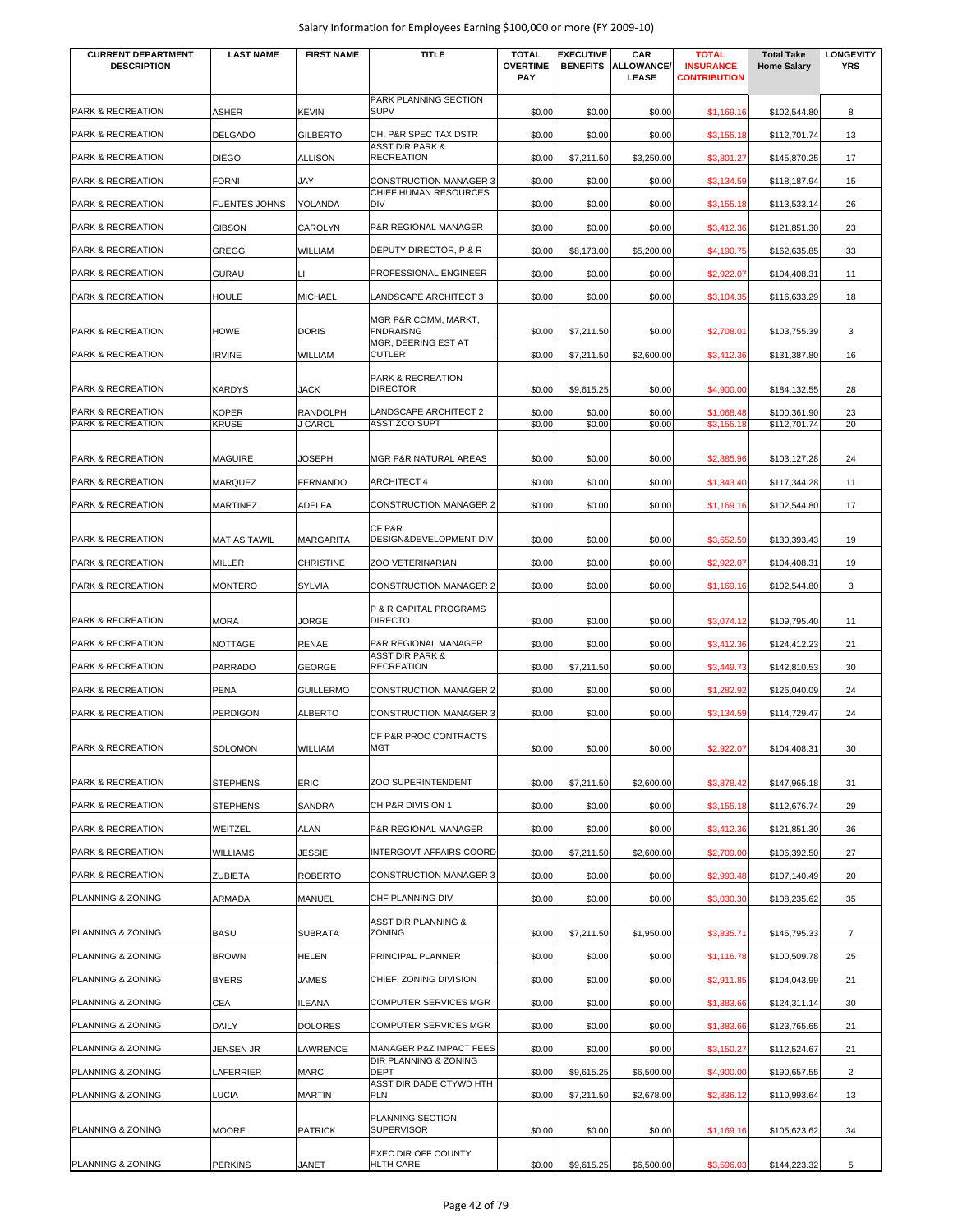| <b>CURRENT DEPARTMENT</b><br><b>DESCRIPTION</b>   | <b>LAST NAME</b>     | <b>FIRST NAME</b>          | <b>TITLE</b>                                           | <b>TOTAL</b><br><b>OVERTIME</b> | <b>EXECUTIVE</b><br><b>BENEFITS</b> | CAR<br><b>ALLOWANCE/</b> | <b>TOTAL</b><br><b>INSURANCE</b> | <b>Total Take</b><br><b>Home Salary</b> | <b>LONGEVITY</b><br><b>YRS</b> |
|---------------------------------------------------|----------------------|----------------------------|--------------------------------------------------------|---------------------------------|-------------------------------------|--------------------------|----------------------------------|-----------------------------------------|--------------------------------|
|                                                   |                      |                            |                                                        | <b>PAY</b>                      |                                     | <b>LEASE</b>             | <b>CONTRIBUTION</b>              |                                         |                                |
| <b>PARK &amp; RECREATION</b>                      | <b>ASHER</b>         | <b>KEVIN</b>               | PARK PLANNING SECTION<br><b>SUPV</b>                   | \$0.00                          | \$0.00                              | \$0.00                   | \$1,169.16                       | \$102,544.80                            | 8                              |
| PARK & RECREATION                                 | <b>DELGADO</b>       | <b>GILBERTO</b>            | CH, P&R SPEC TAX DSTR                                  | \$0.00                          | \$0.00                              | \$0.00                   | \$3,155.18                       | \$112,701.74                            | 13                             |
| PARK & RECREATION                                 | DIEGO                | <b>ALLISON</b>             | ASST DIR PARK &<br><b>RECREATION</b>                   | \$0.00                          | \$7,211.50                          | \$3,250.00               | \$3,801.27                       | \$145,870.25                            | 17                             |
| PARK & RECREATION                                 | <b>FORNI</b>         | JAY                        | <b>CONSTRUCTION MANAGER 3</b><br>CHIEF HUMAN RESOURCES | \$0.00                          | \$0.00                              | \$0.00                   | \$3,134.59                       | \$118,187.94                            | 15                             |
| PARK & RECREATION                                 | <b>FUENTES JOHNS</b> | YOLANDA                    | <b>DIV</b>                                             | \$0.00                          | \$0.00                              | \$0.00                   | \$3,155.18                       | \$113,533.14                            | 26                             |
| PARK & RECREATION                                 | <b>GIBSON</b>        | CAROLYN                    | P&R REGIONAL MANAGER                                   | \$0.00                          | \$0.00                              | \$0.00                   | \$3,412.36                       | \$121,851.30                            | 23                             |
| PARK & RECREATION                                 | GREGG                | WILLIAM                    | DEPUTY DIRECTOR, P & R                                 | \$0.00                          | \$8,173.00                          | \$5,200.00               | \$4,190.75                       | \$162,635.85                            | 33                             |
| PARK & RECREATION                                 | GURAU                | IЦ                         | PROFESSIONAL ENGINEER                                  | \$0.00                          | \$0.00                              | \$0.00                   | \$2,922.07                       | \$104,408.31                            | 11                             |
| PARK & RECREATION                                 | HOULE                | <b>MICHAEL</b>             | LANDSCAPE ARCHITECT 3                                  | \$0.00                          | \$0.00                              | \$0.00                   | \$3,104.35                       | \$116,633.29                            | 18                             |
| <b>PARK &amp; RECREATION</b>                      | HOWE                 | <b>DORIS</b>               | MGR P&R COMM, MARKT,<br><b>FNDRAISNG</b>               | \$0.00                          | \$7,211.50                          | \$0.00                   | \$2,708.01                       | \$103,755.39                            | 3                              |
| <b>PARK &amp; RECREATION</b>                      | <b>IRVINE</b>        | WILLIAM                    | MGR, DEERING EST AT<br><b>CUTLER</b>                   | \$0.00                          | \$7,211.50                          | \$2,600.00               | \$3,412.36                       | \$131,387.80                            | 16                             |
|                                                   |                      |                            | PARK & RECREATION                                      |                                 |                                     |                          |                                  |                                         |                                |
| <b>PARK &amp; RECREATION</b>                      | <b>KARDYS</b>        | JACK                       | <b>DIRECTOR</b>                                        | \$0.00                          | \$9,615.25                          | \$0.00                   | \$4,900.00                       | \$184,132.55                            | 28                             |
| <b>PARK &amp; RECREATION</b><br>PARK & RECREATION | KOPER<br>KRUSE       | <b>RANDOLPH</b><br>J CAROL | <b>LANDSCAPE ARCHITECT 2</b><br><b>ASST ZOO SUPT</b>   | \$0.00<br>\$0.00                | \$0.00<br>\$0.00                    | \$0.00<br>\$0.00         | \$1,068.48<br>\$3,155.18         | \$100,361.90<br>\$112,701.74            | 23<br>20                       |
|                                                   |                      |                            |                                                        |                                 |                                     |                          |                                  |                                         |                                |
| PARK & RECREATION<br>PARK & RECREATION            | MAGUIRE<br>MARQUEZ   | JOSEPH<br><b>FERNANDO</b>  | MGR P&R NATURAL AREAS<br><b>ARCHITECT 4</b>            | \$0.00<br>\$0.00                | \$0.00<br>\$0.00                    | \$0.00<br>\$0.00         | \$2,885.96<br>\$1,343.40         | \$103,127.28                            | 24<br>11                       |
| PARK & RECREATION                                 | MARTINEZ             | <b>ADELFA</b>              | CONSTRUCTION MANAGER 2                                 | \$0.00                          | \$0.00                              | \$0.00                   | \$1,169.16                       | \$117,344.28<br>\$102,544.80            | 17                             |
|                                                   |                      |                            | CF P&R                                                 |                                 |                                     |                          |                                  |                                         |                                |
| PARK & RECREATION                                 | <b>MATIAS TAWIL</b>  | <b>MARGARITA</b>           | DESIGN&DEVELOPMENT DIV                                 | \$0.00                          | \$0.00                              | \$0.00                   | \$3,652.59                       | \$130,393.43                            | 19                             |
| PARK & RECREATION                                 | MILLER               | <b>CHRISTINE</b>           | ZOO VETERINARIAN                                       | \$0.00                          | \$0.00                              | \$0.00                   | \$2,922.07                       | \$104,408.31                            | 19                             |
| PARK & RECREATION                                 | MONTERO              | <b>SYLVIA</b>              | <b>CONSTRUCTION MANAGER 2</b>                          | \$0.00                          | \$0.00                              | \$0.00                   | \$1,169.16                       | \$102,544.80                            | 3                              |
| <b>PARK &amp; RECREATION</b>                      | MORA                 | JORGE                      | P & R CAPITAL PROGRAMS<br><b>DIRECTO</b>               | \$0.00                          | \$0.00                              | \$0.00                   | \$3,074.12                       | \$109,795.40                            | 11                             |
| <b>PARK &amp; RECREATION</b>                      | NOTTAGE              | <b>RENAE</b>               | P&R REGIONAL MANAGER                                   | \$0.00                          | \$0.00                              | \$0.00                   | \$3,412.36                       | \$124,412.23                            | 21                             |
| <b>PARK &amp; RECREATION</b>                      | PARRADO              | <b>GEORGE</b>              | <b>ASST DIR PARK &amp;</b><br><b>RECREATION</b>        | \$0.00                          | \$7,211.50                          | \$0.00                   | \$3,449.73                       | \$142,810.53                            | 30                             |
| PARK & RECREATION                                 | PENA                 | <b>GUILLERMO</b>           | CONSTRUCTION MANAGER 2                                 | \$0.00                          | \$0.00                              | \$0.00                   | \$1,282.92                       | \$126,040.09                            | 24                             |
| PARK & RECREATION                                 | PERDIGON             | <b>ALBERTO</b>             | <b>CONSTRUCTION MANAGER 3</b>                          | \$0.00                          | \$0.00                              | \$0.00                   | \$3,134.59                       | \$114,729.47                            | 24                             |
| PARK & RECREATION                                 | SOLOMON              | <b>WILLIAM</b>             | CF P&R PROC CONTRACTS<br><b>MGT</b>                    | \$0.00                          | \$0.00                              | \$0.00                   | \$2,922.07                       | \$104,408.31                            | 30                             |
| PARK & RECREATION                                 | <b>STEPHENS</b>      | <b>ERIC</b>                | ZOO SUPERINTENDENT                                     | \$0.00                          | \$7,211.50                          | \$2,600.00               | \$3,878.42                       | \$147,965.18                            | 31                             |
| PARK & RECREATION                                 | <b>STEPHENS</b>      | SANDRA                     | CH P&R DIVISION 1                                      | \$0.00                          | \$0.00                              | \$0.00                   | \$3,155.18                       | \$112,676.74                            | 29                             |
| PARK & RECREATION                                 | WEITZEL              | ALAN                       | P&R REGIONAL MANAGER                                   | \$0.00                          | \$0.00                              | \$0.00                   | \$3,412.36                       | \$121,851.30                            | 36                             |
| PARK & RECREATION                                 | <b>WILLIAMS</b>      | JESSIE                     | <b>INTERGOVT AFFAIRS COORD</b>                         | \$0.00                          | \$7,211.50                          | \$2,600.00               | \$2,709.00                       | \$106,392.50                            | 27                             |
| PARK & RECREATION                                 | ZUBIETA              | <b>ROBERTO</b>             | <b>CONSTRUCTION MANAGER 3</b>                          | \$0.00                          | \$0.00                              | \$0.00                   | \$2,993.48                       | \$107,140.49                            | 20                             |
| PLANNING & ZONING                                 | ARMADA               | <b>MANUEL</b>              | CHF PLANNING DIV                                       | \$0.00                          | \$0.00                              | \$0.00                   | \$3,030.30                       | \$108,235.62                            | 35                             |
| PLANNING & ZONING                                 | <b>BASU</b>          | <b>SUBRATA</b>             | ASST DIR PLANNING &<br><b>ZONING</b>                   | \$0.00                          | \$7,211.50                          | \$1,950.00               | \$3,835.71                       | \$145,795.33                            | $\overline{7}$                 |
| PLANNING & ZONING                                 | <b>BROWN</b>         | <b>HELEN</b>               | PRINCIPAL PLANNER                                      | \$0.00                          | \$0.00                              | \$0.00                   | \$1,116.78                       | \$100,509.78                            | 25                             |
| PLANNING & ZONING                                 | <b>BYERS</b>         | JAMES                      | CHIEF, ZONING DIVISION                                 | \$0.00                          | \$0.00                              | \$0.00                   | \$2,911.85                       | \$104,043.99                            | 21                             |
| PLANNING & ZONING                                 | CEA                  | <b>ILEANA</b>              | COMPUTER SERVICES MGR                                  | \$0.00                          | \$0.00                              | \$0.00                   | \$1,383.66                       | \$124,311.14                            | 30                             |
| PLANNING & ZONING                                 | DAILY                | <b>DOLORES</b>             | <b>COMPUTER SERVICES MGR</b>                           | \$0.00                          | \$0.00                              | \$0.00                   | \$1,383.66                       | \$123,765.65                            | 21                             |
| PLANNING & ZONING                                 | JENSEN JR            | LAWRENCE                   | MANAGER P&Z IMPACT FEES<br>DIR PLANNING & ZONING       | \$0.00                          | \$0.00                              | \$0.00                   | \$3,150.27                       | \$112,524.67                            | 21                             |
| PLANNING & ZONING                                 | LAFERRIER            | <b>MARC</b>                | <b>DEPT</b>                                            | \$0.00                          | \$9,615.25                          | \$6,500.00               | \$4,900.00                       | \$190,657.55                            | $\overline{2}$                 |
| PLANNING & ZONING                                 | LUCIA                | <b>MARTIN</b>              | ASST DIR DADE CTYWD HTH<br><b>PLN</b>                  | \$0.00                          | \$7,211.50                          | \$2,678.00               | \$2,836.12                       | \$110,993.64                            | 13                             |
| PLANNING & ZONING                                 | <b>MOORE</b>         | <b>PATRICK</b>             | PLANNING SECTION<br><b>SUPERVISOR</b>                  | \$0.00                          | \$0.00                              | \$0.00                   | \$1,169.16                       | \$105,623.62                            | 34                             |
| PLANNING & ZONING                                 | <b>PERKINS</b>       | JANET                      | EXEC DIR OFF COUNTY<br>HLTH CARE                       | \$0.00                          | \$9,615.25                          | \$6,500.00               | \$3,596.03                       | \$144,223.32                            | 5                              |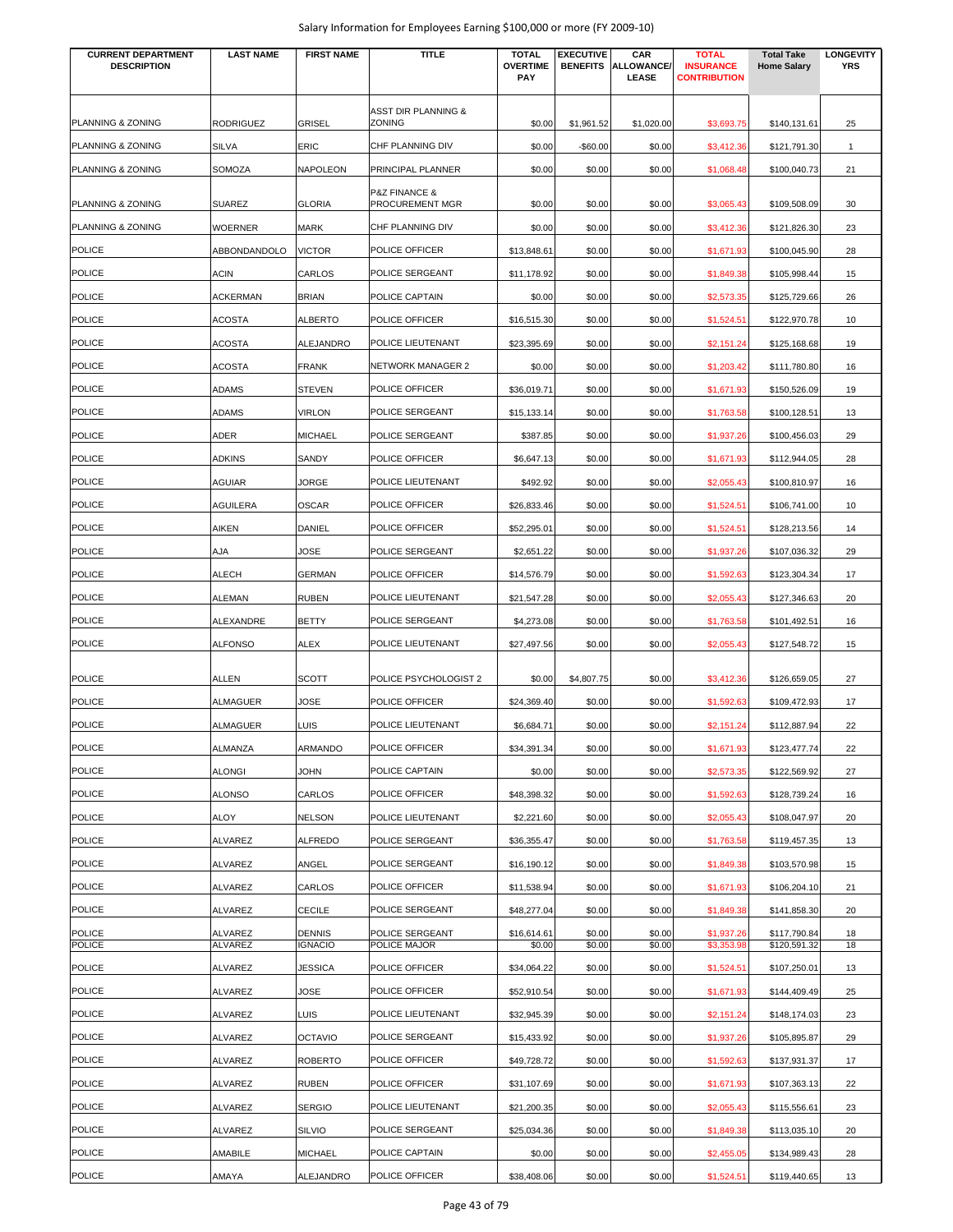| <b>CURRENT DEPARTMENT</b><br><b>DESCRIPTION</b> | <b>LAST NAME</b>   | <b>FIRST NAME</b>               | <b>TITLE</b>                                    | <b>TOTAL</b><br><b>OVERTIME</b><br>PAY | <b>EXECUTIVE</b><br><b>BENEFITS</b> | CAR<br><b>ALLOWANCE/</b><br>LEASE | <b>TOTAL</b><br><b>INSURANCE</b><br><b>CONTRIBUTION</b> | <b>Total Take</b><br><b>Home Salary</b> | <b>LONGEVITY</b><br><b>YRS</b> |
|-------------------------------------------------|--------------------|---------------------------------|-------------------------------------------------|----------------------------------------|-------------------------------------|-----------------------------------|---------------------------------------------------------|-----------------------------------------|--------------------------------|
| PLANNING & ZONING                               | RODRIGUEZ          |                                 | ASST DIR PLANNING &<br>ZONING                   | \$0.00                                 |                                     |                                   |                                                         |                                         | 25                             |
|                                                 |                    | <b>GRISEL</b>                   |                                                 |                                        | \$1,961.52                          | \$1,020.00                        | \$3,693.75                                              | \$140,131.61                            |                                |
| PLANNING & ZONING                               | SILVA              | ERIC                            | CHF PLANNING DIV                                | \$0.00                                 | $-$60.00$                           | \$0.00                            | \$3,412.36                                              | \$121,791.30                            | $\mathbf{1}$                   |
| PLANNING & ZONING                               | SOMOZA             | NAPOLEON                        | PRINCIPAL PLANNER                               | \$0.00                                 | \$0.00                              | \$0.00                            | \$1,068.48                                              | \$100,040.73                            | 21                             |
| PLANNING & ZONING                               | <b>SUAREZ</b>      | <b>GLORIA</b>                   | <b>P&amp;Z FINANCE &amp;</b><br>PROCUREMENT MGR | \$0.00                                 | \$0.00                              | \$0.00                            | \$3,065.43                                              | \$109,508.09                            | 30                             |
| PLANNING & ZONING                               | <b>WOERNER</b>     | <b>MARK</b>                     | CHF PLANNING DIV                                | \$0.00                                 | \$0.00                              | \$0.00                            | \$3,412.36                                              | \$121,826.30                            | 23                             |
| <b>POLICE</b>                                   | ABBONDANDOLO       | <b>VICTOR</b>                   | POLICE OFFICER                                  | \$13,848.61                            | \$0.00                              | \$0.00                            | \$1,671.93                                              | \$100,045.90                            | 28                             |
| <b>POLICE</b>                                   | ACIN               | <b>CARLOS</b>                   | POLICE SERGEANT                                 | \$11,178.92                            | \$0.00                              | \$0.00                            | \$1,849.38                                              | \$105,998.44                            | 15                             |
| <b>POLICE</b>                                   | ACKERMAN           | <b>BRIAN</b>                    | POLICE CAPTAIN                                  | \$0.00                                 | \$0.00                              | \$0.00                            | \$2,573.35                                              | \$125,729.66                            | 26                             |
| <b>POLICE</b>                                   | <b>ACOSTA</b>      | <b>ALBERTO</b>                  | POLICE OFFICER                                  | \$16,515.30                            | \$0.00                              | \$0.00                            | \$1,524.51                                              | \$122,970.78                            | 10                             |
| <b>POLICE</b>                                   | ACOSTA             | ALEJANDRO                       | POLICE LIEUTENANT                               | \$23,395.69                            | \$0.00                              | \$0.00                            | \$2,151.24                                              | \$125,168.68                            | 19                             |
| <b>POLICE</b>                                   | <b>ACOSTA</b>      | <b>FRANK</b>                    | <b>NETWORK MANAGER 2</b>                        | \$0.00                                 | \$0.00                              | \$0.00                            | \$1,203.42                                              | \$111,780.80                            | 16                             |
| <b>POLICE</b>                                   | ADAMS              | <b>STEVEN</b>                   | POLICE OFFICER                                  | \$36,019.71                            | \$0.00                              | \$0.00                            | \$1,671.93                                              | \$150,526.09                            | 19                             |
| <b>POLICE</b>                                   | ADAMS              | <b>VIRLON</b>                   | POLICE SERGEANT                                 | \$15,133.14                            | \$0.00                              | \$0.00                            | \$1,763.58                                              | \$100,128.51                            | 13                             |
| <b>POLICE</b>                                   | ADER               | <b>MICHAEL</b>                  | POLICE SERGEANT                                 | \$387.85                               | \$0.00                              | \$0.00                            | \$1,937.26                                              | \$100,456.03                            | 29                             |
| <b>POLICE</b>                                   | ADKINS             | SANDY                           | POLICE OFFICER                                  | \$6,647.13                             | \$0.00                              | \$0.00                            | \$1,671.93                                              | \$112,944.05                            | 28                             |
| <b>POLICE</b>                                   | AGUIAR             | JORGE                           | POLICE LIEUTENANT                               | \$492.92                               | \$0.00                              | \$0.00                            | \$2,055.43                                              | \$100,810.97                            | 16                             |
| <b>POLICE</b>                                   | <b>AGUILERA</b>    | <b>OSCAR</b>                    | POLICE OFFICER                                  | \$26,833.46                            | \$0.00                              | \$0.00                            | \$1,524.51                                              | \$106,741.00                            | 10                             |
| <b>POLICE</b>                                   | AIKEN              | DANIEL                          | POLICE OFFICER                                  | \$52,295.01                            | \$0.00                              | \$0.00                            | \$1,524.51                                              | \$128,213.56                            | 14                             |
| <b>POLICE</b>                                   | AJA                | JOSE                            | POLICE SERGEANT                                 | \$2,651.22                             | \$0.00                              | \$0.00                            | \$1,937.26                                              | \$107,036.32                            | 29                             |
| <b>POLICE</b>                                   | ALECH              | <b>GERMAN</b>                   | POLICE OFFICER                                  | \$14,576.79                            | \$0.00                              | \$0.00                            | \$1,592.63                                              | \$123,304.34                            | 17                             |
| <b>POLICE</b>                                   | ALEMAN             | <b>RUBEN</b>                    | POLICE LIEUTENANT                               | \$21,547.28                            | \$0.00                              | \$0.00                            | \$2,055.43                                              | \$127,346.63                            | 20                             |
| <b>POLICE</b>                                   | ALEXANDRE          | <b>BETTY</b>                    | POLICE SERGEANT                                 | \$4,273.08                             | \$0.00                              | \$0.00                            | \$1,763.58                                              | \$101,492.51                            | 16                             |
| <b>POLICE</b>                                   | <b>ALFONSO</b>     | ALEX                            | POLICE LIEUTENANT                               | \$27,497.56                            | \$0.00                              | \$0.00                            | \$2,055.43                                              | \$127,548.72                            | 15                             |
|                                                 |                    |                                 |                                                 |                                        |                                     |                                   |                                                         |                                         |                                |
| <b>POLICE</b>                                   | ALLEN              | <b>SCOTT</b>                    | POLICE PSYCHOLOGIST 2                           | \$0.00                                 | \$4,807.75                          | \$0.00                            | \$3,412.36                                              | \$126,659.05                            | 27                             |
| <b>POLICE</b>                                   | ALMAGUER           | JOSE                            | POLICE OFFICER                                  | \$24,369.40                            | \$0.00                              | \$0.00                            | \$1,592.63                                              | \$109,472.93                            | 17                             |
| <b>POLICE</b>                                   | ALMAGUER           | LUIS                            | POLICE LIEUTENANT                               | \$6,684.71                             | \$0.00                              | \$0.00                            | \$2,151.24                                              | \$112,887.94                            | 22                             |
| <b>POLICE</b>                                   | ALMANZA            | ARMANDO                         | POLICE OFFICER                                  | \$34,391.34                            | \$0.00                              | \$0.00                            | \$1,671.93                                              | \$123,477.74                            | 22                             |
| <b>POLICE</b>                                   | <b>ALONGI</b>      | <b>JOHN</b>                     | POLICE CAPTAIN                                  | \$0.00                                 | \$0.00                              | \$0.00                            | \$2,573.35                                              | \$122,569.92                            | 27                             |
| <b>POLICE</b>                                   | <b>ALONSO</b>      | CARLOS                          | POLICE OFFICER                                  | \$48,398.32                            | \$0.00                              | \$0.00                            | \$1,592.63                                              | \$128,739.24                            | 16                             |
| <b>POLICE</b>                                   | ALOY               | <b>NELSON</b>                   | POLICE LIEUTENANT                               | \$2,221.60                             | \$0.00                              | \$0.00                            | \$2,055.43                                              | \$108,047.97                            | 20                             |
| <b>POLICE</b>                                   | ALVAREZ            | <b>ALFREDO</b>                  | POLICE SERGEANT                                 | \$36,355.47                            | \$0.00                              | \$0.00                            | \$1,763.58                                              | \$119,457.35                            | 13                             |
| <b>POLICE</b>                                   | ALVAREZ            | ANGEL                           | POLICE SERGEANT                                 | \$16,190.12                            | \$0.00                              | \$0.00                            | \$1,849.38                                              | \$103,570.98                            | 15                             |
| <b>POLICE</b>                                   | ALVAREZ            | CARLOS                          | POLICE OFFICER                                  | \$11,538.94                            | \$0.00                              | \$0.00                            | \$1,671.93                                              | \$106,204.10                            | 21                             |
| POLICE                                          | ALVAREZ            | <b>CECILE</b>                   | POLICE SERGEANT                                 | \$48,277.04                            | \$0.00                              | \$0.00                            | \$1,849.38                                              | \$141,858.30                            | 20                             |
| <b>POLICE</b><br><b>POLICE</b>                  | ALVAREZ<br>ALVAREZ | <b>DENNIS</b><br><b>IGNACIO</b> | POLICE SERGEANT<br>POLICE MAJOR                 | \$16,614.61<br>\$0.00                  | \$0.00<br>\$0.00                    | \$0.00<br>\$0.00                  | \$1,937.26<br>\$3,353.98                                | \$117,790.84<br>\$120,591.32            | 18<br>18                       |
| <b>POLICE</b>                                   | ALVAREZ            | JESSICA                         | POLICE OFFICER                                  | \$34,064.22                            | \$0.00                              | \$0.00                            | \$1,524.51                                              | \$107,250.01                            | 13                             |
| <b>POLICE</b>                                   | ALVAREZ            | JOSE                            | POLICE OFFICER                                  | \$52,910.54                            | \$0.00                              | \$0.00                            | \$1,671.93                                              | \$144,409.49                            | 25                             |
| <b>POLICE</b>                                   | ALVAREZ            | LUIS                            | POLICE LIEUTENANT                               | \$32,945.39                            | \$0.00                              | \$0.00                            | \$2,151.24                                              | \$148,174.03                            | 23                             |
| <b>POLICE</b>                                   | ALVAREZ            | <b>OCTAVIO</b>                  | POLICE SERGEANT                                 | \$15,433.92                            | \$0.00                              | \$0.00                            | \$1,937.26                                              | \$105,895.87                            | 29                             |
| <b>POLICE</b>                                   | ALVAREZ            | <b>ROBERTO</b>                  | POLICE OFFICER                                  | \$49,728.72                            | \$0.00                              | \$0.00                            | \$1,592.63                                              | \$137,931.37                            | 17                             |
| <b>POLICE</b>                                   | ALVAREZ            | <b>RUBEN</b>                    | POLICE OFFICER                                  | \$31,107.69                            | \$0.00                              | \$0.00                            | \$1,671.93                                              | \$107,363.13                            | 22                             |
| <b>POLICE</b>                                   | ALVAREZ            | <b>SERGIO</b>                   | POLICE LIEUTENANT                               | \$21,200.35                            | \$0.00                              | \$0.00                            | \$2,055.43                                              | \$115,556.61                            | 23                             |
| <b>POLICE</b>                                   | ALVAREZ            | <b>SILVIO</b>                   | POLICE SERGEANT                                 | \$25,034.36                            | \$0.00                              | \$0.00                            | \$1,849.38                                              | \$113,035.10                            | 20                             |
| <b>POLICE</b>                                   | AMABILE            | <b>MICHAEL</b>                  | POLICE CAPTAIN                                  | \$0.00                                 | \$0.00                              | \$0.00                            | \$2,455.05                                              | \$134,989.43                            | 28                             |
| <b>POLICE</b>                                   | AMAYA              | ALEJANDRO                       | POLICE OFFICER                                  | \$38,408.06                            | \$0.00                              | \$0.00                            | \$1,524.51                                              | \$119,440.65                            | 13                             |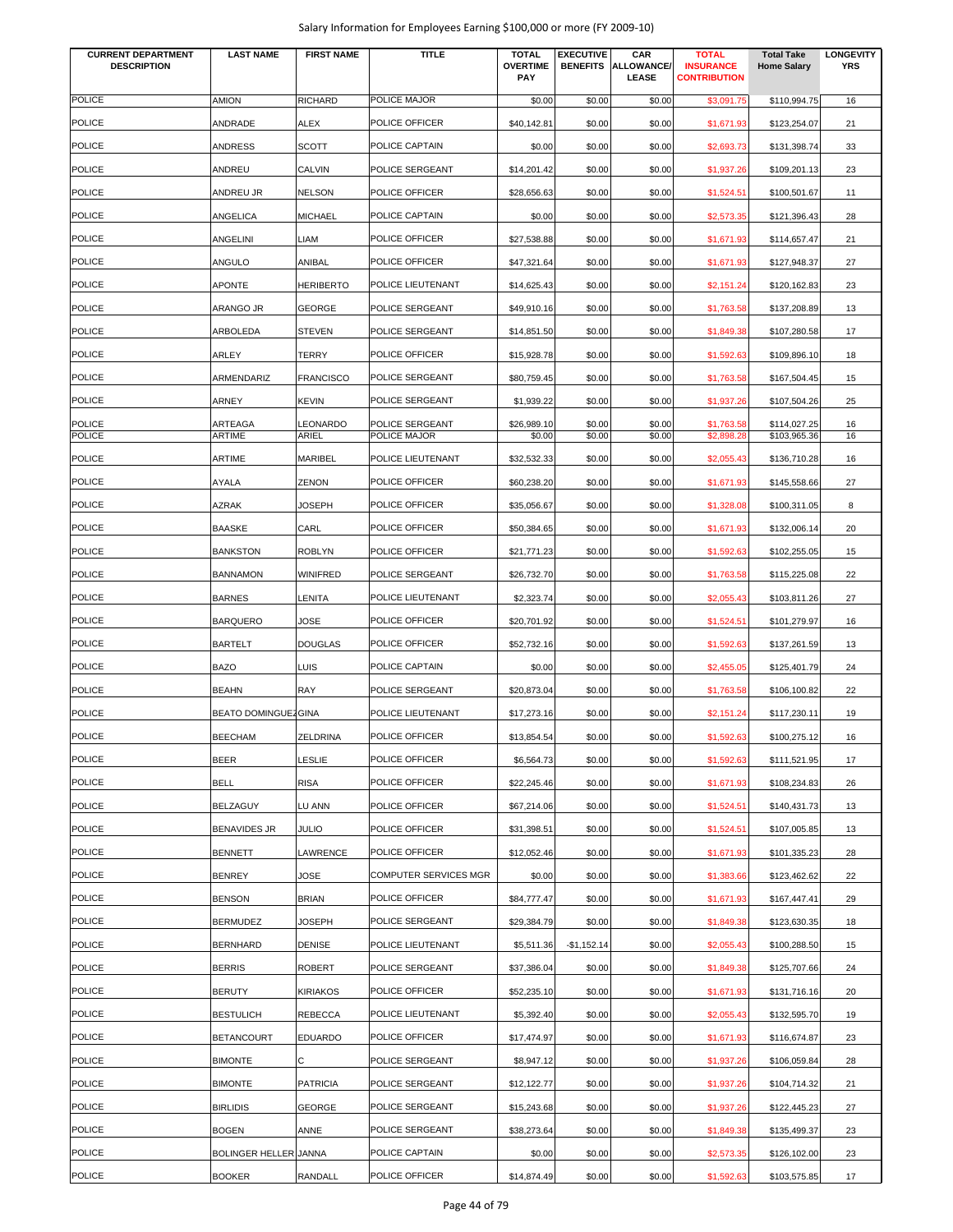| <b>CURRENT DEPARTMENT</b><br><b>DESCRIPTION</b> | <b>LAST NAME</b>      | <b>FIRST NAME</b> | <b>TITLE</b>          | <b>TOTAL</b><br><b>OVERTIME</b><br><b>PAY</b> | <b>EXECUTIVE</b> | CAR<br><b>BENEFITS ALLOWANCE/</b><br><b>LEASE</b> | <b>TOTAL</b><br><b>INSURANCE</b><br><b>CONTRIBUTION</b> | <b>Total Take</b><br><b>Home Salary</b> | <b>LONGEVITY</b><br><b>YRS</b> |
|-------------------------------------------------|-----------------------|-------------------|-----------------------|-----------------------------------------------|------------------|---------------------------------------------------|---------------------------------------------------------|-----------------------------------------|--------------------------------|
| <b>POLICE</b>                                   | <b>AMION</b>          | RICHARD           | POLICE MAJOR          | \$0.00                                        | \$0.00           | \$0.00                                            | \$3,091.75                                              | \$110,994.75                            | 16                             |
| <b>POLICE</b>                                   | ANDRADE               | ALEX              | POLICE OFFICER        | \$40,142.81                                   | \$0.00           | \$0.00                                            | \$1,671.93                                              | \$123,254.07                            | 21                             |
| <b>POLICE</b>                                   | <b>ANDRESS</b>        | <b>SCOTT</b>      | POLICE CAPTAIN        | \$0.00                                        | \$0.00           | \$0.00                                            | \$2,693.73                                              | \$131,398.74                            | 33                             |
| <b>POLICE</b>                                   | ANDREU                | CALVIN            | POLICE SERGEANT       | \$14,201.42                                   | \$0.00           | \$0.00                                            | \$1,937.26                                              | \$109,201.13                            | 23                             |
| <b>POLICE</b>                                   | ANDREU JR             | <b>NELSON</b>     | POLICE OFFICER        | \$28,656.63                                   | \$0.00           | \$0.00                                            | \$1,524.51                                              | \$100,501.67                            | 11                             |
| POLICE                                          | ANGELICA              | <b>MICHAEL</b>    | POLICE CAPTAIN        | \$0.00                                        | \$0.00           | \$0.00                                            | \$2,573.35                                              | \$121,396.43                            | 28                             |
| <b>POLICE</b>                                   | ANGELINI              | LIAM              | POLICE OFFICER        | \$27,538.88                                   | \$0.00           | \$0.00                                            | \$1,671.93                                              | \$114,657.47                            | 21                             |
| <b>POLICE</b>                                   | ANGULO                | ANIBAL            | POLICE OFFICER        | \$47,321.64                                   | \$0.00           | \$0.00                                            | \$1,671.93                                              | \$127,948.37                            | 27                             |
| <b>POLICE</b>                                   | APONTE                | <b>HERIBERTO</b>  | POLICE LIEUTENANT     | \$14,625.43                                   | \$0.00           | \$0.00                                            | \$2,151.24                                              | \$120,162.83                            | 23                             |
| <b>POLICE</b>                                   | ARANGO JR             | GEORGE            | POLICE SERGEANT       | \$49,910.16                                   | \$0.00           | \$0.00                                            | \$1,763.58                                              | \$137,208.89                            | 13                             |
| <b>POLICE</b>                                   | ARBOLEDA              | STEVEN            | POLICE SERGEANT       | \$14,851.50                                   | \$0.00           | \$0.00                                            | \$1,849.38                                              | \$107,280.58                            | 17                             |
| <b>POLICE</b>                                   | ARLEY                 | TERRY             | POLICE OFFICER        | \$15,928.78                                   | \$0.00           | \$0.00                                            | \$1,592.63                                              | \$109,896.10                            | 18                             |
| <b>POLICE</b>                                   | ARMENDARIZ            | <b>FRANCISCO</b>  | POLICE SERGEANT       | \$80,759.45                                   | \$0.00           | \$0.00                                            | \$1,763.58                                              | \$167,504.45                            | 15                             |
| <b>POLICE</b>                                   | ARNEY                 | KEVIN             | POLICE SERGEANT       | \$1,939.22                                    | \$0.00           | \$0.00                                            | \$1,937.26                                              | \$107,504.26                            | 25                             |
| <b>POLICE</b>                                   | ARTEAGA               | LEONARDO          | POLICE SERGEANT       | \$26,989.10                                   | \$0.00           | \$0.00                                            | \$1,763.58                                              | \$114.027.25                            | 16                             |
| <b>POLICE</b>                                   | <b>ARTIME</b>         | ARIEL             | POLICE MAJOR          | \$0.00                                        | \$0.00           | \$0.00                                            | \$2,898.28                                              | \$103,965.36                            | 16                             |
| <b>POLICE</b>                                   | <b>ARTIME</b>         | <b>MARIBEL</b>    | POLICE LIEUTENANT     | \$32,532.33                                   | \$0.00           | \$0.00                                            | \$2,055.43                                              | \$136,710.28                            | 16                             |
| <b>POLICE</b>                                   | AYALA                 | ZENON             | POLICE OFFICER        | \$60,238.20                                   | \$0.00           | \$0.00                                            | \$1,671.93                                              | \$145,558.66                            | 27                             |
| <b>POLICE</b>                                   | AZRAK                 | JOSEPH            | POLICE OFFICER        | \$35,056.67                                   | \$0.00           | \$0.00                                            | \$1,328.08                                              | \$100,311.05                            | 8                              |
| <b>POLICE</b>                                   | BAASKE                | CARL              | POLICE OFFICER        | \$50,384.65                                   | \$0.00           | \$0.00                                            | \$1,671.93                                              | \$132,006.14                            | 20                             |
| <b>POLICE</b>                                   | <b>BANKSTON</b>       | <b>ROBLYN</b>     | POLICE OFFICER        | \$21,771.23                                   | \$0.00           | \$0.00                                            | \$1,592.63                                              | \$102,255.05                            | 15                             |
| <b>POLICE</b>                                   | <b>BANNAMON</b>       | WINIFRED          | POLICE SERGEANT       | \$26,732.70                                   | \$0.00           | \$0.00                                            | \$1,763.58                                              | \$115,225.08                            | 22                             |
| POLICE                                          | <b>BARNES</b>         | LENITA            | POLICE LIEUTENANT     | \$2,323.74                                    | \$0.00           | \$0.00                                            | \$2,055.43                                              | \$103,811.26                            | 27                             |
| POLICE                                          | <b>BARQUERO</b>       | JOSE              | POLICE OFFICER        | \$20,701.92                                   | \$0.00           | \$0.00                                            | \$1,524.51                                              | \$101,279.97                            | 16                             |
| <b>POLICE</b>                                   | <b>BARTELT</b>        | <b>DOUGLAS</b>    | POLICE OFFICER        | \$52,732.16                                   | \$0.00           | \$0.00                                            | \$1,592.63                                              | \$137,261.59                            | 13                             |
| POLICE                                          | BAZO                  | LUIS              | POLICE CAPTAIN        | \$0.00                                        | \$0.00           | \$0.00                                            | \$2,455.05                                              | \$125,401.79                            | 24                             |
| <b>POLICE</b>                                   | <b>BEAHN</b>          | RAY               | POLICE SERGEANT       | \$20,873.04                                   | \$0.00           | \$0.00                                            | \$1,763.58                                              | \$106,100.82                            | 22                             |
| <b>POLICE</b>                                   | BEATO DOMINGUEZGINA   |                   | POLICE LIEUTENANT     | \$17,273.16                                   | \$0.00           | \$0.00                                            | \$2,151.24                                              | \$117,230.11                            | 19                             |
| <b>POLICE</b>                                   | <b>BEECHAM</b>        | ZELDRINA          | POLICE OFFICER        | \$13,854.54                                   | \$0.00           | \$0.00                                            | \$1,592.63                                              | \$100,275.12                            | 16                             |
| <b>POLICE</b>                                   | BEER                  | LESLIE            | POLICE OFFICER        | \$6,564.73                                    | \$0.00           | \$0.00                                            | \$1,592.63                                              | \$111,521.95                            | 17                             |
| <b>POLICE</b>                                   | <b>BELL</b>           | RISA              | POLICE OFFICER        | \$22,245.46                                   | \$0.00           | \$0.00                                            | \$1,671.93                                              | \$108,234.83                            | 26                             |
| <b>POLICE</b>                                   | BELZAGUY              | LU ANN            | POLICE OFFICER        | \$67,214.06                                   | \$0.00           | \$0.00                                            | \$1,524.51                                              | \$140,431.73                            | 13                             |
| <b>POLICE</b>                                   | <b>BENAVIDES JR</b>   | JULIO             | POLICE OFFICER        | \$31,398.51                                   | \$0.00           | \$0.00                                            | \$1,524.51                                              | \$107,005.85                            | 13                             |
| <b>POLICE</b>                                   | <b>BENNETT</b>        | LAWRENCE          | POLICE OFFICER        | \$12,052.46                                   | \$0.00           | \$0.00                                            | \$1,671.93                                              | \$101,335.23                            | 28                             |
| <b>POLICE</b>                                   | <b>BENREY</b>         | JOSE              | COMPUTER SERVICES MGR | \$0.00                                        | \$0.00           | \$0.00                                            | \$1,383.66                                              | \$123,462.62                            | 22                             |
| <b>POLICE</b>                                   | <b>BENSON</b>         | <b>BRIAN</b>      | POLICE OFFICER        | \$84,777.47                                   | \$0.00           | \$0.00                                            | \$1,671.93                                              | \$167,447.41                            | 29                             |
| <b>POLICE</b>                                   | BERMUDEZ              | JOSEPH            | POLICE SERGEANT       | \$29,384.79                                   | \$0.00           | \$0.00                                            | \$1,849.38                                              | \$123,630.35                            | 18                             |
| <b>POLICE</b>                                   | BERNHARD              | <b>DENISE</b>     | POLICE LIEUTENANT     | \$5,511.36                                    |                  | \$0.00                                            | \$2,055.43                                              | \$100,288.50                            | 15                             |
|                                                 |                       |                   |                       |                                               | $-$1,152.14$     |                                                   |                                                         |                                         |                                |
| <b>POLICE</b>                                   | BERRIS                | ROBERT            | POLICE SERGEANT       | \$37,386.04                                   | \$0.00           | \$0.00                                            | \$1,849.38                                              | \$125,707.66                            | 24                             |
| <b>POLICE</b>                                   | BERUTY                | KIRIAKOS          | POLICE OFFICER        | \$52,235.10                                   | \$0.00           | \$0.00                                            | \$1,671.93                                              | \$131,716.16                            | 20                             |
| <b>POLICE</b>                                   | BESTULICH             | REBECCA           | POLICE LIEUTENANT     | \$5,392.40                                    | \$0.00           | \$0.00                                            | \$2,055.43                                              | \$132,595.70                            | 19                             |
| <b>POLICE</b>                                   | BETANCOURT            | EDUARDO           | POLICE OFFICER        | \$17,474.97                                   | \$0.00           | \$0.00                                            | \$1,671.93                                              | \$116,674.87                            | 23                             |
| <b>POLICE</b>                                   | <b>BIMONTE</b>        | С                 | POLICE SERGEANT       | \$8,947.12                                    | \$0.00           | \$0.00                                            | \$1,937.26                                              | \$106,059.84                            | 28                             |
| <b>POLICE</b>                                   | <b>BIMONTE</b>        | <b>PATRICIA</b>   | POLICE SERGEANT       | \$12,122.77                                   | \$0.00           | \$0.00                                            | \$1,937.26                                              | \$104,714.32                            | 21                             |
| <b>POLICE</b>                                   | <b>BIRLIDIS</b>       | GEORGE            | POLICE SERGEANT       | \$15,243.68                                   | \$0.00           | \$0.00                                            | \$1,937.26                                              | \$122,445.23                            | 27                             |
| POLICE                                          | <b>BOGEN</b>          | ANNE              | POLICE SERGEANT       | \$38,273.64                                   | \$0.00           | \$0.00                                            | \$1,849.38                                              | \$135,499.37                            | 23                             |
| <b>POLICE</b>                                   | BOLINGER HELLER JANNA |                   | POLICE CAPTAIN        | \$0.00                                        | \$0.00           | \$0.00                                            | \$2,573.35                                              | \$126,102.00                            | 23                             |
| <b>POLICE</b>                                   | <b>BOOKER</b>         | RANDALL           | POLICE OFFICER        | \$14,874.49                                   | \$0.00           | \$0.00                                            | \$1,592.63                                              | \$103,575.85                            | 17                             |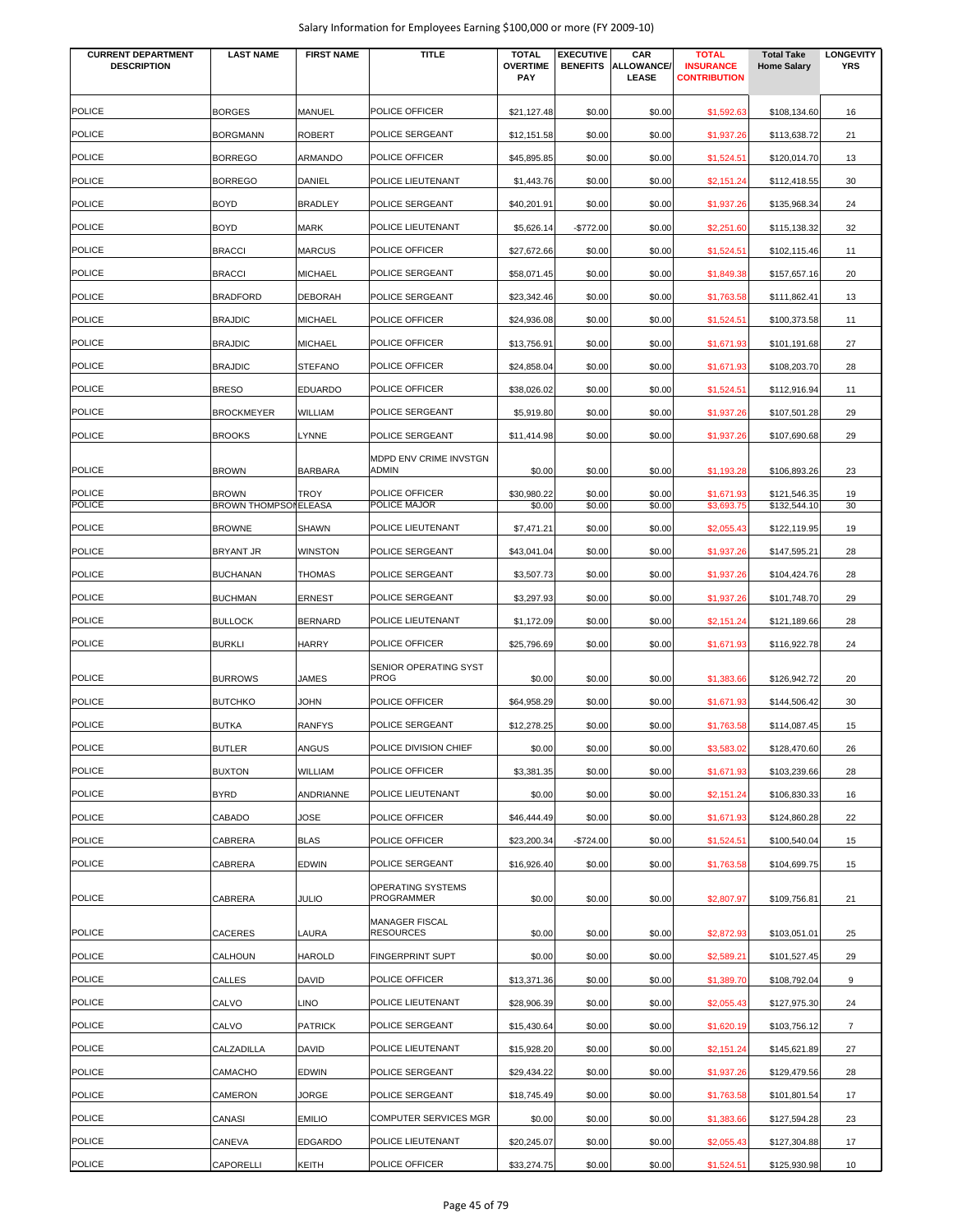| <b>CURRENT DEPARTMENT</b><br><b>DESCRIPTION</b> | <b>LAST NAME</b>             | <b>FIRST NAME</b> | TITLE                                  | <b>TOTAL</b><br><b>OVERTIME</b><br>PAY | <b>EXECUTIVE</b><br><b>BENEFITS</b> | CAR<br>ALLOWANCE/<br>LEASE | <b>TOTAL</b><br><b>INSURANCE</b><br><b>CONTRIBUTION</b> | <b>Total Take</b><br><b>Home Salary</b> | <b>LONGEVITY</b><br><b>YRS</b> |
|-------------------------------------------------|------------------------------|-------------------|----------------------------------------|----------------------------------------|-------------------------------------|----------------------------|---------------------------------------------------------|-----------------------------------------|--------------------------------|
| <b>POLICE</b>                                   | <b>BORGES</b>                | MANUEL            | POLICE OFFICER                         | \$21,127.48                            | \$0.00                              | \$0.00                     | \$1,592.63                                              | \$108,134.60                            | 16                             |
| POLICE                                          | <b>BORGMANN</b>              | <b>ROBERT</b>     | POLICE SERGEANT                        | \$12,151.58                            | \$0.00                              | \$0.00                     | \$1,937.26                                              | \$113,638.72                            | 21                             |
| <b>POLICE</b>                                   | <b>BORREGO</b>               | ARMANDO           | POLICE OFFICER                         | \$45,895.85                            | \$0.00                              | \$0.00                     | \$1,524.51                                              | \$120,014.70                            | 13                             |
| <b>POLICE</b>                                   | <b>BORREGO</b>               | <b>DANIEL</b>     | POLICE LIEUTENANT                      | \$1,443.76                             | \$0.00                              | \$0.00                     | \$2,151.24                                              | \$112,418.55                            | 30                             |
| <b>POLICE</b>                                   | <b>BOYD</b>                  | <b>BRADLEY</b>    | POLICE SERGEANT                        | \$40,201.91                            | \$0.00                              | \$0.00                     | \$1,937.26                                              | \$135,968.34                            | 24                             |
| POLICE                                          | <b>BOYD</b>                  | <b>MARK</b>       | POLICE LIEUTENANT                      | \$5,626.14                             | $-$772.00$                          | \$0.00                     | \$2,251.60                                              | \$115,138.32                            | 32                             |
| POLICE                                          | <b>BRACCI</b>                | <b>MARCUS</b>     | POLICE OFFICER                         | \$27,672.66                            | \$0.00                              | \$0.00                     | \$1,524.51                                              | \$102,115.46                            | 11                             |
| <b>POLICE</b>                                   | <b>BRACCI</b>                | <b>MICHAEL</b>    | POLICE SERGEANT                        | \$58,071.45                            | \$0.00                              | \$0.00                     | \$1,849.38                                              | \$157,657.16                            | 20                             |
| <b>POLICE</b>                                   | <b>BRADFORD</b>              | <b>DEBORAH</b>    | POLICE SERGEANT                        | \$23,342.46                            | \$0.00                              | \$0.00                     | \$1,763.58                                              | \$111,862.41                            | 13                             |
| <b>POLICE</b>                                   | <b>BRAJDIC</b>               | <b>MICHAEL</b>    | POLICE OFFICER                         | \$24,936.08                            | \$0.00                              | \$0.00                     | \$1,524.51                                              | \$100,373.58                            | 11                             |
| <b>POLICE</b>                                   | <b>BRAJDIC</b>               | <b>MICHAEL</b>    | POLICE OFFICER                         | \$13,756.91                            | \$0.00                              | \$0.00                     | \$1,671.93                                              | \$101,191.68                            | 27                             |
| <b>POLICE</b>                                   | <b>BRAJDIC</b>               | <b>STEFANO</b>    | POLICE OFFICER                         | \$24,858.04                            | \$0.00                              | \$0.00                     | \$1,671.93                                              | \$108,203.70                            | 28                             |
| <b>POLICE</b>                                   | <b>BRESO</b>                 | <b>EDUARDO</b>    | POLICE OFFICER                         | \$38,026.02                            | \$0.00                              | \$0.00                     | \$1,524.51                                              | \$112,916.94                            | 11                             |
| <b>POLICE</b>                                   | <b>BROCKMEYER</b>            | WILLIAM           | POLICE SERGEANT                        | \$5,919.80                             | \$0.00                              | \$0.00                     | \$1,937.26                                              | \$107,501.28                            | 29                             |
| <b>POLICE</b>                                   | <b>BROOKS</b>                | <b>LYNNE</b>      | POLICE SERGEANT                        | \$11,414.98                            | \$0.00                              | \$0.00                     | \$1,937.26                                              | \$107,690.68                            | 29                             |
| <b>POLICE</b>                                   | <b>BROWN</b>                 | <b>BARBARA</b>    | MDPD ENV CRIME INVSTGN<br><b>ADMIN</b> | \$0.00                                 | \$0.00                              | \$0.00                     | \$1,193.28                                              | \$106,893.26                            | 23                             |
| <b>POLICE</b>                                   | <b>BROWN</b>                 | TROY              | POLICE OFFICER                         | \$30,980.22                            | \$0.00                              | \$0.00                     | \$1,671.93                                              | \$121,546.35                            | 19                             |
| <b>POLICE</b>                                   | <b>BROWN THOMPSON ELEASA</b> |                   | POLICE MAJOR                           | \$0.00                                 | \$0.00                              | \$0.00                     | \$3,693.75                                              | \$132,544.10                            | 30                             |
| <b>POLICE</b>                                   | <b>BROWNE</b>                | <b>SHAWN</b>      | POLICE LIEUTENANT                      | \$7,471.21                             | \$0.00                              | \$0.00                     | \$2,055.43                                              | \$122,119.95                            | 19                             |
| <b>POLICE</b>                                   | BRYANT JR                    | <b>WINSTON</b>    | POLICE SERGEANT                        | \$43,041.04                            | \$0.00                              | \$0.00                     | \$1,937.26                                              | \$147,595.21                            | 28                             |
| <b>POLICE</b>                                   | <b>BUCHANAN</b>              | <b>THOMAS</b>     | POLICE SERGEANT                        | \$3,507.73                             | \$0.00                              | \$0.00                     | \$1,937.26                                              | \$104,424.76                            | 28                             |
| <b>POLICE</b>                                   | <b>BUCHMAN</b>               | <b>ERNEST</b>     | POLICE SERGEANT                        | \$3,297.93                             | \$0.00                              | \$0.00                     | \$1,937.26                                              | \$101,748.70                            | 29                             |
| <b>POLICE</b>                                   | <b>BULLOCK</b>               | <b>BERNARD</b>    | POLICE LIEUTENANT                      | \$1,172.09                             | \$0.00                              | \$0.00                     | \$2,151.24                                              | \$121,189.66                            | 28                             |
| <b>POLICE</b>                                   | <b>BURKLI</b>                | <b>HARRY</b>      | POLICE OFFICER                         | \$25,796.69                            | \$0.00                              | \$0.00                     | \$1,671.93                                              | \$116,922.78                            | 24                             |
| <b>POLICE</b>                                   | <b>BURROWS</b>               | JAMES             | SENIOR OPERATING SYST<br><b>PROG</b>   | \$0.00                                 | \$0.00                              | \$0.00                     | \$1,383.66                                              | \$126,942.72                            | 20                             |
| POLICE                                          | <b>BUTCHKO</b>               | JOHN              | POLICE OFFICER                         | \$64,958.29                            | \$0.00                              | \$0.00                     | \$1,671.93                                              | \$144,506.42                            | 30                             |
| <b>POLICE</b>                                   | <b>BUTKA</b>                 | <b>RANFYS</b>     | POLICE SERGEANT                        | \$12,278.25                            | \$0.00                              | \$0.00                     | \$1,763.58                                              | \$114,087.45                            | 15                             |
| <b>POLICE</b>                                   | <b>BUTLER</b>                | <b>ANGUS</b>      | POLICE DIVISION CHIEF                  | \$0.00                                 | \$0.00                              | \$0.00                     | \$3,583.02                                              | \$128,470.60                            | 26                             |
| <b>POLICE</b>                                   | <b>BUXTON</b>                | <b>WILLIAM</b>    | POLICE OFFICER                         | \$3,381.35                             | \$0.00                              | \$0.00                     | \$1,671.93                                              | \$103,239.66                            | 28                             |
| <b>POLICE</b>                                   | <b>BYRD</b>                  | <b>ANDRIANNE</b>  | POLICE LIEUTENANT                      | \$0.00                                 | \$0.00                              | \$0.00                     | \$2,151.24                                              | \$106,830.33                            | 16                             |
| <b>POLICE</b>                                   | CABADO                       | JOSE              | POLICE OFFICER                         | \$46,444.49                            | \$0.00                              | \$0.00                     | \$1,671.93                                              | \$124,860.28                            | 22                             |
| <b>POLICE</b>                                   | CABRERA                      | <b>BLAS</b>       | POLICE OFFICER                         | \$23,200.34                            | $-$724.00$                          | \$0.00                     | \$1,524.51                                              | \$100,540.04                            | 15                             |
| <b>POLICE</b>                                   | CABRERA                      | <b>EDWIN</b>      | POLICE SERGEANT                        | \$16,926.40                            | \$0.00                              | \$0.00                     | \$1,763.58                                              | \$104,699.75                            | 15                             |
| <b>POLICE</b>                                   | CABRERA                      | JULIO             | OPERATING SYSTEMS<br><b>PROGRAMMER</b> | \$0.00                                 | \$0.00                              | \$0.00                     | \$2,807.97                                              | \$109,756.81                            | 21                             |
| <b>POLICE</b>                                   | CACERES                      | LAURA             | MANAGER FISCAL<br><b>RESOURCES</b>     | \$0.00                                 | \$0.00                              | \$0.00                     | \$2,872.93                                              | \$103,051.01                            | 25                             |
| POLICE                                          | CALHOUN                      | <b>HAROLD</b>     | <b>FINGERPRINT SUPT</b>                | \$0.00                                 | \$0.00                              | \$0.00                     | \$2,589.21                                              | \$101,527.45                            | 29                             |
| POLICE                                          | CALLES                       | <b>DAVID</b>      | POLICE OFFICER                         | \$13,371.36                            | \$0.00                              | \$0.00                     | \$1,389.70                                              | \$108,792.04                            | 9                              |
| POLICE                                          | CALVO                        | <b>LINO</b>       | POLICE LIEUTENANT                      | \$28,906.39                            | \$0.00                              | \$0.00                     | \$2,055.43                                              | \$127,975.30                            | 24                             |
| <b>POLICE</b>                                   | CALVO                        | <b>PATRICK</b>    | POLICE SERGEANT                        | \$15,430.64                            | \$0.00                              | \$0.00                     | \$1,620.19                                              | \$103,756.12                            | $\overline{7}$                 |
| POLICE                                          | CALZADILLA                   | <b>DAVID</b>      | POLICE LIEUTENANT                      | \$15,928.20                            | \$0.00                              | \$0.00                     | \$2,151.24                                              | \$145,621.89                            | 27                             |
| <b>POLICE</b>                                   | CAMACHO                      | <b>EDWIN</b>      | POLICE SERGEANT                        | \$29,434.22                            | \$0.00                              | \$0.00                     | \$1,937.26                                              | \$129,479.56                            | 28                             |
| <b>POLICE</b>                                   | CAMERON                      | JORGE             | POLICE SERGEANT                        | \$18,745.49                            | \$0.00                              | \$0.00                     | \$1,763.58                                              | \$101,801.54                            | 17                             |
| <b>POLICE</b>                                   | CANASI                       | <b>EMILIO</b>     | COMPUTER SERVICES MGR                  | \$0.00                                 | \$0.00                              | \$0.00                     | \$1,383.66                                              | \$127,594.28                            | 23                             |
| <b>POLICE</b>                                   | CANEVA                       | <b>EDGARDO</b>    | POLICE LIEUTENANT                      | \$20,245.07                            | \$0.00                              | \$0.00                     | \$2,055.43                                              | \$127,304.88                            | 17                             |
| POLICE                                          | CAPORELLI                    | KEITH             | POLICE OFFICER                         | \$33,274.75                            | \$0.00                              | \$0.00                     | \$1,524.51                                              | \$125,930.98                            | 10                             |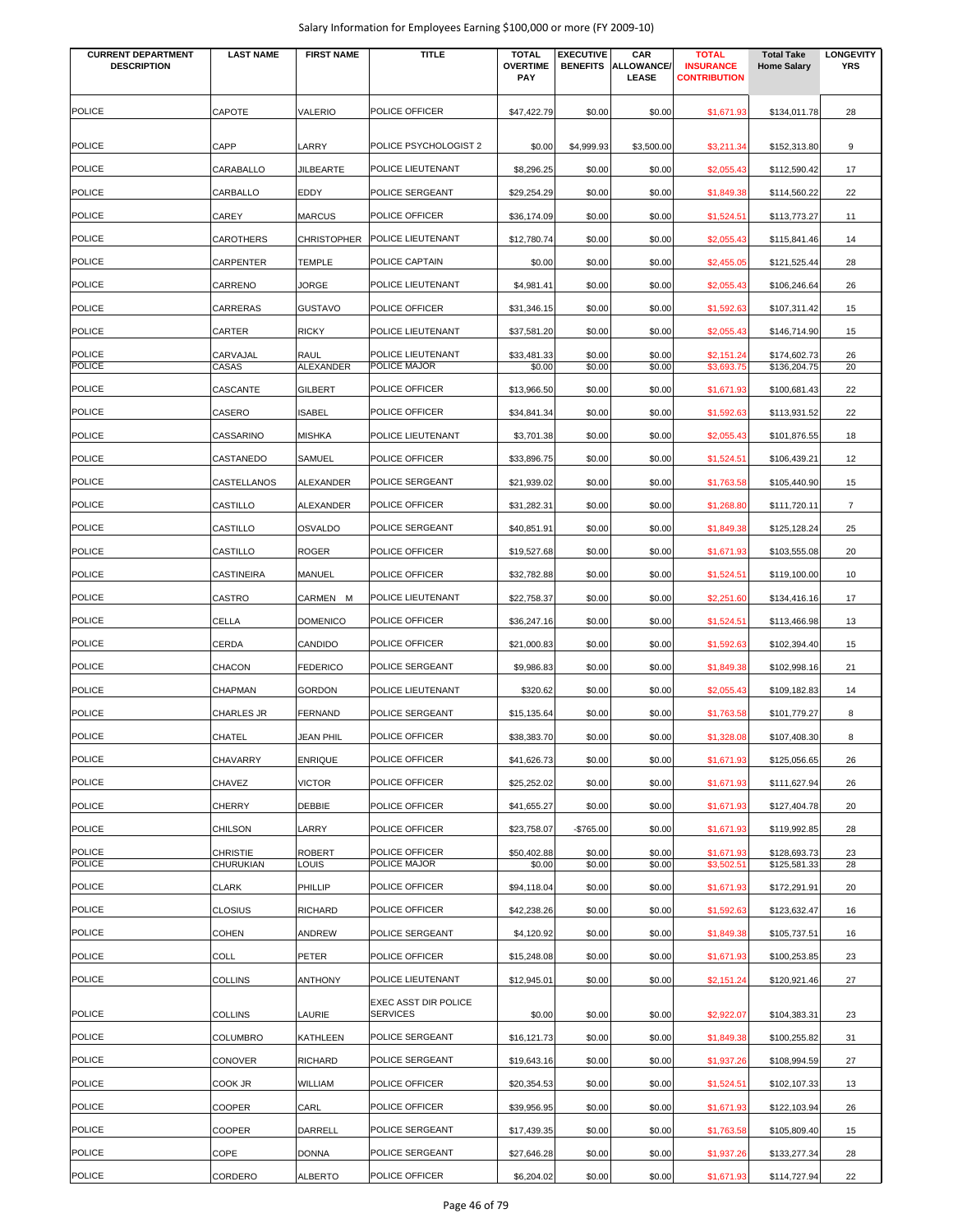| <b>CURRENT DEPARTMENT</b><br><b>DESCRIPTION</b> | <b>LAST NAME</b> | <b>FIRST NAME</b>  | <b>TITLE</b>                            | <b>TOTAL</b><br><b>OVERTIME</b><br>PAY | <b>EXECUTIVE</b><br><b>BENEFITS</b> | CAR<br><b>ALLOWANCE/</b><br>LEASE | <b>TOTAL</b><br><b>INSURANCE</b><br><b>CONTRIBUTION</b> | <b>Total Take</b><br><b>Home Salary</b> | <b>LONGEVITY</b><br><b>YRS</b> |
|-------------------------------------------------|------------------|--------------------|-----------------------------------------|----------------------------------------|-------------------------------------|-----------------------------------|---------------------------------------------------------|-----------------------------------------|--------------------------------|
| <b>POLICE</b>                                   | CAPOTE           | VALERIO            | POLICE OFFICER                          | \$47,422.79                            | \$0.00                              | \$0.00                            | \$1,671.93                                              | \$134,011.78                            | 28                             |
| <b>POLICE</b>                                   | CAPP             | LARRY              | POLICE PSYCHOLOGIST 2                   | \$0.00                                 |                                     | \$3,500.00                        |                                                         |                                         | 9                              |
| <b>POLICE</b>                                   | CARABALLO        | <b>JILBEARTE</b>   | POLICE LIEUTENANT                       | \$8,296.25                             | \$4,999.93<br>\$0.00                | \$0.00                            | \$3,211.34<br>\$2,055.43                                | \$152,313.80<br>\$112,590.42            | 17                             |
| <b>POLICE</b>                                   | CARBALLO         | EDDY               | POLICE SERGEANT                         | \$29,254.29                            | \$0.00                              | \$0.00                            | \$1,849.38                                              | \$114,560.22                            | 22                             |
| <b>POLICE</b>                                   | CAREY            | <b>MARCUS</b>      | POLICE OFFICER                          | \$36,174.09                            | \$0.00                              | \$0.00                            | \$1,524.51                                              | \$113,773.27                            | 11                             |
| <b>POLICE</b>                                   | CAROTHERS        | <b>CHRISTOPHER</b> | POLICE LIEUTENANT                       | \$12,780.74                            | \$0.00                              | \$0.00                            |                                                         |                                         | 14                             |
| <b>POLICE</b>                                   | CARPENTER        | <b>TEMPLE</b>      | POLICE CAPTAIN                          | \$0.00                                 | \$0.00                              | \$0.00                            | \$2,055.43<br>\$2,455.05                                | \$115,841.46<br>\$121,525.44            | 28                             |
| <b>POLICE</b>                                   | CARRENO          | JORGE              | POLICE LIEUTENANT                       | \$4,981.41                             | \$0.00                              | \$0.00                            |                                                         |                                         | 26                             |
| <b>POLICE</b>                                   | CARRERAS         | <b>GUSTAVO</b>     | POLICE OFFICER                          | \$31,346.15                            | \$0.00                              | \$0.00                            | \$2,055.43                                              | \$106,246.64                            |                                |
| <b>POLICE</b>                                   | CARTER           | <b>RICKY</b>       | POLICE LIEUTENANT                       | \$37,581.20                            | \$0.00                              | \$0.00                            | \$1,592.63<br>\$2,055.43                                | \$107,311.42<br>\$146,714.90            | 15<br>15                       |
| <b>POLICE</b>                                   | CARVAJAL         | <b>RAUL</b>        | POLICE LIEUTENANT                       | \$33,481.33                            | \$0.00                              | \$0.00                            | \$2,151.24                                              | \$174,602.73                            | 26                             |
| <b>POLICE</b>                                   | CASAS            | <b>ALEXANDER</b>   | POLICE MAJOR                            | \$0.00                                 | \$0.00                              | \$0.00                            | \$3,693.75                                              | \$136,204.75                            | 20                             |
| <b>POLICE</b>                                   | CASCANTE         | <b>GILBERT</b>     | POLICE OFFICER                          | \$13,966.50                            | \$0.00                              | \$0.00                            | \$1,671.93                                              | \$100,681.43                            | 22                             |
| <b>POLICE</b>                                   | CASERO           | <b>ISABEL</b>      | POLICE OFFICER                          | \$34.841.34                            | \$0.00                              | \$0.00                            | \$1,592.63                                              | \$113,931.52                            | 22                             |
| <b>POLICE</b>                                   | CASSARINO        | <b>MISHKA</b>      | POLICE LIEUTENANT                       | \$3,701.38                             | \$0.00                              | \$0.00                            | \$2,055.43                                              | \$101,876.55                            | 18                             |
| <b>POLICE</b>                                   | CASTANEDO        | SAMUEL             | POLICE OFFICER                          | \$33,896.75                            | \$0.00                              | \$0.00                            | \$1,524.51                                              | \$106,439.21                            | 12                             |
| <b>POLICE</b>                                   | CASTELLANOS      | ALEXANDER          | POLICE SERGEANT                         | \$21,939.02                            | \$0.00                              | \$0.00                            | \$1,763.58                                              | \$105,440.90                            | 15                             |
| <b>POLICE</b>                                   | CASTILLO         | ALEXANDER          | POLICE OFFICER                          | \$31,282.31                            | \$0.00                              | \$0.00                            | \$1,268.80                                              | \$111,720.11                            | $\overline{7}$                 |
| <b>POLICE</b>                                   | CASTILLO         | OSVALDO            | POLICE SERGEANT                         | \$40,851.91                            | \$0.00                              | \$0.00                            | \$1,849.38                                              | \$125,128.24                            | 25                             |
| <b>POLICE</b>                                   | CASTILLO         | <b>ROGER</b>       | POLICE OFFICER                          | \$19,527.68                            | \$0.00                              | \$0.00                            | \$1,671.93                                              | \$103,555.08                            | 20                             |
| <b>POLICE</b>                                   | CASTINEIRA       | MANUEL             | POLICE OFFICER                          | \$32,782.88                            | \$0.00                              | \$0.00                            | \$1,524.51                                              | \$119,100.00                            | 10                             |
| POLICE                                          | CASTRO           | CARMEN M           | POLICE LIEUTENANT                       | \$22,758.37                            | \$0.00                              | \$0.00                            | \$2,251.60                                              | \$134,416.16                            | 17                             |
| POLICE                                          | CELLA            | <b>DOMENICO</b>    | POLICE OFFICER                          | \$36,247.16                            | \$0.00                              | \$0.00                            | \$1,524.51                                              | \$113,466.98                            | 13                             |
| <b>POLICE</b>                                   | CERDA            | CANDIDO            | POLICE OFFICER                          | \$21,000.83                            | \$0.00                              | \$0.00                            | \$1,592.63                                              | \$102,394.40                            | 15                             |
| <b>POLICE</b>                                   | CHACON           | <b>FEDERICO</b>    | POLICE SERGEANT                         | \$9,986.83                             | \$0.00                              | \$0.00                            | \$1,849.38                                              | \$102,998.16                            | 21                             |
| <b>POLICE</b>                                   | CHAPMAN          | <b>GORDON</b>      | POLICE LIEUTENANT                       | \$320.62                               | \$0.00                              | \$0.00                            | \$2,055.43                                              | \$109,182.83                            | 14                             |
| <b>POLICE</b>                                   | CHARLES JR       | <b>FERNAND</b>     | POLICE SERGEANT                         | \$15,135.64                            | \$0.00                              | \$0.00                            | \$1,763.58                                              | \$101,779.27                            | 8                              |
| <b>POLICE</b>                                   | CHATEL           | <b>JEAN PHIL</b>   | POLICE OFFICER                          | \$38,383.70                            | \$0.00                              | \$0.00                            | \$1,328.08                                              | \$107,408.30                            | 8                              |
| POLICE                                          | CHAVARRY         | <b>ENRIQUE</b>     | POLICE OFFICER                          | \$41,626.73                            | \$0.00                              | \$0.00                            | \$1,671.93                                              | \$125,056.65                            | 26                             |
| <b>POLICE</b>                                   | CHAVEZ           | <b>VICTOR</b>      | POLICE OFFICER                          | \$25,252.02                            | \$0.00                              | \$0.00                            | \$1,671.93                                              | \$111,627.94                            | 26                             |
| <b>POLICE</b>                                   | <b>CHERRY</b>    | DEBBIE             | POLICE OFFICER                          | \$41,655.27                            | \$0.00                              | \$0.00                            | \$1,671.93                                              | \$127,404.78                            | 20                             |
| <b>POLICE</b>                                   | CHILSON          | LARRY              | POLICE OFFICER                          | \$23,758.07                            | $-$765.00$                          | \$0.00                            | \$1,671.93                                              | \$119,992.85                            | 28                             |
| <b>POLICE</b>                                   | <b>CHRISTIE</b>  | <b>ROBERT</b>      | POLICE OFFICER                          | \$50,402.88                            | \$0.00                              | \$0.00                            | \$1,671.93                                              | \$128,693.73                            | 23                             |
| <b>POLICE</b>                                   | CHURUKIAN        | <b>LOUIS</b>       | POLICE MAJOR                            | \$0.00                                 | \$0.00                              | \$0.00                            | \$3,502.51                                              | \$125,581.33                            | 28                             |
| POLICE                                          | CLARK            | PHILLIP            | POLICE OFFICER                          | \$94,118.04                            | \$0.00                              | \$0.00                            | \$1,671.93                                              | \$172,291.91                            | 20                             |
| <b>POLICE</b>                                   | <b>CLOSIUS</b>   | <b>RICHARD</b>     | POLICE OFFICER                          | \$42,238.26                            | \$0.00                              | \$0.00                            | \$1,592.63                                              | \$123,632.47                            | 16                             |
| <b>POLICE</b>                                   | <b>COHEN</b>     | ANDREW             | POLICE SERGEANT                         | \$4,120.92                             | \$0.00                              | \$0.00                            | \$1,849.38                                              | \$105,737.51                            | 16                             |
| <b>POLICE</b>                                   | COLL             | PETER              | POLICE OFFICER                          | \$15,248.08                            | \$0.00                              | \$0.00                            | \$1,671.93                                              | \$100,253.85                            | 23                             |
| <b>POLICE</b>                                   | <b>COLLINS</b>   | <b>ANTHONY</b>     | POLICE LIEUTENANT                       | \$12,945.01                            | \$0.00                              | \$0.00                            | \$2,151.24                                              | \$120,921.46                            | 27                             |
| <b>POLICE</b>                                   | <b>COLLINS</b>   | LAURIE             | EXEC ASST DIR POLICE<br><b>SERVICES</b> | \$0.00                                 | \$0.00                              | \$0.00                            | \$2,922.07                                              | \$104,383.31                            | 23                             |
| <b>POLICE</b>                                   | COLUMBRO         | KATHLEEN           | POLICE SERGEANT                         | \$16,121.73                            | \$0.00                              | \$0.00                            | \$1,849.38                                              | \$100,255.82                            | 31                             |
| <b>POLICE</b>                                   | CONOVER          | <b>RICHARD</b>     | POLICE SERGEANT                         | \$19,643.16                            | \$0.00                              | \$0.00                            | \$1,937.26                                              | \$108,994.59                            | 27                             |
| <b>POLICE</b>                                   | COOK JR          | WILLIAM            | POLICE OFFICER                          | \$20,354.53                            | \$0.00                              | \$0.00                            | \$1,524.51                                              | \$102,107.33                            | 13                             |
| <b>POLICE</b>                                   | COOPER           | CARL               | POLICE OFFICER                          | \$39,956.95                            | \$0.00                              | \$0.00                            | \$1,671.93                                              | \$122,103.94                            | 26                             |
| POLICE                                          | COOPER           | DARRELL            | POLICE SERGEANT                         | \$17,439.35                            | \$0.00                              | \$0.00                            | \$1,763.58                                              | \$105,809.40                            | 15                             |
| <b>POLICE</b>                                   | COPE             | <b>DONNA</b>       | POLICE SERGEANT                         | \$27,646.28                            | \$0.00                              | \$0.00                            | \$1,937.26                                              | \$133,277.34                            | 28                             |
| <b>POLICE</b>                                   | CORDERO          | ALBERTO            | POLICE OFFICER                          | \$6,204.02                             | \$0.00                              | \$0.00                            | \$1,671.93                                              | \$114,727.94                            | 22                             |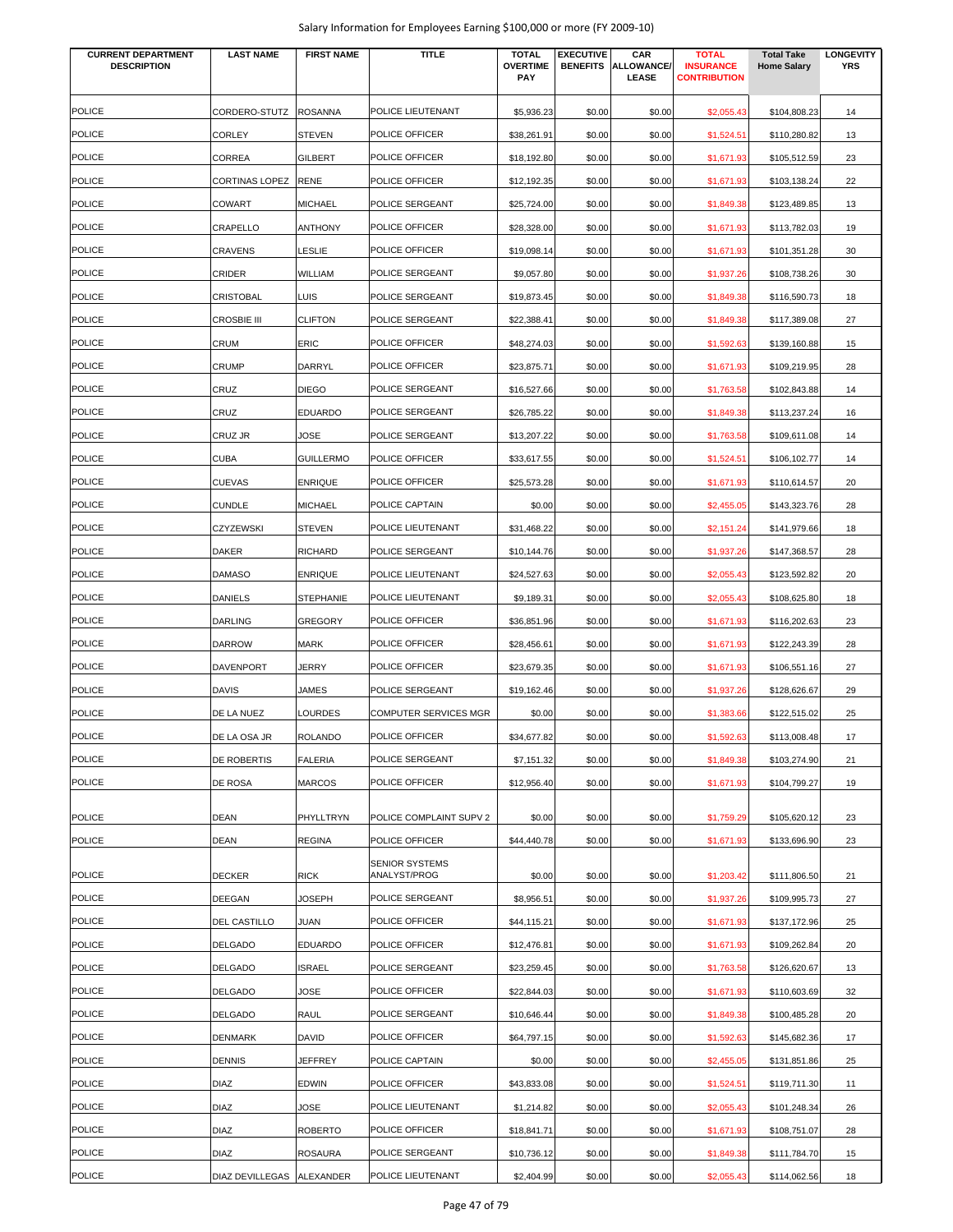|  |  |  | Salary Information for Employees Earning \$100,000 or more (FY 2009-10) |
|--|--|--|-------------------------------------------------------------------------|
|--|--|--|-------------------------------------------------------------------------|

| <b>CURRENT DEPARTMENT</b><br><b>DESCRIPTION</b> | <b>LAST NAME</b>               | <b>FIRST NAME</b>        | <b>TITLE</b>                          | <b>TOTAL</b><br><b>OVERTIME</b><br>PAY | <b>EXECUTIVE</b> | CAR<br><b>BENEFITS ALLOWANCE/</b><br>LEASE | <b>TOTAL</b><br><b>INSURANCE</b><br><b>CONTRIBUTION</b> | <b>Total Take</b><br><b>Home Salary</b> | <b>LONGEVITY</b><br><b>YRS</b> |
|-------------------------------------------------|--------------------------------|--------------------------|---------------------------------------|----------------------------------------|------------------|--------------------------------------------|---------------------------------------------------------|-----------------------------------------|--------------------------------|
|                                                 |                                |                          |                                       |                                        |                  |                                            |                                                         |                                         |                                |
| <b>POLICE</b><br><b>POLICE</b>                  | CORDERO-STUTZ<br><b>CORLEY</b> | <b>ROSANNA</b><br>STEVEN | POLICE LIEUTENANT<br>POLICE OFFICER   | \$5,936.23                             | \$0.00           | \$0.00                                     | \$2,055.43                                              | \$104,808.23                            | 14<br>13                       |
| <b>POLICE</b>                                   | CORREA                         | <b>GILBERT</b>           | <b>POLICE OFFICER</b>                 | \$38,261.91<br>\$18,192.80             | \$0.00<br>\$0.00 | \$0.00<br>\$0.00                           | \$1,524.51                                              | \$110,280.82<br>\$105,512.59            | 23                             |
| <b>POLICE</b>                                   | <b>CORTINAS LOPEZ</b>          | <b>RENE</b>              | <b>POLICE OFFICER</b>                 | \$12,192.35                            | \$0.00           | \$0.00                                     | \$1,671.93<br>\$1,671.93                                | \$103,138.24                            | 22                             |
| <b>POLICE</b>                                   | COWART                         | <b>MICHAEL</b>           | POLICE SERGEANT                       | \$25,724.00                            | \$0.00           | \$0.00                                     | \$1,849.38                                              | \$123,489.85                            | 13                             |
| <b>POLICE</b>                                   | CRAPELLO                       | <b>ANTHONY</b>           | POLICE OFFICER                        | \$28,328.00                            | \$0.00           | \$0.00                                     | \$1,671.93                                              | \$113,782.03                            | 19                             |
| <b>POLICE</b>                                   | CRAVENS                        | LESLIE                   | POLICE OFFICER                        | \$19,098.14                            | \$0.00           | \$0.00                                     | \$1,671.93                                              | \$101,351.28                            | 30                             |
| <b>POLICE</b>                                   | CRIDER                         | WILLIAM                  | POLICE SERGEANT                       | \$9,057.80                             | \$0.00           | \$0.00                                     | \$1,937.26                                              | \$108,738.26                            | 30                             |
| <b>POLICE</b>                                   | <b>CRISTOBAL</b>               | LUIS                     | POLICE SERGEANT                       | \$19,873.45                            | \$0.00           | \$0.00                                     | \$1,849.38                                              | \$116,590.73                            | 18                             |
| POLICE                                          | <b>CROSBIE III</b>             | <b>CLIFTON</b>           | POLICE SERGEANT                       | \$22,388.41                            | \$0.00           | \$0.00                                     | \$1,849.38                                              | \$117,389.08                            | 27                             |
| <b>POLICE</b>                                   | <b>CRUM</b>                    | ERIC                     | POLICE OFFICER                        | \$48,274.03                            | \$0.00           | \$0.00                                     | \$1,592.63                                              | \$139,160.88                            | 15                             |
| <b>POLICE</b>                                   | <b>CRUMP</b>                   |                          | <b>POLICE OFFICER</b>                 |                                        |                  |                                            |                                                         | \$109,219.95                            |                                |
|                                                 |                                | DARRYL                   |                                       | \$23,875.71                            | \$0.00           | \$0.00                                     | \$1,671.93                                              |                                         | 28                             |
| <b>POLICE</b>                                   | <b>CRUZ</b>                    | <b>DIEGO</b>             | POLICE SERGEANT                       | \$16,527.66                            | \$0.00           | \$0.00                                     | \$1,763.58                                              | \$102,843.88                            | 14                             |
| <b>POLICE</b>                                   | CRUZ                           | EDUARDO                  | POLICE SERGEANT                       | \$26,785.22                            | \$0.00           | \$0.00                                     | \$1,849.38                                              | \$113,237.24                            | 16                             |
| <b>POLICE</b>                                   | CRUZ JR                        | JOSE                     | POLICE SERGEANT                       | \$13,207.22                            | \$0.00           | \$0.00                                     | \$1,763.58                                              | \$109,611.08                            | 14                             |
| <b>POLICE</b>                                   | <b>CUBA</b>                    | <b>GUILLERMO</b>         | <b>POLICE OFFICER</b>                 | \$33,617.55                            | \$0.00           | \$0.00                                     | \$1,524.51                                              | \$106,102.77                            | 14                             |
| <b>POLICE</b>                                   | <b>CUEVAS</b>                  | <b>ENRIQUE</b>           | POLICE OFFICER                        | \$25,573.28                            | \$0.00           | \$0.00                                     | \$1,671.93                                              | \$110,614.57                            | 20                             |
| <b>POLICE</b>                                   | <b>CUNDLE</b>                  | MICHAEL                  | POLICE CAPTAIN                        | \$0.00                                 | \$0.00           | \$0.00                                     | \$2,455.05                                              | \$143,323.76                            | 28                             |
| <b>POLICE</b>                                   | CZYZEWSKI                      | STEVEN                   | POLICE LIEUTENANT                     | \$31,468.22                            | \$0.00           | \$0.00                                     | \$2,151.24                                              | \$141,979.66                            | 18                             |
| <b>POLICE</b>                                   | DAKER                          | <b>RICHARD</b>           | POLICE SERGEANT                       | \$10,144.76                            | \$0.00           | \$0.00                                     | \$1,937.26                                              | \$147,368.57                            | 28                             |
| <b>POLICE</b>                                   | <b>DAMASO</b>                  | <b>ENRIQUE</b>           | POLICE LIEUTENANT                     | \$24,527.63                            | \$0.00           | \$0.00                                     | \$2,055.43                                              | \$123,592.82                            | 20                             |
| <b>POLICE</b>                                   | <b>DANIELS</b>                 | STEPHANIE                | POLICE LIEUTENANT                     | \$9,189.31                             | \$0.00           | \$0.00                                     | \$2,055.43                                              | \$108,625.80                            | 18                             |
| <b>POLICE</b>                                   | <b>DARLING</b>                 | <b>GREGORY</b>           | POLICE OFFICER                        | \$36,851.96                            | \$0.00           | \$0.00                                     | \$1,671.93                                              | \$116,202.63                            | 23                             |
| <b>POLICE</b>                                   | <b>DARROW</b>                  | MARK                     | POLICE OFFICER                        | \$28,456.61                            | \$0.00           | \$0.00                                     | \$1,671.93                                              | \$122,243.39                            | 28                             |
| <b>POLICE</b>                                   | <b>DAVENPORT</b>               | JERRY                    | POLICE OFFICER                        | \$23,679.35                            | \$0.00           | \$0.00                                     | \$1,671.93                                              | \$106,551.16                            | 27                             |
| <b>POLICE</b>                                   | <b>DAVIS</b>                   | JAMES                    | POLICE SERGEANT                       | \$19,162.46                            | \$0.00           | \$0.00                                     | \$1,937.26                                              | \$128,626.67                            | 29                             |
| <b>POLICE</b>                                   | DE LA NUEZ                     | LOURDES                  | <b>COMPUTER SERVICES MGR</b>          | \$0.00                                 | \$0.00           | \$0.00                                     | \$1,383.66                                              | \$122,515.02                            | 25                             |
| <b>POLICE</b>                                   | DE LA OSA JR                   | <b>ROLANDO</b>           | POLICE OFFICER                        | \$34,677.82                            | \$0.00           | \$0.00                                     | \$1,592.63                                              | \$113,008.48                            | 17                             |
| <b>POLICE</b>                                   | DE ROBERTIS                    | <b>FALERIA</b>           | POLICE SERGEANT                       | \$7,151.32                             | \$0.00           | \$0.00                                     | \$1,849.38                                              | \$103,274.90                            | 21                             |
| <b>POLICE</b>                                   | DE ROSA                        | <b>MARCOS</b>            | POLICE OFFICER                        | \$12,956.40                            | \$0.00           | \$0.00                                     | \$1,671.93                                              | \$104,799.27                            | 19                             |
|                                                 |                                |                          |                                       |                                        |                  |                                            |                                                         |                                         |                                |
| <b>POLICE</b>                                   | <b>DEAN</b>                    | PHYLLTRYN                | POLICE COMPLAINT SUPV 2               | \$0.00                                 | \$0.00           | \$0.00                                     | \$1,759.29                                              | \$105,620.12                            | 23                             |
| <b>POLICE</b>                                   | <b>DEAN</b>                    | <b>REGINA</b>            | POLICE OFFICER                        | \$44,440.78                            | \$0.00           | \$0.00                                     | \$1,671.93                                              | \$133,696.90                            | 23                             |
| <b>POLICE</b>                                   | <b>DECKER</b>                  | <b>RICK</b>              | <b>SENIOR SYSTEMS</b><br>ANALYST/PROG | \$0.00                                 | \$0.00           | \$0.00                                     | \$1,203.42                                              | \$111,806.50                            | 21                             |
| <b>POLICE</b>                                   | <b>DEEGAN</b>                  | JOSEPH                   | POLICE SERGEANT                       | \$8,956.51                             | \$0.00           | \$0.00                                     | \$1,937.26                                              | \$109,995.73                            | 27                             |
| <b>POLICE</b>                                   | <b>DEL CASTILLO</b>            | JUAN                     | POLICE OFFICER                        | \$44,115.21                            | \$0.00           | \$0.00                                     | \$1,671.93                                              | \$137,172.96                            | 25                             |
| <b>POLICE</b>                                   | <b>DELGADO</b>                 | EDUARDO                  | POLICE OFFICER                        | \$12,476.81                            | \$0.00           | \$0.00                                     | \$1,671.93                                              | \$109,262.84                            | 20                             |
| <b>POLICE</b>                                   | <b>DELGADO</b>                 | <b>ISRAEL</b>            | POLICE SERGEANT                       | \$23,259.45                            | \$0.00           | \$0.00                                     | \$1,763.58                                              | \$126,620.67                            | 13                             |
| <b>POLICE</b>                                   | <b>DELGADO</b>                 | JOSE                     | <b>POLICE OFFICER</b>                 | \$22,844.03                            | \$0.00           | \$0.00                                     | \$1,671.93                                              | \$110,603.69                            | 32                             |
| <b>POLICE</b>                                   | <b>DELGADO</b>                 | RAUL                     | POLICE SERGEANT                       | \$10,646.44                            | \$0.00           | \$0.00                                     | \$1,849.38                                              | \$100,485.28                            | 20                             |
| <b>POLICE</b>                                   | <b>DENMARK</b>                 | DAVID                    | POLICE OFFICER                        | \$64,797.15                            | \$0.00           | \$0.00                                     | \$1,592.63                                              | \$145,682.36                            | 17                             |
| <b>POLICE</b>                                   | <b>DENNIS</b>                  | <b>JEFFREY</b>           | POLICE CAPTAIN                        | \$0.00                                 | \$0.00           | \$0.00                                     | \$2,455.05                                              | \$131,851.86                            | 25                             |
| <b>POLICE</b>                                   | <b>DIAZ</b>                    | EDWIN                    | POLICE OFFICER                        | \$43,833.08                            | \$0.00           | \$0.00                                     | \$1,524.51                                              | \$119,711.30                            | 11                             |
| <b>POLICE</b>                                   | <b>DIAZ</b>                    | JOSE                     | POLICE LIEUTENANT                     | \$1,214.82                             | \$0.00           | \$0.00                                     | \$2,055.43                                              | \$101,248.34                            | 26                             |
| <b>POLICE</b>                                   | <b>DIAZ</b>                    | <b>ROBERTO</b>           | POLICE OFFICER                        | \$18,841.71                            | \$0.00           | \$0.00                                     | \$1,671.93                                              | \$108,751.07                            | 28                             |
| <b>POLICE</b>                                   |                                |                          | POLICE SERGEANT                       |                                        |                  |                                            |                                                         |                                         |                                |
|                                                 | <b>DIAZ</b>                    | ROSAURA                  |                                       | \$10,736.12                            | \$0.00           | \$0.00                                     | \$1,849.38                                              | \$111,784.70                            | 15                             |
| <b>POLICE</b>                                   | DIAZ DEVILLEGAS ALEXANDER      |                          | POLICE LIEUTENANT                     | \$2,404.99                             | \$0.00           | \$0.00                                     | \$2,055.43                                              | \$114,062.56                            | 18                             |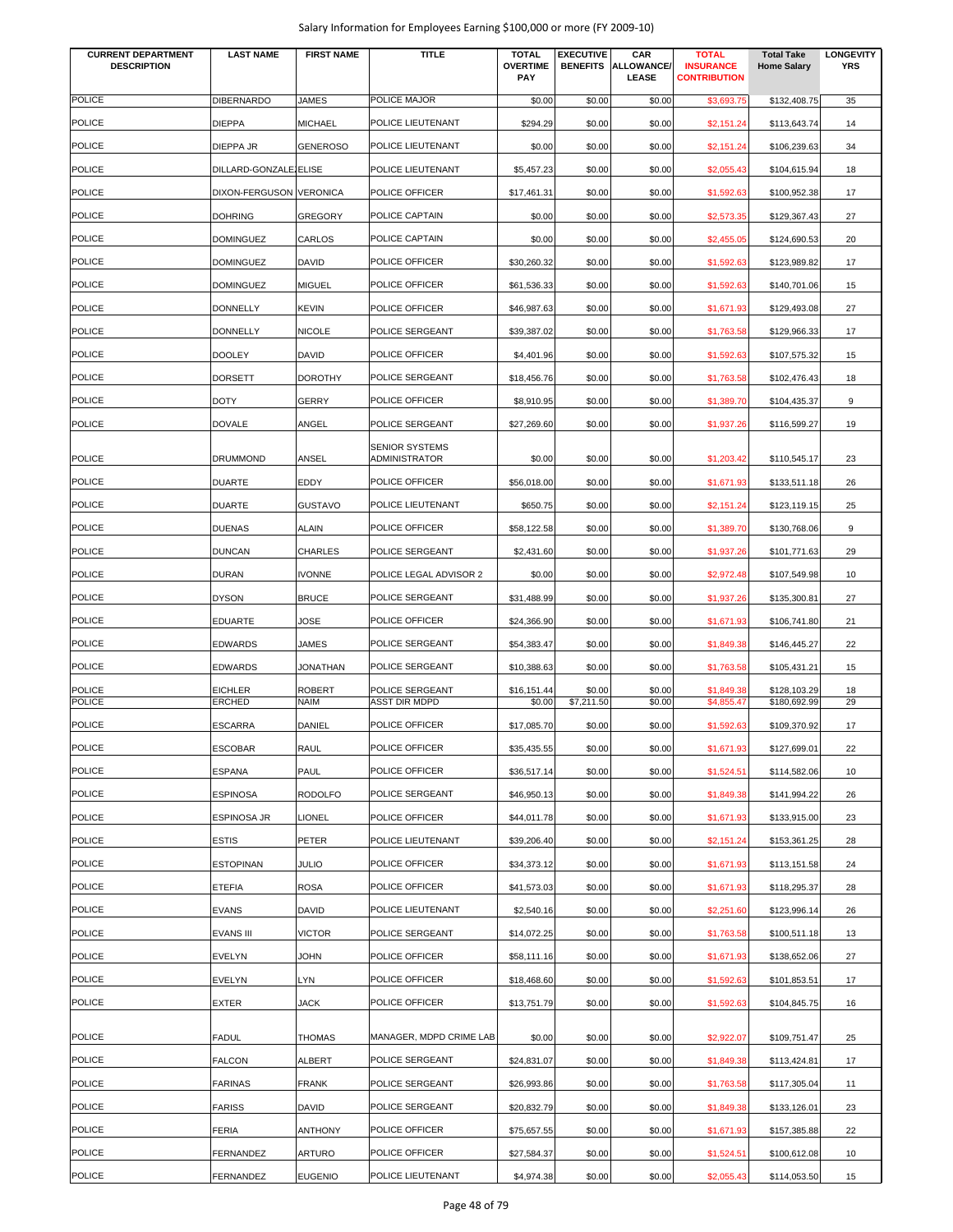| <b>CURRENT DEPARTMENT</b><br><b>DESCRIPTION</b> | <b>LAST NAME</b>        | <b>FIRST NAME</b> | <b>TITLE</b>            | <b>TOTAL</b><br><b>OVERTIME</b><br><b>PAY</b> | <b>EXECUTIVE</b> | CAR<br><b>BENEFITS ALLOWANCE/</b><br><b>LEASE</b> | <b>TOTAL</b><br><b>INSURANCE</b><br><b>CONTRIBUTION</b> | <b>Total Take</b><br><b>Home Salary</b> | <b>LONGEVITY</b><br><b>YRS</b> |
|-------------------------------------------------|-------------------------|-------------------|-------------------------|-----------------------------------------------|------------------|---------------------------------------------------|---------------------------------------------------------|-----------------------------------------|--------------------------------|
| <b>POLICE</b>                                   | <b>DIBERNARDO</b>       | <b>JAMES</b>      | POLICE MAJOR            | \$0.00                                        | \$0.00           | \$0.00                                            | \$3,693.75                                              | \$132,408.75                            | 35                             |
| <b>POLICE</b>                                   | <b>DIEPPA</b>           | <b>MICHAEL</b>    | POLICE LIEUTENANT       | \$294.29                                      | \$0.00           | \$0.00                                            | \$2,151.24                                              | \$113,643.74                            | 14                             |
| <b>POLICE</b>                                   | DIEPPA JR               | <b>GENEROSO</b>   | POLICE LIEUTENANT       | \$0.00                                        | \$0.00           | \$0.00                                            | \$2,151.24                                              | \$106,239.63                            | 34                             |
| <b>POLICE</b>                                   | DILLARD-GONZALE ELISE   |                   | POLICE LIEUTENANT       | \$5,457.23                                    | \$0.00           | \$0.00                                            | \$2,055.43                                              | \$104,615.94                            | 18                             |
| <b>POLICE</b>                                   | DIXON-FERGUSON VERONICA |                   | POLICE OFFICER          | \$17,461.31                                   | \$0.00           | \$0.00                                            | \$1,592.63                                              | \$100,952.38                            | 17                             |
| <b>POLICE</b>                                   | <b>DOHRING</b>          | <b>GREGORY</b>    | POLICE CAPTAIN          | \$0.00                                        | \$0.00           | \$0.00                                            | \$2,573.35                                              | \$129,367.43                            | 27                             |
| <b>POLICE</b>                                   | <b>DOMINGUEZ</b>        | CARLOS            | POLICE CAPTAIN          | \$0.00                                        | \$0.00           | \$0.00                                            | \$2,455.05                                              | \$124,690.53                            | 20                             |
| <b>POLICE</b>                                   | <b>DOMINGUEZ</b>        | <b>DAVID</b>      | POLICE OFFICER          | \$30,260.32                                   | \$0.00           | \$0.00                                            | \$1,592.63                                              | \$123,989.82                            | 17                             |
| <b>POLICE</b>                                   | <b>DOMINGUEZ</b>        | <b>MIGUEL</b>     | POLICE OFFICER          | \$61,536.33                                   | \$0.00           | \$0.00                                            | \$1,592.63                                              | \$140,701.06                            | 15                             |
| <b>POLICE</b>                                   | <b>DONNELLY</b>         | <b>KEVIN</b>      | POLICE OFFICER          | \$46,987.63                                   | \$0.00           | \$0.00                                            | \$1,671.93                                              | \$129,493.08                            | 27                             |
| <b>POLICE</b>                                   | <b>DONNELLY</b>         | <b>NICOLE</b>     | POLICE SERGEANT         | \$39,387.02                                   | \$0.00           | \$0.00                                            | \$1,763.58                                              | \$129,966.33                            | 17                             |
| <b>POLICE</b>                                   | <b>DOOLEY</b>           | <b>DAVID</b>      | POLICE OFFICER          | \$4,401.96                                    | \$0.00           | \$0.00                                            | \$1,592.63                                              | \$107,575.32                            | 15                             |
| <b>POLICE</b>                                   | <b>DORSETT</b>          | <b>DOROTHY</b>    | POLICE SERGEANT         | \$18,456.76                                   | \$0.00           | \$0.00                                            | \$1,763.58                                              | \$102,476.43                            | 18                             |
| <b>POLICE</b>                                   | <b>DOTY</b>             | <b>GERRY</b>      | POLICE OFFICER          | \$8,910.95                                    | \$0.00           | \$0.00                                            | \$1,389.70                                              | \$104,435.37                            | 9                              |
| <b>POLICE</b>                                   | <b>DOVALE</b>           | ANGEL             | POLICE SERGEANT         | \$27,269.60                                   | \$0.00           | \$0.00                                            | \$1,937.26                                              | \$116,599.27                            | 19                             |
|                                                 |                         |                   | <b>SENIOR SYSTEMS</b>   |                                               |                  |                                                   |                                                         |                                         |                                |
| <b>POLICE</b>                                   | <b>DRUMMOND</b>         | ANSEL             | ADMINISTRATOR           | \$0.00                                        | \$0.00           | \$0.00                                            | \$1,203.42                                              | \$110,545.17                            | 23                             |
| <b>POLICE</b>                                   | <b>DUARTE</b>           | <b>EDDY</b>       | POLICE OFFICER          | \$56,018.00                                   | \$0.00           | \$0.00                                            | \$1,671.93                                              | \$133,511.18                            | 26                             |
| <b>POLICE</b>                                   | <b>DUARTE</b>           | <b>GUSTAVO</b>    | POLICE LIEUTENANT       | \$650.75                                      | \$0.00           | \$0.00                                            | \$2,151.24                                              | \$123,119.15                            | 25                             |
| <b>POLICE</b>                                   | <b>DUENAS</b>           | <b>ALAIN</b>      | POLICE OFFICER          | \$58,122.58                                   | \$0.00           | \$0.00                                            | \$1,389.70                                              | \$130,768.06                            | 9                              |
| <b>POLICE</b>                                   | <b>DUNCAN</b>           | <b>CHARLES</b>    | POLICE SERGEANT         | \$2,431.60                                    | \$0.00           | \$0.00                                            | \$1,937.26                                              | \$101,771.63                            | 29                             |
| <b>POLICE</b>                                   | <b>DURAN</b>            | <b>IVONNE</b>     | POLICE LEGAL ADVISOR 2  | \$0.00                                        | \$0.00           | \$0.00                                            | \$2,972.48                                              | \$107,549.98                            | 10                             |
| <b>POLICE</b>                                   | <b>DYSON</b>            | <b>BRUCE</b>      | POLICE SERGEANT         | \$31,488.99                                   | \$0.00           | \$0.00                                            | \$1,937.26                                              | \$135,300.81                            | 27                             |
| <b>POLICE</b>                                   | <b>EDUARTE</b>          | <b>JOSE</b>       | POLICE OFFICER          | \$24,366.90                                   | \$0.00           | \$0.00                                            | \$1,671.93                                              | \$106,741.80                            | 21                             |
| <b>POLICE</b>                                   | <b>EDWARDS</b>          | <b>JAMES</b>      | POLICE SERGEANT         | \$54,383.47                                   | \$0.00           | \$0.00                                            | \$1,849.38                                              | \$146,445.27                            | 22                             |
| <b>POLICE</b>                                   | <b>EDWARDS</b>          | <b>JONATHAN</b>   | POLICE SERGEANT         | \$10,388.63                                   | \$0.00           | \$0.00                                            | \$1,763.58                                              | \$105,431.21                            | 15                             |
| <b>POLICE</b>                                   | <b>EICHLER</b>          | <b>ROBERT</b>     | POLICE SERGEANT         | \$16,151.44                                   | \$0.00           | \$0.00                                            | \$1,849.38                                              | \$128,103.29                            | 18                             |
| <b>POLICE</b>                                   | <b>ERCHED</b>           | <b>NAIM</b>       | <b>ASST DIR MDPD</b>    | \$0.00                                        | \$7,211.50       | \$0.00                                            | \$4.855.47                                              | \$180,692.99                            | 29                             |
| <b>POLICE</b>                                   | <b>ESCARRA</b>          | DANIEL            | POLICE OFFICER          | \$17,085.70                                   | \$0.00           | \$0.00                                            | \$1,592.63                                              | \$109,370.92                            | 17                             |
| <b>POLICE</b>                                   | <b>ESCOBAR</b>          | <b>RAUL</b>       | POLICE OFFICER          | \$35,435.55                                   | \$0.00           | \$0.00                                            | \$1,671.93                                              | \$127,699.01                            | 22                             |
| POLICE                                          | <b>ESPANA</b>           | PAUL              | POLICE OFFICER          | \$36,517.14                                   | \$0.00           | \$0.00                                            | \$1,524.51                                              | \$114,582.06                            | 10                             |
| <b>POLICE</b>                                   | <b>ESPINOSA</b>         | <b>RODOLFO</b>    | POLICE SERGEANT         | \$46,950.13                                   | \$0.00           | \$0.00                                            | \$1,849.38                                              | \$141,994.22                            | 26                             |
| <b>POLICE</b>                                   | <b>ESPINOSA JR</b>      | <b>LIONEL</b>     | POLICE OFFICER          | \$44,011.78                                   | \$0.00           | \$0.00                                            | \$1,671.93                                              | \$133,915.00                            | 23                             |
| <b>POLICE</b>                                   | <b>ESTIS</b>            | <b>PETER</b>      | POLICE LIEUTENANT       | \$39,206.40                                   | \$0.00           | \$0.00                                            | \$2,151.24                                              | \$153,361.25                            | 28                             |
| <b>POLICE</b>                                   | <b>ESTOPINAN</b>        | <b>JULIO</b>      | POLICE OFFICER          | \$34,373.12                                   | \$0.00           | \$0.00                                            | \$1,671.93                                              | \$113,151.58                            | 24                             |
| <b>POLICE</b>                                   | <b>ETEFIA</b>           | <b>ROSA</b>       | POLICE OFFICER          | \$41,573.03                                   | \$0.00           | \$0.00                                            | \$1,671.93                                              | \$118,295.37                            | 28                             |
| <b>POLICE</b>                                   | <b>EVANS</b>            | <b>DAVID</b>      | POLICE LIEUTENANT       | \$2,540.16                                    | \$0.00           | \$0.00                                            | \$2,251.60                                              | \$123,996.14                            | 26                             |
| <b>POLICE</b>                                   | <b>EVANS III</b>        | <b>VICTOR</b>     | POLICE SERGEANT         | \$14,072.25                                   | \$0.00           | \$0.00                                            | \$1,763.58                                              | \$100,511.18                            | 13                             |
| <b>POLICE</b>                                   | <b>EVELYN</b>           | <b>JOHN</b>       | POLICE OFFICER          | \$58,111.16                                   | \$0.00           | \$0.00                                            | \$1,671.93                                              | \$138,652.06                            | 27                             |
| <b>POLICE</b>                                   | <b>EVELYN</b>           | LYN               | POLICE OFFICER          | \$18,468.60                                   | \$0.00           | \$0.00                                            | \$1,592.63                                              | \$101,853.51                            | 17                             |
| <b>POLICE</b>                                   | <b>EXTER</b>            | JACK              | POLICE OFFICER          | \$13,751.79                                   | \$0.00           | \$0.00                                            | \$1,592.63                                              | \$104,845.75                            | 16                             |
| <b>POLICE</b>                                   | <b>FADUL</b>            | <b>THOMAS</b>     | MANAGER, MDPD CRIME LAB | \$0.00                                        | \$0.00           | \$0.00                                            | \$2,922.07                                              | \$109,751.47                            | 25                             |
| <b>POLICE</b>                                   | <b>FALCON</b>           | <b>ALBERT</b>     | POLICE SERGEANT         | \$24,831.07                                   | \$0.00           | \$0.00                                            | \$1,849.38                                              | \$113,424.81                            | 17                             |
| <b>POLICE</b>                                   | <b>FARINAS</b>          | <b>FRANK</b>      | POLICE SERGEANT         | \$26,993.86                                   | \$0.00           | \$0.00                                            | \$1,763.58                                              | \$117,305.04                            | 11                             |
| <b>POLICE</b>                                   | <b>FARISS</b>           | <b>DAVID</b>      | POLICE SERGEANT         | \$20,832.79                                   | \$0.00           | \$0.00                                            | \$1,849.38                                              | \$133,126.01                            | 23                             |
| <b>POLICE</b>                                   | <b>FERIA</b>            | <b>ANTHONY</b>    | POLICE OFFICER          | \$75,657.55                                   | \$0.00           | \$0.00                                            | \$1,671.93                                              | \$157,385.88                            | 22                             |
| <b>POLICE</b>                                   | FERNANDEZ               | <b>ARTURO</b>     | POLICE OFFICER          | \$27,584.37                                   | \$0.00           | \$0.00                                            | \$1,524.51                                              | \$100,612.08                            | 10                             |
| <b>POLICE</b>                                   | FERNANDEZ               | <b>EUGENIO</b>    | POLICE LIEUTENANT       | \$4,974.38                                    | \$0.00           | \$0.00                                            | \$2,055.43                                              | \$114,053.50                            | 15                             |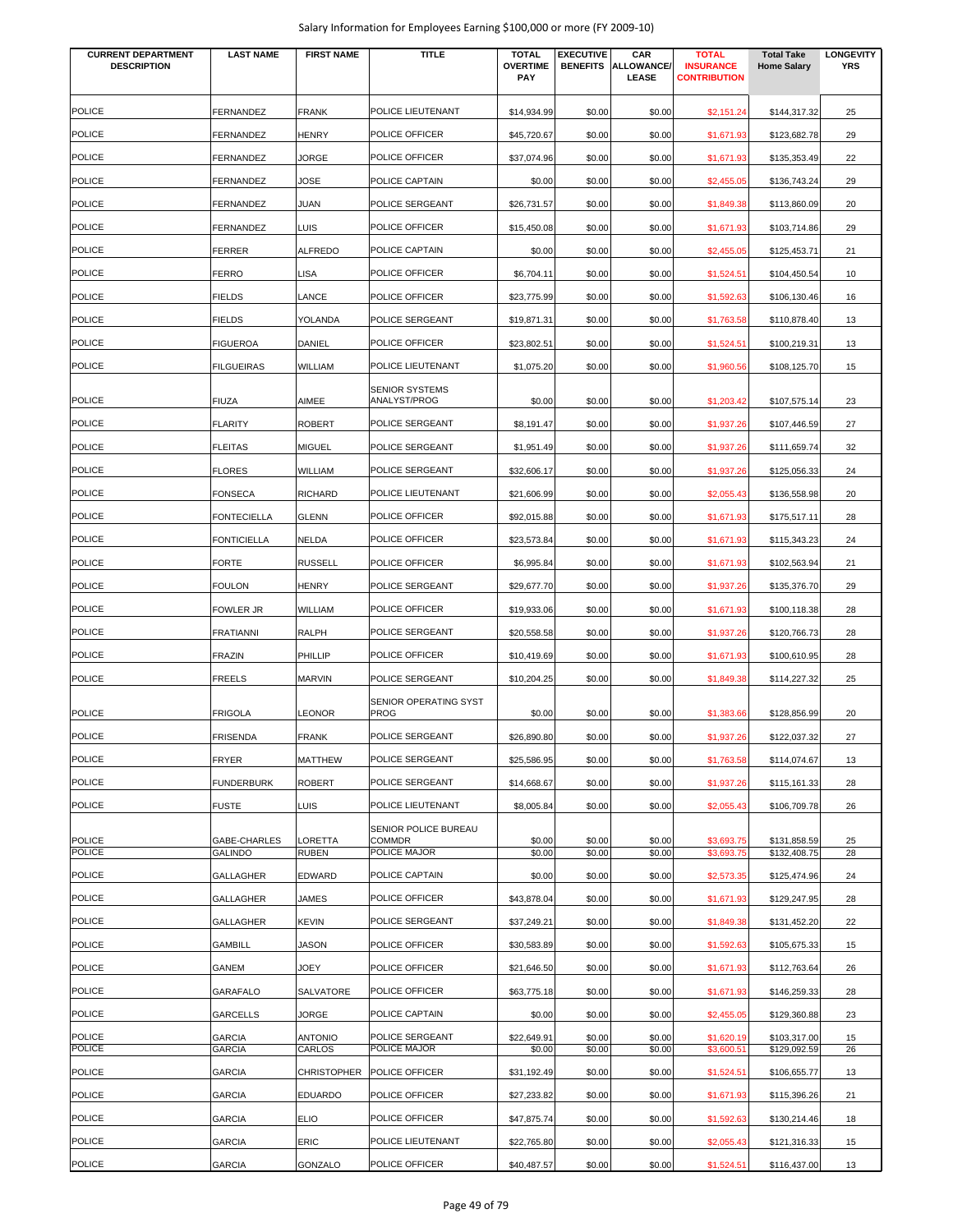| <b>CURRENT DEPARTMENT</b> | <b>LAST NAME</b>   | <b>FIRST NAME</b>  | <b>TITLE</b>                                 | <b>TOTAL</b>           | <b>EXECUTIVE</b> | CAR                        | <b>TOTAL</b>                            | <b>Total Take</b>  | <b>LONGEVITY</b> |
|---------------------------|--------------------|--------------------|----------------------------------------------|------------------------|------------------|----------------------------|-----------------------------------------|--------------------|------------------|
| <b>DESCRIPTION</b>        |                    |                    |                                              | <b>OVERTIME</b><br>PAY | <b>BENEFITS</b>  | <b>ALLOWANCE/</b><br>LEASE | <b>INSURANCE</b><br><b>CONTRIBUTION</b> | <b>Home Salary</b> | <b>YRS</b>       |
|                           |                    |                    |                                              |                        |                  |                            |                                         |                    |                  |
| <b>POLICE</b>             | <b>FERNANDEZ</b>   | <b>FRANK</b>       | POLICE LIEUTENANT                            | \$14,934.99            | \$0.00           | \$0.00                     | \$2,151.24                              | \$144,317.32       | 25               |
| <b>POLICE</b>             | FERNANDEZ          | HENRY              | POLICE OFFICER                               | \$45,720.67            | \$0.00           | \$0.00                     | \$1,671.93                              | \$123,682.78       | 29               |
| <b>POLICE</b>             | FERNANDEZ          | JORGE              | POLICE OFFICER                               | \$37,074.96            | \$0.00           | \$0.00                     | \$1,671.93                              | \$135,353.49       | 22               |
| <b>POLICE</b>             | <b>FERNANDEZ</b>   | JOSE               | POLICE CAPTAIN                               | \$0.00                 | \$0.00           | \$0.00                     | \$2,455.05                              | \$136,743.24       | 29               |
| <b>POLICE</b>             | FERNANDEZ          | JUAN               | POLICE SERGEANT                              | \$26,731.57            | \$0.00           | \$0.00                     | \$1,849.38                              | \$113,860.09       | 20               |
| <b>POLICE</b>             | <b>FERNANDEZ</b>   | LUIS               | POLICE OFFICER                               | \$15,450.08            | \$0.00           | \$0.00                     | \$1,671.93                              | \$103,714.86       | 29               |
| <b>POLICE</b>             | <b>FERRER</b>      | <b>ALFREDO</b>     | POLICE CAPTAIN                               | \$0.00                 | \$0.00           | \$0.00                     | \$2,455.05                              | \$125,453.71       | 21               |
| <b>POLICE</b>             | <b>FERRO</b>       | LISA               | POLICE OFFICER                               | \$6,704.11             | \$0.00           | \$0.00                     | \$1,524.51                              | \$104,450.54       | 10               |
| POLICE                    | <b>FIELDS</b>      | LANCE              | POLICE OFFICER                               | \$23,775.99            | \$0.00           | \$0.00                     | \$1,592.63                              | \$106,130.46       | 16               |
| <b>POLICE</b>             | <b>FIELDS</b>      |                    | POLICE SERGEANT                              |                        |                  |                            |                                         |                    |                  |
|                           |                    | YOLANDA            |                                              | \$19,871.31            | \$0.00           | \$0.00                     | \$1,763.58                              | \$110,878.40       | 13               |
| <b>POLICE</b>             | <b>FIGUEROA</b>    | DANIEL             | POLICE OFFICER                               | \$23,802.51            | \$0.00           | \$0.00                     | \$1,524.51                              | \$100,219.31       | 13               |
| POLICE                    | <b>FILGUEIRAS</b>  | WILLIAM            | POLICE LIEUTENANT                            | \$1,075.20             | \$0.00           | \$0.00                     | \$1,960.56                              | \$108,125.70       | 15               |
| <b>POLICE</b>             | <b>FIUZA</b>       | AIMEE              | <b>SENIOR SYSTEMS</b><br>ANALYST/PROG        | \$0.00                 | \$0.00           | \$0.00                     | \$1,203.42                              | \$107,575.14       | 23               |
| <b>POLICE</b>             | <b>FLARITY</b>     | <b>ROBERT</b>      | POLICE SERGEANT                              | \$8,191.47             | \$0.00           | \$0.00                     | \$1,937.26                              | \$107,446.59       | 27               |
| <b>POLICE</b>             | <b>FLEITAS</b>     | <b>MIGUEL</b>      | POLICE SERGEANT                              | \$1,951.49             | \$0.00           | \$0.00                     | \$1,937.26                              | \$111,659.74       | 32               |
| <b>POLICE</b>             | <b>FLORES</b>      | <b>WILLIAM</b>     | POLICE SERGEANT                              | \$32,606.17            | \$0.00           | \$0.00                     | \$1,937.26                              | \$125,056.33       | 24               |
| <b>POLICE</b>             |                    |                    |                                              |                        |                  |                            |                                         |                    |                  |
|                           | <b>FONSECA</b>     | <b>RICHARD</b>     | POLICE LIEUTENANT                            | \$21,606.99            | \$0.00           | \$0.00                     | \$2,055.43                              | \$136,558.98       | 20               |
| <b>POLICE</b>             | <b>FONTECIELLA</b> | <b>GLENN</b>       | POLICE OFFICER                               | \$92,015.88            | \$0.00           | \$0.00                     | \$1,671.93                              | \$175,517.11       | 28               |
| POLICE                    | <b>FONTICIELLA</b> | NELDA              | POLICE OFFICER                               | \$23,573.84            | \$0.00           | \$0.00                     | \$1,671.93                              | \$115,343.23       | 24               |
| POLICE                    | <b>FORTE</b>       | <b>RUSSELL</b>     | POLICE OFFICER                               | \$6,995.84             | \$0.00           | \$0.00                     | \$1,671.93                              | \$102,563.94       | 21               |
| POLICE                    | FOULON             | HENRY              | POLICE SERGEANT                              | \$29,677.70            | \$0.00           | \$0.00                     | \$1,937.26                              | \$135,376.70       | 29               |
| <b>POLICE</b>             | <b>FOWLER JR</b>   | <b>WILLIAM</b>     | POLICE OFFICER                               | \$19,933.06            | \$0.00           | \$0.00                     | \$1,671.93                              | \$100,118.38       | 28               |
| <b>POLICE</b>             | <b>FRATIANNI</b>   | RALPH              | POLICE SERGEANT                              | \$20,558.58            | \$0.00           | \$0.00                     | \$1,937.26                              | \$120,766.73       | 28               |
| <b>POLICE</b>             | <b>FRAZIN</b>      | PHILLIP            | POLICE OFFICER                               | \$10,419.69            | \$0.00           | \$0.00                     | \$1,671.93                              | \$100,610.95       | 28               |
| <b>POLICE</b>             | FREELS             | <b>MARVIN</b>      | POLICE SERGEANT                              | \$10,204.25            | \$0.00           | \$0.00                     | \$1,849.38                              | \$114,227.32       | 25               |
|                           |                    |                    | SENIOR OPERATING SYST                        |                        |                  |                            |                                         |                    |                  |
| <b>POLICE</b>             | <b>FRIGOLA</b>     | LEONOR             | <b>PROG</b>                                  | \$0.00                 | \$0.00           | \$0.00                     | \$1,383.66                              | \$128,856.99       | 20               |
| <b>POLICE</b>             | <b>FRISENDA</b>    | <b>FRANK</b>       | POLICE SERGEANT                              | \$26,890.80            | \$0.00           | \$0.00                     | \$1,937.26                              | \$122,037.32       | 27               |
| <b>POLICE</b>             | <b>FRYER</b>       | <b>MATTHEW</b>     | POLICE SERGEANT                              | \$25,586.95            | \$0.00           | \$0.00                     | \$1,763.58                              | \$114,074.67       | 13               |
| POLICE                    | <b>FUNDERBURK</b>  | <b>ROBERT</b>      | POLICE SERGEANT                              | \$14,668.67            | \$0.00           | \$0.00                     | \$1,937.26                              | \$115,161.33       | 28               |
| <b>POLICE</b>             | <b>FUSTE</b>       | LUIS               | POLICE LIEUTENANT                            | \$8,005.84             | \$0.00           | \$0.00                     | \$2,055.43                              | \$106,709.78       | 26               |
| <b>POLICE</b>             | GABE-CHARLES       | LORETTA            | <b>SENIOR POLICE BUREAU</b><br><b>COMMDR</b> | \$0.00                 | \$0.00           | \$0.00                     | \$3,693.75                              | \$131,858.59       | 25               |
| <b>POLICE</b>             | <b>GALINDO</b>     | RUBEN              | POLICE MAJOR                                 | \$0.00                 | \$0.00           | \$0.00                     | \$3,693.75                              | \$132,408.75       | 28               |
| <b>POLICE</b>             | <b>GALLAGHER</b>   | EDWARD             | POLICE CAPTAIN                               | \$0.00                 | \$0.00           | \$0.00                     | \$2,573.35                              | \$125,474.96       | 24               |
| <b>POLICE</b>             | <b>GALLAGHER</b>   | JAMES              | POLICE OFFICER                               | \$43,878.04            | \$0.00           | \$0.00                     | \$1,671.93                              | \$129,247.95       | 28               |
| <b>POLICE</b>             | <b>GALLAGHER</b>   | KEVIN              | POLICE SERGEANT                              | \$37,249.21            | \$0.00           | \$0.00                     | \$1,849.38                              | \$131,452.20       | 22               |
| <b>POLICE</b>             | <b>GAMBILL</b>     | JASON              | POLICE OFFICER                               | \$30,583.89            | \$0.00           | \$0.00                     | \$1,592.63                              | \$105,675.33       | 15               |
| <b>POLICE</b>             | GANEM              | JOEY               | POLICE OFFICER                               | \$21,646.50            | \$0.00           | \$0.00                     | \$1,671.93                              | \$112,763.64       | 26               |
| <b>POLICE</b>             | GARAFALO           | SALVATORE          | POLICE OFFICER                               | \$63,775.18            | \$0.00           | \$0.00                     | \$1,671.93                              | \$146,259.33       | 28               |
| <b>POLICE</b>             | <b>GARCELLS</b>    | JORGE              | POLICE CAPTAIN                               | \$0.00                 | \$0.00           | \$0.00                     | \$2,455.05                              | \$129,360.88       | 23               |
| <b>POLICE</b>             | <b>GARCIA</b>      | <b>ANTONIO</b>     | POLICE SERGEANT                              | \$22,649.91            | \$0.00           | \$0.00                     | \$1,620.19                              | \$103,317.00       | 15               |
| POLICE                    | <b>GARCIA</b>      | CARLOS             | POLICE MAJOR                                 | \$0.00                 | \$0.00           | \$0.00                     | \$3,600.51                              | \$129,092.59       | 26               |
| <b>POLICE</b>             | <b>GARCIA</b>      | <b>CHRISTOPHER</b> | POLICE OFFICER                               | \$31,192.49            | \$0.00           | \$0.00                     | \$1,524.51                              | \$106,655.77       | 13               |
| <b>POLICE</b>             | <b>GARCIA</b>      | <b>EDUARDO</b>     | POLICE OFFICER                               | \$27,233.82            | \$0.00           | \$0.00                     | \$1,671.93                              | \$115,396.26       | 21               |
| POLICE                    | <b>GARCIA</b>      | <b>ELIO</b>        | POLICE OFFICER                               | \$47,875.74            | \$0.00           | \$0.00                     | \$1,592.63                              | \$130,214.46       | 18               |
| <b>POLICE</b>             | <b>GARCIA</b>      | ERIC               | POLICE LIEUTENANT                            | \$22,765.80            | \$0.00           | \$0.00                     | \$2,055.43                              | \$121,316.33       | 15               |
| <b>POLICE</b>             | <b>GARCIA</b>      | GONZALO            | POLICE OFFICER                               | \$40,487.57            | \$0.00           | \$0.00                     | \$1,524.51                              | \$116,437.00       | 13               |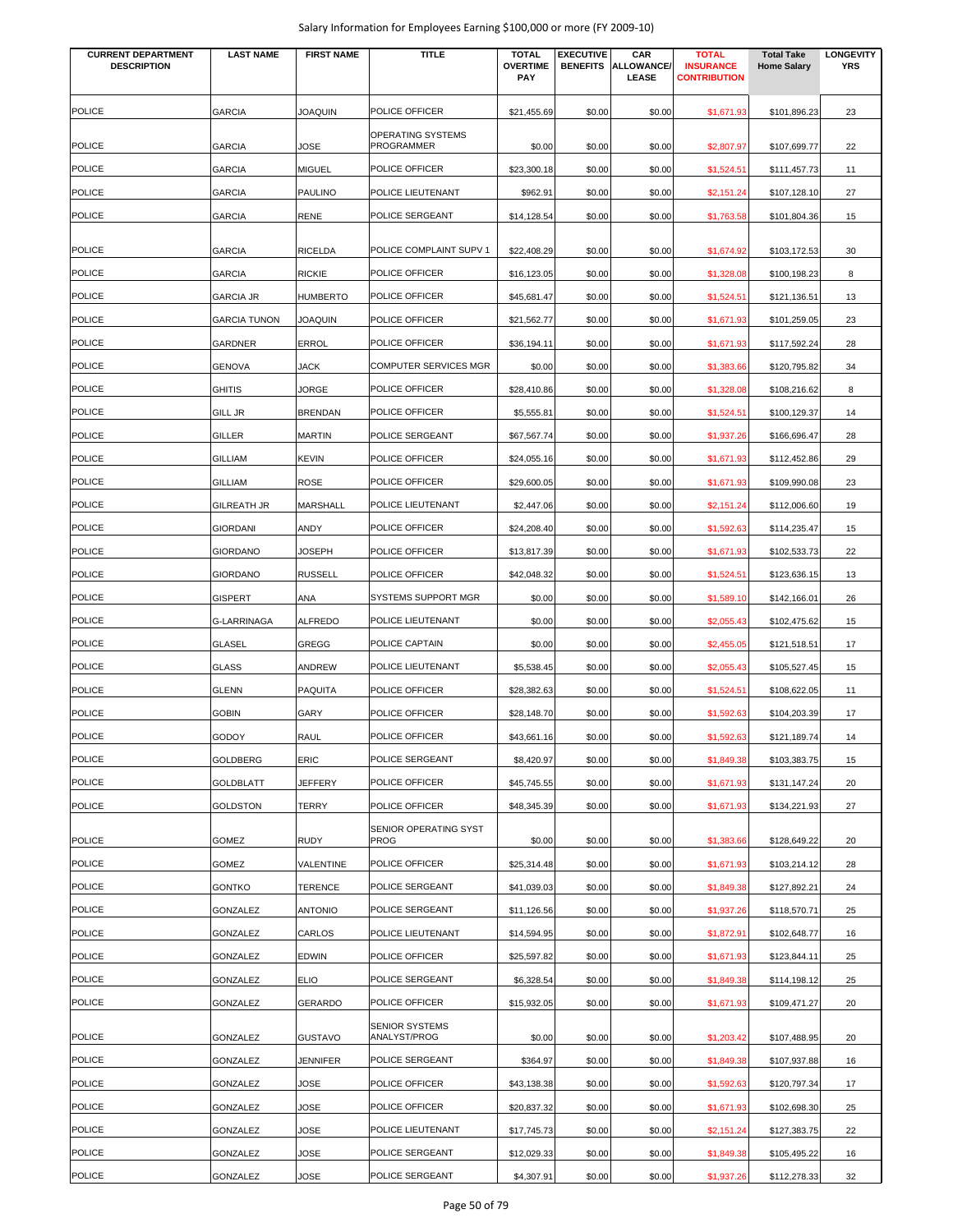| <b>CURRENT DEPARTMENT</b><br><b>DESCRIPTION</b> | <b>LAST NAME</b>    | <b>FIRST NAME</b> | <b>TITLE</b>                          | <b>TOTAL</b><br><b>OVERTIME</b><br>PAY | <b>EXECUTIVE</b><br><b>BENEFITS</b> | CAR<br>ALLOWANCE/<br><b>LEASE</b> | <b>TOTAL</b><br><b>INSURANCE</b><br><b>CONTRIBUTION</b> | <b>Total Take</b><br><b>Home Salary</b> | <b>LONGEVITY</b><br><b>YRS</b> |
|-------------------------------------------------|---------------------|-------------------|---------------------------------------|----------------------------------------|-------------------------------------|-----------------------------------|---------------------------------------------------------|-----------------------------------------|--------------------------------|
| <b>POLICE</b>                                   | <b>GARCIA</b>       | <b>JOAQUIN</b>    | POLICE OFFICER                        | \$21,455.69                            | \$0.00                              | \$0.00                            | \$1,671.93                                              | \$101,896.23                            | 23                             |
| <b>POLICE</b>                                   | <b>GARCIA</b>       | JOSE              | OPERATING SYSTEMS<br>PROGRAMMER       |                                        |                                     |                                   |                                                         |                                         | 22                             |
| <b>POLICE</b>                                   | <b>GARCIA</b>       | <b>MIGUEL</b>     | POLICE OFFICER                        | \$0.00<br>\$23,300.18                  | \$0.00<br>\$0.00                    | \$0.00<br>\$0.00                  | \$2,807.97<br>\$1,524.51                                | \$107,699.77<br>\$111,457.73            | 11                             |
| <b>POLICE</b>                                   | <b>GARCIA</b>       | <b>PAULINO</b>    | POLICE LIEUTENANT                     | \$962.91                               | \$0.00                              | \$0.00                            | \$2,151.24                                              | \$107,128.10                            | 27                             |
| <b>POLICE</b>                                   | <b>GARCIA</b>       | <b>RENE</b>       | POLICE SERGEANT                       | \$14,128.54                            | \$0.00                              | \$0.00                            |                                                         | \$101,804.36                            | 15                             |
|                                                 |                     |                   |                                       |                                        |                                     |                                   | \$1,763.58                                              |                                         |                                |
| <b>POLICE</b>                                   | <b>GARCIA</b>       | <b>RICELDA</b>    | POLICE COMPLAINT SUPV 1               | \$22,408.29                            | \$0.00                              | \$0.00                            | \$1,674.92                                              | \$103,172.53                            | 30                             |
| <b>POLICE</b>                                   | <b>GARCIA</b>       | <b>RICKIE</b>     | POLICE OFFICER                        | \$16,123.05                            | \$0.00                              | \$0.00                            | \$1,328.08                                              | \$100,198.23                            | 8                              |
| <b>POLICE</b>                                   | <b>GARCIA JR</b>    | <b>HUMBERTO</b>   | POLICE OFFICER                        | \$45,681.47                            | \$0.00                              | \$0.00                            | \$1,524.51                                              | \$121,136.51                            | 13                             |
| <b>POLICE</b>                                   | <b>GARCIA TUNON</b> | <b>JOAQUIN</b>    | POLICE OFFICER                        | \$21,562.77                            | \$0.00                              | \$0.00                            | \$1,671.93                                              | \$101,259.05                            | 23                             |
| <b>POLICE</b>                                   | <b>GARDNER</b>      | <b>ERROL</b>      | POLICE OFFICER                        | \$36,194.11                            | \$0.00                              | \$0.00                            | \$1,671.93                                              | \$117,592.24                            | 28                             |
| <b>POLICE</b>                                   | <b>GENOVA</b>       | <b>JACK</b>       | <b>COMPUTER SERVICES MGR</b>          | \$0.00                                 | \$0.00                              | \$0.00                            | \$1,383.66                                              | \$120,795.82                            | 34                             |
| <b>POLICE</b>                                   | <b>GHITIS</b>       | <b>JORGE</b>      | POLICE OFFICER                        | \$28,410.86                            | \$0.00                              | \$0.00                            | \$1,328.08                                              | \$108,216.62                            | 8                              |
| <b>POLICE</b>                                   | <b>GILL JR</b>      | <b>BRENDAN</b>    | POLICE OFFICER                        | \$5,555.81                             | \$0.00                              | \$0.00                            | \$1,524.51                                              | \$100,129.37                            | 14                             |
| <b>POLICE</b>                                   | <b>GILLER</b>       | <b>MARTIN</b>     | POLICE SERGEANT                       | \$67,567.74                            | \$0.00                              | \$0.00                            | \$1,937.26                                              | \$166,696.47                            | 28                             |
| <b>POLICE</b>                                   | <b>GILLIAM</b>      | <b>KEVIN</b>      | POLICE OFFICER                        | \$24,055.16                            | \$0.00                              | \$0.00                            | \$1,671.93                                              | \$112,452.86                            | 29                             |
| <b>POLICE</b>                                   | <b>GILLIAM</b>      | <b>ROSE</b>       | POLICE OFFICER                        | \$29,600.05                            | \$0.00                              | \$0.00                            | \$1,671.93                                              | \$109,990.08                            | 23                             |
| <b>POLICE</b>                                   | <b>GILREATH JR</b>  | <b>MARSHALL</b>   | POLICE LIEUTENANT                     | \$2,447.06                             | \$0.00                              | \$0.00                            | \$2,151.24                                              | \$112,006.60                            | 19                             |
| <b>POLICE</b>                                   | <b>GIORDANI</b>     | ANDY              | POLICE OFFICER                        | \$24,208.40                            | \$0.00                              | \$0.00                            | \$1,592.63                                              | \$114,235.47                            | 15                             |
| <b>POLICE</b>                                   | <b>GIORDANO</b>     | <b>JOSEPH</b>     | POLICE OFFICER                        | \$13,817.39                            | \$0.00                              | \$0.00                            | \$1,671.93                                              | \$102,533.73                            | 22                             |
| <b>POLICE</b>                                   | <b>GIORDANO</b>     | <b>RUSSELL</b>    | POLICE OFFICER                        | \$42,048.32                            | \$0.00                              | \$0.00                            | \$1,524.51                                              | \$123,636.15                            | 13                             |
| POLICE                                          | <b>GISPERT</b>      | ANA               | <b>SYSTEMS SUPPORT MGR</b>            | \$0.00                                 | \$0.00                              | \$0.00                            | \$1,589.10                                              | \$142,166.01                            | 26                             |
| POLICE                                          | <b>G-LARRINAGA</b>  | <b>ALFREDO</b>    | POLICE LIEUTENANT                     | \$0.00                                 | \$0.00                              | \$0.00                            | \$2,055.43                                              | \$102,475.62                            | 15                             |
| <b>POLICE</b>                                   | <b>GLASEL</b>       | GREGG             | POLICE CAPTAIN                        | \$0.00                                 | \$0.00                              | \$0.00                            | \$2,455.05                                              | \$121,518.51                            | 17                             |
| <b>POLICE</b>                                   | <b>GLASS</b>        | ANDREW            | POLICE LIEUTENANT                     | \$5,538.45                             | \$0.00                              | \$0.00                            | \$2,055.43                                              | \$105,527.45                            | 15                             |
| <b>POLICE</b>                                   | <b>GLENN</b>        | <b>PAQUITA</b>    | POLICE OFFICER                        | \$28,382.63                            | \$0.00                              | \$0.00                            | \$1,524.51                                              | \$108,622.05                            | 11                             |
| <b>POLICE</b>                                   | <b>GOBIN</b>        | <b>GARY</b>       | POLICE OFFICER                        | \$28,148.70                            | \$0.00                              | \$0.00                            | \$1,592.63                                              | \$104,203.39                            | 17                             |
| <b>POLICE</b>                                   | GODOY               | <b>RAUL</b>       | POLICE OFFICER                        | \$43,661.16                            | \$0.00                              | \$0.00                            | \$1,592.63                                              | \$121,189.74                            | 14                             |
| POLICE                                          | GOLDBERG            | <b>ERIC</b>       | POLICE SERGEANT                       | \$8,420.97                             | \$0.00                              | \$0.00                            | \$1,849.38                                              | \$103,383.75                            | 15                             |
| <b>POLICE</b>                                   | <b>GOLDBLATT</b>    | <b>JEFFERY</b>    | POLICE OFFICER                        | \$45,745.55                            | \$0.00                              | \$0.00                            | \$1,671.93                                              | \$131,147.24                            | 20                             |
| <b>POLICE</b>                                   | <b>GOLDSTON</b>     | <b>TERRY</b>      | POLICE OFFICER                        | \$48,345.39                            | \$0.00                              | \$0.00                            | \$1,671.93                                              | \$134,221.93                            | 27                             |
| <b>POLICE</b>                                   | GOMEZ               | <b>RUDY</b>       | SENIOR OPERATING SYST<br><b>PROG</b>  | \$0.00                                 | \$0.00                              | \$0.00                            | \$1,383.66                                              | \$128,649.22                            | 20                             |
| <b>POLICE</b>                                   | GOMEZ               | VALENTINE         | POLICE OFFICER                        | \$25,314.48                            | \$0.00                              | \$0.00                            | \$1,671.93                                              | \$103,214.12                            | 28                             |
| POLICE                                          | <b>GONTKO</b>       | <b>TERENCE</b>    | POLICE SERGEANT                       | \$41,039.03                            | \$0.00                              | \$0.00                            | \$1,849.38                                              | \$127,892.21                            | 24                             |
| <b>POLICE</b>                                   | GONZALEZ            | <b>ANTONIO</b>    | POLICE SERGEANT                       | \$11,126.56                            | \$0.00                              | \$0.00                            | \$1,937.26                                              | \$118,570.71                            | 25                             |
| <b>POLICE</b>                                   | GONZALEZ            | CARLOS            | POLICE LIEUTENANT                     | \$14,594.95                            | \$0.00                              | \$0.00                            | \$1,872.91                                              | \$102,648.77                            | 16                             |
| <b>POLICE</b>                                   | GONZALEZ            | <b>EDWIN</b>      | POLICE OFFICER                        | \$25,597.82                            | \$0.00                              | \$0.00                            | \$1,671.93                                              | \$123,844.11                            | 25                             |
| <b>POLICE</b>                                   | GONZALEZ            | <b>ELIO</b>       | POLICE SERGEANT                       | \$6,328.54                             | \$0.00                              | \$0.00                            | \$1,849.38                                              | \$114,198.12                            | 25                             |
| <b>POLICE</b>                                   | GONZALEZ            | GERARDO           | POLICE OFFICER                        | \$15,932.05                            | \$0.00                              | \$0.00                            | \$1,671.93                                              | \$109,471.27                            | 20                             |
| <b>POLICE</b>                                   | GONZALEZ            | <b>GUSTAVO</b>    | <b>SENIOR SYSTEMS</b><br>ANALYST/PROG | \$0.00                                 | \$0.00                              | \$0.00                            | \$1,203.42                                              | \$107,488.95                            | 20                             |
| <b>POLICE</b>                                   | GONZALEZ            | <b>JENNIFER</b>   | POLICE SERGEANT                       | \$364.97                               | \$0.00                              | \$0.00                            | \$1,849.38                                              | \$107,937.88                            | 16                             |
| <b>POLICE</b>                                   | GONZALEZ            | <b>JOSE</b>       | POLICE OFFICER                        | \$43,138.38                            | \$0.00                              | \$0.00                            | \$1,592.63                                              | \$120,797.34                            | 17                             |
| <b>POLICE</b>                                   | GONZALEZ            | JOSE              | POLICE OFFICER                        | \$20,837.32                            | \$0.00                              | \$0.00                            | \$1,671.93                                              | \$102,698.30                            | 25                             |
| POLICE                                          | GONZALEZ            | JOSE              | POLICE LIEUTENANT                     | \$17,745.73                            | \$0.00                              | \$0.00                            | \$2,151.24                                              | \$127,383.75                            | 22                             |
| <b>POLICE</b>                                   | GONZALEZ            | JOSE              | POLICE SERGEANT                       | \$12,029.33                            | \$0.00                              | \$0.00                            | \$1,849.38                                              | \$105,495.22                            | 16                             |
| <b>POLICE</b>                                   | GONZALEZ            | <b>JOSE</b>       | POLICE SERGEANT                       | \$4,307.91                             | \$0.00                              | \$0.00                            | \$1,937.26                                              | \$112,278.33                            | 32                             |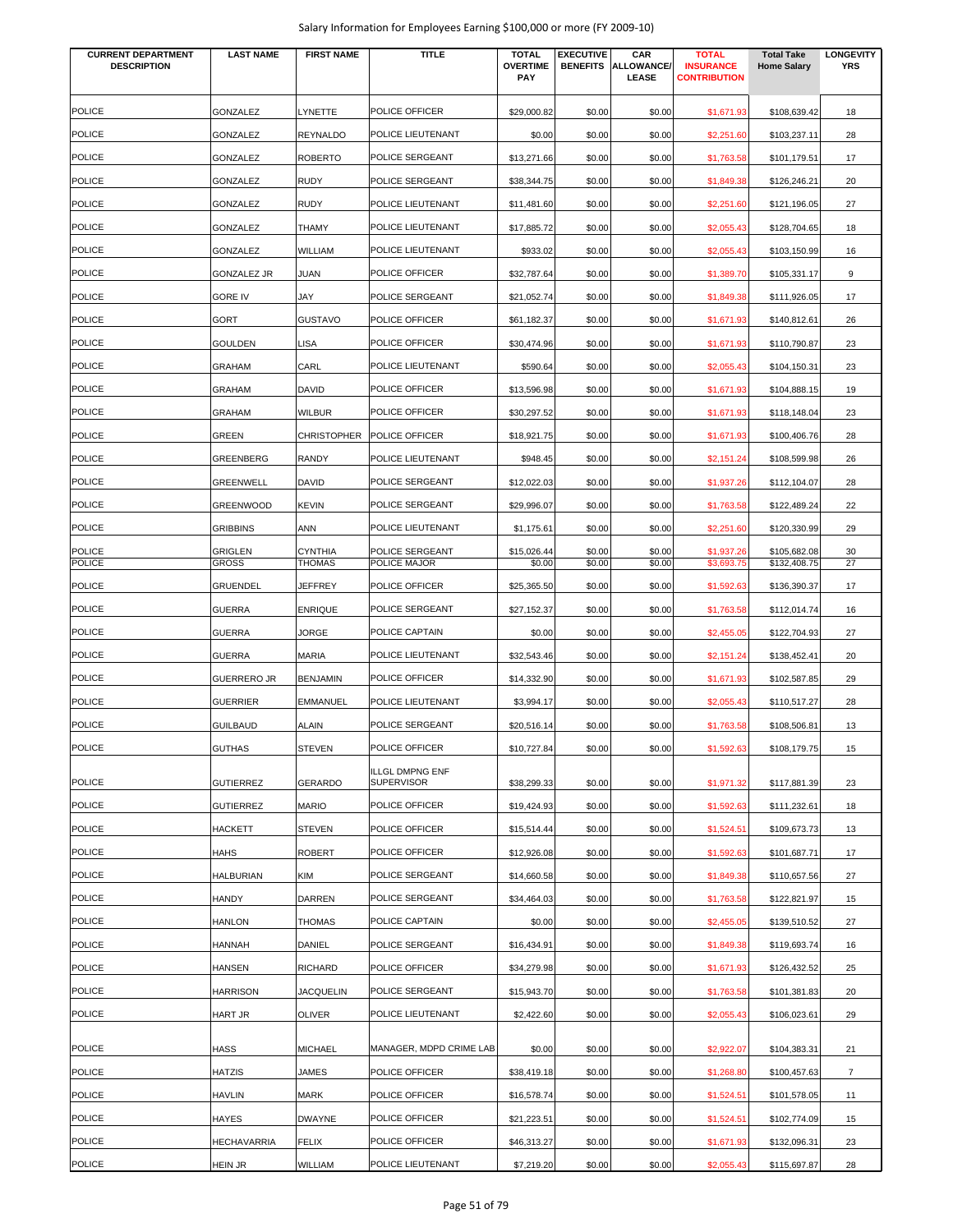| <b>CURRENT DEPARTMENT</b><br><b>DESCRIPTION</b> | <b>LAST NAME</b>               | <b>FIRST NAME</b>               | <b>TITLE</b>                                | <b>TOTAL</b><br><b>OVERTIME</b><br><b>PAY</b> | <b>EXECUTIVE</b><br><b>BENEFITS</b> | CAR<br>ALLOWANCE/<br>LEASE | <b>TOTAL</b><br><b>INSURANCE</b><br><b>CONTRIBUTION</b> | <b>Total Take</b><br><b>Home Salary</b> | <b>LONGEVITY</b><br><b>YRS</b> |
|-------------------------------------------------|--------------------------------|---------------------------------|---------------------------------------------|-----------------------------------------------|-------------------------------------|----------------------------|---------------------------------------------------------|-----------------------------------------|--------------------------------|
| <b>POLICE</b>                                   | GONZALEZ                       | LYNETTE                         | POLICE OFFICER                              | \$29,000.82                                   | \$0.00                              | \$0.00                     | \$1,671.93                                              | \$108,639.42                            | 18                             |
| <b>POLICE</b>                                   | GONZALEZ                       | <b>REYNALDO</b>                 | POLICE LIEUTENANT                           | \$0.00                                        | \$0.00                              | \$0.00                     | \$2,251.60                                              | \$103,237.11                            | 28                             |
| <b>POLICE</b>                                   | GONZALEZ                       | <b>ROBERTO</b>                  | POLICE SERGEANT                             | \$13,271.66                                   | \$0.00                              | \$0.00                     | \$1,763.58                                              | \$101,179.51                            | 17                             |
| <b>POLICE</b>                                   | GONZALEZ                       | <b>RUDY</b>                     | POLICE SERGEANT                             | \$38,344.75                                   | \$0.00                              | \$0.00                     | \$1,849.38                                              | \$126,246.21                            | 20                             |
| <b>POLICE</b>                                   | GONZALEZ                       | <b>RUDY</b>                     | POLICE LIEUTENANT                           | \$11,481.60                                   | \$0.00                              | \$0.00                     | \$2,251.60                                              | \$121,196.05                            | 27                             |
| <b>POLICE</b>                                   | GONZALEZ                       | <b>THAMY</b>                    | POLICE LIEUTENANT                           | \$17,885.72                                   | \$0.00                              | \$0.00                     | \$2,055.43                                              | \$128,704.65                            | 18                             |
| <b>POLICE</b>                                   | GONZALEZ                       | <b>WILLIAM</b>                  | POLICE LIEUTENANT                           | \$933.02                                      | \$0.00                              | \$0.00                     | \$2,055.43                                              | \$103,150.99                            | 16                             |
| <b>POLICE</b>                                   | <b>GONZALEZ JR</b>             | <b>JUAN</b>                     | POLICE OFFICER                              | \$32,787.64                                   | \$0.00                              | \$0.00                     | \$1,389.70                                              | \$105,331.17                            | 9                              |
| <b>POLICE</b>                                   | <b>GORE IV</b>                 | JAY                             | POLICE SERGEANT                             | \$21,052.74                                   | \$0.00                              | \$0.00                     | \$1,849.38                                              | \$111,926.05                            | 17                             |
| <b>POLICE</b>                                   | GORT                           | <b>GUSTAVO</b>                  | POLICE OFFICER                              | \$61,182.37                                   | \$0.00                              | \$0.00                     | \$1,671.93                                              | \$140,812.61                            | 26                             |
| <b>POLICE</b>                                   | <b>GOULDEN</b>                 | <b>LISA</b>                     | POLICE OFFICER                              | \$30,474.96                                   | \$0.00                              | \$0.00                     | \$1,671.93                                              | \$110,790.87                            | 23                             |
| <b>POLICE</b>                                   | <b>GRAHAM</b>                  | CARL                            | POLICE LIEUTENANT                           | \$590.64                                      | \$0.00                              | \$0.00                     | \$2,055.43                                              | \$104,150.31                            | 23                             |
| <b>POLICE</b>                                   | GRAHAM                         | <b>DAVID</b>                    | POLICE OFFICER                              | \$13,596.98                                   | \$0.00                              | \$0.00                     | \$1,671.93                                              | \$104,888.15                            | 19                             |
| <b>POLICE</b>                                   | <b>GRAHAM</b>                  | <b>WILBUR</b>                   | POLICE OFFICER                              | \$30,297.52                                   | \$0.00                              | \$0.00                     | \$1,671.93                                              | \$118,148.04                            | 23                             |
| <b>POLICE</b>                                   | GREEN                          |                                 | CHRISTOPHER POLICE OFFICER                  | \$18,921.75                                   | \$0.00                              | \$0.00                     | \$1,671.93                                              | \$100,406.76                            | 28                             |
| <b>POLICE</b>                                   | GREENBERG                      | <b>RANDY</b>                    | POLICE LIEUTENANT                           | \$948.45                                      | \$0.00                              | \$0.00                     | \$2,151.24                                              | \$108,599.98                            | 26                             |
| <b>POLICE</b>                                   | <b>GREENWELL</b>               | <b>DAVID</b>                    | POLICE SERGEANT                             | \$12,022.03                                   | \$0.00                              | \$0.00                     | \$1,937.26                                              | \$112,104.07                            | 28                             |
| POLICE                                          | <b>GREENWOOD</b>               | <b>KEVIN</b>                    | POLICE SERGEANT                             | \$29,996.07                                   | \$0.00                              | \$0.00                     | \$1,763.58                                              | \$122,489.24                            | 22                             |
| <b>POLICE</b>                                   | <b>GRIBBINS</b>                | <b>ANN</b>                      | POLICE LIEUTENANT                           | \$1,175.61                                    | \$0.00                              | \$0.00                     | \$2,251.60                                              | \$120,330.99                            | 29                             |
| <b>POLICE</b><br><b>POLICE</b>                  | <b>GRIGLEN</b><br><b>GROSS</b> | <b>CYNTHIA</b><br><b>THOMAS</b> | POLICE SERGEANT<br>POLICE MAJOR             | \$15,026.44<br>\$0.00                         | \$0.00<br>\$0.00                    | \$0.00<br>\$0.00           | \$1,937.26<br>\$3,693.75                                | \$105,682.08<br>\$132,408.75            | 30<br>27                       |
| <b>POLICE</b>                                   | <b>GRUENDEL</b>                | <b>JEFFREY</b>                  | POLICE OFFICER                              | \$25,365.50                                   | \$0.00                              | \$0.00                     | \$1,592.63                                              | \$136,390.37                            | 17                             |
| <b>POLICE</b>                                   | <b>GUERRA</b>                  | <b>ENRIQUE</b>                  | POLICE SERGEANT                             | \$27,152.37                                   | \$0.00                              | \$0.00                     | \$1,763.58                                              | \$112,014.74                            | 16                             |
| <b>POLICE</b>                                   | GUERRA                         | JORGE                           | POLICE CAPTAIN                              | \$0.00                                        | \$0.00                              | \$0.00                     | \$2,455.05                                              | \$122,704.93                            | 27                             |
| <b>POLICE</b>                                   | <b>GUERRA</b>                  | <b>MARIA</b>                    | POLICE LIEUTENANT                           | \$32,543.46                                   | \$0.00                              | \$0.00                     | \$2,151.24                                              | \$138,452.41                            | 20                             |
| <b>POLICE</b>                                   | <b>GUERRERO JR</b>             | <b>BENJAMIN</b>                 | POLICE OFFICER                              | \$14,332.90                                   | \$0.00                              | \$0.00                     | \$1,671.93                                              | \$102,587.85                            | 29                             |
| <b>POLICE</b>                                   | <b>GUERRIER</b>                | <b>EMMANUEL</b>                 | POLICE LIEUTENANT                           | \$3,994.17                                    | \$0.00                              | \$0.00                     | \$2,055.43                                              | \$110,517.27                            | 28                             |
| <b>POLICE</b>                                   | <b>GUILBAUD</b>                | <b>ALAIN</b>                    | POLICE SERGEANT                             | \$20,516.14                                   | \$0.00                              | \$0.00                     | \$1,763.58                                              | \$108,506.81                            | 13                             |
| <b>POLICE</b>                                   | <b>GUTHAS</b>                  | <b>STEVEN</b>                   | POLICE OFFICER                              | \$10,727.84                                   | \$0.00                              | \$0.00                     | \$1,592.63                                              | \$108,179.75                            | 15                             |
| <b>POLICE</b>                                   | <b>GUTIERREZ</b>               | <b>GERARDO</b>                  | <b>ILLGL DMPNG ENF</b><br><b>SUPERVISOR</b> | \$38,299.33                                   | \$0.00                              | \$0.00                     | \$1,971.32                                              | \$117,881.39                            | 23                             |
| <b>POLICE</b>                                   | <b>GUTIERREZ</b>               | <b>MARIO</b>                    | POLICE OFFICER                              | \$19,424.93                                   | \$0.00                              | \$0.00                     | \$1,592.63                                              | \$111,232.61                            | 18                             |
| <b>POLICE</b>                                   | <b>HACKETT</b>                 | <b>STEVEN</b>                   | POLICE OFFICER                              | \$15,514.44                                   | \$0.00                              | \$0.00                     | \$1,524.51                                              | \$109,673.73                            | 13                             |
| <b>POLICE</b>                                   | <b>HAHS</b>                    | <b>ROBERT</b>                   | POLICE OFFICER                              | \$12,926.08                                   | \$0.00                              | \$0.00                     | \$1,592.63                                              | \$101,687.71                            | 17                             |
| <b>POLICE</b>                                   | <b>HALBURIAN</b>               | <b>KIM</b>                      | POLICE SERGEANT                             | \$14,660.58                                   | \$0.00                              | \$0.00                     | \$1,849.38                                              | \$110,657.56                            | 27                             |
| <b>POLICE</b>                                   | HANDY                          | <b>DARREN</b>                   | POLICE SERGEANT                             | \$34,464.03                                   | \$0.00                              | \$0.00                     | \$1,763.58                                              | \$122,821.97                            | 15                             |
| <b>POLICE</b>                                   | HANLON                         | <b>THOMAS</b>                   | POLICE CAPTAIN                              | \$0.00                                        | \$0.00                              | \$0.00                     | \$2,455.05                                              | \$139,510.52                            | 27                             |
| <b>POLICE</b>                                   | HANNAH                         | <b>DANIEL</b>                   | POLICE SERGEANT                             | \$16,434.91                                   | \$0.00                              | \$0.00                     | \$1,849.38                                              | \$119,693.74                            | 16                             |
| <b>POLICE</b>                                   | HANSEN                         | <b>RICHARD</b>                  | POLICE OFFICER                              | \$34,279.98                                   | \$0.00                              | \$0.00                     | \$1,671.93                                              | \$126,432.52                            | 25                             |
| <b>POLICE</b>                                   | <b>HARRISON</b>                | <b>JACQUELIN</b>                | POLICE SERGEANT                             | \$15,943.70                                   | \$0.00                              | \$0.00                     | \$1,763.58                                              | \$101,381.83                            | 20                             |
| <b>POLICE</b>                                   | HART JR                        | <b>OLIVER</b>                   | POLICE LIEUTENANT                           | \$2,422.60                                    | \$0.00                              | \$0.00                     | \$2,055.43                                              | \$106,023.61                            | 29                             |
| <b>POLICE</b>                                   | HASS                           | <b>MICHAEL</b>                  | MANAGER, MDPD CRIME LAB                     | \$0.00                                        | \$0.00                              | \$0.00                     | \$2,922.07                                              | \$104,383.31                            | 21                             |
| <b>POLICE</b>                                   | HATZIS                         | JAMES                           | POLICE OFFICER                              | \$38,419.18                                   | \$0.00                              | \$0.00                     | \$1,268.80                                              | \$100,457.63                            | $\overline{7}$                 |
| <b>POLICE</b>                                   | HAVLIN                         | <b>MARK</b>                     | POLICE OFFICER                              | \$16,578.74                                   | \$0.00                              | \$0.00                     | \$1,524.51                                              | \$101,578.05                            | 11                             |
| <b>POLICE</b>                                   | HAYES                          | <b>DWAYNE</b>                   | POLICE OFFICER                              | \$21,223.51                                   | \$0.00                              | \$0.00                     | \$1,524.51                                              | \$102,774.09                            | 15                             |
| <b>POLICE</b>                                   | <b>HECHAVARRIA</b>             | <b>FELIX</b>                    | POLICE OFFICER                              | \$46,313.27                                   | \$0.00                              | \$0.00                     | \$1,671.93                                              | \$132,096.31                            | 23                             |
| <b>POLICE</b>                                   | <b>HEIN JR</b>                 | WILLIAM                         | POLICE LIEUTENANT                           | \$7,219.20                                    | \$0.00                              | \$0.00                     | \$2,055.43                                              | \$115,697.87                            | 28                             |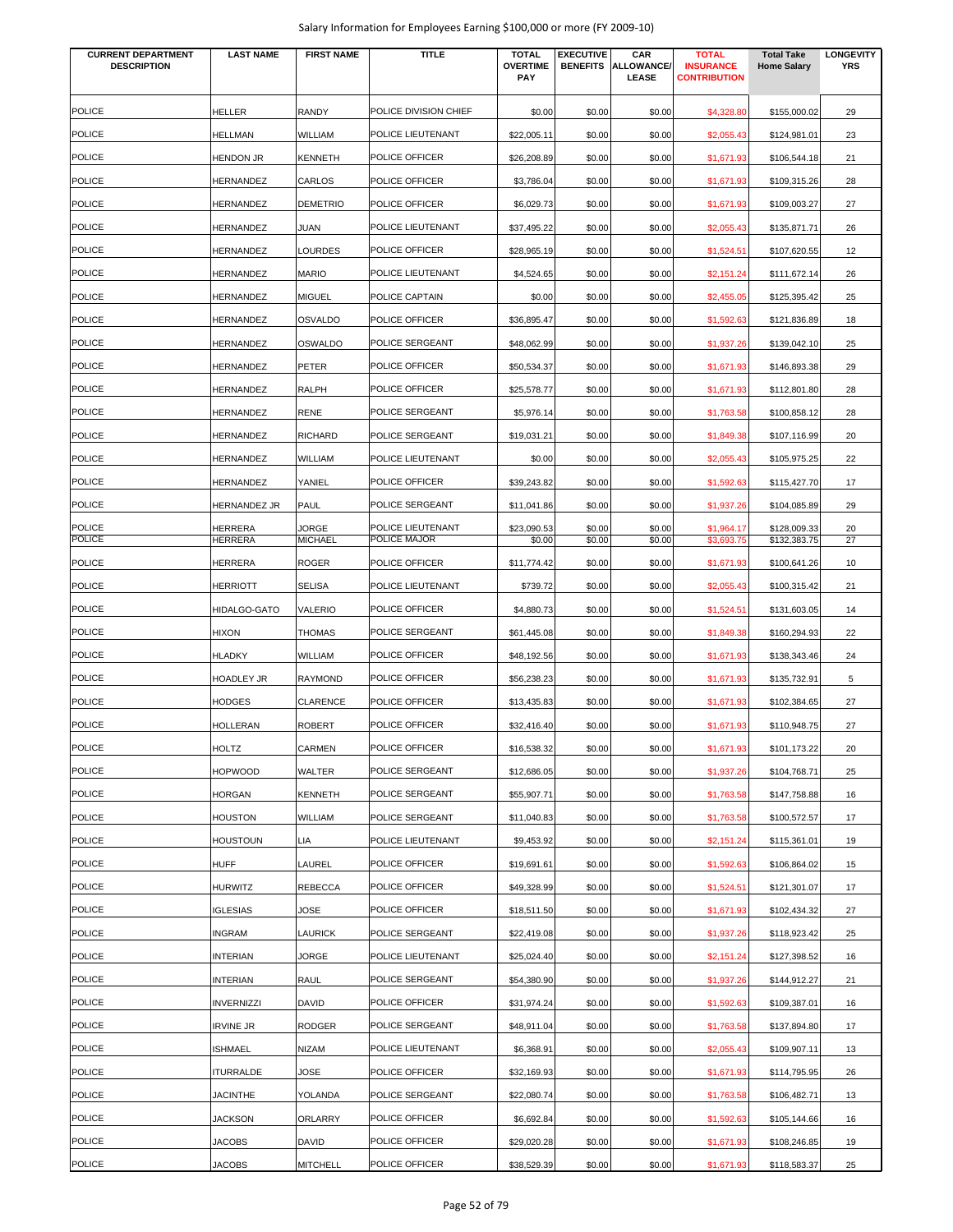| Salary Information for Employees Earning \$100,000 or more (FY 2009-10) |  |  |
|-------------------------------------------------------------------------|--|--|
|-------------------------------------------------------------------------|--|--|

| <b>CURRENT DEPARTMENT</b><br><b>DESCRIPTION</b> | <b>LAST NAME</b>               | <b>FIRST NAME</b>               | TITLE                            | <b>TOTAL</b><br><b>OVERTIME</b><br>PAY | <b>EXECUTIVE</b><br><b>BENEFITS</b> | CAR<br>ALLOWANCE/<br><b>LEASE</b> | <b>TOTAL</b><br><b>INSURANCE</b><br><b>CONTRIBUTION</b> | <b>Total Take</b><br><b>Home Salary</b> | <b>LONGEVITY</b><br><b>YRS</b> |
|-------------------------------------------------|--------------------------------|---------------------------------|----------------------------------|----------------------------------------|-------------------------------------|-----------------------------------|---------------------------------------------------------|-----------------------------------------|--------------------------------|
|                                                 |                                |                                 |                                  |                                        |                                     |                                   |                                                         |                                         |                                |
| <b>POLICE</b>                                   | HELLER                         | <b>RANDY</b>                    | POLICE DIVISION CHIEF            | \$0.00                                 | \$0.00                              | \$0.00                            | \$4,328.80                                              | \$155,000.02                            | 29                             |
| <b>POLICE</b>                                   | HELLMAN                        | WILLIAM                         | POLICE LIEUTENANT                | \$22,005.11                            | \$0.00                              | \$0.00                            | \$2,055.43                                              | \$124,981.01                            | 23                             |
| <b>POLICE</b>                                   | <b>HENDON JR</b>               | <b>KENNETH</b>                  | POLICE OFFICER                   | \$26,208.89                            | \$0.00                              | \$0.00                            | \$1,671.93                                              | \$106,544.18                            | 21                             |
| <b>POLICE</b>                                   | HERNANDEZ                      | CARLOS                          | POLICE OFFICER                   | \$3,786.04                             | \$0.00                              | \$0.00                            | \$1,671.93                                              | \$109,315.26                            | 28                             |
| <b>POLICE</b>                                   | HERNANDEZ                      | <b>DEMETRIO</b>                 | POLICE OFFICER                   | \$6,029.73                             | \$0.00                              | \$0.00                            | \$1,671.93                                              | \$109,003.27                            | 27                             |
| <b>POLICE</b>                                   | HERNANDEZ                      | JUAN                            | POLICE LIEUTENANT                | \$37,495.22                            | \$0.00                              | \$0.00                            | \$2,055.43                                              | \$135,871.71                            | 26                             |
| <b>POLICE</b>                                   | HERNANDEZ                      | <b>LOURDES</b>                  | POLICE OFFICER                   | \$28,965.19                            | \$0.00                              | \$0.00                            | \$1,524.51                                              | \$107,620.55                            | 12                             |
| <b>POLICE</b>                                   | HERNANDEZ                      | <b>MARIO</b>                    | POLICE LIEUTENANT                | \$4,524.65                             | \$0.00                              | \$0.00                            | \$2,151.24                                              | \$111,672.14                            | 26                             |
| <b>POLICE</b>                                   | HERNANDEZ                      | <b>MIGUEL</b>                   | POLICE CAPTAIN                   | \$0.00                                 | \$0.00                              | \$0.00                            | \$2,455.05                                              | \$125,395.42                            | 25                             |
| <b>POLICE</b>                                   | HERNANDEZ                      | <b>OSVALDO</b>                  | POLICE OFFICER                   | \$36,895.47                            | \$0.00                              | \$0.00                            | \$1,592.63                                              | \$121,836.89                            | 18                             |
| <b>POLICE</b>                                   | HERNANDEZ                      | <b>OSWALDO</b>                  | POLICE SERGEANT                  | \$48,062.99                            | \$0.00                              | \$0.00                            | \$1,937.26                                              | \$139,042.10                            | 25                             |
| <b>POLICE</b>                                   | HERNANDEZ                      | PETER                           | POLICE OFFICER                   | \$50,534.37                            | \$0.00                              | \$0.00                            | \$1,671.93                                              | \$146,893.38                            | 29                             |
| <b>POLICE</b>                                   | HERNANDEZ                      | RALPH                           | POLICE OFFICER                   | \$25,578.77                            | \$0.00                              | \$0.00                            | \$1,671.93                                              | \$112,801.80                            | 28                             |
| <b>POLICE</b>                                   | <b>HERNANDEZ</b>               | <b>RENE</b>                     | POLICE SERGEANT                  | \$5,976.14                             | \$0.00                              | \$0.00                            | \$1,763.58                                              | \$100,858.12                            | 28                             |
| <b>POLICE</b>                                   | HERNANDEZ                      | <b>RICHARD</b>                  | POLICE SERGEANT                  | \$19,031.21                            | \$0.00                              | \$0.00                            | \$1,849.38                                              | \$107,116.99                            | 20                             |
| <b>POLICE</b>                                   | HERNANDEZ                      | WILLIAM                         | POLICE LIEUTENANT                | \$0.00                                 | \$0.00                              | \$0.00                            | \$2,055.43                                              | \$105,975.25                            | 22                             |
| POLICE                                          | HERNANDEZ                      | YANIEL                          | POLICE OFFICER                   | \$39,243.82                            | \$0.00                              | \$0.00                            | \$1,592.63                                              | \$115,427.70                            | 17                             |
| <b>POLICE</b>                                   | HERNANDEZ JR                   | <b>PAUL</b>                     | POLICE SERGEANT                  | \$11,041.86                            | \$0.00                              | \$0.00                            | \$1,937.26                                              | \$104,085.89                            | 29                             |
| <b>POLICE</b>                                   | HERRERA                        | JORGE                           | POLICE LIEUTENANT                | \$23,090.53                            | \$0.00                              | \$0.00                            | \$1,964.17                                              | \$128,009.33                            | 20                             |
| <b>POLICE</b>                                   | HERRERA                        | <b>MICHAEL</b>                  | POLICE MAJOR                     | \$0.00                                 | \$0.00                              | \$0.00                            | \$3,693.75                                              | \$132,383.75                            | 27                             |
| <b>POLICE</b>                                   | HERRERA                        | <b>ROGER</b>                    | POLICE OFFICER                   | \$11,774.42                            | \$0.00                              | \$0.00                            | \$1,671.93                                              | \$100,641.26                            | 10                             |
| <b>POLICE</b>                                   | HERRIOTT                       | <b>SELISA</b>                   | POLICE LIEUTENANT                | \$739.72                               | \$0.00                              | \$0.00                            | \$2,055.43                                              | \$100,315.42                            | 21                             |
| <b>POLICE</b>                                   | HIDALGO-GATO                   | <b>VALERIO</b>                  | POLICE OFFICER                   | \$4,880.73                             | \$0.00                              | \$0.00                            | \$1,524.51                                              | \$131,603.05                            | 14                             |
| <b>POLICE</b>                                   | HIXON                          | THOMAS                          | POLICE SERGEANT                  | \$61,445.08                            | \$0.00                              | \$0.00                            | \$1,849.38                                              | \$160,294.93                            | 22                             |
| <b>POLICE</b>                                   | <b>HLADKY</b>                  | WILLIAM                         | POLICE OFFICER                   | \$48,192.56                            | \$0.00                              | \$0.00                            | \$1,671.93                                              | \$138,343.46                            | 24                             |
| <b>POLICE</b>                                   | HOADLEY JR                     | <b>RAYMOND</b>                  | POLICE OFFICER                   | \$56,238.23                            | \$0.00                              | \$0.00                            | \$1,671.93                                              | \$135,732.91                            | 5                              |
| <b>POLICE</b>                                   | <b>HODGES</b>                  | <b>CLARENCE</b>                 | POLICE OFFICER                   | \$13,435.83                            | \$0.00                              | \$0.00                            | \$1,671.93                                              | \$102,384.65                            | 27                             |
| <b>POLICE</b>                                   | <b>HOLLERAN</b>                | <b>ROBERT</b>                   | POLICE OFFICER                   | \$32,416.40                            | \$0.00                              | \$0.00                            | \$1,671.93                                              | \$110,948.75                            | 27                             |
| <b>POLICE</b>                                   | HOLTZ                          | CARMEN                          | POLICE OFFICER                   | \$16,538.32                            | \$0.00                              | \$0.00                            | \$1,671.93                                              | \$101,173.22                            | 20                             |
| <b>POLICE</b>                                   | <b>HOPWOOD</b>                 | WALTER                          | POLICE SERGEANT                  | \$12,686.05                            | \$0.00                              | \$0.00                            | \$1,937.26                                              | \$104,768.71                            | 25                             |
| <b>POLICE</b>                                   | HORGAN                         | <b>KENNETH</b>                  | POLICE SERGEANT                  | \$55,907.71                            | \$0.00                              | \$0.00                            | \$1,763.58                                              | \$147,758.88                            | 16                             |
| <b>POLICE</b>                                   | HOUSTON                        | WILLIAM                         | POLICE SERGEANT                  | \$11,040.83                            | \$0.00                              | \$0.00                            | \$1,763.58                                              | \$100,572.57                            | 17                             |
| <b>POLICE</b>                                   | HOUSTOUN                       | LIA                             | POLICE LIEUTENANT                | \$9,453.92                             | \$0.00                              | \$0.00                            | \$2,151.24                                              | \$115,361.01                            | 19                             |
| <b>POLICE</b>                                   | <b>HUFF</b>                    | LAUREL                          | POLICE OFFICER                   | \$19,691.61                            | \$0.00                              | \$0.00                            | \$1,592.63                                              | \$106,864.02                            | 15                             |
| <b>POLICE</b>                                   | HURWITZ                        | <b>REBECCA</b>                  | POLICE OFFICER                   | \$49,328.99                            | \$0.00                              | \$0.00                            | \$1,524.51                                              | \$121,301.07                            | 17                             |
| <b>POLICE</b>                                   | <b>IGLESIAS</b>                | JOSE                            | POLICE OFFICER                   | \$18,511.50                            | \$0.00                              | \$0.00                            | \$1,671.93                                              | \$102,434.32                            | 27                             |
| <b>POLICE</b>                                   | INGRAM                         | <b>LAURICK</b>                  | POLICE SERGEANT                  | \$22,419.08                            | \$0.00                              | \$0.00                            | \$1,937.26                                              | \$118,923.42                            | 25                             |
| <b>POLICE</b>                                   | <b>INTERIAN</b>                | JORGE                           | POLICE LIEUTENANT                | \$25,024.40                            | \$0.00                              | \$0.00                            | \$2,151.24                                              | \$127,398.52                            | 16                             |
| <b>POLICE</b>                                   | <b>INTERIAN</b>                | RAUL                            | POLICE SERGEANT                  | \$54,380.90                            | \$0.00                              | \$0.00                            | \$1,937.26                                              | \$144,912.27                            | 21                             |
| <b>POLICE</b>                                   | <b>INVERNIZZI</b>              | DAVID                           | POLICE OFFICER                   | \$31,974.24                            | \$0.00                              | \$0.00                            | \$1,592.63                                              | \$109,387.01                            | 16                             |
| <b>POLICE</b>                                   | <b>IRVINE JR</b>               | <b>RODGER</b>                   | POLICE SERGEANT                  | \$48,911.04                            | \$0.00                              | \$0.00                            | \$1,763.58                                              | \$137,894.80                            | 17                             |
| <b>POLICE</b>                                   | ISHMAEL                        | <b>NIZAM</b>                    | POLICE LIEUTENANT                | \$6,368.91                             | \$0.00                              | \$0.00                            | \$2,055.43                                              | \$109,907.11                            | 13                             |
| <b>POLICE</b>                                   | <b>ITURRALDE</b>               | JOSE                            | POLICE OFFICER                   | \$32,169.93                            | \$0.00                              | \$0.00                            | \$1,671.93                                              | \$114,795.95                            | 26                             |
| <b>POLICE</b>                                   |                                |                                 | POLICE SERGEANT                  |                                        |                                     |                                   |                                                         |                                         |                                |
|                                                 | <b>JACINTHE</b>                | YOLANDA                         |                                  | \$22,080.74                            | \$0.00                              | \$0.00                            | \$1,763.58                                              | \$106,482.71                            | 13                             |
| <b>POLICE</b><br><b>POLICE</b>                  | <b>JACKSON</b>                 | ORLARRY                         | POLICE OFFICER                   | \$6,692.84                             | \$0.00                              | \$0.00                            | \$1,592.63                                              | \$105,144.66                            | 16                             |
| <b>POLICE</b>                                   | <b>JACOBS</b><br><b>JACOBS</b> | <b>DAVID</b><br><b>MITCHELL</b> | POLICE OFFICER<br>POLICE OFFICER | \$29,020.28<br>\$38,529.39             | \$0.00<br>\$0.00                    | \$0.00<br>\$0.00                  | \$1,671.93<br>\$1,671.93                                | \$108,246.85<br>\$118,583.37            | 19<br>25                       |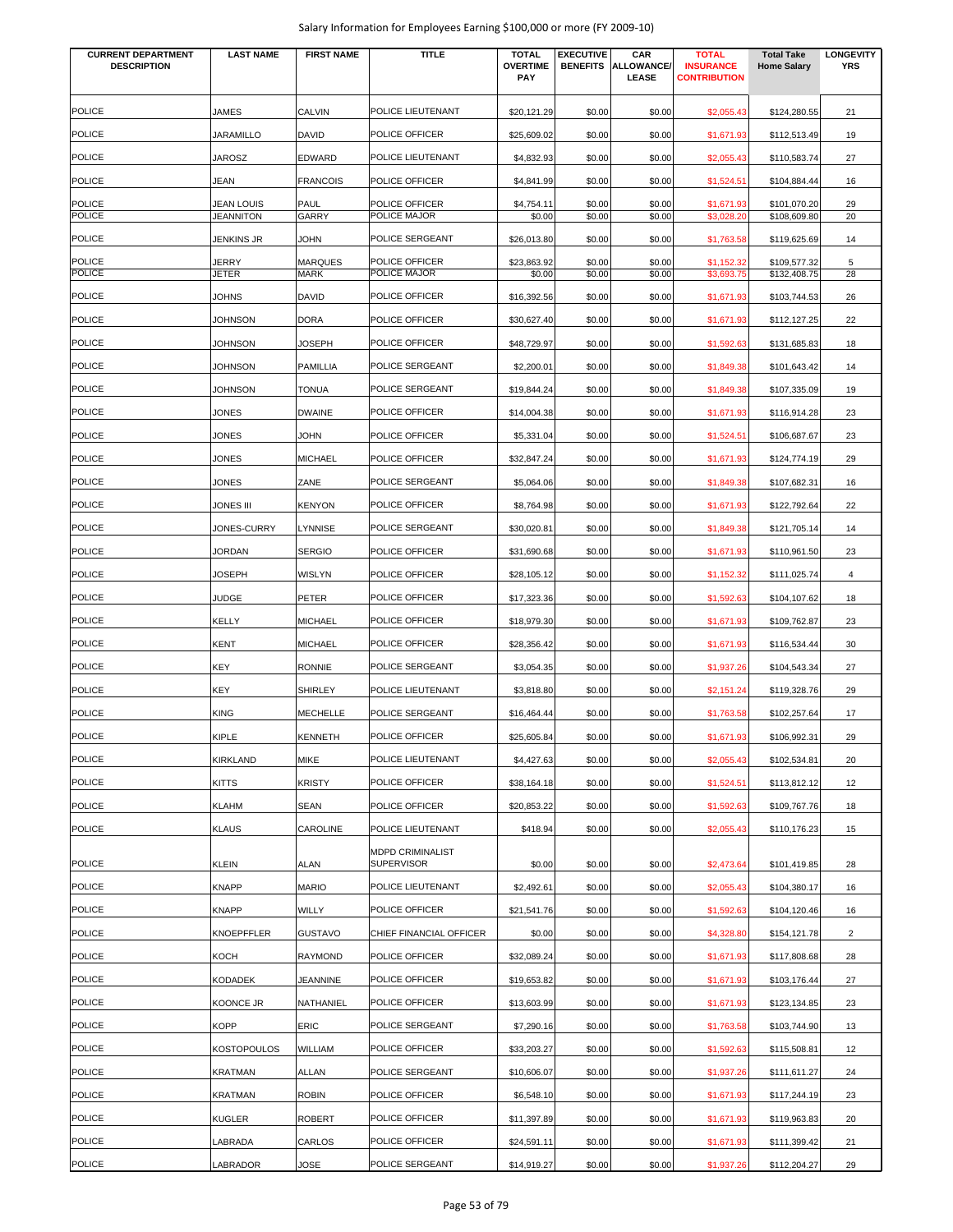| <b>CURRENT DEPARTMENT</b><br><b>DESCRIPTION</b> | <b>LAST NAME</b>   | <b>FIRST NAME</b>             | <b>TITLE</b>                                 | <b>TOTAL</b><br><b>OVERTIME</b><br><b>PAY</b> | <b>EXECUTIVE</b><br><b>BENEFITS</b> | CAR<br>ALLOWANCE/<br>LEASE | <b>TOTAL</b><br><b>INSURANCE</b><br><b>CONTRIBUTION</b> | <b>Total Take</b><br><b>Home Salary</b> | <b>LONGEVITY</b><br><b>YRS</b> |
|-------------------------------------------------|--------------------|-------------------------------|----------------------------------------------|-----------------------------------------------|-------------------------------------|----------------------------|---------------------------------------------------------|-----------------------------------------|--------------------------------|
| <b>POLICE</b>                                   | JAMES              | <b>CALVIN</b>                 | POLICE LIEUTENANT                            | \$20,121.29                                   | \$0.00                              | \$0.00                     | \$2,055.43                                              | \$124,280.55                            | 21                             |
| <b>POLICE</b>                                   | JARAMILLO          | <b>DAVID</b>                  | POLICE OFFICER                               | \$25,609.02                                   | \$0.00                              | \$0.00                     | \$1,671.93                                              | \$112,513.49                            | 19                             |
| <b>POLICE</b>                                   | JAROSZ             | <b>EDWARD</b>                 | POLICE LIEUTENANT                            | \$4,832.93                                    | \$0.00                              | \$0.00                     | \$2,055.43                                              | \$110,583.74                            | 27                             |
| <b>POLICE</b>                                   | JEAN               | <b>FRANCOIS</b>               | POLICE OFFICER                               | \$4,841.99                                    | \$0.00                              | \$0.00                     | \$1,524.51                                              | \$104,884.44                            | 16                             |
| <b>POLICE</b>                                   | <b>JEAN LOUIS</b>  | PAUL                          | POLICE OFFICER                               | \$4,754.11                                    | \$0.00                              | \$0.00                     | \$1,671.93                                              | \$101,070.20                            | 29                             |
| <b>POLICE</b>                                   | <b>JEANNITON</b>   | GARRY                         | POLICE MAJOR                                 | \$0.00                                        | \$0.00                              | \$0.00                     | \$3,028.20                                              | \$108,609.80                            | 20                             |
| <b>POLICE</b>                                   | JENKINS JR         | <b>JOHN</b>                   | POLICE SERGEANT                              | \$26,013.80                                   | \$0.00                              | \$0.00                     | \$1,763.58                                              | \$119,625.69                            | 14                             |
| <b>POLICE</b><br>POLICE                         | JERRY<br>JETER     | <b>MARQUES</b><br><b>MARK</b> | POLICE OFFICER<br>POLICE MAJOR               | \$23,863.92<br>\$0.00                         | \$0.00<br>\$0.00                    | \$0.00<br>\$0.00           | \$1,152.32<br>\$3,693.75                                | \$109,577.32<br>\$132,408.75            | 5<br>28                        |
| <b>POLICE</b>                                   | JOHNS              | <b>DAVID</b>                  | POLICE OFFICER                               | \$16,392.56                                   | \$0.00                              | \$0.00                     | \$1,671.93                                              | \$103,744.53                            | 26                             |
| <b>POLICE</b>                                   | <b>JOHNSON</b>     | <b>DORA</b>                   | POLICE OFFICER                               | \$30,627.40                                   | \$0.00                              | \$0.00                     | \$1,671.93                                              | \$112,127.25                            | 22                             |
| <b>POLICE</b>                                   | JOHNSON            | JOSEPH                        | POLICE OFFICER                               | \$48,729.97                                   | \$0.00                              | \$0.00                     | \$1,592.63                                              | \$131,685.83                            | 18                             |
| <b>POLICE</b>                                   | <b>JOHNSON</b>     | <b>PAMILLIA</b>               | POLICE SERGEANT                              | \$2,200.01                                    | \$0.00                              | \$0.00                     | \$1,849.38                                              | \$101,643.42                            | 14                             |
| <b>POLICE</b>                                   | JOHNSON            | <b>TONUA</b>                  | POLICE SERGEANT                              | \$19,844.24                                   | \$0.00                              | \$0.00                     | \$1,849.38                                              | \$107,335.09                            | 19                             |
| <b>POLICE</b>                                   | JONES              | <b>DWAINE</b>                 | POLICE OFFICER                               | \$14,004.38                                   | \$0.00                              | \$0.00                     | \$1,671.93                                              | \$116,914.28                            | 23                             |
| <b>POLICE</b>                                   | JONES              | <b>JOHN</b>                   | POLICE OFFICER                               | \$5,331.04                                    | \$0.00                              | \$0.00                     | \$1,524.51                                              | \$106,687.67                            | 23                             |
| <b>POLICE</b>                                   | JONES              | <b>MICHAEL</b>                | POLICE OFFICER                               | \$32,847.24                                   | \$0.00                              | \$0.00                     | \$1,671.93                                              | \$124,774.19                            | 29                             |
| <b>POLICE</b>                                   | JONES              | ZANE                          | POLICE SERGEANT                              | \$5,064.06                                    | \$0.00                              | \$0.00                     | \$1,849.38                                              | \$107,682.31                            | 16                             |
| POLICE                                          | JONES III          | <b>KENYON</b>                 | POLICE OFFICER                               | \$8,764.98                                    | \$0.00                              | \$0.00                     | \$1,671.93                                              | \$122,792.64                            | 22                             |
| <b>POLICE</b>                                   | JONES-CURRY        | LYNNISE                       | POLICE SERGEANT                              | \$30,020.81                                   | \$0.00                              | \$0.00                     | \$1,849.38                                              | \$121,705.14                            | 14                             |
| <b>POLICE</b>                                   | JORDAN             | <b>SERGIO</b>                 | POLICE OFFICER                               | \$31,690.68                                   | \$0.00                              | \$0.00                     | \$1,671.93                                              | \$110,961.50                            | 23                             |
| <b>POLICE</b>                                   | JOSEPH             | <b>WISLYN</b>                 | POLICE OFFICER                               | \$28,105.12                                   | \$0.00                              | \$0.00                     | \$1,152.32                                              | \$111,025.74                            | $\overline{4}$                 |
| POLICE                                          | JUDGE              | <b>PETER</b>                  | POLICE OFFICER                               | \$17,323.36                                   | \$0.00                              | \$0.00                     | \$1,592.63                                              | \$104,107.62                            | 18                             |
| <b>POLICE</b>                                   | KELLY              | <b>MICHAEL</b>                | POLICE OFFICER                               | \$18,979.30                                   | \$0.00                              | \$0.00                     | \$1,671.93                                              | \$109,762.87                            | 23                             |
| <b>POLICE</b>                                   | KENT               | <b>MICHAEL</b>                | POLICE OFFICER                               | \$28,356.42                                   | \$0.00                              | \$0.00                     | \$1,671.93                                              | \$116,534.44                            | 30                             |
| <b>POLICE</b>                                   | KEY                | <b>RONNIE</b>                 | POLICE SERGEANT                              | \$3,054.35                                    | \$0.00                              | \$0.00                     | \$1,937.26                                              | \$104,543.34                            | 27                             |
| <b>POLICE</b>                                   | KEY                | <b>SHIRLEY</b>                | POLICE LIEUTENANT                            | \$3,818.80                                    | \$0.00                              | \$0.00                     | \$2,151.24                                              | \$119,328.76                            | 29                             |
| <b>POLICE</b>                                   | <b>KING</b>        | <b>MECHELLE</b>               | POLICE SERGEANT                              | \$16,464.44                                   | \$0.00                              | \$0.00                     | \$1,763.58                                              | \$102,257.64                            | 17                             |
| <b>POLICE</b>                                   | <b>KIPLE</b>       | <b>KENNETH</b>                | POLICE OFFICER                               | \$25,605.84                                   | \$0.00                              | \$0.00                     | \$1,671.93                                              | \$106,992.31                            | 29                             |
| <b>POLICE</b>                                   | <b>KIRKLAND</b>    | <b>MIKE</b>                   | POLICE LIEUTENANT                            | \$4,427.63                                    | \$0.00                              | \$0.00                     | \$2,055.43                                              | \$102,534.81                            | 20                             |
| <b>POLICE</b>                                   | KITTS              | <b>KRISTY</b>                 | POLICE OFFICER                               | \$38,164.18                                   | \$0.00                              | \$0.00                     | \$1,524.51                                              | \$113,812.12                            | 12                             |
| <b>POLICE</b>                                   | KLAHM              | <b>SEAN</b>                   | POLICE OFFICER                               | \$20,853.22                                   | \$0.00                              | \$0.00                     | \$1,592.63                                              | \$109,767.76                            | 18                             |
| <b>POLICE</b>                                   | KLAUS              | CAROLINE                      | POLICE LIEUTENANT                            | \$418.94                                      | \$0.00                              | \$0.00                     | \$2,055.43                                              | \$110,176.23                            | 15                             |
| <b>POLICE</b>                                   | KLEIN              | <b>ALAN</b>                   | <b>MDPD CRIMINALIST</b><br><b>SUPERVISOR</b> | \$0.00                                        | \$0.00                              | \$0.00                     | \$2,473.64                                              | \$101,419.85                            | 28                             |
| <b>POLICE</b>                                   | KNAPP              | <b>MARIO</b>                  | POLICE LIEUTENANT                            | \$2,492.61                                    | \$0.00                              | \$0.00                     | \$2,055.43                                              | \$104,380.17                            | 16                             |
| <b>POLICE</b>                                   | KNAPP              | WILLY                         | POLICE OFFICER                               | \$21,541.76                                   | \$0.00                              | \$0.00                     | \$1,592.63                                              | \$104,120.46                            | 16                             |
| <b>POLICE</b>                                   | KNOEPFFLER         | <b>GUSTAVO</b>                | CHIEF FINANCIAL OFFICER                      | \$0.00                                        | \$0.00                              | \$0.00                     | \$4,328.80                                              | \$154,121.78                            | $\overline{c}$                 |
| <b>POLICE</b>                                   | KOCH               | <b>RAYMOND</b>                | POLICE OFFICER                               | \$32,089.24                                   | \$0.00                              | \$0.00                     | \$1,671.93                                              | \$117,808.68                            | 28                             |
| <b>POLICE</b>                                   | KODADEK            | <b>JEANNINE</b>               | POLICE OFFICER                               | \$19,653.82                                   | \$0.00                              | \$0.00                     | \$1,671.93                                              | \$103,176.44                            | 27                             |
| <b>POLICE</b>                                   | KOONCE JR          | NATHANIEL                     | POLICE OFFICER                               | \$13,603.99                                   | \$0.00                              | \$0.00                     | \$1,671.93                                              | \$123,134.85                            | 23                             |
| <b>POLICE</b>                                   | KOPP               | <b>ERIC</b>                   | POLICE SERGEANT                              | \$7,290.16                                    | \$0.00                              | \$0.00                     | \$1,763.58                                              | \$103,744.90                            | 13                             |
| <b>POLICE</b>                                   | <b>KOSTOPOULOS</b> | WILLIAM                       | POLICE OFFICER                               | \$33,203.27                                   | \$0.00                              | \$0.00                     | \$1,592.63                                              | \$115,508.81                            | 12                             |
| <b>POLICE</b>                                   | <b>KRATMAN</b>     | ALLAN                         | POLICE SERGEANT                              | \$10,606.07                                   | \$0.00                              | \$0.00                     | \$1,937.26                                              | \$111,611.27                            | 24                             |
| <b>POLICE</b>                                   | <b>KRATMAN</b>     | <b>ROBIN</b>                  | POLICE OFFICER                               | \$6,548.10                                    | \$0.00                              | \$0.00                     | \$1,671.93                                              | \$117,244.19                            | 23                             |
| <b>POLICE</b>                                   | KUGLER             | <b>ROBERT</b>                 | POLICE OFFICER                               | \$11,397.89                                   | \$0.00                              | \$0.00                     | \$1,671.93                                              | \$119,963.83                            | 20                             |
| <b>POLICE</b>                                   | LABRADA            | CARLOS                        | POLICE OFFICER                               | \$24,591.11                                   | \$0.00                              | \$0.00                     | \$1,671.93                                              | \$111,399.42                            | 21                             |
| <b>POLICE</b>                                   | LABRADOR           | JOSE                          | POLICE SERGEANT                              | \$14,919.27                                   | \$0.00                              | \$0.00                     | \$1,937.26                                              | \$112,204.27                            | 29                             |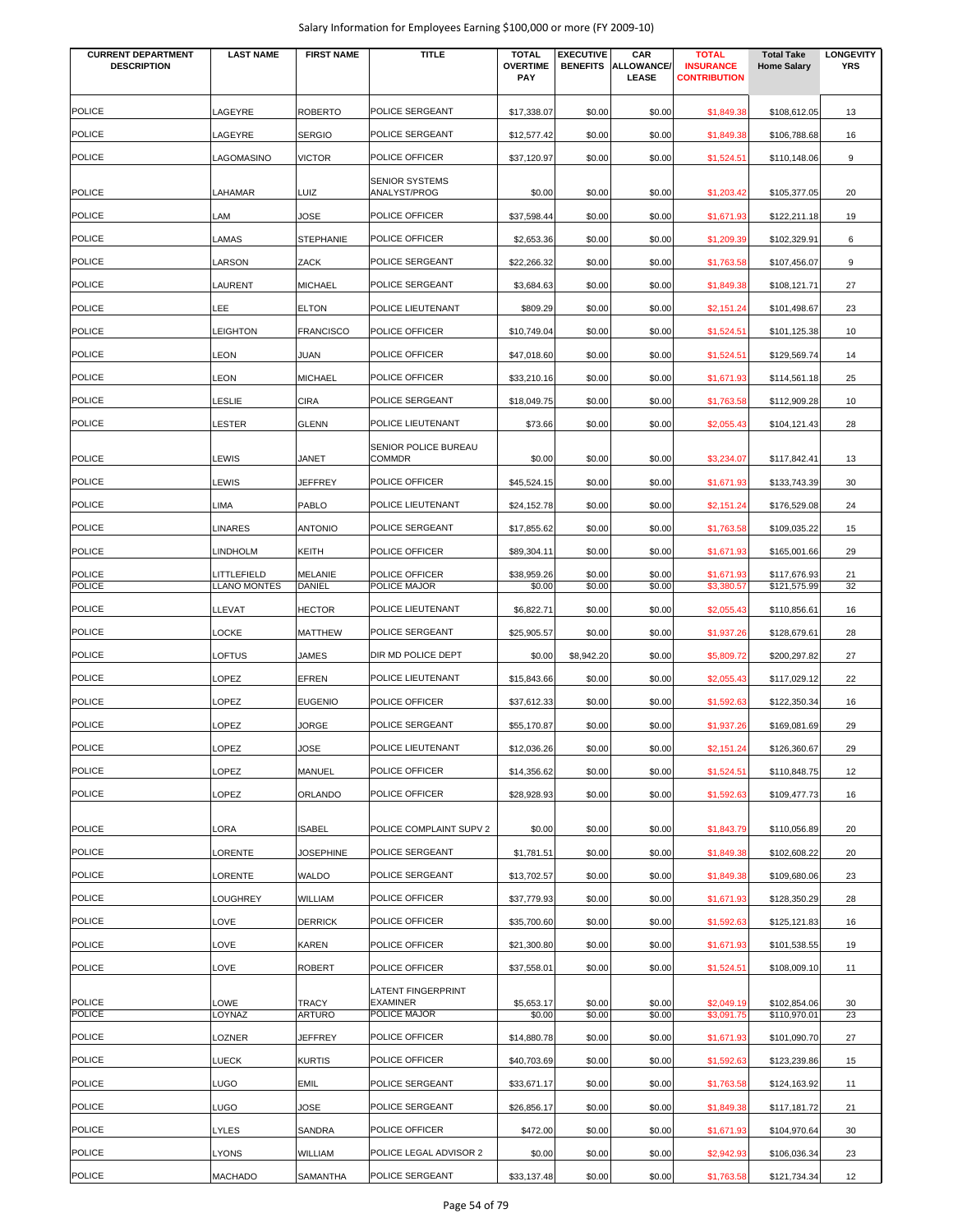| Salary Information for Employees Earning \$100,000 or more (FY 2009-10) |  |  |
|-------------------------------------------------------------------------|--|--|
|-------------------------------------------------------------------------|--|--|

| <b>CURRENT DEPARTMENT</b><br><b>DESCRIPTION</b> | <b>LAST NAME</b>    | <b>FIRST NAME</b>             | <b>TITLE</b>                                                 | <b>TOTAL</b><br><b>OVERTIME</b><br><b>PAY</b> | <b>EXECUTIVE</b><br><b>BENEFITS</b> | CAR<br><b>ALLOWANCE/</b><br>LEASE | <b>TOTAL</b><br><b>INSURANCE</b><br><b>CONTRIBUTION</b> | <b>Total Take</b><br><b>Home Salary</b> | <b>LONGEVITY</b><br><b>YRS</b> |
|-------------------------------------------------|---------------------|-------------------------------|--------------------------------------------------------------|-----------------------------------------------|-------------------------------------|-----------------------------------|---------------------------------------------------------|-----------------------------------------|--------------------------------|
| <b>POLICE</b>                                   | LAGEYRE             | <b>ROBERTO</b>                | POLICE SERGEANT                                              | \$17,338.07                                   | \$0.00                              | \$0.00                            | \$1,849.38                                              | \$108,612.05                            | 13                             |
| <b>POLICE</b>                                   | LAGEYRE             | <b>SERGIO</b>                 | POLICE SERGEANT                                              | \$12,577.42                                   | \$0.00                              | \$0.00                            | \$1,849.38                                              | \$106,788.68                            | 16                             |
| <b>POLICE</b>                                   | LAGOMASINO          | <b>VICTOR</b>                 | POLICE OFFICER                                               | \$37,120.97                                   | \$0.00                              | \$0.00                            | \$1,524.51                                              | \$110,148.06                            | 9                              |
|                                                 |                     |                               | <b>SENIOR SYSTEMS</b>                                        |                                               |                                     |                                   |                                                         |                                         |                                |
| <b>POLICE</b>                                   | LAHAMAR             | LUIZ                          | ANALYST/PROG                                                 | \$0.00                                        | \$0.00                              | \$0.00                            | \$1,203.42                                              | \$105,377.05                            | 20                             |
| <b>POLICE</b>                                   | LAM                 | JOSE                          | POLICE OFFICER                                               | \$37,598.44                                   | \$0.00                              | \$0.00                            | \$1,671.93                                              | \$122,211.18                            | 19                             |
| <b>POLICE</b>                                   | LAMAS               | <b>STEPHANIE</b>              | POLICE OFFICER                                               | \$2,653.36                                    | \$0.00                              | \$0.00                            | \$1,209.39                                              | \$102,329.91                            | 6                              |
| <b>POLICE</b>                                   | LARSON              | ZACK                          | POLICE SERGEANT                                              | \$22,266.32                                   | \$0.00                              | \$0.00                            | \$1,763.58                                              | \$107,456.07                            | 9                              |
| <b>POLICE</b>                                   | LAURENT             | <b>MICHAEL</b>                | POLICE SERGEANT                                              | \$3,684.63                                    | \$0.00                              | \$0.00                            | \$1,849.38                                              | \$108,121.71                            | 27                             |
| <b>POLICE</b>                                   | LEE                 | <b>ELTON</b>                  | POLICE LIEUTENANT                                            | \$809.29                                      | \$0.00                              | \$0.00                            | \$2,151.24                                              | \$101,498.67                            | 23                             |
| <b>POLICE</b>                                   | <b>LEIGHTON</b>     | <b>FRANCISCO</b>              | POLICE OFFICER                                               | \$10,749.04                                   | \$0.00                              | \$0.00                            | \$1,524.51                                              | \$101,125.38                            | 10                             |
| POLICE                                          | LEON                | JUAN                          | POLICE OFFICER                                               | \$47,018.60                                   | \$0.00                              | \$0.00                            | \$1,524.51                                              | \$129,569.74                            | 14                             |
| <b>POLICE</b>                                   | LEON                | <b>MICHAEL</b>                | POLICE OFFICER                                               | \$33,210.16                                   | \$0.00                              | \$0.00                            | \$1,671.93                                              | \$114,561.18                            | 25                             |
| <b>POLICE</b>                                   | LESLIE              | <b>CIRA</b>                   | POLICE SERGEANT                                              | \$18,049.75                                   | \$0.00                              | \$0.00                            | \$1,763.58                                              | \$112,909.28                            | 10                             |
| <b>POLICE</b>                                   | LESTER              | <b>GLENN</b>                  | POLICE LIEUTENANT                                            | \$73.66                                       | \$0.00                              | \$0.00                            | \$2,055.43                                              | \$104,121.43                            | 28                             |
| <b>POLICE</b>                                   | LEWIS               | JANET                         | SENIOR POLICE BUREAU<br><b>COMMDR</b>                        | \$0.00                                        | \$0.00                              | \$0.00                            | \$3,234.07                                              | \$117,842.41                            | 13                             |
| POLICE                                          | LEWIS               | <b>JEFFREY</b>                | POLICE OFFICER                                               | \$45,524.15                                   | \$0.00                              | \$0.00                            | \$1,671.93                                              | \$133,743.39                            | 30                             |
| <b>POLICE</b>                                   | LIMA                | <b>PABLO</b>                  | POLICE LIEUTENANT                                            | \$24,152.78                                   | \$0.00                              | \$0.00                            | \$2,151.24                                              | \$176,529.08                            | 24                             |
| <b>POLICE</b>                                   | LINARES             | <b>ANTONIO</b>                | POLICE SERGEANT                                              | \$17,855.62                                   | \$0.00                              | \$0.00                            | \$1,763.58                                              | \$109,035.22                            | 15                             |
| <b>POLICE</b>                                   | <b>LINDHOLM</b>     | <b>KEITH</b>                  | POLICE OFFICER                                               | \$89,304.11                                   | \$0.00                              | \$0.00                            | \$1,671.93                                              | \$165,001.66                            | 29                             |
| <b>POLICE</b>                                   | LITTLEFIELD         | <b>MELANIE</b>                | POLICE OFFICER                                               | \$38,959.26                                   | \$0.00                              | \$0.00                            | \$1,671.93                                              | \$117,676.93                            | 21                             |
| <b>POLICE</b>                                   | <b>LLANO MONTES</b> | <b>DANIEL</b>                 | POLICE MAJOR                                                 | \$0.00                                        | \$0.00                              | \$0.00                            | \$3,380.57                                              | \$121,575.99                            | 32                             |
| <b>POLICE</b>                                   | LLEVAT              | <b>HECTOR</b>                 | POLICE LIEUTENANT                                            | \$6,822.71                                    | \$0.00                              | \$0.00                            | \$2,055.43                                              | \$110,856.61                            | 16                             |
| <b>POLICE</b>                                   | LOCKE               | <b>MATTHEW</b>                | POLICE SERGEANT                                              | \$25,905.57                                   | \$0.00                              | \$0.00                            | \$1,937.26                                              | \$128,679.61                            | 28                             |
| <b>POLICE</b>                                   | LOFTUS              | <b>JAMES</b>                  | DIR MD POLICE DEPT                                           | \$0.00                                        | \$8,942.20                          | \$0.00                            | \$5,809.72                                              | \$200,297.82                            | 27                             |
| <b>POLICE</b>                                   | LOPEZ               | <b>EFREN</b>                  | POLICE LIEUTENANT                                            | \$15,843.66                                   | \$0.00                              | \$0.00                            | \$2,055.43                                              | \$117,029.12                            | 22                             |
| <b>POLICE</b>                                   | LOPEZ               | <b>EUGENIO</b>                | POLICE OFFICER                                               | \$37,612.33                                   | \$0.00                              | \$0.00                            | \$1,592.63                                              | \$122,350.34                            | 16                             |
| <b>POLICE</b>                                   | LOPEZ               | JORGE                         | POLICE SERGEANT                                              | \$55,170.87                                   | \$0.00                              | \$0.00                            | \$1,937.26                                              | \$169,081.69                            | 29                             |
| <b>POLICE</b>                                   | LOPEZ               | JOSE                          | POLICE LIEUTENANT                                            | \$12,036.26                                   | \$0.00                              | \$0.00                            | \$2,151.24                                              | \$126,360.67                            | 29                             |
| POLICE                                          | LOPEZ               | <b>MANUEL</b>                 | POLICE OFFICER                                               | \$14,356.62                                   | \$0.00                              | \$0.00                            | \$1,524.51                                              | \$110,848.75                            | 12                             |
| <b>POLICE</b>                                   | LOPEZ               | <b>ORLANDO</b>                | POLICE OFFICER                                               | \$28,928.93                                   | \$0.00                              | \$0.00                            | \$1,592.63                                              | \$109,477.73                            | 16                             |
| <b>POLICE</b>                                   | LORA                | <b>ISABEL</b>                 | POLICE COMPLAINT SUPV 2                                      |                                               |                                     |                                   |                                                         |                                         |                                |
| POLICE                                          | LORENTE             | <b>JOSEPHINE</b>              | POLICE SERGEANT                                              | \$0.00                                        | \$0.00                              | \$0.00                            | \$1,843.79                                              | \$110,056.89                            | 20                             |
|                                                 |                     |                               |                                                              | \$1,781.51                                    | \$0.00                              | \$0.00                            | \$1,849.38                                              | \$102,608.22                            | 20                             |
| <b>POLICE</b>                                   | LORENTE             | <b>WALDO</b>                  | POLICE SERGEANT                                              | \$13,702.57                                   | \$0.00                              | \$0.00                            | \$1,849.38                                              | \$109,680.06                            | 23                             |
| <b>POLICE</b>                                   | LOUGHREY            | <b>WILLIAM</b>                | POLICE OFFICER                                               | \$37,779.93                                   | \$0.00                              | \$0.00                            | \$1,671.93                                              | \$128,350.29                            | 28                             |
| <b>POLICE</b>                                   | LOVE                | <b>DERRICK</b>                | POLICE OFFICER                                               | \$35,700.60                                   | \$0.00                              | \$0.00                            | \$1,592.63                                              | \$125,121.83                            | 16                             |
| <b>POLICE</b>                                   | LOVE                | <b>KAREN</b>                  | POLICE OFFICER                                               | \$21,300.80                                   | \$0.00                              | \$0.00                            | \$1,671.93                                              | \$101,538.55                            | 19                             |
| <b>POLICE</b>                                   | LOVE                | <b>ROBERT</b>                 | POLICE OFFICER                                               | \$37,558.01                                   | \$0.00                              | \$0.00                            | \$1,524.51                                              | \$108,009.10                            | 11                             |
| <b>POLICE</b><br><b>POLICE</b>                  | LOWE<br>LOYNAZ      | <b>TRACY</b><br><b>ARTURO</b> | <b>LATENT FINGERPRINT</b><br><b>EXAMINER</b><br>POLICE MAJOR | \$5,653.17<br>\$0.00                          | \$0.00<br>\$0.00                    | \$0.00<br>\$0.00                  | \$2,049.19<br>\$3,091.75                                | \$102,854.06<br>\$110,970.01            | 30<br>23                       |
| <b>POLICE</b>                                   | LOZNER              | <b>JEFFREY</b>                | POLICE OFFICER                                               | \$14,880.78                                   | \$0.00                              | \$0.00                            | \$1,671.93                                              | \$101,090.70                            | 27                             |
| <b>POLICE</b>                                   | <b>LUECK</b>        | <b>KURTIS</b>                 | POLICE OFFICER                                               | \$40,703.69                                   | \$0.00                              | \$0.00                            | \$1,592.63                                              | \$123,239.86                            | 15                             |
| <b>POLICE</b>                                   | LUGO                | <b>EMIL</b>                   | POLICE SERGEANT                                              | \$33,671.17                                   | \$0.00                              | \$0.00                            | \$1,763.58                                              | \$124,163.92                            | 11                             |
| <b>POLICE</b>                                   | LUGO                | JOSE                          | POLICE SERGEANT                                              | \$26,856.17                                   | \$0.00                              | \$0.00                            | \$1,849.38                                              | \$117,181.72                            | 21                             |
| <b>POLICE</b>                                   | LYLES               | SANDRA                        | POLICE OFFICER                                               | \$472.00                                      | \$0.00                              | \$0.00                            | \$1,671.93                                              | \$104,970.64                            | 30                             |
| <b>POLICE</b>                                   | <b>LYONS</b>        | WILLIAM                       | POLICE LEGAL ADVISOR 2                                       | \$0.00                                        | \$0.00                              | \$0.00                            | \$2,942.93                                              | \$106,036.34                            | 23                             |
| <b>POLICE</b>                                   | <b>MACHADO</b>      | <b>SAMANTHA</b>               | POLICE SERGEANT                                              | \$33,137.48                                   | \$0.00                              | \$0.00                            | \$1,763.58                                              | \$121,734.34                            | 12                             |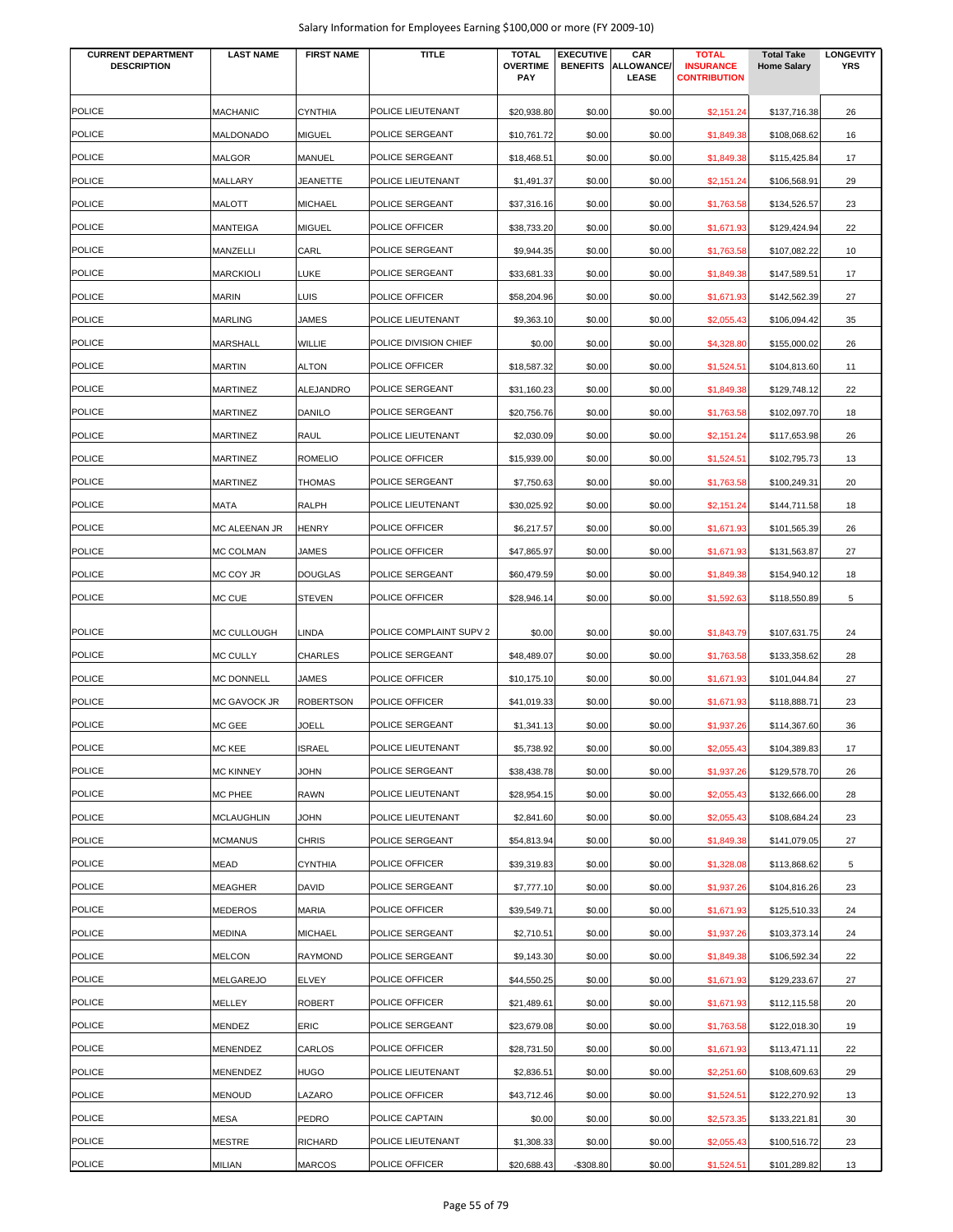|  |  |  | Salary Information for Employees Earning \$100,000 or more (FY 2009-10) |
|--|--|--|-------------------------------------------------------------------------|
|--|--|--|-------------------------------------------------------------------------|

| <b>CURRENT DEPARTMENT</b><br><b>DESCRIPTION</b> | <b>LAST NAME</b>               | <b>FIRST NAME</b>         | <b>TITLE</b>            | <b>TOTAL</b><br><b>OVERTIME</b> | <b>EXECUTIVE</b><br><b>BENEFITS</b> | CAR<br><b>ALLOWANCE/</b> | <b>TOTAL</b><br><b>INSURANCE</b> | <b>Total Take</b><br><b>Home Salary</b> | <b>LONGEVITY</b><br><b>YRS</b> |
|-------------------------------------------------|--------------------------------|---------------------------|-------------------------|---------------------------------|-------------------------------------|--------------------------|----------------------------------|-----------------------------------------|--------------------------------|
|                                                 |                                |                           |                         | PAY                             |                                     | <b>LEASE</b>             | <b>CONTRIBUTION</b>              |                                         |                                |
| <b>POLICE</b>                                   | <b>MACHANIC</b>                | <b>CYNTHIA</b>            | POLICE LIEUTENANT       | \$20,938.80                     | \$0.00                              | \$0.00                   | \$2,151.24                       | \$137,716.38                            | 26                             |
| <b>POLICE</b>                                   | MALDONADO                      | <b>MIGUEL</b>             | POLICE SERGEANT         | \$10,761.72                     | \$0.00                              | \$0.00                   | \$1,849.38                       | \$108,068.62                            | 16                             |
| <b>POLICE</b>                                   | MALGOR                         | MANUEL                    | POLICE SERGEANT         | \$18,468.51                     | \$0.00                              | \$0.00                   | \$1,849.38                       | \$115,425.84                            | 17                             |
| <b>POLICE</b>                                   | MALLARY                        | JEANETTE                  | POLICE LIEUTENANT       | \$1,491.37                      | \$0.00                              | \$0.00                   | \$2,151.24                       | \$106,568.91                            | 29                             |
| <b>POLICE</b>                                   | MALOTT                         | <b>MICHAEL</b>            | POLICE SERGEANT         | \$37,316.16                     | \$0.00                              | \$0.00                   | \$1,763.58                       | \$134,526.57                            | 23                             |
| <b>POLICE</b>                                   | MANTEIGA                       | <b>MIGUEL</b>             | POLICE OFFICER          | \$38,733.20                     | \$0.00                              | \$0.00                   | \$1,671.93                       | \$129,424.94                            | 22                             |
| <b>POLICE</b>                                   | MANZELLI                       | CARL                      | POLICE SERGEANT         | \$9,944.35                      | \$0.00                              | \$0.00                   | \$1,763.58                       | \$107,082.22                            | 10                             |
| <b>POLICE</b>                                   | <b>MARCKIOLI</b>               | <b>LUKE</b>               | POLICE SERGEANT         | \$33,681.33                     | \$0.00                              | \$0.00                   | \$1,849.38                       | \$147,589.51                            | 17                             |
| <b>POLICE</b>                                   | MARIN                          | LUIS                      | POLICE OFFICER          | \$58,204.96                     | \$0.00                              | \$0.00                   | \$1,671.93                       | \$142,562.39                            | 27                             |
| <b>POLICE</b>                                   | MARLING                        | JAMES                     | POLICE LIEUTENANT       | \$9,363.10                      | \$0.00                              | \$0.00                   | \$2,055.43                       | \$106,094.42                            | 35                             |
| <b>POLICE</b>                                   | MARSHALL                       | WILLIE                    | POLICE DIVISION CHIEF   | \$0.00                          | \$0.00                              | \$0.00                   | \$4,328.80                       | \$155,000.02                            | 26                             |
| <b>POLICE</b>                                   | <b>MARTIN</b>                  | <b>ALTON</b>              | POLICE OFFICER          | \$18,587.32                     | \$0.00                              | \$0.00                   | \$1,524.51                       | \$104,813.60                            | 11                             |
| <b>POLICE</b>                                   | MARTINEZ                       | <b>ALEJANDRO</b>          | POLICE SERGEANT         | \$31,160.23                     | \$0.00                              | \$0.00                   | \$1,849.38                       | \$129,748.12                            | 22                             |
| <b>POLICE</b>                                   | MARTINEZ                       | <b>DANILO</b>             | POLICE SERGEANT         | \$20,756.76                     | \$0.00                              | \$0.00                   | \$1,763.58                       | \$102,097.70                            | 18                             |
| <b>POLICE</b>                                   | <b>MARTINEZ</b>                | RAUL                      | POLICE LIEUTENANT       | \$2,030.09                      | \$0.00                              | \$0.00                   | \$2,151.24                       | \$117,653.98                            | 26                             |
| <b>POLICE</b>                                   | MARTINEZ                       | <b>ROMELIO</b>            | POLICE OFFICER          | \$15,939.00                     | \$0.00                              | \$0.00                   | \$1,524.51                       | \$102,795.73                            | 13                             |
| <b>POLICE</b>                                   | <b>MARTINEZ</b>                | THOMAS                    | POLICE SERGEANT         | \$7,750.63                      | \$0.00                              | \$0.00                   | \$1,763.58                       | \$100,249.31                            | 20                             |
| <b>POLICE</b>                                   | MATA                           | <b>RALPH</b>              | POLICE LIEUTENANT       | \$30,025.92                     | \$0.00                              | \$0.00                   | \$2,151.24                       | \$144,711.58                            | 18                             |
| <b>POLICE</b>                                   | MC ALEENAN JR                  | <b>HENRY</b>              | POLICE OFFICER          | \$6,217.57                      | \$0.00                              | \$0.00                   | \$1,671.93                       | \$101,565.39                            | 26                             |
| <b>POLICE</b>                                   | MC COLMAN                      | JAMES                     | POLICE OFFICER          | \$47,865.97                     | \$0.00                              | \$0.00                   | \$1,671.93                       | \$131,563.87                            | 27                             |
| <b>POLICE</b>                                   | MC COY JR                      | <b>DOUGLAS</b>            | POLICE SERGEANT         | \$60,479.59                     | \$0.00                              | \$0.00                   | \$1,849.38                       | \$154,940.12                            | 18                             |
| <b>POLICE</b>                                   | MC CUE                         | <b>STEVEN</b>             | POLICE OFFICER          | \$28,946.14                     | \$0.00                              | \$0.00                   | \$1,592.63                       | \$118,550.89                            | 5                              |
| <b>POLICE</b>                                   |                                |                           | POLICE COMPLAINT SUPV 2 |                                 |                                     |                          |                                  |                                         |                                |
| <b>POLICE</b>                                   | MC CULLOUGH<br><b>MC CULLY</b> | LINDA<br><b>CHARLES</b>   | POLICE SERGEANT         | \$0.00<br>\$48,489.07           | \$0.00<br>\$0.00                    | \$0.00<br>\$0.00         | \$1,843.79                       | \$107,631.75<br>\$133,358.62            | 24<br>28                       |
| <b>POLICE</b>                                   | MC DONNELL                     |                           | POLICE OFFICER          | \$10,175.10                     |                                     |                          | \$1,763.58<br>\$1,671.93         |                                         |                                |
| <b>POLICE</b>                                   | <b>MC GAVOCK JR</b>            | JAMES<br><b>ROBERTSON</b> | POLICE OFFICER          | \$41,019.33                     | \$0.00<br>\$0.00                    | \$0.00<br>\$0.00         | \$1,671.93                       | \$101,044.84<br>\$118,888.71            | 27<br>23                       |
| <b>POLICE</b>                                   | MC GEE                         | JOELL                     | POLICE SERGEANT         | \$1,341.13                      | \$0.00                              | \$0.00                   | \$1,937.26                       | \$114,367.60                            | 36                             |
| <b>POLICE</b>                                   | MC KEE                         | <b>ISRAEL</b>             | POLICE LIEUTENANT       | \$5,738.92                      | \$0.00                              | \$0.00                   | \$2,055.43                       | \$104,389.83                            | 17                             |
| <b>POLICE</b>                                   | <b>MC KINNEY</b>               | <b>JOHN</b>               | POLICE SERGEANT         | \$38,438.78                     | \$0.00                              | \$0.00                   | \$1,937.26                       | \$129,578.70                            | 26                             |
| <b>POLICE</b>                                   | MC PHEE                        | <b>RAWN</b>               | POLICE LIEUTENANT       | \$28,954.15                     | \$0.00                              | \$0.00                   | \$2,055.43                       | \$132,666.00                            | 28                             |
| <b>POLICE</b>                                   | MCLAUGHLIN                     | <b>JOHN</b>               | POLICE LIEUTENANT       | \$2,841.60                      | \$0.00                              | \$0.00                   | \$2,055.43                       | \$108,684.24                            | 23                             |
| <b>POLICE</b>                                   | <b>MCMANUS</b>                 | <b>CHRIS</b>              | POLICE SERGEANT         | \$54,813.94                     | \$0.00                              | \$0.00                   | \$1,849.38                       | \$141,079.05                            | 27                             |
| <b>POLICE</b>                                   | MEAD                           | <b>CYNTHIA</b>            | POLICE OFFICER          | \$39,319.83                     | \$0.00                              | \$0.00                   | \$1,328.08                       | \$113,868.62                            | 5                              |
| <b>POLICE</b>                                   | MEAGHER                        | DAVID                     | POLICE SERGEANT         | \$7,777.10                      | \$0.00                              | \$0.00                   | \$1,937.26                       | \$104,816.26                            | 23                             |
| <b>POLICE</b>                                   | MEDEROS                        | <b>MARIA</b>              | POLICE OFFICER          | \$39,549.71                     | \$0.00                              | \$0.00                   | \$1,671.93                       | \$125,510.33                            | 24                             |
| <b>POLICE</b>                                   | MEDINA                         | <b>MICHAEL</b>            | POLICE SERGEANT         | \$2,710.51                      | \$0.00                              | \$0.00                   | \$1,937.26                       | \$103,373.14                            | 24                             |
| <b>POLICE</b>                                   | MELCON                         | <b>RAYMOND</b>            | POLICE SERGEANT         | \$9,143.30                      | \$0.00                              | \$0.00                   | \$1,849.38                       | \$106,592.34                            | 22                             |
| <b>POLICE</b>                                   | MELGAREJO                      | <b>ELVEY</b>              | POLICE OFFICER          | \$44,550.25                     | \$0.00                              | \$0.00                   | \$1,671.93                       | \$129,233.67                            | 27                             |
| <b>POLICE</b>                                   | MELLEY                         | <b>ROBERT</b>             | POLICE OFFICER          | \$21,489.61                     | \$0.00                              | \$0.00                   | \$1,671.93                       | \$112,115.58                            | 20                             |
| <b>POLICE</b>                                   | MENDEZ                         | ERIC                      | POLICE SERGEANT         | \$23,679.08                     | \$0.00                              | \$0.00                   | \$1,763.58                       | \$122,018.30                            | 19                             |
| <b>POLICE</b>                                   | MENENDEZ                       | CARLOS                    | POLICE OFFICER          | \$28,731.50                     | \$0.00                              | \$0.00                   | \$1,671.93                       | \$113,471.11                            | 22                             |
| <b>POLICE</b>                                   | MENENDEZ                       | <b>HUGO</b>               | POLICE LIEUTENANT       | \$2,836.51                      | \$0.00                              | \$0.00                   | \$2,251.60                       | \$108,609.63                            | 29                             |
| <b>POLICE</b>                                   | <b>MENOUD</b>                  | LAZARO                    | POLICE OFFICER          | \$43,712.46                     | \$0.00                              |                          |                                  |                                         | 13                             |
| <b>POLICE</b>                                   | MESA                           | PEDRO                     | POLICE CAPTAIN          |                                 | \$0.00                              | \$0.00                   | \$1,524.51                       | \$122,270.92<br>\$133,221.81            |                                |
| <b>POLICE</b>                                   | MESTRE                         | <b>RICHARD</b>            | POLICE LIEUTENANT       | \$0.00<br>\$1,308.33            | \$0.00                              | \$0.00<br>\$0.00         | \$2,573.35<br>\$2,055.43         | \$100,516.72                            | 30<br>23                       |
| <b>POLICE</b>                                   | MILIAN                         | <b>MARCOS</b>             | POLICE OFFICER          | \$20,688.43                     | $-$308.80$                          | \$0.00                   | \$1,524.51                       | \$101,289.82                            | 13                             |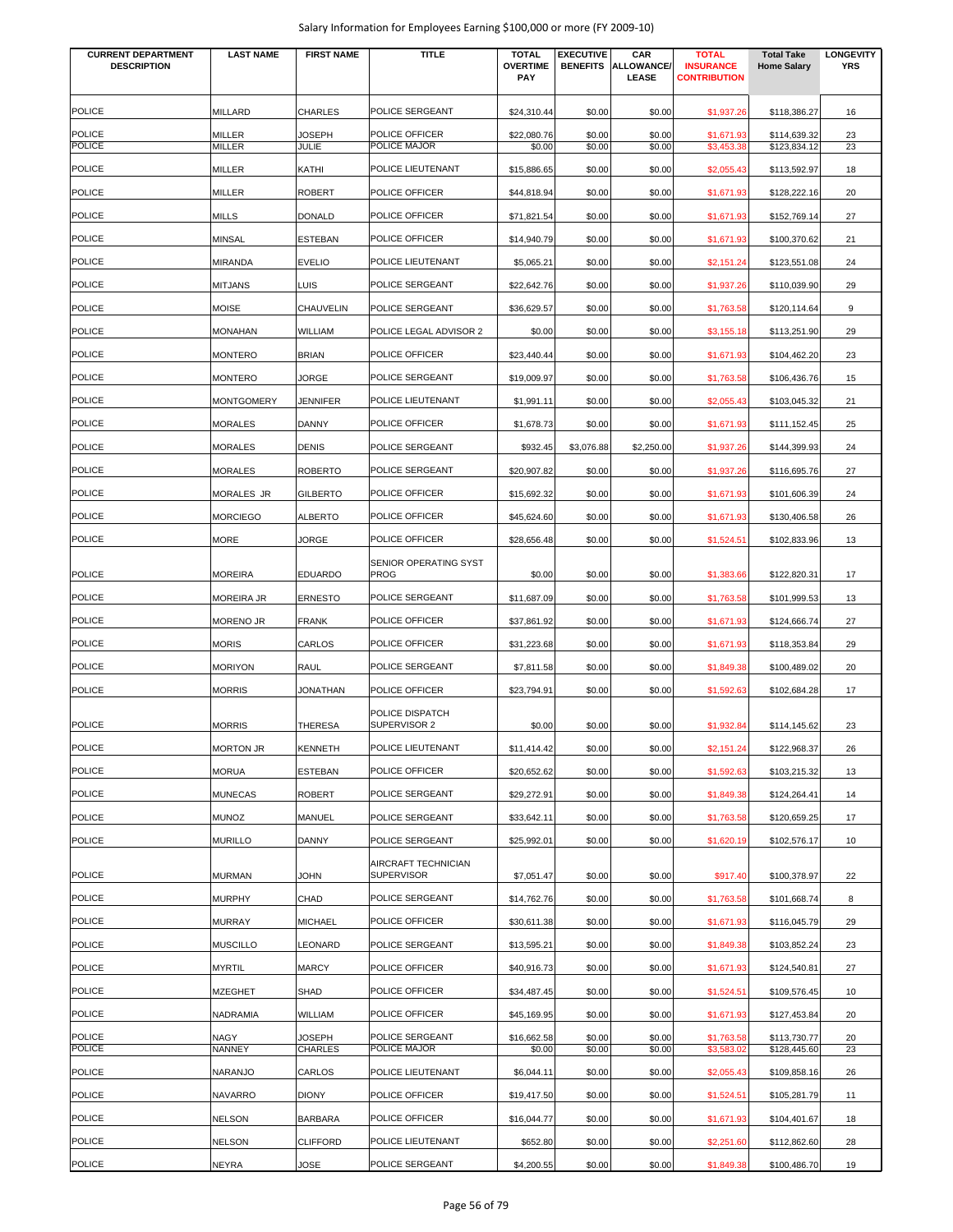| <b>CURRENT DEPARTMENT</b><br><b>DESCRIPTION</b> | <b>LAST NAME</b>  | <b>FIRST NAME</b>             | TITLE                                    | <b>TOTAL</b><br><b>OVERTIME</b><br><b>PAY</b> | <b>EXECUTIVE</b><br><b>BENEFITS</b> | CAR<br>ALLOWANCE/<br>LEASE | <b>TOTAL</b><br><b>INSURANCE</b><br><b>CONTRIBUTION</b> | <b>Total Take</b><br><b>Home Salary</b> | <b>LONGEVITY</b><br><b>YRS</b> |
|-------------------------------------------------|-------------------|-------------------------------|------------------------------------------|-----------------------------------------------|-------------------------------------|----------------------------|---------------------------------------------------------|-----------------------------------------|--------------------------------|
| <b>POLICE</b>                                   | MILLARD           | <b>CHARLES</b>                | POLICE SERGEANT                          | \$24,310.44                                   | \$0.00                              | \$0.00                     | \$1,937.26                                              | \$118,386.27                            | 16                             |
| <b>POLICE</b><br><b>POLICE</b>                  | MILLER<br>MILLER  | <b>JOSEPH</b><br><b>JULIE</b> | POLICE OFFICER<br>POLICE MAJOR           | \$22,080.76<br>\$0.00                         | \$0.00<br>\$0.00                    | \$0.00<br>\$0.00           | \$1,671.93<br>\$3,453.38                                | \$114,639.32<br>\$123,834.12            | 23<br>23                       |
| <b>POLICE</b>                                   | MILLER            | KATHI                         | POLICE LIEUTENANT                        | \$15,886.65                                   | \$0.00                              | \$0.00                     | \$2,055.43                                              | \$113,592.97                            | 18                             |
| POLICE                                          | MILLER            | <b>ROBERT</b>                 | <b>POLICE OFFICER</b>                    | \$44,818.94                                   | \$0.00                              | \$0.00                     | \$1,671.93                                              | \$128,222.16                            | 20                             |
| POLICE                                          | <b>MILLS</b>      | <b>DONALD</b>                 | <b>POLICE OFFICER</b>                    | \$71,821.54                                   | \$0.00                              | \$0.00                     | \$1,671.93                                              | \$152,769.14                            | 27                             |
| POLICE                                          | <b>MINSAL</b>     | <b>ESTEBAN</b>                | POLICE OFFICER                           | \$14,940.79                                   | \$0.00                              | \$0.00                     | \$1,671.93                                              | \$100,370.62                            | 21                             |
| <b>POLICE</b>                                   | MIRANDA           | <b>EVELIO</b>                 | POLICE LIEUTENANT                        | \$5,065.21                                    | \$0.00                              | \$0.00                     | \$2,151.24                                              | \$123,551.08                            | 24                             |
| POLICE                                          | <b>MITJANS</b>    | LUIS                          | POLICE SERGEANT                          | \$22,642.76                                   | \$0.00                              | \$0.00                     | \$1,937.26                                              | \$110,039.90                            | 29                             |
| <b>POLICE</b>                                   | <b>MOISE</b>      | <b>CHAUVELIN</b>              | POLICE SERGEANT                          | \$36,629.57                                   | \$0.00                              | \$0.00                     | \$1,763.58                                              | \$120,114.64                            | 9                              |
| <b>POLICE</b>                                   | MONAHAN           | <b>WILLIAM</b>                | POLICE LEGAL ADVISOR 2                   | \$0.00                                        | \$0.00                              | \$0.00                     | \$3,155.18                                              | \$113,251.90                            | 29                             |
| <b>POLICE</b>                                   | <b>MONTERO</b>    | <b>BRIAN</b>                  | POLICE OFFICER                           |                                               |                                     |                            |                                                         |                                         |                                |
|                                                 |                   |                               |                                          | \$23,440.44                                   | \$0.00                              | \$0.00                     | \$1,671.93                                              | \$104,462.20                            | 23                             |
| <b>POLICE</b>                                   | <b>MONTERO</b>    | JORGE                         | POLICE SERGEANT                          | \$19,009.97                                   | \$0.00                              | \$0.00                     | \$1,763.58                                              | \$106,436.76                            | 15                             |
| <b>POLICE</b>                                   | <b>MONTGOMERY</b> | JENNIFER                      | POLICE LIEUTENANT                        | \$1,991.11                                    | \$0.00                              | \$0.00                     | \$2,055.43                                              | \$103,045.32                            | 21                             |
| <b>POLICE</b>                                   | <b>MORALES</b>    | <b>DANNY</b>                  | POLICE OFFICER                           | \$1,678.73                                    | \$0.00                              | \$0.00                     | \$1,671.93                                              | \$111,152.45                            | 25                             |
| <b>POLICE</b>                                   | <b>MORALES</b>    | <b>DENIS</b>                  | POLICE SERGEANT                          | \$932.45                                      | \$3,076.88                          | \$2,250.00                 | \$1,937.26                                              | \$144,399.93                            | 24                             |
| <b>POLICE</b>                                   | <b>MORALES</b>    | <b>ROBERTO</b>                | POLICE SERGEANT                          | \$20,907.82                                   | \$0.00                              | \$0.00                     | \$1,937.26                                              | \$116,695.76                            | 27                             |
| <b>POLICE</b>                                   | <b>MORALES JR</b> | <b>GILBERTO</b>               | POLICE OFFICER                           | \$15,692.32                                   | \$0.00                              | \$0.00                     | \$1,671.93                                              | \$101,606.39                            | 24                             |
| <b>POLICE</b>                                   | <b>MORCIEGO</b>   | <b>ALBERTO</b>                | POLICE OFFICER                           | \$45,624.60                                   | \$0.00                              | \$0.00                     | \$1,671.93                                              | \$130,406.58                            | 26                             |
| <b>POLICE</b>                                   | <b>MORE</b>       | JORGE                         | POLICE OFFICER                           | \$28,656.48                                   | \$0.00                              | \$0.00                     | \$1,524.51                                              | \$102,833.96                            | 13                             |
| <b>POLICE</b>                                   | <b>MOREIRA</b>    | <b>EDUARDO</b>                | SENIOR OPERATING SYST<br><b>PROG</b>     | \$0.00                                        | \$0.00                              | \$0.00                     | \$1,383.66                                              | \$122,820.31                            | 17                             |
| <b>POLICE</b>                                   | <b>MOREIRA JR</b> | <b>ERNESTO</b>                | POLICE SERGEANT                          | \$11,687.09                                   | \$0.00                              | \$0.00                     | \$1,763.58                                              | \$101,999.53                            | 13                             |
| <b>POLICE</b>                                   | MORENO JR         | <b>FRANK</b>                  | POLICE OFFICER                           | \$37,861.92                                   | \$0.00                              | \$0.00                     | \$1,671.93                                              | \$124,666.74                            | 27                             |
| <b>POLICE</b>                                   | <b>MORIS</b>      | <b>CARLOS</b>                 | POLICE OFFICER                           | \$31,223.68                                   | \$0.00                              | \$0.00                     | \$1,671.93                                              | \$118,353.84                            | 29                             |
| <b>POLICE</b>                                   | <b>MORIYON</b>    | <b>RAUL</b>                   | POLICE SERGEANT                          | \$7,811.58                                    | \$0.00                              | \$0.00                     | \$1,849.38                                              | \$100,489.02                            | 20                             |
| <b>POLICE</b>                                   | <b>MORRIS</b>     | JONATHAN                      | POLICE OFFICER                           | \$23,794.91                                   | \$0.00                              | \$0.00                     | \$1,592.63                                              | \$102,684.28                            | 17                             |
| <b>POLICE</b>                                   | <b>MORRIS</b>     | <b>THERESA</b>                | POLICE DISPATCH<br>SUPERVISOR 2          | \$0.00                                        | \$0.00                              | \$0.00                     | \$1,932.84                                              | \$114,145.62                            | 23                             |
| <b>POLICE</b>                                   | <b>MORTON JR</b>  | <b>KENNETH</b>                | POLICE LIEUTENANT                        | \$11,414.42                                   | \$0.00                              | \$0.00                     | \$2,151.24                                              | \$122,968.37                            | 26                             |
| <b>POLICE</b>                                   | <b>MORUA</b>      | <b>ESTEBAN</b>                | POLICE OFFICER                           | \$20,652.62                                   | \$0.00                              | \$0.00                     | \$1,592.63                                              | \$103,215.32                            | 13                             |
| <b>POLICE</b>                                   | <b>MUNECAS</b>    | <b>ROBERT</b>                 | POLICE SERGEANT                          | \$29,272.91                                   | \$0.00                              | \$0.00                     | \$1,849.38                                              | \$124,264.41                            | 14                             |
| <b>POLICE</b>                                   | MUNOZ             | <b>MANUEL</b>                 | POLICE SERGEANT                          | \$33,642.11                                   | \$0.00                              | \$0.00                     | \$1,763.58                                              | \$120,659.25                            | 17                             |
| <b>POLICE</b>                                   | <b>MURILLO</b>    | <b>DANNY</b>                  | POLICE SERGEANT                          | \$25,992.01                                   | \$0.00                              | \$0.00                     | \$1,620.19                                              | \$102,576.17                            | 10                             |
| <b>POLICE</b>                                   | <b>MURMAN</b>     | JOHN                          | AIRCRAFT TECHNICIAN<br><b>SUPERVISOR</b> | \$7,051.47                                    | \$0.00                              | \$0.00                     | \$917.40                                                | \$100,378.97                            | 22                             |
| <b>POLICE</b>                                   | <b>MURPHY</b>     | CHAD                          | POLICE SERGEANT                          | \$14,762.76                                   | \$0.00                              | \$0.00                     | \$1,763.58                                              | \$101,668.74                            | 8                              |
| <b>POLICE</b>                                   | MURRAY            | <b>MICHAEL</b>                | POLICE OFFICER                           | \$30,611.38                                   | \$0.00                              | \$0.00                     | \$1,671.93                                              | \$116,045.79                            | 29                             |
| POLICE                                          | <b>MUSCILLO</b>   | LEONARD                       | POLICE SERGEANT                          | \$13,595.21                                   | \$0.00                              | \$0.00                     | \$1,849.38                                              | \$103,852.24                            | 23                             |
| <b>POLICE</b>                                   | <b>MYRTIL</b>     | <b>MARCY</b>                  | POLICE OFFICER                           | \$40,916.73                                   | \$0.00                              | \$0.00                     | \$1,671.93                                              | \$124,540.81                            | 27                             |
| POLICE                                          | <b>MZEGHET</b>    | SHAD                          | POLICE OFFICER                           | \$34,487.45                                   | \$0.00                              | \$0.00                     | \$1,524.51                                              | \$109,576.45                            | 10                             |
| <b>POLICE</b>                                   | NADRAMIA          | WILLIAM                       | POLICE OFFICER                           | \$45,169.95                                   | \$0.00                              | \$0.00                     | \$1,671.93                                              | \$127,453.84                            | 20                             |
| <b>POLICE</b>                                   | NAGY              | <b>JOSEPH</b>                 | POLICE SERGEANT                          | \$16,662.58                                   | \$0.00                              | \$0.00                     | \$1,763.58                                              | \$113,730.77                            | 20                             |
| POLICE                                          | <b>NANNEY</b>     | <b>CHARLES</b>                | POLICE MAJOR                             | \$0.00                                        | \$0.00                              | \$0.00                     | \$3,583.02                                              | \$128,445.60                            | 23                             |
| <b>POLICE</b>                                   | NARANJO           | CARLOS                        | POLICE LIEUTENANT                        | \$6,044.11                                    | \$0.00                              | \$0.00                     | \$2,055.43                                              | \$109,858.16                            | 26                             |
| <b>POLICE</b>                                   | NAVARRO           | <b>DIONY</b>                  | POLICE OFFICER                           | \$19,417.50                                   | \$0.00                              | \$0.00                     | \$1,524.51                                              | \$105,281.79                            | 11                             |
| <b>POLICE</b>                                   | <b>NELSON</b>     | <b>BARBARA</b>                | POLICE OFFICER                           | \$16,044.77                                   | \$0.00                              | \$0.00                     | \$1,671.93                                              | \$104,401.67                            | 18                             |
| <b>POLICE</b>                                   | <b>NELSON</b>     | <b>CLIFFORD</b>               | POLICE LIEUTENANT                        | \$652.80                                      | \$0.00                              | \$0.00                     | \$2,251.60                                              | \$112,862.60                            | 28                             |
| <b>POLICE</b>                                   | NEYRA             | JOSE                          | POLICE SERGEANT                          | \$4,200.55                                    | \$0.00                              | \$0.00                     | \$1,849.38                                              | \$100,486.70                            | 19                             |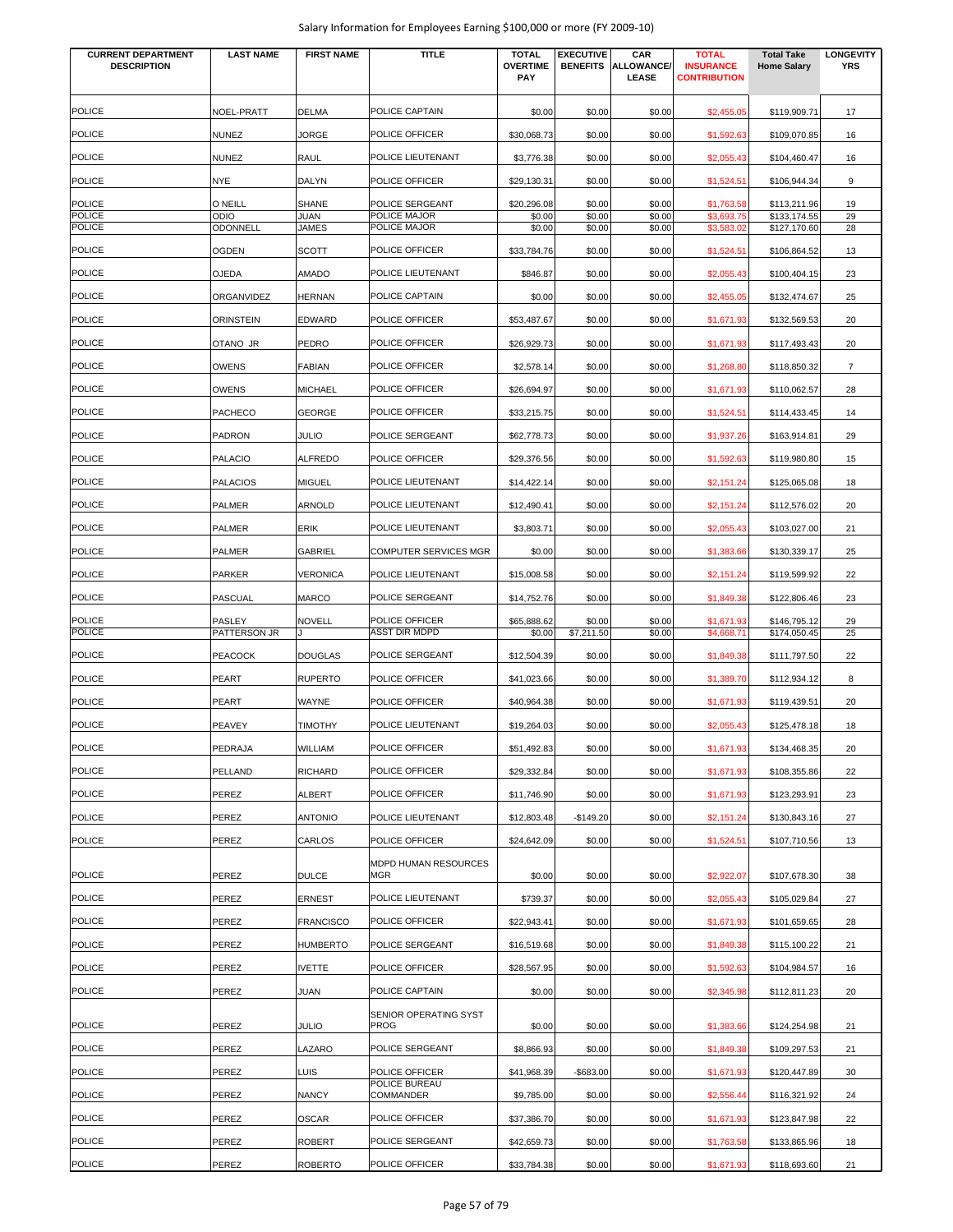| <b>CURRENT DEPARTMENT</b><br><b>DESCRIPTION</b> | <b>LAST NAME</b>               | <b>FIRST NAME</b> | <b>TITLE</b>                           | <b>TOTAL</b><br><b>OVERTIME</b><br>PAY | <b>EXECUTIVE</b><br><b>BENEFITS</b> | CAR<br><b>ALLOWANCE/</b><br>LEASE | <b>TOTAL</b><br><b>INSURANCE</b><br><b>CONTRIBUTION</b> | <b>Total Take</b><br><b>Home Salary</b> | <b>LONGEVITY</b><br><b>YRS</b> |
|-------------------------------------------------|--------------------------------|-------------------|----------------------------------------|----------------------------------------|-------------------------------------|-----------------------------------|---------------------------------------------------------|-----------------------------------------|--------------------------------|
| <b>POLICE</b>                                   | NOEL-PRATT                     | <b>DELMA</b>      | POLICE CAPTAIN                         | \$0.00                                 | \$0.00                              | \$0.00                            | \$2,455.05                                              | \$119,909.71                            | 17                             |
| <b>POLICE</b>                                   | <b>NUNEZ</b>                   | <b>JORGE</b>      | POLICE OFFICER                         | \$30,068.73                            | \$0.00                              | \$0.00                            | \$1,592.63                                              | \$109,070.85                            | 16                             |
| <b>POLICE</b>                                   | <b>NUNEZ</b>                   | RAUL              | POLICE LIEUTENANT                      | \$3,776.38                             | \$0.00                              | \$0.00                            | \$2,055.43                                              | \$104,460.47                            | 16                             |
| <b>POLICE</b>                                   | <b>NYE</b>                     | DALYN             | POLICE OFFICER                         | \$29,130.31                            | \$0.00                              | \$0.00                            | \$1,524.51                                              | \$106,944.34                            | 9                              |
| <b>POLICE</b>                                   | O NEILL                        | SHANE             | POLICE SERGEANT                        | \$20,296.08                            | \$0.00                              | \$0.00                            | \$1,763.58                                              | \$113,211.96                            | 19                             |
| <b>POLICE</b><br><b>POLICE</b>                  | <b>ODIO</b><br><b>ODONNELL</b> | JUAN<br>JAMES     | POLICE MAJOR<br>POLICE MAJOR           | \$0.00<br>\$0.00                       | \$0.00<br>\$0.00                    | \$0.00<br>\$0.00                  | \$3,693.75<br>\$3,583.02                                | \$133,174.55<br>\$127,170.60            | 29<br>28                       |
| <b>POLICE</b>                                   | <b>OGDEN</b>                   | SCOTT             | POLICE OFFICER                         |                                        |                                     |                                   |                                                         |                                         |                                |
| <b>POLICE</b>                                   | <b>OJEDA</b>                   | <b>AMADO</b>      | POLICE LIEUTENANT                      | \$33,784.76<br>\$846.87                | \$0.00<br>\$0.00                    | \$0.00<br>\$0.00                  | \$1,524.51<br>\$2,055.43                                | \$106,864.52<br>\$100,404.15            | 13<br>23                       |
| POLICE                                          | ORGANVIDEZ                     | <b>HERNAN</b>     | POLICE CAPTAIN                         | \$0.00                                 | \$0.00                              | \$0.00                            | \$2,455.05                                              | \$132,474.67                            | 25                             |
| POLICE                                          | <b>ORINSTEIN</b>               | EDWARD            | POLICE OFFICER                         | \$53,487.67                            | \$0.00                              | \$0.00                            | \$1,671.93                                              | \$132,569.53                            | 20                             |
| POLICE                                          | OTANO JR                       | PEDRO             | POLICE OFFICER                         | \$26,929.73                            | \$0.00                              | \$0.00                            |                                                         |                                         | 20                             |
| <b>POLICE</b>                                   |                                |                   |                                        |                                        |                                     |                                   | \$1,671.93                                              | \$117,493.43                            |                                |
|                                                 | <b>OWENS</b>                   | <b>FABIAN</b>     | POLICE OFFICER                         | \$2,578.14                             | \$0.00                              | \$0.00                            | \$1,268.80                                              | \$118,850.32                            | 7                              |
| <b>POLICE</b>                                   | <b>OWENS</b>                   | MICHAEL           | POLICE OFFICER                         | \$26,694.97                            | \$0.00                              | \$0.00                            | \$1,671.93                                              | \$110,062.57                            | 28                             |
| <b>POLICE</b>                                   | PACHECO                        | <b>GEORGE</b>     | POLICE OFFICER                         | \$33,215.75                            | \$0.00                              | \$0.00                            | \$1,524.51                                              | \$114,433.45                            | 14                             |
| <b>POLICE</b>                                   | <b>PADRON</b>                  | JULIO             | POLICE SERGEANT                        | \$62,778.73                            | \$0.00                              | \$0.00                            | \$1,937.26                                              | \$163,914.81                            | 29                             |
| <b>POLICE</b>                                   | <b>PALACIO</b>                 | <b>ALFREDO</b>    | POLICE OFFICER                         | \$29,376.56                            | \$0.00                              | \$0.00                            | \$1,592.63                                              | \$119,980.80                            | 15                             |
| <b>POLICE</b>                                   | <b>PALACIOS</b>                | <b>MIGUEL</b>     | POLICE LIEUTENANT                      | \$14,422.14                            | \$0.00                              | \$0.00                            | \$2,151.24                                              | \$125,065.08                            | 18                             |
| <b>POLICE</b>                                   | <b>PALMER</b>                  | ARNOLD            | POLICE LIEUTENANT                      | \$12,490.41                            | \$0.00                              | \$0.00                            | \$2,151.24                                              | \$112,576.02                            | 20                             |
| <b>POLICE</b>                                   | PALMER                         | ERIK              | POLICE LIEUTENANT                      | \$3,803.71                             | \$0.00                              | \$0.00                            | \$2,055.43                                              | \$103,027.00                            | 21                             |
| POLICE                                          | <b>PALMER</b>                  | <b>GABRIEL</b>    | <b>COMPUTER SERVICES MGR</b>           | \$0.00                                 | \$0.00                              | \$0.00                            | \$1,383.66                                              | \$130,339.17                            | 25                             |
| <b>POLICE</b>                                   | <b>PARKER</b>                  | <b>VERONICA</b>   | POLICE LIEUTENANT                      | \$15,008.58                            | \$0.00                              | \$0.00                            | \$2,151.24                                              | \$119,599.92                            | 22                             |
| <b>POLICE</b>                                   | <b>PASCUAL</b>                 | <b>MARCO</b>      | POLICE SERGEANT                        | \$14,752.76                            | \$0.00                              | \$0.00                            | \$1,849.38                                              | \$122,806.46                            | 23                             |
| <b>POLICE</b><br><b>POLICE</b>                  | PASLEY<br>PATTERSON JR         | NOVELL            | POLICE OFFICER<br><b>ASST DIR MDPD</b> | \$65,888.62<br>\$0.00                  | \$0.00<br>\$7,211.50                | \$0.00<br>\$0.00                  | \$1,671.93<br>\$4,668.71                                | \$146,795.12<br>\$174,050.45            | 29<br>25                       |
| <b>POLICE</b>                                   | <b>PEACOCK</b>                 | <b>DOUGLAS</b>    | POLICE SERGEANT                        | \$12,504.39                            | \$0.00                              | \$0.00                            | \$1,849.38                                              | \$111,797.50                            | 22                             |
| POLICE                                          | PEART                          | <b>RUPERTO</b>    | POLICE OFFICER                         | \$41,023.66                            | \$0.00                              | \$0.00                            | \$1,389.70                                              | \$112,934.12                            | 8                              |
| <b>POLICE</b>                                   | <b>PEART</b>                   | WAYNE             | POLICE OFFICER                         | \$40,964.38                            | \$0.00                              | \$0.00                            | \$1,671.93                                              | \$119,439.51                            | 20                             |
| <b>POLICE</b>                                   | PEAVEY                         | <b>TIMOTHY</b>    | POLICE LIEUTENANT                      | \$19,264.03                            | \$0.00                              | \$0.00                            | \$2,055.43                                              | \$125,478.18                            | 18                             |
| <b>POLICE</b>                                   | PEDRAJA                        |                   | POLICE OFFICER                         |                                        | \$0.00                              |                                   |                                                         |                                         |                                |
| <b>POLICE</b>                                   |                                | WILLIAM           |                                        | \$51,492.83                            |                                     | \$0.00                            | \$1,671.93                                              | \$134,468.35                            | 20                             |
|                                                 | PELLAND                        | <b>RICHARD</b>    | POLICE OFFICER                         | \$29,332.84                            | \$0.00                              | \$0.00                            | \$1,671.93                                              | \$108,355.86                            | 22                             |
| <b>POLICE</b>                                   | PEREZ                          | ALBERT            | POLICE OFFICER                         | \$11,746.90                            | \$0.00                              | \$0.00                            | \$1,671.93                                              | \$123,293.91                            | 23                             |
| POLICE                                          | PEREZ                          | <b>ANTONIO</b>    | POLICE LIEUTENANT                      | \$12,803.48                            | $-$149.20$                          | \$0.00                            | \$2,151.24                                              | \$130,843.16                            | 27                             |
| <b>POLICE</b>                                   | PEREZ                          | CARLOS            | POLICE OFFICER                         | \$24,642.09                            | \$0.00                              | \$0.00                            | \$1,524.51                                              | \$107,710.56                            | 13                             |
| <b>POLICE</b>                                   | PEREZ                          | <b>DULCE</b>      | MDPD HUMAN RESOURCES<br>MGR            | \$0.00                                 | \$0.00                              | \$0.00                            | \$2,922.07                                              | \$107,678.30                            | 38                             |
| <b>POLICE</b>                                   | PEREZ                          | ERNEST            | POLICE LIEUTENANT                      | \$739.37                               | \$0.00                              | \$0.00                            | \$2,055.43                                              | \$105,029.84                            | 27                             |
| <b>POLICE</b>                                   | PEREZ                          | <b>FRANCISCO</b>  | POLICE OFFICER                         | \$22,943.41                            | \$0.00                              | \$0.00                            | \$1,671.93                                              | \$101,659.65                            | 28                             |
| <b>POLICE</b>                                   | PEREZ                          | <b>HUMBERTO</b>   | POLICE SERGEANT                        | \$16,519.68                            | \$0.00                              | \$0.00                            | \$1,849.38                                              | \$115,100.22                            | 21                             |
| <b>POLICE</b>                                   | PEREZ                          | IVETTE            | POLICE OFFICER                         | \$28,567.95                            | \$0.00                              | \$0.00                            | \$1,592.63                                              | \$104,984.57                            | 16                             |
| <b>POLICE</b>                                   | PEREZ                          | JUAN              | POLICE CAPTAIN                         | \$0.00                                 | \$0.00                              | \$0.00                            | \$2,345.98                                              | \$112,811.23                            | 20                             |
| <b>POLICE</b>                                   | PEREZ                          | <b>JULIO</b>      | SENIOR OPERATING SYST<br><b>PROG</b>   | \$0.00                                 | \$0.00                              | \$0.00                            | \$1,383.66                                              | \$124,254.98                            | 21                             |
| <b>POLICE</b>                                   | PEREZ                          | LAZARO            | POLICE SERGEANT                        | \$8,866.93                             | \$0.00                              | \$0.00                            | \$1,849.38                                              | \$109,297.53                            | 21                             |
| <b>POLICE</b>                                   | PEREZ                          | LUIS              | POLICE OFFICER                         | \$41,968.39                            | $-$683.00$                          | \$0.00                            | \$1,671.93                                              | \$120,447.89                            | 30                             |
| <b>POLICE</b>                                   | PEREZ                          | <b>NANCY</b>      | POLICE BUREAU<br>COMMANDER             | \$9,785.00                             | \$0.00                              | \$0.00                            | \$2,556.44                                              | \$116,321.92                            | 24                             |
| <b>POLICE</b>                                   | PEREZ                          | <b>OSCAR</b>      | POLICE OFFICER                         | \$37,386.70                            | \$0.00                              | \$0.00                            | \$1,671.93                                              | \$123,847.98                            | 22                             |
| <b>POLICE</b>                                   | PEREZ                          | <b>ROBERT</b>     | POLICE SERGEANT                        | \$42,659.73                            | \$0.00                              | \$0.00                            | \$1,763.58                                              | \$133,865.96                            | 18                             |
| <b>POLICE</b>                                   | PEREZ                          | ROBERTO           | POLICE OFFICER                         | \$33,784.38                            | \$0.00                              | \$0.00                            | \$1,671.93                                              | \$118,693.60                            | 21                             |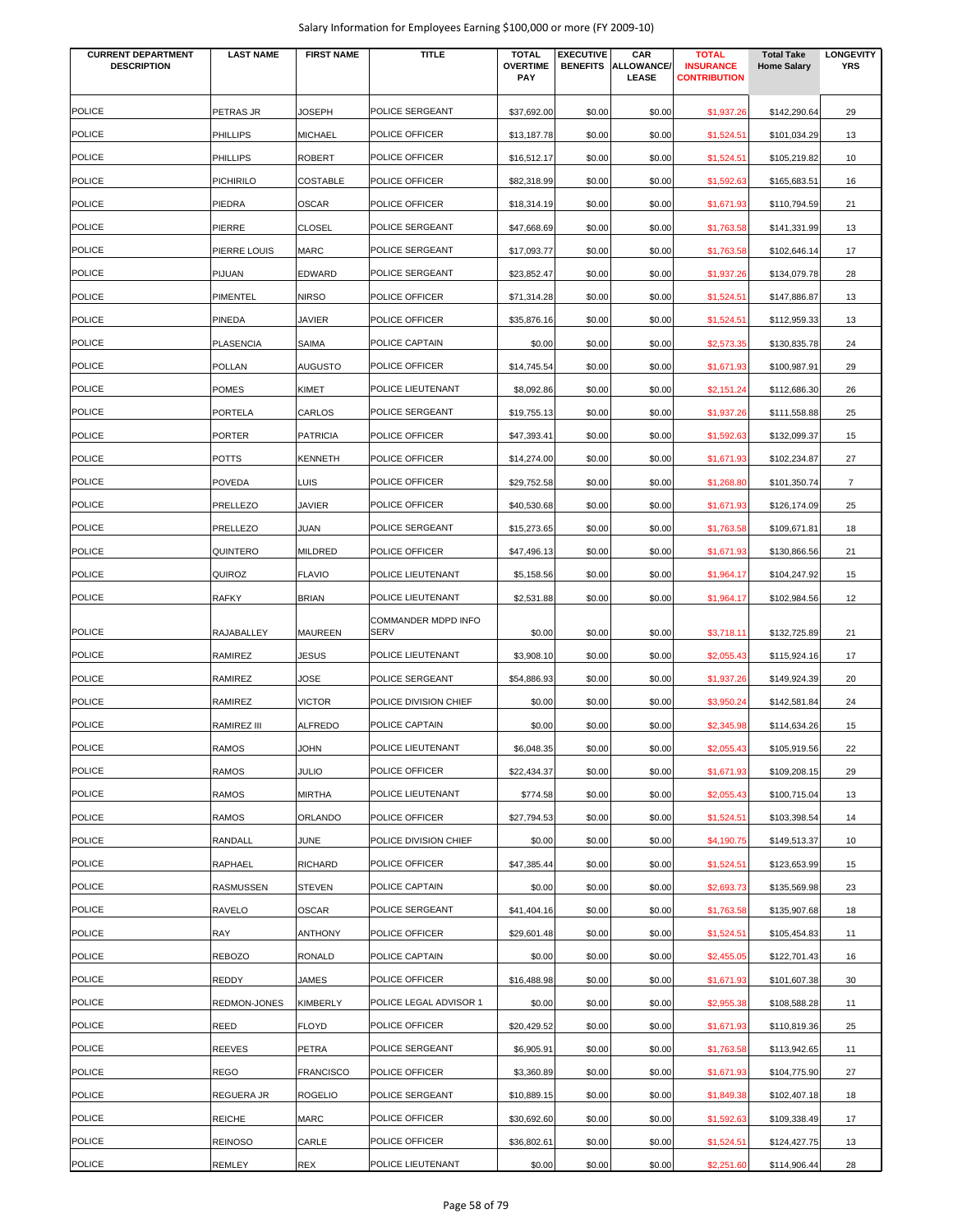| Salary Information for Employees Earning \$100,000 or more (FY 2009-10) |  |  |
|-------------------------------------------------------------------------|--|--|
|-------------------------------------------------------------------------|--|--|

| <b>CURRENT DEPARTMENT</b> | <b>LAST NAME</b> | <b>FIRST NAME</b> | <b>TITLE</b>                | <b>TOTAL</b>           | <b>EXECUTIVE</b> | CAR                 | <b>TOTAL</b>                            | <b>Total Take</b>  | <b>LONGEVITY</b> |
|---------------------------|------------------|-------------------|-----------------------------|------------------------|------------------|---------------------|-----------------------------------------|--------------------|------------------|
| <b>DESCRIPTION</b>        |                  |                   |                             | <b>OVERTIME</b><br>PAY | <b>BENEFITS</b>  | ALLOWANCE/<br>LEASE | <b>INSURANCE</b><br><b>CONTRIBUTION</b> | <b>Home Salary</b> | <b>YRS</b>       |
|                           |                  |                   |                             |                        |                  |                     |                                         |                    |                  |
| <b>POLICE</b>             | PETRAS JR        | <b>JOSEPH</b>     | POLICE SERGEANT             | \$37,692.00            | \$0.00           | \$0.00              | \$1,937.26                              | \$142,290.64       | 29               |
| <b>POLICE</b>             | PHILLIPS         | <b>MICHAEL</b>    | POLICE OFFICER              | \$13,187.78            | \$0.00           | \$0.00              | \$1,524.51                              | \$101,034.29       | 13               |
| <b>POLICE</b>             | PHILLIPS         | <b>ROBERT</b>     | POLICE OFFICER              | \$16,512.17            | \$0.00           | \$0.00              | \$1,524.5                               | \$105,219.82       | 10               |
| <b>POLICE</b>             | PICHIRILO        | <b>COSTABLE</b>   | POLICE OFFICER              | \$82,318.99            | \$0.00           | \$0.00              | \$1,592.63                              | \$165,683.51       | 16               |
| <b>POLICE</b>             | PIEDRA           | <b>OSCAR</b>      | POLICE OFFICER              | \$18,314.19            | \$0.00           | \$0.00              | \$1,671.93                              | \$110,794.59       | 21               |
| POLICE                    | PIERRE           | <b>CLOSEL</b>     | POLICE SERGEANT             | \$47,668.69            | \$0.00           | \$0.00              | \$1,763.58                              | \$141,331.99       | 13               |
| <b>POLICE</b>             | PIERRE LOUIS     | <b>MARC</b>       | POLICE SERGEANT             | \$17,093.77            | \$0.00           | \$0.00              | \$1,763.58                              | \$102,646.14       | 17               |
| <b>POLICE</b>             | PIJUAN           | <b>EDWARD</b>     | POLICE SERGEANT             | \$23,852.47            | \$0.00           | \$0.00              | \$1,937.26                              | \$134,079.78       | 28               |
| <b>POLICE</b>             | PIMENTEL         | <b>NIRSO</b>      | POLICE OFFICER              | \$71,314.28            | \$0.00           | \$0.00              | \$1,524.51                              | \$147,886.87       | 13               |
| <b>POLICE</b>             | PINEDA           | <b>JAVIER</b>     | POLICE OFFICER              | \$35,876.16            | \$0.00           | \$0.00              | \$1,524.51                              | \$112,959.33       | 13               |
| <b>POLICE</b>             | PLASENCIA        | SAIMA             | POLICE CAPTAIN              | \$0.00                 | \$0.00           | \$0.00              | \$2,573.35                              | \$130,835.78       | 24               |
| <b>POLICE</b>             | POLLAN           | <b>AUGUSTO</b>    | POLICE OFFICER              | \$14,745.54            | \$0.00           | \$0.00              | \$1,671.93                              | \$100,987.91       | 29               |
| <b>POLICE</b>             | POMES            | KIMET             | POLICE LIEUTENANT           | \$8,092.86             | \$0.00           | \$0.00              | \$2,151.24                              | \$112,686.30       | 26               |
| POLICE                    | PORTELA          | CARLOS            | POLICE SERGEANT             | \$19,755.13            | \$0.00           | \$0.00              | \$1,937.26                              | \$111,558.88       | 25               |
| <b>POLICE</b>             | PORTER           | <b>PATRICIA</b>   | POLICE OFFICER              |                        | \$0.00           |                     |                                         |                    | 15               |
|                           |                  |                   |                             | \$47,393.41            |                  | \$0.00              | \$1,592.63                              | \$132,099.37       |                  |
| <b>POLICE</b>             | POTTS            | <b>KENNETH</b>    | POLICE OFFICER              | \$14,274.00            | \$0.00           | \$0.00              | \$1,671.93                              | \$102,234.87       | 27               |
| <b>POLICE</b>             | <b>POVEDA</b>    | LUIS              | POLICE OFFICER              | \$29,752.58            | \$0.00           | \$0.00              | \$1,268.80                              | \$101,350.74       | 7                |
| <b>POLICE</b>             | PRELLEZO         | JAVIER            | POLICE OFFICER              | \$40,530.68            | \$0.00           | \$0.00              | \$1,671.93                              | \$126,174.09       | 25               |
| <b>POLICE</b>             | PRELLEZO         | JUAN              | POLICE SERGEANT             | \$15,273.65            | \$0.00           | \$0.00              | \$1,763.58                              | \$109,671.81       | 18               |
| <b>POLICE</b>             | QUINTERO         | <b>MILDRED</b>    | POLICE OFFICER              | \$47,496.13            | \$0.00           | \$0.00              | \$1,671.93                              | \$130,866.56       | 21               |
| <b>POLICE</b>             | QUIROZ           | <b>FLAVIO</b>     | POLICE LIEUTENANT           | \$5,158.56             | \$0.00           | \$0.00              | \$1,964.17                              | \$104,247.92       | 15               |
| <b>POLICE</b>             | RAFKY            | <b>BRIAN</b>      | POLICE LIEUTENANT           | \$2,531.88             | \$0.00           | \$0.00              | \$1,964.17                              | \$102,984.56       | 12               |
| <b>POLICE</b>             | RAJABALLEY       | <b>MAUREEN</b>    | COMMANDER MDPD INFO<br>SERV | \$0.00                 | \$0.00           | \$0.00              | \$3,718.11                              | \$132,725.89       | 21               |
| <b>POLICE</b>             | RAMIREZ          | JESUS             | POLICE LIEUTENANT           | \$3,908.10             | \$0.00           | \$0.00              | \$2,055.43                              | \$115,924.16       | 17               |
| <b>POLICE</b>             | RAMIREZ          | JOSE              | POLICE SERGEANT             |                        | \$0.00           |                     |                                         |                    | 20               |
|                           |                  |                   |                             | \$54,886.93            |                  | \$0.00              | \$1,937.26                              | \$149,924.39       |                  |
| <b>POLICE</b>             | RAMIREZ          | <b>VICTOR</b>     | POLICE DIVISION CHIEF       | \$0.00                 | \$0.00           | \$0.00              | \$3,950.24                              | \$142,581.84       | 24               |
| <b>POLICE</b>             | RAMIREZ III      | <b>ALFREDO</b>    | POLICE CAPTAIN              | \$0.00                 | \$0.00           | \$0.00              | \$2,345.98                              | \$114,634.26       | 15               |
| <b>POLICE</b>             | RAMOS            | <b>JOHN</b>       | POLICE LIEUTENANT           | \$6,048.35             | \$0.00           | \$0.00              | \$2,055.43                              | \$105,919.56       | 22               |
| <b>POLICE</b>             | RAMOS            | <b>JULIO</b>      | POLICE OFFICER              | \$22,434.37            | \$0.00           | \$0.00              | \$1,671.93                              | \$109,208.15       | 29               |
| <b>POLICE</b>             | RAMOS            | <b>MIRTHA</b>     | POLICE LIEUTENANT           | \$774.58               | \$0.00           | \$0.00              | \$2,055.43                              | \$100,715.04       | 13               |
| <b>POLICE</b>             | RAMOS            | ORLANDO           | POLICE OFFICER              | \$27,794.53            | \$0.00           | \$0.00              | \$1,524.51                              | \$103,398.54       | 14               |
| <b>POLICE</b>             | RANDALL          | <b>JUNE</b>       | POLICE DIVISION CHIEF       | \$0.00                 | \$0.00           | \$0.00              | \$4,190.75                              | \$149,513.37       | 10               |
| <b>POLICE</b>             | RAPHAEL          | <b>RICHARD</b>    | POLICE OFFICER              | \$47,385.44            | \$0.00           | \$0.00              | \$1,524.51                              | \$123,653.99       | 15               |
| <b>POLICE</b>             | RASMUSSEN        | <b>STEVEN</b>     | POLICE CAPTAIN              | \$0.00                 | \$0.00           | \$0.00              | \$2,693.73                              | \$135,569.98       | 23               |
| <b>POLICE</b>             | RAVELO           | <b>OSCAR</b>      | POLICE SERGEANT             | \$41,404.16            | \$0.00           | \$0.00              | \$1,763.58                              | \$135,907.68       | 18               |
| <b>POLICE</b>             | RAY              | <b>ANTHONY</b>    | POLICE OFFICER              | \$29,601.48            | \$0.00           | \$0.00              | \$1,524.51                              | \$105,454.83       | 11               |
| <b>POLICE</b>             | <b>REBOZO</b>    | <b>RONALD</b>     | POLICE CAPTAIN              | \$0.00                 | \$0.00           | \$0.00              | \$2,455.05                              | \$122,701.43       | 16               |
| <b>POLICE</b>             | REDDY            | JAMES             | POLICE OFFICER              | \$16,488.98            | \$0.00           | \$0.00              | \$1,671.93                              | \$101,607.38       | 30               |
| <b>POLICE</b>             | REDMON-JONES     | <b>KIMBERLY</b>   | POLICE LEGAL ADVISOR 1      | \$0.00                 | \$0.00           | \$0.00              | \$2,955.38                              | \$108,588.28       | 11               |
| <b>POLICE</b>             | REED             | <b>FLOYD</b>      | POLICE OFFICER              | \$20,429.52            | \$0.00           | \$0.00              | \$1,671.93                              | \$110,819.36       | 25               |
| POLICE                    | REEVES           | PETRA             | POLICE SERGEANT             | \$6,905.91             | \$0.00           | \$0.00              | \$1,763.58                              | \$113,942.65       | 11               |
| <b>POLICE</b>             | REGO             | <b>FRANCISCO</b>  | POLICE OFFICER              | \$3,360.89             | \$0.00           | \$0.00              | \$1,671.93                              | \$104,775.90       | 27               |
| <b>POLICE</b>             | REGUERA JR       | <b>ROGELIO</b>    | POLICE SERGEANT             | \$10,889.15            | \$0.00           | \$0.00              | \$1,849.38                              | \$102,407.18       | 18               |
| <b>POLICE</b>             | REICHE           | <b>MARC</b>       | POLICE OFFICER              | \$30,692.60            | \$0.00           | \$0.00              | \$1,592.63                              | \$109,338.49       | 17               |
| <b>POLICE</b>             | REINOSO          | CARLE             | POLICE OFFICER              | \$36,802.61            | \$0.00           | \$0.00              | \$1,524.51                              | \$124,427.75       | 13               |
| <b>POLICE</b>             | REMLEY           | <b>REX</b>        | POLICE LIEUTENANT           | \$0.00                 | \$0.00           | \$0.00              | \$2,251.60                              | \$114,906.44       | 28               |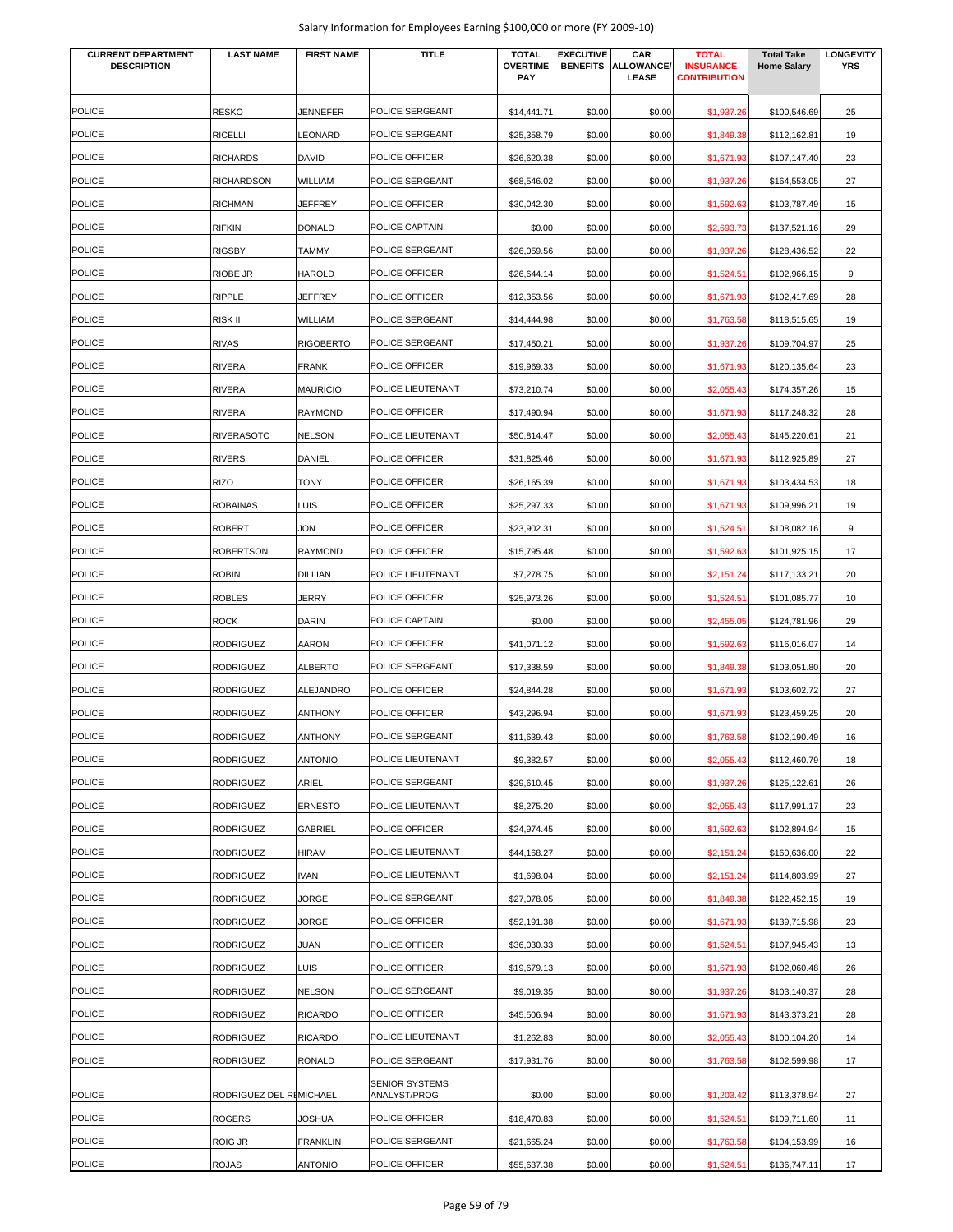| Salary Information for Employees Earning \$100,000 or more (FY 2009-10) |  |  |
|-------------------------------------------------------------------------|--|--|
|-------------------------------------------------------------------------|--|--|

| <b>CURRENT DEPARTMENT</b><br><b>DESCRIPTION</b> | <b>LAST NAME</b>        | <b>FIRST NAME</b>                 | <b>TITLE</b>                      | <b>TOTAL</b><br><b>OVERTIME</b><br>PAY | <b>EXECUTIVE</b><br><b>BENEFITS</b> | CAR<br>ALLOWANCE/<br><b>LEASE</b> | <b>TOTAL</b><br><b>INSURANCE</b><br><b>CONTRIBUTION</b> | <b>Total Take</b><br><b>Home Salary</b> | <b>LONGEVITY</b><br><b>YRS</b> |
|-------------------------------------------------|-------------------------|-----------------------------------|-----------------------------------|----------------------------------------|-------------------------------------|-----------------------------------|---------------------------------------------------------|-----------------------------------------|--------------------------------|
| <b>POLICE</b>                                   | RESKO                   | <b>JENNEFER</b>                   | POLICE SERGEANT                   | \$14,441.71                            | \$0.00                              | \$0.00                            | \$1,937.26                                              | \$100,546.69                            | 25                             |
| <b>POLICE</b>                                   | RICELLI                 | LEONARD                           | POLICE SERGEANT                   | \$25,358.79                            | \$0.00                              | \$0.00                            | \$1,849.38                                              | \$112,162.81                            | 19                             |
| <b>POLICE</b>                                   | RICHARDS                | DAVID                             | POLICE OFFICER                    | \$26,620.38                            | \$0.00                              | \$0.00                            | \$1,671.93                                              | \$107,147.40                            | 23                             |
| <b>POLICE</b>                                   | RICHARDSON              | WILLIAM                           | POLICE SERGEANT                   | \$68,546.02                            | \$0.00                              | \$0.00                            | \$1,937.26                                              | \$164,553.05                            | 27                             |
| <b>POLICE</b>                                   | <b>RICHMAN</b>          | <b>JEFFREY</b>                    | POLICE OFFICER                    | \$30,042.30                            | \$0.00                              | \$0.00                            | \$1,592.63                                              | \$103,787.49                            | 15                             |
| <b>POLICE</b>                                   | rifkin                  | <b>DONALD</b>                     | POLICE CAPTAIN                    | \$0.00                                 | \$0.00                              | \$0.00                            | \$2,693.73                                              | \$137,521.16                            | 29                             |
| <b>POLICE</b>                                   | <b>RIGSBY</b>           | <b>TAMMY</b>                      | POLICE SERGEANT                   | \$26,059.56                            | \$0.00                              | \$0.00                            | \$1,937.26                                              | \$128,436.52                            | 22                             |
| <b>POLICE</b>                                   | RIOBE JR                | <b>HAROLD</b>                     | POLICE OFFICER                    | \$26,644.14                            | \$0.00                              | \$0.00                            | \$1,524.51                                              | \$102,966.15                            | 9                              |
| <b>POLICE</b>                                   | RIPPLE                  | <b>JEFFREY</b>                    | POLICE OFFICER                    | \$12,353.56                            | \$0.00                              | \$0.00                            | \$1,671.93                                              | \$102,417.69                            | 28                             |
| <b>POLICE</b>                                   | risk II                 | WILLIAM                           | POLICE SERGEANT                   | \$14,444.98                            | \$0.00                              | \$0.00                            | \$1,763.58                                              | \$118,515.65                            | 19                             |
| <b>POLICE</b>                                   | RIVAS                   | <b>RIGOBERTO</b>                  | POLICE SERGEANT                   | \$17,450.21                            | \$0.00                              | \$0.00                            | \$1,937.26                                              | \$109,704.97                            | 25                             |
| <b>POLICE</b>                                   | RIVERA                  | <b>FRANK</b>                      | POLICE OFFICER                    | \$19,969.33                            | \$0.00                              | \$0.00                            | \$1,671.93                                              | \$120,135.64                            | 23                             |
| <b>POLICE</b>                                   | RIVERA                  | <b>MAURICIO</b>                   | POLICE LIEUTENANT                 | \$73,210.74                            | \$0.00                              | \$0.00                            | \$2,055.43                                              | \$174,357.26                            | 15                             |
| <b>POLICE</b>                                   | RIVERA                  | <b>RAYMOND</b>                    | POLICE OFFICER                    | \$17,490.94                            | \$0.00                              | \$0.00                            | \$1,671.93                                              | \$117,248.32                            | 28                             |
| <b>POLICE</b>                                   |                         |                                   | POLICE LIEUTENANT                 |                                        |                                     |                                   |                                                         |                                         |                                |
|                                                 | RIVERASOTO              | <b>NELSON</b>                     |                                   | \$50,814.47                            | \$0.00                              | \$0.00                            | \$2,055.43                                              | \$145,220.61                            | 21                             |
| <b>POLICE</b>                                   | RIVERS                  | <b>DANIEL</b>                     | POLICE OFFICER                    | \$31,825.46                            | \$0.00                              | \$0.00                            | \$1,671.93                                              | \$112,925.89                            | 27                             |
| <b>POLICE</b>                                   | RIZO                    | TONY                              | POLICE OFFICER                    | \$26,165.39                            | \$0.00                              | \$0.00                            | \$1,671.93                                              | \$103,434.53                            | 18                             |
| <b>POLICE</b>                                   | ROBAINAS                | LUIS                              | POLICE OFFICER                    | \$25,297.33                            | \$0.00                              | \$0.00                            | \$1,671.93                                              | \$109,996.21                            | 19                             |
| <b>POLICE</b>                                   | ROBERT                  | JON                               | POLICE OFFICER                    | \$23,902.31                            | \$0.00                              | \$0.00                            | \$1,524.51                                              | \$108,082.16                            | 9                              |
| <b>POLICE</b>                                   | ROBERTSON               | <b>RAYMOND</b>                    | POLICE OFFICER                    | \$15,795.48                            | \$0.00                              | \$0.00                            | \$1,592.63                                              | \$101,925.15                            | 17                             |
| <b>POLICE</b>                                   | ROBIN                   | <b>DILLIAN</b>                    | POLICE LIEUTENANT                 | \$7,278.75                             | \$0.00                              | \$0.00                            | \$2,151.24                                              | \$117,133.21                            | 20                             |
| <b>POLICE</b>                                   | ROBLES                  | JERRY                             | POLICE OFFICER                    | \$25,973.26                            | \$0.00                              | \$0.00                            | \$1,524.51                                              | \$101,085.77                            | 10                             |
| POLICE                                          | ROCK                    | DARIN                             | POLICE CAPTAIN                    | \$0.00                                 | \$0.00                              | \$0.00                            | \$2,455.05                                              | \$124,781.96                            | 29                             |
| <b>POLICE</b>                                   | <b>RODRIGUEZ</b>        | AARON                             | POLICE OFFICER                    | \$41,071.12                            | \$0.00                              | \$0.00                            | \$1,592.63                                              | \$116,016.07                            | 14                             |
| <b>POLICE</b>                                   | RODRIGUEZ               | <b>ALBERTO</b>                    | POLICE SERGEANT                   | \$17,338.59                            | \$0.00                              | \$0.00                            | \$1,849.38                                              | \$103,051.80                            | 20                             |
| <b>POLICE</b>                                   | <b>RODRIGUEZ</b>        | <b>ALEJANDRO</b>                  | POLICE OFFICER                    | \$24,844.28                            | \$0.00                              | \$0.00                            | \$1,671.93                                              | \$103,602.72                            | 27                             |
| <b>POLICE</b>                                   | <b>RODRIGUEZ</b>        | <b>ANTHONY</b>                    | POLICE OFFICER                    | \$43,296.94                            | \$0.00                              | \$0.00                            | \$1,671.93                                              | \$123,459.25                            | 20                             |
| <b>POLICE</b>                                   | RODRIGUEZ               | <b>ANTHONY</b>                    | POLICE SERGEANT                   | \$11,639.43                            | \$0.00                              | \$0.00                            | \$1,763.58                                              | \$102,190.49                            | 16                             |
| <b>POLICE</b>                                   | RODRIGUEZ               | <b>ANTONIO</b>                    | POLICE LIEUTENANT                 | \$9,382.57                             | \$0.00                              | \$0.00                            | \$2,055.43                                              | \$112,460.79                            | 18                             |
| <b>POLICE</b>                                   | <b>RODRIGUEZ</b>        | ARIEL                             | POLICE SERGEANT                   | \$29,610.45                            | \$0.00                              | \$0.00                            | \$1,937.26                                              | \$125,122.61                            | 26                             |
| <b>POLICE</b>                                   | RODRIGUEZ               | <b>ERNESTO</b>                    | POLICE LIEUTENANT                 | \$8,275.20                             | \$0.00                              | \$0.00                            | \$2,055.43                                              | \$117,991.17                            | 23                             |
| <b>POLICE</b>                                   | <b>RODRIGUEZ</b>        | <b>GABRIEL</b>                    | POLICE OFFICER                    | \$24,974.45                            | \$0.00                              | \$0.00                            | \$1,592.63                                              | \$102,894.94                            | 15                             |
| <b>POLICE</b>                                   | <b>RODRIGUEZ</b>        | <b>HIRAM</b>                      | POLICE LIEUTENANT                 | \$44,168.27                            | \$0.00                              | \$0.00                            | \$2,151.24                                              | \$160,636.00                            | 22                             |
| <b>POLICE</b>                                   | RODRIGUEZ               | <b>IVAN</b>                       | POLICE LIEUTENANT                 | \$1,698.04                             | \$0.00                              | \$0.00                            | \$2,151.24                                              | \$114,803.99                            | 27                             |
| <b>POLICE</b>                                   | RODRIGUEZ               | JORGE                             | POLICE SERGEANT                   | \$27,078.05                            | \$0.00                              | \$0.00                            | \$1,849.38                                              | \$122,452.15                            | 19                             |
| <b>POLICE</b>                                   | <b>RODRIGUEZ</b>        | JORGE                             | POLICE OFFICER                    | \$52,191.38                            | \$0.00                              | \$0.00                            | \$1,671.93                                              | \$139,715.98                            | 23                             |
| <b>POLICE</b>                                   | RODRIGUEZ               | JUAN                              | POLICE OFFICER                    | \$36,030.33                            | \$0.00                              | \$0.00                            | \$1,524.51                                              | \$107,945.43                            | 13                             |
| <b>POLICE</b>                                   | RODRIGUEZ               | LUIS                              | POLICE OFFICER                    | \$19,679.13                            | \$0.00                              | \$0.00                            | \$1,671.93                                              | \$102,060.48                            | 26                             |
| <b>POLICE</b>                                   | RODRIGUEZ               | <b>NELSON</b>                     | POLICE SERGEANT                   | \$9,019.35                             | \$0.00                              | \$0.00                            | \$1,937.26                                              | \$103,140.37                            | 28                             |
| <b>POLICE</b>                                   | RODRIGUEZ               | <b>RICARDO</b>                    | POLICE OFFICER                    | \$45,506.94                            | \$0.00                              | \$0.00                            | \$1,671.93                                              | \$143,373.21                            | 28                             |
| <b>POLICE</b>                                   | RODRIGUEZ               | <b>RICARDO</b>                    | POLICE LIEUTENANT                 | \$1,262.83                             | \$0.00                              | \$0.00                            | \$2,055.43                                              | \$100,104.20                            | 14                             |
| <b>POLICE</b>                                   | <b>RODRIGUEZ</b>        | <b>RONALD</b>                     | POLICE SERGEANT                   | \$17,931.76                            | \$0.00                              | \$0.00                            | \$1,763.58                                              | \$102,599.98                            | 17                             |
|                                                 |                         |                                   | <b>SENIOR SYSTEMS</b>             |                                        |                                     |                                   |                                                         |                                         |                                |
| <b>POLICE</b>                                   | RODRIGUEZ DEL REMICHAEL |                                   | ANALYST/PROG                      | \$0.00                                 | \$0.00                              | \$0.00                            | \$1,203.42                                              | \$113,378.94                            | 27                             |
| <b>POLICE</b>                                   | ROGERS                  | JOSHUA                            | POLICE OFFICER                    | \$18,470.83                            | \$0.00                              | \$0.00                            | \$1,524.51                                              | \$109,711.60                            | 11                             |
| <b>POLICE</b><br><b>POLICE</b>                  | ROIG JR<br>ROJAS        | <b>FRANKLIN</b><br><b>ANTONIO</b> | POLICE SERGEANT<br>POLICE OFFICER | \$21,665.24<br>\$55,637.38             | \$0.00<br>\$0.00                    | \$0.00<br>\$0.00                  | \$1,763.58<br>\$1,524.51                                | \$104,153.99<br>\$136,747.11            | 16<br>17                       |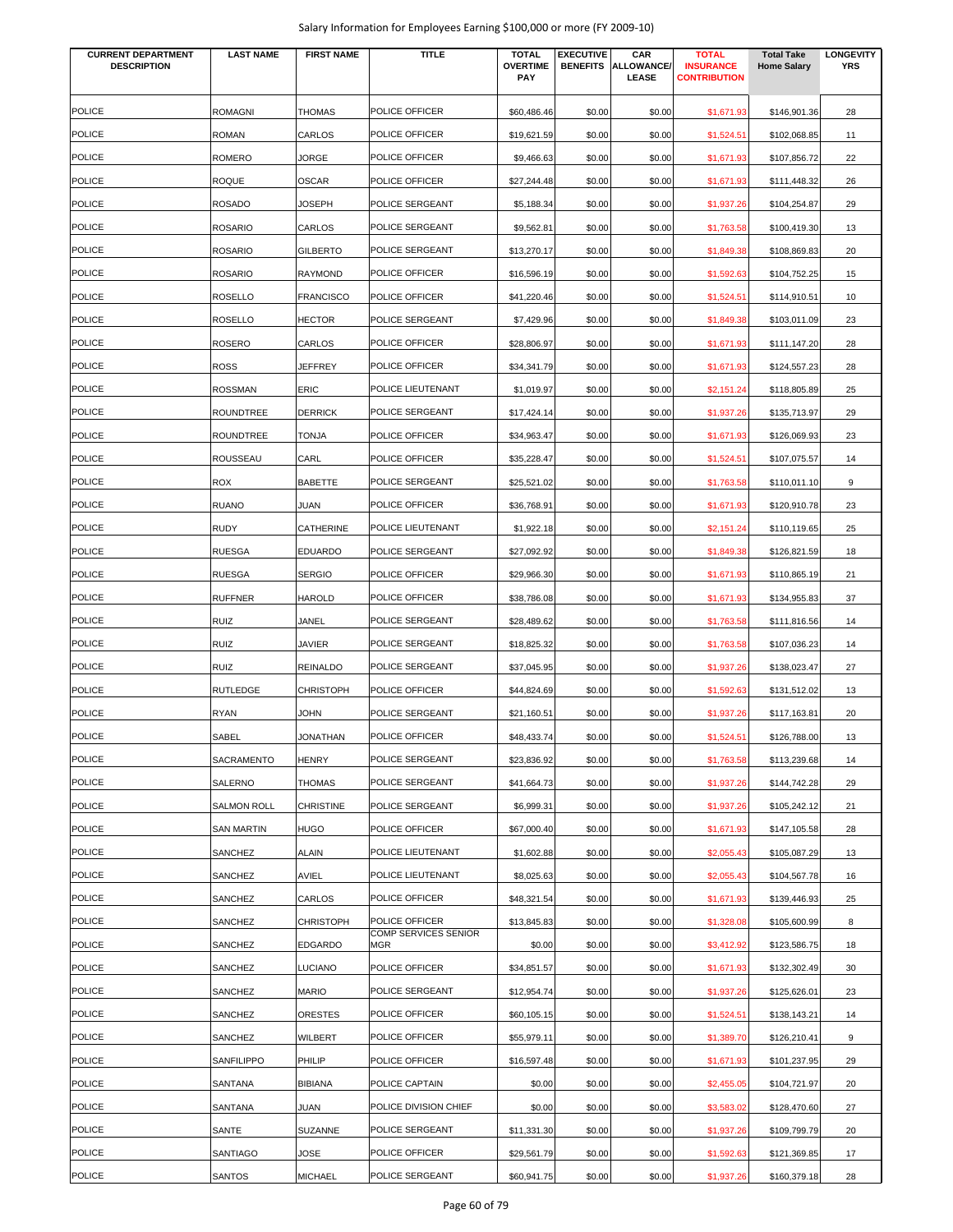| Salary Information for Employees Earning \$100,000 or more (FY 2009-10) |  |  |
|-------------------------------------------------------------------------|--|--|
|-------------------------------------------------------------------------|--|--|

| <b>CURRENT DEPARTMENT</b><br><b>DESCRIPTION</b> | <b>LAST NAME</b>   | <b>FIRST NAME</b> | <b>TITLE</b>                | <b>TOTAL</b><br><b>OVERTIME</b> | <b>EXECUTIVE</b><br><b>BENEFITS</b> | CAR<br>ALLOWANCE/ | <b>TOTAL</b><br><b>INSURANCE</b> | <b>Total Take</b><br><b>Home Salary</b> | <b>LONGEVITY</b><br><b>YRS</b> |
|-------------------------------------------------|--------------------|-------------------|-----------------------------|---------------------------------|-------------------------------------|-------------------|----------------------------------|-----------------------------------------|--------------------------------|
|                                                 |                    |                   |                             | PAY                             |                                     | <b>LEASE</b>      | <b>CONTRIBUTION</b>              |                                         |                                |
| <b>POLICE</b>                                   | <b>ROMAGNI</b>     | <b>THOMAS</b>     | POLICE OFFICER              | \$60,486.46                     | \$0.00                              | \$0.00            | \$1,671.93                       | \$146,901.36                            | 28                             |
| <b>POLICE</b>                                   | ROMAN              | CARLOS            | POLICE OFFICER              | \$19.621.59                     | \$0.00                              | \$0.00            | \$1,524.51                       | \$102,068.85                            | 11                             |
| <b>POLICE</b>                                   | ROMERO             | JORGE             | POLICE OFFICER              | \$9,466.63                      | \$0.00                              | \$0.00            | \$1,671.93                       | \$107,856.72                            | 22                             |
| <b>POLICE</b>                                   | ROQUE              | <b>OSCAR</b>      | POLICE OFFICER              | \$27,244.48                     | \$0.00                              | \$0.00            | \$1,671.93                       | \$111,448.32                            | 26                             |
| <b>POLICE</b>                                   | ROSADO             | <b>JOSEPH</b>     | POLICE SERGEANT             | \$5,188.34                      | \$0.00                              | \$0.00            | \$1,937.26                       | \$104,254.87                            | 29                             |
| <b>POLICE</b>                                   | ROSARIO            | CARLOS            | POLICE SERGEANT             | \$9,562.81                      | \$0.00                              | \$0.00            | \$1,763.58                       | \$100,419.30                            | 13                             |
| <b>POLICE</b>                                   | <b>ROSARIO</b>     | <b>GILBERTO</b>   | POLICE SERGEANT             | \$13,270.17                     | \$0.00                              | \$0.00            | \$1,849.38                       | \$108,869.83                            | 20                             |
| <b>POLICE</b>                                   | ROSARIO            | <b>RAYMOND</b>    | POLICE OFFICER              | \$16,596.19                     | \$0.00                              | \$0.00            | \$1,592.63                       | \$104,752.25                            | 15                             |
| <b>POLICE</b>                                   | ROSELLO            | <b>FRANCISCO</b>  | POLICE OFFICER              | \$41,220.46                     | \$0.00                              | \$0.00            | \$1,524.5                        | \$114,910.51                            | 10                             |
| <b>POLICE</b>                                   | ROSELLO            | <b>HECTOR</b>     | POLICE SERGEANT             | \$7,429.96                      | \$0.00                              | \$0.00            | \$1,849.38                       | \$103,011.09                            | 23                             |
| <b>POLICE</b>                                   | ROSERO             | CARLOS            | POLICE OFFICER              | \$28,806.97                     | \$0.00                              | \$0.00            | \$1,671.93                       | \$111,147.20                            | 28                             |
| <b>POLICE</b>                                   | ROSS               | JEFFREY           | POLICE OFFICER              | \$34,341.79                     | \$0.00                              | \$0.00            | \$1,671.93                       | \$124,557.23                            | 28                             |
| <b>POLICE</b>                                   | ROSSMAN            | ERIC              | POLICE LIEUTENANT           | \$1,019.97                      | \$0.00                              | \$0.00            | \$2,151.24                       | \$118,805.89                            | 25                             |
| <b>POLICE</b>                                   | ROUNDTREE          | <b>DERRICK</b>    | POLICE SERGEANT             | \$17,424.14                     | \$0.00                              | \$0.00            | \$1,937.26                       | \$135,713.97                            | 29                             |
| <b>POLICE</b>                                   | ROUNDTREE          | <b>TONJA</b>      | POLICE OFFICER              | \$34,963.47                     | \$0.00                              | \$0.00            | \$1,671.93                       | \$126,069.93                            | 23                             |
| <b>POLICE</b>                                   | ROUSSEAU           | CARL              | POLICE OFFICER              | \$35,228.47                     | \$0.00                              | \$0.00            | \$1,524.51                       | \$107,075.57                            | 14                             |
| <b>POLICE</b>                                   | ROX                | <b>BABETTE</b>    | POLICE SERGEANT             | \$25,521.02                     | \$0.00                              | \$0.00            | \$1,763.58                       | \$110,011.10                            | 9                              |
| <b>POLICE</b>                                   | RUANO              | JUAN              | POLICE OFFICER              | \$36,768.91                     | \$0.00                              | \$0.00            | \$1,671.93                       | \$120,910.78                            | 23                             |
| <b>POLICE</b>                                   | RUDY               | CATHERINE         | POLICE LIEUTENANT           | \$1,922.18                      | \$0.00                              | \$0.00            | \$2,151.24                       | \$110,119.65                            | 25                             |
| <b>POLICE</b>                                   | <b>RUESGA</b>      | <b>EDUARDO</b>    | POLICE SERGEANT             | \$27,092.92                     | \$0.00                              | \$0.00            | \$1,849.38                       | \$126,821.59                            | 18                             |
| <b>POLICE</b>                                   | RUESGA             | <b>SERGIO</b>     | POLICE OFFICER              | \$29,966.30                     | \$0.00                              | \$0.00            | \$1,671.93                       | \$110,865.19                            | 21                             |
| <b>POLICE</b>                                   | <b>RUFFNER</b>     | <b>HAROLD</b>     | POLICE OFFICER              | \$38,786.08                     | \$0.00                              | \$0.00            | \$1,671.93                       | \$134,955.83                            | 37                             |
| POLICE                                          | RUIZ               | JANEL             | POLICE SERGEANT             | \$28,489.62                     | \$0.00                              | \$0.00            | \$1,763.58                       | \$111,816.56                            | 14                             |
| POLICE                                          | RUIZ               | JAVIER            | POLICE SERGEANT             | \$18,825.32                     | \$0.00                              | \$0.00            | \$1,763.58                       | \$107,036.23                            | 14                             |
| <b>POLICE</b>                                   | RUIZ               | <b>REINALDO</b>   | POLICE SERGEANT             | \$37,045.95                     | \$0.00                              | \$0.00            | \$1,937.26                       | \$138,023.47                            | 27                             |
| <b>POLICE</b>                                   | RUTLEDGE           | <b>CHRISTOPH</b>  | POLICE OFFICER              | \$44,824.69                     | \$0.00                              | \$0.00            | \$1,592.63                       | \$131,512.02                            | 13                             |
| <b>POLICE</b>                                   | RYAN               | <b>JOHN</b>       | POLICE SERGEANT             | \$21,160.51                     | \$0.00                              | \$0.00            | \$1,937.26                       | \$117,163.81                            | 20                             |
| <b>POLICE</b>                                   | SABEL              | <b>JONATHAN</b>   | POLICE OFFICER              | \$48,433.74                     | \$0.00                              | \$0.00            | \$1,524.51                       | \$126,788.00                            | 13                             |
| <b>POLICE</b>                                   | SACRAMENTO         | <b>HENRY</b>      | POLICE SERGEANT             | \$23,836.92                     | \$0.00                              | \$0.00            | \$1,763.58                       | \$113,239.68                            | 14                             |
| <b>POLICE</b>                                   | SALERNO            | <b>THOMAS</b>     | POLICE SERGEANT             | \$41,664.73                     | \$0.00                              | \$0.00            | \$1,937.26                       | \$144,742.28                            | 29                             |
| <b>POLICE</b>                                   | <b>SALMON ROLL</b> | <b>CHRISTINE</b>  | POLICE SERGEANT             | \$6,999.31                      | \$0.00                              | \$0.00            | \$1,937.26                       | \$105,242.12                            | 21                             |
| <b>POLICE</b>                                   | SAN MARTIN         | <b>HUGO</b>       | POLICE OFFICER              | \$67,000.40                     | \$0.00                              | \$0.00            | \$1,671.93                       | \$147,105.58                            | 28                             |
| POLICE                                          | SANCHEZ            | <b>ALAIN</b>      | POLICE LIEUTENANT           | \$1,602.88                      | \$0.00                              | \$0.00            | \$2,055.43                       | \$105,087.29                            | 13                             |
| <b>POLICE</b>                                   | SANCHEZ            | AVIEL             | POLICE LIEUTENANT           | \$8,025.63                      | \$0.00                              | \$0.00            | \$2,055.43                       | \$104,567.78                            | 16                             |
| <b>POLICE</b>                                   | SANCHEZ            | CARLOS            | POLICE OFFICER              | \$48,321.54                     | \$0.00                              | \$0.00            | \$1,671.93                       | \$139,446.93                            | 25                             |
| <b>POLICE</b>                                   | SANCHEZ            | <b>CHRISTOPH</b>  | POLICE OFFICER              | \$13,845.83                     | \$0.00                              | \$0.00            | \$1,328.08                       | \$105,600.99                            | 8                              |
| <b>POLICE</b>                                   | SANCHEZ            | <b>EDGARDO</b>    | COMP SERVICES SENIOR<br>MGR | \$0.00                          | \$0.00                              | \$0.00            | \$3,412.92                       | \$123,586.75                            | 18                             |
| <b>POLICE</b>                                   | SANCHEZ            | <b>LUCIANO</b>    | POLICE OFFICER              | \$34,851.57                     | \$0.00                              | \$0.00            | \$1,671.93                       | \$132,302.49                            | 30                             |
| <b>POLICE</b>                                   | SANCHEZ            | <b>MARIO</b>      | POLICE SERGEANT             | \$12,954.74                     | \$0.00                              | \$0.00            | \$1,937.26                       | \$125,626.01                            | 23                             |
| <b>POLICE</b>                                   | SANCHEZ            | <b>ORESTES</b>    | POLICE OFFICER              | \$60,105.15                     | \$0.00                              | \$0.00            | \$1,524.51                       | \$138,143.21                            | 14                             |
| <b>POLICE</b>                                   | SANCHEZ            | WILBERT           | POLICE OFFICER              | \$55,979.11                     | \$0.00                              | \$0.00            | \$1,389.70                       | \$126,210.41                            | 9                              |
| <b>POLICE</b>                                   | SANFILIPPO         | PHILIP            | POLICE OFFICER              | \$16,597.48                     | \$0.00                              | \$0.00            | \$1,671.93                       | \$101,237.95                            | 29                             |
| <b>POLICE</b>                                   | SANTANA            | <b>BIBIANA</b>    | POLICE CAPTAIN              | \$0.00                          | \$0.00                              | \$0.00            | \$2,455.05                       | \$104,721.97                            | 20                             |
| <b>POLICE</b>                                   | SANTANA            | JUAN              | POLICE DIVISION CHIEF       | \$0.00                          | \$0.00                              | \$0.00            | \$3,583.02                       | \$128,470.60                            | 27                             |
| <b>POLICE</b>                                   | SANTE              | <b>SUZANNE</b>    | POLICE SERGEANT             | \$11,331.30                     | \$0.00                              | \$0.00            | \$1,937.26                       | \$109,799.79                            | 20                             |
| <b>POLICE</b>                                   | SANTIAGO           | JOSE              | POLICE OFFICER              | \$29,561.79                     | \$0.00                              | \$0.00            | \$1,592.63                       | \$121,369.85                            | 17                             |
| <b>POLICE</b>                                   | SANTOS             | <b>MICHAEL</b>    | POLICE SERGEANT             | \$60,941.75                     | \$0.00                              | \$0.00            | \$1,937.26                       | \$160,379.18                            | 28                             |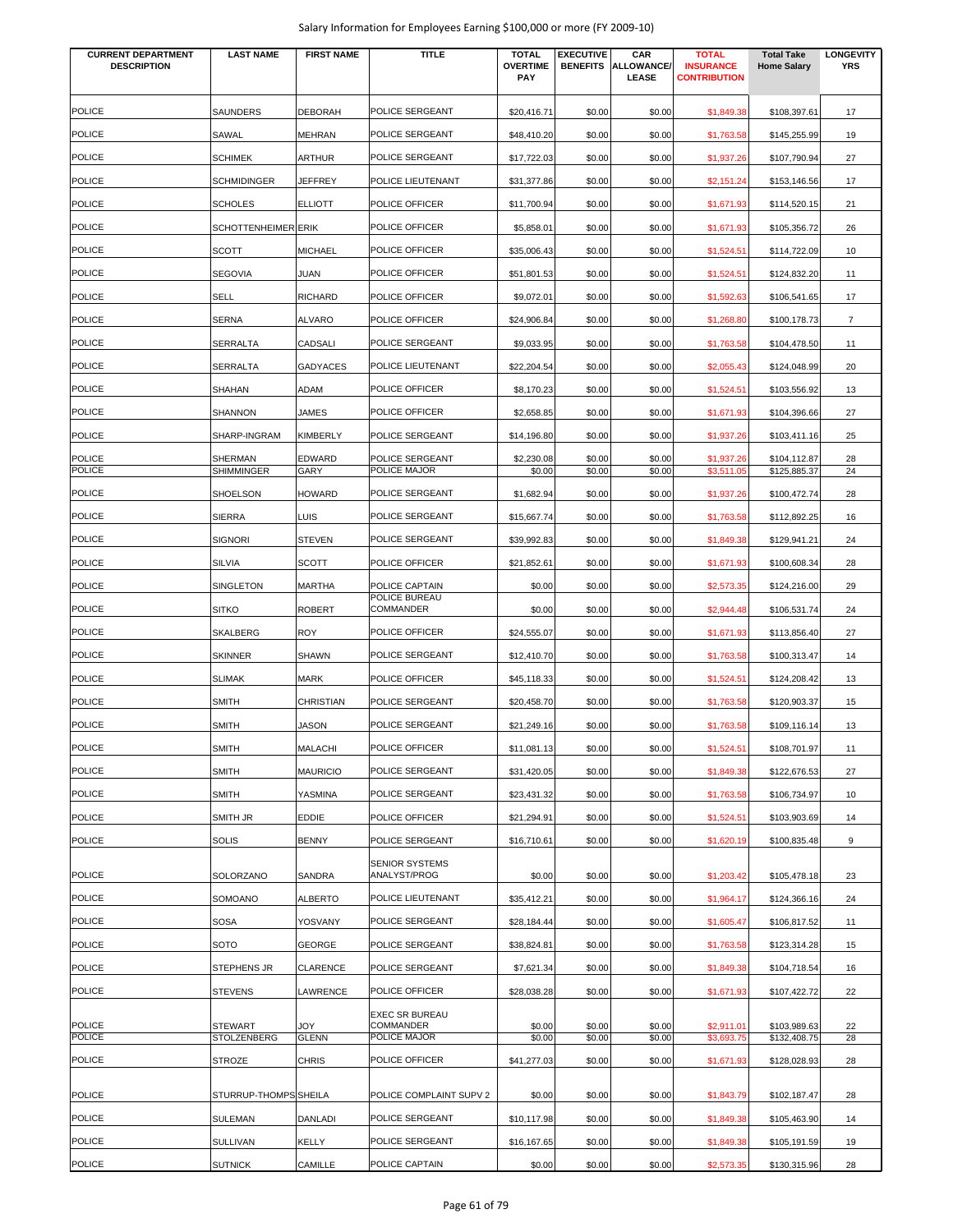| <b>CURRENT DEPARTMENT</b><br><b>DESCRIPTION</b> | <b>LAST NAME</b>             | <b>FIRST NAME</b>     | <b>TITLE</b>                          | <b>TOTAL</b><br><b>OVERTIME</b><br><b>PAY</b> | <b>EXECUTIVE</b><br><b>BENEFITS</b> | CAR<br>ALLOWANCE/<br><b>LEASE</b> | <b>TOTAL</b><br><b>INSURANCE</b><br><b>CONTRIBUTION</b> | <b>Total Take</b><br><b>Home Salary</b> | <b>LONGEVITY</b><br><b>YRS</b> |
|-------------------------------------------------|------------------------------|-----------------------|---------------------------------------|-----------------------------------------------|-------------------------------------|-----------------------------------|---------------------------------------------------------|-----------------------------------------|--------------------------------|
| <b>POLICE</b>                                   | SAUNDERS                     | <b>DEBORAH</b>        | POLICE SERGEANT                       | \$20,416.71                                   | \$0.00                              | \$0.00                            | \$1,849.38                                              | \$108,397.61                            | 17                             |
| <b>POLICE</b>                                   | SAWAL                        | <b>MEHRAN</b>         | POLICE SERGEANT                       | \$48,410.20                                   | \$0.00                              | \$0.00                            | \$1,763.58                                              | \$145,255.99                            | 19                             |
| <b>POLICE</b>                                   | <b>SCHIMEK</b>               | <b>ARTHUR</b>         | POLICE SERGEANT                       | \$17,722.03                                   | \$0.00                              | \$0.00                            | \$1,937.26                                              | \$107,790.94                            | 27                             |
| <b>POLICE</b>                                   | <b>SCHMIDINGER</b>           | JEFFREY               | POLICE LIEUTENANT                     | \$31,377.86                                   | \$0.00                              | \$0.00                            | \$2,151.24                                              | \$153,146.56                            | 17                             |
| <b>POLICE</b>                                   | <b>SCHOLES</b>               | <b>ELLIOTT</b>        | POLICE OFFICER                        | \$11,700.94                                   | \$0.00                              | \$0.00                            | \$1,671.93                                              | \$114,520.15                            | 21                             |
| <b>POLICE</b>                                   | SCHOTTENHEIMER ERIK          |                       | POLICE OFFICER                        | \$5,858.01                                    | \$0.00                              | \$0.00                            | \$1,671.93                                              | \$105,356.72                            | 26                             |
| <b>POLICE</b>                                   | <b>SCOTT</b>                 | <b>MICHAEL</b>        | POLICE OFFICER                        | \$35,006.43                                   | \$0.00                              | \$0.00                            | \$1,524.51                                              | \$114,722.09                            | 10                             |
| <b>POLICE</b>                                   | <b>SEGOVIA</b>               | <b>JUAN</b>           | POLICE OFFICER                        | \$51,801.53                                   | \$0.00                              | \$0.00                            | \$1,524.51                                              | \$124,832.20                            | 11                             |
| <b>POLICE</b>                                   | <b>SELL</b>                  | <b>RICHARD</b>        | POLICE OFFICER                        | \$9,072.01                                    | \$0.00                              | \$0.00                            | \$1,592.63                                              | \$106,541.65                            | 17                             |
| <b>POLICE</b>                                   | <b>SERNA</b>                 | <b>ALVARO</b>         | POLICE OFFICER                        | \$24,906.84                                   | \$0.00                              | \$0.00                            | \$1,268.80                                              | \$100,178.73                            | $\overline{7}$                 |
| <b>POLICE</b>                                   | <b>SERRALTA</b>              | <b>CADSALI</b>        | POLICE SERGEANT                       | \$9,033.95                                    | \$0.00                              | \$0.00                            | \$1,763.58                                              | \$104,478.50                            | 11                             |
| <b>POLICE</b>                                   | <b>SERRALTA</b>              | <b>GADYACES</b>       | POLICE LIEUTENANT                     | \$22,204.54                                   | \$0.00                              | \$0.00                            | \$2,055.43                                              | \$124,048.99                            | 20                             |
| <b>POLICE</b>                                   | <b>SHAHAN</b>                | ADAM                  | POLICE OFFICER                        | \$8,170.23                                    | \$0.00                              | \$0.00                            | \$1,524.51                                              | \$103,556.92                            | 13                             |
| <b>POLICE</b>                                   | SHANNON                      | <b>JAMES</b>          | POLICE OFFICER                        | \$2,658.85                                    | \$0.00                              | \$0.00                            | \$1,671.93                                              | \$104,396.66                            | 27                             |
| <b>POLICE</b>                                   | SHARP-INGRAM                 | <b>KIMBERLY</b>       | POLICE SERGEANT                       | \$14,196.80                                   | \$0.00                              | \$0.00                            | \$1,937.26                                              | \$103,411.16                            | 25                             |
| <b>POLICE</b><br><b>POLICE</b>                  | SHERMAN<br><b>SHIMMINGER</b> | <b>EDWARD</b><br>GARY | POLICE SERGEANT<br>POLICE MAJOR       | \$2,230.08<br>\$0.00                          | \$0.00<br>\$0.00                    | \$0.00<br>\$0.00                  | \$1,937.26<br>\$3,511.05                                | \$104,112.87<br>\$125,885.37            | 28<br>24                       |
| <b>POLICE</b>                                   | SHOELSON                     | <b>HOWARD</b>         | POLICE SERGEANT                       | \$1,682.94                                    | \$0.00                              | \$0.00                            | \$1,937.26                                              | \$100,472.74                            | 28                             |
| <b>POLICE</b>                                   | <b>SIERRA</b>                | <b>LUIS</b>           | POLICE SERGEANT                       | \$15,667.74                                   | \$0.00                              | \$0.00                            | \$1,763.58                                              | \$112,892.25                            | 16                             |
| <b>POLICE</b>                                   | <b>SIGNORI</b>               | <b>STEVEN</b>         | POLICE SERGEANT                       | \$39,992.83                                   | \$0.00                              | \$0.00                            | \$1,849.38                                              | \$129,941.21                            | 24                             |
| <b>POLICE</b>                                   | <b>SILVIA</b>                | <b>SCOTT</b>          | POLICE OFFICER                        | \$21,852.61                                   | \$0.00                              | \$0.00                            | \$1,671.93                                              | \$100,608.34                            | 28                             |
| <b>POLICE</b>                                   | SINGLETON                    | <b>MARTHA</b>         | POLICE CAPTAIN                        | \$0.00                                        | \$0.00                              | \$0.00                            | \$2,573.35                                              | \$124,216.00                            | 29                             |
| <b>POLICE</b>                                   | <b>SITKO</b>                 | <b>ROBERT</b>         | POLICE BUREAU<br>COMMANDER            | \$0.00                                        | \$0.00                              | \$0.00                            | \$2,944.48                                              | \$106,531.74                            | 24                             |
| <b>POLICE</b>                                   | <b>SKALBERG</b>              | <b>ROY</b>            | POLICE OFFICER                        | \$24,555.07                                   | \$0.00                              | \$0.00                            | \$1,671.93                                              | \$113,856.40                            | 27                             |
| <b>POLICE</b>                                   | <b>SKINNER</b>               | <b>SHAWN</b>          | POLICE SERGEANT                       | \$12,410.70                                   | \$0.00                              | \$0.00                            | \$1,763.58                                              | \$100,313.47                            | 14                             |
| <b>POLICE</b>                                   | <b>SLIMAK</b>                | <b>MARK</b>           | POLICE OFFICER                        | \$45,118.33                                   | \$0.00                              | \$0.00                            | \$1,524.51                                              | \$124,208.42                            | 13                             |
| <b>POLICE</b>                                   | <b>SMITH</b>                 | <b>CHRISTIAN</b>      | POLICE SERGEANT                       | \$20,458.70                                   | \$0.00                              | \$0.00                            | \$1,763.58                                              | \$120,903.37                            | 15                             |
| <b>POLICE</b>                                   | <b>SMITH</b>                 | <b>JASON</b>          | POLICE SERGEANT                       | \$21,249.16                                   | \$0.00                              | \$0.00                            | \$1,763.58                                              | \$109,116.14                            | 13                             |
| <b>POLICE</b>                                   | <b>SMITH</b>                 | <b>MALACHI</b>        | POLICE OFFICER                        | \$11,081.13                                   | \$0.00                              | \$0.00                            | \$1,524.51                                              | \$108,701.97                            | 11                             |
| <b>POLICE</b>                                   | <b>SMITH</b>                 | <b>MAURICIO</b>       | POLICE SERGEANT                       | \$31,420.05                                   | \$0.00                              | \$0.00                            | \$1,849.38                                              | \$122,676.53                            | 27                             |
| <b>POLICE</b>                                   | <b>SMITH</b>                 | YASMINA               | POLICE SERGEANT                       | \$23,431.32                                   | \$0.00                              | \$0.00                            | \$1,763.58                                              | \$106,734.97                            | 10                             |
| <b>POLICE</b>                                   | SMITH JR                     | <b>EDDIE</b>          | POLICE OFFICER                        | \$21,294.91                                   | \$0.00                              | \$0.00                            | \$1,524.51                                              | \$103,903.69                            | 14                             |
| <b>POLICE</b>                                   | <b>SOLIS</b>                 | <b>BENNY</b>          | POLICE SERGEANT                       | \$16,710.61                                   | \$0.00                              | \$0.00                            | \$1,620.19                                              | \$100,835.48                            | 9                              |
| <b>POLICE</b>                                   | SOLORZANO                    | SANDRA                | <b>SENIOR SYSTEMS</b><br>ANALYST/PROG | \$0.00                                        | \$0.00                              | \$0.00                            | \$1,203.42                                              | \$105,478.18                            | 23                             |
| <b>POLICE</b>                                   | SOMOANO                      | <b>ALBERTO</b>        | POLICE LIEUTENANT                     | \$35,412.21                                   | \$0.00                              | \$0.00                            | \$1,964.17                                              | \$124,366.16                            | 24                             |
| <b>POLICE</b>                                   | <b>SOSA</b>                  | YOSVANY               | POLICE SERGEANT                       | \$28,184.44                                   | \$0.00                              | \$0.00                            | \$1,605.47                                              | \$106,817.52                            | 11                             |
| <b>POLICE</b>                                   | SOTO                         | GEORGE                | POLICE SERGEANT                       | \$38,824.81                                   | \$0.00                              | \$0.00                            | \$1,763.58                                              | \$123,314.28                            | 15                             |
| <b>POLICE</b>                                   | STEPHENS JR                  | <b>CLARENCE</b>       | POLICE SERGEANT                       | \$7,621.34                                    | \$0.00                              | \$0.00                            | \$1,849.38                                              | \$104,718.54                            | 16                             |
| <b>POLICE</b>                                   | <b>STEVENS</b>               | LAWRENCE              | POLICE OFFICER                        | \$28,038.28                                   | \$0.00                              | \$0.00                            | \$1,671.93                                              | \$107,422.72                            | 22                             |
| <b>POLICE</b>                                   | <b>STEWART</b>               | YOL                   | <b>EXEC SR BUREAU</b><br>COMMANDER    | \$0.00                                        | \$0.00                              | \$0.00                            | \$2,911.01                                              | \$103,989.63                            | 22                             |
| POLICE                                          | STOLZENBERG                  | <b>GLENN</b>          | POLICE MAJOR                          | \$0.00                                        | \$0.00                              | \$0.00                            | \$3,693.75                                              | \$132,408.75                            | 28                             |
| <b>POLICE</b>                                   | STROZE                       | <b>CHRIS</b>          | POLICE OFFICER                        | \$41,277.03                                   | \$0.00                              | \$0.00                            | \$1,671.93                                              | \$128,028.93                            | 28                             |
| <b>POLICE</b>                                   | STURRUP-THOMPS SHEILA        |                       | POLICE COMPLAINT SUPV 2               | \$0.00                                        | \$0.00                              | \$0.00                            | \$1,843.79                                              | \$102,187.47                            | 28                             |
| POLICE                                          | SULEMAN                      | DANLADI               | POLICE SERGEANT                       | \$10,117.98                                   | \$0.00                              | \$0.00                            | \$1,849.38                                              | \$105,463.90                            | 14                             |
| <b>POLICE</b>                                   | SULLIVAN                     | <b>KELLY</b>          | POLICE SERGEANT                       | \$16,167.65                                   | \$0.00                              | \$0.00                            | \$1,849.38                                              | \$105,191.59                            | 19                             |
| <b>POLICE</b>                                   | <b>SUTNICK</b>               | CAMILLE               | POLICE CAPTAIN                        | \$0.00                                        | \$0.00                              | \$0.00                            | \$2,573.35                                              | \$130,315.96                            | 28                             |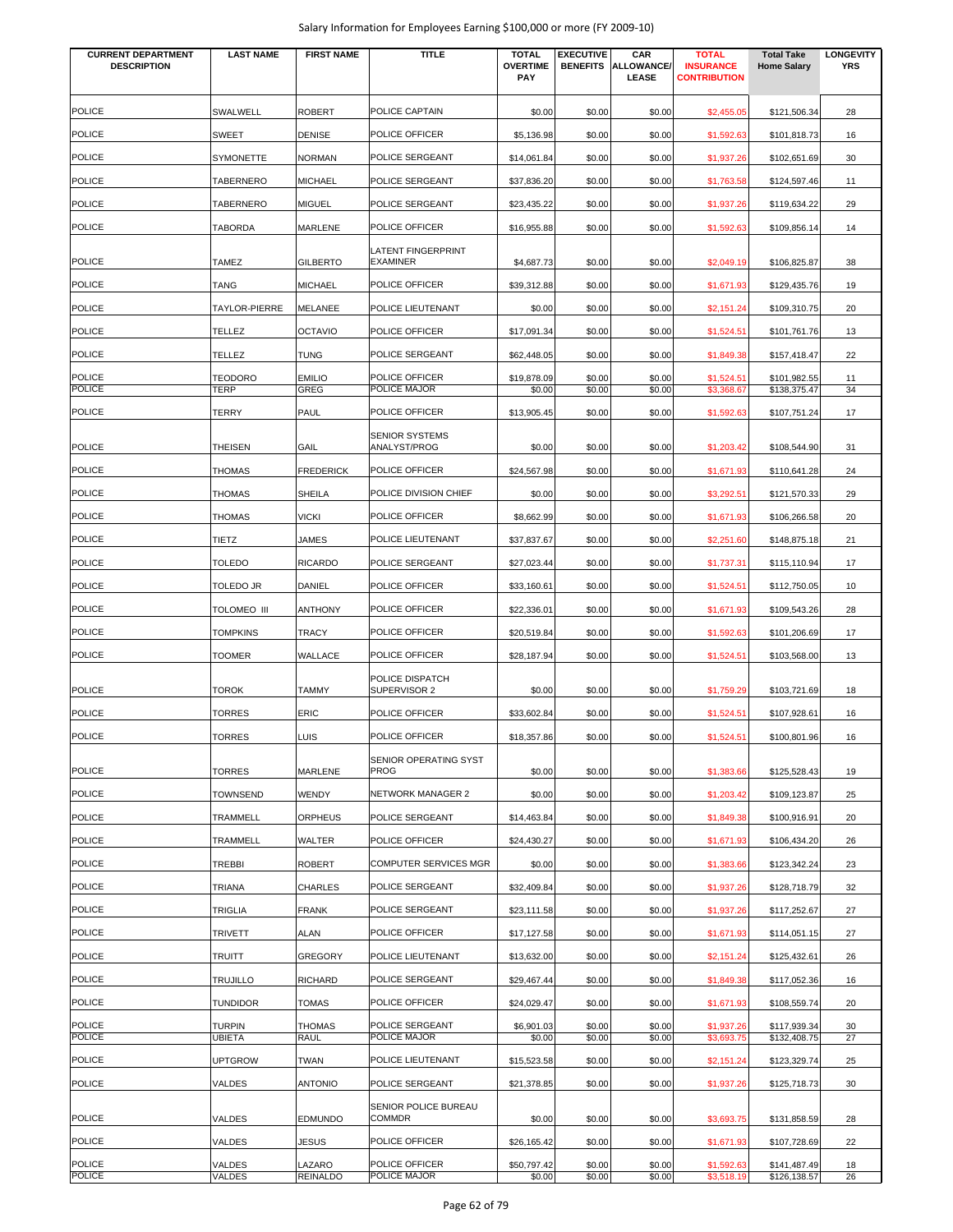| <b>CURRENT DEPARTMENT</b> | <b>LAST NAME</b> | <b>FIRST NAME</b> | <b>TITLE</b>                                 | <b>TOTAL</b>           | <b>EXECUTIVE</b> | CAR                        | <b>TOTAL</b>                            | <b>Total Take</b>            | <b>LONGEVITY</b> |
|---------------------------|------------------|-------------------|----------------------------------------------|------------------------|------------------|----------------------------|-----------------------------------------|------------------------------|------------------|
| <b>DESCRIPTION</b>        |                  |                   |                                              | <b>OVERTIME</b><br>PAY | <b>BENEFITS</b>  | <b>ALLOWANCE/</b><br>LEASE | <b>INSURANCE</b><br><b>CONTRIBUTION</b> | <b>Home Salary</b>           | <b>YRS</b>       |
| <b>POLICE</b>             | <b>SWALWELL</b>  | <b>ROBERT</b>     | POLICE CAPTAIN                               | \$0.00                 | \$0.00           | \$0.00                     | \$2,455.05                              | \$121,506.34                 | 28               |
| <b>POLICE</b>             | <b>SWEET</b>     | <b>DENISE</b>     | POLICE OFFICER                               | \$5,136.98             | \$0.00           | \$0.00                     | \$1,592.63                              | \$101,818.73                 | 16               |
| <b>POLICE</b>             | SYMONETTE        | <b>NORMAN</b>     | POLICE SERGEANT                              | \$14,061.84            | \$0.00           | \$0.00                     | \$1,937.26                              | \$102,651.69                 | 30               |
| <b>POLICE</b>             | <b>TABERNERO</b> | <b>MICHAEL</b>    | POLICE SERGEANT                              | \$37,836.20            | \$0.00           | \$0.00                     | \$1,763.58                              | \$124,597.46                 | 11               |
| <b>POLICE</b>             | TABERNERO        | <b>MIGUEL</b>     | POLICE SERGEANT                              | \$23,435.22            | \$0.00           | \$0.00                     | \$1,937.26                              | \$119,634.22                 | 29               |
| <b>POLICE</b>             | <b>TABORDA</b>   | MARLENE           | POLICE OFFICER                               | \$16,955.88            | \$0.00           | \$0.00                     | \$1,592.63                              | \$109,856.14                 | 14               |
| POLICE                    | TAMEZ            | <b>GILBERTO</b>   | <b>LATENT FINGERPRINT</b><br><b>EXAMINER</b> | \$4,687.73             | \$0.00           | \$0.00                     | \$2,049.19                              | \$106,825.87                 | 38               |
| <b>POLICE</b>             | TANG             | <b>MICHAEL</b>    | POLICE OFFICER                               | \$39,312.88            | \$0.00           | \$0.00                     | \$1,671.93                              | \$129,435.76                 | 19               |
| POLICE                    | TAYLOR-PIERRE    | MELANEE           | POLICE LIEUTENANT                            | \$0.00                 | \$0.00           | \$0.00                     | \$2,151.24                              | \$109,310.75                 | 20               |
| <b>POLICE</b>             | <b>TELLEZ</b>    | <b>OCTAVIO</b>    | POLICE OFFICER                               | \$17,091.34            | \$0.00           | \$0.00                     | \$1,524.51                              | \$101,761.76                 | 13               |
| <b>POLICE</b>             | TELLEZ           | <b>TUNG</b>       | POLICE SERGEANT                              | \$62,448.05            | \$0.00           | \$0.00                     | \$1,849.38                              | \$157,418.47                 | 22               |
| <b>POLICE</b>             | TEODORO          | <b>EMILIO</b>     | POLICE OFFICER                               |                        |                  |                            |                                         |                              |                  |
| <b>POLICE</b>             | TERP             | GREG              | POLICE MAJOR                                 | \$19,878.09<br>\$0.00  | \$0.00<br>\$0.00 | \$0.00<br>\$0.00           | \$1,524.5<br>\$3,368.67                 | \$101,982.55<br>\$138,375.47 | 11<br>34         |
| <b>POLICE</b>             | TERRY            | PAUL              | POLICE OFFICER                               | \$13,905.45            | \$0.00           | \$0.00                     | \$1,592.63                              | \$107,751.24                 | 17               |
| <b>POLICE</b>             | THEISEN          | GAIL              | <b>SENIOR SYSTEMS</b><br>ANALYST/PROG        | \$0.00                 | \$0.00           | \$0.00                     | \$1,203.42                              | \$108,544.90                 | 31               |
| <b>POLICE</b>             | THOMAS           | <b>FREDERICK</b>  | POLICE OFFICER                               | \$24,567.98            | \$0.00           | \$0.00                     | \$1,671.93                              | \$110,641.28                 | 24               |
| <b>POLICE</b>             | <b>THOMAS</b>    | <b>SHEILA</b>     | POLICE DIVISION CHIEF                        | \$0.00                 | \$0.00           | \$0.00                     | \$3,292.51                              | \$121,570.33                 | 29               |
| <b>POLICE</b>             | THOMAS           | <b>VICKI</b>      | POLICE OFFICER                               | \$8,662.99             | \$0.00           | \$0.00                     | \$1,671.93                              | \$106,266.58                 | 20               |
| <b>POLICE</b>             | TIETZ            | JAMES             | POLICE LIEUTENANT                            | \$37,837.67            | \$0.00           | \$0.00                     | \$2,251.60                              | \$148,875.18                 | 21               |
| <b>POLICE</b>             | TOLEDO           | <b>RICARDO</b>    | POLICE SERGEANT                              | \$27,023.44            | \$0.00           | \$0.00                     | \$1,737.31                              | \$115,110.94                 | 17               |
| POLICE                    | TOLEDO JR        | DANIEL            | POLICE OFFICER                               | \$33,160.61            | \$0.00           | \$0.00                     | \$1,524.51                              | \$112,750.05                 | 10               |
| <b>POLICE</b>             | TOLOMEO III      | <b>ANTHONY</b>    | POLICE OFFICER                               | \$22,336.01            | \$0.00           | \$0.00                     | \$1,671.93                              | \$109,543.26                 | 28               |
| <b>POLICE</b>             | <b>TOMPKINS</b>  | TRACY             | POLICE OFFICER                               | \$20,519.84            | \$0.00           | \$0.00                     | \$1,592.63                              | \$101,206.69                 | 17               |
| <b>POLICE</b>             | TOOMER           | WALLACE           | POLICE OFFICER                               | \$28,187.94            | \$0.00           | \$0.00                     | \$1,524.51                              | \$103,568.00                 | 13               |
|                           |                  |                   | POLICE DISPATCH                              |                        |                  |                            |                                         |                              |                  |
| <b>POLICE</b>             | <b>TOROK</b>     | <b>TAMMY</b>      | SUPERVISOR 2                                 | \$0.00                 | \$0.00           | \$0.00                     | \$1,759.29                              | \$103,721.69                 | 18               |
| <b>POLICE</b>             | TORRES           | ERIC              | POLICE OFFICER                               | \$33,602.84            | \$0.00           | \$0.00                     | \$1,524.51                              | \$107,928.61                 | 16               |
| <b>POLICE</b>             | <b>TORRES</b>    | LUIS              | POLICE OFFICER                               | \$18,357.86            | \$0.00           | \$0.00                     | \$1,524.51                              | \$100,801.96                 | 16               |
| <b>POLICE</b>             | TORRES           | MARLENE           | SENIOR OPERATING SYST<br><b>PROG</b>         | \$0.00                 | \$0.00           | \$0.00                     | \$1,383.66                              | \$125,528.43                 | 19               |
| POLICE                    | TOWNSEND         | WENDY             | NETWORK MANAGER 2                            | \$0.00                 | \$0.00           | \$0.00                     | \$1,203.42                              | \$109,123.87                 | 25               |
| POLICE                    | TRAMMELL         | ORPHEUS           | POLICE SERGEANT                              | \$14,463.84            | \$0.00           | \$0.00                     | \$1,849.38                              | \$100,916.91                 | 20               |
| POLICE                    | TRAMMELL         | WALTER            | POLICE OFFICER                               | \$24,430.27            | \$0.00           | \$0.00                     | \$1,671.93                              | \$106,434.20                 | 26               |
| <b>POLICE</b>             | TREBBI           | <b>ROBERT</b>     | <b>COMPUTER SERVICES MGR</b>                 | \$0.00                 | \$0.00           | \$0.00                     | \$1,383.66                              | \$123,342.24                 | 23               |
| <b>POLICE</b>             | TRIANA           | CHARLES           | POLICE SERGEANT                              | \$32,409.84            | \$0.00           | \$0.00                     | \$1,937.26                              | \$128,718.79                 | 32               |
| POLICE                    | <b>TRIGLIA</b>   | <b>FRANK</b>      | POLICE SERGEANT                              | \$23,111.58            | \$0.00           | \$0.00                     | \$1,937.26                              | \$117,252.67                 | 27               |
| <b>POLICE</b>             | <b>TRIVETT</b>   | ALAN              | POLICE OFFICER                               | \$17,127.58            | \$0.00           | \$0.00                     | \$1,671.93                              | \$114,051.15                 | 27               |
| <b>POLICE</b>             | TRUITT           | <b>GREGORY</b>    | POLICE LIEUTENANT                            | \$13,632.00            | \$0.00           | \$0.00                     | \$2,151.24                              | \$125,432.61                 | 26               |
| <b>POLICE</b>             | <b>TRUJILLO</b>  | <b>RICHARD</b>    | POLICE SERGEANT                              | \$29,467.44            | \$0.00           | \$0.00                     | \$1,849.38                              | \$117,052.36                 | 16               |
| POLICE                    | <b>TUNDIDOR</b>  | <b>TOMAS</b>      | POLICE OFFICER                               | \$24,029.47            | \$0.00           | \$0.00                     | \$1,671.93                              | \$108,559.74                 | 20               |
| <b>POLICE</b>             | TURPIN           | THOMAS            | POLICE SERGEANT                              | \$6,901.03             | \$0.00           | \$0.00                     | \$1,937.26                              | \$117,939.34                 | 30               |
| POLICE                    | <b>UBIETA</b>    | RAUL              | POLICE MAJOR                                 | \$0.00                 | \$0.00           | \$0.00                     | \$3,693.75                              | \$132,408.75                 | 27               |
| <b>POLICE</b>             | <b>UPTGROW</b>   | TWAN              | POLICE LIEUTENANT                            | \$15,523.58            | \$0.00           | \$0.00                     | \$2,151.24                              | \$123,329.74                 | 25               |
| <b>POLICE</b>             | VALDES           | <b>ANTONIO</b>    | POLICE SERGEANT                              | \$21,378.85            | \$0.00           | \$0.00                     | \$1,937.26                              | \$125,718.73                 | 30               |
| <b>POLICE</b>             | VALDES           | EDMUNDO           | SENIOR POLICE BUREAU<br><b>COMMDR</b>        | \$0.00                 | \$0.00           | \$0.00                     | \$3,693.75                              | \$131,858.59                 | 28               |
| <b>POLICE</b>             | VALDES           | JESUS             | POLICE OFFICER                               | \$26,165.42            | \$0.00           | \$0.00                     | \$1,671.93                              | \$107,728.69                 | 22               |
| <b>POLICE</b>             | VALDES           | LAZARO            | POLICE OFFICER                               | \$50,797.42            | \$0.00           | \$0.00                     | \$1,592.63                              | \$141,487.49                 | 18               |
| <b>POLICE</b>             | VALDES           | <b>REINALDO</b>   | POLICE MAJOR                                 | \$0.00                 | \$0.00           | \$0.00                     | \$3,518.19                              | \$126,138.57                 | 26               |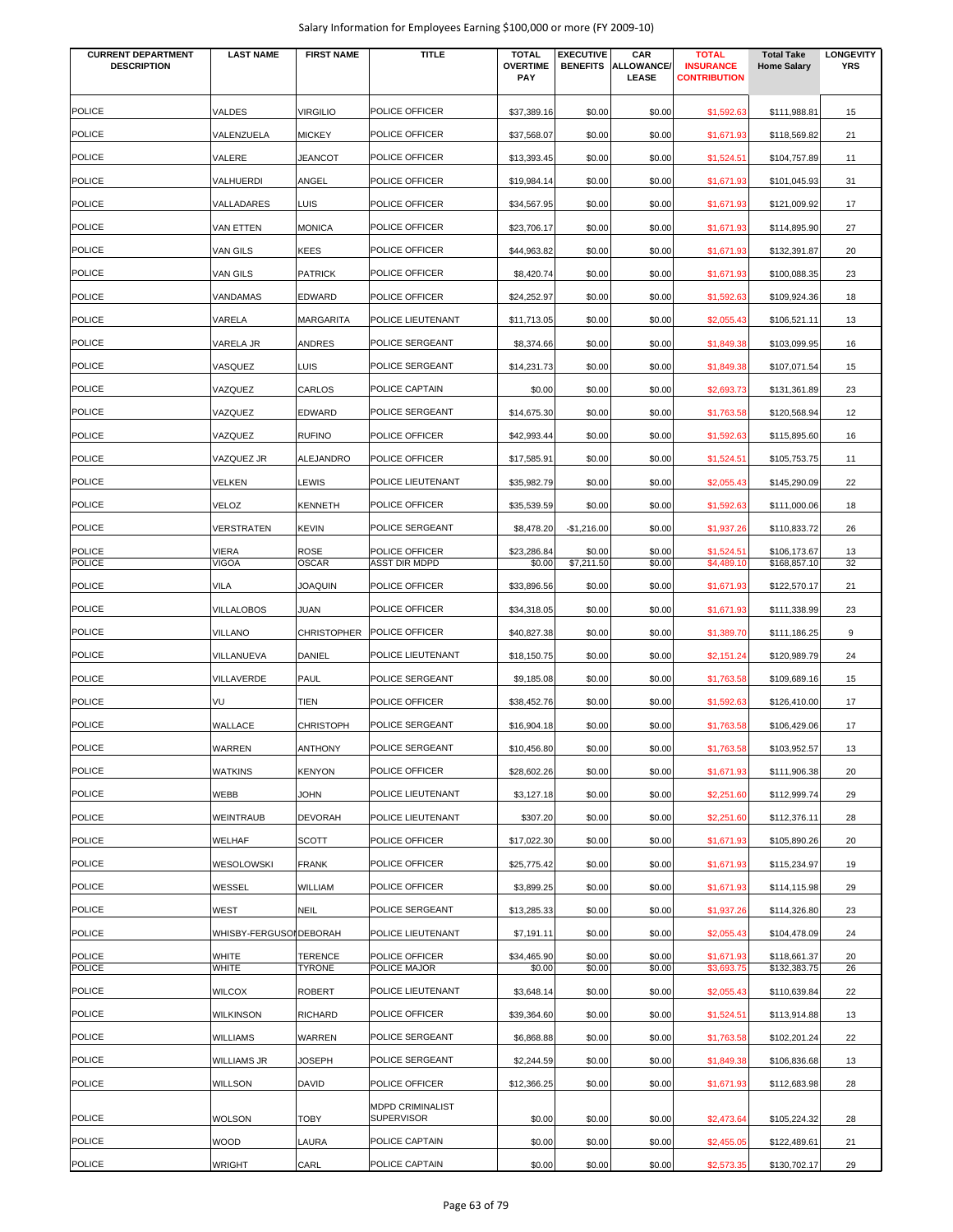| Salary Information for Employees Earning \$100,000 or more (FY 2009-10) |  |  |
|-------------------------------------------------------------------------|--|--|
|-------------------------------------------------------------------------|--|--|

| <b>CURRENT DEPARTMENT</b><br><b>DESCRIPTION</b> | <b>LAST NAME</b>        | <b>FIRST NAME</b>               | <b>TITLE</b>                           | <b>TOTAL</b><br><b>OVERTIME</b><br>PAY | <b>EXECUTIVE</b><br><b>BENEFITS</b> | CAR<br>ALLOWANCE/<br><b>LEASE</b> | <b>TOTAL</b><br><b>INSURANCE</b><br><b>CONTRIBUTION</b> | <b>Total Take</b><br><b>Home Salary</b> | <b>LONGEVITY</b><br><b>YRS</b> |
|-------------------------------------------------|-------------------------|---------------------------------|----------------------------------------|----------------------------------------|-------------------------------------|-----------------------------------|---------------------------------------------------------|-----------------------------------------|--------------------------------|
| <b>POLICE</b>                                   | <b>VALDES</b>           | <b>VIRGILIO</b>                 | POLICE OFFICER                         | \$37,389.16                            | \$0.00                              | \$0.00                            | \$1,592.63                                              | \$111,988.81                            | 15                             |
| <b>POLICE</b>                                   | VALENZUELA              | <b>MICKEY</b>                   | POLICE OFFICER                         | \$37,568.07                            | \$0.00                              | \$0.00                            | \$1,671.93                                              | \$118,569.82                            | 21                             |
| <b>POLICE</b>                                   | VALERE                  | <b>JEANCOT</b>                  | POLICE OFFICER                         | \$13,393.45                            | \$0.00                              | \$0.00                            | \$1,524.51                                              | \$104,757.89                            | 11                             |
| <b>POLICE</b>                                   | VALHUERDI               | ANGEL                           | POLICE OFFICER                         | \$19,984.14                            | \$0.00                              | \$0.00                            | \$1,671.93                                              | \$101,045.93                            | 31                             |
| <b>POLICE</b>                                   | VALLADARES              | LUIS                            | POLICE OFFICER                         | \$34,567.95                            | \$0.00                              | \$0.00                            | \$1,671.93                                              | \$121,009.92                            | 17                             |
| <b>POLICE</b>                                   | VAN ETTEN               | <b>MONICA</b>                   | POLICE OFFICER                         | \$23,706.17                            | \$0.00                              | \$0.00                            | \$1,671.93                                              | \$114,895.90                            | 27                             |
| <b>POLICE</b>                                   | VAN GILS                | <b>KEES</b>                     | POLICE OFFICER                         | \$44,963.82                            | \$0.00                              | \$0.00                            | \$1,671.93                                              | \$132,391.87                            | 20                             |
| <b>POLICE</b>                                   | VAN GILS                | <b>PATRICK</b>                  | POLICE OFFICER                         | \$8,420.74                             | \$0.00                              | \$0.00                            | \$1,671.93                                              | \$100,088.35                            | 23                             |
| <b>POLICE</b>                                   | VANDAMAS                | <b>EDWARD</b>                   | POLICE OFFICER                         | \$24,252.97                            | \$0.00                              | \$0.00                            | \$1,592.63                                              | \$109,924.36                            | 18                             |
| <b>POLICE</b>                                   | VARELA                  | <b>MARGARITA</b>                | POLICE LIEUTENANT                      | \$11,713.05                            | \$0.00                              | \$0.00                            | \$2,055.43                                              | \$106,521.11                            | 13                             |
| <b>POLICE</b>                                   | VARELA JR               | ANDRES                          | POLICE SERGEANT                        | \$8,374.66                             | \$0.00                              | \$0.00                            | \$1,849.38                                              | \$103,099.95                            | 16                             |
| <b>POLICE</b>                                   | VASQUEZ                 | LUIS                            | POLICE SERGEANT                        | \$14,231.73                            | \$0.00                              | \$0.00                            | \$1,849.38                                              | \$107,071.54                            | 15                             |
| <b>POLICE</b>                                   | VAZQUEZ                 | CARLOS                          | POLICE CAPTAIN                         | \$0.00                                 | \$0.00                              | \$0.00                            | \$2,693.73                                              | \$131,361.89                            | 23                             |
| <b>POLICE</b>                                   | VAZQUEZ                 | <b>EDWARD</b>                   | POLICE SERGEANT                        | \$14,675.30                            | \$0.00                              | \$0.00                            | \$1,763.58                                              | \$120,568.94                            | 12                             |
| <b>POLICE</b>                                   |                         |                                 |                                        |                                        |                                     |                                   |                                                         |                                         |                                |
|                                                 | VAZQUEZ                 | <b>RUFINO</b>                   | POLICE OFFICER                         | \$42,993.44                            | \$0.00                              | \$0.00                            | \$1,592.63                                              | \$115,895.60                            | 16                             |
| <b>POLICE</b>                                   | VAZQUEZ JR              | ALEJANDRO                       | POLICE OFFICER                         | \$17,585.91                            | \$0.00                              | \$0.00                            | \$1,524.51                                              | \$105,753.75                            | 11                             |
| <b>POLICE</b>                                   | VELKEN                  | LEWIS                           | POLICE LIEUTENANT                      | \$35,982.79                            | \$0.00                              | \$0.00                            | \$2,055.43                                              | \$145,290.09                            | 22                             |
| <b>POLICE</b>                                   | VELOZ                   | <b>KENNETH</b>                  | POLICE OFFICER                         | \$35,539.59                            | \$0.00                              | \$0.00                            | \$1,592.63                                              | \$111,000.06                            | 18                             |
| POLICE                                          | VERSTRATEN              | <b>KEVIN</b>                    | POLICE SERGEANT                        | \$8,478.20                             | $-$1,216.00$                        | \$0.00                            | \$1,937.26                                              | \$110,833.72                            | 26                             |
| <b>POLICE</b><br><b>POLICE</b>                  | VIERA<br><b>VIGOA</b>   | <b>ROSE</b><br>OSCAR            | POLICE OFFICER<br><b>ASST DIR MDPD</b> | \$23,286.84<br>\$0.00                  | \$0.00<br>\$7,211.50                | \$0.00<br>\$0.00                  | \$1,524.51<br>\$4,489.10                                | \$106,173.67<br>\$168,857.10            | 13<br>32                       |
| <b>POLICE</b>                                   | VILA                    | <b>JOAQUIN</b>                  | POLICE OFFICER                         | \$33,896.56                            | \$0.00                              | \$0.00                            | \$1,671.93                                              | \$122,570.17                            | 21                             |
| <b>POLICE</b>                                   | VILLALOBOS              | JUAN                            | POLICE OFFICER                         | \$34,318.05                            | \$0.00                              | \$0.00                            | \$1,671.93                                              | \$111,338.99                            | 23                             |
| <b>POLICE</b>                                   | VILLANO                 | <b>CHRISTOPHER</b>              | POLICE OFFICER                         | \$40,827.38                            | \$0.00                              | \$0.00                            | \$1,389.70                                              | \$111,186.25                            | 9                              |
| <b>POLICE</b>                                   | VILLANUEVA              | DANIEL                          | POLICE LIEUTENANT                      | \$18,150.75                            | \$0.00                              | \$0.00                            | \$2,151.24                                              | \$120,989.79                            | 24                             |
| <b>POLICE</b>                                   | VILLAVERDE              | <b>PAUL</b>                     | POLICE SERGEANT                        | \$9,185.08                             | \$0.00                              | \$0.00                            | \$1,763.58                                              | \$109,689.16                            | 15                             |
| <b>POLICE</b>                                   | VU                      | <b>TIEN</b>                     | POLICE OFFICER                         | \$38,452.76                            | \$0.00                              | \$0.00                            | \$1,592.63                                              | \$126,410.00                            | 17                             |
| <b>POLICE</b>                                   | WALLACE                 | <b>CHRISTOPH</b>                | POLICE SERGEANT                        | \$16,904.18                            | \$0.00                              | \$0.00                            | \$1,763.58                                              | \$106,429.06                            | 17                             |
| <b>POLICE</b>                                   | WARREN                  | <b>ANTHONY</b>                  | POLICE SERGEANT                        | \$10,456.80                            | \$0.00                              | \$0.00                            | \$1,763.58                                              | \$103,952.57                            | 13                             |
| <b>POLICE</b>                                   | <b>WATKINS</b>          | <b>KENYON</b>                   | POLICE OFFICER                         | \$28,602.26                            | \$0.00                              | \$0.00                            | \$1,671.93                                              | \$111,906.38                            | 20                             |
| <b>POLICE</b>                                   | WEBB                    | <b>JOHN</b>                     | POLICE LIEUTENANT                      | \$3,127.18                             | \$0.00                              | \$0.00                            | \$2,251.60                                              | \$112,999.74                            | 29                             |
| <b>POLICE</b>                                   | WEINTRAUB               | <b>DEVORAH</b>                  | POLICE LIEUTENANT                      | \$307.20                               | \$0.00                              | \$0.00                            | \$2,251.60                                              | \$112,376.11                            | 28                             |
| <b>POLICE</b>                                   | WELHAF                  | <b>SCOTT</b>                    | POLICE OFFICER                         | \$17,022.30                            | \$0.00                              | \$0.00                            | \$1,671.93                                              | \$105,890.26                            | 20                             |
| <b>POLICE</b>                                   | WESOLOWSKI              | <b>FRANK</b>                    | POLICE OFFICER                         | \$25,775.42                            | \$0.00                              | \$0.00                            | \$1,671.93                                              | \$115,234.97                            | 19                             |
| <b>POLICE</b>                                   | WESSEL                  | WILLIAM                         | POLICE OFFICER                         | \$3,899.25                             | \$0.00                              | \$0.00                            |                                                         | \$114,115.98                            | 29                             |
| <b>POLICE</b>                                   | WEST                    | <b>NEIL</b>                     | POLICE SERGEANT                        |                                        | \$0.00                              | \$0.00                            | \$1,671.93                                              |                                         | 23                             |
| <b>POLICE</b>                                   | WHISBY-FERGUSOI DEBORAH |                                 | POLICE LIEUTENANT                      | \$13,285.33<br>\$7,191.11              | \$0.00                              | \$0.00                            | \$1,937.26<br>\$2,055.43                                | \$114,326.80<br>\$104,478.09            | 24                             |
| <b>POLICE</b>                                   |                         |                                 | POLICE OFFICER                         |                                        |                                     |                                   |                                                         |                                         |                                |
| <b>POLICE</b>                                   | WHITE<br>WHITE          | <b>TERENCE</b><br><b>TYRONE</b> | POLICE MAJOR                           | \$34,465.90<br>\$0.00                  | \$0.00<br>\$0.00                    | \$0.00<br>\$0.00                  | \$1,671.93<br>\$3,693.75                                | \$118,661.37<br>\$132,383.75            | 20<br>26                       |
| <b>POLICE</b>                                   | <b>WILCOX</b>           | <b>ROBERT</b>                   | POLICE LIEUTENANT                      | \$3,648.14                             | \$0.00                              | \$0.00                            | \$2,055.43                                              | \$110,639.84                            | 22                             |
| <b>POLICE</b>                                   | WILKINSON               | <b>RICHARD</b>                  | POLICE OFFICER                         | \$39,364.60                            | \$0.00                              | \$0.00                            | \$1,524.51                                              | \$113,914.88                            | 13                             |
| <b>POLICE</b>                                   | WILLIAMS                | WARREN                          | POLICE SERGEANT                        | \$6,868.88                             | \$0.00                              | \$0.00                            | \$1,763.58                                              | \$102,201.24                            | 22                             |
| <b>POLICE</b>                                   | WILLIAMS JR             | JOSEPH                          | POLICE SERGEANT                        | \$2,244.59                             | \$0.00                              | \$0.00                            | \$1,849.38                                              | \$106,836.68                            | 13                             |
| <b>POLICE</b>                                   | WILLSON                 | <b>DAVID</b>                    | POLICE OFFICER                         | \$12,366.25                            | \$0.00                              | \$0.00                            | \$1,671.93                                              | \$112,683.98                            | 28                             |
| <b>POLICE</b>                                   | <b>WOLSON</b>           | <b>TOBY</b>                     | MDPD CRIMINALIST<br><b>SUPERVISOR</b>  | \$0.00                                 | \$0.00                              | \$0.00                            | \$2,473.64                                              | \$105,224.32                            | 28                             |
| <b>POLICE</b>                                   | WOOD                    | LAURA                           | POLICE CAPTAIN                         | \$0.00                                 | \$0.00                              | \$0.00                            | \$2,455.05                                              | \$122,489.61                            | 21                             |
| <b>POLICE</b>                                   | WRIGHT                  | CARL                            | POLICE CAPTAIN                         | \$0.00                                 | \$0.00                              | \$0.00                            | \$2,573.35                                              | \$130,702.17                            | 29                             |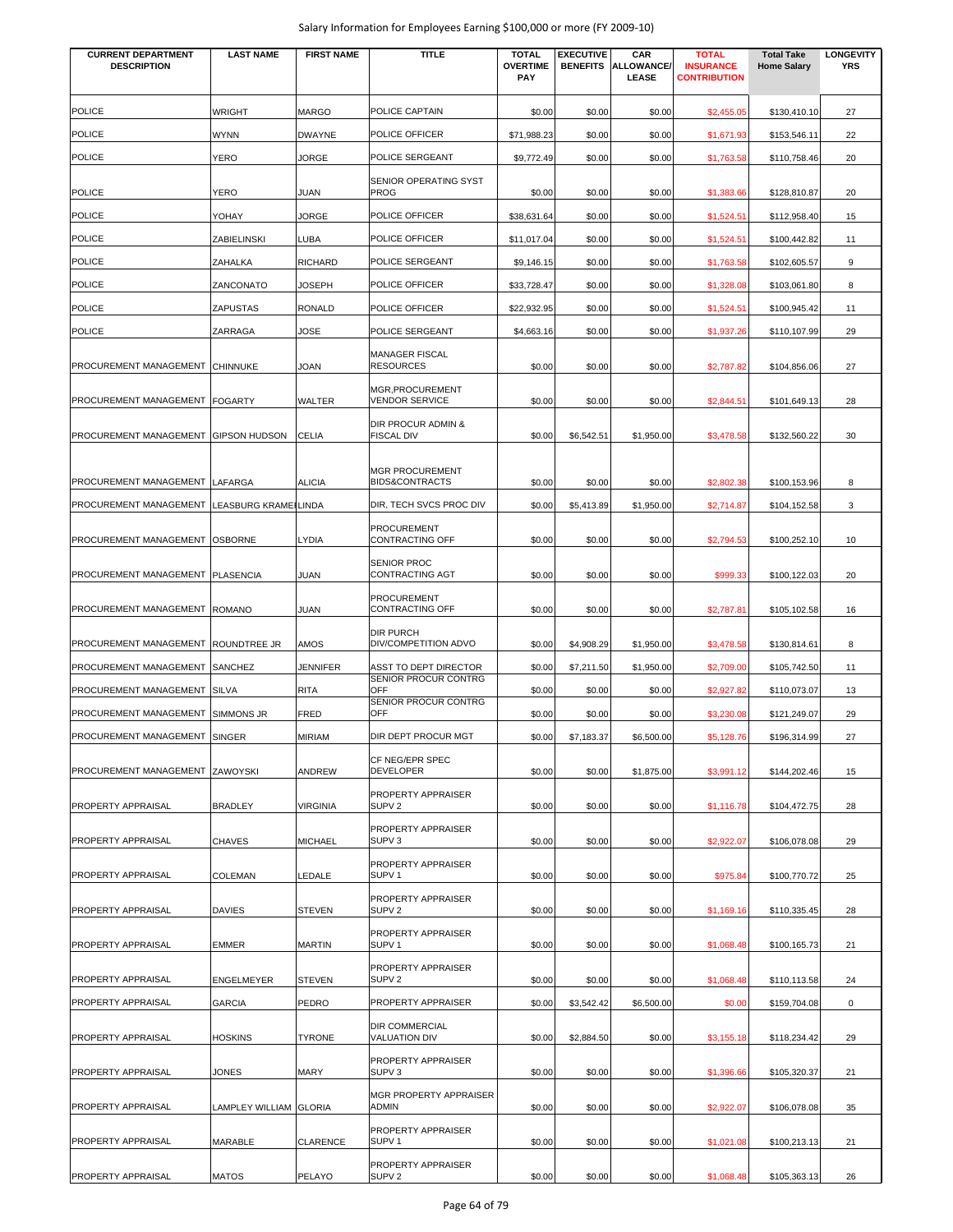| <b>CURRENT DEPARTMENT</b><br><b>DESCRIPTION</b> | <b>LAST NAME</b>       | <b>FIRST NAME</b> | <b>TITLE</b>                                        | <b>TOTAL</b><br><b>OVERTIME</b> | <b>EXECUTIVE</b><br><b>BENEFITS</b> | CAR<br><b>ALLOWANCE/</b> | <b>TOTAL</b><br><b>INSURANCE</b> | <b>Total Take</b><br><b>Home Salary</b> | <b>LONGEVITY</b><br><b>YRS</b> |
|-------------------------------------------------|------------------------|-------------------|-----------------------------------------------------|---------------------------------|-------------------------------------|--------------------------|----------------------------------|-----------------------------------------|--------------------------------|
|                                                 |                        |                   |                                                     | <b>PAY</b>                      |                                     | LEASE                    | <b>CONTRIBUTION</b>              |                                         |                                |
| <b>POLICE</b>                                   | <b>WRIGHT</b>          | <b>MARGO</b>      | POLICE CAPTAIN                                      | \$0.00                          | \$0.00                              | \$0.00                   | \$2,455.05                       | \$130,410.10                            | 27                             |
| <b>POLICE</b>                                   | <b>WYNN</b>            | <b>DWAYNE</b>     | POLICE OFFICER                                      | \$71,988.23                     | \$0.00                              | \$0.00                   | \$1,671.93                       | \$153,546.11                            | 22                             |
| <b>POLICE</b>                                   | YERO                   | <b>JORGE</b>      | POLICE SERGEANT                                     | \$9,772.49                      | \$0.00                              | \$0.00                   | \$1,763.58                       | \$110,758.46                            | 20                             |
| <b>POLICE</b>                                   | YERO                   | JUAN              | SENIOR OPERATING SYST<br><b>PROG</b>                | \$0.00                          | \$0.00                              | \$0.00                   | \$1,383.66                       | \$128,810.87                            | 20                             |
| <b>POLICE</b>                                   | YOHAY                  | JORGE             | POLICE OFFICER                                      | \$38,631.64                     | \$0.00                              | \$0.00                   | \$1,524.51                       | \$112,958.40                            | 15                             |
| <b>POLICE</b>                                   | ZABIELINSKI            | <b>LUBA</b>       | POLICE OFFICER                                      | \$11,017.04                     | \$0.00                              | \$0.00                   | \$1,524.51                       | \$100,442.82                            | 11                             |
| <b>POLICE</b>                                   | <b>ZAHALKA</b>         | <b>RICHARD</b>    | POLICE SERGEANT                                     | \$9,146.15                      | \$0.00                              | \$0.00                   | \$1,763.58                       | \$102,605.57                            | 9                              |
| <b>POLICE</b>                                   | ZANCONATO              | JOSEPH            | POLICE OFFICER                                      | \$33,728.47                     | \$0.00                              | \$0.00                   | \$1,328.08                       | \$103,061.80                            | 8                              |
| <b>POLICE</b>                                   | <b>ZAPUSTAS</b>        | <b>RONALD</b>     | POLICE OFFICER                                      | \$22,932.95                     | \$0.00                              | \$0.00                   | \$1,524.51                       | \$100,945.42                            | 11                             |
| <b>POLICE</b>                                   | ZARRAGA                | JOSE              | POLICE SERGEANT                                     | \$4,663.16                      | \$0.00                              | \$0.00                   | \$1,937.26                       | \$110,107.99                            | 29                             |
| PROCUREMENT MANAGEMENT                          | <b>CHINNUKE</b>        | JOAN              | <b>MANAGER FISCAL</b><br><b>RESOURCES</b>           | \$0.00                          | \$0.00                              | \$0.00                   | \$2,787.82                       | \$104,856.06                            | 27                             |
| PROCUREMENT MANAGEMENT                          | <b>FOGARTY</b>         | <b>WALTER</b>     | MGR, PROCUREMENT<br><b>VENDOR SERVICE</b>           | \$0.00                          | \$0.00                              | \$0.00                   | \$2,844.5'                       | \$101,649.13                            | 28                             |
|                                                 |                        |                   | DIR PROCUR ADMIN &                                  |                                 |                                     |                          |                                  |                                         |                                |
| PROCUREMENT MANAGEMENT                          | <b>GIPSON HUDSON</b>   | <b>CELIA</b>      | <b>FISCAL DIV</b>                                   | \$0.00                          | \$6,542.51                          | \$1,950.00               | \$3,478.58                       | \$132,560.22                            | 30                             |
| PROCUREMENT MANAGEMENT                          | LAFARGA                | <b>ALICIA</b>     | <b>MGR PROCUREMENT</b><br><b>BIDS&amp;CONTRACTS</b> | \$0.00                          | \$0.00                              | \$0.00                   | \$2,802.38                       | \$100,153.96                            | 8                              |
| PROCUREMENT MANAGEMENT                          | LEASBURG KRAMEILINDA   |                   | DIR, TECH SVCS PROC DIV                             | \$0.00                          | \$5,413.89                          | \$1,950.00               | \$2,714.87                       | \$104,152.58                            | 3                              |
| PROCUREMENT MANAGEMENT                          | <b>OSBORNE</b>         | <b>LYDIA</b>      | <b>PROCUREMENT</b><br><b>CONTRACTING OFF</b>        | \$0.00                          | \$0.00                              | \$0.00                   | \$2,794.53                       | \$100,252.10                            | 10                             |
| PROCUREMENT MANAGEMENT                          | <b>PLASENCIA</b>       | JUAN              | <b>SENIOR PROC</b><br>CONTRACTING AGT               | \$0.00                          | \$0.00                              | \$0.00                   | \$999.33                         | \$100,122.03                            | 20                             |
| PROCUREMENT MANAGEMENT                          | <b>ROMANO</b>          | JUAN              | <b>PROCUREMENT</b><br>CONTRACTING OFF               | \$0.00                          | \$0.00                              | \$0.00                   | \$2,787.81                       | \$105,102.58                            | 16                             |
| PROCUREMENT MANAGEMENT                          | ROUNDTREE JR           | AMOS              | <b>DIR PURCH</b><br>DIV/COMPETITION ADVO            | \$0.00                          | \$4,908.29                          | \$1,950.00               | \$3,478.58                       | \$130,814.61                            | 8                              |
| PROCUREMENT MANAGEMENT                          | <b>SANCHEZ</b>         | <b>JENNIFER</b>   | ASST TO DEPT DIRECTOR<br>SENIOR PROCUR CONTRG       | \$0.00                          | \$7,211.50                          | \$1,950.00               | \$2,709.00                       | \$105,742.50                            | 11                             |
| PROCUREMENT MANAGEMENT                          | <b>SILVA</b>           | <b>RITA</b>       | <b>OFF</b><br>SENIOR PROCUR CONTRG                  | \$0.00                          | \$0.00                              | \$0.00                   | \$2,927.82                       | \$110,073.07                            | 13                             |
| PROCUREMENT MANAGEMENT                          | <b>SIMMONS JR</b>      | <b>FRED</b>       | OFF                                                 | \$0.00                          | \$0.00                              | \$0.00                   | \$3,230.08                       | \$121,249.07                            | 29                             |
| PROCUREMENT MANAGEMENT SINGER                   |                        | <b>MIRIAM</b>     | DIR DEPT PROCUR MGT                                 | \$0.00                          | \$7,183.37                          | \$6,500.00               | \$5,128.76                       | \$196,314.99                            | 27                             |
| PROCUREMENT MANAGEMENT ZAWOYSKI                 |                        | ANDREW            | CF NEG/EPR SPEC<br><b>DEVELOPER</b>                 | \$0.00                          | \$0.00                              | \$1,875.00               | \$3,991.12                       | \$144,202.46                            | 15                             |
| PROPERTY APPRAISAL                              | <b>BRADLEY</b>         | <b>VIRGINIA</b>   | PROPERTY APPRAISER<br>SUPV <sub>2</sub>             | \$0.00                          | \$0.00                              | \$0.00                   | \$1,116.78                       | \$104,472.75                            | 28                             |
|                                                 |                        |                   | PROPERTY APPRAISER                                  |                                 |                                     |                          |                                  |                                         |                                |
| PROPERTY APPRAISAL                              | <b>CHAVES</b>          | <b>MICHAEL</b>    | SUPV <sub>3</sub>                                   | \$0.00                          | \$0.00                              | \$0.00                   | \$2,922.07                       | \$106,078.08                            | 29                             |
| PROPERTY APPRAISAL                              | <b>COLEMAN</b>         | LEDALE            | PROPERTY APPRAISER<br>SUPV <sub>1</sub>             | \$0.00                          | \$0.00                              | \$0.00                   | \$975.84                         | \$100,770.72                            | 25                             |
| PROPERTY APPRAISAL                              | <b>DAVIES</b>          | <b>STEVEN</b>     | PROPERTY APPRAISER<br>SUPV <sub>2</sub>             | \$0.00                          | \$0.00                              | \$0.00                   | \$1,169.16                       | \$110,335.45                            | 28                             |
| PROPERTY APPRAISAL                              | <b>EMMER</b>           | <b>MARTIN</b>     | PROPERTY APPRAISER<br>SUPV <sub>1</sub>             | \$0.00                          | \$0.00                              | \$0.00                   | \$1,068.48                       | \$100,165.73                            | 21                             |
| PROPERTY APPRAISAL                              | ENGELMEYER             | <b>STEVEN</b>     | PROPERTY APPRAISER<br>SUPV <sub>2</sub>             | \$0.00                          | \$0.00                              | \$0.00                   | \$1,068.48                       | \$110,113.58                            | 24                             |
| PROPERTY APPRAISAL                              | <b>GARCIA</b>          | PEDRO             | PROPERTY APPRAISER                                  | \$0.00                          | \$3,542.42                          | \$6,500.00               | \$0.00                           | \$159,704.08                            | $\mathbf 0$                    |
| PROPERTY APPRAISAL                              | <b>HOSKINS</b>         | <b>TYRONE</b>     | <b>DIR COMMERCIAL</b><br><b>VALUATION DIV</b>       | \$0.00                          | \$2,884.50                          | \$0.00                   | \$3,155.18                       | \$118,234.42                            | 29                             |
| PROPERTY APPRAISAL                              | JONES                  | <b>MARY</b>       | PROPERTY APPRAISER<br>SUPV <sub>3</sub>             | \$0.00                          | \$0.00                              | \$0.00                   | \$1,396.66                       | \$105,320.37                            | 21                             |
| PROPERTY APPRAISAL                              | LAMPLEY WILLIAM GLORIA |                   | MGR PROPERTY APPRAISER<br><b>ADMIN</b>              | \$0.00                          | \$0.00                              | \$0.00                   | \$2,922.07                       | \$106,078.08                            | 35                             |
| PROPERTY APPRAISAL                              | MARABLE                | <b>CLARENCE</b>   | PROPERTY APPRAISER<br>SUPV <sub>1</sub>             | \$0.00                          | \$0.00                              | \$0.00                   | \$1,021.08                       | \$100,213.13                            | 21                             |
| PROPERTY APPRAISAL                              | MATOS                  | PELAYO            | PROPERTY APPRAISER<br>SUPV <sub>2</sub>             | \$0.00                          | \$0.00                              | \$0.00                   | \$1,068.48                       | \$105,363.13                            | 26                             |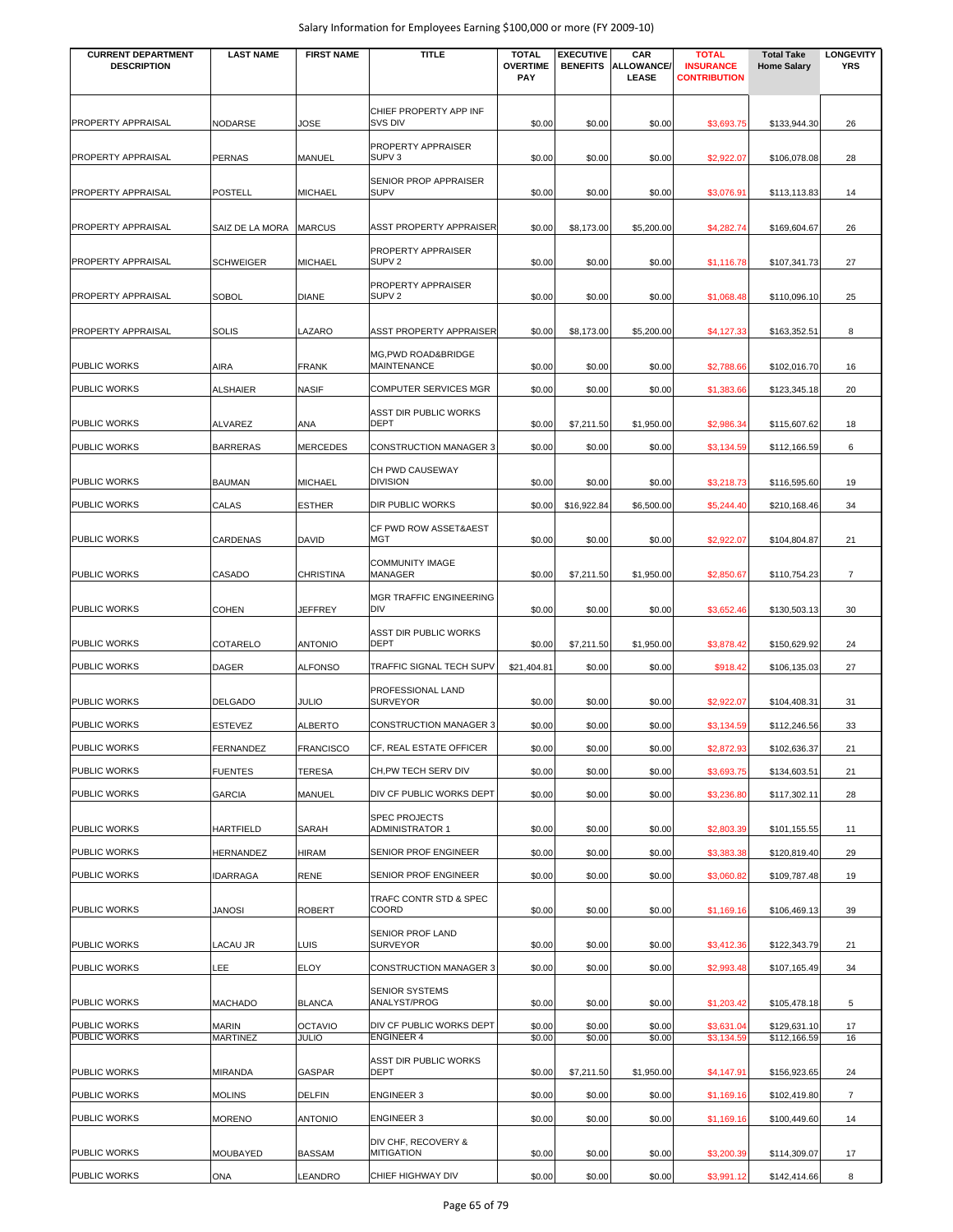| <b>CURRENT DEPARTMENT</b><br><b>DESCRIPTION</b> | <b>LAST NAME</b>                | <b>FIRST NAME</b>              | <b>TITLE</b>                                   | <b>TOTAL</b><br><b>OVERTIME</b> | <b>EXECUTIVE</b><br><b>BENEFITS</b> | CAR<br>ALLOWANCE/ | <b>TOTAL</b><br><b>INSURANCE</b> | <b>Total Take</b><br><b>Home Salary</b> | <b>LONGEVITY</b><br><b>YRS</b> |
|-------------------------------------------------|---------------------------------|--------------------------------|------------------------------------------------|---------------------------------|-------------------------------------|-------------------|----------------------------------|-----------------------------------------|--------------------------------|
|                                                 |                                 |                                |                                                | <b>PAY</b>                      |                                     | LEASE             | <b>CONTRIBUTION</b>              |                                         |                                |
|                                                 |                                 |                                | CHIEF PROPERTY APP INF                         |                                 |                                     |                   |                                  |                                         |                                |
| PROPERTY APPRAISAL                              | <b>NODARSE</b>                  | JOSE                           | SVS DIV<br>PROPERTY APPRAISER                  | \$0.00                          | \$0.00                              | \$0.00            | \$3,693.75                       | \$133,944.30                            | 26                             |
| <b>PROPERTY APPRAISAL</b>                       | <b>PERNAS</b>                   | MANUEL                         | SUPV <sub>3</sub>                              | \$0.00                          | \$0.00                              | \$0.00            | \$2,922.07                       | \$106,078.08                            | 28                             |
| PROPERTY APPRAISAL                              | <b>POSTELL</b>                  | <b>MICHAEL</b>                 | SENIOR PROP APPRAISER<br><b>SUPV</b>           | \$0.00                          | \$0.00                              | \$0.00            | \$3,076.9                        | \$113,113.83                            | 14                             |
|                                                 |                                 |                                |                                                |                                 |                                     |                   |                                  |                                         |                                |
| PROPERTY APPRAISAL                              | SAIZ DE LA MORA                 | <b>MARCUS</b>                  | ASST PROPERTY APPRAISER<br>PROPERTY APPRAISER  | \$0.00                          | \$8,173.00                          | \$5,200.00        | \$4,282.74                       | \$169,604.67                            | 26                             |
| PROPERTY APPRAISAL                              | <b>SCHWEIGER</b>                | <b>MICHAEL</b>                 | SUPV <sub>2</sub>                              | \$0.00                          | \$0.00                              | \$0.00            | \$1,116.78                       | \$107,341.73                            | 27                             |
| PROPERTY APPRAISAL                              | <b>SOBOL</b>                    | <b>DIANE</b>                   | PROPERTY APPRAISER<br>SUPV <sub>2</sub>        | \$0.00                          | \$0.00                              | \$0.00            | \$1,068.48                       | \$110,096.10                            | 25                             |
|                                                 |                                 |                                |                                                |                                 |                                     |                   |                                  |                                         |                                |
| PROPERTY APPRAISAL                              | <b>SOLIS</b>                    | LAZARO                         | ASST PROPERTY APPRAISER                        | \$0.00                          | \$8,173.00                          | \$5,200.00        | \$4,127.33                       | \$163,352.51                            | 8                              |
| <b>PUBLIC WORKS</b>                             | AIRA                            | <b>FRANK</b>                   | MG, PWD ROAD&BRIDGE<br><b>MAINTENANCE</b>      | \$0.00                          | \$0.00                              | \$0.00            | \$2,788.66                       | \$102,016.70                            | 16                             |
| <b>PUBLIC WORKS</b>                             | <b>ALSHAIER</b>                 | <b>NASIF</b>                   | <b>COMPUTER SERVICES MGR</b>                   | \$0.00                          | \$0.00                              | \$0.00            | \$1,383.66                       | \$123,345.18                            | 20                             |
| <b>PUBLIC WORKS</b>                             | ALVAREZ                         | ANA                            | ASST DIR PUBLIC WORKS<br>DEPT                  | \$0.00                          | \$7,211.50                          | \$1,950.00        | \$2,986.34                       | \$115,607.62                            | 18                             |
| <b>PUBLIC WORKS</b>                             | <b>BARRERAS</b>                 | <b>MERCEDES</b>                | <b>CONSTRUCTION MANAGER 3</b>                  | \$0.00                          | \$0.00                              | \$0.00            | \$3,134.59                       | \$112,166.59                            | 6                              |
| <b>PUBLIC WORKS</b>                             | <b>BAUMAN</b>                   | <b>MICHAEL</b>                 | CH PWD CAUSEWAY<br><b>DIVISION</b>             | \$0.00                          | \$0.00                              | \$0.00            | \$3,218.73                       | \$116,595.60                            | 19                             |
| <b>PUBLIC WORKS</b>                             | CALAS                           | <b>ESTHER</b>                  | DIR PUBLIC WORKS                               | \$0.00                          | \$16,922.84                         | \$6,500.00        | \$5,244.40                       | \$210,168.46                            | 34                             |
|                                                 |                                 |                                | CF PWD ROW ASSET&AEST                          |                                 |                                     |                   |                                  |                                         |                                |
| <b>PUBLIC WORKS</b>                             | CARDENAS                        | <b>DAVID</b>                   | MGT                                            | \$0.00                          | \$0.00                              | \$0.00            | \$2,922.07                       | \$104,804.87                            | 21                             |
| <b>PUBLIC WORKS</b>                             | CASADO                          | <b>CHRISTINA</b>               | <b>COMMUNITY IMAGE</b><br>MANAGER              | \$0.00                          | \$7,211.50                          | \$1,950.00        | \$2,850.67                       | \$110,754.23                            | 7                              |
| <b>PUBLIC WORKS</b>                             | <b>COHEN</b>                    | <b>JEFFREY</b>                 | <b>MGR TRAFFIC ENGINEERING</b><br>DIV          | \$0.00                          | \$0.00                              | \$0.00            | \$3,652.46                       | \$130,503.13                            | 30                             |
|                                                 |                                 |                                | ASST DIR PUBLIC WORKS                          |                                 |                                     |                   |                                  |                                         |                                |
| <b>PUBLIC WORKS</b>                             | COTARELO                        | <b>ANTONIO</b>                 | DEPT                                           | \$0.00                          | \$7,211.50                          | \$1,950.00        | \$3,878.42                       | \$150,629.92                            | 24                             |
| <b>PUBLIC WORKS</b>                             | DAGER                           | <b>ALFONSO</b>                 | TRAFFIC SIGNAL TECH SUPV                       | \$21,404.81                     | \$0.00                              | \$0.00            | \$918.42                         | \$106,135.03                            | 27                             |
| <b>PUBLIC WORKS</b>                             | <b>DELGADO</b>                  | <b>JULIO</b>                   | PROFESSIONAL LAND<br>SURVEYOR                  | \$0.00                          | \$0.00                              | \$0.00            | \$2,922.07                       | \$104,408.31                            | 31                             |
| <b>PUBLIC WORKS</b>                             | <b>ESTEVEZ</b>                  | <b>ALBERTO</b>                 | <b>CONSTRUCTION MANAGER 3</b>                  | \$0.00                          | \$0.00                              | \$0.00            | \$3,134.59                       | \$112,246.56                            | 33                             |
| <b>PUBLIC WORKS</b>                             | <b>FERNANDEZ</b>                | <b>FRANCISCO</b>               | CF, REAL ESTATE OFFICER                        | \$0.00                          | \$0.00                              | \$0.00            | \$2,872.93                       | \$102,636.37                            | 21                             |
| <b>PUBLIC WORKS</b>                             | <b>FUENTES</b>                  | <b>TERESA</b>                  | CH, PW TECH SERV DIV                           | \$0.00                          | \$0.00                              | \$0.00            | \$3,693.75                       | \$134,603.51                            | 21                             |
| <b>PUBLIC WORKS</b>                             | <b>GARCIA</b>                   | MANUEL                         | DIV CF PUBLIC WORKS DEPT                       | \$0.00                          | \$0.00                              | \$0.00            | \$3,236.80                       | \$117,302.11                            | 28                             |
| <b>PUBLIC WORKS</b>                             | <b>HARTFIELD</b>                | SARAH                          | <b>SPEC PROJECTS</b><br><b>ADMINISTRATOR 1</b> | \$0.00                          | \$0.00                              | \$0.00            | \$2,803.39                       | \$101,155.55                            | 11                             |
| <b>PUBLIC WORKS</b>                             | HERNANDEZ                       | <b>HIRAM</b>                   | SENIOR PROF ENGINEER                           | \$0.00                          | \$0.00                              | \$0.00            | \$3,383.38                       | \$120,819.40                            | 29                             |
| <b>PUBLIC WORKS</b>                             | <b>IDARRAGA</b>                 | <b>RENE</b>                    | SENIOR PROF ENGINEER                           | \$0.00                          | \$0.00                              | \$0.00            | \$3,060.82                       | \$109,787.48                            | 19                             |
| <b>PUBLIC WORKS</b>                             | <b>JANOSI</b>                   | <b>ROBERT</b>                  | TRAFC CONTR STD & SPEC<br>COORD                | \$0.00                          | \$0.00                              | \$0.00            | \$1,169.16                       | \$106,469.13                            | 39                             |
|                                                 |                                 |                                | SENIOR PROF LAND                               |                                 |                                     |                   |                                  |                                         |                                |
| <b>PUBLIC WORKS</b>                             | LACAU JR                        | LUIS                           | SURVEYOR                                       | \$0.00                          | \$0.00                              | \$0.00            | \$3,412.36                       | \$122,343.79                            | 21                             |
| <b>PUBLIC WORKS</b>                             | LEE                             | <b>ELOY</b>                    | CONSTRUCTION MANAGER 3                         | \$0.00                          | \$0.00                              | \$0.00            | \$2,993.48                       | \$107,165.49                            | 34                             |
| <b>PUBLIC WORKS</b>                             | <b>MACHADO</b>                  | <b>BLANCA</b>                  | <b>SENIOR SYSTEMS</b><br>ANALYST/PROG          | \$0.00                          | \$0.00                              | \$0.00            | \$1,203.42                       | \$105,478.18                            | 5                              |
| <b>PUBLIC WORKS</b><br>PUBLIC WORKS             | <b>MARIN</b><br><b>MARTINEZ</b> | <b>OCTAVIO</b><br><b>JULIO</b> | DIV CF PUBLIC WORKS DEPT<br><b>ENGINEER 4</b>  | \$0.00<br>\$0.00                | \$0.00<br>\$0.00                    | \$0.00<br>\$0.00  | \$3,631.04<br>\$3,134.59         | \$129,631.10<br>\$112,166.59            | 17<br>16                       |
|                                                 |                                 |                                | ASST DIR PUBLIC WORKS                          |                                 |                                     |                   |                                  |                                         |                                |
| <b>PUBLIC WORKS</b>                             | <b>MIRANDA</b>                  | GASPAR                         | DEPT                                           | \$0.00                          | \$7,211.50                          | \$1,950.00        | \$4,147.91                       | \$156,923.65                            | 24                             |
| <b>PUBLIC WORKS</b>                             | <b>MOLINS</b>                   | <b>DELFIN</b>                  | ENGINEER 3                                     | \$0.00                          | \$0.00                              | \$0.00            | \$1,169.16                       | \$102,419.80                            | $\overline{7}$                 |
| <b>PUBLIC WORKS</b>                             | <b>MORENO</b>                   | <b>ANTONIO</b>                 | <b>ENGINEER 3</b>                              | \$0.00                          | \$0.00                              | \$0.00            | \$1,169.16                       | \$100,449.60                            | 14                             |
| <b>PUBLIC WORKS</b>                             | MOUBAYED                        | <b>BASSAM</b>                  | DIV CHF, RECOVERY &<br><b>MITIGATION</b>       | \$0.00                          | \$0.00                              | \$0.00            | \$3,200.39                       | \$114,309.07                            | 17                             |
| PUBLIC WORKS                                    | <b>ONA</b>                      | LEANDRO                        | CHIEF HIGHWAY DIV                              | \$0.00                          | \$0.00                              | \$0.00            | \$3,991.12                       | \$142,414.66                            | 8                              |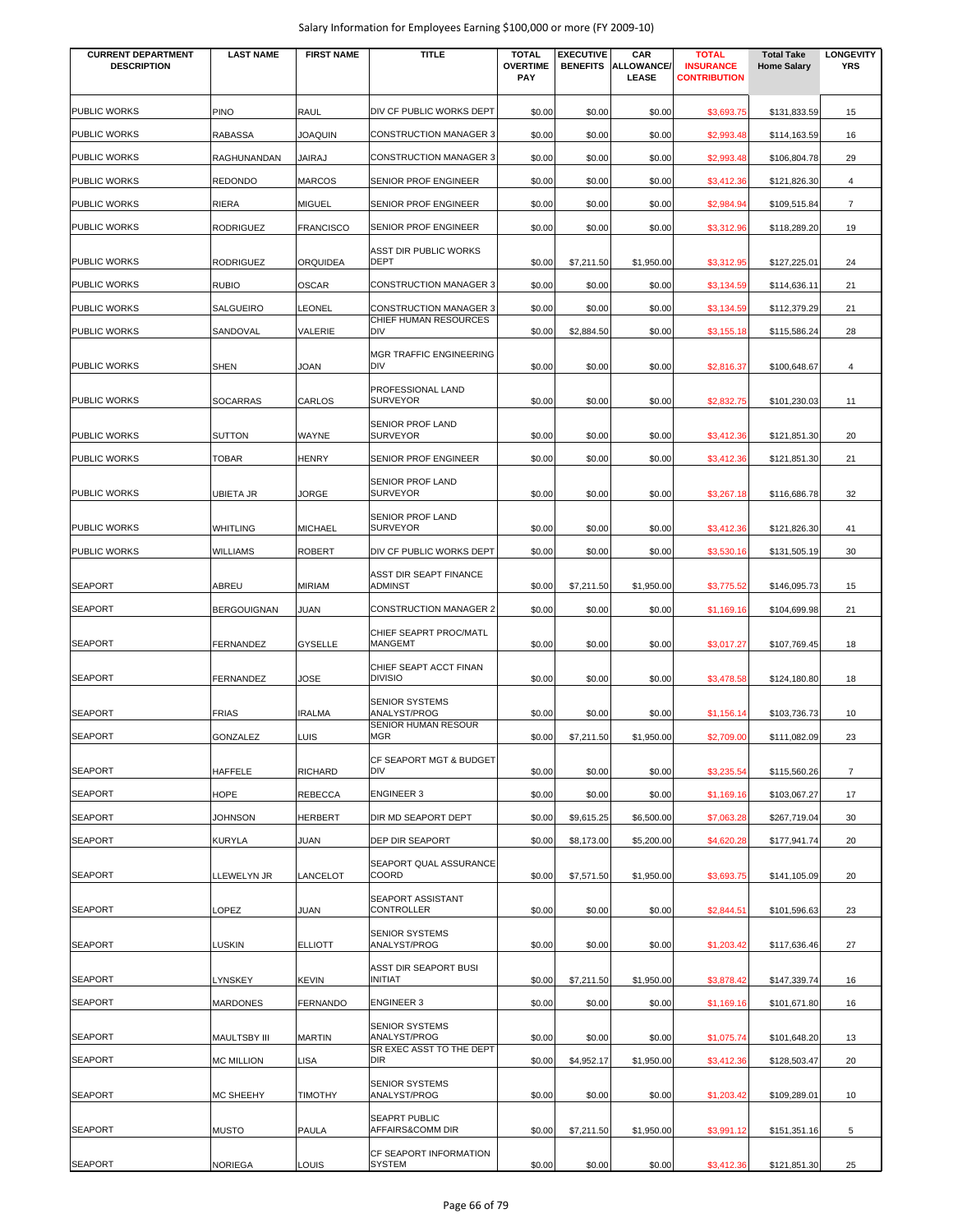| <b>CURRENT DEPARTMENT</b><br><b>DESCRIPTION</b> | <b>LAST NAME</b>    | <b>FIRST NAME</b> | <b>TITLE</b>                                              | <b>TOTAL</b><br><b>OVERTIME</b><br><b>PAY</b> | <b>EXECUTIVE</b><br><b>BENEFITS</b> | CAR<br>ALLOWANCE/<br>LEASE | <b>TOTAL</b><br><b>INSURANCE</b><br><b>CONTRIBUTION</b> | <b>Total Take</b><br><b>Home Salary</b> | <b>LONGEVITY</b><br><b>YRS</b> |
|-------------------------------------------------|---------------------|-------------------|-----------------------------------------------------------|-----------------------------------------------|-------------------------------------|----------------------------|---------------------------------------------------------|-----------------------------------------|--------------------------------|
|                                                 |                     |                   |                                                           |                                               |                                     |                            |                                                         |                                         |                                |
| <b>PUBLIC WORKS</b>                             | PINO                | <b>RAUL</b>       | DIV CF PUBLIC WORKS DEPT<br><b>CONSTRUCTION MANAGER 3</b> | \$0.00                                        | \$0.00                              | \$0.00                     | \$3,693.75                                              | \$131,833.59                            | 15                             |
| <b>PUBLIC WORKS</b>                             | <b>RABASSA</b>      | <b>JOAQUIN</b>    |                                                           | \$0.00                                        | \$0.00                              | \$0.00                     | \$2,993.48                                              | \$114,163.59                            | 16                             |
| <b>PUBLIC WORKS</b>                             | RAGHUNANDAN         | <b>JAIRAJ</b>     | CONSTRUCTION MANAGER 3                                    | \$0.00                                        | \$0.00                              | \$0.00                     | \$2,993.48                                              | \$106,804.78                            | 29                             |
| <b>PUBLIC WORKS</b><br><b>PUBLIC WORKS</b>      | <b>REDONDO</b>      | <b>MARCOS</b>     | SENIOR PROF ENGINEER                                      | \$0.00                                        | \$0.00                              | \$0.00                     | \$3,412.36                                              | \$121,826.30                            | 4                              |
|                                                 | <b>RIERA</b>        | <b>MIGUEL</b>     | SENIOR PROF ENGINEER                                      | \$0.00                                        | \$0.00                              | \$0.00                     | \$2,984.94                                              | \$109,515.84                            | $\overline{7}$                 |
| <b>PUBLIC WORKS</b>                             | <b>RODRIGUEZ</b>    | <b>FRANCISCO</b>  | SENIOR PROF ENGINEER                                      | \$0.00                                        | \$0.00                              | \$0.00                     | \$3,312.96                                              | \$118,289.20                            | 19                             |
| <b>PUBLIC WORKS</b>                             | <b>RODRIGUEZ</b>    | <b>ORQUIDEA</b>   | ASST DIR PUBLIC WORKS<br>DEPT                             | \$0.00                                        | \$7,211.50                          | \$1,950.00                 | \$3,312.95                                              | \$127,225.01                            | 24                             |
| <b>PUBLIC WORKS</b>                             | <b>RUBIO</b>        | <b>OSCAR</b>      | <b>CONSTRUCTION MANAGER 3</b>                             | \$0.00                                        | \$0.00                              | \$0.00                     | \$3,134.59                                              | \$114,636.11                            | 21                             |
| <b>PUBLIC WORKS</b>                             | SALGUEIRO           | LEONEL            | <b>CONSTRUCTION MANAGER 3</b>                             | \$0.00                                        | \$0.00                              | \$0.00                     | \$3,134.59                                              | \$112,379.29                            | 21                             |
| <b>PUBLIC WORKS</b>                             | SANDOVAL            | VALERIE           | CHIEF HUMAN RESOURCES<br>DIV                              | \$0.00                                        | \$2,884.50                          | \$0.00                     | \$3,155.18                                              | \$115,586.24                            | 28                             |
| <b>PUBLIC WORKS</b>                             | <b>SHEN</b>         | JOAN              | MGR TRAFFIC ENGINEERING<br>DIV                            | \$0.00                                        | \$0.00                              | \$0.00                     | \$2,816.37                                              | \$100,648.67                            | 4                              |
| <b>PUBLIC WORKS</b>                             | <b>SOCARRAS</b>     |                   | PROFESSIONAL LAND<br><b>SURVEYOR</b>                      | \$0.00                                        |                                     |                            |                                                         |                                         |                                |
|                                                 |                     | CARLOS            |                                                           |                                               | \$0.00                              | \$0.00                     | \$2,832.75                                              | \$101,230.03                            | 11                             |
| <b>PUBLIC WORKS</b>                             | <b>SUTTON</b>       | <b>WAYNE</b>      | SENIOR PROF LAND<br><b>SURVEYOR</b>                       | \$0.00                                        | \$0.00                              | \$0.00                     | \$3,412.36                                              | \$121,851.30                            | 20                             |
| <b>PUBLIC WORKS</b>                             | <b>TOBAR</b>        | <b>HENRY</b>      | SENIOR PROF ENGINEER                                      | \$0.00                                        | \$0.00                              | \$0.00                     | \$3,412.36                                              | \$121,851.30                            | 21                             |
| <b>PUBLIC WORKS</b>                             | <b>UBIETA JR</b>    | <b>JORGE</b>      | SENIOR PROF LAND<br><b>SURVEYOR</b>                       | \$0.00                                        | \$0.00                              | \$0.00                     | \$3,267.18                                              | \$116,686.78                            | 32                             |
| <b>PUBLIC WORKS</b>                             | <b>WHITLING</b>     | <b>MICHAEL</b>    | SENIOR PROF LAND<br><b>SURVEYOR</b>                       | \$0.00                                        | \$0.00                              | \$0.00                     | \$3,412.36                                              | \$121,826.30                            | 41                             |
| <b>PUBLIC WORKS</b>                             | <b>WILLIAMS</b>     | <b>ROBERT</b>     | DIV CF PUBLIC WORKS DEPT                                  | \$0.00                                        | \$0.00                              | \$0.00                     | \$3,530.16                                              | \$131,505.19                            | 30                             |
| <b>SEAPORT</b>                                  | ABREU               | <b>MIRIAM</b>     | ASST DIR SEAPT FINANCE<br><b>ADMINST</b>                  | \$0.00                                        | \$7,211.50                          | \$1,950.00                 | \$3,775.52                                              | \$146,095.73                            | 15                             |
| <b>SEAPORT</b>                                  | <b>BERGOUIGNAN</b>  | JUAN              | <b>CONSTRUCTION MANAGER 2</b>                             | \$0.00                                        | \$0.00                              | \$0.00                     | \$1,169.16                                              | \$104,699.98                            | 21                             |
| <b>SEAPORT</b>                                  | FERNANDEZ           | <b>GYSELLE</b>    | CHIEF SEAPRT PROC/MATL<br>MANGEMT                         | \$0.00                                        | \$0.00                              | \$0.00                     | \$3,017.27                                              | \$107,769.45                            | 18                             |
| <b>SEAPORT</b>                                  | <b>FERNANDEZ</b>    | JOSE              | CHIEF SEAPT ACCT FINAN<br><b>DIVISIO</b>                  | \$0.00                                        | \$0.00                              | \$0.00                     | \$3,478.58                                              | \$124,180.80                            | 18                             |
|                                                 |                     |                   | <b>SENIOR SYSTEMS</b>                                     |                                               |                                     |                            |                                                         |                                         |                                |
| <b>SEAPORT</b>                                  | <b>FRIAS</b>        | <b>IRALMA</b>     | ANALYST/PROG<br>SENIOR HUMAN RESOUR                       | \$0.00                                        | \$0.00                              | \$0.00                     | \$1,156.14                                              | \$103,736.73                            | 10                             |
| <b>SEAPORT</b>                                  | GONZALEZ            | <b>LUIS</b>       | MGR                                                       | \$0.00                                        | \$7,211.50                          | \$1,950.00                 | \$2,709.00                                              | \$111,082.09                            | 23                             |
| <b>SEAPORT</b>                                  | <b>HAFFELE</b>      | <b>RICHARD</b>    | CF SEAPORT MGT & BUDGET<br><b>DIV</b>                     | \$0.00                                        | \$0.00                              | \$0.00                     | \$3,235.54                                              | \$115,560.26                            | $\overline{7}$                 |
| <b>SEAPORT</b>                                  | <b>HOPE</b>         | <b>REBECCA</b>    | <b>ENGINEER 3</b>                                         | \$0.00                                        | \$0.00                              | \$0.00                     | \$1,169.16                                              | \$103,067.27                            | 17                             |
| <b>SEAPORT</b>                                  | JOHNSON             | <b>HERBERT</b>    | DIR MD SEAPORT DEPT                                       | \$0.00                                        | \$9,615.25                          | \$6,500.00                 | \$7,063.28                                              | \$267,719.04                            | 30                             |
| <b>SEAPORT</b>                                  | <b>KURYLA</b>       | <b>JUAN</b>       | DEP DIR SEAPORT                                           | \$0.00                                        | \$8,173.00                          | \$5,200.00                 | \$4,620.28                                              | \$177,941.74                            | 20                             |
| <b>SEAPORT</b>                                  | LLEWELYN JR         | LANCELOT          | SEAPORT QUAL ASSURANCE<br>COORD                           | \$0.00                                        | \$7,571.50                          | \$1,950.00                 | \$3,693.75                                              | \$141,105.09                            | 20                             |
| <b>SEAPORT</b>                                  | LOPEZ               | <b>JUAN</b>       | <b>SEAPORT ASSISTANT</b><br>CONTROLLER                    | \$0.00                                        | \$0.00                              | \$0.00                     | \$2,844.51                                              | \$101,596.63                            | 23                             |
| <b>SEAPORT</b>                                  | <b>LUSKIN</b>       | <b>ELLIOTT</b>    | <b>SENIOR SYSTEMS</b><br>ANALYST/PROG                     | \$0.00                                        | \$0.00                              | \$0.00                     | \$1,203.42                                              | \$117,636.46                            | 27                             |
| <b>SEAPORT</b>                                  | <b>LYNSKEY</b>      | <b>KEVIN</b>      | ASST DIR SEAPORT BUSI<br>INITIAT                          | \$0.00                                        | \$7,211.50                          | \$1,950.00                 | \$3,878.42                                              | \$147,339.74                            | 16                             |
| <b>SEAPORT</b>                                  | <b>MARDONES</b>     | <b>FERNANDO</b>   | <b>ENGINEER 3</b>                                         | \$0.00                                        | \$0.00                              | \$0.00                     | \$1,169.16                                              | \$101,671.80                            | 16                             |
| <b>SEAPORT</b>                                  | <b>MAULTSBY III</b> | <b>MARTIN</b>     | SENIOR SYSTEMS<br>ANALYST/PROG                            | \$0.00                                        | \$0.00                              | \$0.00                     | \$1,075.74                                              | \$101,648.20                            | 13                             |
| <b>SEAPORT</b>                                  | <b>MC MILLION</b>   | LISA              | SR EXEC ASST TO THE DEPT<br>DIR.                          | \$0.00                                        | \$4,952.17                          | \$1,950.00                 | \$3,412.36                                              | \$128,503.47                            | 20                             |
| <b>SEAPORT</b>                                  | <b>MC SHEEHY</b>    | <b>TIMOTHY</b>    | SENIOR SYSTEMS<br>ANALYST/PROG                            | \$0.00                                        | \$0.00                              | \$0.00                     | \$1,203.42                                              | \$109,289.01                            | 10                             |
|                                                 |                     |                   | <b>SEAPRT PUBLIC</b>                                      |                                               |                                     |                            |                                                         |                                         |                                |
| <b>SEAPORT</b>                                  | <b>MUSTO</b>        | <b>PAULA</b>      | AFFAIRS&COMM DIR                                          | \$0.00                                        | \$7,211.50                          | \$1,950.00                 | \$3,991.12                                              | \$151,351.16                            | 5                              |
| <b>SEAPORT</b>                                  | <b>NORIEGA</b>      | LOUIS             | CF SEAPORT INFORMATION<br>SYSTEM                          | \$0.00                                        | \$0.00                              | \$0.00                     | \$3,412.36                                              | \$121,851.30                            | 25                             |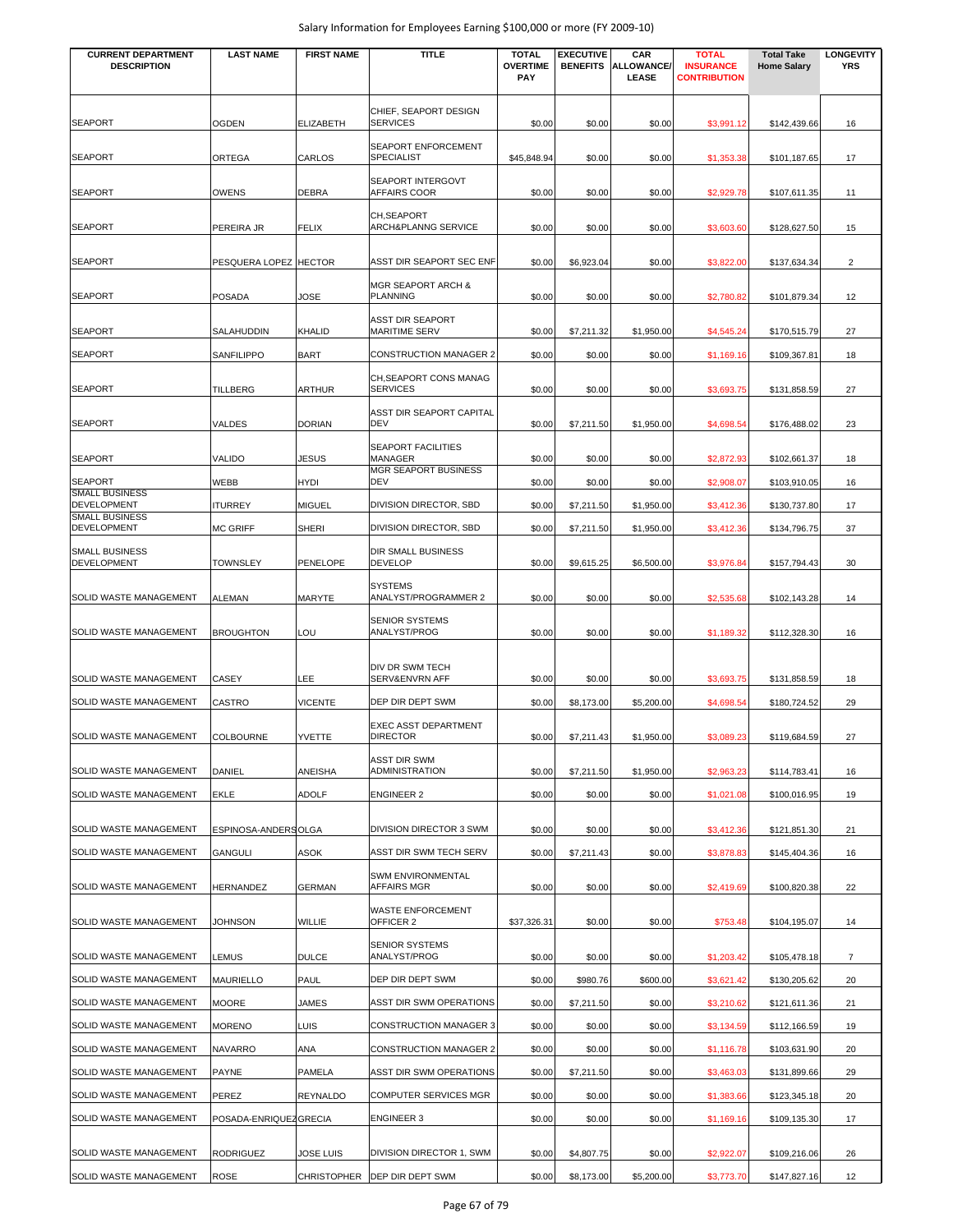| <b>CURRENT DEPARTMENT</b><br><b>DESCRIPTION</b> | <b>LAST NAME</b>       | <b>FIRST NAME</b> | <b>TITLE</b>                                   | <b>TOTAL</b><br><b>OVERTIME</b> | <b>EXECUTIVE</b><br><b>BENEFITS</b> | CAR<br>ALLOWANCE/ | <b>TOTAL</b><br><b>INSURANCE</b> | <b>Total Take</b><br><b>Home Salary</b> | <b>LONGEVITY</b><br><b>YRS</b> |
|-------------------------------------------------|------------------------|-------------------|------------------------------------------------|---------------------------------|-------------------------------------|-------------------|----------------------------------|-----------------------------------------|--------------------------------|
|                                                 |                        |                   |                                                | PAY                             |                                     | LEASE             | <b>CONTRIBUTION</b>              |                                         |                                |
|                                                 |                        |                   |                                                |                                 |                                     |                   |                                  |                                         |                                |
| <b>SEAPORT</b>                                  | <b>OGDEN</b>           | <b>ELIZABETH</b>  | CHIEF, SEAPORT DESIGN<br><b>SERVICES</b>       | \$0.00                          | \$0.00                              | \$0.00            | \$3,991.12                       | \$142,439.66                            | 16                             |
| <b>SEAPORT</b>                                  | ORTEGA                 | CARLOS            | SEAPORT ENFORCEMENT<br>SPECIALIST              | \$45,848.94                     | \$0.00                              | \$0.00            |                                  |                                         | 17                             |
|                                                 |                        |                   | SEAPORT INTERGOVT                              |                                 |                                     |                   | \$1,353.38                       | \$101,187.65                            |                                |
| <b>SEAPORT</b>                                  | OWENS                  | <b>DEBRA</b>      | AFFAIRS COOR                                   | \$0.00                          | \$0.00                              | \$0.00            | \$2,929.78                       | \$107,611.35                            | 11                             |
| <b>SEAPORT</b>                                  | PEREIRA JR             | <b>FELIX</b>      | CH, SEAPORT<br><b>ARCH&amp;PLANNG SERVICE</b>  | \$0.00                          | \$0.00                              | \$0.00            | \$3,603.60                       | \$128,627.50                            | 15                             |
| <b>SEAPORT</b>                                  | PESQUERA LOPEZ HECTOR  |                   | ASST DIR SEAPORT SEC ENF                       | \$0.00                          | \$6,923.04                          | \$0.00            | \$3,822.00                       | \$137,634.34                            | 2                              |
| <b>SEAPORT</b>                                  | <b>POSADA</b>          | JOSE              | <b>MGR SEAPORT ARCH &amp;</b><br>PLANNING      | \$0.00                          | \$0.00                              | \$0.00            | \$2,780.82                       | \$101,879.34                            | 12                             |
|                                                 |                        |                   | ASST DIR SEAPORT                               |                                 |                                     |                   |                                  |                                         |                                |
| <b>SEAPORT</b>                                  | SALAHUDDIN             | <b>KHALID</b>     | <b>MARITIME SERV</b>                           | \$0.00                          | \$7,211.32                          | \$1,950.00        | \$4,545.24                       | \$170,515.79                            | 27                             |
| <b>SEAPORT</b>                                  | SANFILIPPO             | <b>BART</b>       | <b>CONSTRUCTION MANAGER 2</b>                  | \$0.00                          | \$0.00                              | \$0.00            | \$1,169.16                       | \$109,367.81                            | 18                             |
| <b>SEAPORT</b>                                  | TILLBERG               | <b>ARTHUR</b>     | CH, SEAPORT CONS MANAG<br><b>SERVICES</b>      | \$0.00                          | \$0.00                              | \$0.00            | \$3,693.75                       | \$131,858.59                            | 27                             |
| <b>SEAPORT</b>                                  | VALDES                 | <b>DORIAN</b>     | ASST DIR SEAPORT CAPITAL<br><b>DEV</b>         | \$0.00                          | \$7,211.50                          | \$1,950.00        | \$4,698.54                       | \$176,488.02                            | 23                             |
|                                                 |                        |                   | SEAPORT FACILITIES                             |                                 |                                     |                   |                                  |                                         |                                |
| <b>SEAPORT</b>                                  | <b>VALIDO</b>          | <b>JESUS</b>      | MANAGER<br><b>MGR SEAPORT BUSINESS</b>         | \$0.00                          | \$0.00                              | \$0.00            | \$2,872.93                       | \$102,661.37                            | 18                             |
| <b>SEAPORT</b><br><b>SMALL BUSINESS</b>         | WEBB                   | <b>HYDI</b>       | <b>DEV</b>                                     | \$0.00                          | \$0.00                              | \$0.00            | \$2,908.07                       | \$103,910.05                            | 16                             |
| DEVELOPMENT<br><b>SMALL BUSINESS</b>            | <b>ITURREY</b>         | <b>MIGUEL</b>     | DIVISION DIRECTOR, SBD                         | \$0.00                          | \$7,211.50                          | \$1,950.00        | \$3,412.36                       | \$130,737.80                            | 17                             |
| <b>DEVELOPMENT</b>                              | <b>MC GRIFF</b>        | <b>SHERI</b>      | DIVISION DIRECTOR, SBD                         | \$0.00                          | \$7,211.50                          | \$1,950.00        | \$3,412.36                       | \$134,796.75                            | 37                             |
| <b>SMALL BUSINESS</b><br><b>DEVELOPMENT</b>     | <b>TOWNSLEY</b>        | <b>PENELOPE</b>   | DIR SMALL BUSINESS<br><b>DEVELOP</b>           | \$0.00                          | \$9,615.25                          | \$6,500.00        | \$3,976.84                       | \$157,794.43                            | 30                             |
| SOLID WASTE MANAGEMENT                          | <b>ALEMAN</b>          | <b>MARYTE</b>     | SYSTEMS<br>ANALYST/PROGRAMMER 2                | \$0.00                          | \$0.00                              | \$0.00            | \$2,535.68                       | \$102,143.28                            | 14                             |
| SOLID WASTE MANAGEMENT                          | <b>BROUGHTON</b>       | LOU               | <b>SENIOR SYSTEMS</b><br>ANALYST/PROG          | \$0.00                          | \$0.00                              | \$0.00            | \$1,189.32                       | \$112,328.30                            | 16                             |
| SOLID WASTE MANAGEMENT                          | CASEY                  | LEE               | DIV DR SWM TECH<br>SERV&ENVRN AFF              | \$0.00                          | \$0.00                              | \$0.00            | \$3,693.75                       | \$131,858.59                            | 18                             |
| SOLID WASTE MANAGEMENT                          | CASTRO                 | <b>VICENTE</b>    | DEP DIR DEPT SWM                               | \$0.00                          | \$8,173.00                          | \$5,200.00        | \$4,698.54                       | \$180,724.52                            | 29                             |
| <b>SOLID WASTE MANAGEMENT</b>                   | <b>COLBOURNE</b>       | <b>YVETTE</b>     | <b>EXEC ASST DEPARTMENT</b><br><b>DIRECTOR</b> | \$0.00                          | \$7,211.43                          | \$1,950.00        | \$3,089.23                       | \$119,684.59                            | 27                             |
|                                                 |                        |                   | ASST DIR SWM                                   |                                 |                                     |                   |                                  |                                         |                                |
| SOLID WASTE MANAGEMENT                          | DANIEL                 | ANEISHA           | ADMINISTRATION                                 | \$0.00                          | \$7,211.50                          | \$1,950.00        | \$2,963.23                       | \$114,783.41                            | 16                             |
| SOLID WASTE MANAGEMENT                          | EKLE                   | <b>ADOLF</b>      | <b>ENGINEER 2</b>                              | \$0.00                          | \$0.00                              | \$0.00            | \$1,021.08                       | \$100,016.95                            | 19                             |
| SOLID WASTE MANAGEMENT                          | ESPINOSA-ANDERSOLGA    |                   | DIVISION DIRECTOR 3 SWM                        | \$0.00                          | \$0.00                              | \$0.00            | \$3,412.36                       | \$121,851.30                            | 21                             |
| SOLID WASTE MANAGEMENT                          | <b>GANGULI</b>         | ASOK              | ASST DIR SWM TECH SERV                         | \$0.00                          | \$7,211.43                          | \$0.00            | \$3,878.83                       | \$145,404.36                            | 16                             |
| SOLID WASTE MANAGEMENT                          | <b>HERNANDEZ</b>       | <b>GERMAN</b>     | SWM ENVIRONMENTAL<br>AFFAIRS MGR               | \$0.00                          | \$0.00                              | \$0.00            | \$2,419.69                       | \$100,820.38                            | 22                             |
| SOLID WASTE MANAGEMENT                          | JOHNSON                | <b>WILLIE</b>     | <b>WASTE ENFORCEMENT</b><br>OFFICER 2          | \$37,326.31                     | \$0.00                              | \$0.00            | \$753.48                         | \$104,195.07                            | 14                             |
|                                                 |                        |                   | <b>SENIOR SYSTEMS</b>                          |                                 |                                     |                   |                                  |                                         |                                |
| SOLID WASTE MANAGEMENT                          | <b>LEMUS</b>           | <b>DULCE</b>      | ANALYST/PROG                                   | \$0.00                          | \$0.00                              | \$0.00            | \$1,203.42                       | \$105,478.18                            | $\overline{7}$                 |
| SOLID WASTE MANAGEMENT                          | <b>MAURIELLO</b>       | <b>PAUL</b>       | DEP DIR DEPT SWM                               | \$0.00                          | \$980.76                            | \$600.00          | \$3,621.42                       | \$130,205.62                            | 20                             |
| SOLID WASTE MANAGEMENT                          | <b>MOORE</b>           | <b>JAMES</b>      | ASST DIR SWM OPERATIONS                        | \$0.00                          | \$7,211.50                          | \$0.00            | \$3,210.62                       | \$121,611.36                            | 21                             |
| SOLID WASTE MANAGEMENT                          | <b>MORENO</b>          | LUIS              | CONSTRUCTION MANAGER 3                         | \$0.00                          | \$0.00                              | \$0.00            | \$3,134.59                       | \$112,166.59                            | 19                             |
| SOLID WASTE MANAGEMENT                          | <b>NAVARRO</b>         | ANA               | CONSTRUCTION MANAGER 2                         | \$0.00                          | \$0.00                              | \$0.00            | \$1,116.78                       | \$103,631.90                            | 20                             |
| SOLID WASTE MANAGEMENT                          | <b>PAYNE</b>           | <b>PAMELA</b>     | ASST DIR SWM OPERATIONS                        | \$0.00                          | \$7,211.50                          | \$0.00            | \$3,463.03                       | \$131,899.66                            | 29                             |
| SOLID WASTE MANAGEMENT                          | PEREZ                  | <b>REYNALDO</b>   | COMPUTER SERVICES MGR                          | \$0.00                          | \$0.00                              | \$0.00            | \$1,383.66                       | \$123,345.18                            | 20                             |
| SOLID WASTE MANAGEMENT                          | POSADA-ENRIQUEZ GRECIA |                   | ENGINEER 3                                     | \$0.00                          | \$0.00                              | \$0.00            | \$1,169.16                       | \$109,135.30                            | 17                             |
| SOLID WASTE MANAGEMENT                          | <b>RODRIGUEZ</b>       | <b>JOSE LUIS</b>  | DIVISION DIRECTOR 1, SWM                       | \$0.00                          | \$4,807.75                          | \$0.00            | \$2,922.07                       | \$109,216.06                            | 26                             |
| SOLID WASTE MANAGEMENT                          | <b>ROSE</b>            |                   | CHRISTOPHER   DEP DIR DEPT SWM                 | \$0.00                          | \$8,173.00                          | \$5,200.00        | \$3,773.70                       | \$147,827.16                            | 12                             |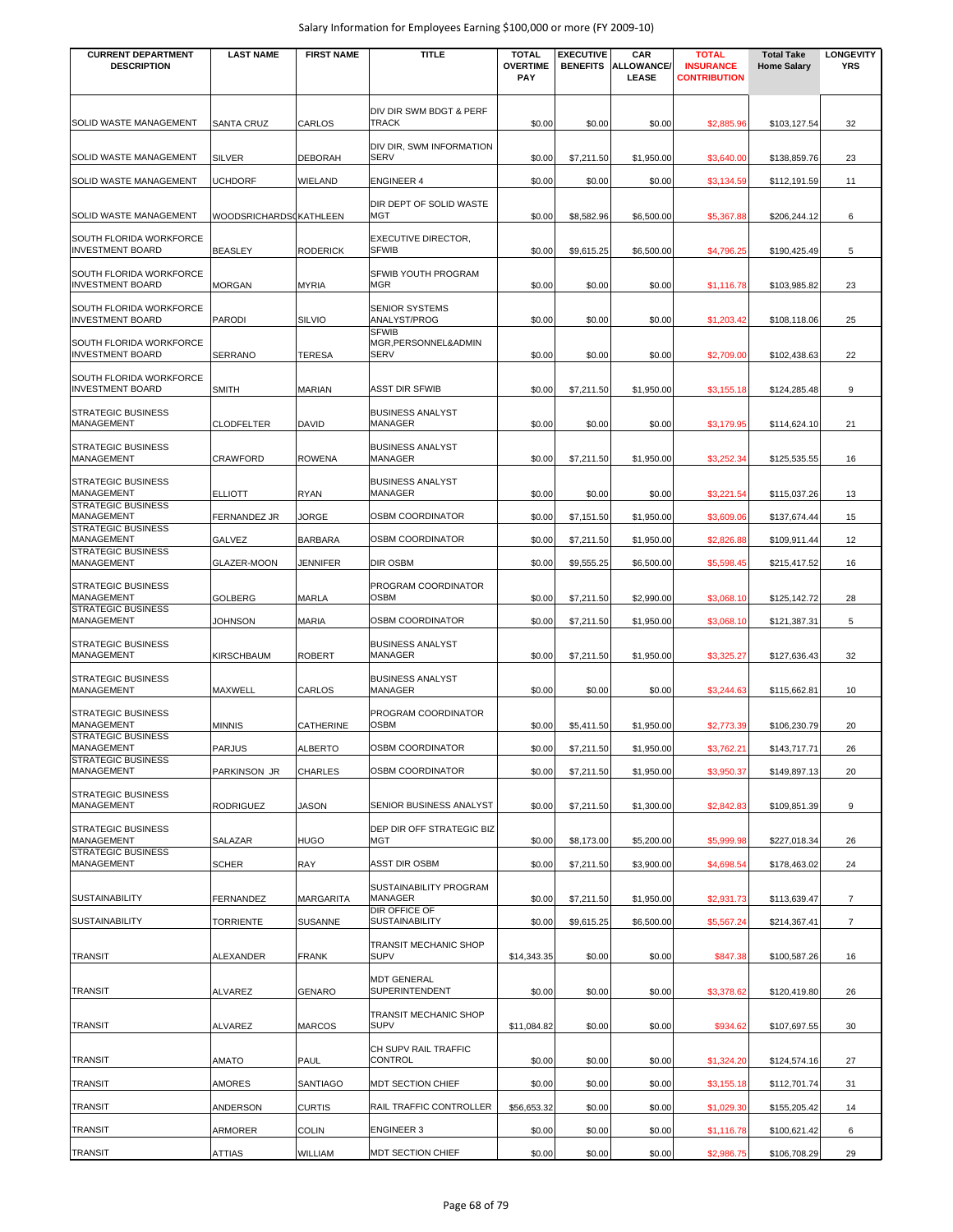| <b>CURRENT DEPARTMENT</b><br><b>DESCRIPTION</b>    | <b>LAST NAME</b>              | <b>FIRST NAME</b> | <b>TITLE</b>                                        | <b>TOTAL</b><br><b>OVERTIME</b> | <b>EXECUTIVE</b><br><b>BENEFITS</b> | CAR<br><b>ALLOWANCE/</b> | <b>TOTAL</b><br><b>INSURANCE</b> | <b>Total Take</b><br><b>Home Salary</b> | <b>LONGEVITY</b><br><b>YRS</b> |
|----------------------------------------------------|-------------------------------|-------------------|-----------------------------------------------------|---------------------------------|-------------------------------------|--------------------------|----------------------------------|-----------------------------------------|--------------------------------|
|                                                    |                               |                   |                                                     | PAY                             |                                     | LEASE                    | <b>CONTRIBUTION</b>              |                                         |                                |
|                                                    |                               |                   | DIV DIR SWM BDGT & PERF                             |                                 |                                     |                          |                                  |                                         |                                |
| SOLID WASTE MANAGEMENT                             | <b>SANTA CRUZ</b>             | CARLOS            | <b>TRACK</b>                                        | \$0.00                          | \$0.00                              | \$0.00                   | \$2,885.96                       | \$103,127.54                            | 32                             |
| SOLID WASTE MANAGEMENT                             | <b>SILVER</b>                 | <b>DEBORAH</b>    | DIV DIR, SWM INFORMATION<br><b>SERV</b>             | \$0.00                          | \$7,211.50                          | \$1,950.00               | \$3,640.00                       | \$138,859.76                            | 23                             |
| SOLID WASTE MANAGEMENT                             | <b>UCHDORF</b>                | WIELAND           | <b>ENGINEER 4</b>                                   | \$0.00                          | \$0.00                              | \$0.00                   | \$3,134.59                       | \$112,191.59                            | 11                             |
|                                                    |                               |                   | DIR DEPT OF SOLID WASTE                             |                                 |                                     |                          |                                  |                                         |                                |
| SOLID WASTE MANAGEMENT                             | <b>WOODSRICHARDSCKATHLEEN</b> |                   | MGT                                                 | \$0.00                          | \$8,582.96                          | \$6,500.00               | \$5,367.88                       | \$206,244.12                            | 6                              |
| SOUTH FLORIDA WORKFORCE<br><b>INVESTMENT BOARD</b> | <b>BEASLEY</b>                | <b>RODERICK</b>   | <b>EXECUTIVE DIRECTOR,</b><br><b>SFWIB</b>          | \$0.00                          | \$9,615.25                          | \$6,500.00               | \$4,796.25                       | \$190,425.49                            | 5                              |
| SOUTH FLORIDA WORKFORCE<br><b>INVESTMENT BOARD</b> | <b>MORGAN</b>                 | MYRIA             | SFWIB YOUTH PROGRAM<br>MGR                          | \$0.00                          | \$0.00                              | \$0.00                   | \$1,116.78                       | \$103,985.82                            | 23                             |
| SOUTH FLORIDA WORKFORCE<br><b>INVESTMENT BOARD</b> | <b>PARODI</b>                 | <b>SILVIO</b>     | <b>SENIOR SYSTEMS</b><br>ANALYST/PROG               | \$0.00                          | \$0.00                              | \$0.00                   | \$1,203.42                       | \$108,118.06                            | 25                             |
| SOUTH FLORIDA WORKFORCE<br><b>INVESTMENT BOARD</b> | <b>SERRANO</b>                | <b>TERESA</b>     | <b>SFWIB</b><br>MGR, PERSONNEL&ADMIN<br><b>SERV</b> | \$0.00                          | \$0.00                              | \$0.00                   | \$2,709.00                       | \$102,438.63                            | 22                             |
| SOUTH FLORIDA WORKFORCE                            |                               |                   |                                                     |                                 |                                     |                          |                                  |                                         |                                |
| <b>INVESTMENT BOARD</b>                            | <b>SMITH</b>                  | <b>MARIAN</b>     | <b>ASST DIR SFWIB</b>                               | \$0.00                          | \$7,211.50                          | \$1,950.00               | \$3,155.18                       | \$124,285.48                            | 9                              |
| <b>STRATEGIC BUSINESS</b><br>MANAGEMENT            | <b>CLODFELTER</b>             | <b>DAVID</b>      | <b>BUSINESS ANALYST</b><br>MANAGER                  | \$0.00                          | \$0.00                              | \$0.00                   | \$3,179.95                       | \$114,624.10                            | 21                             |
| <b>STRATEGIC BUSINESS</b><br>MANAGEMENT            | <b>CRAWFORD</b>               | <b>ROWENA</b>     | <b>BUSINESS ANALYST</b><br>MANAGER                  | \$0.00                          | \$7,211.50                          | \$1,950.00               | \$3,252.34                       | \$125,535.55                            | 16                             |
| <b>STRATEGIC BUSINESS</b>                          |                               |                   | <b>BUSINESS ANALYST</b>                             |                                 |                                     |                          |                                  |                                         |                                |
| MANAGEMENT<br><b>STRATEGIC BUSINESS</b>            | <b>ELLIOTT</b>                | <b>RYAN</b>       | MANAGER                                             | \$0.00                          | \$0.00                              | \$0.00                   | \$3,221.54                       | \$115,037.26                            | 13                             |
| <b>MANAGEMENT</b><br><b>STRATEGIC BUSINESS</b>     | <b>FERNANDEZ JR</b>           | JORGE             | <b>OSBM COORDINATOR</b>                             | \$0.00                          | \$7,151.50                          | \$1,950.00               | \$3,609.06                       | \$137,674.44                            | 15                             |
| <b>MANAGEMENT</b><br><b>STRATEGIC BUSINESS</b>     | GALVEZ                        | <b>BARBARA</b>    | <b>OSBM COORDINATOR</b>                             | \$0.00                          | \$7,211.50                          | \$1,950.00               | \$2,826.88                       | \$109,911.44                            | 12                             |
| MANAGEMENT                                         | GLAZER-MOON                   | JENNIFER          | DIR OSBM                                            | \$0.00                          | \$9,555.25                          | \$6,500.00               | \$5,598.45                       | \$215,417.52                            | 16                             |
| <b>STRATEGIC BUSINESS</b><br>MANAGEMENT            | <b>GOLBERG</b>                | MARLA             | PROGRAM COORDINATOR<br><b>OSBM</b>                  | \$0.00                          | \$7,211.50                          | \$2,990.00               | \$3,068.10                       | \$125,142.72                            | 28                             |
| <b>STRATEGIC BUSINESS</b><br>MANAGEMENT            | JOHNSON                       | <b>MARIA</b>      | <b>OSBM COORDINATOR</b>                             | \$0.00                          | \$7,211.50                          | \$1,950.00               | \$3,068.10                       | \$121,387.31                            | 5                              |
| <b>STRATEGIC BUSINESS</b><br>MANAGEMENT            | <b>KIRSCHBAUM</b>             | <b>ROBERT</b>     | <b>BUSINESS ANALYST</b><br>MANAGER                  | \$0.00                          | \$7,211.50                          | \$1,950.00               | \$3,325.27                       | \$127,636.43                            | 32                             |
| <b>STRATEGIC BUSINESS</b><br>MANAGEMENT            | <b>MAXWELL</b>                | CARLOS            | <b>BUSINESS ANALYST</b><br>MANAGER                  | \$0.00                          | \$0.00                              | \$0.00                   | \$3,244.63                       | \$115,662.81                            | 10                             |
| <b>STRATEGIC BUSINESS</b><br>MANAGEMENT            | <b>MINNIS</b>                 | CATHERINE         | PROGRAM COORDINATOR<br><b>OSBM</b>                  | \$0.00                          | \$5,411.50                          | \$1,950.00               | \$2,773.39                       | \$106,230.79                            | 20                             |
| <b>STRATEGIC BUSINESS</b><br>MANAGEMENT            | PARJUS                        | <b>ALBERTO</b>    | <b>OSBM COORDINATOR</b>                             | \$0.00                          | \$7,211.50                          | \$1,950.00               | \$3,762.21                       | \$143,717.71                            | 26                             |
| <b>STRATEGIC BUSINESS</b><br>MANAGEMENT            | PARKINSON JR                  | CHARLES           | <b>OSBM COORDINATOR</b>                             | \$0.00                          | \$7,211.50                          | \$1,950.00               | \$3,950.37                       | \$149,897.13                            | 20                             |
| <b>STRATEGIC BUSINESS</b>                          |                               |                   |                                                     |                                 |                                     |                          |                                  |                                         |                                |
| <b>MANAGEMENT</b>                                  | <b>RODRIGUEZ</b>              | JASON             | SENIOR BUSINESS ANALYST                             | \$0.00                          | \$7,211.50                          | \$1,300.00               | \$2,842.83                       | \$109,851.39                            | 9                              |
| <b>STRATEGIC BUSINESS</b><br>MANAGEMENT            | SALAZAR                       | <b>HUGO</b>       | DEP DIR OFF STRATEGIC BIZ<br>MGT                    | \$0.00                          | \$8,173.00                          | \$5,200.00               | \$5,999.98                       | \$227,018.34                            | 26                             |
| <b>STRATEGIC BUSINESS</b><br>MANAGEMENT            | <b>SCHER</b>                  | RAY               | <b>ASST DIR OSBM</b>                                | \$0.00                          | \$7,211.50                          | \$3,900.00               | \$4,698.54                       | \$178,463.02                            | 24                             |
| <b>SUSTAINABILITY</b>                              | <b>FERNANDEZ</b>              | <b>MARGARITA</b>  | SUSTAINABILITY PROGRAM<br>MANAGER                   | \$0.00                          | \$7,211.50                          | \$1,950.00               | \$2,931.73                       | \$113,639.47                            | $\overline{7}$                 |
| <b>SUSTAINABILITY</b>                              | TORRIENTE                     | SUSANNE           | DIR OFFICE OF<br><b>SUSTAINABILITY</b>              | \$0.00                          | \$9,615.25                          | \$6,500.00               | \$5,567.24                       | \$214,367.41                            | $\overline{7}$                 |
|                                                    |                               |                   | <b>TRANSIT MECHANIC SHOP</b>                        |                                 |                                     |                          |                                  |                                         |                                |
| <b>TRANSIT</b>                                     | <b>ALEXANDER</b>              | <b>FRANK</b>      | <b>SUPV</b>                                         | \$14,343.35                     | \$0.00                              | \$0.00                   | \$847.38                         | \$100,587.26                            | 16                             |
| TRANSIT                                            | ALVAREZ                       | <b>GENARO</b>     | <b>MDT GENERAL</b><br>SUPERINTENDENT                | \$0.00                          | \$0.00                              | \$0.00                   | \$3,378.62                       | \$120,419.80                            | 26                             |
| TRANSIT                                            | ALVAREZ                       | <b>MARCOS</b>     | TRANSIT MECHANIC SHOP<br><b>SUPV</b>                | \$11,084.82                     | \$0.00                              | \$0.00                   | \$934.62                         | \$107,697.55                            | 30                             |
| TRANSIT                                            | AMATO                         | PAUL              | CH SUPV RAIL TRAFFIC<br>CONTROL                     | \$0.00                          | \$0.00                              | \$0.00                   | \$1,324.20                       | \$124,574.16                            | 27                             |
| TRANSIT                                            | <b>AMORES</b>                 | SANTIAGO          | MDT SECTION CHIEF                                   | \$0.00                          | \$0.00                              | \$0.00                   | \$3,155.18                       | \$112,701.74                            | 31                             |
| TRANSIT                                            | <b>ANDERSON</b>               | <b>CURTIS</b>     | RAIL TRAFFIC CONTROLLER                             | \$56,653.32                     | \$0.00                              | \$0.00                   | \$1,029.30                       | \$155,205.42                            | 14                             |
| TRANSIT                                            | <b>ARMORER</b>                | <b>COLIN</b>      | <b>ENGINEER 3</b>                                   | \$0.00                          | \$0.00                              | \$0.00                   | \$1,116.78                       | \$100,621.42                            | 6                              |
| TRANSIT                                            | <b>ATTIAS</b>                 | WILLIAM           | MDT SECTION CHIEF                                   | \$0.00                          | \$0.00                              | \$0.00                   | \$2,986.75                       | \$106,708.29                            | 29                             |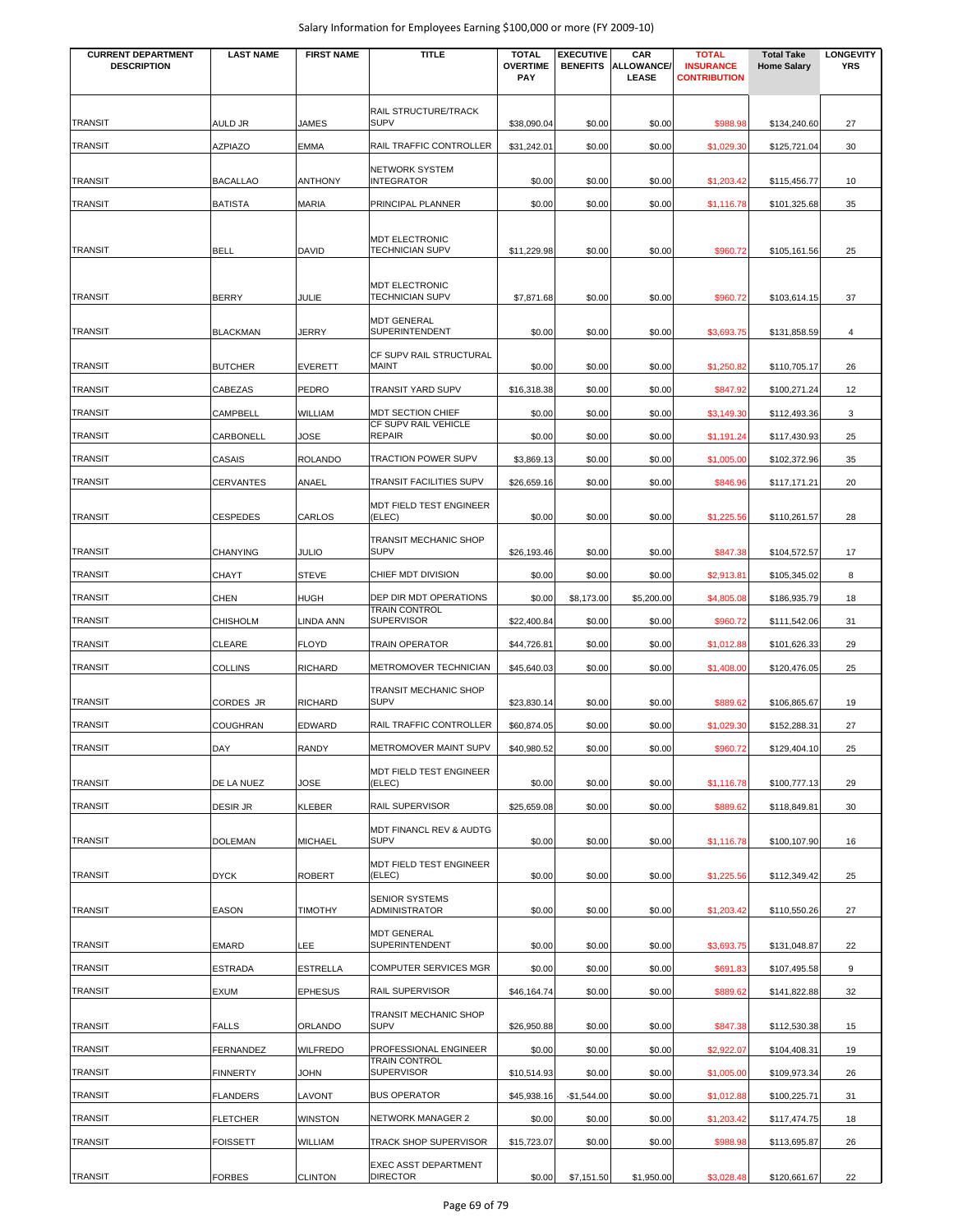| <b>CURRENT DEPARTMENT</b><br><b>DESCRIPTION</b> | <b>LAST NAME</b> | <b>FIRST NAME</b> | <b>TITLE</b>                                    | <b>TOTAL</b><br><b>OVERTIME</b> | <b>EXECUTIVE</b><br><b>BENEFITS</b> | CAR<br><b>ALLOWANCE/</b> | <b>TOTAL</b><br><b>INSURANCE</b> | <b>Total Take</b><br><b>Home Salary</b> | <b>LONGEVITY</b><br><b>YRS</b> |
|-------------------------------------------------|------------------|-------------------|-------------------------------------------------|---------------------------------|-------------------------------------|--------------------------|----------------------------------|-----------------------------------------|--------------------------------|
|                                                 |                  |                   |                                                 | <b>PAY</b>                      |                                     | LEASE                    | <b>CONTRIBUTION</b>              |                                         |                                |
|                                                 |                  |                   | RAIL STRUCTURE/TRACK                            |                                 |                                     |                          |                                  |                                         |                                |
| <b>TRANSIT</b>                                  | AULD JR          | <b>JAMES</b>      | <b>SUPV</b>                                     | \$38,090.04                     | \$0.00                              | \$0.00                   | \$988.98                         | \$134,240.60                            | 27                             |
| <b>TRANSIT</b>                                  | AZPIAZO          | <b>EMMA</b>       | RAIL TRAFFIC CONTROLLER                         | \$31,242.01                     | \$0.00                              | \$0.00                   | \$1,029.30                       | \$125,721.04                            | 30                             |
| <b>TRANSIT</b>                                  | <b>BACALLAO</b>  | <b>ANTHONY</b>    | <b>NETWORK SYSTEM</b><br><b>INTEGRATOR</b>      | \$0.00                          | \$0.00                              | \$0.00                   | \$1,203.42                       | \$115,456.77                            | 10                             |
| <b>TRANSIT</b>                                  | <b>BATISTA</b>   | <b>MARIA</b>      | PRINCIPAL PLANNER                               | \$0.00                          | \$0.00                              | \$0.00                   | \$1,116.78                       | \$101,325.68                            | 35                             |
|                                                 |                  |                   | <b>MDT ELECTRONIC</b>                           |                                 |                                     |                          |                                  |                                         |                                |
| <b>TRANSIT</b>                                  | <b>BELL</b>      | <b>DAVID</b>      | <b>TECHNICIAN SUPV</b>                          | \$11,229.98                     | \$0.00                              | \$0.00                   | \$960.72                         | \$105,161.56                            | 25                             |
| <b>TRANSIT</b>                                  | <b>BERRY</b>     | JULIE             | <b>MDT ELECTRONIC</b><br><b>TECHNICIAN SUPV</b> | \$7,871.68                      | \$0.00                              | \$0.00                   | \$960.72                         | \$103,614.15                            | 37                             |
| <b>TRANSIT</b>                                  | <b>BLACKMAN</b>  | JERRY             | <b>MDT GENERAL</b><br>SUPERINTENDENT            | \$0.00                          | \$0.00                              | \$0.00                   | \$3,693.75                       | \$131,858.59                            | $\overline{4}$                 |
| <b>TRANSIT</b>                                  | <b>BUTCHER</b>   | <b>EVERETT</b>    | CF SUPV RAIL STRUCTURAL<br>MAINT                | \$0.00                          | \$0.00                              | \$0.00                   | \$1,250.82                       | \$110,705.17                            | 26                             |
| <b>TRANSIT</b>                                  | CABEZAS          | <b>PEDRO</b>      | TRANSIT YARD SUPV                               | \$16,318.38                     | \$0.00                              | \$0.00                   | \$847.92                         | \$100,271.24                            | 12                             |
| TRANSIT                                         | CAMPBELL         | <b>WILLIAM</b>    | <b>MDT SECTION CHIEF</b>                        | \$0.00                          | \$0.00                              | \$0.00                   | \$3,149.30                       | \$112,493.36                            | 3                              |
| TRANSIT                                         | CARBONELL        | JOSE              | CF SUPV RAIL VEHICLE<br><b>REPAIR</b>           | \$0.00                          | \$0.00                              | \$0.00                   | \$1,191.24                       | \$117,430.93                            | 25                             |
| TRANSIT                                         | CASAIS           | <b>ROLANDO</b>    | <b>TRACTION POWER SUPV</b>                      | \$3,869.13                      | \$0.00                              | \$0.00                   | \$1,005.00                       | \$102,372.96                            | 35                             |
| <b>TRANSIT</b>                                  | CERVANTES        | ANAEL             | TRANSIT FACILITIES SUPV                         | \$26,659.16                     | \$0.00                              | \$0.00                   | \$846.96                         | \$117,171.21                            | 20                             |
|                                                 |                  |                   | MDT FIELD TEST ENGINEER                         |                                 |                                     |                          |                                  |                                         |                                |
| <b>TRANSIT</b>                                  | <b>CESPEDES</b>  | CARLOS            | (ELEC)                                          | \$0.00                          | \$0.00                              | \$0.00                   | \$1,225.56                       | \$110,261.57                            | 28                             |
| <b>TRANSIT</b>                                  | <b>CHANYING</b>  | <b>JULIO</b>      | <b>TRANSIT MECHANIC SHOP</b><br><b>SUPV</b>     | \$26,193.46                     | \$0.00                              | \$0.00                   | \$847.38                         | \$104,572.57                            | 17                             |
| <b>TRANSIT</b>                                  | <b>CHAYT</b>     | <b>STEVE</b>      | CHIEF MDT DIVISION                              | \$0.00                          | \$0.00                              | \$0.00                   | \$2,913.81                       | \$105,345.02                            | 8                              |
| <b>TRANSIT</b>                                  | CHEN             | <b>HUGH</b>       | DEP DIR MDT OPERATIONS                          | \$0.00                          | \$8,173.00                          | \$5,200.00               | \$4,805.08                       | \$186,935.79                            | 18                             |
| <b>TRANSIT</b>                                  | <b>CHISHOLM</b>  | LINDA ANN         | <b>TRAIN CONTROL</b><br><b>SUPERVISOR</b>       | \$22,400.84                     | \$0.00                              | \$0.00                   | \$960.72                         | \$111,542.06                            | 31                             |
| <b>TRANSIT</b>                                  | CLEARE           | <b>FLOYD</b>      | <b>TRAIN OPERATOR</b>                           | \$44,726.81                     | \$0.00                              | \$0.00                   | \$1,012.88                       | \$101,626.33                            | 29                             |
| <b>TRANSIT</b>                                  | <b>COLLINS</b>   | <b>RICHARD</b>    | METROMOVER TECHNICIAN                           | \$45,640.03                     | \$0.00                              | \$0.00                   | \$1,408.00                       | \$120,476.05                            | 25                             |
| TRANSIT                                         | CORDES JR        | <b>RICHARD</b>    | <b>TRANSIT MECHANIC SHOP</b><br><b>SUPV</b>     | \$23,830.14                     | \$0.00                              | \$0.00                   | \$889.62                         | \$106,865.67                            | 19                             |
| <b>TRANSIT</b>                                  | <b>COUGHRAN</b>  | <b>EDWARD</b>     | RAIL TRAFFIC CONTROLLER                         | \$60,874.05                     | \$0.00                              | \$0.00                   | \$1,029.30                       | \$152,288.31                            | 27                             |
| TRANSIT                                         | DAY              | <b>RANDY</b>      | <b>METROMOVER MAINT SUPV</b>                    | \$40,980.52                     | \$0.00                              | \$0.00                   | \$960.72                         | \$129,404.10                            | 25                             |
|                                                 |                  |                   | MDT FIELD TEST ENGINEER                         |                                 |                                     |                          |                                  |                                         |                                |
| <b>TRANSIT</b>                                  | DE LA NUEZ       | JOSE              | (ELEC)                                          | \$0.00                          | \$0.00                              | \$0.00                   | \$1,116.78                       | \$100,777.13                            | 29                             |
| <b>TRANSIT</b>                                  | DESIR JR         | <b>KLEBER</b>     | RAIL SUPERVISOR                                 | \$25,659.08                     | \$0.00                              | \$0.00                   | \$889.62                         | \$118,849.81                            | 30                             |
| <b>TRANSIT</b>                                  | <b>DOLEMAN</b>   | <b>MICHAEL</b>    | MDT FINANCL REV & AUDTG<br><b>SUPV</b>          | \$0.00                          | \$0.00                              | \$0.00                   | \$1,116.78                       | \$100,107.90                            | 16                             |
| <b>TRANSIT</b>                                  | <b>DYCK</b>      | <b>ROBERT</b>     | MDT FIELD TEST ENGINEER<br>(ELEC)               | \$0.00                          | \$0.00                              | \$0.00                   | \$1,225.56                       | \$112,349.42                            | 25                             |
| <b>TRANSIT</b>                                  | <b>EASON</b>     | <b>TIMOTHY</b>    | <b>SENIOR SYSTEMS</b><br>ADMINISTRATOR          | \$0.00                          | \$0.00                              | \$0.00                   | \$1,203.42                       | \$110,550.26                            | 27                             |
| <b>TRANSIT</b>                                  | <b>EMARD</b>     | LEE               | <b>MDT GENERAL</b><br>SUPERINTENDENT            | \$0.00                          | \$0.00                              | \$0.00                   | \$3,693.75                       | \$131,048.87                            | 22                             |
| <b>TRANSIT</b>                                  | <b>ESTRADA</b>   | <b>ESTRELLA</b>   | <b>COMPUTER SERVICES MGR</b>                    | \$0.00                          | \$0.00                              | \$0.00                   | \$691.83                         | \$107,495.58                            | 9                              |
| <b>TRANSIT</b>                                  | EXUM             | <b>EPHESUS</b>    | RAIL SUPERVISOR                                 | \$46,164.74                     | \$0.00                              | \$0.00                   | \$889.62                         | \$141,822.88                            | 32                             |
| <b>TRANSIT</b>                                  | <b>FALLS</b>     | ORLANDO           | TRANSIT MECHANIC SHOP<br><b>SUPV</b>            | \$26,950.88                     | \$0.00                              | \$0.00                   | \$847.38                         | \$112,530.38                            | 15                             |
| <b>TRANSIT</b>                                  | FERNANDEZ        | <b>WILFREDO</b>   | PROFESSIONAL ENGINEER                           | \$0.00                          | \$0.00                              | \$0.00                   | \$2,922.07                       | \$104,408.31                            | 19                             |
| <b>TRANSIT</b>                                  | <b>FINNERTY</b>  | <b>JOHN</b>       | <b>TRAIN CONTROL</b><br><b>SUPERVISOR</b>       | \$10,514.93                     | \$0.00                              | \$0.00                   | \$1,005.00                       | \$109,973.34                            | 26                             |
| <b>TRANSIT</b>                                  | <b>FLANDERS</b>  | LAVONT            | <b>BUS OPERATOR</b>                             | \$45,938.16                     | $-$1,544.00$                        | \$0.00                   | \$1,012.88                       | \$100,225.71                            | 31                             |
| <b>TRANSIT</b>                                  | <b>FLETCHER</b>  | <b>WINSTON</b>    | <b>NETWORK MANAGER 2</b>                        | \$0.00                          | \$0.00                              | \$0.00                   | \$1,203.42                       | \$117,474.75                            | 18                             |
| <b>TRANSIT</b>                                  | <b>FOISSETT</b>  | WILLIAM           | TRACK SHOP SUPERVISOR                           | \$15,723.07                     | \$0.00                              | \$0.00                   | \$988.98                         | \$113,695.87                            | 26                             |
| <b>TRANSIT</b>                                  | <b>FORBES</b>    | <b>CLINTON</b>    | EXEC ASST DEPARTMENT<br><b>DIRECTOR</b>         | \$0.00                          | \$7,151.50                          | \$1,950.00               | \$3,028.48                       | \$120,661.67                            | 22                             |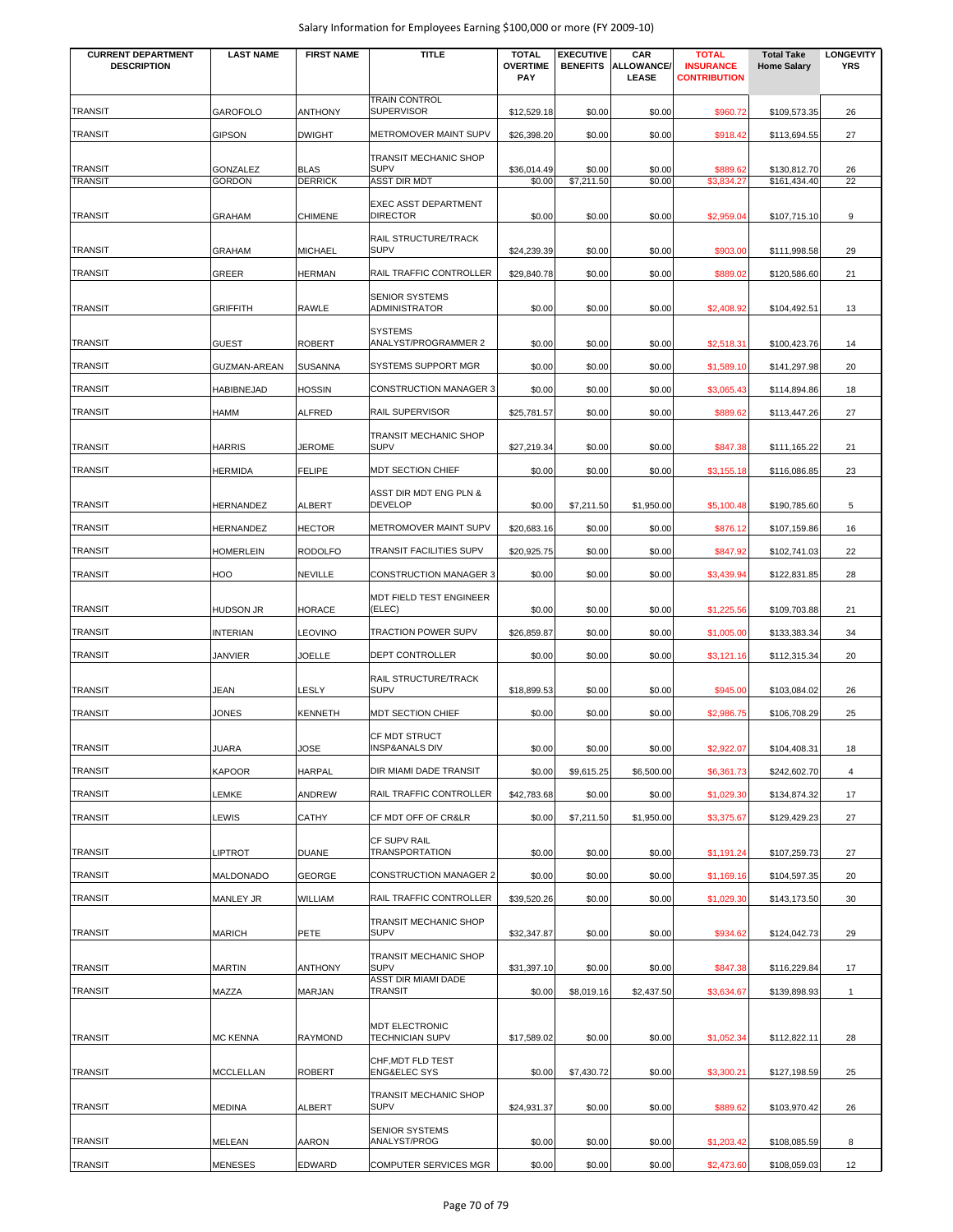| <b>CURRENT DEPARTMENT</b> | <b>LAST NAME</b>          | <b>FIRST NAME</b> | <b>TITLE</b>                              | <b>TOTAL</b>                  | <b>EXECUTIVE</b>     | CAR                        | <b>TOTAL</b>                            | <b>Total Take</b>            | <b>LONGEVITY</b> |
|---------------------------|---------------------------|-------------------|-------------------------------------------|-------------------------------|----------------------|----------------------------|-----------------------------------------|------------------------------|------------------|
| <b>DESCRIPTION</b>        |                           |                   |                                           | <b>OVERTIME</b><br><b>PAY</b> | <b>BENEFITS</b>      | <b>ALLOWANCE/</b><br>LEASE | <b>INSURANCE</b><br><b>CONTRIBUTION</b> | <b>Home Salary</b>           | <b>YRS</b>       |
|                           |                           |                   |                                           |                               |                      |                            |                                         |                              |                  |
| <b>TRANSIT</b>            | <b>GAROFOLO</b>           | <b>ANTHONY</b>    | <b>TRAIN CONTROL</b><br><b>SUPERVISOR</b> | \$12,529.18                   | \$0.00               | \$0.00                     | \$960.72                                | \$109,573.35                 | 26               |
|                           |                           |                   |                                           |                               |                      |                            |                                         |                              |                  |
| <b>TRANSIT</b>            | <b>GIPSON</b>             | <b>DWIGHT</b>     | METROMOVER MAINT SUPV                     | \$26,398.20                   | \$0.00               | \$0.00                     | \$918.42                                | \$113,694.55                 | 27               |
| <b>TRANSIT</b>            |                           | <b>BLAS</b>       | TRANSIT MECHANIC SHOP<br><b>SUPV</b>      |                               |                      |                            |                                         |                              |                  |
| <b>TRANSIT</b>            | GONZALEZ<br><b>GORDON</b> | <b>DERRICK</b>    | <b>ASST DIR MDT</b>                       | \$36,014.49<br>\$0.00         | \$0.00<br>\$7,211.50 | \$0.00<br>\$0.00           | \$889.62<br>\$3,834.27                  | \$130,812.70<br>\$161,434.40 | 26<br>22         |
|                           |                           |                   | <b>EXEC ASST DEPARTMENT</b>               |                               |                      |                            |                                         |                              |                  |
| <b>TRANSIT</b>            | <b>GRAHAM</b>             | <b>CHIMENE</b>    | <b>DIRECTOR</b>                           | \$0.00                        | \$0.00               | \$0.00                     | \$2,959.04                              | \$107,715.10                 | 9                |
|                           |                           |                   | RAIL STRUCTURE/TRACK                      |                               |                      |                            |                                         |                              |                  |
| <b>TRANSIT</b>            | <b>GRAHAM</b>             | <b>MICHAEL</b>    | <b>SUPV</b>                               | \$24,239.39                   | \$0.00               | \$0.00                     | \$903.00                                | \$111,998.58                 | 29               |
| <b>TRANSIT</b>            | GREER                     | <b>HERMAN</b>     | RAIL TRAFFIC CONTROLLER                   | \$29,840.78                   | \$0.00               | \$0.00                     | \$889.02                                | \$120,586.60                 | 21               |
|                           |                           |                   | <b>SENIOR SYSTEMS</b>                     |                               |                      |                            |                                         |                              |                  |
| <b>TRANSIT</b>            | <b>GRIFFITH</b>           | <b>RAWLE</b>      | ADMINISTRATOR                             | \$0.00                        | \$0.00               | \$0.00                     | \$2,408.92                              | \$104,492.51                 | 13               |
|                           |                           |                   | <b>SYSTEMS</b>                            |                               |                      |                            |                                         |                              |                  |
| <b>TRANSIT</b>            | <b>GUEST</b>              | <b>ROBERT</b>     | ANALYST/PROGRAMMER 2                      | \$0.00                        | \$0.00               | \$0.00                     | \$2,518.31                              | \$100,423.76                 | 14               |
| <b>TRANSIT</b>            | <b>GUZMAN-AREAN</b>       | <b>SUSANNA</b>    | <b>SYSTEMS SUPPORT MGR</b>                | \$0.00                        | \$0.00               | \$0.00                     | \$1,589.10                              | \$141,297.98                 | 20               |
| <b>TRANSIT</b>            | <b>HABIBNEJAD</b>         | <b>HOSSIN</b>     | <b>CONSTRUCTION MANAGER 3</b>             | \$0.00                        | \$0.00               | \$0.00                     | \$3,065.43                              | \$114,894.86                 | 18               |
| TRANSIT                   | HAMM                      | <b>ALFRED</b>     | RAIL SUPERVISOR                           | \$25,781.57                   | \$0.00               | \$0.00                     | \$889.62                                |                              | 27               |
|                           |                           |                   |                                           |                               |                      |                            |                                         | \$113,447.26                 |                  |
| <b>TRANSIT</b>            | <b>HARRIS</b>             | <b>JEROME</b>     | TRANSIT MECHANIC SHOP<br><b>SUPV</b>      | \$27,219.34                   | \$0.00               | \$0.00                     | \$847.38                                | \$111,165.22                 | 21               |
| <b>TRANSIT</b>            |                           |                   |                                           |                               |                      |                            |                                         |                              |                  |
|                           | HERMIDA                   | <b>FELIPE</b>     | MDT SECTION CHIEF                         | \$0.00                        | \$0.00               | \$0.00                     | \$3,155.18                              | \$116,086.85                 | 23               |
| <b>TRANSIT</b>            | HERNANDEZ                 | ALBERT            | ASST DIR MDT ENG PLN &<br><b>DEVELOP</b>  | \$0.00                        | \$7,211.50           | \$1,950.00                 | \$5,100.48                              | \$190,785.60                 | 5                |
|                           |                           |                   |                                           |                               |                      |                            |                                         |                              |                  |
| <b>TRANSIT</b>            | HERNANDEZ                 | <b>HECTOR</b>     | METROMOVER MAINT SUPV                     | \$20,683.16                   | \$0.00               | \$0.00                     | \$876.12                                | \$107,159.86                 | 16               |
| <b>TRANSIT</b>            | <b>HOMERLEIN</b>          | <b>RODOLFO</b>    | TRANSIT FACILITIES SUPV                   | \$20,925.75                   | \$0.00               | \$0.00                     | \$847.92                                | \$102,741.03                 | 22               |
| <b>TRANSIT</b>            | HOO                       | <b>NEVILLE</b>    | <b>CONSTRUCTION MANAGER 3</b>             | \$0.00                        | \$0.00               | \$0.00                     | \$3,439.94                              | \$122,831.85                 | 28               |
|                           |                           |                   | MDT FIELD TEST ENGINEER                   |                               |                      |                            |                                         |                              |                  |
| TRANSIT                   | HUDSON JR                 | <b>HORACE</b>     | (ELEC)                                    | \$0.00                        | \$0.00               | \$0.00                     | \$1,225.56                              | \$109,703.88                 | 21               |
| TRANSIT                   | <b>INTERIAN</b>           | <b>LEOVINO</b>    | <b>TRACTION POWER SUPV</b>                | \$26,859.87                   | \$0.00               | \$0.00                     | \$1,005.00                              | \$133,383.34                 | 34               |
| <b>TRANSIT</b>            | <b>JANVIER</b>            | <b>JOELLE</b>     | DEPT CONTROLLER                           | \$0.00                        | \$0.00               | \$0.00                     | \$3,121.16                              | \$112,315.34                 | 20               |
|                           |                           |                   | RAIL STRUCTURE/TRACK                      |                               |                      |                            |                                         |                              |                  |
| <b>TRANSIT</b>            | JEAN                      | LESLY             | <b>SUPV</b>                               | \$18,899.53                   | \$0.00               | \$0.00                     | \$945.00                                | \$103,084.02                 | 26               |
| <b>TRANSIT</b>            | <b>JONES</b>              | <b>KENNETH</b>    | MDT SECTION CHIEF                         | \$0.00                        | \$0.00               | \$0.00                     | \$2,986.75                              | \$106,708.29                 | 25               |
|                           |                           |                   | <b>CF MDT STRUCT</b>                      |                               |                      |                            |                                         |                              |                  |
| TRANSIT                   | JUARA                     | <b>JOSE</b>       | <b>INSP&amp;ANALS DIV</b>                 | \$0.00                        | \$0.00               | \$0.00                     | \$2,922.07                              | \$104,408.31                 | 18               |
| <b>TRANSIT</b>            | <b>KAPOOR</b>             | <b>HARPAL</b>     | DIR MIAMI DADE TRANSIT                    | \$0.00                        | \$9,615.25           | \$6,500.00                 | \$6,361.73                              | \$242,602.70                 | $\overline{4}$   |
| <b>TRANSIT</b>            | LEMKE                     | <b>ANDREW</b>     | RAIL TRAFFIC CONTROLLER                   | \$42,783.68                   | \$0.00               | \$0.00                     | \$1,029.30                              | \$134,874.32                 | 17               |
| <b>TRANSIT</b>            | LEWIS                     | <b>CATHY</b>      | CF MDT OFF OF CR&LR                       | \$0.00                        | \$7,211.50           | \$1,950.00                 | \$3,375.67                              | \$129,429.23                 | 27               |
|                           |                           |                   |                                           |                               |                      |                            |                                         |                              |                  |
| <b>TRANSIT</b>            | LIPTROT                   | <b>DUANE</b>      | CF SUPV RAIL<br>TRANSPORTATION            | \$0.00                        | \$0.00               | \$0.00                     | \$1,191.24                              | \$107,259.73                 | 27               |
| <b>TRANSIT</b>            | MALDONADO                 | <b>GEORGE</b>     | <b>CONSTRUCTION MANAGER 2</b>             | \$0.00                        | \$0.00               | \$0.00                     |                                         |                              | 20               |
|                           |                           |                   |                                           |                               |                      |                            | \$1,169.16                              | \$104,597.35                 |                  |
| <b>TRANSIT</b>            | MANLEY JR                 | WILLIAM           | RAIL TRAFFIC CONTROLLER                   | \$39,520.26                   | \$0.00               | \$0.00                     | \$1,029.30                              | \$143,173.50                 | 30               |
|                           |                           |                   | TRANSIT MECHANIC SHOP                     |                               |                      |                            |                                         |                              |                  |
| <b>TRANSIT</b>            | MARICH                    | PETE              | <b>SUPV</b>                               | \$32,347.87                   | \$0.00               | \$0.00                     | \$934.62                                | \$124,042.73                 | 29               |
| <b>TRANSIT</b>            | MARTIN                    | <b>ANTHONY</b>    | TRANSIT MECHANIC SHOP<br><b>SUPV</b>      | \$31,397.10                   | \$0.00               | \$0.00                     | \$847.38                                | \$116,229.84                 | 17               |
|                           |                           |                   | ASST DIR MIAMI DADE                       |                               |                      |                            |                                         |                              |                  |
| <b>TRANSIT</b>            | MAZZA                     | MARJAN            | <b>TRANSIT</b>                            | \$0.00                        | \$8,019.16           | \$2,437.50                 | \$3,634.67                              | \$139,898.93                 | $\mathbf{1}$     |
|                           |                           |                   | MDT ELECTRONIC                            |                               |                      |                            |                                         |                              |                  |
| <b>TRANSIT</b>            | <b>MC KENNA</b>           | <b>RAYMOND</b>    | TECHNICIAN SUPV                           | \$17,589.02                   | \$0.00               | \$0.00                     | \$1,052.34                              | \$112,822.11                 | 28               |
|                           |                           |                   | CHF, MDT FLD TEST                         |                               |                      |                            |                                         |                              |                  |
| <b>TRANSIT</b>            | MCCLELLAN                 | <b>ROBERT</b>     | <b>ENG&amp;ELEC SYS</b>                   | \$0.00                        | \$7,430.72           | \$0.00                     | \$3,300.21                              | \$127,198.59                 | 25               |
|                           |                           |                   | TRANSIT MECHANIC SHOP                     |                               |                      |                            |                                         |                              |                  |
| <b>TRANSIT</b>            | MEDINA                    | ALBERT            | <b>SUPV</b>                               | \$24,931.37                   | \$0.00               | \$0.00                     | \$889.62                                | \$103,970.42                 | 26               |
|                           |                           |                   | <b>SENIOR SYSTEMS</b>                     |                               |                      |                            |                                         |                              |                  |
| <b>TRANSIT</b>            | MELEAN                    | AARON             | ANALYST/PROG                              | \$0.00                        | \$0.00               | \$0.00                     | \$1,203.42                              | \$108,085.59                 | 8                |
| <b>TRANSIT</b>            | <b>MENESES</b>            | <b>EDWARD</b>     | <b>COMPUTER SERVICES MGR</b>              | \$0.00                        | \$0.00               | \$0.00                     | \$2,473.60                              | \$108,059.03                 | 12               |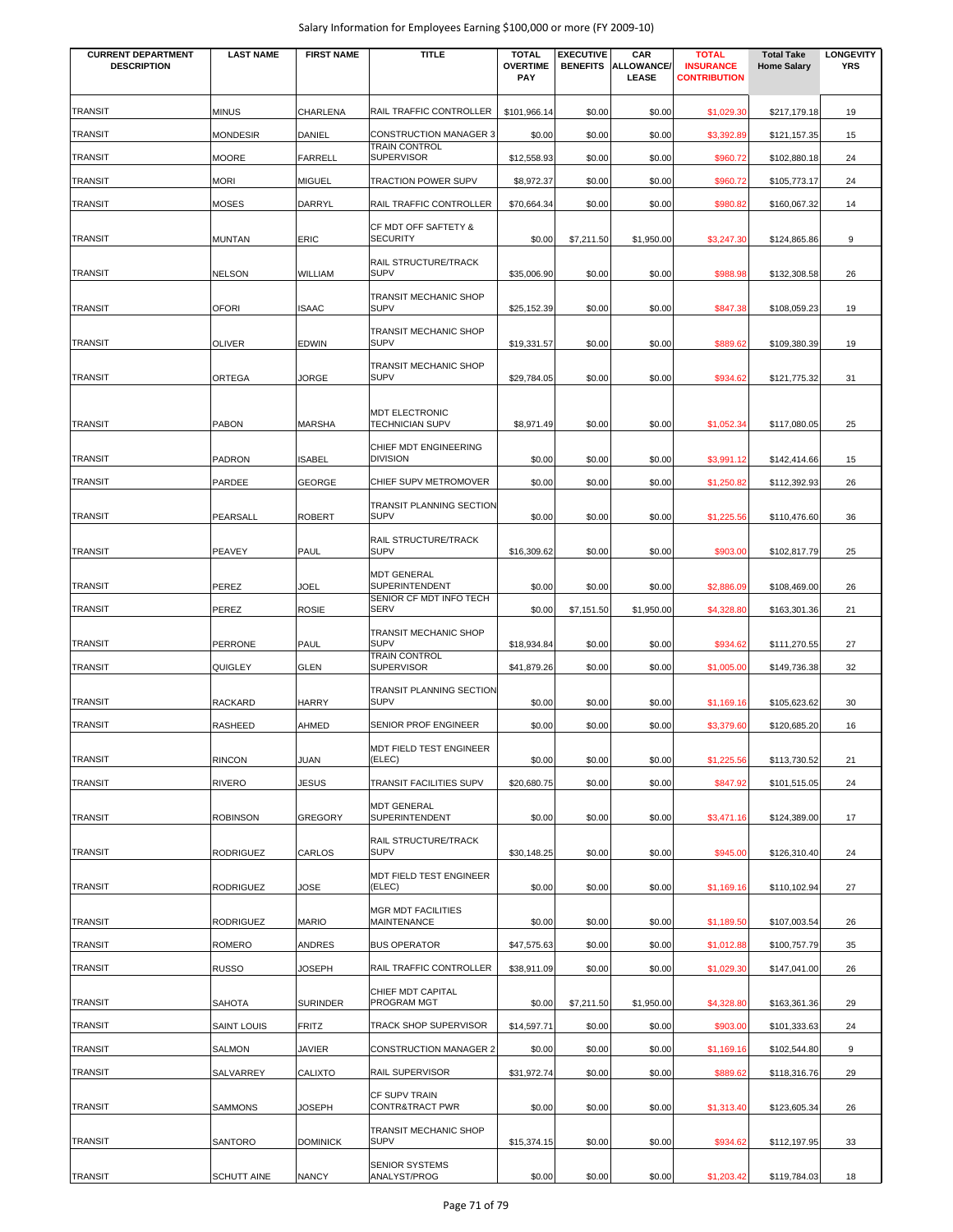| <b>CURRENT DEPARTMENT</b><br><b>DESCRIPTION</b> | <b>LAST NAME</b>   | <b>FIRST NAME</b> | <b>TITLE</b>                                                           | <b>TOTAL</b><br><b>OVERTIME</b><br>PAY | <b>EXECUTIVE</b><br><b>BENEFITS</b> | CAR<br><b>ALLOWANCE/</b><br>LEASE | <b>TOTAL</b><br><b>INSURANCE</b><br><b>CONTRIBUTION</b> | <b>Total Take</b><br><b>Home Salary</b> | <b>LONGEVITY</b><br><b>YRS</b> |
|-------------------------------------------------|--------------------|-------------------|------------------------------------------------------------------------|----------------------------------------|-------------------------------------|-----------------------------------|---------------------------------------------------------|-----------------------------------------|--------------------------------|
|                                                 |                    |                   |                                                                        |                                        |                                     |                                   |                                                         |                                         |                                |
| <b>TRANSIT</b>                                  | <b>MINUS</b>       | CHARLENA          | RAIL TRAFFIC CONTROLLER                                                | \$101,966.14                           | \$0.00                              | \$0.00                            | \$1,029.30                                              | \$217,179.18                            | 19                             |
| TRANSIT                                         | <b>MONDESIR</b>    | DANIEL            | <b>CONSTRUCTION MANAGER 3</b>                                          | \$0.00                                 | \$0.00                              | \$0.00                            | \$3,392.89                                              | \$121,157.35                            | 15                             |
| TRANSIT                                         | <b>MOORE</b>       | <b>FARRELL</b>    | <b>TRAIN CONTROL</b><br><b>SUPERVISOR</b>                              | \$12,558.93                            | \$0.00                              | \$0.00                            | \$960.72                                                | \$102,880.18                            | 24                             |
| TRANSIT                                         | <b>MORI</b>        | <b>MIGUEL</b>     | <b>TRACTION POWER SUPV</b>                                             | \$8,972.37                             | \$0.00                              | \$0.00                            | \$960.72                                                | \$105,773.17                            | 24                             |
| TRANSIT                                         | <b>MOSES</b>       | DARRYL            | RAIL TRAFFIC CONTROLLER                                                | \$70,664.34                            | \$0.00                              | \$0.00                            | \$980.82                                                | \$160,067.32                            | 14                             |
| TRANSIT                                         | <b>MUNTAN</b>      | ERIC              | CF MDT OFF SAFTETY &<br><b>SECURITY</b>                                | \$0.00                                 | \$7,211.50                          | \$1,950.00                        | \$3,247.30                                              | \$124,865.86                            | 9                              |
| <b>TRANSIT</b>                                  | <b>NELSON</b>      | WILLIAM           | RAIL STRUCTURE/TRACK<br><b>SUPV</b>                                    | \$35,006.90                            | \$0.00                              | \$0.00                            | \$988.98                                                | \$132,308.58                            | 26                             |
| TRANSIT                                         | <b>OFORI</b>       | <b>ISAAC</b>      | <b>TRANSIT MECHANIC SHOP</b><br><b>SUPV</b>                            | \$25,152.39                            | \$0.00                              | \$0.00                            | \$847.38                                                | \$108,059.23                            | 19                             |
| TRANSIT                                         | <b>OLIVER</b>      | EDWIN             | <b>TRANSIT MECHANIC SHOP</b><br><b>SUPV</b>                            | \$19,331.57                            | \$0.00                              | \$0.00                            | \$889.62                                                | \$109,380.39                            | 19                             |
| <b>TRANSIT</b>                                  | ORTEGA             | JORGE             | <b>TRANSIT MECHANIC SHOP</b><br><b>SUPV</b>                            | \$29,784.05                            |                                     | \$0.00                            |                                                         |                                         | 31                             |
|                                                 |                    |                   |                                                                        |                                        | \$0.00                              |                                   | \$934.62                                                | \$121,775.32                            |                                |
| <b>TRANSIT</b>                                  | <b>PABON</b>       | <b>MARSHA</b>     | <b>MDT ELECTRONIC</b><br><b>TECHNICIAN SUPV</b>                        | \$8,971.49                             | \$0.00                              | \$0.00                            | \$1,052.34                                              | \$117,080.05                            | 25                             |
| TRANSIT                                         | <b>PADRON</b>      | <b>ISABEL</b>     | CHIEF MDT ENGINEERING<br><b>DIVISION</b>                               | \$0.00                                 | \$0.00                              | \$0.00                            | \$3,991.12                                              | \$142,414.66                            | 15                             |
| TRANSIT                                         | PARDEE             | GEORGE            | CHIEF SUPV METROMOVER                                                  | \$0.00                                 | \$0.00                              | \$0.00                            | \$1,250.82                                              | \$112,392.93                            | 26                             |
| <b>TRANSIT</b>                                  | PEARSALL           | <b>ROBERT</b>     | <b>TRANSIT PLANNING SECTION</b><br><b>SUPV</b>                         | \$0.00                                 | \$0.00                              | \$0.00                            | \$1,225.56                                              | \$110,476.60                            | 36                             |
|                                                 |                    |                   | RAIL STRUCTURE/TRACK                                                   |                                        |                                     |                                   |                                                         |                                         |                                |
| TRANSIT                                         | <b>PEAVEY</b>      | PAUL              | <b>SUPV</b>                                                            | \$16,309.62                            | \$0.00                              | \$0.00                            | \$903.00                                                | \$102,817.79                            | 25                             |
| TRANSIT                                         | PEREZ              | JOEL              | <b>MDT GENERAL</b><br><b>SUPERINTENDENT</b><br>SENIOR CF MDT INFO TECH | \$0.00                                 | \$0.00                              | \$0.00                            | \$2,886.09                                              | \$108,469.00                            | 26                             |
| <b>TRANSIT</b>                                  | PEREZ              | <b>ROSIE</b>      | <b>SERV</b>                                                            | \$0.00                                 | \$7,151.50                          | \$1,950.00                        | \$4,328.80                                              | \$163,301.36                            | 21                             |
| TRANSIT                                         | <b>PERRONE</b>     | PAUL              | <b>TRANSIT MECHANIC SHOP</b><br><b>SUPV</b>                            | \$18,934.84                            | \$0.00                              | \$0.00                            | \$934.62                                                | \$111,270.55                            | 27                             |
| <b>TRANSIT</b>                                  | QUIGLEY            | GLEN              | <b>TRAIN CONTROL</b><br><b>SUPERVISOR</b>                              | \$41,879.26                            | \$0.00                              | \$0.00                            | \$1,005.00                                              | \$149,736.38                            | 32                             |
|                                                 |                    |                   | <b>TRANSIT PLANNING SECTION</b>                                        |                                        |                                     |                                   |                                                         |                                         |                                |
| TRANSIT                                         | <b>RACKARD</b>     | HARRY             | <b>SUPV</b>                                                            | \$0.00                                 | \$0.00                              | \$0.00                            | \$1,169.16                                              | \$105,623.62                            | 30                             |
| TRANSIT                                         | <b>RASHEED</b>     | AHMED             | SENIOR PROF ENGINEER                                                   | \$0.00                                 | \$0.00                              | \$0.00                            | \$3,379.60                                              | \$120,685.20                            | 16                             |
| <b>TRANSIT</b>                                  | <b>RINCON</b>      | JUAN              | MDT FIELD TEST ENGINEER<br>(ELEC)                                      | \$0.00                                 | \$0.00                              | \$0.00                            | \$1,225.56                                              | \$113,730.52                            | 21                             |
| TRANSIT                                         | <b>RIVERO</b>      | JESUS             | <b>TRANSIT FACILITIES SUPV</b>                                         | \$20,680.75                            | \$0.00                              | \$0.00                            | \$847.92                                                | \$101,515.05                            | 24                             |
| TRANSIT                                         | <b>ROBINSON</b>    | GREGORY           | <b>MDT GENERAL</b><br><b>SUPERINTENDENT</b>                            | \$0.00                                 | \$0.00                              | \$0.00                            | \$3,471.16                                              | \$124,389.00                            | 17                             |
| <b>TRANSIT</b>                                  | <b>RODRIGUEZ</b>   | CARLOS            | RAIL STRUCTURE/TRACK<br><b>SUPV</b>                                    | \$30,148.25                            | \$0.00                              | \$0.00                            | \$945.00                                                | \$126,310.40                            | 24                             |
| <b>TRANSIT</b>                                  | <b>RODRIGUEZ</b>   | JOSE              | MDT FIELD TEST ENGINEER<br>(ELEC)                                      | \$0.00                                 | \$0.00                              | \$0.00                            | \$1,169.16                                              | \$110,102.94                            | 27                             |
| <b>TRANSIT</b>                                  | <b>RODRIGUEZ</b>   | <b>MARIO</b>      | <b>MGR MDT FACILITIES</b><br><b>MAINTENANCE</b>                        | \$0.00                                 | \$0.00                              | \$0.00                            | \$1,189.50                                              | \$107,003.54                            | 26                             |
| TRANSIT                                         | <b>ROMERO</b>      | ANDRES            | <b>BUS OPERATOR</b>                                                    | \$47,575.63                            | \$0.00                              | \$0.00                            | \$1,012.88                                              | \$100,757.79                            | 35                             |
| TRANSIT                                         | <b>RUSSO</b>       | JOSEPH            | RAIL TRAFFIC CONTROLLER                                                | \$38,911.09                            | \$0.00                              | \$0.00                            | \$1,029.30                                              | \$147,041.00                            | 26                             |
| <b>TRANSIT</b>                                  | <b>SAHOTA</b>      | <b>SURINDER</b>   | CHIEF MDT CAPITAL<br>PROGRAM MGT                                       | \$0.00                                 | \$7,211.50                          | \$1,950.00                        | \$4,328.80                                              | \$163,361.36                            | 29                             |
| TRANSIT                                         | <b>SAINT LOUIS</b> | <b>FRITZ</b>      | TRACK SHOP SUPERVISOR                                                  | \$14,597.71                            | \$0.00                              | \$0.00                            | \$903.00                                                | \$101,333.63                            | 24                             |
| TRANSIT                                         | <b>SALMON</b>      | JAVIER            | <b>CONSTRUCTION MANAGER 2</b>                                          | \$0.00                                 | \$0.00                              | \$0.00                            | \$1,169.16                                              | \$102,544.80                            | 9                              |
| <b>TRANSIT</b>                                  | SALVARREY          | CALIXTO           | RAIL SUPERVISOR                                                        | \$31,972.74                            | \$0.00                              | \$0.00                            | \$889.62                                                | \$118,316.76                            | 29                             |
| TRANSIT                                         | SAMMONS            | JOSEPH            | CF SUPV TRAIN<br>CONTR&TRACT PWR                                       | \$0.00                                 | \$0.00                              | \$0.00                            | \$1,313.40                                              | \$123,605.34                            | 26                             |
|                                                 |                    |                   | TRANSIT MECHANIC SHOP                                                  |                                        |                                     |                                   |                                                         |                                         |                                |
| <b>TRANSIT</b>                                  | SANTORO            | <b>DOMINICK</b>   | <b>SUPV</b>                                                            | \$15,374.15                            | \$0.00                              | \$0.00                            | \$934.62                                                | \$112,197.95                            | 33                             |
| TRANSIT                                         | <b>SCHUTT AINE</b> | <b>NANCY</b>      | <b>SENIOR SYSTEMS</b><br>ANALYST/PROG                                  | \$0.00                                 | \$0.00                              | \$0.00                            | \$1,203.42                                              | \$119,784.03                            | 18                             |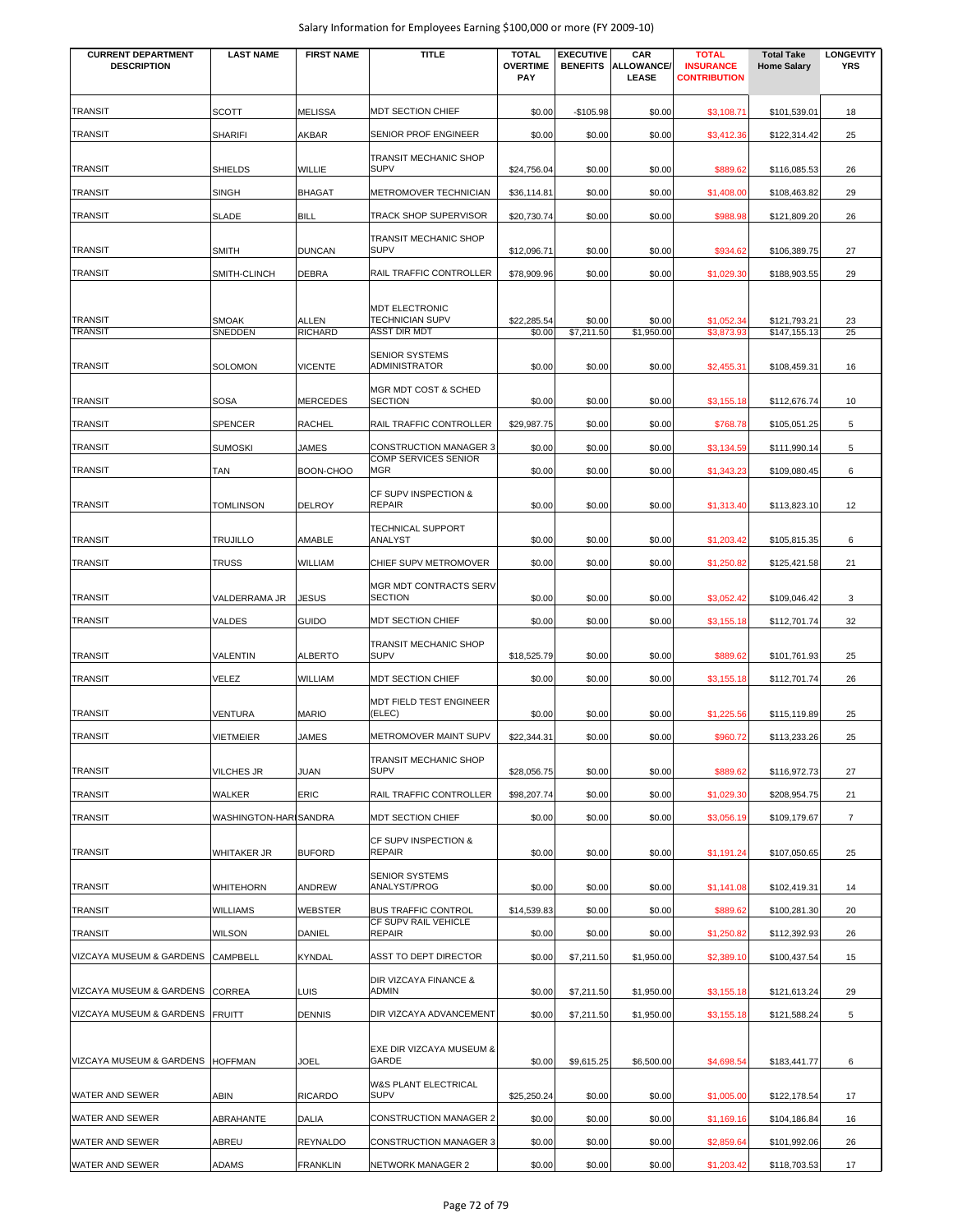| <b>CURRENT DEPARTMENT</b><br><b>DESCRIPTION</b> | <b>LAST NAME</b>        | <b>FIRST NAME</b>              | <b>TITLE</b>                                                    | <b>TOTAL</b><br><b>OVERTIME</b><br><b>PAY</b> | <b>EXECUTIVE</b><br><b>BENEFITS</b> | CAR<br><b>ALLOWANCE/</b><br>LEASE | <b>TOTAL</b><br><b>INSURANCE</b><br><b>CONTRIBUTION</b> | <b>Total Take</b><br><b>Home Salary</b> | <b>LONGEVITY</b><br><b>YRS</b> |
|-------------------------------------------------|-------------------------|--------------------------------|-----------------------------------------------------------------|-----------------------------------------------|-------------------------------------|-----------------------------------|---------------------------------------------------------|-----------------------------------------|--------------------------------|
| <b>TRANSIT</b>                                  | <b>SCOTT</b>            | <b>MELISSA</b>                 | MDT SECTION CHIEF                                               | \$0.00                                        | $-$105.98$                          | \$0.00                            | \$3,108.71                                              | \$101,539.01                            | 18                             |
| <b>TRANSIT</b>                                  | <b>SHARIFI</b>          | <b>AKBAR</b>                   | SENIOR PROF ENGINEER                                            | \$0.00                                        | \$0.00                              | \$0.00                            | \$3,412.36                                              | \$122,314.42                            | 25                             |
| <b>TRANSIT</b>                                  | <b>SHIELDS</b>          | <b>WILLIE</b>                  | TRANSIT MECHANIC SHOP<br><b>SUPV</b>                            | \$24,756.04                                   | \$0.00                              | \$0.00                            | \$889.62                                                | \$116,085.53                            | 26                             |
| <b>TRANSIT</b>                                  | <b>SINGH</b>            | <b>BHAGAT</b>                  | METROMOVER TECHNICIAN                                           | \$36,114.81                                   | \$0.00                              | \$0.00                            | \$1,408.00                                              | \$108,463.82                            | 29                             |
| <b>TRANSIT</b>                                  | SLADE                   | <b>BILL</b>                    | TRACK SHOP SUPERVISOR                                           | \$20,730.74                                   | \$0.00                              | \$0.00                            | \$988.98                                                | \$121,809.20                            | 26                             |
| <b>TRANSIT</b>                                  | <b>SMITH</b>            | <b>DUNCAN</b>                  | TRANSIT MECHANIC SHOP<br><b>SUPV</b>                            | \$12,096.71                                   | \$0.00                              | \$0.00                            | \$934.62                                                | \$106,389.75                            | 27                             |
| <b>TRANSIT</b>                                  | SMITH-CLINCH            | <b>DEBRA</b>                   | RAIL TRAFFIC CONTROLLER                                         | \$78,909.96                                   | \$0.00                              | \$0.00                            | \$1,029.30                                              | \$188,903.55                            | 29                             |
| <b>TRANSIT</b><br><b>TRANSIT</b>                | <b>SMOAK</b><br>SNEDDEN | <b>ALLEN</b><br><b>RICHARD</b> | <b>MDT ELECTRONIC</b><br>TECHNICIAN SUPV<br><b>ASST DIR MDT</b> | \$22,285.54<br>\$0.00                         | \$0.00<br>\$7,211.50                | \$0.00<br>\$1,950.00              | \$1,052.34<br>\$3,873.93                                | \$121,793.21<br>\$147,155.13            | 23<br>25                       |
| TRANSIT                                         | SOLOMON                 | <b>VICENTE</b>                 | <b>SENIOR SYSTEMS</b><br>ADMINISTRATOR                          | \$0.00                                        | \$0.00                              | \$0.00                            | \$2,455.31                                              | \$108,459.31                            | 16                             |
| <b>TRANSIT</b>                                  | <b>SOSA</b>             | <b>MERCEDES</b>                | <b>MGR MDT COST &amp; SCHED</b><br><b>SECTION</b>               | \$0.00                                        | \$0.00                              | \$0.00                            | \$3,155.18                                              | \$112,676.74                            | 10                             |
| <b>TRANSIT</b>                                  | SPENCER                 | <b>RACHEL</b>                  | RAIL TRAFFIC CONTROLLER                                         | \$29,987.75                                   | \$0.00                              | \$0.00                            | \$768.78                                                | \$105,051.25                            | 5                              |
| <b>TRANSIT</b>                                  | <b>SUMOSKI</b>          | JAMES                          | <b>CONSTRUCTION MANAGER 3</b>                                   | \$0.00                                        | \$0.00                              | \$0.00                            | \$3,134.59                                              | \$111,990.14                            | 5                              |
| <b>TRANSIT</b>                                  | TAN                     | BOON-CHOO                      | <b>COMP SERVICES SENIOR</b><br><b>MGR</b>                       | \$0.00                                        | \$0.00                              | \$0.00                            | \$1,343.23                                              | \$109,080.45                            | 6                              |
| <b>TRANSIT</b>                                  | <b>TOMLINSON</b>        | <b>DELROY</b>                  | CF SUPV INSPECTION &<br><b>REPAIR</b>                           | \$0.00                                        | \$0.00                              | \$0.00                            | \$1,313.40                                              | \$113,823.10                            | 12                             |
| <b>TRANSIT</b>                                  | <b>TRUJILLO</b>         | AMABLE                         | TECHNICAL SUPPORT<br>ANALYST                                    | \$0.00                                        | \$0.00                              | \$0.00                            | \$1,203.42                                              | \$105,815.35                            | 6                              |
| <b>TRANSIT</b>                                  | <b>TRUSS</b>            | <b>WILLIAM</b>                 | CHIEF SUPV METROMOVER                                           | \$0.00                                        | \$0.00                              | \$0.00                            | \$1,250.82                                              | \$125,421.58                            | 21                             |
| <b>TRANSIT</b>                                  | VALDERRAMA JR           | JESUS                          | MGR MDT CONTRACTS SERV<br><b>SECTION</b>                        | \$0.00                                        | \$0.00                              | \$0.00                            | \$3,052.42                                              | \$109,046.42                            | 3                              |
| <b>TRANSIT</b>                                  | VALDES                  | <b>GUIDO</b>                   | MDT SECTION CHIEF                                               | \$0.00                                        | \$0.00                              | \$0.00                            | \$3,155.18                                              | \$112,701.74                            | 32                             |
| <b>TRANSIT</b>                                  | <b>VALENTIN</b>         | <b>ALBERTO</b>                 | <b>TRANSIT MECHANIC SHOP</b><br><b>SUPV</b>                     | \$18,525.79                                   | \$0.00                              | \$0.00                            | \$889.62                                                | \$101,761.93                            | 25                             |
| <b>TRANSIT</b>                                  | VELEZ                   | <b>WILLIAM</b>                 | MDT SECTION CHIEF                                               | \$0.00                                        | \$0.00                              | \$0.00                            | \$3,155.18                                              | \$112,701.74                            | 26                             |
| <b>TRANSIT</b>                                  | VENTURA                 | <b>MARIO</b>                   | MDT FIELD TEST ENGINEER<br>(ELEC)                               | \$0.00                                        | \$0.00                              | \$0.00                            | \$1,225.56                                              | \$115,119.89                            | 25                             |
| <b>TRANSIT</b>                                  | <b>VIETMEIER</b>        | <b>JAMES</b>                   | METROMOVER MAINT SUPV                                           | \$22,344.31                                   | \$0.00                              | \$0.00                            | \$960.72                                                | \$113,233.26                            | 25                             |
| <b>TRANSIT</b>                                  | <b>VILCHES JR</b>       | JUAN                           | TRANSIT MECHANIC SHOP<br><b>SUPV</b>                            | \$28,056.75                                   | \$0.00                              | \$0.00                            | \$889.62                                                | \$116,972.73                            | 27                             |
| <b>TRANSIT</b>                                  | <b>WALKER</b>           | <b>ERIC</b>                    | RAIL TRAFFIC CONTROLLER                                         | \$98,207.74                                   | \$0.00                              | \$0.00                            | \$1,029.30                                              | \$208,954.75                            | 21                             |
| TRANSIT                                         | WASHINGTON-HARI SANDRA  |                                | MDT SECTION CHIEF                                               | \$0.00                                        | \$0.00                              | \$0.00                            | \$3,056.19                                              | \$109,179.67                            | $\overline{7}$                 |
| <b>TRANSIT</b>                                  | WHITAKER JR             | <b>BUFORD</b>                  | CF SUPV INSPECTION &<br>REPAIR                                  | \$0.00                                        | \$0.00                              | \$0.00                            | \$1,191.24                                              | \$107,050.65                            | 25                             |
| <b>TRANSIT</b>                                  | <b>WHITEHORN</b>        | <b>ANDREW</b>                  | <b>SENIOR SYSTEMS</b><br>ANALYST/PROG                           | \$0.00                                        | \$0.00                              | \$0.00                            | \$1,141.08                                              | \$102,419.31                            | 14                             |
| <b>TRANSIT</b>                                  | <b>WILLIAMS</b>         | <b>WEBSTER</b>                 | <b>BUS TRAFFIC CONTROL</b>                                      | \$14,539.83                                   | \$0.00                              | \$0.00                            | \$889.62                                                | \$100,281.30                            | 20                             |
| <b>TRANSIT</b>                                  | <b>WILSON</b>           | DANIEL                         | CF SUPV RAIL VEHICLE<br><b>REPAIR</b>                           | \$0.00                                        | \$0.00                              | \$0.00                            | \$1,250.82                                              | \$112,392.93                            | 26                             |
| VIZCAYA MUSEUM & GARDENS                        | <b>CAMPBELL</b>         | <b>KYNDAL</b>                  | ASST TO DEPT DIRECTOR                                           | \$0.00                                        | \$7,211.50                          | \$1,950.00                        | \$2,389.10                                              | \$100,437.54                            | 15                             |
| VIZCAYA MUSEUM & GARDENS                        | <b>CORREA</b>           | <b>LUIS</b>                    | DIR VIZCAYA FINANCE &<br><b>ADMIN</b>                           | \$0.00                                        | \$7,211.50                          | \$1,950.00                        | \$3,155.18                                              | \$121,613.24                            | 29                             |
| VIZCAYA MUSEUM & GARDENS                        | <b>FRUITT</b>           | <b>DENNIS</b>                  | DIR VIZCAYA ADVANCEMENT                                         | \$0.00                                        | \$7,211.50                          | \$1,950.00                        | \$3,155.18                                              | \$121,588.24                            | 5                              |
| VIZCAYA MUSEUM & GARDENS                        | <b>HOFFMAN</b>          | JOEL                           | EXE DIR VIZCAYA MUSEUM &<br>GARDE                               | \$0.00                                        | \$9,615.25                          | \$6,500.00                        | \$4,698.54                                              | \$183,441.77                            | 6                              |
| WATER AND SEWER                                 | ABIN                    | <b>RICARDO</b>                 | W&S PLANT ELECTRICAL<br><b>SUPV</b>                             | \$25,250.24                                   | \$0.00                              | \$0.00                            | \$1,005.00                                              | \$122,178.54                            | 17                             |
| WATER AND SEWER                                 | ABRAHANTE               | <b>DALIA</b>                   | CONSTRUCTION MANAGER 2                                          | \$0.00                                        | \$0.00                              | \$0.00                            | \$1,169.16                                              | \$104,186.84                            | 16                             |
| WATER AND SEWER                                 | ABREU                   | <b>REYNALDO</b>                | <b>CONSTRUCTION MANAGER 3</b>                                   | \$0.00                                        | \$0.00                              | \$0.00                            | \$2,859.64                                              | \$101,992.06                            | 26                             |
| WATER AND SEWER                                 | ADAMS                   | <b>FRANKLIN</b>                | NETWORK MANAGER 2                                               | \$0.00                                        | \$0.00                              | \$0.00                            | \$1,203.42                                              | \$118,703.53                            | 17                             |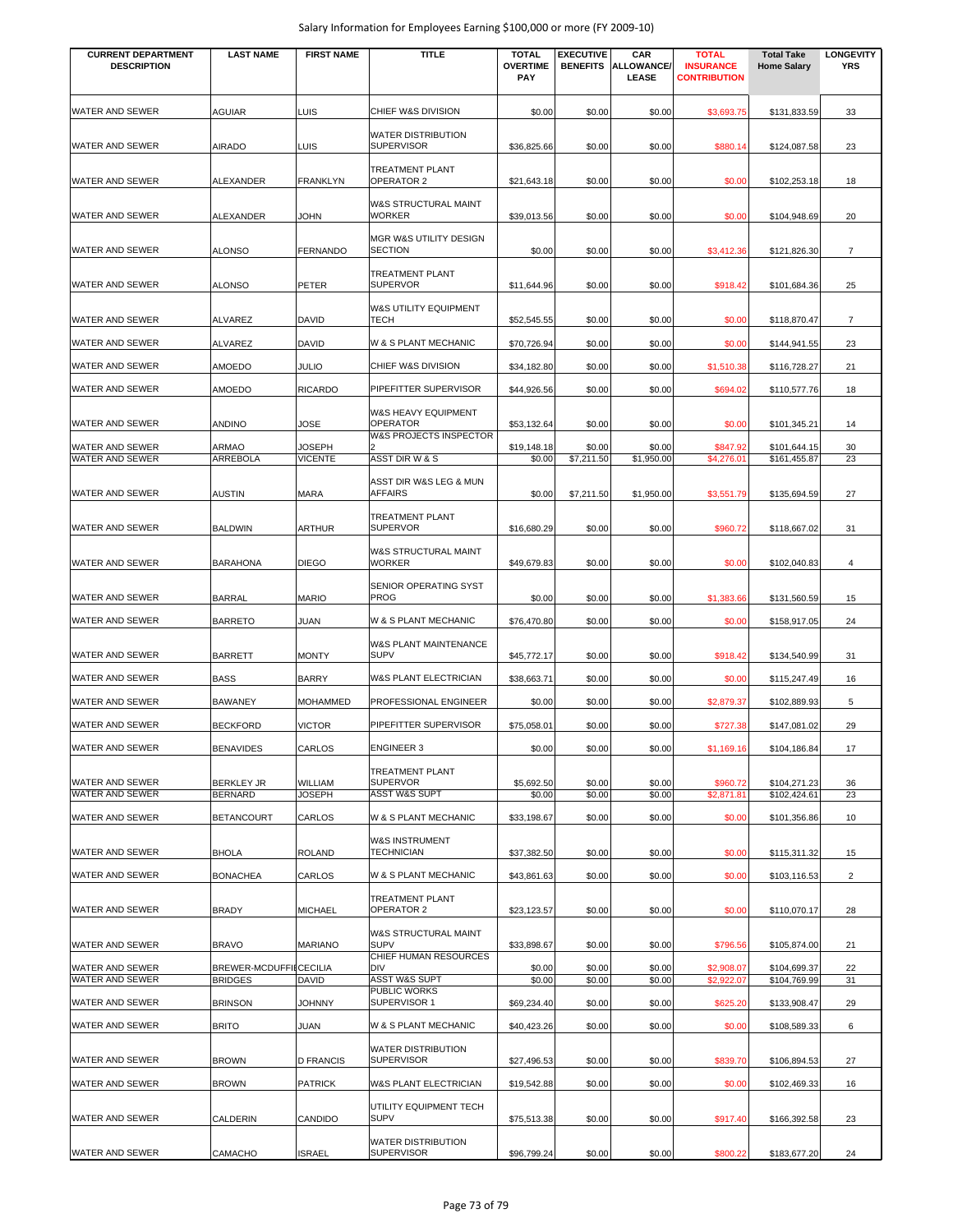| <b>CURRENT DEPARTMENT</b><br><b>DESCRIPTION</b> | <b>LAST NAME</b>                         | <b>FIRST NAME</b> | <b>TITLE</b>                                                    | <b>TOTAL</b><br><b>OVERTIME</b><br>PAY | <b>EXECUTIVE</b><br><b>BENEFITS</b> | CAR<br><b>ALLOWANCE/</b><br>LEASE | <b>TOTAL</b><br><b>INSURANCE</b><br><b>CONTRIBUTION</b> | <b>Total Take</b><br><b>Home Salary</b> | <b>LONGEVITY</b><br>YRS |
|-------------------------------------------------|------------------------------------------|-------------------|-----------------------------------------------------------------|----------------------------------------|-------------------------------------|-----------------------------------|---------------------------------------------------------|-----------------------------------------|-------------------------|
| WATER AND SEWER                                 | <b>AGUIAR</b>                            | LUIS              | CHIEF W&S DIVISION                                              | \$0.00                                 | \$0.00                              | \$0.00                            | \$3,693.75                                              | \$131,833.59                            | 33                      |
|                                                 |                                          |                   | <b>WATER DISTRIBUTION</b>                                       |                                        |                                     |                                   |                                                         |                                         |                         |
| WATER AND SEWER                                 | <b>AIRADO</b>                            | LUIS              | <b>SUPERVISOR</b>                                               | \$36,825.66                            | \$0.00                              | \$0.00                            | \$880.14                                                | \$124,087.58                            | 23                      |
| WATER AND SEWER                                 | ALEXANDER                                | <b>FRANKLYN</b>   | TREATMENT PLANT<br>OPERATOR 2                                   | \$21,643.18                            | \$0.00                              | \$0.00                            | \$0.00                                                  | \$102,253.18                            | 18                      |
| WATER AND SEWER                                 | <b>ALEXANDER</b>                         | <b>JOHN</b>       | <b>W&amp;S STRUCTURAL MAINT</b><br><b>WORKER</b>                | \$39,013.56                            | \$0.00                              | \$0.00                            | \$0.00                                                  | \$104,948.69                            | 20                      |
| WATER AND SEWER                                 | <b>ALONSO</b>                            | <b>FERNANDO</b>   | MGR W&S UTILITY DESIGN<br><b>SECTION</b>                        | \$0.00                                 | \$0.00                              | \$0.00                            | \$3,412.36                                              | \$121,826.30                            | $\overline{7}$          |
| WATER AND SEWER                                 | <b>ALONSO</b>                            | <b>PETER</b>      | <b>TREATMENT PLANT</b><br><b>SUPERVOR</b>                       | \$11,644.96                            | \$0.00                              | \$0.00                            | \$918.42                                                | \$101,684.36                            | 25                      |
| WATER AND SEWER                                 | ALVAREZ                                  | <b>DAVID</b>      | <b>W&amp;S UTILITY EQUIPMENT</b><br>TECH                        | \$52,545.55                            | \$0.00                              | \$0.00                            | \$0.00                                                  | \$118,870.47                            | 7                       |
| WATER AND SEWER                                 | ALVAREZ                                  | DAVID             | W & S PLANT MECHANIC                                            | \$70,726.94                            | \$0.00                              | \$0.00                            | \$0.00                                                  | \$144,941.55                            | 23                      |
| WATER AND SEWER                                 | AMOEDO                                   | JULIO             | CHIEF W&S DIVISION                                              | \$34,182.80                            | \$0.00                              | \$0.00                            | \$1,510.38                                              | \$116,728.27                            | 21                      |
| WATER AND SEWER                                 | AMOEDO                                   | <b>RICARDO</b>    | PIPEFITTER SUPERVISOR                                           | \$44,926.56                            | \$0.00                              | \$0.00                            | \$694.02                                                | \$110,577.76                            | 18                      |
| WATER AND SEWER                                 | <b>ANDINO</b>                            | JOSE              | W&S HEAVY EQUIPMENT<br><b>OPERATOR</b>                          | \$53,132.64                            | \$0.00                              | \$0.00                            | \$0.00                                                  | \$101,345.21                            | 14                      |
| WATER AND SEWER                                 | ARMAO                                    | JOSEPH            | W&S PROJECTS INSPECTOR                                          | \$19,148.18                            | \$0.00                              | \$0.00                            | \$847.92                                                | \$101,644.15                            | 30                      |
| WATER AND SEWER                                 | ARREBOLA                                 | <b>VICENTE</b>    | ASST DIR W & S                                                  | \$0.00                                 | \$7,211.50                          | \$1,950.00                        | \$4,276.01                                              | \$161,455.87                            | 23                      |
| WATER AND SEWER                                 | <b>AUSTIN</b>                            | <b>MARA</b>       | ASST DIR W&S LEG & MUN<br><b>AFFAIRS</b>                        | \$0.00                                 | \$7,211.50                          | \$1,950.00                        | \$3,551.79                                              | \$135,694.59                            | 27                      |
| WATER AND SEWER                                 | <b>BALDWIN</b>                           | <b>ARTHUR</b>     | <b>TREATMENT PLANT</b><br><b>SUPERVOR</b>                       | \$16,680.29                            | \$0.00                              | \$0.00                            | \$960.72                                                | \$118,667.02                            | 31                      |
| WATER AND SEWER                                 | <b>BARAHONA</b>                          | <b>DIEGO</b>      | <b>W&amp;S STRUCTURAL MAINT</b><br><b>WORKER</b>                | \$49,679.83                            | \$0.00                              | \$0.00                            | \$0.00                                                  | \$102,040.83                            | 4                       |
| WATER AND SEWER                                 | <b>BARRAL</b>                            | <b>MARIO</b>      | SENIOR OPERATING SYST<br>PROG                                   | \$0.00                                 | \$0.00                              | \$0.00                            | \$1,383.66                                              | \$131,560.59                            | 15                      |
| WATER AND SEWER                                 | <b>BARRETO</b>                           | JUAN              | W & S PLANT MECHANIC                                            | \$76,470.80                            | \$0.00                              | \$0.00                            | \$0.00                                                  | \$158,917.05                            | 24                      |
| WATER AND SEWER                                 | <b>BARRETT</b>                           | <b>MONTY</b>      | <b>W&amp;S PLANT MAINTENANCE</b><br><b>SUPV</b>                 | \$45,772.17                            | \$0.00                              | \$0.00                            | \$918.42                                                | \$134,540.99                            | 31                      |
| WATER AND SEWER                                 | <b>BASS</b>                              | <b>BARRY</b>      | W&S PLANT ELECTRICIAN                                           | \$38,663.71                            | \$0.00                              | \$0.00                            | \$0.00                                                  | \$115,247.49                            | 16                      |
| WATER AND SEWER                                 | <b>BAWANEY</b>                           | <b>MOHAMMED</b>   | PROFESSIONAL ENGINEER                                           | \$0.00                                 | \$0.00                              | \$0.00                            | \$2,879.37                                              | \$102,889.93                            | 5                       |
| WATER AND SEWER                                 | <b>BECKFORD</b>                          | <b>VICTOR</b>     | PIPEFITTER SUPERVISOR                                           | \$75,058.01                            | \$0.00                              | \$0.00                            | \$727.38                                                | \$147,081.02                            | 29                      |
| WATER AND SEWER                                 | <b>BENAVIDES</b>                         | <b>CARLOS</b>     | <b>ENGINEER 3</b>                                               | \$0.00                                 | \$0.00                              | \$0.00                            | \$1,169.16                                              | \$104,186.84                            | 17                      |
| WATER AND SEWER                                 | <b>BERKLEY JR</b>                        | WILLIAM           | <b>TREATMENT PLANT</b><br><b>SUPERVOR</b>                       | \$5,692.50                             | \$0.00                              | \$0.00                            | \$960.72                                                | \$104,271.23                            | 36                      |
| WATER AND SEWER                                 | <b>BERNARD</b>                           | <b>JOSEPH</b>     | <b>ASST W&amp;S SUPT</b>                                        | \$0.00                                 | \$0.00                              | \$0.00                            | \$2,871.81                                              | \$102,424.61                            | 23                      |
| WATER AND SEWER                                 | <b>BETANCOURT</b>                        | CARLOS            | W & S PLANT MECHANIC                                            | \$33,198.67                            | \$0.00                              | \$0.00                            | \$0.00                                                  | \$101,356.86                            | 10                      |
| WATER AND SEWER                                 | <b>BHOLA</b>                             | <b>ROLAND</b>     | <b>W&amp;S INSTRUMENT</b><br>TECHNICIAN                         | \$37,382.50                            | \$0.00                              | \$0.00                            | \$0.00                                                  | \$115,311.32                            | 15                      |
| WATER AND SEWER                                 | <b>BONACHEA</b>                          | CARLOS            | W & S PLANT MECHANIC                                            | \$43,861.63                            | \$0.00                              | \$0.00                            | \$0.00                                                  | \$103,116.53                            | $\overline{2}$          |
| WATER AND SEWER                                 | <b>BRADY</b>                             | <b>MICHAEL</b>    | <b>TREATMENT PLANT</b><br>OPERATOR 2                            | \$23,123.57                            | \$0.00                              | \$0.00                            | \$0.00                                                  | \$110,070.17                            | 28                      |
| WATER AND SEWER                                 | <b>BRAVO</b>                             | <b>MARIANO</b>    | W&S STRUCTURAL MAINT<br><b>SUPV</b>                             | \$33,898.67                            | \$0.00                              | \$0.00                            | \$796.56                                                | \$105,874.00                            | 21                      |
| WATER AND SEWER<br>WATER AND SEWER              | BREWER-MCDUFFIECECILIA<br><b>BRIDGES</b> | DAVID             | CHIEF HUMAN RESOURCES<br><b>DIV</b><br><b>ASST W&amp;S SUPT</b> | \$0.00<br>\$0.00                       | \$0.00<br>\$0.00                    | \$0.00<br>\$0.00                  | \$2,908.07<br>\$2,922.07                                | \$104,699.37<br>\$104,769.99            | 22<br>31                |
|                                                 |                                          |                   | PUBLIC WORKS                                                    |                                        |                                     |                                   |                                                         |                                         |                         |
| WATER AND SEWER                                 | <b>BRINSON</b>                           | <b>JOHNNY</b>     | SUPERVISOR 1                                                    | \$69,234.40                            | \$0.00                              | \$0.00                            | \$625.20                                                | \$133,908.47                            | 29                      |
| WATER AND SEWER                                 | <b>BRITO</b>                             | JUAN              | W & S PLANT MECHANIC<br><b>WATER DISTRIBUTION</b>               | \$40,423.26                            | \$0.00                              | \$0.00                            | \$0.00                                                  | \$108,589.33                            | 6                       |
| WATER AND SEWER                                 | <b>BROWN</b>                             | <b>D FRANCIS</b>  | <b>SUPERVISOR</b>                                               | \$27,496.53                            | \$0.00                              | \$0.00                            | \$839.70                                                | \$106,894.53                            | 27                      |
| WATER AND SEWER                                 | <b>BROWN</b>                             | <b>PATRICK</b>    | <b>W&amp;S PLANT ELECTRICIAN</b>                                | \$19,542.88                            | \$0.00                              | \$0.00                            | \$0.00                                                  | \$102,469.33                            | 16                      |
| WATER AND SEWER                                 | CALDERIN                                 | CANDIDO           | UTILITY EQUIPMENT TECH<br><b>SUPV</b>                           | \$75,513.38                            | \$0.00                              | \$0.00                            | \$917.40                                                | \$166,392.58                            | 23                      |
| WATER AND SEWER                                 | CAMACHO                                  | <b>ISRAEL</b>     | <b>WATER DISTRIBUTION</b><br><b>SUPERVISOR</b>                  | \$96,799.24                            | \$0.00                              | \$0.00                            | \$800.22                                                | \$183,677.20                            | 24                      |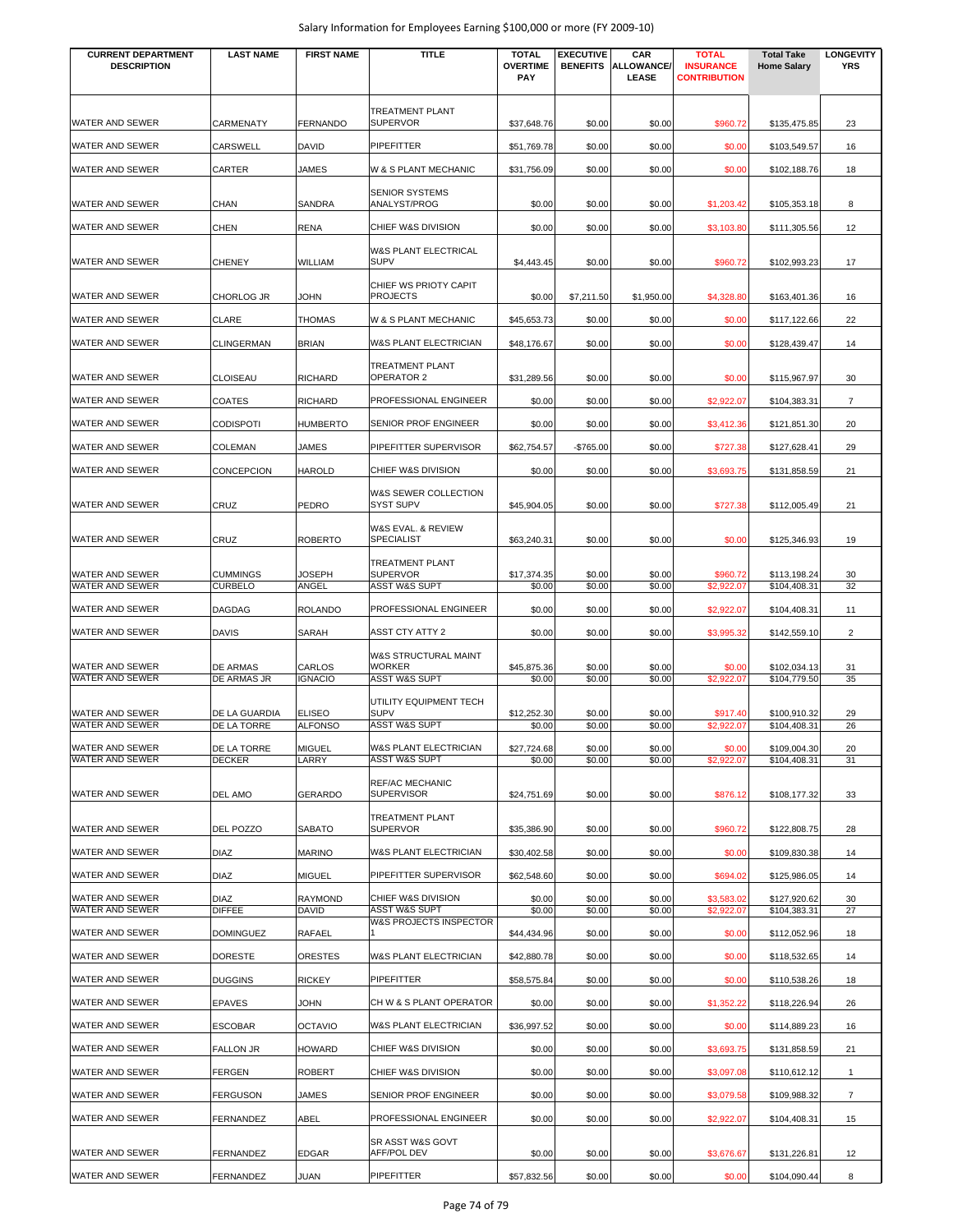| <b>CURRENT DEPARTMENT</b><br><b>DESCRIPTION</b> | <b>LAST NAME</b>                    | <b>FIRST NAME</b>        | <b>TITLE</b>                                      | <b>TOTAL</b><br><b>OVERTIME</b> | <b>EXECUTIVE</b><br><b>BENEFITS</b> | CAR<br><b>ALLOWANCE</b> | <b>TOTAL</b><br><b>INSURANCE</b> | <b>Total Take</b><br><b>Home Salary</b> | <b>LONGEVITY</b><br><b>YRS</b> |
|-------------------------------------------------|-------------------------------------|--------------------------|---------------------------------------------------|---------------------------------|-------------------------------------|-------------------------|----------------------------------|-----------------------------------------|--------------------------------|
|                                                 |                                     |                          |                                                   | <b>PAY</b>                      |                                     | <b>LEASE</b>            | <b>CONTRIBUTION</b>              |                                         |                                |
|                                                 |                                     |                          | TREATMENT PLANT                                   |                                 |                                     |                         |                                  |                                         |                                |
| WATER AND SEWER                                 | CARMENATY                           | <b>FERNANDO</b>          | <b>SUPERVOR</b>                                   | \$37,648.76                     | \$0.00                              | \$0.00                  | \$960.72                         | \$135,475.85                            | 23                             |
| WATER AND SEWER                                 | CARSWELL                            | <b>DAVID</b>             | PIPEFITTER                                        | \$51,769.78                     | \$0.00                              | \$0.00                  | \$0.00                           | \$103,549.57                            | 16                             |
| WATER AND SEWER                                 | CARTER                              | <b>JAMES</b>             | W & S PLANT MECHANIC                              | \$31,756.09                     | \$0.00                              | \$0.00                  | \$0.00                           | \$102,188.76                            | 18                             |
| WATER AND SEWER                                 | <b>CHAN</b>                         | SANDRA                   | <b>SENIOR SYSTEMS</b><br>ANALYST/PROG             | \$0.00                          | \$0.00                              | \$0.00                  | \$1,203.42                       | \$105,353.18                            | 8                              |
| WATER AND SEWER                                 | <b>CHEN</b>                         | <b>RENA</b>              | CHIEF W&S DIVISION                                | \$0.00                          | \$0.00                              | \$0.00                  | \$3,103.80                       | \$111,305.56                            | 12                             |
| <b>WATER AND SEWER</b>                          | <b>CHENEY</b>                       | <b>WILLIAM</b>           | <b>W&amp;S PLANT ELECTRICAL</b><br><b>SUPV</b>    | \$4,443.45                      | \$0.00                              | \$0.00                  | \$960.72                         | \$102,993.23                            | 17                             |
| WATER AND SEWER                                 | CHORLOG JR                          | <b>JOHN</b>              | CHIEF WS PRIOTY CAPIT<br><b>PROJECTS</b>          | \$0.00                          | \$7,211.50                          | \$1,950.00              | \$4,328.80                       | \$163,401.36                            | 16                             |
| WATER AND SEWER                                 | <b>CLARE</b>                        | <b>THOMAS</b>            | W & S PLANT MECHANIC                              | \$45,653.73                     | \$0.00                              | \$0.00                  | \$0.00                           | \$117,122.66                            | 22                             |
| WATER AND SEWER                                 | <b>CLINGERMAN</b>                   | <b>BRIAN</b>             | W&S PLANT ELECTRICIAN                             | \$48,176.67                     | \$0.00                              | \$0.00                  | \$0.00                           | \$128,439.47                            | 14                             |
|                                                 |                                     |                          | <b>TREATMENT PLANT</b>                            |                                 |                                     |                         |                                  |                                         |                                |
| WATER AND SEWER                                 | <b>CLOISEAU</b>                     | <b>RICHARD</b>           | OPERATOR 2                                        | \$31,289.56                     | \$0.00                              | \$0.00                  | \$0.00                           | \$115,967.97                            | 30                             |
| WATER AND SEWER                                 | <b>COATES</b>                       | <b>RICHARD</b>           | PROFESSIONAL ENGINEER                             | \$0.00                          | \$0.00                              | \$0.00                  | \$2,922.07                       | \$104,383.31                            | $\overline{7}$                 |
| WATER AND SEWER                                 | <b>CODISPOTI</b>                    | <b>HUMBERTO</b>          | SENIOR PROF ENGINEER                              | \$0.00                          | \$0.00                              | \$0.00                  | \$3,412.36                       | \$121,851.30                            | 20                             |
| WATER AND SEWER                                 | <b>COLEMAN</b>                      | <b>JAMES</b>             | PIPEFITTER SUPERVISOR                             | \$62,754.57                     | $-$765.00$                          | \$0.00                  | \$727.38                         | \$127,628.41                            | 29                             |
| WATER AND SEWER                                 | <b>CONCEPCION</b>                   | <b>HAROLD</b>            | CHIEF W&S DIVISION                                | \$0.00                          | \$0.00                              | \$0.00                  | \$3,693.75                       | \$131,858.59                            | 21                             |
| WATER AND SEWER                                 | CRUZ                                | PEDRO                    | W&S SEWER COLLECTION<br><b>SYST SUPV</b>          | \$45,904.05                     | \$0.00                              | \$0.00                  | \$727.38                         | \$112,005.49                            | 21                             |
| WATER AND SEWER                                 | CRUZ                                | <b>ROBERTO</b>           | W&S EVAL. & REVIEW<br><b>SPECIALIST</b>           | \$63,240.31                     | \$0.00                              | \$0.00                  | \$0.00                           | \$125,346.93                            | 19                             |
|                                                 |                                     |                          | <b>TREATMENT PLANT</b>                            |                                 |                                     |                         |                                  |                                         |                                |
| WATER AND SEWER<br>WATER AND SEWER              | <b>CUMMINGS</b><br><b>CURBELO</b>   | <b>JOSEPH</b><br>ANGEL   | <b>SUPERVOR</b><br><b>ASST W&amp;S SUPT</b>       | \$17,374.35<br>\$0.00           | \$0.00<br>\$0.00                    | \$0.00<br>\$0.00        | \$960.72<br>\$2,922.07           | \$113,198.24<br>\$104,408.31            | 30<br>32                       |
| WATER AND SEWER                                 | <b>DAGDAG</b>                       | <b>ROLANDO</b>           | PROFESSIONAL ENGINEER                             | \$0.00                          | \$0.00                              | \$0.00                  | \$2,922.07                       | \$104,408.31                            | 11                             |
| WATER AND SEWER                                 | <b>DAVIS</b>                        | SARAH                    | ASST CTY ATTY 2                                   | \$0.00                          | \$0.00                              | \$0.00                  | \$3,995.32                       | \$142,559.10                            | $\overline{2}$                 |
|                                                 |                                     |                          | <b>W&amp;S STRUCTURAL MAINT</b>                   |                                 |                                     |                         |                                  |                                         |                                |
| WATER AND SEWER<br>WATER AND SEWER              | <b>DE ARMAS</b>                     | CARLOS<br><b>IGNACIO</b> | <b>WORKER</b><br><b>ASST W&amp;S SUPT</b>         | \$45,875.36                     | \$0.00                              | \$0.00                  | \$0.00                           | \$102,034.13                            | 31                             |
|                                                 | DE ARMAS JR                         |                          |                                                   | \$0.00                          | \$0.00                              | \$0.00                  | \$2,922.07                       | \$104,779.50                            | 35                             |
| WATER AND SEWER                                 | DE LA GUARDIA                       | <b>ELISEO</b>            | UTILITY EQUIPMENT TECH<br><b>SUPV</b>             | \$12,252.30                     | \$0.00                              | \$0.00                  | \$917.40                         | \$100,910.32                            | 29                             |
| WATER AND SEWER                                 | DE LA TORRE                         | <b>ALFONSO</b>           | <b>ASST W&amp;S SUPT</b>                          | \$0.00                          | \$0.00                              | \$0.00                  | \$2,922.07                       | \$104,408.31                            | 26                             |
| WATER AND SEWER<br>WATER AND SEWER              | <b>DE LA TORRE</b><br><b>DECKER</b> | <b>MIGUEL</b><br>LARRY   | W&S PLANT ELECTRICIAN<br><b>ASST W&amp;S SUPT</b> | \$27,724.68<br>\$0.00           | \$0.00<br>\$0.00                    | \$0.00<br>\$0.00        | \$0.00<br>\$2,922.07             | \$109,004.30<br>\$104,408.31            | 20<br>31                       |
| WATER AND SEWER                                 | <b>DEL AMO</b>                      | GERARDO                  | REF/AC MECHANIC<br><b>SUPERVISOR</b>              | \$24,751.69                     | \$0.00                              | \$0.00                  | \$876.12                         | \$108,177.32                            | 33                             |
| WATER AND SEWER                                 | DEL POZZO                           | <b>SABATO</b>            | TREATMENT PLANT<br><b>SUPERVOR</b>                | \$35,386.90                     | \$0.00                              | \$0.00                  | \$960.72                         | \$122,808.75                            | 28                             |
| WATER AND SEWER                                 | <b>DIAZ</b>                         | <b>MARINO</b>            | W&S PLANT ELECTRICIAN                             | \$30,402.58                     | \$0.00                              | \$0.00                  | \$0.00                           | \$109,830.38                            | 14                             |
| WATER AND SEWER                                 |                                     |                          | PIPEFITTER SUPERVISOR                             | \$62,548.60                     |                                     |                         |                                  |                                         |                                |
| WATER AND SEWER                                 | <b>DIAZ</b>                         | <b>MIGUEL</b>            | CHIEF W&S DIVISION                                |                                 | \$0.00                              | \$0.00                  | \$694.02                         | \$125,986.05                            | 14                             |
| WATER AND SEWER                                 | <b>DIAZ</b><br><b>DIFFEE</b>        | <b>RAYMOND</b><br>DAVID  | <b>ASST W&amp;S SUPT</b>                          | \$0.00<br>\$0.00                | \$0.00<br>\$0.00                    | \$0.00<br>\$0.00        | \$3,583.02<br>\$2,922.07         | \$127,920.62<br>\$104,383.31            | 30<br>27                       |
| WATER AND SEWER                                 | <b>DOMINGUEZ</b>                    | <b>RAFAEL</b>            | W&S PROJECTS INSPECTOR                            | \$44,434.96                     | \$0.00                              | \$0.00                  | \$0.00                           | \$112,052.96                            | 18                             |
| WATER AND SEWER                                 | <b>DORESTE</b>                      | <b>ORESTES</b>           | W&S PLANT ELECTRICIAN                             | \$42,880.78                     | \$0.00                              | \$0.00                  | \$0.00                           | \$118,532.65                            | 14                             |
| WATER AND SEWER                                 | <b>DUGGINS</b>                      | <b>RICKEY</b>            | <b>PIPEFITTER</b>                                 | \$58,575.84                     | \$0.00                              | \$0.00                  | \$0.00                           | \$110,538.26                            | 18                             |
| WATER AND SEWER                                 | <b>EPAVES</b>                       | <b>JOHN</b>              | CH W & S PLANT OPERATOR                           | \$0.00                          | \$0.00                              | \$0.00                  | \$1,352.22                       | \$118,226.94                            | 26                             |
| WATER AND SEWER                                 | <b>ESCOBAR</b>                      | <b>OCTAVIO</b>           | W&S PLANT ELECTRICIAN                             | \$36,997.52                     | \$0.00                              | \$0.00                  | \$0.00                           | \$114,889.23                            | 16                             |
| WATER AND SEWER                                 | <b>FALLON JR</b>                    | <b>HOWARD</b>            | CHIEF W&S DIVISION                                | \$0.00                          | \$0.00                              | \$0.00                  | \$3,693.75                       | \$131,858.59                            | 21                             |
| WATER AND SEWER                                 | FERGEN                              | <b>ROBERT</b>            | CHIEF W&S DIVISION                                | \$0.00                          | \$0.00                              | \$0.00                  | \$3,097.08                       | \$110,612.12                            | $\mathbf{1}$                   |
| WATER AND SEWER                                 | <b>FERGUSON</b>                     | JAMES                    | SENIOR PROF ENGINEER                              | \$0.00                          | \$0.00                              | \$0.00                  | \$3,079.58                       | \$109,988.32                            | $\overline{7}$                 |
| WATER AND SEWER                                 | FERNANDEZ                           | ABEL                     | PROFESSIONAL ENGINEER                             | \$0.00                          | \$0.00                              | \$0.00                  | \$2,922.07                       | \$104,408.31                            | 15                             |
|                                                 |                                     |                          | SR ASST W&S GOVT                                  |                                 |                                     |                         |                                  |                                         |                                |
| WATER AND SEWER                                 | <b>FERNANDEZ</b>                    | <b>EDGAR</b>             | <b>AFF/POL DEV</b>                                | \$0.00                          | \$0.00                              | \$0.00                  | \$3,676.67                       | \$131,226.81                            | 12                             |
| WATER AND SEWER                                 | FERNANDEZ                           | JUAN                     | PIPEFITTER                                        | \$57,832.56                     | \$0.00                              | \$0.00                  | \$0.00                           | \$104,090.44                            | 8                              |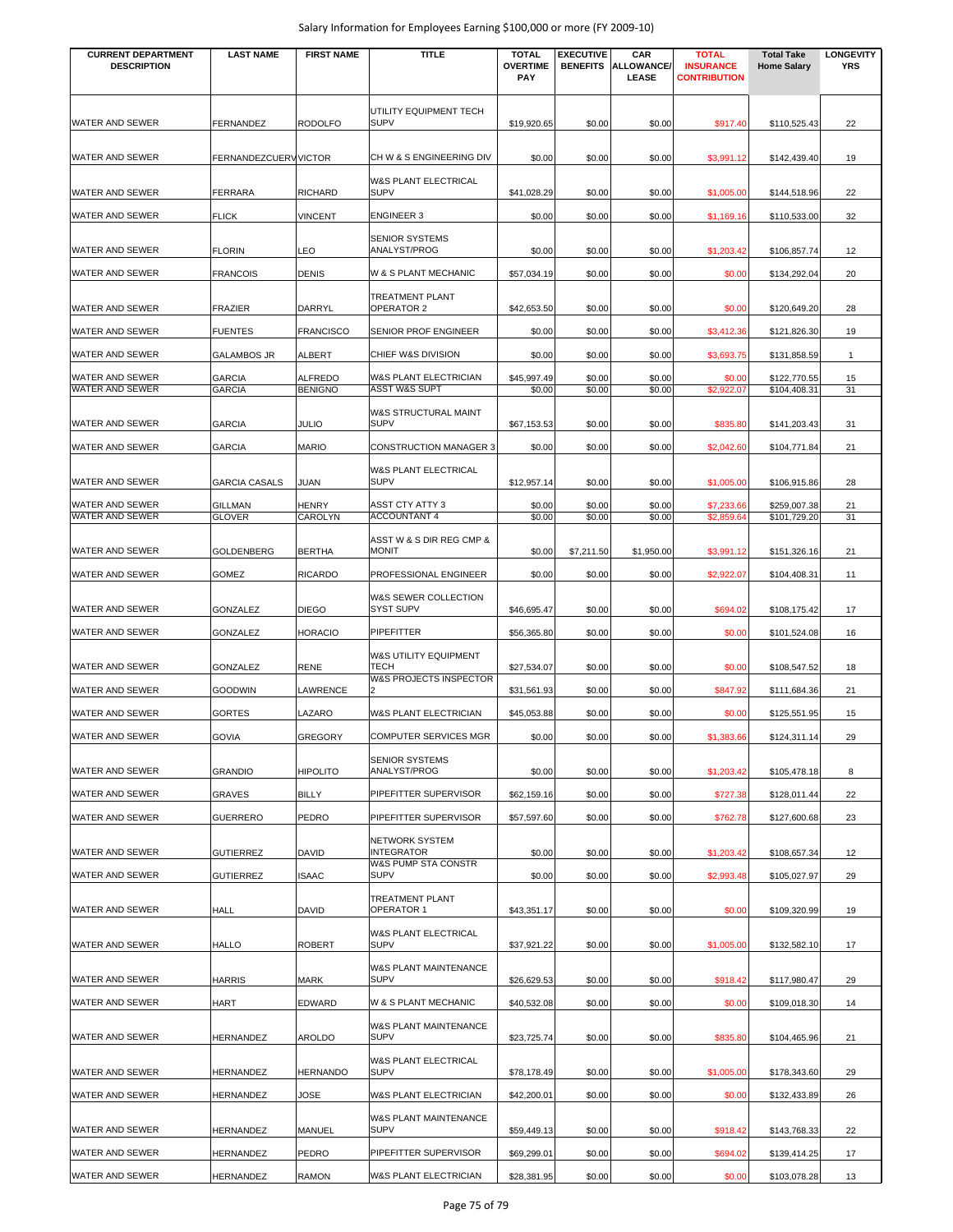| <b>CURRENT DEPARTMENT</b><br><b>DESCRIPTION</b> | <b>LAST NAME</b>                | <b>FIRST NAME</b>                | <b>TITLE</b>                                                 | <b>TOTAL</b><br><b>OVERTIME</b><br>PAY | <b>EXECUTIVE</b> | CAR<br><b>BENEFITS ALLOWANCE/</b><br>LEASE | <b>TOTAL</b><br><b>INSURANCE</b><br><b>CONTRIBUTION</b> | <b>Total Take</b><br><b>Home Salary</b> | <b>LONGEVITY</b><br><b>YRS</b> |
|-------------------------------------------------|---------------------------------|----------------------------------|--------------------------------------------------------------|----------------------------------------|------------------|--------------------------------------------|---------------------------------------------------------|-----------------------------------------|--------------------------------|
| <b>WATER AND SEWER</b>                          | <b>FERNANDEZ</b>                | <b>RODOLFO</b>                   | UTILITY EQUIPMENT TECH<br><b>SUPV</b>                        | \$19,920.65                            | \$0.00           | \$0.00                                     | \$917.40                                                | \$110,525.43                            | 22                             |
| <b>WATER AND SEWER</b>                          | FERNANDEZCUERV VICTOR           |                                  | CH W & S ENGINEERING DIV                                     | \$0.00                                 | \$0.00           | \$0.00                                     | \$3,991.12                                              | \$142,439.40                            | 19                             |
| WATER AND SEWER                                 | <b>FERRARA</b>                  | <b>RICHARD</b>                   | W&S PLANT ELECTRICAL<br><b>SUPV</b>                          | \$41,028.29                            | \$0.00           | \$0.00                                     | \$1,005.00                                              | \$144,518.96                            | 22                             |
| WATER AND SEWER                                 | <b>FLICK</b>                    | <b>VINCENT</b>                   | <b>ENGINEER 3</b>                                            | \$0.00                                 | \$0.00           | \$0.00                                     | \$1,169.16                                              | \$110,533.00                            | 32                             |
| <b>WATER AND SEWER</b>                          | <b>FLORIN</b>                   | LEO                              | <b>SENIOR SYSTEMS</b><br>ANALYST/PROG                        | \$0.00                                 | \$0.00           | \$0.00                                     | \$1,203.42                                              | \$106,857.74                            | 12                             |
| <b>WATER AND SEWER</b>                          | <b>FRANCOIS</b>                 | DENIS                            | W & S PLANT MECHANIC                                         | \$57,034.19                            | \$0.00           | \$0.00                                     | \$0.00                                                  | \$134,292.04                            | 20                             |
| WATER AND SEWER                                 |                                 |                                  | <b>TREATMENT PLANT</b><br>OPERATOR 2                         |                                        |                  |                                            |                                                         |                                         |                                |
|                                                 | <b>FRAZIER</b>                  | DARRYL                           |                                                              | \$42,653.50                            | \$0.00           | \$0.00                                     | \$0.00                                                  | \$120,649.20                            | 28                             |
| WATER AND SEWER                                 | <b>FUENTES</b>                  | <b>FRANCISCO</b>                 | SENIOR PROF ENGINEER                                         | \$0.00                                 | \$0.00           | \$0.00                                     | \$3,412.36                                              | \$121,826.30                            | 19                             |
| WATER AND SEWER                                 | <b>GALAMBOS JR</b>              | <b>ALBERT</b>                    | CHIEF W&S DIVISION                                           | \$0.00                                 | \$0.00           | \$0.00                                     | \$3,693.75                                              | \$131,858.59                            | $\mathbf{1}$                   |
| WATER AND SEWER<br>WATER AND SEWER              | <b>GARCIA</b><br><b>GARCIA</b>  | <b>ALFREDO</b><br><b>BENIGNO</b> | W&S PLANT ELECTRICIAN<br><b>ASST W&amp;S SUPT</b>            | \$45,997.49<br>\$0.00                  | \$0.00<br>\$0.00 | \$0.00<br>\$0.00                           | \$0.00<br>\$2,922.07                                    | \$122,770.55<br>\$104,408.31            | 15<br>31                       |
| WATER AND SEWER                                 | <b>GARCIA</b>                   | <b>JULIO</b>                     | W&S STRUCTURAL MAINT<br><b>SUPV</b>                          | \$67,153.53                            | \$0.00           | \$0.00                                     | \$835.80                                                | \$141,203.43                            | 31                             |
| WATER AND SEWER                                 | <b>GARCIA</b>                   | <b>MARIO</b>                     | <b>CONSTRUCTION MANAGER 3</b>                                | \$0.00                                 | \$0.00           | \$0.00                                     | \$2,042.60                                              | \$104,771.84                            | 21                             |
|                                                 |                                 |                                  | W&S PLANT ELECTRICAL                                         |                                        |                  |                                            |                                                         |                                         |                                |
| WATER AND SEWER                                 | <b>GARCIA CASALS</b>            | JUAN                             | <b>SUPV</b>                                                  | \$12,957.14                            | \$0.00           | \$0.00                                     | \$1,005.00                                              | \$106,915.86                            | 28                             |
| WATER AND SEWER<br>WATER AND SEWER              | <b>GILLMAN</b><br><b>GLOVER</b> | HENRY<br>CAROLYN                 | <b>ASST CTY ATTY 3</b><br><b>ACCOUNTANT 4</b>                | \$0.00<br>\$0.00                       | \$0.00<br>\$0.00 | \$0.00<br>\$0.00                           | \$7,233.66<br>\$2,859.64                                | \$259,007.38<br>\$101,729.20            | 21<br>31                       |
| WATER AND SEWER                                 | <b>GOLDENBERG</b>               | <b>BERTHA</b>                    | ASST W & S DIR REG CMP &<br><b>MONIT</b>                     | \$0.00                                 | \$7,211.50       | \$1,950.00                                 | \$3,991.12                                              | \$151,326.16                            | 21                             |
| WATER AND SEWER                                 | <b>GOMEZ</b>                    | <b>RICARDO</b>                   | PROFESSIONAL ENGINEER                                        | \$0.00                                 | \$0.00           | \$0.00                                     | \$2,922.07                                              | \$104,408.31                            | 11                             |
| WATER AND SEWER                                 | GONZALEZ                        | <b>DIEGO</b>                     | W&S SEWER COLLECTION<br><b>SYST SUPV</b>                     | \$46,695.47                            | \$0.00           | \$0.00                                     | \$694.02                                                | \$108,175.42                            | 17                             |
| WATER AND SEWER                                 | GONZALEZ                        | HORACIO                          | PIPEFITTER                                                   | \$56,365.80                            | \$0.00           | \$0.00                                     | \$0.00                                                  | \$101,524.08                            | 16                             |
| WATER AND SEWER                                 |                                 | RENE                             | W&S UTILITY EQUIPMENT<br><b>TECH</b>                         |                                        |                  |                                            |                                                         |                                         | 18                             |
| WATER AND SEWER                                 | GONZALEZ                        |                                  | W&S PROJECTS INSPECTOR<br>2                                  | \$27,534.07                            | \$0.00           | \$0.00                                     | \$0.00                                                  | \$108,547.52                            |                                |
|                                                 | <b>GOODWIN</b>                  | LAWRENCE                         |                                                              | \$31,561.93                            | \$0.00           | \$0.00                                     | \$847.92                                                | \$111,684.36                            | 21                             |
| WATER AND SEWER                                 | <b>GORTES</b>                   | LAZARO                           | W&S PLANT ELECTRICIAN                                        | \$45,053.88                            | \$0.00           | \$0.00                                     | \$0.00                                                  | \$125,551.95                            | 15                             |
| <b>WATER AND SEWER</b>                          | <b>GOVIA</b>                    | <b>GREGORY</b>                   | COMPUTER SERVICES MGR<br><b>SENIOR SYSTEMS</b>               | \$0.00                                 | \$0.00           | \$0.00                                     | \$1,383.66                                              | \$124,311.14                            | 29                             |
| <b>WATER AND SEWER</b>                          | <b>GRANDIO</b>                  | <b>HIPOLITO</b>                  | ANALYST/PROG                                                 | \$0.00                                 | \$0.00           | \$0.00                                     | \$1,203.42                                              | \$105,478.18                            | 8                              |
| WATER AND SEWER                                 | GRAVES                          | <b>BILLY</b>                     | PIPEFITTER SUPERVISOR                                        | \$62,159.16                            | \$0.00           | \$0.00                                     | \$727.38                                                | \$128,011.44                            | 22                             |
| WATER AND SEWER                                 | <b>GUERRERO</b>                 | PEDRO                            | PIPEFITTER SUPERVISOR                                        | \$57,597.60                            | \$0.00           | \$0.00                                     | \$762.78                                                | \$127,600.68                            | 23                             |
| <b>WATER AND SEWER</b>                          | <b>GUTIERREZ</b>                | DAVID                            | NETWORK SYSTEM<br><b>INTEGRATOR</b>                          | \$0.00                                 | \$0.00           | \$0.00                                     | \$1,203.42                                              | \$108,657.34                            | 12                             |
| WATER AND SEWER                                 | <b>GUTIERREZ</b>                | <b>ISAAC</b>                     | W&S PUMP STA CONSTR<br><b>SUPV</b>                           | \$0.00                                 | \$0.00           | \$0.00                                     | \$2,993.48                                              | \$105,027.97                            | 29                             |
| <b>WATER AND SEWER</b>                          | <b>HALL</b>                     | DAVID                            | TREATMENT PLANT<br>OPERATOR 1                                | \$43,351.17                            | \$0.00           | \$0.00                                     | \$0.00                                                  | \$109,320.99                            | 19                             |
| <b>WATER AND SEWER</b>                          | <b>HALLO</b>                    | <b>ROBERT</b>                    | W&S PLANT ELECTRICAL<br><b>SUPV</b>                          | \$37,921.22                            | \$0.00           | \$0.00                                     | \$1,005.00                                              | \$132,582.10                            | 17                             |
| <b>WATER AND SEWER</b>                          | <b>HARRIS</b>                   | <b>MARK</b>                      | W&S PLANT MAINTENANCE<br><b>SUPV</b>                         | \$26,629.53                            | \$0.00           | \$0.00                                     | \$918.42                                                | \$117,980.47                            | 29                             |
|                                                 |                                 |                                  |                                                              |                                        |                  |                                            |                                                         |                                         |                                |
| <b>WATER AND SEWER</b><br>WATER AND SEWER       | <b>HART</b><br><b>HERNANDEZ</b> | EDWARD<br>AROLDO                 | W & S PLANT MECHANIC<br>W&S PLANT MAINTENANCE<br><b>SUPV</b> | \$40,532.08<br>\$23,725.74             | \$0.00<br>\$0.00 | \$0.00<br>\$0.00                           | \$0.00<br>\$835.80                                      | \$109,018.30<br>\$104,465.96            | 14<br>21                       |
|                                                 |                                 |                                  | W&S PLANT ELECTRICAL                                         |                                        |                  |                                            |                                                         |                                         |                                |
| <b>WATER AND SEWER</b>                          | HERNANDEZ                       | HERNANDO                         | <b>SUPV</b>                                                  | \$78,178.49                            | \$0.00           | \$0.00                                     | \$1,005.00                                              | \$178,343.60                            | 29                             |
| WATER AND SEWER                                 | <b>HERNANDEZ</b>                | JOSE                             | W&S PLANT ELECTRICIAN<br>W&S PLANT MAINTENANCE               | \$42,200.01                            | \$0.00           | \$0.00                                     | \$0.00                                                  | \$132,433.89                            | 26                             |
| WATER AND SEWER                                 | <b>HERNANDEZ</b>                | MANUEL                           | <b>SUPV</b>                                                  | \$59,449.13                            | \$0.00           | \$0.00                                     | \$918.42                                                | \$143,768.33                            | 22                             |
| WATER AND SEWER                                 | HERNANDEZ                       | PEDRO                            | PIPEFITTER SUPERVISOR                                        | \$69,299.01                            | \$0.00           | \$0.00                                     | \$694.02                                                | \$139,414.25                            | 17                             |
| WATER AND SEWER                                 | HERNANDEZ                       | <b>RAMON</b>                     | W&S PLANT ELECTRICIAN                                        | \$28,381.95                            | \$0.00           | \$0.00                                     | \$0.00                                                  | \$103,078.28                            | 13                             |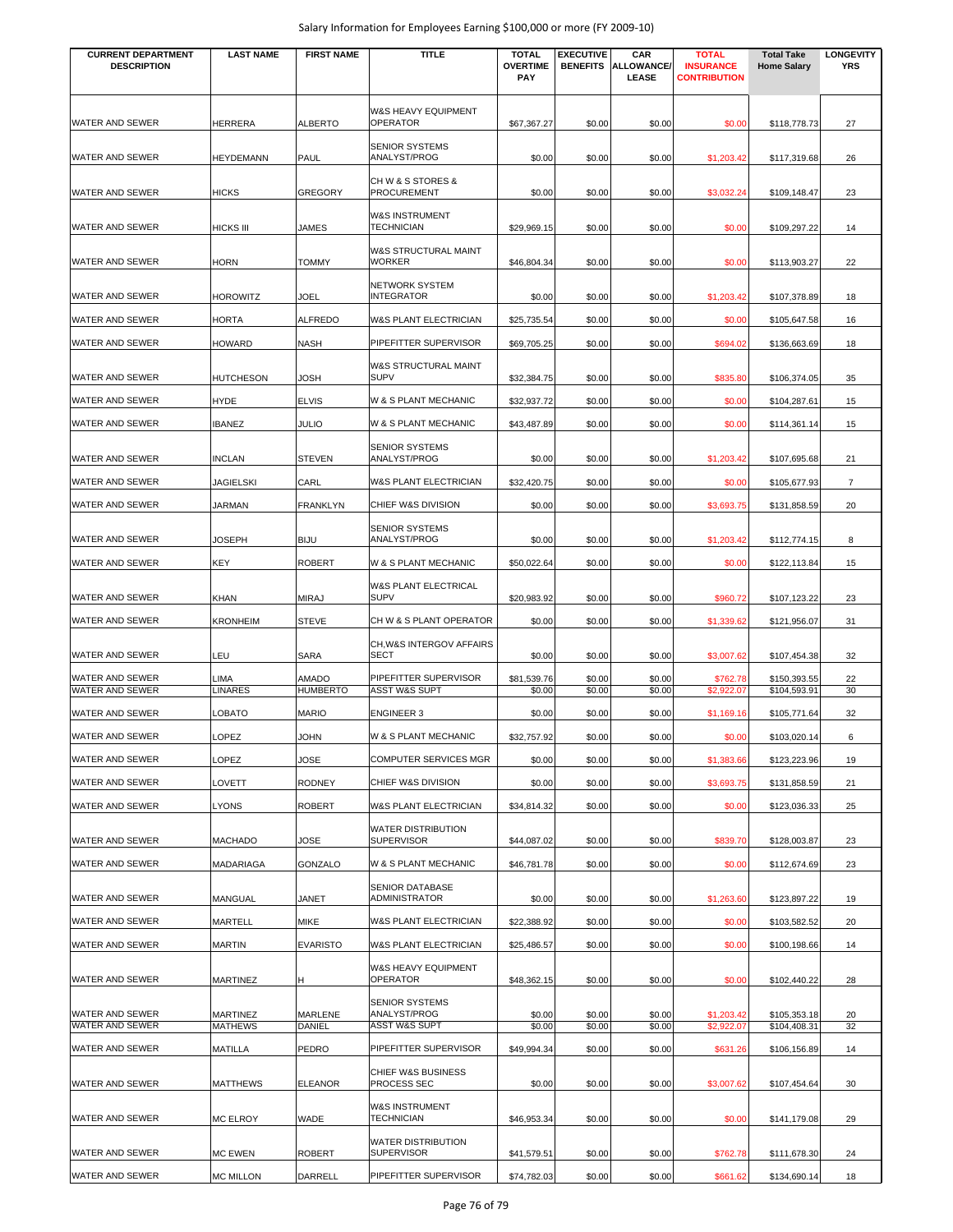| <b>CURRENT DEPARTMENT</b><br><b>DESCRIPTION</b> | <b>LAST NAME</b>       | <b>FIRST NAME</b>               | TITLE                                             | <b>TOTAL</b><br><b>OVERTIME</b> | <b>EXECUTIVE</b><br><b>BENEFITS</b> | CAR<br>ALLOWANCE/ | <b>TOTAL</b><br><b>INSURANCE</b> | <b>Total Take</b><br><b>Home Salary</b> | <b>LONGEVITY</b><br><b>YRS</b> |
|-------------------------------------------------|------------------------|---------------------------------|---------------------------------------------------|---------------------------------|-------------------------------------|-------------------|----------------------------------|-----------------------------------------|--------------------------------|
|                                                 |                        |                                 |                                                   | <b>PAY</b>                      |                                     | <b>LEASE</b>      | <b>CONTRIBUTION</b>              |                                         |                                |
|                                                 |                        |                                 | W&S HEAVY EQUIPMENT                               |                                 |                                     |                   |                                  |                                         |                                |
| WATER AND SEWER                                 | HERRERA                | <b>ALBERTO</b>                  | <b>OPERATOR</b>                                   | \$67,367.27                     | \$0.00                              | \$0.00            | \$0.00                           | \$118,778.73                            | 27                             |
| WATER AND SEWER                                 | <b>HEYDEMANN</b>       | PAUL                            | <b>SENIOR SYSTEMS</b><br>ANALYST/PROG             | \$0.00                          | \$0.00                              | \$0.00            | \$1,203.42                       | \$117,319.68                            | 26                             |
| WATER AND SEWER                                 | HICKS                  | <b>GREGORY</b>                  | CH W & S STORES &<br><b>PROCUREMENT</b>           | \$0.00                          | \$0.00                              | \$0.00            | \$3,032.24                       | \$109,148.47                            | 23                             |
| WATER AND SEWER                                 | <b>HICKS III</b>       | <b>JAMES</b>                    | <b>W&amp;S INSTRUMENT</b><br><b>TECHNICIAN</b>    | \$29,969.15                     | \$0.00                              | \$0.00            | \$0.00                           | \$109,297.22                            | 14                             |
| WATER AND SEWER                                 | <b>HORN</b>            | <b>TOMMY</b>                    | W&S STRUCTURAL MAINT<br><b>WORKER</b>             | \$46,804.34                     | \$0.00                              | \$0.00            | \$0.00                           | \$113,903.27                            | 22                             |
| WATER AND SEWER                                 | HOROWITZ               | <b>JOEL</b>                     | NETWORK SYSTEM<br><b>INTEGRATOR</b>               | \$0.00                          | \$0.00                              | \$0.00            | \$1,203.42                       | \$107,378.89                            | 18                             |
| WATER AND SEWER                                 | <b>HORTA</b>           | <b>ALFREDO</b>                  | W&S PLANT ELECTRICIAN                             | \$25,735.54                     | \$0.00                              | \$0.00            | \$0.00                           | \$105,647.58                            | 16                             |
| WATER AND SEWER                                 | HOWARD                 | <b>NASH</b>                     | PIPEFITTER SUPERVISOR                             | \$69,705.25                     | \$0.00                              | \$0.00            | \$694.02                         | \$136,663.69                            | 18                             |
| WATER AND SEWER                                 | <b>HUTCHESON</b>       | <b>JOSH</b>                     | W&S STRUCTURAL MAINT<br><b>SUPV</b>               | \$32,384.75                     | \$0.00                              | \$0.00            | \$835.80                         | \$106,374.05                            | 35                             |
| WATER AND SEWER                                 | <b>HYDE</b>            | <b>ELVIS</b>                    | W & S PLANT MECHANIC                              | \$32,937.72                     | \$0.00                              | \$0.00            | \$0.00                           | \$104,287.61                            | 15                             |
| WATER AND SEWER                                 | <b>IBANEZ</b>          | <b>JULIO</b>                    | W & S PLANT MECHANIC                              | \$43,487.89                     | \$0.00                              | \$0.00            | \$0.00                           | \$114,361.14                            | 15                             |
| WATER AND SEWER                                 | <b>INCLAN</b>          | <b>STEVEN</b>                   | <b>SENIOR SYSTEMS</b><br>ANALYST/PROG             | \$0.00                          | \$0.00                              | \$0.00            | \$1,203.42                       | \$107,695.68                            | 21                             |
| WATER AND SEWER                                 | JAGIELSKI              | CARL                            | W&S PLANT ELECTRICIAN                             | \$32,420.75                     | \$0.00                              | \$0.00            | \$0.00                           | \$105,677.93                            | $\overline{7}$                 |
| WATER AND SEWER                                 | JARMAN                 | <b>FRANKLYN</b>                 | CHIEF W&S DIVISION                                | \$0.00                          | \$0.00                              | \$0.00            | \$3,693.75                       | \$131,858.59                            | 20                             |
| WATER AND SEWER                                 | JOSEPH                 | <b>BIJU</b>                     | <b>SENIOR SYSTEMS</b><br>ANALYST/PROG             | \$0.00                          | \$0.00                              | \$0.00            | \$1,203.42                       | \$112,774.15                            | 8                              |
| WATER AND SEWER                                 | KEY                    | <b>ROBERT</b>                   | W & S PLANT MECHANIC                              | \$50,022.64                     | \$0.00                              | \$0.00            | \$0.00                           | \$122,113.84                            | 15                             |
|                                                 |                        |                                 | W&S PLANT ELECTRICAL                              |                                 |                                     |                   |                                  |                                         |                                |
| WATER AND SEWER                                 | KHAN                   | <b>MIRAJ</b>                    | <b>SUPV</b>                                       | \$20,983.92                     | \$0.00                              | \$0.00            | \$960.72                         | \$107,123.22                            | 23                             |
| WATER AND SEWER                                 | <b>KRONHEIM</b>        | <b>STEVE</b>                    | CH W & S PLANT OPERATOR                           | \$0.00                          | \$0.00                              | \$0.00            | \$1,339.62                       | \$121,956.07                            | 31                             |
| <b>WATER AND SEWER</b>                          | LEU                    | SARA                            | CH, W&S INTERGOV AFFAIRS<br><b>SECT</b>           | \$0.00                          | \$0.00                              | \$0.00            | \$3,007.62                       | \$107,454.38                            | 32                             |
| WATER AND SEWER<br><b>WATER AND SEWER</b>       | _IMA<br><b>LINARES</b> | <b>AMADO</b><br><b>HUMBERTO</b> | PIPEFITTER SUPERVISOR<br><b>ASST W&amp;S SUPT</b> | \$81,539.76<br>\$0.00           | \$0.00<br>\$0.00                    | \$0.00<br>\$0.00  | \$762.78<br>\$2,922.07           | \$150,393.55<br>\$104,593.91            | 22<br>30                       |
| <b>WATER AND SEWER</b>                          | LOBATO                 | <b>MARIO</b>                    | <b>ENGINEER 3</b>                                 | \$0.00                          | \$0.00                              | \$0.00            | \$1,169.16                       | \$105,771.64                            | 32                             |
| <b>WATER AND SEWER</b>                          | LOPEZ                  | <b>JOHN</b>                     | W & S PLANT MECHANIC                              | \$32,757.92                     | \$0.00                              | \$0.00            | \$0.00                           | \$103,020.14                            | 6                              |
| WATER AND SEWER                                 | LOPEZ                  | <b>JOSE</b>                     | <b>COMPUTER SERVICES MGR</b>                      | \$0.00                          | \$0.00                              | \$0.00            | \$1,383.66                       | \$123,223.96                            | 19                             |
| WATER AND SEWER                                 | <b>LOVETT</b>          | <b>RODNEY</b>                   | CHIEF W&S DIVISION                                | \$0.00                          | \$0.00                              | \$0.00            | \$3,693.75                       | \$131,858.59                            | 21                             |
| WATER AND SEWER                                 | LYONS                  | <b>ROBERT</b>                   | W&S PLANT ELECTRICIAN                             | \$34,814.32                     | \$0.00                              | \$0.00            | \$0.00                           | \$123,036.33                            | 25                             |
| WATER AND SEWER                                 | MACHADO                | <b>JOSE</b>                     | WATER DISTRIBUTION<br><b>SUPERVISOR</b>           | \$44,087.02                     | \$0.00                              | \$0.00            | \$839.70                         | \$128,003.87                            | 23                             |
| WATER AND SEWER                                 | MADARIAGA              | GONZALO                         | W & S PLANT MECHANIC                              | \$46,781.78                     | \$0.00                              | \$0.00            | \$0.00                           | \$112,674.69                            | 23                             |
| WATER AND SEWER                                 | MANGUAL                | <b>JANET</b>                    | SENIOR DATABASE<br><b>ADMINISTRATOR</b>           | \$0.00                          | \$0.00                              | \$0.00            | \$1,263.60                       | \$123,897.22                            | 19                             |
| WATER AND SEWER                                 | MARTELL                | <b>MIKE</b>                     | W&S PLANT ELECTRICIAN                             | \$22,388.92                     | \$0.00                              | \$0.00            | \$0.00                           | \$103,582.52                            | 20                             |
| WATER AND SEWER                                 | MARTIN                 | <b>EVARISTO</b>                 | W&S PLANT ELECTRICIAN                             | \$25,486.57                     | \$0.00                              | \$0.00            | \$0.00                           | \$100,198.66                            | 14                             |
| WATER AND SEWER                                 | MARTINEZ               | H                               | W&S HEAVY EQUIPMENT<br><b>OPERATOR</b>            | \$48,362.15                     | \$0.00                              | \$0.00            | \$0.00                           | \$102,440.22                            | 28                             |
|                                                 |                        |                                 | <b>SENIOR SYSTEMS</b>                             |                                 |                                     |                   |                                  |                                         |                                |
| WATER AND SEWER<br>WATER AND SEWER              | MARTINEZ<br>MATHEWS    | MARLENE<br>DANIEL               | ANALYST/PROG<br><b>ASST W&amp;S SUPT</b>          | \$0.00<br>\$0.00                | \$0.00<br>\$0.00                    | \$0.00<br>\$0.00  | \$1,203.42<br>\$2,922.07         | \$105,353.18<br>\$104,408.31            | 20<br>32                       |
| WATER AND SEWER                                 | MATILLA                | PEDRO                           | PIPEFITTER SUPERVISOR                             | \$49,994.34                     | \$0.00                              | \$0.00            | \$631.26                         | \$106,156.89                            | 14                             |
|                                                 |                        |                                 | CHIEF W&S BUSINESS                                |                                 |                                     |                   |                                  |                                         |                                |
| WATER AND SEWER                                 | <b>MATTHEWS</b>        | <b>ELEANOR</b>                  | PROCESS SEC<br>W&S INSTRUMENT                     | \$0.00                          | \$0.00                              | \$0.00            | \$3,007.62                       | \$107,454.64                            | 30                             |
| WATER AND SEWER                                 | <b>MC ELROY</b>        | WADE                            | <b>TECHNICIAN</b>                                 | \$46,953.34                     | \$0.00                              | \$0.00            | \$0.00                           | \$141,179.08                            | 29                             |
| WATER AND SEWER                                 | <b>MC EWEN</b>         | <b>ROBERT</b>                   | WATER DISTRIBUTION<br><b>SUPERVISOR</b>           | \$41,579.51                     | \$0.00                              | \$0.00            | \$762.78                         | \$111,678.30                            | 24                             |
| WATER AND SEWER                                 | <b>MC MILLON</b>       | DARRELL                         | PIPEFITTER SUPERVISOR                             | \$74,782.03                     | \$0.00                              | \$0.00            | \$661.62                         | \$134,690.14                            | 18                             |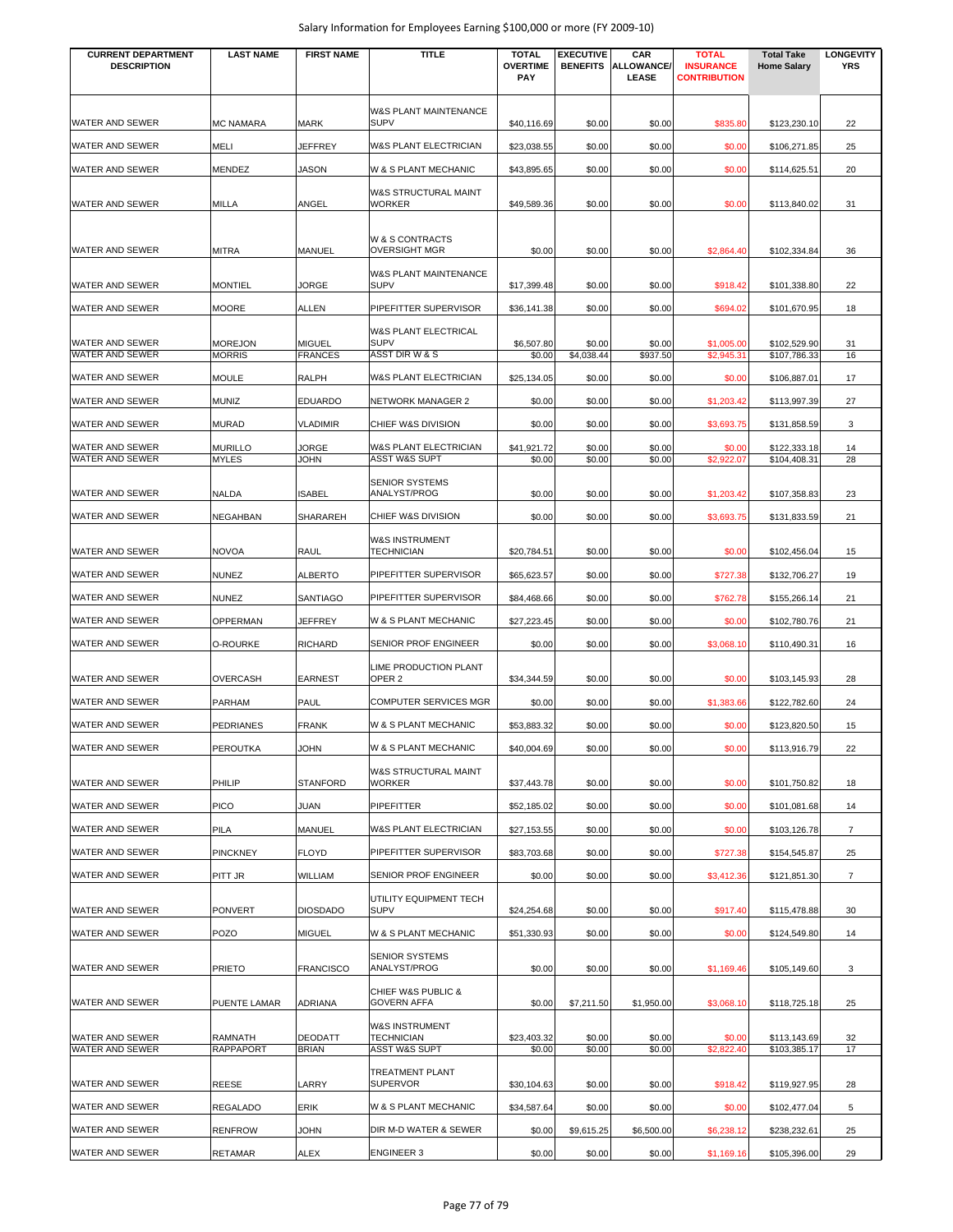| <b>CURRENT DEPARTMENT</b><br><b>DESCRIPTION</b> | <b>LAST NAME</b>                | <b>FIRST NAME</b>               | <b>TITLE</b>                                          | <b>TOTAL</b><br><b>OVERTIME</b><br>PAY | <b>EXECUTIVE</b><br><b>BENEFITS</b> | CAR<br><b>ALLOWANCE/</b><br>LEASE | <b>TOTAL</b><br><b>INSURANCE</b><br><b>CONTRIBUTION</b> | <b>Total Take</b><br><b>Home Salary</b> | <b>LONGEVITY</b><br><b>YRS</b> |
|-------------------------------------------------|---------------------------------|---------------------------------|-------------------------------------------------------|----------------------------------------|-------------------------------------|-----------------------------------|---------------------------------------------------------|-----------------------------------------|--------------------------------|
| WATER AND SEWER                                 | <b>MC NAMARA</b>                | <b>MARK</b>                     | W&S PLANT MAINTENANCE<br><b>SUPV</b>                  | \$40,116.69                            | \$0.00                              | \$0.00                            | \$835.80                                                | \$123,230.10                            | 22                             |
| WATER AND SEWER                                 | MELI                            | JEFFREY                         | W&S PLANT ELECTRICIAN                                 | \$23,038.55                            | \$0.00                              | \$0.00                            | \$0.00                                                  | \$106,271.85                            | 25                             |
| WATER AND SEWER                                 |                                 |                                 | W & S PLANT MECHANIC                                  |                                        |                                     |                                   |                                                         |                                         | 20                             |
|                                                 | MENDEZ                          | <b>JASON</b>                    |                                                       | \$43,895.65                            | \$0.00                              | \$0.00                            | \$0.00                                                  | \$114,625.51                            |                                |
| <b>WATER AND SEWER</b>                          | <b>MILLA</b>                    | ANGEL                           | W&S STRUCTURAL MAINT<br><b>WORKER</b>                 | \$49,589.36                            | \$0.00                              | \$0.00                            | \$0.00                                                  | \$113,840.02                            | 31                             |
| <b>WATER AND SEWER</b>                          | <b>MITRA</b>                    | <b>MANUEL</b>                   | <b>W &amp; S CONTRACTS</b><br><b>OVERSIGHT MGR</b>    | \$0.00                                 | \$0.00                              | \$0.00                            | \$2,864.40                                              | \$102,334.84                            | 36                             |
| WATER AND SEWER                                 | <b>MONTIEL</b>                  | JORGE                           | W&S PLANT MAINTENANCE<br>SUPV                         | \$17,399.48                            | \$0.00                              | \$0.00                            | \$918.42                                                | \$101,338.80                            | 22                             |
| WATER AND SEWER                                 | <b>MOORE</b>                    | ALLEN                           | PIPEFITTER SUPERVISOR                                 | \$36,141.38                            | \$0.00                              | \$0.00                            | \$694.02                                                | \$101,670.95                            | 18                             |
| WATER AND SEWER<br>WATER AND SEWER              | <b>MOREJON</b><br><b>MORRIS</b> | <b>MIGUEL</b><br><b>FRANCES</b> | W&S PLANT ELECTRICAL<br><b>SUPV</b><br>ASST DIR W & S | \$6,507.80<br>\$0.00                   | \$0.00<br>\$4,038.44                | \$0.00<br>\$937.50                | \$1,005.00<br>\$2,945.31                                | \$102,529.90<br>\$107,786.33            | 31<br>16                       |
| WATER AND SEWER                                 | <b>MOULE</b>                    | <b>RALPH</b>                    | W&S PLANT ELECTRICIAN                                 | \$25,134.05                            | \$0.00                              | \$0.00                            | \$0.00                                                  | \$106,887.01                            | 17                             |
|                                                 |                                 |                                 |                                                       |                                        |                                     |                                   |                                                         |                                         |                                |
| WATER AND SEWER                                 | <b>MUNIZ</b>                    | <b>EDUARDO</b>                  | NETWORK MANAGER 2                                     | \$0.00                                 | \$0.00                              | \$0.00                            | \$1,203.42                                              | \$113,997.39                            | 27                             |
| WATER AND SEWER                                 | <b>MURAD</b>                    | <b>VLADIMIR</b>                 | CHIEF W&S DIVISION                                    | \$0.00                                 | \$0.00                              | \$0.00                            | \$3,693.75                                              | \$131,858.59                            | 3                              |
| WATER AND SEWER<br>WATER AND SEWER              | <b>MURILLO</b><br><b>MYLES</b>  | JORGE<br><b>JOHN</b>            | W&S PLANT ELECTRICIAN<br><b>ASST W&amp;S SUPT</b>     | \$41,921.72<br>\$0.00                  | \$0.00<br>\$0.00                    | \$0.00<br>\$0.00                  | \$0.00<br>\$2,922.07                                    | \$122,333.18<br>\$104,408.31            | 14<br>28                       |
| WATER AND SEWER                                 | <b>NALDA</b>                    | <b>ISABEL</b>                   | <b>SENIOR SYSTEMS</b><br>ANALYST/PROG                 | \$0.00                                 | \$0.00                              | \$0.00                            | \$1,203.42                                              | \$107,358.83                            | 23                             |
| WATER AND SEWER                                 |                                 |                                 | CHIEF W&S DIVISION                                    |                                        |                                     |                                   |                                                         |                                         |                                |
|                                                 | NEGAHBAN                        | <b>SHARAREH</b>                 | W&S INSTRUMENT                                        | \$0.00                                 | \$0.00                              | \$0.00                            | \$3,693.75                                              | \$131,833.59                            | 21                             |
| WATER AND SEWER                                 | <b>NOVOA</b>                    | <b>RAUL</b>                     | <b>TECHNICIAN</b>                                     | \$20,784.51                            | \$0.00                              | \$0.00                            | \$0.00                                                  | \$102,456.04                            | 15                             |
| WATER AND SEWER                                 | <b>NUNEZ</b>                    | <b>ALBERTO</b>                  | PIPEFITTER SUPERVISOR                                 | \$65,623.57                            | \$0.00                              | \$0.00                            | \$727.38                                                | \$132,706.27                            | 19                             |
| WATER AND SEWER                                 | <b>NUNEZ</b>                    | SANTIAGO                        | PIPEFITTER SUPERVISOR                                 | \$84,468.66                            | \$0.00                              | \$0.00                            | \$762.78                                                | \$155,266.14                            | 21                             |
| WATER AND SEWER                                 | <b>OPPERMAN</b>                 | <b>JEFFREY</b>                  | W & S PLANT MECHANIC                                  | \$27,223.45                            | \$0.00                              | \$0.00                            | \$0.00                                                  | \$102,780.76                            | 21                             |
| WATER AND SEWER                                 | O-ROURKE                        | <b>RICHARD</b>                  | SENIOR PROF ENGINEER                                  | \$0.00                                 | \$0.00                              | \$0.00                            | \$3,068.10                                              | \$110,490.31                            | 16                             |
| WATER AND SEWER                                 | <b>OVERCASH</b>                 | <b>EARNEST</b>                  | <b>LIME PRODUCTION PLANT</b><br>OPER 2                | \$34,344.59                            | \$0.00                              | \$0.00                            | \$0.00                                                  | \$103,145.93                            | 28                             |
| WATER AND SEWER                                 | PARHAM                          | PAUL                            | COMPUTER SERVICES MGR                                 | \$0.00                                 | \$0.00                              | \$0.00                            | \$1,383.66                                              | \$122,782.60                            | 24                             |
| WATER AND SEWER                                 | <b>PEDRIANES</b>                | <b>FRANK</b>                    | W & S PLANT MECHANIC                                  | \$53,883.32                            | \$0.00                              | \$0.00                            | \$0.00                                                  | \$123,820.50                            | 15                             |
| WATER AND SEWER                                 | <b>PEROUTKA</b>                 | <b>JOHN</b>                     | W & S PLANT MECHANIC                                  | \$40,004.69                            | \$0.00                              | \$0.00                            | \$0.00                                                  | \$113,916.79                            | 22                             |
|                                                 | PHILIP                          | <b>STANFORD</b>                 | W&S STRUCTURAL MAINT                                  | \$37,443.78                            | \$0.00                              |                                   | \$0.00                                                  | \$101,750.82                            |                                |
| WATER AND SEWER                                 |                                 |                                 | <b>WORKER</b>                                         |                                        |                                     | \$0.00                            |                                                         |                                         | 18                             |
| WATER AND SEWER                                 | PICO                            | <b>JUAN</b>                     | PIPEFITTER                                            | \$52,185.02                            | \$0.00                              | \$0.00                            | \$0.00                                                  | \$101,081.68                            | 14                             |
| WATER AND SEWER                                 | PILA                            | MANUEL                          | W&S PLANT ELECTRICIAN                                 | \$27,153.55                            | \$0.00                              | \$0.00                            | \$0.00                                                  | \$103,126.78                            | $\overline{7}$                 |
| WATER AND SEWER                                 | <b>PINCKNEY</b>                 | <b>FLOYD</b>                    | PIPEFITTER SUPERVISOR                                 | \$83,703.68                            | \$0.00                              | \$0.00                            | \$727.38                                                | \$154,545.87                            | 25                             |
| WATER AND SEWER                                 | PITT JR                         | WILLIAM                         | SENIOR PROF ENGINEER                                  | \$0.00                                 | \$0.00                              | \$0.00                            | \$3,412.36                                              | \$121,851.30                            | $\overline{7}$                 |
| WATER AND SEWER                                 | <b>PONVERT</b>                  | <b>DIOSDADO</b>                 | UTILITY EQUIPMENT TECH<br>SUPV                        | \$24,254.68                            | \$0.00                              | \$0.00                            | \$917.40                                                | \$115,478.88                            | 30                             |
| WATER AND SEWER                                 | <b>POZO</b>                     | <b>MIGUEL</b>                   | W & S PLANT MECHANIC                                  | \$51,330.93                            | \$0.00                              | \$0.00                            | \$0.00                                                  | \$124,549.80                            | 14                             |
| WATER AND SEWER                                 | <b>PRIETO</b>                   | <b>FRANCISCO</b>                | <b>SENIOR SYSTEMS</b><br>ANALYST/PROG                 | \$0.00                                 | \$0.00                              | \$0.00                            | \$1,169.46                                              | \$105,149.60                            | 3                              |
| WATER AND SEWER                                 | <b>PUENTE LAMAR</b>             | <b>ADRIANA</b>                  | CHIEF W&S PUBLIC &<br><b>GOVERN AFFA</b>              | \$0.00                                 | \$7,211.50                          | \$1,950.00                        | \$3,068.10                                              | \$118,725.18                            | 25                             |
| WATER AND SEWER<br>WATER AND SEWER              | RAMNATH<br><b>RAPPAPORT</b>     | <b>DEODATT</b><br><b>BRIAN</b>  | W&S INSTRUMENT<br><b>TECHNICIAN</b><br>ASST W&S SUPT  | \$23,403.32<br>\$0.00                  | \$0.00<br>\$0.00                    | \$0.00<br>\$0.00                  | \$0.00<br>\$2,822.40                                    | \$113,143.69<br>\$103,385.17            | 32<br>17                       |
| WATER AND SEWER                                 | <b>REESE</b>                    | LARRY                           | TREATMENT PLANT<br><b>SUPERVOR</b>                    | \$30,104.63                            | \$0.00                              | \$0.00                            | \$918.42                                                | \$119,927.95                            | 28                             |
| WATER AND SEWER                                 | REGALADO                        | ERIK                            | W & S PLANT MECHANIC                                  | \$34,587.64                            | \$0.00                              | \$0.00                            | \$0.00                                                  | \$102,477.04                            | 5                              |
| WATER AND SEWER                                 | <b>RENFROW</b>                  | JOHN                            | DIR M-D WATER & SEWER                                 | \$0.00                                 | \$9,615.25                          | \$6,500.00                        | \$6,238.12                                              | \$238,232.61                            | 25                             |
| WATER AND SEWER                                 | RETAMAR                         | ALEX                            | ENGINEER 3                                            | \$0.00                                 | \$0.00                              | \$0.00                            | \$1,169.16                                              | \$105,396.00                            | 29                             |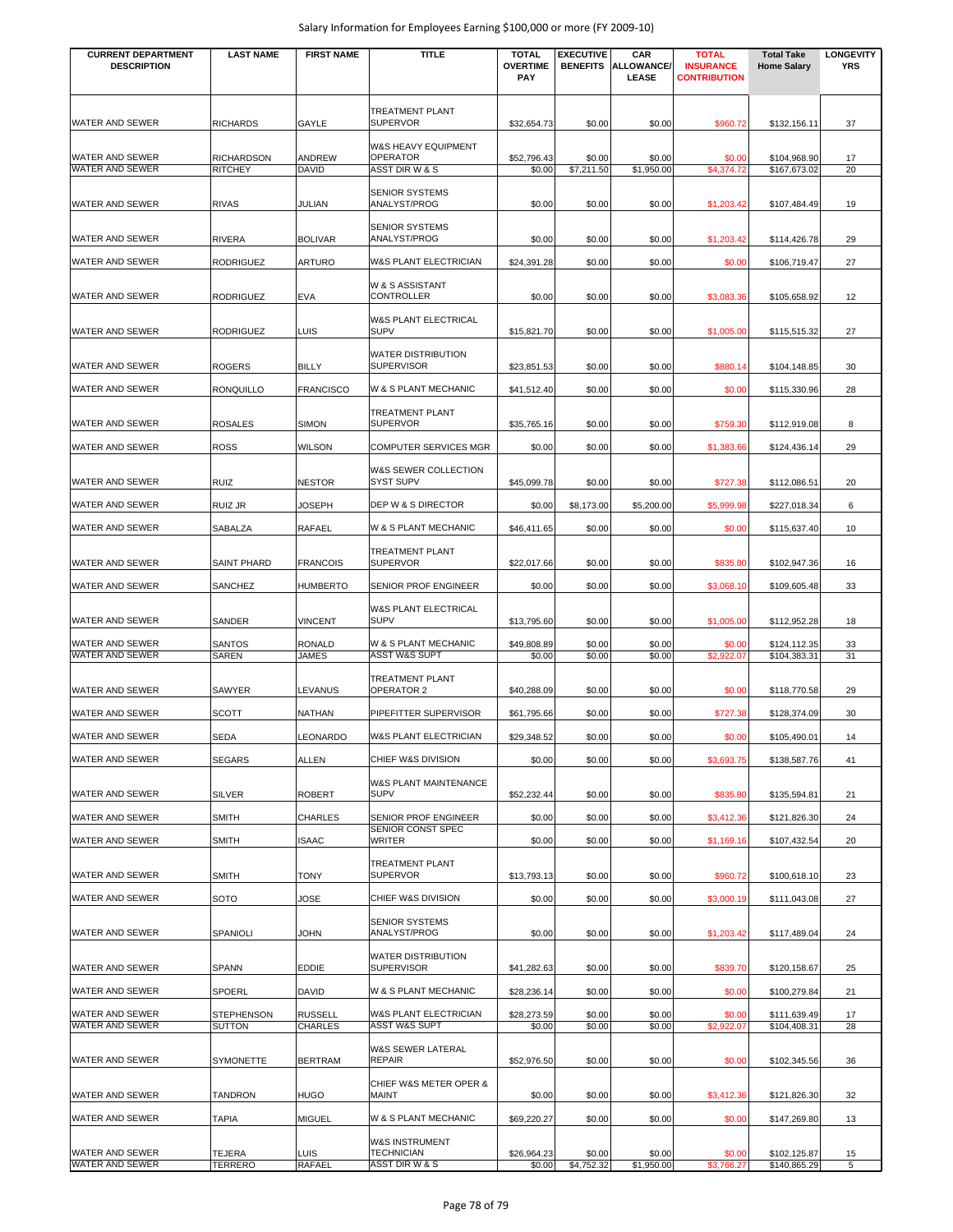| <b>CURRENT DEPARTMENT</b><br><b>DESCRIPTION</b> | <b>LAST NAME</b>                    | <b>FIRST NAME</b>             | <b>TITLE</b>                                                        | <b>TOTAL</b><br><b>OVERTIME</b><br><b>PAY</b> | <b>EXECUTIVE</b><br><b>BENEFITS</b> | CAR<br>ALLOWANCE/<br>LEASE | <b>TOTAL</b><br><b>INSURANCE</b><br><b>CONTRIBUTION</b> | <b>Total Take</b><br><b>Home Salary</b> | <b>LONGEVITY</b><br><b>YRS</b> |
|-------------------------------------------------|-------------------------------------|-------------------------------|---------------------------------------------------------------------|-----------------------------------------------|-------------------------------------|----------------------------|---------------------------------------------------------|-----------------------------------------|--------------------------------|
| WATER AND SEWER                                 | <b>RICHARDS</b>                     | GAYLE                         | TREATMENT PLANT<br><b>SUPERVOR</b>                                  | \$32,654.73                                   | \$0.00                              | \$0.00                     | \$960.72                                                | \$132,156.11                            | 37                             |
| WATER AND SEWER<br>WATER AND SEWER              | <b>RICHARDSON</b><br><b>RITCHEY</b> | ANDREW<br><b>DAVID</b>        | W&S HEAVY EQUIPMENT<br><b>OPERATOR</b><br><b>ASST DIR W &amp; S</b> | \$52,796.43<br>\$0.00                         | \$0.00<br>\$7,211.50                | \$0.00<br>\$1,950.00       | \$0.00<br>\$4,374.72                                    | \$104,968.90<br>\$167,673.02            | 17<br>20                       |
| <b>WATER AND SEWER</b>                          | <b>RIVAS</b>                        | JULIAN                        | <b>SENIOR SYSTEMS</b><br>ANALYST/PROG                               | \$0.00                                        | \$0.00                              | \$0.00                     | \$1,203.42                                              | \$107,484.49                            | 19                             |
|                                                 |                                     |                               | <b>SENIOR SYSTEMS</b>                                               |                                               |                                     |                            |                                                         |                                         |                                |
| WATER AND SEWER                                 | <b>RIVERA</b>                       | <b>BOLIVAR</b>                | ANALYST/PROG                                                        | \$0.00                                        | \$0.00                              | \$0.00                     | \$1,203.42                                              | \$114,426.78                            | 29                             |
| WATER AND SEWER                                 | <b>RODRIGUEZ</b>                    | <b>ARTURO</b>                 | W&S PLANT ELECTRICIAN                                               | \$24,391.28                                   | \$0.00                              | \$0.00                     | \$0.00                                                  | \$106,719.47                            | 27                             |
| WATER AND SEWER                                 | <b>RODRIGUEZ</b>                    | <b>EVA</b>                    | W & S ASSISTANT<br>CONTROLLER                                       | \$0.00                                        | \$0.00                              | \$0.00                     | \$3,083.36                                              | \$105,658.92                            | 12                             |
| WATER AND SEWER                                 | <b>RODRIGUEZ</b>                    | LUIS                          | W&S PLANT ELECTRICAL<br><b>SUPV</b>                                 | \$15,821.70                                   | \$0.00                              | \$0.00                     | \$1,005.00                                              | \$115,515.32                            | 27                             |
| WATER AND SEWER                                 | <b>ROGERS</b>                       | <b>BILLY</b>                  | <b>WATER DISTRIBUTION</b><br><b>SUPERVISOR</b>                      | \$23,851.53                                   | \$0.00                              | \$0.00                     | \$880.14                                                | \$104,148.85                            | 30                             |
| WATER AND SEWER                                 | <b>RONQUILLO</b>                    | <b>FRANCISCO</b>              | W & S PLANT MECHANIC                                                | \$41,512.40                                   | \$0.00                              | \$0.00                     | \$0.00                                                  | \$115,330.96                            | 28                             |
| <b>WATER AND SEWER</b>                          | <b>ROSALES</b>                      | <b>SIMON</b>                  | TREATMENT PLANT<br><b>SUPERVOR</b>                                  | \$35,765.16                                   | \$0.00                              | \$0.00                     | \$759.30                                                | \$112,919.08                            | 8                              |
| WATER AND SEWER                                 | <b>ROSS</b>                         | <b>WILSON</b>                 | <b>COMPUTER SERVICES MGR</b>                                        | \$0.00                                        | \$0.00                              | \$0.00                     | \$1,383.66                                              | \$124,436.14                            | 29                             |
| <b>WATER AND SEWER</b>                          | <b>RUIZ</b>                         | <b>NESTOR</b>                 | W&S SEWER COLLECTION<br>SYST SUPV                                   | \$45,099.78                                   | \$0.00                              | \$0.00                     | \$727.38                                                | \$112,086.51                            | 20                             |
| WATER AND SEWER                                 | <b>RUIZ JR</b>                      | <b>JOSEPH</b>                 | DEP W & S DIRECTOR                                                  | \$0.00                                        | \$8,173.00                          | \$5,200.00                 | \$5,999.98                                              | \$227,018.34                            | 6                              |
| WATER AND SEWER                                 | SABALZA                             | <b>RAFAEL</b>                 | W & S PLANT MECHANIC                                                | \$46,411.65                                   | \$0.00                              | \$0.00                     | \$0.00                                                  | \$115,637.40                            | 10                             |
|                                                 |                                     |                               | TREATMENT PLANT                                                     |                                               |                                     |                            |                                                         |                                         |                                |
| WATER AND SEWER                                 | <b>SAINT PHARD</b>                  | <b>FRANCOIS</b>               | <b>SUPERVOR</b>                                                     | \$22,017.66                                   | \$0.00                              | \$0.00                     | \$835.80                                                | \$102,947.36                            | 16                             |
| WATER AND SEWER                                 | SANCHEZ                             | <b>HUMBERTO</b>               | SENIOR PROF ENGINEER                                                | \$0.00                                        | \$0.00                              | \$0.00                     | \$3,068.10                                              | \$109,605.48                            | 33                             |
| WATER AND SEWER                                 | SANDER                              | <b>VINCENT</b>                | W&S PLANT ELECTRICAL<br><b>SUPV</b>                                 | \$13,795.60                                   | \$0.00                              | \$0.00                     | \$1,005.00                                              | \$112,952.28                            | 18                             |
| WATER AND SEWER<br><b>WATER AND SEWER</b>       | <b>SANTOS</b><br>SAREN              | <b>RONALD</b><br><b>JAMES</b> | W & S PLANT MECHANIC<br><b>ASST W&amp;S SUPT</b>                    | \$49,808.89<br>\$0.00                         | \$0.00<br>\$0.00                    | \$0.00<br>\$0.00           | \$0.00<br>\$2,922.07                                    | \$124,112.35<br>\$104,383.31            | 33<br>31                       |
| WATER AND SEWER                                 | SAWYER                              | LEVANUS                       | TREATMENT PLANT<br>OPERATOR 2                                       | \$40,288.09                                   | \$0.00                              | \$0.00                     | \$0.00                                                  | \$118,770.58                            | 29                             |
| WATER AND SEWER                                 | <b>SCOTT</b>                        | <b>NATHAN</b>                 | PIPEFITTER SUPERVISOR                                               | \$61,795.66                                   | \$0.00                              | \$0.00                     | \$727.38                                                | \$128,374.09                            | 30                             |
| WATER AND SEWER                                 | SEDA                                | LEONARDO                      | W&S PLANT ELECTRICIAN                                               | \$29,348.52                                   | \$0.00                              | \$0.00                     | \$0.00                                                  | \$105,490.01                            | 14                             |
| <b>WATER AND SEWER</b>                          | <b>SEGARS</b>                       | <b>ALLEN</b>                  | CHIEF W&S DIVISION                                                  | \$0.00                                        | \$0.00                              | \$0.00                     | \$3,693.75                                              | \$138,587.76                            | 41                             |
| WATER AND SEWER                                 | <b>SILVER</b>                       | <b>ROBERT</b>                 | W&S PLANT MAINTENANCE<br>SUPV                                       | \$52,232.44                                   | \$0.00                              | \$0.00                     | \$835.80                                                | \$135,594.81                            | 21                             |
| WATER AND SEWER                                 | <b>SMITH</b>                        | <b>CHARLES</b>                | SENIOR PROF ENGINEER                                                | \$0.00                                        | \$0.00                              | \$0.00                     | \$3,412.36                                              | \$121,826.30                            | 24                             |
| WATER AND SEWER                                 | <b>SMITH</b>                        | <b>ISAAC</b>                  | SENIOR CONST SPEC<br>WRITER                                         | \$0.00                                        | \$0.00                              | \$0.00                     | \$1,169.16                                              | \$107,432.54                            | 20                             |
|                                                 |                                     |                               | TREATMENT PLANT                                                     |                                               |                                     |                            |                                                         |                                         |                                |
| <b>WATER AND SEWER</b>                          | <b>SMITH</b>                        | <b>TONY</b>                   | <b>SUPERVOR</b>                                                     | \$13,793.13                                   | \$0.00                              | \$0.00                     | \$960.72                                                | \$100,618.10                            | 23                             |
| WATER AND SEWER                                 | <b>SOTO</b>                         | JOSE                          | CHIEF W&S DIVISION<br><b>SENIOR SYSTEMS</b>                         | \$0.00                                        | \$0.00                              | \$0.00                     | \$3,000.19                                              | \$111,043.08                            | 27                             |
| WATER AND SEWER                                 | SPANIOLI                            | <b>JOHN</b>                   | ANALYST/PROG                                                        | \$0.00                                        | \$0.00                              | \$0.00                     | \$1,203.42                                              | \$117,489.04                            | 24                             |
| WATER AND SEWER                                 | <b>SPANN</b>                        | <b>EDDIE</b>                  | WATER DISTRIBUTION<br>SUPERVISOR                                    | \$41,282.63                                   | \$0.00                              | \$0.00                     | \$839.70                                                | \$120,158.67                            | 25                             |
| WATER AND SEWER                                 | <b>SPOERL</b>                       | <b>DAVID</b>                  | W & S PLANT MECHANIC                                                | \$28,236.14                                   | \$0.00                              | \$0.00                     | \$0.00                                                  | \$100,279.84                            | 21                             |
| WATER AND SEWER<br>WATER AND SEWER              | <b>STEPHENSON</b><br><b>SUTTON</b>  | <b>RUSSELL</b><br>CHARLES     | W&S PLANT ELECTRICIAN<br><b>ASST W&amp;S SUPT</b>                   | \$28,273.59<br>\$0.00                         | \$0.00<br>\$0.00                    | \$0.00<br>\$0.00           | \$0.00<br>\$2,922.07                                    | \$111,639.49<br>\$104,408.31            | 17<br>28                       |
|                                                 |                                     |                               | W&S SEWER LATERAL                                                   |                                               |                                     |                            |                                                         |                                         |                                |
| <b>WATER AND SEWER</b>                          | <b>SYMONETTE</b>                    | <b>BERTRAM</b>                | <b>REPAIR</b>                                                       | \$52,976.50                                   | \$0.00                              | \$0.00                     | \$0.00                                                  | \$102,345.56                            | 36                             |
| WATER AND SEWER                                 | <b>TANDRON</b>                      | <b>HUGO</b>                   | CHIEF W&S METER OPER &<br>MAINT                                     | \$0.00                                        | \$0.00                              | \$0.00                     | \$3,412.36                                              | \$121,826.30                            | 32                             |
| WATER AND SEWER                                 | <b>TAPIA</b>                        | <b>MIGUEL</b>                 | W & S PLANT MECHANIC                                                | \$69,220.27                                   | \$0.00                              | \$0.00                     | \$0.00                                                  | \$147,269.80                            | 13                             |
| <b>WATER AND SEWER</b>                          | TEJERA                              | <b>LUIS</b>                   | W&S INSTRUMENT<br>TECHNICIAN                                        | \$26,964.23                                   | \$0.00                              | \$0.00                     | \$0.00                                                  | \$102,125.87                            | 15                             |
| WATER AND SEWER                                 | TERRERO                             | RAFAEL                        | ASST DIR W & S                                                      | \$0.00                                        | \$4,752.32                          | \$1,950.00                 | \$3,766.27                                              | \$140,865.29                            | 5                              |